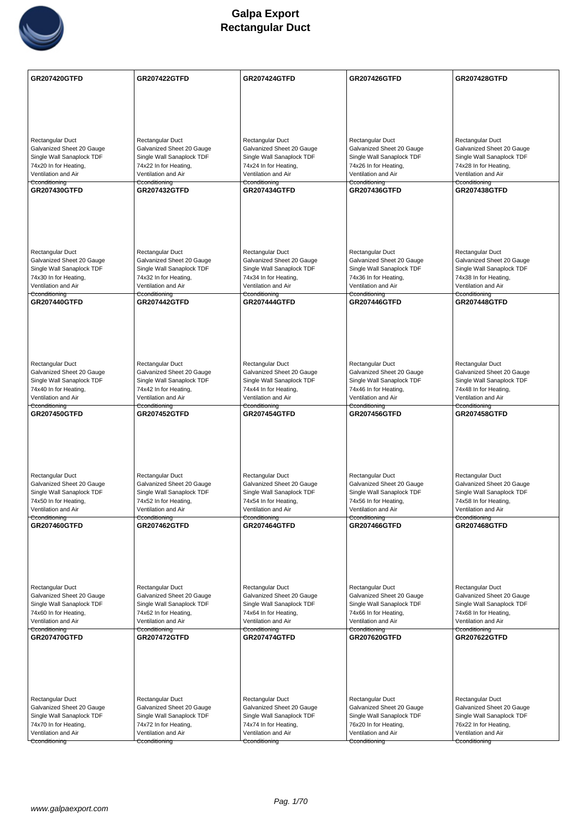

| <b>GR207420GTFD</b>                                    | <b>GR207422GTFD</b>                                    | <b>GR207424GTFD</b>                                    | <b>GR207426GTFD</b>                                    | <b>GR207428GTFD</b>                                    |
|--------------------------------------------------------|--------------------------------------------------------|--------------------------------------------------------|--------------------------------------------------------|--------------------------------------------------------|
|                                                        |                                                        |                                                        |                                                        |                                                        |
|                                                        |                                                        |                                                        |                                                        |                                                        |
|                                                        |                                                        |                                                        |                                                        |                                                        |
| Rectangular Duct                                       | Rectangular Duct                                       | Rectangular Duct                                       | Rectangular Duct                                       | Rectangular Duct                                       |
| Galvanized Sheet 20 Gauge                              | Galvanized Sheet 20 Gauge                              | Galvanized Sheet 20 Gauge                              | Galvanized Sheet 20 Gauge                              | Galvanized Sheet 20 Gauge                              |
| Single Wall Sanaplock TDF                              | Single Wall Sanaplock TDF                              | Single Wall Sanaplock TDF                              | Single Wall Sanaplock TDF                              | Single Wall Sanaplock TDF                              |
| 74x20 In for Heating,<br>Ventilation and Air           | 74x22 In for Heating,<br>Ventilation and Air           | 74x24 In for Heating,<br>Ventilation and Air           | 74x26 In for Heating,<br>Ventilation and Air           | 74x28 In for Heating,<br>Ventilation and Air           |
| Cconditioning                                          | Cconditioning                                          | Cconditioning                                          | Cconditioning                                          | Cconditioning                                          |
| GR207430GTFD                                           | <b>GR207432GTFD</b>                                    | <b>GR207434GTFD</b>                                    | <b>GR207436GTFD</b>                                    | <b>GR207438GTFD</b>                                    |
|                                                        |                                                        |                                                        |                                                        |                                                        |
|                                                        |                                                        |                                                        |                                                        |                                                        |
|                                                        |                                                        |                                                        |                                                        |                                                        |
|                                                        |                                                        |                                                        |                                                        |                                                        |
| <b>Rectangular Duct</b>                                | Rectangular Duct                                       | Rectangular Duct                                       | Rectangular Duct                                       | Rectangular Duct                                       |
| Galvanized Sheet 20 Gauge                              | Galvanized Sheet 20 Gauge                              | Galvanized Sheet 20 Gauge                              | Galvanized Sheet 20 Gauge                              | Galvanized Sheet 20 Gauge                              |
| Single Wall Sanaplock TDF                              | Single Wall Sanaplock TDF                              | Single Wall Sanaplock TDF                              | Single Wall Sanaplock TDF                              | Single Wall Sanaplock TDF                              |
| 74x30 In for Heating,                                  | 74x32 In for Heating,                                  | 74x34 In for Heating,                                  | 74x36 In for Heating,                                  | 74x38 In for Heating,                                  |
| Ventilation and Air<br>Cconditioning                   | Ventilation and Air<br>Cconditioning                   | Ventilation and Air<br>Cconditioning                   | Ventilation and Air<br>Cconditioning                   | Ventilation and Air<br>Cconditioning                   |
| <b>GR207440GTFD</b>                                    | <b>GR207442GTFD</b>                                    | GR207444GTFD                                           | GR207446GTFD                                           | <b>GR207448GTFD</b>                                    |
|                                                        |                                                        |                                                        |                                                        |                                                        |
|                                                        |                                                        |                                                        |                                                        |                                                        |
|                                                        |                                                        |                                                        |                                                        |                                                        |
|                                                        |                                                        |                                                        |                                                        |                                                        |
|                                                        |                                                        |                                                        |                                                        |                                                        |
| Rectangular Duct<br>Galvanized Sheet 20 Gauge          | Rectangular Duct<br>Galvanized Sheet 20 Gauge          | Rectangular Duct<br>Galvanized Sheet 20 Gauge          | Rectangular Duct<br>Galvanized Sheet 20 Gauge          | Rectangular Duct<br>Galvanized Sheet 20 Gauge          |
| Single Wall Sanaplock TDF                              | Single Wall Sanaplock TDF                              | Single Wall Sanaplock TDF                              | Single Wall Sanaplock TDF                              | Single Wall Sanaplock TDF                              |
| 74x40 In for Heating,                                  | 74x42 In for Heating,                                  | 74x44 In for Heating,                                  | 74x46 In for Heating,                                  | 74x48 In for Heating,                                  |
| Ventilation and Air<br>Cconditioning                   | Ventilation and Air<br>Cconditioning                   | Ventilation and Air<br>Cconditioning                   | Ventilation and Air<br>Cconditioning                   | Ventilation and Air<br>Cconditioning                   |
| <b>GR207450GTFD</b>                                    | <b>GR207452GTFD</b>                                    | <b>GR207454GTFD</b>                                    | <b>GR207456GTFD</b>                                    | <b>GR207458GTFD</b>                                    |
|                                                        |                                                        |                                                        |                                                        |                                                        |
|                                                        |                                                        |                                                        |                                                        |                                                        |
|                                                        |                                                        |                                                        |                                                        |                                                        |
|                                                        |                                                        |                                                        |                                                        |                                                        |
| Rectangular Duct                                       | Rectangular Duct                                       | Rectangular Duct                                       | Rectangular Duct                                       | Rectangular Duct                                       |
| Galvanized Sheet 20 Gauge                              | Galvanized Sheet 20 Gauge                              | Galvanized Sheet 20 Gauge                              | Galvanized Sheet 20 Gauge                              | Galvanized Sheet 20 Gauge                              |
| Single Wall Sanaplock TDF                              | Single Wall Sanaplock TDF                              | Single Wall Sanaplock TDF                              | Single Wall Sanaplock TDF                              | Single Wall Sanaplock TDF                              |
| 74x50 In for Heating,                                  | 74x52 In for Heating,                                  | 74x54 In for Heating,                                  | 74x56 In for Heating,                                  | 74x58 In for Heating,                                  |
| Ventilation and Air<br>Cconditioning                   | Ventilation and Air<br>Cconditioning                   | Ventilation and Air<br>Cconditioning                   | Ventilation and Air<br>Cconditioning                   | Ventilation and Air<br>Cconditioning                   |
| GR207460GTFD                                           | <b>GR207462GTFD</b>                                    | <b>GR207464GTFD</b>                                    | GR207466GTFD                                           | <b>GR207468GTFD</b>                                    |
|                                                        |                                                        |                                                        |                                                        |                                                        |
|                                                        |                                                        |                                                        |                                                        |                                                        |
|                                                        |                                                        |                                                        |                                                        |                                                        |
|                                                        |                                                        |                                                        |                                                        |                                                        |
| Rectangular Duct                                       | Rectangular Duct                                       | Rectangular Duct                                       | Rectangular Duct                                       | Rectangular Duct                                       |
| Galvanized Sheet 20 Gauge                              | Galvanized Sheet 20 Gauge                              | Galvanized Sheet 20 Gauge                              | Galvanized Sheet 20 Gauge                              | Galvanized Sheet 20 Gauge                              |
| Single Wall Sanaplock TDF                              | Single Wall Sanaplock TDF                              | Single Wall Sanaplock TDF                              | Single Wall Sanaplock TDF                              | Single Wall Sanaplock TDF                              |
| 74x60 In for Heating,                                  | 74x62 In for Heating,                                  | 74x64 In for Heating,                                  | 74x66 In for Heating,                                  | 74x68 In for Heating,                                  |
| Ventilation and Air<br>Cconditioning                   | Ventilation and Air<br>Cconditioning                   | Ventilation and Air<br>Cconditioning                   | Ventilation and Air<br>Cconditioning                   | Ventilation and Air<br>Cconditioning                   |
| <b>GR207470GTFD</b>                                    | <b>GR207472GTFD</b>                                    | <b>GR207474GTFD</b>                                    | <b>GR207620GTFD</b>                                    | <b>GR207622GTFD</b>                                    |
|                                                        |                                                        |                                                        |                                                        |                                                        |
|                                                        |                                                        |                                                        |                                                        |                                                        |
|                                                        |                                                        |                                                        |                                                        |                                                        |
|                                                        |                                                        |                                                        |                                                        |                                                        |
|                                                        |                                                        |                                                        |                                                        |                                                        |
| <b>Rectangular Duct</b>                                | Rectangular Duct                                       | Rectangular Duct                                       | Rectangular Duct                                       | Rectangular Duct                                       |
| Galvanized Sheet 20 Gauge<br>Single Wall Sanaplock TDF | Galvanized Sheet 20 Gauge<br>Single Wall Sanaplock TDF | Galvanized Sheet 20 Gauge<br>Single Wall Sanaplock TDF | Galvanized Sheet 20 Gauge<br>Single Wall Sanaplock TDF | Galvanized Sheet 20 Gauge<br>Single Wall Sanaplock TDF |
| 74x70 In for Heating,                                  | 74x72 In for Heating,                                  | 74x74 In for Heating,                                  | 76x20 In for Heating,                                  | 76x22 In for Heating,                                  |
| Ventilation and Air                                    | Ventilation and Air                                    | Ventilation and Air                                    | Ventilation and Air                                    | Ventilation and Air                                    |
| Cconditioning                                          | Cconditioning                                          | Cconditioning                                          | Cconditioning                                          | Cconditioning                                          |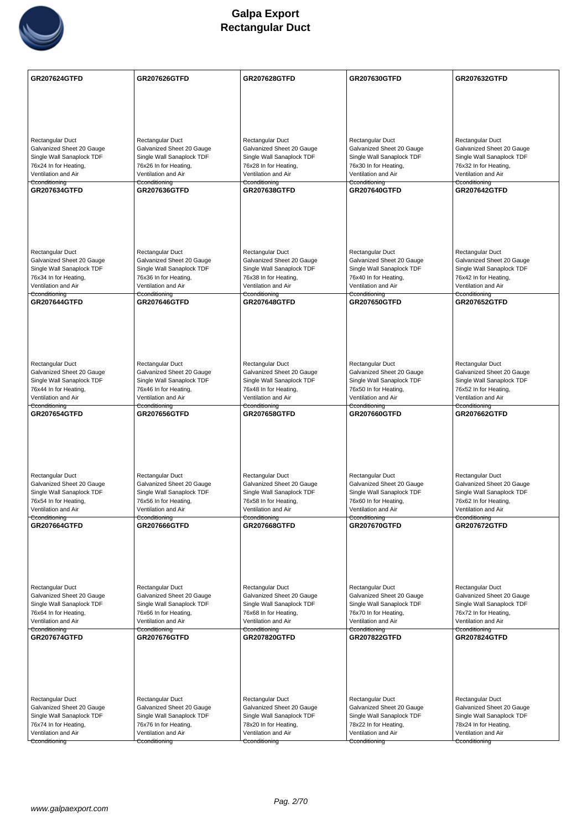

| Rectangular Duct<br>Rectangular Duct<br>Rectangular Duct<br>Rectangular Duct<br>Rectangular Duct<br>Galvanized Sheet 20 Gauge<br>Galvanized Sheet 20 Gauge<br>Galvanized Sheet 20 Gauge<br>Galvanized Sheet 20 Gauge<br>Galvanized Sheet 20 Gauge<br>Single Wall Sanaplock TDF<br>Single Wall Sanaplock TDF<br>Single Wall Sanaplock TDF<br>Single Wall Sanaplock TDF<br>Single Wall Sanaplock TDF<br>76x24 In for Heating,<br>76x26 In for Heating,<br>76x28 In for Heating,<br>76x30 In for Heating,<br>76x32 In for Heating,<br>Ventilation and Air<br>Ventilation and Air<br>Ventilation and Air<br>Ventilation and Air<br>Ventilation and Air<br>Cconditioning<br>Cconditioning<br>Cconditioning<br>Cconditioning<br>Cconditioning<br><b>GR207634GTFD</b><br><b>GR207636GTFD</b><br><b>GR207638GTFD</b><br><b>GR207640GTFD</b><br><b>GR207642GTFD</b><br>Rectangular Duct<br>Rectangular Duct<br>Rectangular Duct<br>Rectangular Duct<br>Rectangular Duct<br>Galvanized Sheet 20 Gauge<br>Galvanized Sheet 20 Gauge<br>Galvanized Sheet 20 Gauge<br>Galvanized Sheet 20 Gauge<br>Galvanized Sheet 20 Gauge<br>Single Wall Sanaplock TDF<br>Single Wall Sanaplock TDF<br>Single Wall Sanaplock TDF<br>Single Wall Sanaplock TDF<br>Single Wall Sanaplock TDF<br>76x34 In for Heating,<br>76x40 In for Heating,<br>76x36 In for Heating,<br>76x38 In for Heating,<br>76x42 In for Heating,<br>Ventilation and Air<br>Ventilation and Air<br>Ventilation and Air<br>Ventilation and Air<br>Ventilation and Air<br>Cconditioning<br>Cconditioning<br>Cconditioning<br>Cconditioning<br>Cconditioning<br><b>GR207644GTFD</b><br>GR207648GTFD<br>GR207650GTFD<br><b>GR207646GTFD</b><br><b>GR207652GTFD</b><br>Rectangular Duct<br>Rectangular Duct<br>Rectangular Duct<br>Rectangular Duct<br>Rectangular Duct<br>Galvanized Sheet 20 Gauge<br>Galvanized Sheet 20 Gauge<br>Galvanized Sheet 20 Gauge<br>Galvanized Sheet 20 Gauge<br>Galvanized Sheet 20 Gauge<br>Single Wall Sanaplock TDF<br>Single Wall Sanaplock TDF<br>Single Wall Sanaplock TDF<br>Single Wall Sanaplock TDF<br>Single Wall Sanaplock TDF<br>76x44 In for Heating,<br>76x46 In for Heating,<br>76x48 In for Heating,<br>76x50 In for Heating,<br>76x52 In for Heating,<br>Ventilation and Air<br>Ventilation and Air<br>Ventilation and Air<br>Ventilation and Air<br>Ventilation and Air<br>Cconditioning<br>Cconditioning<br>Cconditioning<br>Cconditioning<br>Cconditioning<br><b>GR207654GTFD</b><br><b>GR207656GTFD</b><br><b>GR207658GTFD</b><br><b>GR207660GTFD</b><br><b>GR207662GTFD</b><br>Rectangular Duct<br>Rectangular Duct<br>Rectangular Duct<br>Rectangular Duct<br>Rectangular Duct<br>Galvanized Sheet 20 Gauge<br>Galvanized Sheet 20 Gauge<br>Galvanized Sheet 20 Gauge<br>Galvanized Sheet 20 Gauge<br>Galvanized Sheet 20 Gauge<br>Single Wall Sanaplock TDF<br>Single Wall Sanaplock TDF<br>Single Wall Sanaplock TDF<br>Single Wall Sanaplock TDF<br>Single Wall Sanaplock TDF<br>76x54 In for Heating,<br>76x56 In for Heating,<br>76x58 In for Heating,<br>76x60 In for Heating,<br>76x62 In for Heating,<br>Ventilation and Air<br>Ventilation and Air<br>Ventilation and Air<br>Ventilation and Air<br>Ventilation and Air<br>Cconditioning<br>Cconditioning<br>Cconditioning<br>Cconditioning<br>Cconditioning<br><b>GR207664GTFD</b><br><b>GR207666GTFD</b><br><b>GR207668GTFD</b><br><b>GR207670GTFD</b><br><b>GR207672GTFD</b><br>Rectangular Duct<br>Rectangular Duct<br>Rectangular Duct<br>Rectangular Duct<br>Rectangular Duct<br>Galvanized Sheet 20 Gauge<br>Galvanized Sheet 20 Gauge<br>Galvanized Sheet 20 Gauge<br>Galvanized Sheet 20 Gauge<br>Galvanized Sheet 20 Gauge<br>Single Wall Sanaplock TDF<br>Single Wall Sanaplock TDF<br>Single Wall Sanaplock TDF<br>Single Wall Sanaplock TDF<br>Single Wall Sanaplock TDF<br>76x64 In for Heating,<br>76x70 In for Heating,<br>76x66 In for Heating,<br>76x68 In for Heating,<br>76x72 In for Heating,<br>Ventilation and Air<br>Ventilation and Air<br>Ventilation and Air<br>Ventilation and Air<br>Ventilation and Air<br>Cconditioning<br>Cconditioning<br>Cconditioning<br>Cconditioning<br>Cconditioning<br><b>GR207674GTFD</b><br><b>GR207676GTFD</b><br><b>GR207824GTFD</b><br><b>GR207820GTFD</b><br><b>GR207822GTFD</b><br><b>Rectangular Duct</b><br>Rectangular Duct<br>Rectangular Duct<br>Rectangular Duct<br>Rectangular Duct<br>Galvanized Sheet 20 Gauge<br>Galvanized Sheet 20 Gauge<br>Galvanized Sheet 20 Gauge<br>Galvanized Sheet 20 Gauge<br>Galvanized Sheet 20 Gauge<br>Single Wall Sanaplock TDF<br>Single Wall Sanaplock TDF<br>Single Wall Sanaplock TDF<br>Single Wall Sanaplock TDF<br>Single Wall Sanaplock TDF<br>76x74 In for Heating,<br>78x24 In for Heating,<br>76x76 In for Heating,<br>78x20 In for Heating,<br>78x22 In for Heating,<br>Ventilation and Air<br>Ventilation and Air<br>Ventilation and Air<br>Ventilation and Air<br>Ventilation and Air<br>Cconditioning<br>Cconditioning<br>Cconditioning<br>Cconditioning<br>Cconditioning | <b>GR207624GTFD</b> | <b>GR207626GTFD</b> | <b>GR207628GTFD</b> | <b>GR207630GTFD</b> | GR207632GTFD |
|--------------------------------------------------------------------------------------------------------------------------------------------------------------------------------------------------------------------------------------------------------------------------------------------------------------------------------------------------------------------------------------------------------------------------------------------------------------------------------------------------------------------------------------------------------------------------------------------------------------------------------------------------------------------------------------------------------------------------------------------------------------------------------------------------------------------------------------------------------------------------------------------------------------------------------------------------------------------------------------------------------------------------------------------------------------------------------------------------------------------------------------------------------------------------------------------------------------------------------------------------------------------------------------------------------------------------------------------------------------------------------------------------------------------------------------------------------------------------------------------------------------------------------------------------------------------------------------------------------------------------------------------------------------------------------------------------------------------------------------------------------------------------------------------------------------------------------------------------------------------------------------------------------------------------------------------------------------------------------------------------------------------------------------------------------------------------------------------------------------------------------------------------------------------------------------------------------------------------------------------------------------------------------------------------------------------------------------------------------------------------------------------------------------------------------------------------------------------------------------------------------------------------------------------------------------------------------------------------------------------------------------------------------------------------------------------------------------------------------------------------------------------------------------------------------------------------------------------------------------------------------------------------------------------------------------------------------------------------------------------------------------------------------------------------------------------------------------------------------------------------------------------------------------------------------------------------------------------------------------------------------------------------------------------------------------------------------------------------------------------------------------------------------------------------------------------------------------------------------------------------------------------------------------------------------------------------------------------------------------------------------------------------------------------------------------------------------------------------------------------------------------------------------------------------------------------------------------------------------------------------------------------------------------------------------------------------------------------------------------------------------------------------------------------------------------------------------------------------------------------------------------------------------------------------------------------------------------------------------------------------------------------------------------------------------------------------------------------------------------------------------------------------------------------------------------------------------------------------------------------------------------------------------------------------------------------------------------------------------------------------------------------------------------------------------------------------------------------------------------------------------------------------------------------------------------------------------------------------------------------------------------------------------------------------------------------------------------------------------------------------------------------------------------------------------|---------------------|---------------------|---------------------|---------------------|--------------|
|                                                                                                                                                                                                                                                                                                                                                                                                                                                                                                                                                                                                                                                                                                                                                                                                                                                                                                                                                                                                                                                                                                                                                                                                                                                                                                                                                                                                                                                                                                                                                                                                                                                                                                                                                                                                                                                                                                                                                                                                                                                                                                                                                                                                                                                                                                                                                                                                                                                                                                                                                                                                                                                                                                                                                                                                                                                                                                                                                                                                                                                                                                                                                                                                                                                                                                                                                                                                                                                                                                                                                                                                                                                                                                                                                                                                                                                                                                                                                                                                                                                                                                                                                                                                                                                                                                                                                                                                                                                                                                                                                                                                                                                                                                                                                                                                                                                                                                                                                                                                                                                        |                     |                     |                     |                     |              |
|                                                                                                                                                                                                                                                                                                                                                                                                                                                                                                                                                                                                                                                                                                                                                                                                                                                                                                                                                                                                                                                                                                                                                                                                                                                                                                                                                                                                                                                                                                                                                                                                                                                                                                                                                                                                                                                                                                                                                                                                                                                                                                                                                                                                                                                                                                                                                                                                                                                                                                                                                                                                                                                                                                                                                                                                                                                                                                                                                                                                                                                                                                                                                                                                                                                                                                                                                                                                                                                                                                                                                                                                                                                                                                                                                                                                                                                                                                                                                                                                                                                                                                                                                                                                                                                                                                                                                                                                                                                                                                                                                                                                                                                                                                                                                                                                                                                                                                                                                                                                                                                        |                     |                     |                     |                     |              |
|                                                                                                                                                                                                                                                                                                                                                                                                                                                                                                                                                                                                                                                                                                                                                                                                                                                                                                                                                                                                                                                                                                                                                                                                                                                                                                                                                                                                                                                                                                                                                                                                                                                                                                                                                                                                                                                                                                                                                                                                                                                                                                                                                                                                                                                                                                                                                                                                                                                                                                                                                                                                                                                                                                                                                                                                                                                                                                                                                                                                                                                                                                                                                                                                                                                                                                                                                                                                                                                                                                                                                                                                                                                                                                                                                                                                                                                                                                                                                                                                                                                                                                                                                                                                                                                                                                                                                                                                                                                                                                                                                                                                                                                                                                                                                                                                                                                                                                                                                                                                                                                        |                     |                     |                     |                     |              |
|                                                                                                                                                                                                                                                                                                                                                                                                                                                                                                                                                                                                                                                                                                                                                                                                                                                                                                                                                                                                                                                                                                                                                                                                                                                                                                                                                                                                                                                                                                                                                                                                                                                                                                                                                                                                                                                                                                                                                                                                                                                                                                                                                                                                                                                                                                                                                                                                                                                                                                                                                                                                                                                                                                                                                                                                                                                                                                                                                                                                                                                                                                                                                                                                                                                                                                                                                                                                                                                                                                                                                                                                                                                                                                                                                                                                                                                                                                                                                                                                                                                                                                                                                                                                                                                                                                                                                                                                                                                                                                                                                                                                                                                                                                                                                                                                                                                                                                                                                                                                                                                        |                     |                     |                     |                     |              |
|                                                                                                                                                                                                                                                                                                                                                                                                                                                                                                                                                                                                                                                                                                                                                                                                                                                                                                                                                                                                                                                                                                                                                                                                                                                                                                                                                                                                                                                                                                                                                                                                                                                                                                                                                                                                                                                                                                                                                                                                                                                                                                                                                                                                                                                                                                                                                                                                                                                                                                                                                                                                                                                                                                                                                                                                                                                                                                                                                                                                                                                                                                                                                                                                                                                                                                                                                                                                                                                                                                                                                                                                                                                                                                                                                                                                                                                                                                                                                                                                                                                                                                                                                                                                                                                                                                                                                                                                                                                                                                                                                                                                                                                                                                                                                                                                                                                                                                                                                                                                                                                        |                     |                     |                     |                     |              |
|                                                                                                                                                                                                                                                                                                                                                                                                                                                                                                                                                                                                                                                                                                                                                                                                                                                                                                                                                                                                                                                                                                                                                                                                                                                                                                                                                                                                                                                                                                                                                                                                                                                                                                                                                                                                                                                                                                                                                                                                                                                                                                                                                                                                                                                                                                                                                                                                                                                                                                                                                                                                                                                                                                                                                                                                                                                                                                                                                                                                                                                                                                                                                                                                                                                                                                                                                                                                                                                                                                                                                                                                                                                                                                                                                                                                                                                                                                                                                                                                                                                                                                                                                                                                                                                                                                                                                                                                                                                                                                                                                                                                                                                                                                                                                                                                                                                                                                                                                                                                                                                        |                     |                     |                     |                     |              |
|                                                                                                                                                                                                                                                                                                                                                                                                                                                                                                                                                                                                                                                                                                                                                                                                                                                                                                                                                                                                                                                                                                                                                                                                                                                                                                                                                                                                                                                                                                                                                                                                                                                                                                                                                                                                                                                                                                                                                                                                                                                                                                                                                                                                                                                                                                                                                                                                                                                                                                                                                                                                                                                                                                                                                                                                                                                                                                                                                                                                                                                                                                                                                                                                                                                                                                                                                                                                                                                                                                                                                                                                                                                                                                                                                                                                                                                                                                                                                                                                                                                                                                                                                                                                                                                                                                                                                                                                                                                                                                                                                                                                                                                                                                                                                                                                                                                                                                                                                                                                                                                        |                     |                     |                     |                     |              |
|                                                                                                                                                                                                                                                                                                                                                                                                                                                                                                                                                                                                                                                                                                                                                                                                                                                                                                                                                                                                                                                                                                                                                                                                                                                                                                                                                                                                                                                                                                                                                                                                                                                                                                                                                                                                                                                                                                                                                                                                                                                                                                                                                                                                                                                                                                                                                                                                                                                                                                                                                                                                                                                                                                                                                                                                                                                                                                                                                                                                                                                                                                                                                                                                                                                                                                                                                                                                                                                                                                                                                                                                                                                                                                                                                                                                                                                                                                                                                                                                                                                                                                                                                                                                                                                                                                                                                                                                                                                                                                                                                                                                                                                                                                                                                                                                                                                                                                                                                                                                                                                        |                     |                     |                     |                     |              |
|                                                                                                                                                                                                                                                                                                                                                                                                                                                                                                                                                                                                                                                                                                                                                                                                                                                                                                                                                                                                                                                                                                                                                                                                                                                                                                                                                                                                                                                                                                                                                                                                                                                                                                                                                                                                                                                                                                                                                                                                                                                                                                                                                                                                                                                                                                                                                                                                                                                                                                                                                                                                                                                                                                                                                                                                                                                                                                                                                                                                                                                                                                                                                                                                                                                                                                                                                                                                                                                                                                                                                                                                                                                                                                                                                                                                                                                                                                                                                                                                                                                                                                                                                                                                                                                                                                                                                                                                                                                                                                                                                                                                                                                                                                                                                                                                                                                                                                                                                                                                                                                        |                     |                     |                     |                     |              |
|                                                                                                                                                                                                                                                                                                                                                                                                                                                                                                                                                                                                                                                                                                                                                                                                                                                                                                                                                                                                                                                                                                                                                                                                                                                                                                                                                                                                                                                                                                                                                                                                                                                                                                                                                                                                                                                                                                                                                                                                                                                                                                                                                                                                                                                                                                                                                                                                                                                                                                                                                                                                                                                                                                                                                                                                                                                                                                                                                                                                                                                                                                                                                                                                                                                                                                                                                                                                                                                                                                                                                                                                                                                                                                                                                                                                                                                                                                                                                                                                                                                                                                                                                                                                                                                                                                                                                                                                                                                                                                                                                                                                                                                                                                                                                                                                                                                                                                                                                                                                                                                        |                     |                     |                     |                     |              |
|                                                                                                                                                                                                                                                                                                                                                                                                                                                                                                                                                                                                                                                                                                                                                                                                                                                                                                                                                                                                                                                                                                                                                                                                                                                                                                                                                                                                                                                                                                                                                                                                                                                                                                                                                                                                                                                                                                                                                                                                                                                                                                                                                                                                                                                                                                                                                                                                                                                                                                                                                                                                                                                                                                                                                                                                                                                                                                                                                                                                                                                                                                                                                                                                                                                                                                                                                                                                                                                                                                                                                                                                                                                                                                                                                                                                                                                                                                                                                                                                                                                                                                                                                                                                                                                                                                                                                                                                                                                                                                                                                                                                                                                                                                                                                                                                                                                                                                                                                                                                                                                        |                     |                     |                     |                     |              |
|                                                                                                                                                                                                                                                                                                                                                                                                                                                                                                                                                                                                                                                                                                                                                                                                                                                                                                                                                                                                                                                                                                                                                                                                                                                                                                                                                                                                                                                                                                                                                                                                                                                                                                                                                                                                                                                                                                                                                                                                                                                                                                                                                                                                                                                                                                                                                                                                                                                                                                                                                                                                                                                                                                                                                                                                                                                                                                                                                                                                                                                                                                                                                                                                                                                                                                                                                                                                                                                                                                                                                                                                                                                                                                                                                                                                                                                                                                                                                                                                                                                                                                                                                                                                                                                                                                                                                                                                                                                                                                                                                                                                                                                                                                                                                                                                                                                                                                                                                                                                                                                        |                     |                     |                     |                     |              |
|                                                                                                                                                                                                                                                                                                                                                                                                                                                                                                                                                                                                                                                                                                                                                                                                                                                                                                                                                                                                                                                                                                                                                                                                                                                                                                                                                                                                                                                                                                                                                                                                                                                                                                                                                                                                                                                                                                                                                                                                                                                                                                                                                                                                                                                                                                                                                                                                                                                                                                                                                                                                                                                                                                                                                                                                                                                                                                                                                                                                                                                                                                                                                                                                                                                                                                                                                                                                                                                                                                                                                                                                                                                                                                                                                                                                                                                                                                                                                                                                                                                                                                                                                                                                                                                                                                                                                                                                                                                                                                                                                                                                                                                                                                                                                                                                                                                                                                                                                                                                                                                        |                     |                     |                     |                     |              |
|                                                                                                                                                                                                                                                                                                                                                                                                                                                                                                                                                                                                                                                                                                                                                                                                                                                                                                                                                                                                                                                                                                                                                                                                                                                                                                                                                                                                                                                                                                                                                                                                                                                                                                                                                                                                                                                                                                                                                                                                                                                                                                                                                                                                                                                                                                                                                                                                                                                                                                                                                                                                                                                                                                                                                                                                                                                                                                                                                                                                                                                                                                                                                                                                                                                                                                                                                                                                                                                                                                                                                                                                                                                                                                                                                                                                                                                                                                                                                                                                                                                                                                                                                                                                                                                                                                                                                                                                                                                                                                                                                                                                                                                                                                                                                                                                                                                                                                                                                                                                                                                        |                     |                     |                     |                     |              |
|                                                                                                                                                                                                                                                                                                                                                                                                                                                                                                                                                                                                                                                                                                                                                                                                                                                                                                                                                                                                                                                                                                                                                                                                                                                                                                                                                                                                                                                                                                                                                                                                                                                                                                                                                                                                                                                                                                                                                                                                                                                                                                                                                                                                                                                                                                                                                                                                                                                                                                                                                                                                                                                                                                                                                                                                                                                                                                                                                                                                                                                                                                                                                                                                                                                                                                                                                                                                                                                                                                                                                                                                                                                                                                                                                                                                                                                                                                                                                                                                                                                                                                                                                                                                                                                                                                                                                                                                                                                                                                                                                                                                                                                                                                                                                                                                                                                                                                                                                                                                                                                        |                     |                     |                     |                     |              |
|                                                                                                                                                                                                                                                                                                                                                                                                                                                                                                                                                                                                                                                                                                                                                                                                                                                                                                                                                                                                                                                                                                                                                                                                                                                                                                                                                                                                                                                                                                                                                                                                                                                                                                                                                                                                                                                                                                                                                                                                                                                                                                                                                                                                                                                                                                                                                                                                                                                                                                                                                                                                                                                                                                                                                                                                                                                                                                                                                                                                                                                                                                                                                                                                                                                                                                                                                                                                                                                                                                                                                                                                                                                                                                                                                                                                                                                                                                                                                                                                                                                                                                                                                                                                                                                                                                                                                                                                                                                                                                                                                                                                                                                                                                                                                                                                                                                                                                                                                                                                                                                        |                     |                     |                     |                     |              |
|                                                                                                                                                                                                                                                                                                                                                                                                                                                                                                                                                                                                                                                                                                                                                                                                                                                                                                                                                                                                                                                                                                                                                                                                                                                                                                                                                                                                                                                                                                                                                                                                                                                                                                                                                                                                                                                                                                                                                                                                                                                                                                                                                                                                                                                                                                                                                                                                                                                                                                                                                                                                                                                                                                                                                                                                                                                                                                                                                                                                                                                                                                                                                                                                                                                                                                                                                                                                                                                                                                                                                                                                                                                                                                                                                                                                                                                                                                                                                                                                                                                                                                                                                                                                                                                                                                                                                                                                                                                                                                                                                                                                                                                                                                                                                                                                                                                                                                                                                                                                                                                        |                     |                     |                     |                     |              |
|                                                                                                                                                                                                                                                                                                                                                                                                                                                                                                                                                                                                                                                                                                                                                                                                                                                                                                                                                                                                                                                                                                                                                                                                                                                                                                                                                                                                                                                                                                                                                                                                                                                                                                                                                                                                                                                                                                                                                                                                                                                                                                                                                                                                                                                                                                                                                                                                                                                                                                                                                                                                                                                                                                                                                                                                                                                                                                                                                                                                                                                                                                                                                                                                                                                                                                                                                                                                                                                                                                                                                                                                                                                                                                                                                                                                                                                                                                                                                                                                                                                                                                                                                                                                                                                                                                                                                                                                                                                                                                                                                                                                                                                                                                                                                                                                                                                                                                                                                                                                                                                        |                     |                     |                     |                     |              |
|                                                                                                                                                                                                                                                                                                                                                                                                                                                                                                                                                                                                                                                                                                                                                                                                                                                                                                                                                                                                                                                                                                                                                                                                                                                                                                                                                                                                                                                                                                                                                                                                                                                                                                                                                                                                                                                                                                                                                                                                                                                                                                                                                                                                                                                                                                                                                                                                                                                                                                                                                                                                                                                                                                                                                                                                                                                                                                                                                                                                                                                                                                                                                                                                                                                                                                                                                                                                                                                                                                                                                                                                                                                                                                                                                                                                                                                                                                                                                                                                                                                                                                                                                                                                                                                                                                                                                                                                                                                                                                                                                                                                                                                                                                                                                                                                                                                                                                                                                                                                                                                        |                     |                     |                     |                     |              |
|                                                                                                                                                                                                                                                                                                                                                                                                                                                                                                                                                                                                                                                                                                                                                                                                                                                                                                                                                                                                                                                                                                                                                                                                                                                                                                                                                                                                                                                                                                                                                                                                                                                                                                                                                                                                                                                                                                                                                                                                                                                                                                                                                                                                                                                                                                                                                                                                                                                                                                                                                                                                                                                                                                                                                                                                                                                                                                                                                                                                                                                                                                                                                                                                                                                                                                                                                                                                                                                                                                                                                                                                                                                                                                                                                                                                                                                                                                                                                                                                                                                                                                                                                                                                                                                                                                                                                                                                                                                                                                                                                                                                                                                                                                                                                                                                                                                                                                                                                                                                                                                        |                     |                     |                     |                     |              |
|                                                                                                                                                                                                                                                                                                                                                                                                                                                                                                                                                                                                                                                                                                                                                                                                                                                                                                                                                                                                                                                                                                                                                                                                                                                                                                                                                                                                                                                                                                                                                                                                                                                                                                                                                                                                                                                                                                                                                                                                                                                                                                                                                                                                                                                                                                                                                                                                                                                                                                                                                                                                                                                                                                                                                                                                                                                                                                                                                                                                                                                                                                                                                                                                                                                                                                                                                                                                                                                                                                                                                                                                                                                                                                                                                                                                                                                                                                                                                                                                                                                                                                                                                                                                                                                                                                                                                                                                                                                                                                                                                                                                                                                                                                                                                                                                                                                                                                                                                                                                                                                        |                     |                     |                     |                     |              |
|                                                                                                                                                                                                                                                                                                                                                                                                                                                                                                                                                                                                                                                                                                                                                                                                                                                                                                                                                                                                                                                                                                                                                                                                                                                                                                                                                                                                                                                                                                                                                                                                                                                                                                                                                                                                                                                                                                                                                                                                                                                                                                                                                                                                                                                                                                                                                                                                                                                                                                                                                                                                                                                                                                                                                                                                                                                                                                                                                                                                                                                                                                                                                                                                                                                                                                                                                                                                                                                                                                                                                                                                                                                                                                                                                                                                                                                                                                                                                                                                                                                                                                                                                                                                                                                                                                                                                                                                                                                                                                                                                                                                                                                                                                                                                                                                                                                                                                                                                                                                                                                        |                     |                     |                     |                     |              |
|                                                                                                                                                                                                                                                                                                                                                                                                                                                                                                                                                                                                                                                                                                                                                                                                                                                                                                                                                                                                                                                                                                                                                                                                                                                                                                                                                                                                                                                                                                                                                                                                                                                                                                                                                                                                                                                                                                                                                                                                                                                                                                                                                                                                                                                                                                                                                                                                                                                                                                                                                                                                                                                                                                                                                                                                                                                                                                                                                                                                                                                                                                                                                                                                                                                                                                                                                                                                                                                                                                                                                                                                                                                                                                                                                                                                                                                                                                                                                                                                                                                                                                                                                                                                                                                                                                                                                                                                                                                                                                                                                                                                                                                                                                                                                                                                                                                                                                                                                                                                                                                        |                     |                     |                     |                     |              |
|                                                                                                                                                                                                                                                                                                                                                                                                                                                                                                                                                                                                                                                                                                                                                                                                                                                                                                                                                                                                                                                                                                                                                                                                                                                                                                                                                                                                                                                                                                                                                                                                                                                                                                                                                                                                                                                                                                                                                                                                                                                                                                                                                                                                                                                                                                                                                                                                                                                                                                                                                                                                                                                                                                                                                                                                                                                                                                                                                                                                                                                                                                                                                                                                                                                                                                                                                                                                                                                                                                                                                                                                                                                                                                                                                                                                                                                                                                                                                                                                                                                                                                                                                                                                                                                                                                                                                                                                                                                                                                                                                                                                                                                                                                                                                                                                                                                                                                                                                                                                                                                        |                     |                     |                     |                     |              |
|                                                                                                                                                                                                                                                                                                                                                                                                                                                                                                                                                                                                                                                                                                                                                                                                                                                                                                                                                                                                                                                                                                                                                                                                                                                                                                                                                                                                                                                                                                                                                                                                                                                                                                                                                                                                                                                                                                                                                                                                                                                                                                                                                                                                                                                                                                                                                                                                                                                                                                                                                                                                                                                                                                                                                                                                                                                                                                                                                                                                                                                                                                                                                                                                                                                                                                                                                                                                                                                                                                                                                                                                                                                                                                                                                                                                                                                                                                                                                                                                                                                                                                                                                                                                                                                                                                                                                                                                                                                                                                                                                                                                                                                                                                                                                                                                                                                                                                                                                                                                                                                        |                     |                     |                     |                     |              |
|                                                                                                                                                                                                                                                                                                                                                                                                                                                                                                                                                                                                                                                                                                                                                                                                                                                                                                                                                                                                                                                                                                                                                                                                                                                                                                                                                                                                                                                                                                                                                                                                                                                                                                                                                                                                                                                                                                                                                                                                                                                                                                                                                                                                                                                                                                                                                                                                                                                                                                                                                                                                                                                                                                                                                                                                                                                                                                                                                                                                                                                                                                                                                                                                                                                                                                                                                                                                                                                                                                                                                                                                                                                                                                                                                                                                                                                                                                                                                                                                                                                                                                                                                                                                                                                                                                                                                                                                                                                                                                                                                                                                                                                                                                                                                                                                                                                                                                                                                                                                                                                        |                     |                     |                     |                     |              |
|                                                                                                                                                                                                                                                                                                                                                                                                                                                                                                                                                                                                                                                                                                                                                                                                                                                                                                                                                                                                                                                                                                                                                                                                                                                                                                                                                                                                                                                                                                                                                                                                                                                                                                                                                                                                                                                                                                                                                                                                                                                                                                                                                                                                                                                                                                                                                                                                                                                                                                                                                                                                                                                                                                                                                                                                                                                                                                                                                                                                                                                                                                                                                                                                                                                                                                                                                                                                                                                                                                                                                                                                                                                                                                                                                                                                                                                                                                                                                                                                                                                                                                                                                                                                                                                                                                                                                                                                                                                                                                                                                                                                                                                                                                                                                                                                                                                                                                                                                                                                                                                        |                     |                     |                     |                     |              |
|                                                                                                                                                                                                                                                                                                                                                                                                                                                                                                                                                                                                                                                                                                                                                                                                                                                                                                                                                                                                                                                                                                                                                                                                                                                                                                                                                                                                                                                                                                                                                                                                                                                                                                                                                                                                                                                                                                                                                                                                                                                                                                                                                                                                                                                                                                                                                                                                                                                                                                                                                                                                                                                                                                                                                                                                                                                                                                                                                                                                                                                                                                                                                                                                                                                                                                                                                                                                                                                                                                                                                                                                                                                                                                                                                                                                                                                                                                                                                                                                                                                                                                                                                                                                                                                                                                                                                                                                                                                                                                                                                                                                                                                                                                                                                                                                                                                                                                                                                                                                                                                        |                     |                     |                     |                     |              |
|                                                                                                                                                                                                                                                                                                                                                                                                                                                                                                                                                                                                                                                                                                                                                                                                                                                                                                                                                                                                                                                                                                                                                                                                                                                                                                                                                                                                                                                                                                                                                                                                                                                                                                                                                                                                                                                                                                                                                                                                                                                                                                                                                                                                                                                                                                                                                                                                                                                                                                                                                                                                                                                                                                                                                                                                                                                                                                                                                                                                                                                                                                                                                                                                                                                                                                                                                                                                                                                                                                                                                                                                                                                                                                                                                                                                                                                                                                                                                                                                                                                                                                                                                                                                                                                                                                                                                                                                                                                                                                                                                                                                                                                                                                                                                                                                                                                                                                                                                                                                                                                        |                     |                     |                     |                     |              |
|                                                                                                                                                                                                                                                                                                                                                                                                                                                                                                                                                                                                                                                                                                                                                                                                                                                                                                                                                                                                                                                                                                                                                                                                                                                                                                                                                                                                                                                                                                                                                                                                                                                                                                                                                                                                                                                                                                                                                                                                                                                                                                                                                                                                                                                                                                                                                                                                                                                                                                                                                                                                                                                                                                                                                                                                                                                                                                                                                                                                                                                                                                                                                                                                                                                                                                                                                                                                                                                                                                                                                                                                                                                                                                                                                                                                                                                                                                                                                                                                                                                                                                                                                                                                                                                                                                                                                                                                                                                                                                                                                                                                                                                                                                                                                                                                                                                                                                                                                                                                                                                        |                     |                     |                     |                     |              |
|                                                                                                                                                                                                                                                                                                                                                                                                                                                                                                                                                                                                                                                                                                                                                                                                                                                                                                                                                                                                                                                                                                                                                                                                                                                                                                                                                                                                                                                                                                                                                                                                                                                                                                                                                                                                                                                                                                                                                                                                                                                                                                                                                                                                                                                                                                                                                                                                                                                                                                                                                                                                                                                                                                                                                                                                                                                                                                                                                                                                                                                                                                                                                                                                                                                                                                                                                                                                                                                                                                                                                                                                                                                                                                                                                                                                                                                                                                                                                                                                                                                                                                                                                                                                                                                                                                                                                                                                                                                                                                                                                                                                                                                                                                                                                                                                                                                                                                                                                                                                                                                        |                     |                     |                     |                     |              |
|                                                                                                                                                                                                                                                                                                                                                                                                                                                                                                                                                                                                                                                                                                                                                                                                                                                                                                                                                                                                                                                                                                                                                                                                                                                                                                                                                                                                                                                                                                                                                                                                                                                                                                                                                                                                                                                                                                                                                                                                                                                                                                                                                                                                                                                                                                                                                                                                                                                                                                                                                                                                                                                                                                                                                                                                                                                                                                                                                                                                                                                                                                                                                                                                                                                                                                                                                                                                                                                                                                                                                                                                                                                                                                                                                                                                                                                                                                                                                                                                                                                                                                                                                                                                                                                                                                                                                                                                                                                                                                                                                                                                                                                                                                                                                                                                                                                                                                                                                                                                                                                        |                     |                     |                     |                     |              |
|                                                                                                                                                                                                                                                                                                                                                                                                                                                                                                                                                                                                                                                                                                                                                                                                                                                                                                                                                                                                                                                                                                                                                                                                                                                                                                                                                                                                                                                                                                                                                                                                                                                                                                                                                                                                                                                                                                                                                                                                                                                                                                                                                                                                                                                                                                                                                                                                                                                                                                                                                                                                                                                                                                                                                                                                                                                                                                                                                                                                                                                                                                                                                                                                                                                                                                                                                                                                                                                                                                                                                                                                                                                                                                                                                                                                                                                                                                                                                                                                                                                                                                                                                                                                                                                                                                                                                                                                                                                                                                                                                                                                                                                                                                                                                                                                                                                                                                                                                                                                                                                        |                     |                     |                     |                     |              |
|                                                                                                                                                                                                                                                                                                                                                                                                                                                                                                                                                                                                                                                                                                                                                                                                                                                                                                                                                                                                                                                                                                                                                                                                                                                                                                                                                                                                                                                                                                                                                                                                                                                                                                                                                                                                                                                                                                                                                                                                                                                                                                                                                                                                                                                                                                                                                                                                                                                                                                                                                                                                                                                                                                                                                                                                                                                                                                                                                                                                                                                                                                                                                                                                                                                                                                                                                                                                                                                                                                                                                                                                                                                                                                                                                                                                                                                                                                                                                                                                                                                                                                                                                                                                                                                                                                                                                                                                                                                                                                                                                                                                                                                                                                                                                                                                                                                                                                                                                                                                                                                        |                     |                     |                     |                     |              |
|                                                                                                                                                                                                                                                                                                                                                                                                                                                                                                                                                                                                                                                                                                                                                                                                                                                                                                                                                                                                                                                                                                                                                                                                                                                                                                                                                                                                                                                                                                                                                                                                                                                                                                                                                                                                                                                                                                                                                                                                                                                                                                                                                                                                                                                                                                                                                                                                                                                                                                                                                                                                                                                                                                                                                                                                                                                                                                                                                                                                                                                                                                                                                                                                                                                                                                                                                                                                                                                                                                                                                                                                                                                                                                                                                                                                                                                                                                                                                                                                                                                                                                                                                                                                                                                                                                                                                                                                                                                                                                                                                                                                                                                                                                                                                                                                                                                                                                                                                                                                                                                        |                     |                     |                     |                     |              |
|                                                                                                                                                                                                                                                                                                                                                                                                                                                                                                                                                                                                                                                                                                                                                                                                                                                                                                                                                                                                                                                                                                                                                                                                                                                                                                                                                                                                                                                                                                                                                                                                                                                                                                                                                                                                                                                                                                                                                                                                                                                                                                                                                                                                                                                                                                                                                                                                                                                                                                                                                                                                                                                                                                                                                                                                                                                                                                                                                                                                                                                                                                                                                                                                                                                                                                                                                                                                                                                                                                                                                                                                                                                                                                                                                                                                                                                                                                                                                                                                                                                                                                                                                                                                                                                                                                                                                                                                                                                                                                                                                                                                                                                                                                                                                                                                                                                                                                                                                                                                                                                        |                     |                     |                     |                     |              |
|                                                                                                                                                                                                                                                                                                                                                                                                                                                                                                                                                                                                                                                                                                                                                                                                                                                                                                                                                                                                                                                                                                                                                                                                                                                                                                                                                                                                                                                                                                                                                                                                                                                                                                                                                                                                                                                                                                                                                                                                                                                                                                                                                                                                                                                                                                                                                                                                                                                                                                                                                                                                                                                                                                                                                                                                                                                                                                                                                                                                                                                                                                                                                                                                                                                                                                                                                                                                                                                                                                                                                                                                                                                                                                                                                                                                                                                                                                                                                                                                                                                                                                                                                                                                                                                                                                                                                                                                                                                                                                                                                                                                                                                                                                                                                                                                                                                                                                                                                                                                                                                        |                     |                     |                     |                     |              |
|                                                                                                                                                                                                                                                                                                                                                                                                                                                                                                                                                                                                                                                                                                                                                                                                                                                                                                                                                                                                                                                                                                                                                                                                                                                                                                                                                                                                                                                                                                                                                                                                                                                                                                                                                                                                                                                                                                                                                                                                                                                                                                                                                                                                                                                                                                                                                                                                                                                                                                                                                                                                                                                                                                                                                                                                                                                                                                                                                                                                                                                                                                                                                                                                                                                                                                                                                                                                                                                                                                                                                                                                                                                                                                                                                                                                                                                                                                                                                                                                                                                                                                                                                                                                                                                                                                                                                                                                                                                                                                                                                                                                                                                                                                                                                                                                                                                                                                                                                                                                                                                        |                     |                     |                     |                     |              |
|                                                                                                                                                                                                                                                                                                                                                                                                                                                                                                                                                                                                                                                                                                                                                                                                                                                                                                                                                                                                                                                                                                                                                                                                                                                                                                                                                                                                                                                                                                                                                                                                                                                                                                                                                                                                                                                                                                                                                                                                                                                                                                                                                                                                                                                                                                                                                                                                                                                                                                                                                                                                                                                                                                                                                                                                                                                                                                                                                                                                                                                                                                                                                                                                                                                                                                                                                                                                                                                                                                                                                                                                                                                                                                                                                                                                                                                                                                                                                                                                                                                                                                                                                                                                                                                                                                                                                                                                                                                                                                                                                                                                                                                                                                                                                                                                                                                                                                                                                                                                                                                        |                     |                     |                     |                     |              |
|                                                                                                                                                                                                                                                                                                                                                                                                                                                                                                                                                                                                                                                                                                                                                                                                                                                                                                                                                                                                                                                                                                                                                                                                                                                                                                                                                                                                                                                                                                                                                                                                                                                                                                                                                                                                                                                                                                                                                                                                                                                                                                                                                                                                                                                                                                                                                                                                                                                                                                                                                                                                                                                                                                                                                                                                                                                                                                                                                                                                                                                                                                                                                                                                                                                                                                                                                                                                                                                                                                                                                                                                                                                                                                                                                                                                                                                                                                                                                                                                                                                                                                                                                                                                                                                                                                                                                                                                                                                                                                                                                                                                                                                                                                                                                                                                                                                                                                                                                                                                                                                        |                     |                     |                     |                     |              |
|                                                                                                                                                                                                                                                                                                                                                                                                                                                                                                                                                                                                                                                                                                                                                                                                                                                                                                                                                                                                                                                                                                                                                                                                                                                                                                                                                                                                                                                                                                                                                                                                                                                                                                                                                                                                                                                                                                                                                                                                                                                                                                                                                                                                                                                                                                                                                                                                                                                                                                                                                                                                                                                                                                                                                                                                                                                                                                                                                                                                                                                                                                                                                                                                                                                                                                                                                                                                                                                                                                                                                                                                                                                                                                                                                                                                                                                                                                                                                                                                                                                                                                                                                                                                                                                                                                                                                                                                                                                                                                                                                                                                                                                                                                                                                                                                                                                                                                                                                                                                                                                        |                     |                     |                     |                     |              |
|                                                                                                                                                                                                                                                                                                                                                                                                                                                                                                                                                                                                                                                                                                                                                                                                                                                                                                                                                                                                                                                                                                                                                                                                                                                                                                                                                                                                                                                                                                                                                                                                                                                                                                                                                                                                                                                                                                                                                                                                                                                                                                                                                                                                                                                                                                                                                                                                                                                                                                                                                                                                                                                                                                                                                                                                                                                                                                                                                                                                                                                                                                                                                                                                                                                                                                                                                                                                                                                                                                                                                                                                                                                                                                                                                                                                                                                                                                                                                                                                                                                                                                                                                                                                                                                                                                                                                                                                                                                                                                                                                                                                                                                                                                                                                                                                                                                                                                                                                                                                                                                        |                     |                     |                     |                     |              |
|                                                                                                                                                                                                                                                                                                                                                                                                                                                                                                                                                                                                                                                                                                                                                                                                                                                                                                                                                                                                                                                                                                                                                                                                                                                                                                                                                                                                                                                                                                                                                                                                                                                                                                                                                                                                                                                                                                                                                                                                                                                                                                                                                                                                                                                                                                                                                                                                                                                                                                                                                                                                                                                                                                                                                                                                                                                                                                                                                                                                                                                                                                                                                                                                                                                                                                                                                                                                                                                                                                                                                                                                                                                                                                                                                                                                                                                                                                                                                                                                                                                                                                                                                                                                                                                                                                                                                                                                                                                                                                                                                                                                                                                                                                                                                                                                                                                                                                                                                                                                                                                        |                     |                     |                     |                     |              |
|                                                                                                                                                                                                                                                                                                                                                                                                                                                                                                                                                                                                                                                                                                                                                                                                                                                                                                                                                                                                                                                                                                                                                                                                                                                                                                                                                                                                                                                                                                                                                                                                                                                                                                                                                                                                                                                                                                                                                                                                                                                                                                                                                                                                                                                                                                                                                                                                                                                                                                                                                                                                                                                                                                                                                                                                                                                                                                                                                                                                                                                                                                                                                                                                                                                                                                                                                                                                                                                                                                                                                                                                                                                                                                                                                                                                                                                                                                                                                                                                                                                                                                                                                                                                                                                                                                                                                                                                                                                                                                                                                                                                                                                                                                                                                                                                                                                                                                                                                                                                                                                        |                     |                     |                     |                     |              |
|                                                                                                                                                                                                                                                                                                                                                                                                                                                                                                                                                                                                                                                                                                                                                                                                                                                                                                                                                                                                                                                                                                                                                                                                                                                                                                                                                                                                                                                                                                                                                                                                                                                                                                                                                                                                                                                                                                                                                                                                                                                                                                                                                                                                                                                                                                                                                                                                                                                                                                                                                                                                                                                                                                                                                                                                                                                                                                                                                                                                                                                                                                                                                                                                                                                                                                                                                                                                                                                                                                                                                                                                                                                                                                                                                                                                                                                                                                                                                                                                                                                                                                                                                                                                                                                                                                                                                                                                                                                                                                                                                                                                                                                                                                                                                                                                                                                                                                                                                                                                                                                        |                     |                     |                     |                     |              |
|                                                                                                                                                                                                                                                                                                                                                                                                                                                                                                                                                                                                                                                                                                                                                                                                                                                                                                                                                                                                                                                                                                                                                                                                                                                                                                                                                                                                                                                                                                                                                                                                                                                                                                                                                                                                                                                                                                                                                                                                                                                                                                                                                                                                                                                                                                                                                                                                                                                                                                                                                                                                                                                                                                                                                                                                                                                                                                                                                                                                                                                                                                                                                                                                                                                                                                                                                                                                                                                                                                                                                                                                                                                                                                                                                                                                                                                                                                                                                                                                                                                                                                                                                                                                                                                                                                                                                                                                                                                                                                                                                                                                                                                                                                                                                                                                                                                                                                                                                                                                                                                        |                     |                     |                     |                     |              |
|                                                                                                                                                                                                                                                                                                                                                                                                                                                                                                                                                                                                                                                                                                                                                                                                                                                                                                                                                                                                                                                                                                                                                                                                                                                                                                                                                                                                                                                                                                                                                                                                                                                                                                                                                                                                                                                                                                                                                                                                                                                                                                                                                                                                                                                                                                                                                                                                                                                                                                                                                                                                                                                                                                                                                                                                                                                                                                                                                                                                                                                                                                                                                                                                                                                                                                                                                                                                                                                                                                                                                                                                                                                                                                                                                                                                                                                                                                                                                                                                                                                                                                                                                                                                                                                                                                                                                                                                                                                                                                                                                                                                                                                                                                                                                                                                                                                                                                                                                                                                                                                        |                     |                     |                     |                     |              |
|                                                                                                                                                                                                                                                                                                                                                                                                                                                                                                                                                                                                                                                                                                                                                                                                                                                                                                                                                                                                                                                                                                                                                                                                                                                                                                                                                                                                                                                                                                                                                                                                                                                                                                                                                                                                                                                                                                                                                                                                                                                                                                                                                                                                                                                                                                                                                                                                                                                                                                                                                                                                                                                                                                                                                                                                                                                                                                                                                                                                                                                                                                                                                                                                                                                                                                                                                                                                                                                                                                                                                                                                                                                                                                                                                                                                                                                                                                                                                                                                                                                                                                                                                                                                                                                                                                                                                                                                                                                                                                                                                                                                                                                                                                                                                                                                                                                                                                                                                                                                                                                        |                     |                     |                     |                     |              |
|                                                                                                                                                                                                                                                                                                                                                                                                                                                                                                                                                                                                                                                                                                                                                                                                                                                                                                                                                                                                                                                                                                                                                                                                                                                                                                                                                                                                                                                                                                                                                                                                                                                                                                                                                                                                                                                                                                                                                                                                                                                                                                                                                                                                                                                                                                                                                                                                                                                                                                                                                                                                                                                                                                                                                                                                                                                                                                                                                                                                                                                                                                                                                                                                                                                                                                                                                                                                                                                                                                                                                                                                                                                                                                                                                                                                                                                                                                                                                                                                                                                                                                                                                                                                                                                                                                                                                                                                                                                                                                                                                                                                                                                                                                                                                                                                                                                                                                                                                                                                                                                        |                     |                     |                     |                     |              |
|                                                                                                                                                                                                                                                                                                                                                                                                                                                                                                                                                                                                                                                                                                                                                                                                                                                                                                                                                                                                                                                                                                                                                                                                                                                                                                                                                                                                                                                                                                                                                                                                                                                                                                                                                                                                                                                                                                                                                                                                                                                                                                                                                                                                                                                                                                                                                                                                                                                                                                                                                                                                                                                                                                                                                                                                                                                                                                                                                                                                                                                                                                                                                                                                                                                                                                                                                                                                                                                                                                                                                                                                                                                                                                                                                                                                                                                                                                                                                                                                                                                                                                                                                                                                                                                                                                                                                                                                                                                                                                                                                                                                                                                                                                                                                                                                                                                                                                                                                                                                                                                        |                     |                     |                     |                     |              |
|                                                                                                                                                                                                                                                                                                                                                                                                                                                                                                                                                                                                                                                                                                                                                                                                                                                                                                                                                                                                                                                                                                                                                                                                                                                                                                                                                                                                                                                                                                                                                                                                                                                                                                                                                                                                                                                                                                                                                                                                                                                                                                                                                                                                                                                                                                                                                                                                                                                                                                                                                                                                                                                                                                                                                                                                                                                                                                                                                                                                                                                                                                                                                                                                                                                                                                                                                                                                                                                                                                                                                                                                                                                                                                                                                                                                                                                                                                                                                                                                                                                                                                                                                                                                                                                                                                                                                                                                                                                                                                                                                                                                                                                                                                                                                                                                                                                                                                                                                                                                                                                        |                     |                     |                     |                     |              |
|                                                                                                                                                                                                                                                                                                                                                                                                                                                                                                                                                                                                                                                                                                                                                                                                                                                                                                                                                                                                                                                                                                                                                                                                                                                                                                                                                                                                                                                                                                                                                                                                                                                                                                                                                                                                                                                                                                                                                                                                                                                                                                                                                                                                                                                                                                                                                                                                                                                                                                                                                                                                                                                                                                                                                                                                                                                                                                                                                                                                                                                                                                                                                                                                                                                                                                                                                                                                                                                                                                                                                                                                                                                                                                                                                                                                                                                                                                                                                                                                                                                                                                                                                                                                                                                                                                                                                                                                                                                                                                                                                                                                                                                                                                                                                                                                                                                                                                                                                                                                                                                        |                     |                     |                     |                     |              |
|                                                                                                                                                                                                                                                                                                                                                                                                                                                                                                                                                                                                                                                                                                                                                                                                                                                                                                                                                                                                                                                                                                                                                                                                                                                                                                                                                                                                                                                                                                                                                                                                                                                                                                                                                                                                                                                                                                                                                                                                                                                                                                                                                                                                                                                                                                                                                                                                                                                                                                                                                                                                                                                                                                                                                                                                                                                                                                                                                                                                                                                                                                                                                                                                                                                                                                                                                                                                                                                                                                                                                                                                                                                                                                                                                                                                                                                                                                                                                                                                                                                                                                                                                                                                                                                                                                                                                                                                                                                                                                                                                                                                                                                                                                                                                                                                                                                                                                                                                                                                                                                        |                     |                     |                     |                     |              |
|                                                                                                                                                                                                                                                                                                                                                                                                                                                                                                                                                                                                                                                                                                                                                                                                                                                                                                                                                                                                                                                                                                                                                                                                                                                                                                                                                                                                                                                                                                                                                                                                                                                                                                                                                                                                                                                                                                                                                                                                                                                                                                                                                                                                                                                                                                                                                                                                                                                                                                                                                                                                                                                                                                                                                                                                                                                                                                                                                                                                                                                                                                                                                                                                                                                                                                                                                                                                                                                                                                                                                                                                                                                                                                                                                                                                                                                                                                                                                                                                                                                                                                                                                                                                                                                                                                                                                                                                                                                                                                                                                                                                                                                                                                                                                                                                                                                                                                                                                                                                                                                        |                     |                     |                     |                     |              |
|                                                                                                                                                                                                                                                                                                                                                                                                                                                                                                                                                                                                                                                                                                                                                                                                                                                                                                                                                                                                                                                                                                                                                                                                                                                                                                                                                                                                                                                                                                                                                                                                                                                                                                                                                                                                                                                                                                                                                                                                                                                                                                                                                                                                                                                                                                                                                                                                                                                                                                                                                                                                                                                                                                                                                                                                                                                                                                                                                                                                                                                                                                                                                                                                                                                                                                                                                                                                                                                                                                                                                                                                                                                                                                                                                                                                                                                                                                                                                                                                                                                                                                                                                                                                                                                                                                                                                                                                                                                                                                                                                                                                                                                                                                                                                                                                                                                                                                                                                                                                                                                        |                     |                     |                     |                     |              |
|                                                                                                                                                                                                                                                                                                                                                                                                                                                                                                                                                                                                                                                                                                                                                                                                                                                                                                                                                                                                                                                                                                                                                                                                                                                                                                                                                                                                                                                                                                                                                                                                                                                                                                                                                                                                                                                                                                                                                                                                                                                                                                                                                                                                                                                                                                                                                                                                                                                                                                                                                                                                                                                                                                                                                                                                                                                                                                                                                                                                                                                                                                                                                                                                                                                                                                                                                                                                                                                                                                                                                                                                                                                                                                                                                                                                                                                                                                                                                                                                                                                                                                                                                                                                                                                                                                                                                                                                                                                                                                                                                                                                                                                                                                                                                                                                                                                                                                                                                                                                                                                        |                     |                     |                     |                     |              |
|                                                                                                                                                                                                                                                                                                                                                                                                                                                                                                                                                                                                                                                                                                                                                                                                                                                                                                                                                                                                                                                                                                                                                                                                                                                                                                                                                                                                                                                                                                                                                                                                                                                                                                                                                                                                                                                                                                                                                                                                                                                                                                                                                                                                                                                                                                                                                                                                                                                                                                                                                                                                                                                                                                                                                                                                                                                                                                                                                                                                                                                                                                                                                                                                                                                                                                                                                                                                                                                                                                                                                                                                                                                                                                                                                                                                                                                                                                                                                                                                                                                                                                                                                                                                                                                                                                                                                                                                                                                                                                                                                                                                                                                                                                                                                                                                                                                                                                                                                                                                                                                        |                     |                     |                     |                     |              |
|                                                                                                                                                                                                                                                                                                                                                                                                                                                                                                                                                                                                                                                                                                                                                                                                                                                                                                                                                                                                                                                                                                                                                                                                                                                                                                                                                                                                                                                                                                                                                                                                                                                                                                                                                                                                                                                                                                                                                                                                                                                                                                                                                                                                                                                                                                                                                                                                                                                                                                                                                                                                                                                                                                                                                                                                                                                                                                                                                                                                                                                                                                                                                                                                                                                                                                                                                                                                                                                                                                                                                                                                                                                                                                                                                                                                                                                                                                                                                                                                                                                                                                                                                                                                                                                                                                                                                                                                                                                                                                                                                                                                                                                                                                                                                                                                                                                                                                                                                                                                                                                        |                     |                     |                     |                     |              |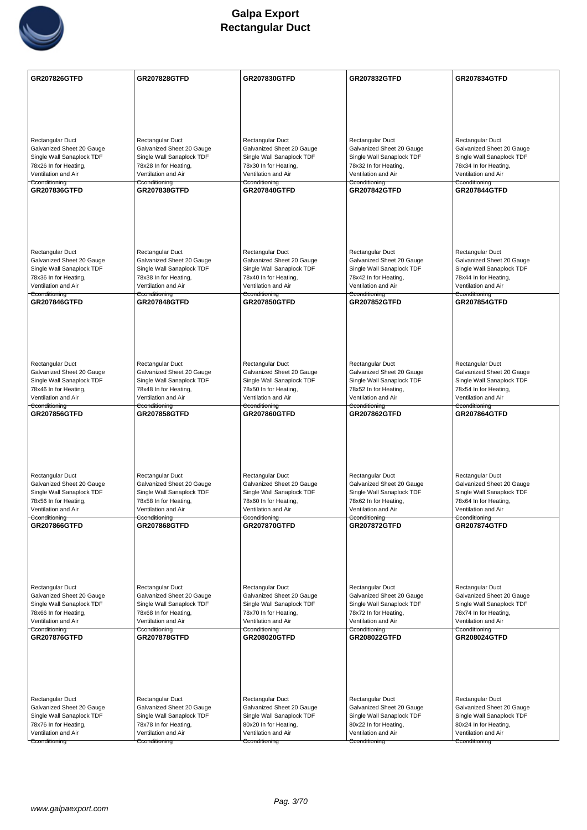

| <b>GR207826GTFD</b>                                  | <b>GR207828GTFD</b>                                | <b>GR207830GTFD</b>                                | <b>GR207832GTFD</b>                                | <b>GR207834GTFD</b>                                |
|------------------------------------------------------|----------------------------------------------------|----------------------------------------------------|----------------------------------------------------|----------------------------------------------------|
|                                                      |                                                    |                                                    |                                                    |                                                    |
|                                                      |                                                    |                                                    |                                                    |                                                    |
|                                                      |                                                    |                                                    |                                                    |                                                    |
| Rectangular Duct                                     | Rectangular Duct                                   | Rectangular Duct                                   | Rectangular Duct                                   | Rectangular Duct                                   |
| Galvanized Sheet 20 Gauge                            | Galvanized Sheet 20 Gauge                          | Galvanized Sheet 20 Gauge                          | Galvanized Sheet 20 Gauge                          | Galvanized Sheet 20 Gauge                          |
| Single Wall Sanaplock TDF                            | Single Wall Sanaplock TDF                          | Single Wall Sanaplock TDF                          | Single Wall Sanaplock TDF                          | Single Wall Sanaplock TDF                          |
| 78x26 In for Heating,<br>Ventilation and Air         | 78x28 In for Heating,<br>Ventilation and Air       | 78x30 In for Heating,<br>Ventilation and Air       | 78x32 In for Heating,<br>Ventilation and Air       | 78x34 In for Heating,<br>Ventilation and Air       |
| Cconditioning                                        | Cconditioning                                      | Cconditioning                                      | Cconditioning                                      | Cconditioning                                      |
| <b>GR207836GTFD</b>                                  | <b>GR207838GTFD</b>                                | <b>GR207840GTFD</b>                                | <b>GR207842GTFD</b>                                | <b>GR207844GTFD</b>                                |
|                                                      |                                                    |                                                    |                                                    |                                                    |
|                                                      |                                                    |                                                    |                                                    |                                                    |
|                                                      |                                                    |                                                    |                                                    |                                                    |
|                                                      |                                                    |                                                    |                                                    |                                                    |
| <b>Rectangular Duct</b>                              | Rectangular Duct                                   | Rectangular Duct                                   | Rectangular Duct                                   | Rectangular Duct                                   |
| Galvanized Sheet 20 Gauge                            | Galvanized Sheet 20 Gauge                          | Galvanized Sheet 20 Gauge                          | Galvanized Sheet 20 Gauge                          | Galvanized Sheet 20 Gauge                          |
| Single Wall Sanaplock TDF<br>78x36 In for Heating,   | Single Wall Sanaplock TDF<br>78x38 In for Heating, | Single Wall Sanaplock TDF<br>78x40 In for Heating, | Single Wall Sanaplock TDF<br>78x42 In for Heating, | Single Wall Sanaplock TDF<br>78x44 In for Heating, |
| Ventilation and Air                                  | Ventilation and Air                                | Ventilation and Air                                | Ventilation and Air                                | Ventilation and Air                                |
| Cconditioning                                        | Cconditioning                                      | Cconditioning<br><b>GR207850GTFD</b>               | Cconditioning                                      | Cconditioning                                      |
| <b>GR207846GTFD</b>                                  | <b>GR207848GTFD</b>                                |                                                    | <b>GR207852GTFD</b>                                | <b>GR207854GTFD</b>                                |
|                                                      |                                                    |                                                    |                                                    |                                                    |
|                                                      |                                                    |                                                    |                                                    |                                                    |
|                                                      |                                                    |                                                    |                                                    |                                                    |
|                                                      |                                                    |                                                    |                                                    |                                                    |
| Rectangular Duct<br>Galvanized Sheet 20 Gauge        | Rectangular Duct<br>Galvanized Sheet 20 Gauge      | Rectangular Duct<br>Galvanized Sheet 20 Gauge      | Rectangular Duct<br>Galvanized Sheet 20 Gauge      | Rectangular Duct<br>Galvanized Sheet 20 Gauge      |
| Single Wall Sanaplock TDF                            | Single Wall Sanaplock TDF                          | Single Wall Sanaplock TDF                          | Single Wall Sanaplock TDF                          | Single Wall Sanaplock TDF                          |
| 78x46 In for Heating,                                | 78x48 In for Heating,                              | 78x50 In for Heating,                              | 78x52 In for Heating,                              | 78x54 In for Heating,                              |
| Ventilation and Air<br>Cconditioning                 | Ventilation and Air                                | Ventilation and Air                                | Ventilation and Air                                | Ventilation and Air                                |
| <b>GR207856GTFD</b>                                  | Cconditioning<br><b>GR207858GTFD</b>               | Cconditioning<br><b>GR207860GTFD</b>               | Cconditioning<br><b>GR207862GTFD</b>               | Cconditioning<br><b>GR207864GTFD</b>               |
|                                                      |                                                    |                                                    |                                                    |                                                    |
|                                                      |                                                    |                                                    |                                                    |                                                    |
|                                                      |                                                    |                                                    |                                                    |                                                    |
|                                                      |                                                    |                                                    |                                                    |                                                    |
| Rectangular Duct                                     | Rectangular Duct                                   | Rectangular Duct                                   | Rectangular Duct                                   | Rectangular Duct                                   |
| Galvanized Sheet 20 Gauge                            | Galvanized Sheet 20 Gauge                          | Galvanized Sheet 20 Gauge                          |                                                    |                                                    |
|                                                      |                                                    |                                                    | Galvanized Sheet 20 Gauge                          | Galvanized Sheet 20 Gauge                          |
| Single Wall Sanaplock TDF                            | Single Wall Sanaplock TDF                          | Single Wall Sanaplock TDF                          | Single Wall Sanaplock TDF                          | Single Wall Sanaplock TDF                          |
| 78x56 In for Heating,<br>Ventilation and Air         | 78x58 In for Heating,<br>Ventilation and Air       | 78x60 In for Heating,<br>Ventilation and Air       | 78x62 In for Heating,<br>Ventilation and Air       | 78x64 In for Heating,<br>Ventilation and Air       |
| Cconditioning                                        | Cconditioning                                      | Cconditioning                                      | Cconditioning                                      | Cconditioning                                      |
| GR207866GTFD                                         | <b>GR207868GTFD</b>                                | <b>GR207870GTFD</b>                                | <b>GR207872GTFD</b>                                | <b>GR207874GTFD</b>                                |
|                                                      |                                                    |                                                    |                                                    |                                                    |
|                                                      |                                                    |                                                    |                                                    |                                                    |
|                                                      |                                                    |                                                    |                                                    |                                                    |
|                                                      |                                                    |                                                    |                                                    |                                                    |
| Rectangular Duct                                     | Rectangular Duct                                   | Rectangular Duct                                   | Rectangular Duct                                   | Rectangular Duct                                   |
| Galvanized Sheet 20 Gauge                            | Galvanized Sheet 20 Gauge                          | Galvanized Sheet 20 Gauge                          | Galvanized Sheet 20 Gauge                          | Galvanized Sheet 20 Gauge                          |
| Single Wall Sanaplock TDF<br>78x66 In for Heating,   | Single Wall Sanaplock TDF<br>78x68 In for Heating, | Single Wall Sanaplock TDF<br>78x70 In for Heating, | Single Wall Sanaplock TDF<br>78x72 In for Heating, | Single Wall Sanaplock TDF<br>78x74 In for Heating, |
| Ventilation and Air                                  | Ventilation and Air                                | Ventilation and Air                                | Ventilation and Air                                | Ventilation and Air                                |
| Cconditioning<br><b>GR207876GTFD</b>                 | Cconditioning<br><b>GR207878GTFD</b>               | Cconditioning<br><b>GR208020GTFD</b>               | Cconditioning<br><b>GR208022GTFD</b>               | Cconditioning<br><b>GR208024GTFD</b>               |
|                                                      |                                                    |                                                    |                                                    |                                                    |
|                                                      |                                                    |                                                    |                                                    |                                                    |
|                                                      |                                                    |                                                    |                                                    |                                                    |
|                                                      |                                                    |                                                    |                                                    |                                                    |
|                                                      |                                                    |                                                    |                                                    |                                                    |
| <b>Rectangular Duct</b><br>Galvanized Sheet 20 Gauge | Rectangular Duct<br>Galvanized Sheet 20 Gauge      | Rectangular Duct<br>Galvanized Sheet 20 Gauge      | Rectangular Duct<br>Galvanized Sheet 20 Gauge      | Rectangular Duct<br>Galvanized Sheet 20 Gauge      |
| Single Wall Sanaplock TDF                            | Single Wall Sanaplock TDF                          | Single Wall Sanaplock TDF                          | Single Wall Sanaplock TDF                          | Single Wall Sanaplock TDF                          |
| 78x76 In for Heating,                                | 78x78 In for Heating,                              | 80x20 In for Heating,                              | 80x22 In for Heating,                              | 80x24 In for Heating,                              |
| Ventilation and Air<br>Cconditioning                 | Ventilation and Air<br>Cconditioning               | Ventilation and Air<br>Cconditioning               | Ventilation and Air<br>Cconditioning               | Ventilation and Air<br>Cconditioning               |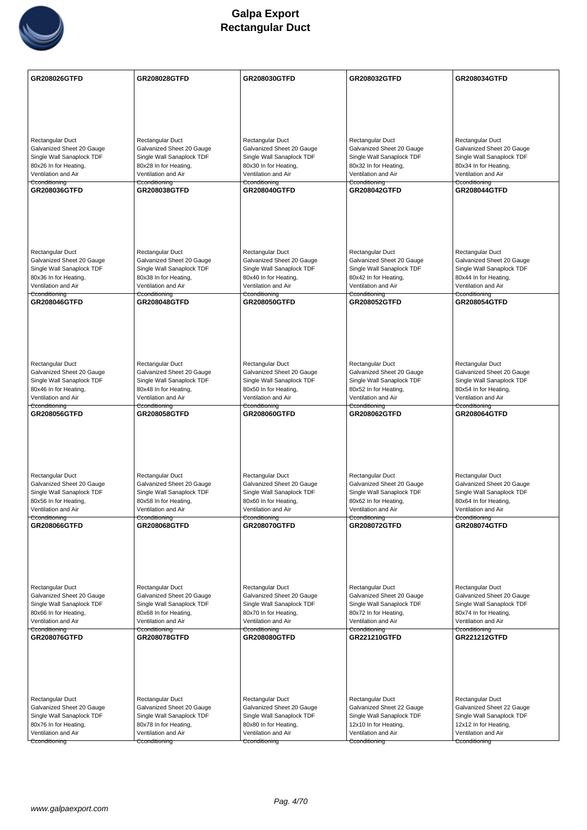

| Rectangular Duct<br>Rectangular Duct<br>Rectangular Duct<br>Rectangular Duct<br>Rectangular Duct<br>Galvanized Sheet 20 Gauge<br>Galvanized Sheet 20 Gauge<br>Galvanized Sheet 20 Gauge<br>Galvanized Sheet 20 Gauge<br>Galvanized Sheet 20 Gauge<br>Single Wall Sanaplock TDF<br>Single Wall Sanaplock TDF<br>Single Wall Sanaplock TDF<br>Single Wall Sanaplock TDF<br>Single Wall Sanaplock TDF<br>80x26 In for Heating,<br>80x28 In for Heating,<br>80x30 In for Heating,<br>80x32 In for Heating,<br>80x34 In for Heating,<br>Ventilation and Air<br>Ventilation and Air<br>Ventilation and Air<br>Ventilation and Air<br>Ventilation and Air<br>Cconditioning<br>Cconditioning<br>Cconditioning<br>Cconditioning<br>Cconditioning<br>GR208036GTFD<br><b>GR208044GTFD</b><br><b>GR208038GTFD</b><br><b>GR208040GTFD</b><br><b>GR208042GTFD</b><br>Rectangular Duct<br>Rectangular Duct<br>Rectangular Duct<br>Rectangular Duct<br>Rectangular Duct<br>Galvanized Sheet 20 Gauge<br>Galvanized Sheet 20 Gauge<br>Galvanized Sheet 20 Gauge<br>Galvanized Sheet 20 Gauge<br>Galvanized Sheet 20 Gauge<br>Single Wall Sanaplock TDF<br>Single Wall Sanaplock TDF<br>Single Wall Sanaplock TDF<br>Single Wall Sanaplock TDF<br>Single Wall Sanaplock TDF<br>80x36 In for Heating,<br>80x38 In for Heating,<br>80x40 In for Heating,<br>80x42 In for Heating,<br>80x44 In for Heating,<br>Ventilation and Air<br>Ventilation and Air<br>Ventilation and Air<br>Ventilation and Air<br>Ventilation and Air<br>Cconditioning<br>Cconditioning<br>Cconditioning<br>Cconditioning<br>Cconditioning<br><b>GR208046GTFD</b><br><b>GR208048GTFD</b><br>GR208050GTFD<br>GR208052GTFD<br><b>GR208054GTFD</b><br>Rectangular Duct<br>Rectangular Duct<br>Rectangular Duct<br>Rectangular Duct<br>Rectangular Duct<br>Galvanized Sheet 20 Gauge<br>Galvanized Sheet 20 Gauge<br>Galvanized Sheet 20 Gauge<br>Galvanized Sheet 20 Gauge<br>Galvanized Sheet 20 Gauge<br>Single Wall Sanaplock TDF<br>Single Wall Sanaplock TDF<br>Single Wall Sanaplock TDF<br>Single Wall Sanaplock TDF<br>Single Wall Sanaplock TDF<br>80x46 In for Heating,<br>80x48 In for Heating,<br>80x50 In for Heating,<br>80x52 In for Heating,<br>80x54 In for Heating,<br>Ventilation and Air<br>Ventilation and Air<br>Ventilation and Air<br>Ventilation and Air<br>Ventilation and Air<br>Cconditioning<br>Cconditioning<br>Cconditioning<br>Cconditioning<br>Cconditioning<br>GR208056GTFD<br><b>GR208058GTFD</b><br>GR208060GTFD<br>GR208062GTFD<br>GR208064GTFD<br>Rectangular Duct<br>Rectangular Duct<br>Rectangular Duct<br>Rectangular Duct<br>Rectangular Duct<br>Galvanized Sheet 20 Gauge<br>Galvanized Sheet 20 Gauge<br>Galvanized Sheet 20 Gauge<br>Galvanized Sheet 20 Gauge<br>Galvanized Sheet 20 Gauge<br>Single Wall Sanaplock TDF<br>Single Wall Sanaplock TDF<br>Single Wall Sanaplock TDF<br>Single Wall Sanaplock TDF<br>Single Wall Sanaplock TDF<br>80x56 In for Heating,<br>80x58 In for Heating,<br>80x60 In for Heating,<br>80x62 In for Heating,<br>80x64 In for Heating,<br>Ventilation and Air<br>Ventilation and Air<br>Ventilation and Air<br>Ventilation and Air<br>Ventilation and Air<br>Cconditioning<br>Cconditioning<br>Cconditioning<br>Cconditioning<br>Cconditioning<br><b>GR208066GTFD</b><br><b>GR208068GTFD</b><br><b>GR208070GTFD</b><br><b>GR208072GTFD</b><br><b>GR208074GTFD</b><br>Rectangular Duct<br>Rectangular Duct<br>Rectangular Duct<br>Rectangular Duct<br>Rectangular Duct<br>Galvanized Sheet 20 Gauge<br>Galvanized Sheet 20 Gauge<br>Galvanized Sheet 20 Gauge<br>Galvanized Sheet 20 Gauge<br>Galvanized Sheet 20 Gauge<br>Single Wall Sanaplock TDF<br>Single Wall Sanaplock TDF<br>Single Wall Sanaplock TDF<br>Single Wall Sanaplock TDF<br>Single Wall Sanaplock TDF<br>80x66 In for Heating,<br>80x68 In for Heating,<br>80x70 In for Heating,<br>80x72 In for Heating,<br>80x74 In for Heating,<br>Ventilation and Air<br>Ventilation and Air<br>Ventilation and Air<br>Ventilation and Air<br>Ventilation and Air<br>Cconditioning<br>Cconditioning<br>Cconditioning<br>Cconditioning<br>Cconditioning<br>GR208076GTFD<br><b>GR208078GTFD</b><br><b>GR208080GTFD</b><br>GR221210GTFD<br><b>GR221212GTFD</b><br>Rectangular Duct<br>Rectangular Duct<br>Rectangular Duct<br>Rectangular Duct<br>Rectangular Duct<br>Galvanized Sheet 20 Gauge<br>Galvanized Sheet 22 Gauge<br>Galvanized Sheet 22 Gauge<br>Galvanized Sheet 20 Gauge<br>Galvanized Sheet 20 Gauge<br>Single Wall Sanaplock TDF<br>Single Wall Sanaplock TDF<br>Single Wall Sanaplock TDF<br>Single Wall Sanaplock TDF<br>Single Wall Sanaplock TDF<br>80x76 In for Heating,<br>80x78 In for Heating,<br>80x80 In for Heating,<br>12x10 In for Heating,<br>12x12 In for Heating,<br>Ventilation and Air<br>Ventilation and Air<br>Ventilation and Air<br>Ventilation and Air<br>Ventilation and Air<br>Cconditioning<br>Cconditioning<br>Cconditioning<br>Cconditioning<br>Cconditioning | <b>GR208026GTFD</b> | GR208028GTFD | GR208030GTFD | GR208032GTFD | GR208034GTFD |
|------------------------------------------------------------------------------------------------------------------------------------------------------------------------------------------------------------------------------------------------------------------------------------------------------------------------------------------------------------------------------------------------------------------------------------------------------------------------------------------------------------------------------------------------------------------------------------------------------------------------------------------------------------------------------------------------------------------------------------------------------------------------------------------------------------------------------------------------------------------------------------------------------------------------------------------------------------------------------------------------------------------------------------------------------------------------------------------------------------------------------------------------------------------------------------------------------------------------------------------------------------------------------------------------------------------------------------------------------------------------------------------------------------------------------------------------------------------------------------------------------------------------------------------------------------------------------------------------------------------------------------------------------------------------------------------------------------------------------------------------------------------------------------------------------------------------------------------------------------------------------------------------------------------------------------------------------------------------------------------------------------------------------------------------------------------------------------------------------------------------------------------------------------------------------------------------------------------------------------------------------------------------------------------------------------------------------------------------------------------------------------------------------------------------------------------------------------------------------------------------------------------------------------------------------------------------------------------------------------------------------------------------------------------------------------------------------------------------------------------------------------------------------------------------------------------------------------------------------------------------------------------------------------------------------------------------------------------------------------------------------------------------------------------------------------------------------------------------------------------------------------------------------------------------------------------------------------------------------------------------------------------------------------------------------------------------------------------------------------------------------------------------------------------------------------------------------------------------------------------------------------------------------------------------------------------------------------------------------------------------------------------------------------------------------------------------------------------------------------------------------------------------------------------------------------------------------------------------------------------------------------------------------------------------------------------------------------------------------------------------------------------------------------------------------------------------------------------------------------------------------------------------------------------------------------------------------------------------------------------------------------------------------------------------------------------------------------------------------------------------------------------------------------------------------------------------------------------------------------------------------------------------------------------------------------------------------------------------------------------------------------------------------------------------------------------------------------------------------------------------------------------------------------------------------------------------------------------------------------------------------------------------------------------------------------------------------------------------------------------------|---------------------|--------------|--------------|--------------|--------------|
|                                                                                                                                                                                                                                                                                                                                                                                                                                                                                                                                                                                                                                                                                                                                                                                                                                                                                                                                                                                                                                                                                                                                                                                                                                                                                                                                                                                                                                                                                                                                                                                                                                                                                                                                                                                                                                                                                                                                                                                                                                                                                                                                                                                                                                                                                                                                                                                                                                                                                                                                                                                                                                                                                                                                                                                                                                                                                                                                                                                                                                                                                                                                                                                                                                                                                                                                                                                                                                                                                                                                                                                                                                                                                                                                                                                                                                                                                                                                                                                                                                                                                                                                                                                                                                                                                                                                                                                                                                                                                                                                                                                                                                                                                                                                                                                                                                                                                                                                                                                                |                     |              |              |              |              |
|                                                                                                                                                                                                                                                                                                                                                                                                                                                                                                                                                                                                                                                                                                                                                                                                                                                                                                                                                                                                                                                                                                                                                                                                                                                                                                                                                                                                                                                                                                                                                                                                                                                                                                                                                                                                                                                                                                                                                                                                                                                                                                                                                                                                                                                                                                                                                                                                                                                                                                                                                                                                                                                                                                                                                                                                                                                                                                                                                                                                                                                                                                                                                                                                                                                                                                                                                                                                                                                                                                                                                                                                                                                                                                                                                                                                                                                                                                                                                                                                                                                                                                                                                                                                                                                                                                                                                                                                                                                                                                                                                                                                                                                                                                                                                                                                                                                                                                                                                                                                |                     |              |              |              |              |
|                                                                                                                                                                                                                                                                                                                                                                                                                                                                                                                                                                                                                                                                                                                                                                                                                                                                                                                                                                                                                                                                                                                                                                                                                                                                                                                                                                                                                                                                                                                                                                                                                                                                                                                                                                                                                                                                                                                                                                                                                                                                                                                                                                                                                                                                                                                                                                                                                                                                                                                                                                                                                                                                                                                                                                                                                                                                                                                                                                                                                                                                                                                                                                                                                                                                                                                                                                                                                                                                                                                                                                                                                                                                                                                                                                                                                                                                                                                                                                                                                                                                                                                                                                                                                                                                                                                                                                                                                                                                                                                                                                                                                                                                                                                                                                                                                                                                                                                                                                                                |                     |              |              |              |              |
|                                                                                                                                                                                                                                                                                                                                                                                                                                                                                                                                                                                                                                                                                                                                                                                                                                                                                                                                                                                                                                                                                                                                                                                                                                                                                                                                                                                                                                                                                                                                                                                                                                                                                                                                                                                                                                                                                                                                                                                                                                                                                                                                                                                                                                                                                                                                                                                                                                                                                                                                                                                                                                                                                                                                                                                                                                                                                                                                                                                                                                                                                                                                                                                                                                                                                                                                                                                                                                                                                                                                                                                                                                                                                                                                                                                                                                                                                                                                                                                                                                                                                                                                                                                                                                                                                                                                                                                                                                                                                                                                                                                                                                                                                                                                                                                                                                                                                                                                                                                                |                     |              |              |              |              |
|                                                                                                                                                                                                                                                                                                                                                                                                                                                                                                                                                                                                                                                                                                                                                                                                                                                                                                                                                                                                                                                                                                                                                                                                                                                                                                                                                                                                                                                                                                                                                                                                                                                                                                                                                                                                                                                                                                                                                                                                                                                                                                                                                                                                                                                                                                                                                                                                                                                                                                                                                                                                                                                                                                                                                                                                                                                                                                                                                                                                                                                                                                                                                                                                                                                                                                                                                                                                                                                                                                                                                                                                                                                                                                                                                                                                                                                                                                                                                                                                                                                                                                                                                                                                                                                                                                                                                                                                                                                                                                                                                                                                                                                                                                                                                                                                                                                                                                                                                                                                |                     |              |              |              |              |
|                                                                                                                                                                                                                                                                                                                                                                                                                                                                                                                                                                                                                                                                                                                                                                                                                                                                                                                                                                                                                                                                                                                                                                                                                                                                                                                                                                                                                                                                                                                                                                                                                                                                                                                                                                                                                                                                                                                                                                                                                                                                                                                                                                                                                                                                                                                                                                                                                                                                                                                                                                                                                                                                                                                                                                                                                                                                                                                                                                                                                                                                                                                                                                                                                                                                                                                                                                                                                                                                                                                                                                                                                                                                                                                                                                                                                                                                                                                                                                                                                                                                                                                                                                                                                                                                                                                                                                                                                                                                                                                                                                                                                                                                                                                                                                                                                                                                                                                                                                                                |                     |              |              |              |              |
|                                                                                                                                                                                                                                                                                                                                                                                                                                                                                                                                                                                                                                                                                                                                                                                                                                                                                                                                                                                                                                                                                                                                                                                                                                                                                                                                                                                                                                                                                                                                                                                                                                                                                                                                                                                                                                                                                                                                                                                                                                                                                                                                                                                                                                                                                                                                                                                                                                                                                                                                                                                                                                                                                                                                                                                                                                                                                                                                                                                                                                                                                                                                                                                                                                                                                                                                                                                                                                                                                                                                                                                                                                                                                                                                                                                                                                                                                                                                                                                                                                                                                                                                                                                                                                                                                                                                                                                                                                                                                                                                                                                                                                                                                                                                                                                                                                                                                                                                                                                                |                     |              |              |              |              |
|                                                                                                                                                                                                                                                                                                                                                                                                                                                                                                                                                                                                                                                                                                                                                                                                                                                                                                                                                                                                                                                                                                                                                                                                                                                                                                                                                                                                                                                                                                                                                                                                                                                                                                                                                                                                                                                                                                                                                                                                                                                                                                                                                                                                                                                                                                                                                                                                                                                                                                                                                                                                                                                                                                                                                                                                                                                                                                                                                                                                                                                                                                                                                                                                                                                                                                                                                                                                                                                                                                                                                                                                                                                                                                                                                                                                                                                                                                                                                                                                                                                                                                                                                                                                                                                                                                                                                                                                                                                                                                                                                                                                                                                                                                                                                                                                                                                                                                                                                                                                |                     |              |              |              |              |
|                                                                                                                                                                                                                                                                                                                                                                                                                                                                                                                                                                                                                                                                                                                                                                                                                                                                                                                                                                                                                                                                                                                                                                                                                                                                                                                                                                                                                                                                                                                                                                                                                                                                                                                                                                                                                                                                                                                                                                                                                                                                                                                                                                                                                                                                                                                                                                                                                                                                                                                                                                                                                                                                                                                                                                                                                                                                                                                                                                                                                                                                                                                                                                                                                                                                                                                                                                                                                                                                                                                                                                                                                                                                                                                                                                                                                                                                                                                                                                                                                                                                                                                                                                                                                                                                                                                                                                                                                                                                                                                                                                                                                                                                                                                                                                                                                                                                                                                                                                                                |                     |              |              |              |              |
|                                                                                                                                                                                                                                                                                                                                                                                                                                                                                                                                                                                                                                                                                                                                                                                                                                                                                                                                                                                                                                                                                                                                                                                                                                                                                                                                                                                                                                                                                                                                                                                                                                                                                                                                                                                                                                                                                                                                                                                                                                                                                                                                                                                                                                                                                                                                                                                                                                                                                                                                                                                                                                                                                                                                                                                                                                                                                                                                                                                                                                                                                                                                                                                                                                                                                                                                                                                                                                                                                                                                                                                                                                                                                                                                                                                                                                                                                                                                                                                                                                                                                                                                                                                                                                                                                                                                                                                                                                                                                                                                                                                                                                                                                                                                                                                                                                                                                                                                                                                                |                     |              |              |              |              |
|                                                                                                                                                                                                                                                                                                                                                                                                                                                                                                                                                                                                                                                                                                                                                                                                                                                                                                                                                                                                                                                                                                                                                                                                                                                                                                                                                                                                                                                                                                                                                                                                                                                                                                                                                                                                                                                                                                                                                                                                                                                                                                                                                                                                                                                                                                                                                                                                                                                                                                                                                                                                                                                                                                                                                                                                                                                                                                                                                                                                                                                                                                                                                                                                                                                                                                                                                                                                                                                                                                                                                                                                                                                                                                                                                                                                                                                                                                                                                                                                                                                                                                                                                                                                                                                                                                                                                                                                                                                                                                                                                                                                                                                                                                                                                                                                                                                                                                                                                                                                |                     |              |              |              |              |
|                                                                                                                                                                                                                                                                                                                                                                                                                                                                                                                                                                                                                                                                                                                                                                                                                                                                                                                                                                                                                                                                                                                                                                                                                                                                                                                                                                                                                                                                                                                                                                                                                                                                                                                                                                                                                                                                                                                                                                                                                                                                                                                                                                                                                                                                                                                                                                                                                                                                                                                                                                                                                                                                                                                                                                                                                                                                                                                                                                                                                                                                                                                                                                                                                                                                                                                                                                                                                                                                                                                                                                                                                                                                                                                                                                                                                                                                                                                                                                                                                                                                                                                                                                                                                                                                                                                                                                                                                                                                                                                                                                                                                                                                                                                                                                                                                                                                                                                                                                                                |                     |              |              |              |              |
|                                                                                                                                                                                                                                                                                                                                                                                                                                                                                                                                                                                                                                                                                                                                                                                                                                                                                                                                                                                                                                                                                                                                                                                                                                                                                                                                                                                                                                                                                                                                                                                                                                                                                                                                                                                                                                                                                                                                                                                                                                                                                                                                                                                                                                                                                                                                                                                                                                                                                                                                                                                                                                                                                                                                                                                                                                                                                                                                                                                                                                                                                                                                                                                                                                                                                                                                                                                                                                                                                                                                                                                                                                                                                                                                                                                                                                                                                                                                                                                                                                                                                                                                                                                                                                                                                                                                                                                                                                                                                                                                                                                                                                                                                                                                                                                                                                                                                                                                                                                                |                     |              |              |              |              |
|                                                                                                                                                                                                                                                                                                                                                                                                                                                                                                                                                                                                                                                                                                                                                                                                                                                                                                                                                                                                                                                                                                                                                                                                                                                                                                                                                                                                                                                                                                                                                                                                                                                                                                                                                                                                                                                                                                                                                                                                                                                                                                                                                                                                                                                                                                                                                                                                                                                                                                                                                                                                                                                                                                                                                                                                                                                                                                                                                                                                                                                                                                                                                                                                                                                                                                                                                                                                                                                                                                                                                                                                                                                                                                                                                                                                                                                                                                                                                                                                                                                                                                                                                                                                                                                                                                                                                                                                                                                                                                                                                                                                                                                                                                                                                                                                                                                                                                                                                                                                |                     |              |              |              |              |
|                                                                                                                                                                                                                                                                                                                                                                                                                                                                                                                                                                                                                                                                                                                                                                                                                                                                                                                                                                                                                                                                                                                                                                                                                                                                                                                                                                                                                                                                                                                                                                                                                                                                                                                                                                                                                                                                                                                                                                                                                                                                                                                                                                                                                                                                                                                                                                                                                                                                                                                                                                                                                                                                                                                                                                                                                                                                                                                                                                                                                                                                                                                                                                                                                                                                                                                                                                                                                                                                                                                                                                                                                                                                                                                                                                                                                                                                                                                                                                                                                                                                                                                                                                                                                                                                                                                                                                                                                                                                                                                                                                                                                                                                                                                                                                                                                                                                                                                                                                                                |                     |              |              |              |              |
|                                                                                                                                                                                                                                                                                                                                                                                                                                                                                                                                                                                                                                                                                                                                                                                                                                                                                                                                                                                                                                                                                                                                                                                                                                                                                                                                                                                                                                                                                                                                                                                                                                                                                                                                                                                                                                                                                                                                                                                                                                                                                                                                                                                                                                                                                                                                                                                                                                                                                                                                                                                                                                                                                                                                                                                                                                                                                                                                                                                                                                                                                                                                                                                                                                                                                                                                                                                                                                                                                                                                                                                                                                                                                                                                                                                                                                                                                                                                                                                                                                                                                                                                                                                                                                                                                                                                                                                                                                                                                                                                                                                                                                                                                                                                                                                                                                                                                                                                                                                                |                     |              |              |              |              |
|                                                                                                                                                                                                                                                                                                                                                                                                                                                                                                                                                                                                                                                                                                                                                                                                                                                                                                                                                                                                                                                                                                                                                                                                                                                                                                                                                                                                                                                                                                                                                                                                                                                                                                                                                                                                                                                                                                                                                                                                                                                                                                                                                                                                                                                                                                                                                                                                                                                                                                                                                                                                                                                                                                                                                                                                                                                                                                                                                                                                                                                                                                                                                                                                                                                                                                                                                                                                                                                                                                                                                                                                                                                                                                                                                                                                                                                                                                                                                                                                                                                                                                                                                                                                                                                                                                                                                                                                                                                                                                                                                                                                                                                                                                                                                                                                                                                                                                                                                                                                |                     |              |              |              |              |
|                                                                                                                                                                                                                                                                                                                                                                                                                                                                                                                                                                                                                                                                                                                                                                                                                                                                                                                                                                                                                                                                                                                                                                                                                                                                                                                                                                                                                                                                                                                                                                                                                                                                                                                                                                                                                                                                                                                                                                                                                                                                                                                                                                                                                                                                                                                                                                                                                                                                                                                                                                                                                                                                                                                                                                                                                                                                                                                                                                                                                                                                                                                                                                                                                                                                                                                                                                                                                                                                                                                                                                                                                                                                                                                                                                                                                                                                                                                                                                                                                                                                                                                                                                                                                                                                                                                                                                                                                                                                                                                                                                                                                                                                                                                                                                                                                                                                                                                                                                                                |                     |              |              |              |              |
|                                                                                                                                                                                                                                                                                                                                                                                                                                                                                                                                                                                                                                                                                                                                                                                                                                                                                                                                                                                                                                                                                                                                                                                                                                                                                                                                                                                                                                                                                                                                                                                                                                                                                                                                                                                                                                                                                                                                                                                                                                                                                                                                                                                                                                                                                                                                                                                                                                                                                                                                                                                                                                                                                                                                                                                                                                                                                                                                                                                                                                                                                                                                                                                                                                                                                                                                                                                                                                                                                                                                                                                                                                                                                                                                                                                                                                                                                                                                                                                                                                                                                                                                                                                                                                                                                                                                                                                                                                                                                                                                                                                                                                                                                                                                                                                                                                                                                                                                                                                                |                     |              |              |              |              |
|                                                                                                                                                                                                                                                                                                                                                                                                                                                                                                                                                                                                                                                                                                                                                                                                                                                                                                                                                                                                                                                                                                                                                                                                                                                                                                                                                                                                                                                                                                                                                                                                                                                                                                                                                                                                                                                                                                                                                                                                                                                                                                                                                                                                                                                                                                                                                                                                                                                                                                                                                                                                                                                                                                                                                                                                                                                                                                                                                                                                                                                                                                                                                                                                                                                                                                                                                                                                                                                                                                                                                                                                                                                                                                                                                                                                                                                                                                                                                                                                                                                                                                                                                                                                                                                                                                                                                                                                                                                                                                                                                                                                                                                                                                                                                                                                                                                                                                                                                                                                |                     |              |              |              |              |
|                                                                                                                                                                                                                                                                                                                                                                                                                                                                                                                                                                                                                                                                                                                                                                                                                                                                                                                                                                                                                                                                                                                                                                                                                                                                                                                                                                                                                                                                                                                                                                                                                                                                                                                                                                                                                                                                                                                                                                                                                                                                                                                                                                                                                                                                                                                                                                                                                                                                                                                                                                                                                                                                                                                                                                                                                                                                                                                                                                                                                                                                                                                                                                                                                                                                                                                                                                                                                                                                                                                                                                                                                                                                                                                                                                                                                                                                                                                                                                                                                                                                                                                                                                                                                                                                                                                                                                                                                                                                                                                                                                                                                                                                                                                                                                                                                                                                                                                                                                                                |                     |              |              |              |              |
|                                                                                                                                                                                                                                                                                                                                                                                                                                                                                                                                                                                                                                                                                                                                                                                                                                                                                                                                                                                                                                                                                                                                                                                                                                                                                                                                                                                                                                                                                                                                                                                                                                                                                                                                                                                                                                                                                                                                                                                                                                                                                                                                                                                                                                                                                                                                                                                                                                                                                                                                                                                                                                                                                                                                                                                                                                                                                                                                                                                                                                                                                                                                                                                                                                                                                                                                                                                                                                                                                                                                                                                                                                                                                                                                                                                                                                                                                                                                                                                                                                                                                                                                                                                                                                                                                                                                                                                                                                                                                                                                                                                                                                                                                                                                                                                                                                                                                                                                                                                                |                     |              |              |              |              |
|                                                                                                                                                                                                                                                                                                                                                                                                                                                                                                                                                                                                                                                                                                                                                                                                                                                                                                                                                                                                                                                                                                                                                                                                                                                                                                                                                                                                                                                                                                                                                                                                                                                                                                                                                                                                                                                                                                                                                                                                                                                                                                                                                                                                                                                                                                                                                                                                                                                                                                                                                                                                                                                                                                                                                                                                                                                                                                                                                                                                                                                                                                                                                                                                                                                                                                                                                                                                                                                                                                                                                                                                                                                                                                                                                                                                                                                                                                                                                                                                                                                                                                                                                                                                                                                                                                                                                                                                                                                                                                                                                                                                                                                                                                                                                                                                                                                                                                                                                                                                |                     |              |              |              |              |
|                                                                                                                                                                                                                                                                                                                                                                                                                                                                                                                                                                                                                                                                                                                                                                                                                                                                                                                                                                                                                                                                                                                                                                                                                                                                                                                                                                                                                                                                                                                                                                                                                                                                                                                                                                                                                                                                                                                                                                                                                                                                                                                                                                                                                                                                                                                                                                                                                                                                                                                                                                                                                                                                                                                                                                                                                                                                                                                                                                                                                                                                                                                                                                                                                                                                                                                                                                                                                                                                                                                                                                                                                                                                                                                                                                                                                                                                                                                                                                                                                                                                                                                                                                                                                                                                                                                                                                                                                                                                                                                                                                                                                                                                                                                                                                                                                                                                                                                                                                                                |                     |              |              |              |              |
|                                                                                                                                                                                                                                                                                                                                                                                                                                                                                                                                                                                                                                                                                                                                                                                                                                                                                                                                                                                                                                                                                                                                                                                                                                                                                                                                                                                                                                                                                                                                                                                                                                                                                                                                                                                                                                                                                                                                                                                                                                                                                                                                                                                                                                                                                                                                                                                                                                                                                                                                                                                                                                                                                                                                                                                                                                                                                                                                                                                                                                                                                                                                                                                                                                                                                                                                                                                                                                                                                                                                                                                                                                                                                                                                                                                                                                                                                                                                                                                                                                                                                                                                                                                                                                                                                                                                                                                                                                                                                                                                                                                                                                                                                                                                                                                                                                                                                                                                                                                                |                     |              |              |              |              |
|                                                                                                                                                                                                                                                                                                                                                                                                                                                                                                                                                                                                                                                                                                                                                                                                                                                                                                                                                                                                                                                                                                                                                                                                                                                                                                                                                                                                                                                                                                                                                                                                                                                                                                                                                                                                                                                                                                                                                                                                                                                                                                                                                                                                                                                                                                                                                                                                                                                                                                                                                                                                                                                                                                                                                                                                                                                                                                                                                                                                                                                                                                                                                                                                                                                                                                                                                                                                                                                                                                                                                                                                                                                                                                                                                                                                                                                                                                                                                                                                                                                                                                                                                                                                                                                                                                                                                                                                                                                                                                                                                                                                                                                                                                                                                                                                                                                                                                                                                                                                |                     |              |              |              |              |
|                                                                                                                                                                                                                                                                                                                                                                                                                                                                                                                                                                                                                                                                                                                                                                                                                                                                                                                                                                                                                                                                                                                                                                                                                                                                                                                                                                                                                                                                                                                                                                                                                                                                                                                                                                                                                                                                                                                                                                                                                                                                                                                                                                                                                                                                                                                                                                                                                                                                                                                                                                                                                                                                                                                                                                                                                                                                                                                                                                                                                                                                                                                                                                                                                                                                                                                                                                                                                                                                                                                                                                                                                                                                                                                                                                                                                                                                                                                                                                                                                                                                                                                                                                                                                                                                                                                                                                                                                                                                                                                                                                                                                                                                                                                                                                                                                                                                                                                                                                                                |                     |              |              |              |              |
|                                                                                                                                                                                                                                                                                                                                                                                                                                                                                                                                                                                                                                                                                                                                                                                                                                                                                                                                                                                                                                                                                                                                                                                                                                                                                                                                                                                                                                                                                                                                                                                                                                                                                                                                                                                                                                                                                                                                                                                                                                                                                                                                                                                                                                                                                                                                                                                                                                                                                                                                                                                                                                                                                                                                                                                                                                                                                                                                                                                                                                                                                                                                                                                                                                                                                                                                                                                                                                                                                                                                                                                                                                                                                                                                                                                                                                                                                                                                                                                                                                                                                                                                                                                                                                                                                                                                                                                                                                                                                                                                                                                                                                                                                                                                                                                                                                                                                                                                                                                                |                     |              |              |              |              |
|                                                                                                                                                                                                                                                                                                                                                                                                                                                                                                                                                                                                                                                                                                                                                                                                                                                                                                                                                                                                                                                                                                                                                                                                                                                                                                                                                                                                                                                                                                                                                                                                                                                                                                                                                                                                                                                                                                                                                                                                                                                                                                                                                                                                                                                                                                                                                                                                                                                                                                                                                                                                                                                                                                                                                                                                                                                                                                                                                                                                                                                                                                                                                                                                                                                                                                                                                                                                                                                                                                                                                                                                                                                                                                                                                                                                                                                                                                                                                                                                                                                                                                                                                                                                                                                                                                                                                                                                                                                                                                                                                                                                                                                                                                                                                                                                                                                                                                                                                                                                |                     |              |              |              |              |
|                                                                                                                                                                                                                                                                                                                                                                                                                                                                                                                                                                                                                                                                                                                                                                                                                                                                                                                                                                                                                                                                                                                                                                                                                                                                                                                                                                                                                                                                                                                                                                                                                                                                                                                                                                                                                                                                                                                                                                                                                                                                                                                                                                                                                                                                                                                                                                                                                                                                                                                                                                                                                                                                                                                                                                                                                                                                                                                                                                                                                                                                                                                                                                                                                                                                                                                                                                                                                                                                                                                                                                                                                                                                                                                                                                                                                                                                                                                                                                                                                                                                                                                                                                                                                                                                                                                                                                                                                                                                                                                                                                                                                                                                                                                                                                                                                                                                                                                                                                                                |                     |              |              |              |              |
|                                                                                                                                                                                                                                                                                                                                                                                                                                                                                                                                                                                                                                                                                                                                                                                                                                                                                                                                                                                                                                                                                                                                                                                                                                                                                                                                                                                                                                                                                                                                                                                                                                                                                                                                                                                                                                                                                                                                                                                                                                                                                                                                                                                                                                                                                                                                                                                                                                                                                                                                                                                                                                                                                                                                                                                                                                                                                                                                                                                                                                                                                                                                                                                                                                                                                                                                                                                                                                                                                                                                                                                                                                                                                                                                                                                                                                                                                                                                                                                                                                                                                                                                                                                                                                                                                                                                                                                                                                                                                                                                                                                                                                                                                                                                                                                                                                                                                                                                                                                                |                     |              |              |              |              |
|                                                                                                                                                                                                                                                                                                                                                                                                                                                                                                                                                                                                                                                                                                                                                                                                                                                                                                                                                                                                                                                                                                                                                                                                                                                                                                                                                                                                                                                                                                                                                                                                                                                                                                                                                                                                                                                                                                                                                                                                                                                                                                                                                                                                                                                                                                                                                                                                                                                                                                                                                                                                                                                                                                                                                                                                                                                                                                                                                                                                                                                                                                                                                                                                                                                                                                                                                                                                                                                                                                                                                                                                                                                                                                                                                                                                                                                                                                                                                                                                                                                                                                                                                                                                                                                                                                                                                                                                                                                                                                                                                                                                                                                                                                                                                                                                                                                                                                                                                                                                |                     |              |              |              |              |
|                                                                                                                                                                                                                                                                                                                                                                                                                                                                                                                                                                                                                                                                                                                                                                                                                                                                                                                                                                                                                                                                                                                                                                                                                                                                                                                                                                                                                                                                                                                                                                                                                                                                                                                                                                                                                                                                                                                                                                                                                                                                                                                                                                                                                                                                                                                                                                                                                                                                                                                                                                                                                                                                                                                                                                                                                                                                                                                                                                                                                                                                                                                                                                                                                                                                                                                                                                                                                                                                                                                                                                                                                                                                                                                                                                                                                                                                                                                                                                                                                                                                                                                                                                                                                                                                                                                                                                                                                                                                                                                                                                                                                                                                                                                                                                                                                                                                                                                                                                                                |                     |              |              |              |              |
|                                                                                                                                                                                                                                                                                                                                                                                                                                                                                                                                                                                                                                                                                                                                                                                                                                                                                                                                                                                                                                                                                                                                                                                                                                                                                                                                                                                                                                                                                                                                                                                                                                                                                                                                                                                                                                                                                                                                                                                                                                                                                                                                                                                                                                                                                                                                                                                                                                                                                                                                                                                                                                                                                                                                                                                                                                                                                                                                                                                                                                                                                                                                                                                                                                                                                                                                                                                                                                                                                                                                                                                                                                                                                                                                                                                                                                                                                                                                                                                                                                                                                                                                                                                                                                                                                                                                                                                                                                                                                                                                                                                                                                                                                                                                                                                                                                                                                                                                                                                                |                     |              |              |              |              |
|                                                                                                                                                                                                                                                                                                                                                                                                                                                                                                                                                                                                                                                                                                                                                                                                                                                                                                                                                                                                                                                                                                                                                                                                                                                                                                                                                                                                                                                                                                                                                                                                                                                                                                                                                                                                                                                                                                                                                                                                                                                                                                                                                                                                                                                                                                                                                                                                                                                                                                                                                                                                                                                                                                                                                                                                                                                                                                                                                                                                                                                                                                                                                                                                                                                                                                                                                                                                                                                                                                                                                                                                                                                                                                                                                                                                                                                                                                                                                                                                                                                                                                                                                                                                                                                                                                                                                                                                                                                                                                                                                                                                                                                                                                                                                                                                                                                                                                                                                                                                |                     |              |              |              |              |
|                                                                                                                                                                                                                                                                                                                                                                                                                                                                                                                                                                                                                                                                                                                                                                                                                                                                                                                                                                                                                                                                                                                                                                                                                                                                                                                                                                                                                                                                                                                                                                                                                                                                                                                                                                                                                                                                                                                                                                                                                                                                                                                                                                                                                                                                                                                                                                                                                                                                                                                                                                                                                                                                                                                                                                                                                                                                                                                                                                                                                                                                                                                                                                                                                                                                                                                                                                                                                                                                                                                                                                                                                                                                                                                                                                                                                                                                                                                                                                                                                                                                                                                                                                                                                                                                                                                                                                                                                                                                                                                                                                                                                                                                                                                                                                                                                                                                                                                                                                                                |                     |              |              |              |              |
|                                                                                                                                                                                                                                                                                                                                                                                                                                                                                                                                                                                                                                                                                                                                                                                                                                                                                                                                                                                                                                                                                                                                                                                                                                                                                                                                                                                                                                                                                                                                                                                                                                                                                                                                                                                                                                                                                                                                                                                                                                                                                                                                                                                                                                                                                                                                                                                                                                                                                                                                                                                                                                                                                                                                                                                                                                                                                                                                                                                                                                                                                                                                                                                                                                                                                                                                                                                                                                                                                                                                                                                                                                                                                                                                                                                                                                                                                                                                                                                                                                                                                                                                                                                                                                                                                                                                                                                                                                                                                                                                                                                                                                                                                                                                                                                                                                                                                                                                                                                                |                     |              |              |              |              |
|                                                                                                                                                                                                                                                                                                                                                                                                                                                                                                                                                                                                                                                                                                                                                                                                                                                                                                                                                                                                                                                                                                                                                                                                                                                                                                                                                                                                                                                                                                                                                                                                                                                                                                                                                                                                                                                                                                                                                                                                                                                                                                                                                                                                                                                                                                                                                                                                                                                                                                                                                                                                                                                                                                                                                                                                                                                                                                                                                                                                                                                                                                                                                                                                                                                                                                                                                                                                                                                                                                                                                                                                                                                                                                                                                                                                                                                                                                                                                                                                                                                                                                                                                                                                                                                                                                                                                                                                                                                                                                                                                                                                                                                                                                                                                                                                                                                                                                                                                                                                |                     |              |              |              |              |
|                                                                                                                                                                                                                                                                                                                                                                                                                                                                                                                                                                                                                                                                                                                                                                                                                                                                                                                                                                                                                                                                                                                                                                                                                                                                                                                                                                                                                                                                                                                                                                                                                                                                                                                                                                                                                                                                                                                                                                                                                                                                                                                                                                                                                                                                                                                                                                                                                                                                                                                                                                                                                                                                                                                                                                                                                                                                                                                                                                                                                                                                                                                                                                                                                                                                                                                                                                                                                                                                                                                                                                                                                                                                                                                                                                                                                                                                                                                                                                                                                                                                                                                                                                                                                                                                                                                                                                                                                                                                                                                                                                                                                                                                                                                                                                                                                                                                                                                                                                                                |                     |              |              |              |              |
|                                                                                                                                                                                                                                                                                                                                                                                                                                                                                                                                                                                                                                                                                                                                                                                                                                                                                                                                                                                                                                                                                                                                                                                                                                                                                                                                                                                                                                                                                                                                                                                                                                                                                                                                                                                                                                                                                                                                                                                                                                                                                                                                                                                                                                                                                                                                                                                                                                                                                                                                                                                                                                                                                                                                                                                                                                                                                                                                                                                                                                                                                                                                                                                                                                                                                                                                                                                                                                                                                                                                                                                                                                                                                                                                                                                                                                                                                                                                                                                                                                                                                                                                                                                                                                                                                                                                                                                                                                                                                                                                                                                                                                                                                                                                                                                                                                                                                                                                                                                                |                     |              |              |              |              |
|                                                                                                                                                                                                                                                                                                                                                                                                                                                                                                                                                                                                                                                                                                                                                                                                                                                                                                                                                                                                                                                                                                                                                                                                                                                                                                                                                                                                                                                                                                                                                                                                                                                                                                                                                                                                                                                                                                                                                                                                                                                                                                                                                                                                                                                                                                                                                                                                                                                                                                                                                                                                                                                                                                                                                                                                                                                                                                                                                                                                                                                                                                                                                                                                                                                                                                                                                                                                                                                                                                                                                                                                                                                                                                                                                                                                                                                                                                                                                                                                                                                                                                                                                                                                                                                                                                                                                                                                                                                                                                                                                                                                                                                                                                                                                                                                                                                                                                                                                                                                |                     |              |              |              |              |
|                                                                                                                                                                                                                                                                                                                                                                                                                                                                                                                                                                                                                                                                                                                                                                                                                                                                                                                                                                                                                                                                                                                                                                                                                                                                                                                                                                                                                                                                                                                                                                                                                                                                                                                                                                                                                                                                                                                                                                                                                                                                                                                                                                                                                                                                                                                                                                                                                                                                                                                                                                                                                                                                                                                                                                                                                                                                                                                                                                                                                                                                                                                                                                                                                                                                                                                                                                                                                                                                                                                                                                                                                                                                                                                                                                                                                                                                                                                                                                                                                                                                                                                                                                                                                                                                                                                                                                                                                                                                                                                                                                                                                                                                                                                                                                                                                                                                                                                                                                                                |                     |              |              |              |              |
|                                                                                                                                                                                                                                                                                                                                                                                                                                                                                                                                                                                                                                                                                                                                                                                                                                                                                                                                                                                                                                                                                                                                                                                                                                                                                                                                                                                                                                                                                                                                                                                                                                                                                                                                                                                                                                                                                                                                                                                                                                                                                                                                                                                                                                                                                                                                                                                                                                                                                                                                                                                                                                                                                                                                                                                                                                                                                                                                                                                                                                                                                                                                                                                                                                                                                                                                                                                                                                                                                                                                                                                                                                                                                                                                                                                                                                                                                                                                                                                                                                                                                                                                                                                                                                                                                                                                                                                                                                                                                                                                                                                                                                                                                                                                                                                                                                                                                                                                                                                                |                     |              |              |              |              |
|                                                                                                                                                                                                                                                                                                                                                                                                                                                                                                                                                                                                                                                                                                                                                                                                                                                                                                                                                                                                                                                                                                                                                                                                                                                                                                                                                                                                                                                                                                                                                                                                                                                                                                                                                                                                                                                                                                                                                                                                                                                                                                                                                                                                                                                                                                                                                                                                                                                                                                                                                                                                                                                                                                                                                                                                                                                                                                                                                                                                                                                                                                                                                                                                                                                                                                                                                                                                                                                                                                                                                                                                                                                                                                                                                                                                                                                                                                                                                                                                                                                                                                                                                                                                                                                                                                                                                                                                                                                                                                                                                                                                                                                                                                                                                                                                                                                                                                                                                                                                |                     |              |              |              |              |
|                                                                                                                                                                                                                                                                                                                                                                                                                                                                                                                                                                                                                                                                                                                                                                                                                                                                                                                                                                                                                                                                                                                                                                                                                                                                                                                                                                                                                                                                                                                                                                                                                                                                                                                                                                                                                                                                                                                                                                                                                                                                                                                                                                                                                                                                                                                                                                                                                                                                                                                                                                                                                                                                                                                                                                                                                                                                                                                                                                                                                                                                                                                                                                                                                                                                                                                                                                                                                                                                                                                                                                                                                                                                                                                                                                                                                                                                                                                                                                                                                                                                                                                                                                                                                                                                                                                                                                                                                                                                                                                                                                                                                                                                                                                                                                                                                                                                                                                                                                                                |                     |              |              |              |              |
|                                                                                                                                                                                                                                                                                                                                                                                                                                                                                                                                                                                                                                                                                                                                                                                                                                                                                                                                                                                                                                                                                                                                                                                                                                                                                                                                                                                                                                                                                                                                                                                                                                                                                                                                                                                                                                                                                                                                                                                                                                                                                                                                                                                                                                                                                                                                                                                                                                                                                                                                                                                                                                                                                                                                                                                                                                                                                                                                                                                                                                                                                                                                                                                                                                                                                                                                                                                                                                                                                                                                                                                                                                                                                                                                                                                                                                                                                                                                                                                                                                                                                                                                                                                                                                                                                                                                                                                                                                                                                                                                                                                                                                                                                                                                                                                                                                                                                                                                                                                                |                     |              |              |              |              |
|                                                                                                                                                                                                                                                                                                                                                                                                                                                                                                                                                                                                                                                                                                                                                                                                                                                                                                                                                                                                                                                                                                                                                                                                                                                                                                                                                                                                                                                                                                                                                                                                                                                                                                                                                                                                                                                                                                                                                                                                                                                                                                                                                                                                                                                                                                                                                                                                                                                                                                                                                                                                                                                                                                                                                                                                                                                                                                                                                                                                                                                                                                                                                                                                                                                                                                                                                                                                                                                                                                                                                                                                                                                                                                                                                                                                                                                                                                                                                                                                                                                                                                                                                                                                                                                                                                                                                                                                                                                                                                                                                                                                                                                                                                                                                                                                                                                                                                                                                                                                |                     |              |              |              |              |
|                                                                                                                                                                                                                                                                                                                                                                                                                                                                                                                                                                                                                                                                                                                                                                                                                                                                                                                                                                                                                                                                                                                                                                                                                                                                                                                                                                                                                                                                                                                                                                                                                                                                                                                                                                                                                                                                                                                                                                                                                                                                                                                                                                                                                                                                                                                                                                                                                                                                                                                                                                                                                                                                                                                                                                                                                                                                                                                                                                                                                                                                                                                                                                                                                                                                                                                                                                                                                                                                                                                                                                                                                                                                                                                                                                                                                                                                                                                                                                                                                                                                                                                                                                                                                                                                                                                                                                                                                                                                                                                                                                                                                                                                                                                                                                                                                                                                                                                                                                                                |                     |              |              |              |              |
|                                                                                                                                                                                                                                                                                                                                                                                                                                                                                                                                                                                                                                                                                                                                                                                                                                                                                                                                                                                                                                                                                                                                                                                                                                                                                                                                                                                                                                                                                                                                                                                                                                                                                                                                                                                                                                                                                                                                                                                                                                                                                                                                                                                                                                                                                                                                                                                                                                                                                                                                                                                                                                                                                                                                                                                                                                                                                                                                                                                                                                                                                                                                                                                                                                                                                                                                                                                                                                                                                                                                                                                                                                                                                                                                                                                                                                                                                                                                                                                                                                                                                                                                                                                                                                                                                                                                                                                                                                                                                                                                                                                                                                                                                                                                                                                                                                                                                                                                                                                                |                     |              |              |              |              |
|                                                                                                                                                                                                                                                                                                                                                                                                                                                                                                                                                                                                                                                                                                                                                                                                                                                                                                                                                                                                                                                                                                                                                                                                                                                                                                                                                                                                                                                                                                                                                                                                                                                                                                                                                                                                                                                                                                                                                                                                                                                                                                                                                                                                                                                                                                                                                                                                                                                                                                                                                                                                                                                                                                                                                                                                                                                                                                                                                                                                                                                                                                                                                                                                                                                                                                                                                                                                                                                                                                                                                                                                                                                                                                                                                                                                                                                                                                                                                                                                                                                                                                                                                                                                                                                                                                                                                                                                                                                                                                                                                                                                                                                                                                                                                                                                                                                                                                                                                                                                |                     |              |              |              |              |
|                                                                                                                                                                                                                                                                                                                                                                                                                                                                                                                                                                                                                                                                                                                                                                                                                                                                                                                                                                                                                                                                                                                                                                                                                                                                                                                                                                                                                                                                                                                                                                                                                                                                                                                                                                                                                                                                                                                                                                                                                                                                                                                                                                                                                                                                                                                                                                                                                                                                                                                                                                                                                                                                                                                                                                                                                                                                                                                                                                                                                                                                                                                                                                                                                                                                                                                                                                                                                                                                                                                                                                                                                                                                                                                                                                                                                                                                                                                                                                                                                                                                                                                                                                                                                                                                                                                                                                                                                                                                                                                                                                                                                                                                                                                                                                                                                                                                                                                                                                                                |                     |              |              |              |              |
|                                                                                                                                                                                                                                                                                                                                                                                                                                                                                                                                                                                                                                                                                                                                                                                                                                                                                                                                                                                                                                                                                                                                                                                                                                                                                                                                                                                                                                                                                                                                                                                                                                                                                                                                                                                                                                                                                                                                                                                                                                                                                                                                                                                                                                                                                                                                                                                                                                                                                                                                                                                                                                                                                                                                                                                                                                                                                                                                                                                                                                                                                                                                                                                                                                                                                                                                                                                                                                                                                                                                                                                                                                                                                                                                                                                                                                                                                                                                                                                                                                                                                                                                                                                                                                                                                                                                                                                                                                                                                                                                                                                                                                                                                                                                                                                                                                                                                                                                                                                                |                     |              |              |              |              |
|                                                                                                                                                                                                                                                                                                                                                                                                                                                                                                                                                                                                                                                                                                                                                                                                                                                                                                                                                                                                                                                                                                                                                                                                                                                                                                                                                                                                                                                                                                                                                                                                                                                                                                                                                                                                                                                                                                                                                                                                                                                                                                                                                                                                                                                                                                                                                                                                                                                                                                                                                                                                                                                                                                                                                                                                                                                                                                                                                                                                                                                                                                                                                                                                                                                                                                                                                                                                                                                                                                                                                                                                                                                                                                                                                                                                                                                                                                                                                                                                                                                                                                                                                                                                                                                                                                                                                                                                                                                                                                                                                                                                                                                                                                                                                                                                                                                                                                                                                                                                |                     |              |              |              |              |
|                                                                                                                                                                                                                                                                                                                                                                                                                                                                                                                                                                                                                                                                                                                                                                                                                                                                                                                                                                                                                                                                                                                                                                                                                                                                                                                                                                                                                                                                                                                                                                                                                                                                                                                                                                                                                                                                                                                                                                                                                                                                                                                                                                                                                                                                                                                                                                                                                                                                                                                                                                                                                                                                                                                                                                                                                                                                                                                                                                                                                                                                                                                                                                                                                                                                                                                                                                                                                                                                                                                                                                                                                                                                                                                                                                                                                                                                                                                                                                                                                                                                                                                                                                                                                                                                                                                                                                                                                                                                                                                                                                                                                                                                                                                                                                                                                                                                                                                                                                                                |                     |              |              |              |              |
|                                                                                                                                                                                                                                                                                                                                                                                                                                                                                                                                                                                                                                                                                                                                                                                                                                                                                                                                                                                                                                                                                                                                                                                                                                                                                                                                                                                                                                                                                                                                                                                                                                                                                                                                                                                                                                                                                                                                                                                                                                                                                                                                                                                                                                                                                                                                                                                                                                                                                                                                                                                                                                                                                                                                                                                                                                                                                                                                                                                                                                                                                                                                                                                                                                                                                                                                                                                                                                                                                                                                                                                                                                                                                                                                                                                                                                                                                                                                                                                                                                                                                                                                                                                                                                                                                                                                                                                                                                                                                                                                                                                                                                                                                                                                                                                                                                                                                                                                                                                                |                     |              |              |              |              |
|                                                                                                                                                                                                                                                                                                                                                                                                                                                                                                                                                                                                                                                                                                                                                                                                                                                                                                                                                                                                                                                                                                                                                                                                                                                                                                                                                                                                                                                                                                                                                                                                                                                                                                                                                                                                                                                                                                                                                                                                                                                                                                                                                                                                                                                                                                                                                                                                                                                                                                                                                                                                                                                                                                                                                                                                                                                                                                                                                                                                                                                                                                                                                                                                                                                                                                                                                                                                                                                                                                                                                                                                                                                                                                                                                                                                                                                                                                                                                                                                                                                                                                                                                                                                                                                                                                                                                                                                                                                                                                                                                                                                                                                                                                                                                                                                                                                                                                                                                                                                |                     |              |              |              |              |
|                                                                                                                                                                                                                                                                                                                                                                                                                                                                                                                                                                                                                                                                                                                                                                                                                                                                                                                                                                                                                                                                                                                                                                                                                                                                                                                                                                                                                                                                                                                                                                                                                                                                                                                                                                                                                                                                                                                                                                                                                                                                                                                                                                                                                                                                                                                                                                                                                                                                                                                                                                                                                                                                                                                                                                                                                                                                                                                                                                                                                                                                                                                                                                                                                                                                                                                                                                                                                                                                                                                                                                                                                                                                                                                                                                                                                                                                                                                                                                                                                                                                                                                                                                                                                                                                                                                                                                                                                                                                                                                                                                                                                                                                                                                                                                                                                                                                                                                                                                                                |                     |              |              |              |              |
|                                                                                                                                                                                                                                                                                                                                                                                                                                                                                                                                                                                                                                                                                                                                                                                                                                                                                                                                                                                                                                                                                                                                                                                                                                                                                                                                                                                                                                                                                                                                                                                                                                                                                                                                                                                                                                                                                                                                                                                                                                                                                                                                                                                                                                                                                                                                                                                                                                                                                                                                                                                                                                                                                                                                                                                                                                                                                                                                                                                                                                                                                                                                                                                                                                                                                                                                                                                                                                                                                                                                                                                                                                                                                                                                                                                                                                                                                                                                                                                                                                                                                                                                                                                                                                                                                                                                                                                                                                                                                                                                                                                                                                                                                                                                                                                                                                                                                                                                                                                                |                     |              |              |              |              |
|                                                                                                                                                                                                                                                                                                                                                                                                                                                                                                                                                                                                                                                                                                                                                                                                                                                                                                                                                                                                                                                                                                                                                                                                                                                                                                                                                                                                                                                                                                                                                                                                                                                                                                                                                                                                                                                                                                                                                                                                                                                                                                                                                                                                                                                                                                                                                                                                                                                                                                                                                                                                                                                                                                                                                                                                                                                                                                                                                                                                                                                                                                                                                                                                                                                                                                                                                                                                                                                                                                                                                                                                                                                                                                                                                                                                                                                                                                                                                                                                                                                                                                                                                                                                                                                                                                                                                                                                                                                                                                                                                                                                                                                                                                                                                                                                                                                                                                                                                                                                |                     |              |              |              |              |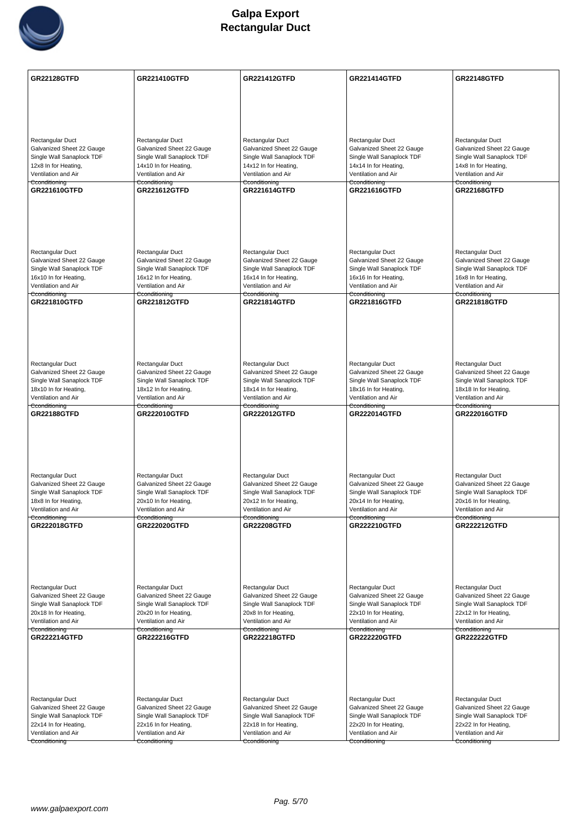

| <b>GR22128GTFD</b>                                     | <b>GR221410GTFD</b>                                    | <b>GR221412GTFD</b>                                    | <b>GR221414GTFD</b>                                    | <b>GR22148GTFD</b>                                     |
|--------------------------------------------------------|--------------------------------------------------------|--------------------------------------------------------|--------------------------------------------------------|--------------------------------------------------------|
|                                                        |                                                        |                                                        |                                                        |                                                        |
|                                                        |                                                        |                                                        |                                                        |                                                        |
|                                                        |                                                        |                                                        |                                                        |                                                        |
| Rectangular Duct<br>Galvanized Sheet 22 Gauge          | Rectangular Duct<br>Galvanized Sheet 22 Gauge          | Rectangular Duct<br>Galvanized Sheet 22 Gauge          | Rectangular Duct<br>Galvanized Sheet 22 Gauge          | Rectangular Duct<br>Galvanized Sheet 22 Gauge          |
| Single Wall Sanaplock TDF                              | Single Wall Sanaplock TDF                              | Single Wall Sanaplock TDF                              | Single Wall Sanaplock TDF                              | Single Wall Sanaplock TDF                              |
| 12x8 In for Heating,                                   | 14x10 In for Heating,                                  | 14x12 In for Heating,                                  | 14x14 In for Heating,                                  | 14x8 In for Heating,                                   |
| Ventilation and Air<br>Cconditioning                   | Ventilation and Air<br>Cconditioning                   | Ventilation and Air<br>Cconditioning                   | Ventilation and Air<br>Cconditioning                   | Ventilation and Air<br>Cconditioning                   |
| GR221610GTFD                                           | <b>GR221612GTFD</b>                                    | <b>GR221614GTFD</b>                                    | GR221616GTFD                                           | <b>GR22168GTFD</b>                                     |
|                                                        |                                                        |                                                        |                                                        |                                                        |
|                                                        |                                                        |                                                        |                                                        |                                                        |
|                                                        |                                                        |                                                        |                                                        |                                                        |
|                                                        |                                                        |                                                        |                                                        |                                                        |
| <b>Rectangular Duct</b>                                | Rectangular Duct                                       | Rectangular Duct                                       | Rectangular Duct                                       | Rectangular Duct                                       |
| Galvanized Sheet 22 Gauge                              | Galvanized Sheet 22 Gauge                              | Galvanized Sheet 22 Gauge                              | Galvanized Sheet 22 Gauge                              | Galvanized Sheet 22 Gauge                              |
| Single Wall Sanaplock TDF<br>16x10 In for Heating,     | Single Wall Sanaplock TDF<br>16x12 In for Heating,     | Single Wall Sanaplock TDF<br>16x14 In for Heating,     | Single Wall Sanaplock TDF<br>16x16 In for Heating,     | Single Wall Sanaplock TDF<br>16x8 In for Heating,      |
| Ventilation and Air                                    | Ventilation and Air                                    | Ventilation and Air                                    | Ventilation and Air                                    | Ventilation and Air                                    |
| Cconditioning<br><b>GR221810GTFD</b>                   | Cconditioning<br><b>GR221812GTFD</b>                   | Cconditioning<br><b>GR221814GTFD</b>                   | Cconditioning<br><b>GR221816GTFD</b>                   | Cconditioning<br><b>GR221818GTFD</b>                   |
|                                                        |                                                        |                                                        |                                                        |                                                        |
|                                                        |                                                        |                                                        |                                                        |                                                        |
|                                                        |                                                        |                                                        |                                                        |                                                        |
|                                                        |                                                        |                                                        |                                                        |                                                        |
|                                                        |                                                        |                                                        |                                                        |                                                        |
| Rectangular Duct<br>Galvanized Sheet 22 Gauge          | Rectangular Duct<br>Galvanized Sheet 22 Gauge          | Rectangular Duct<br>Galvanized Sheet 22 Gauge          | Rectangular Duct<br>Galvanized Sheet 22 Gauge          | Rectangular Duct<br>Galvanized Sheet 22 Gauge          |
| Single Wall Sanaplock TDF                              | Single Wall Sanaplock TDF                              | Single Wall Sanaplock TDF                              | Single Wall Sanaplock TDF                              | Single Wall Sanaplock TDF                              |
| 18x10 In for Heating,                                  | 18x12 In for Heating,                                  | 18x14 In for Heating,                                  | 18x16 In for Heating,                                  | 18x18 In for Heating,                                  |
| Ventilation and Air<br>Cconditioning                   | Ventilation and Air<br>Cconditioning                   | Ventilation and Air<br>Cconditioning                   | Ventilation and Air<br>Cconditioning                   | Ventilation and Air<br>Cconditioning                   |
| <b>GR22188GTFD</b>                                     | <b>GR222010GTFD</b>                                    | <b>GR222012GTFD</b>                                    | <b>GR222014GTFD</b>                                    | <b>GR222016GTFD</b>                                    |
|                                                        |                                                        |                                                        |                                                        |                                                        |
|                                                        |                                                        |                                                        |                                                        |                                                        |
|                                                        |                                                        |                                                        |                                                        |                                                        |
|                                                        |                                                        |                                                        |                                                        |                                                        |
| <b>Rectangular Duct</b>                                | Rectangular Duct                                       | Rectangular Duct                                       | Rectangular Duct                                       | Rectangular Duct                                       |
| Galvanized Sheet 22 Gauge<br>Single Wall Sanaplock TDF | Galvanized Sheet 22 Gauge<br>Single Wall Sanaplock TDF | Galvanized Sheet 22 Gauge<br>Single Wall Sanaplock TDF | Galvanized Sheet 22 Gauge<br>Single Wall Sanaplock TDF | Galvanized Sheet 22 Gauge<br>Single Wall Sanaplock TDF |
| 18x8 In for Heating,                                   | 20x10 In for Heating,                                  | 20x12 In for Heating,                                  | 20x14 In for Heating,                                  | 20x16 In for Heating,                                  |
| Ventilation and Air<br>Cconditioning                   | Ventilation and Air                                    | Ventilation and Air<br>Cconditioning                   | Ventilation and Air                                    | Ventilation and Air                                    |
| <b>GR222018GTFD</b>                                    | Cconditioning<br><b>GR222020GTFD</b>                   | <b>GR22208GTFD</b>                                     | Cconditioning<br><b>GR222210GTFD</b>                   | Cconditioning<br><b>GR222212GTFD</b>                   |
|                                                        |                                                        |                                                        |                                                        |                                                        |
|                                                        |                                                        |                                                        |                                                        |                                                        |
|                                                        |                                                        |                                                        |                                                        |                                                        |
|                                                        |                                                        |                                                        |                                                        |                                                        |
| Rectangular Duct                                       | Rectangular Duct                                       | Rectangular Duct                                       | Rectangular Duct                                       | Rectangular Duct                                       |
| Galvanized Sheet 22 Gauge                              | Galvanized Sheet 22 Gauge                              | Galvanized Sheet 22 Gauge                              | Galvanized Sheet 22 Gauge                              | Galvanized Sheet 22 Gauge                              |
| Single Wall Sanaplock TDF<br>20x18 In for Heating,     | Single Wall Sanaplock TDF<br>20x20 In for Heating,     | Single Wall Sanaplock TDF<br>20x8 In for Heating,      | Single Wall Sanaplock TDF<br>22x10 In for Heating,     | Single Wall Sanaplock TDF<br>22x12 In for Heating,     |
| Ventilation and Air                                    | Ventilation and Air                                    | Ventilation and Air                                    | Ventilation and Air                                    | Ventilation and Air                                    |
| Cconditioning<br><b>GR222214GTFD</b>                   | Cconditioning<br><b>GR222216GTFD</b>                   | Cconditioning<br><b>GR222218GTFD</b>                   | Cconditioning<br><b>GR222220GTFD</b>                   | Cconditioning<br><b>GR222222GTFD</b>                   |
|                                                        |                                                        |                                                        |                                                        |                                                        |
|                                                        |                                                        |                                                        |                                                        |                                                        |
|                                                        |                                                        |                                                        |                                                        |                                                        |
|                                                        |                                                        |                                                        |                                                        |                                                        |
|                                                        |                                                        |                                                        |                                                        |                                                        |
| Rectangular Duct<br>Galvanized Sheet 22 Gauge          | Rectangular Duct<br>Galvanized Sheet 22 Gauge          | Rectangular Duct<br>Galvanized Sheet 22 Gauge          | Rectangular Duct<br>Galvanized Sheet 22 Gauge          | Rectangular Duct<br>Galvanized Sheet 22 Gauge          |
| Single Wall Sanaplock TDF                              | Single Wall Sanaplock TDF                              | Single Wall Sanaplock TDF                              | Single Wall Sanaplock TDF                              | Single Wall Sanaplock TDF                              |
| 22x14 In for Heating,                                  | 22x16 In for Heating,                                  | 22x18 In for Heating,                                  | 22x20 In for Heating,                                  | 22x22 In for Heating,                                  |
| Ventilation and Air<br>Cconditioning                   | Ventilation and Air<br>Cconditioning                   | Ventilation and Air<br>Cconditioning                   | Ventilation and Air<br>Cconditioning                   | Ventilation and Air<br>Cconditioning                   |
|                                                        |                                                        |                                                        |                                                        |                                                        |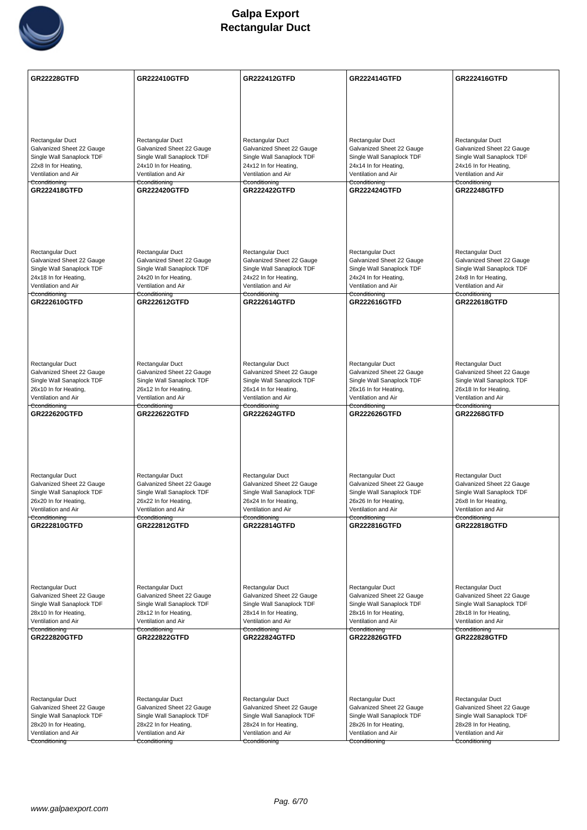

| <b>GR22228GTFD</b>                                     | <b>GR222410GTFD</b>                                    | <b>GR222412GTFD</b>                                    | <b>GR222414GTFD</b>                                    | <b>GR222416GTFD</b>                                    |
|--------------------------------------------------------|--------------------------------------------------------|--------------------------------------------------------|--------------------------------------------------------|--------------------------------------------------------|
|                                                        |                                                        |                                                        |                                                        |                                                        |
|                                                        |                                                        |                                                        |                                                        |                                                        |
|                                                        |                                                        |                                                        |                                                        |                                                        |
|                                                        |                                                        |                                                        |                                                        |                                                        |
| <b>Rectangular Duct</b><br>Galvanized Sheet 22 Gauge   | Rectangular Duct<br>Galvanized Sheet 22 Gauge          | Rectangular Duct<br>Galvanized Sheet 22 Gauge          | Rectangular Duct<br>Galvanized Sheet 22 Gauge          | Rectangular Duct<br>Galvanized Sheet 22 Gauge          |
| Single Wall Sanaplock TDF                              | Single Wall Sanaplock TDF                              | Single Wall Sanaplock TDF                              | Single Wall Sanaplock TDF                              | Single Wall Sanaplock TDF                              |
| 22x8 In for Heating,                                   | 24x10 In for Heating,                                  | 24x12 In for Heating,                                  | 24x14 In for Heating,                                  | 24x16 In for Heating,                                  |
| Ventilation and Air<br>Cconditioning                   | Ventilation and Air<br>Cconditioning                   | Ventilation and Air<br>Cconditioning                   | Ventilation and Air<br>Cconditioning                   | Ventilation and Air<br>Cconditioning                   |
| <b>GR222418GTFD</b>                                    | <b>GR222420GTFD</b>                                    | <b>GR222422GTFD</b>                                    | <b>GR222424GTFD</b>                                    | <b>GR22248GTFD</b>                                     |
|                                                        |                                                        |                                                        |                                                        |                                                        |
|                                                        |                                                        |                                                        |                                                        |                                                        |
|                                                        |                                                        |                                                        |                                                        |                                                        |
|                                                        |                                                        |                                                        |                                                        |                                                        |
| Rectangular Duct                                       | Rectangular Duct                                       | Rectangular Duct                                       | Rectangular Duct                                       | Rectangular Duct                                       |
| Galvanized Sheet 22 Gauge<br>Single Wall Sanaplock TDF | Galvanized Sheet 22 Gauge<br>Single Wall Sanaplock TDF | Galvanized Sheet 22 Gauge<br>Single Wall Sanaplock TDF | Galvanized Sheet 22 Gauge<br>Single Wall Sanaplock TDF | Galvanized Sheet 22 Gauge<br>Single Wall Sanaplock TDF |
| 24x18 In for Heating,                                  | 24x20 In for Heating,                                  | 24x22 In for Heating,                                  | 24x24 In for Heating,                                  | 24x8 In for Heating,                                   |
| Ventilation and Air<br>Cconditioning                   | Ventilation and Air<br>Cconditioning                   | Ventilation and Air<br>Cconditioning                   | Ventilation and Air<br><del>Cconditioning</del>        | Ventilation and Air<br>Cconditioning                   |
| <b>GR222610GTFD</b>                                    | <b>GR222612GTFD</b>                                    | <b>GR222614GTFD</b>                                    | <b>GR222616GTFD</b>                                    | <b>GR222618GTFD</b>                                    |
|                                                        |                                                        |                                                        |                                                        |                                                        |
|                                                        |                                                        |                                                        |                                                        |                                                        |
|                                                        |                                                        |                                                        |                                                        |                                                        |
|                                                        |                                                        |                                                        |                                                        |                                                        |
| Rectangular Duct                                       | Rectangular Duct                                       | Rectangular Duct                                       | Rectangular Duct                                       | Rectangular Duct                                       |
| Galvanized Sheet 22 Gauge<br>Single Wall Sanaplock TDF | Galvanized Sheet 22 Gauge<br>Single Wall Sanaplock TDF | Galvanized Sheet 22 Gauge<br>Single Wall Sanaplock TDF | Galvanized Sheet 22 Gauge<br>Single Wall Sanaplock TDF | Galvanized Sheet 22 Gauge<br>Single Wall Sanaplock TDF |
| 26x10 In for Heating,                                  | 26x12 In for Heating,                                  | 26x14 In for Heating,                                  | 26x16 In for Heating,                                  | 26x18 In for Heating,                                  |
| Ventilation and Air<br>Cconditioning                   | Ventilation and Air<br>Cconditioning                   | Ventilation and Air<br>Cconditioning                   | Ventilation and Air<br>Cconditioning                   | Ventilation and Air<br>Cconditioning                   |
| <b>GR222620GTFD</b>                                    | <b>GR222622GTFD</b>                                    | <b>GR222624GTFD</b>                                    | <b>GR222626GTFD</b>                                    | <b>GR22268GTFD</b>                                     |
|                                                        |                                                        |                                                        |                                                        |                                                        |
|                                                        |                                                        |                                                        |                                                        |                                                        |
|                                                        |                                                        |                                                        |                                                        |                                                        |
|                                                        |                                                        |                                                        |                                                        |                                                        |
| Rectangular Duct<br>Galvanized Sheet 22 Gauge          | Rectangular Duct<br>Galvanized Sheet 22 Gauge          | Rectangular Duct<br>Galvanized Sheet 22 Gauge          | Rectangular Duct<br>Galvanized Sheet 22 Gauge          | Rectangular Duct<br>Galvanized Sheet 22 Gauge          |
| Single Wall Sanaplock TDF                              | Single Wall Sanaplock TDF                              | Single Wall Sanaplock TDF                              | Single Wall Sanaplock TDF                              | Single Wall Sanaplock TDF                              |
| 26x20 In for Heating,<br>Ventilation and Air           | 26x22 In for Heating,<br>Ventilation and Air           | 26x24 In for Heating,<br>Ventilation and Air           | 26x26 In for Heating,<br>Ventilation and Air           | 26x8 In for Heating,<br>Ventilation and Air            |
| Cconditioning                                          | Cconditioning                                          | Cconditioning                                          | Cconditioning                                          | Cconditioning                                          |
| GR222810GTFD                                           | <b>GR222812GTFD</b>                                    | <b>GR222814GTFD</b>                                    | GR222816GTFD                                           | <b>GR222818GTFD</b>                                    |
|                                                        |                                                        |                                                        |                                                        |                                                        |
|                                                        |                                                        |                                                        |                                                        |                                                        |
|                                                        |                                                        |                                                        |                                                        |                                                        |
| Rectangular Duct                                       | Rectangular Duct                                       | Rectangular Duct                                       | Rectangular Duct                                       | Rectangular Duct                                       |
| Galvanized Sheet 22 Gauge                              | Galvanized Sheet 22 Gauge                              | Galvanized Sheet 22 Gauge                              | Galvanized Sheet 22 Gauge                              | Galvanized Sheet 22 Gauge                              |
| Single Wall Sanaplock TDF<br>28x10 In for Heating,     | Single Wall Sanaplock TDF                              | Single Wall Sanaplock TDF                              | Single Wall Sanaplock TDF                              | Single Wall Sanaplock TDF                              |
| Ventilation and Air                                    | 28x12 In for Heating,<br>Ventilation and Air           | 28x14 In for Heating,<br>Ventilation and Air           | 28x16 In for Heating,<br>Ventilation and Air           | 28x18 In for Heating,<br>Ventilation and Air           |
| Cconditioning<br><b>GR222820GTFD</b>                   | Cconditioning<br><b>GR222822GTFD</b>                   | Cconditioning<br><b>GR222824GTFD</b>                   | Cconditioning<br><b>GR222826GTFD</b>                   | Cconditioning<br><b>GR222828GTFD</b>                   |
|                                                        |                                                        |                                                        |                                                        |                                                        |
|                                                        |                                                        |                                                        |                                                        |                                                        |
|                                                        |                                                        |                                                        |                                                        |                                                        |
|                                                        |                                                        |                                                        |                                                        |                                                        |
| Rectangular Duct                                       | Rectangular Duct                                       | Rectangular Duct                                       | Rectangular Duct                                       | Rectangular Duct                                       |
| Galvanized Sheet 22 Gauge                              | Galvanized Sheet 22 Gauge                              | Galvanized Sheet 22 Gauge                              | Galvanized Sheet 22 Gauge                              | Galvanized Sheet 22 Gauge                              |
| Single Wall Sanaplock TDF<br>28x20 In for Heating,     | Single Wall Sanaplock TDF<br>28x22 In for Heating,     | Single Wall Sanaplock TDF<br>28x24 In for Heating,     | Single Wall Sanaplock TDF<br>28x26 In for Heating,     | Single Wall Sanaplock TDF<br>28x28 In for Heating,     |
| Ventilation and Air                                    | Ventilation and Air                                    | Ventilation and Air                                    | Ventilation and Air                                    | Ventilation and Air                                    |
| Cconditioning                                          | Cconditioning                                          | Cconditioning                                          | Cconditioning                                          | Cconditioning                                          |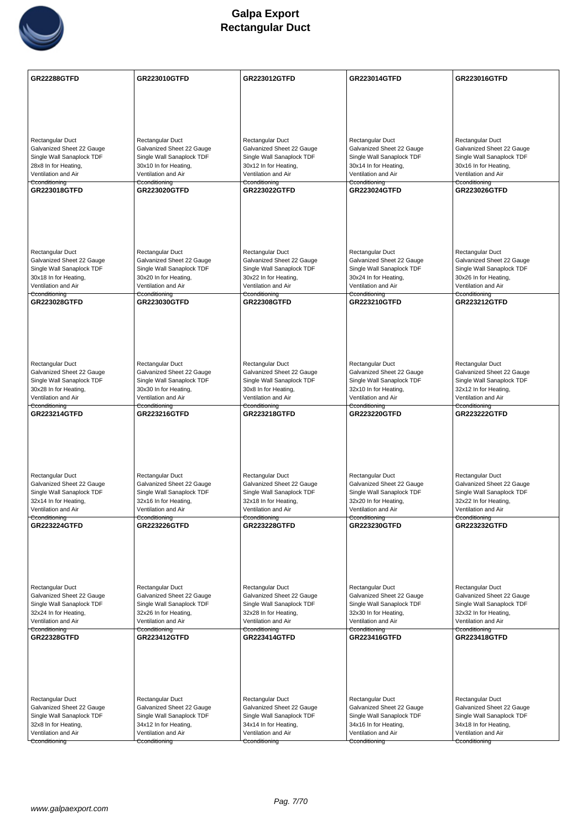

| <b>GR22288GTFD</b>                                | <b>GR223010GTFD</b>                           | <b>GR223012GTFD</b>                           | <b>GR223014GTFD</b>                           | GR223016GTFD                                  |
|---------------------------------------------------|-----------------------------------------------|-----------------------------------------------|-----------------------------------------------|-----------------------------------------------|
|                                                   |                                               |                                               |                                               |                                               |
|                                                   |                                               |                                               |                                               |                                               |
|                                                   |                                               |                                               |                                               |                                               |
| Rectangular Duct                                  | Rectangular Duct                              | Rectangular Duct                              | Rectangular Duct                              | Rectangular Duct                              |
| Galvanized Sheet 22 Gauge                         | Galvanized Sheet 22 Gauge                     | Galvanized Sheet 22 Gauge                     | Galvanized Sheet 22 Gauge                     | Galvanized Sheet 22 Gauge                     |
| Single Wall Sanaplock TDF                         | Single Wall Sanaplock TDF                     | Single Wall Sanaplock TDF                     | Single Wall Sanaplock TDF                     | Single Wall Sanaplock TDF                     |
| 28x8 In for Heating,<br>Ventilation and Air       | 30x10 In for Heating,<br>Ventilation and Air  | 30x12 In for Heating,<br>Ventilation and Air  | 30x14 In for Heating,<br>Ventilation and Air  | 30x16 In for Heating,<br>Ventilation and Air  |
| Cconditioning                                     | Cconditioning                                 | Cconditioning                                 | Cconditioning                                 | Cconditioning                                 |
| GR223018GTFD                                      | <b>GR223020GTFD</b>                           | <b>GR223022GTFD</b>                           | <b>GR223024GTFD</b>                           | <b>GR223026GTFD</b>                           |
|                                                   |                                               |                                               |                                               |                                               |
|                                                   |                                               |                                               |                                               |                                               |
|                                                   |                                               |                                               |                                               |                                               |
|                                                   |                                               |                                               |                                               |                                               |
| Rectangular Duct                                  | Rectangular Duct                              | Rectangular Duct                              | Rectangular Duct                              | Rectangular Duct                              |
| Galvanized Sheet 22 Gauge                         | Galvanized Sheet 22 Gauge                     | Galvanized Sheet 22 Gauge                     | Galvanized Sheet 22 Gauge                     | Galvanized Sheet 22 Gauge                     |
| Single Wall Sanaplock TDF                         | Single Wall Sanaplock TDF                     | Single Wall Sanaplock TDF                     | Single Wall Sanaplock TDF                     | Single Wall Sanaplock TDF                     |
| 30x18 In for Heating,                             | 30x20 In for Heating,                         | 30x22 In for Heating,                         | 30x24 In for Heating,                         | 30x26 In for Heating,                         |
| Ventilation and Air<br>Cconditioning              | Ventilation and Air<br>Cconditioning          | Ventilation and Air<br>Cconditioning          | Ventilation and Air<br>Cconditioning          | Ventilation and Air<br>Cconditioning          |
| GR223028GTFD                                      | <b>GR223030GTFD</b>                           | <b>GR22308GTFD</b>                            | <b>GR223210GTFD</b>                           | <b>GR223212GTFD</b>                           |
|                                                   |                                               |                                               |                                               |                                               |
|                                                   |                                               |                                               |                                               |                                               |
|                                                   |                                               |                                               |                                               |                                               |
|                                                   |                                               |                                               |                                               |                                               |
|                                                   |                                               |                                               |                                               |                                               |
| Rectangular Duct<br>Galvanized Sheet 22 Gauge     | Rectangular Duct<br>Galvanized Sheet 22 Gauge | Rectangular Duct<br>Galvanized Sheet 22 Gauge | Rectangular Duct<br>Galvanized Sheet 22 Gauge | Rectangular Duct<br>Galvanized Sheet 22 Gauge |
| Single Wall Sanaplock TDF                         | Single Wall Sanaplock TDF                     | Single Wall Sanaplock TDF                     | Single Wall Sanaplock TDF                     | Single Wall Sanaplock TDF                     |
| 30x28 In for Heating,                             | 30x30 In for Heating,                         | 30x8 In for Heating,                          | 32x10 In for Heating,                         | 32x12 In for Heating,                         |
| Ventilation and Air<br>Cconditioning              | Ventilation and Air                           | Ventilation and Air                           | Ventilation and Air                           | Ventilation and Air                           |
| <b>GR223214GTFD</b>                               | Cconditioning<br><b>GR223216GTFD</b>          | Cconditioning<br><b>GR223218GTFD</b>          | Cconditioning<br><b>GR223220GTFD</b>          | Cconditioning<br><b>GR223222GTFD</b>          |
|                                                   |                                               |                                               |                                               |                                               |
|                                                   |                                               |                                               |                                               |                                               |
|                                                   |                                               |                                               |                                               |                                               |
|                                                   |                                               |                                               |                                               |                                               |
|                                                   |                                               |                                               |                                               |                                               |
| Rectangular Duct<br>Galvanized Sheet 22 Gauge     | Rectangular Duct<br>Galvanized Sheet 22 Gauge | Rectangular Duct<br>Galvanized Sheet 22 Gauge | Rectangular Duct<br>Galvanized Sheet 22 Gauge | Rectangular Duct<br>Galvanized Sheet 22 Gauge |
| Single Wall Sanaplock TDF                         | Single Wall Sanaplock TDF                     | Single Wall Sanaplock TDF                     | Single Wall Sanaplock TDF                     | Single Wall Sanaplock TDF                     |
| 32x14 In for Heating,                             | 32x16 In for Heating,                         | 32x18 In for Heating,                         | 32x20 In for Heating,                         | 32x22 In for Heating,                         |
| Ventilation and Air<br>Cconditioning              | Ventilation and Air<br>Cconditioning          | Ventilation and Air<br>Cconditioning          | Ventilation and Air<br>Cconditioning          | Ventilation and Air<br>Cconditioning          |
| <b>GR223224GTFD</b>                               | <b>GR223226GTFD</b>                           | <b>GR223228GTFD</b>                           | <b>GR223230GTFD</b>                           | <b>GR223232GTFD</b>                           |
|                                                   |                                               |                                               |                                               |                                               |
|                                                   |                                               |                                               |                                               |                                               |
|                                                   |                                               |                                               |                                               |                                               |
|                                                   |                                               |                                               |                                               |                                               |
|                                                   |                                               |                                               |                                               |                                               |
| Rectangular Duct<br>Galvanized Sheet 22 Gauge     | Rectangular Duct<br>Galvanized Sheet 22 Gauge | Rectangular Duct<br>Galvanized Sheet 22 Gauge | Rectangular Duct<br>Galvanized Sheet 22 Gauge | Rectangular Duct<br>Galvanized Sheet 22 Gauge |
| Single Wall Sanaplock TDF                         | Single Wall Sanaplock TDF                     | Single Wall Sanaplock TDF                     | Single Wall Sanaplock TDF                     | Single Wall Sanaplock TDF                     |
| 32x24 In for Heating,                             | 32x26 In for Heating,                         | 32x28 In for Heating,                         | 32x30 In for Heating,                         | 32x32 In for Heating,                         |
| Ventilation and Air                               | Ventilation and Air                           | Ventilation and Air                           | Ventilation and Air                           | Ventilation and Air                           |
| Cconditioning<br><b>GR22328GTFD</b>               | Cconditioning<br><b>GR223412GTFD</b>          | Cconditioning<br><b>GR223414GTFD</b>          | Cconditioning<br><b>GR223416GTFD</b>          | Cconditioning<br><b>GR223418GTFD</b>          |
|                                                   |                                               |                                               |                                               |                                               |
|                                                   |                                               |                                               |                                               |                                               |
|                                                   |                                               |                                               |                                               |                                               |
|                                                   |                                               |                                               |                                               |                                               |
|                                                   |                                               |                                               |                                               |                                               |
| Rectangular Duct                                  | Rectangular Duct                              | Rectangular Duct                              | Rectangular Duct                              | Rectangular Duct                              |
| Galvanized Sheet 22 Gauge                         | Galvanized Sheet 22 Gauge                     | Galvanized Sheet 22 Gauge                     | Galvanized Sheet 22 Gauge                     | Galvanized Sheet 22 Gauge                     |
| Single Wall Sanaplock TDF<br>32x8 In for Heating, | Single Wall Sanaplock TDF                     | Single Wall Sanaplock TDF                     | Single Wall Sanaplock TDF                     | Single Wall Sanaplock TDF                     |
|                                                   |                                               |                                               |                                               |                                               |
| Ventilation and Air                               | 34x12 In for Heating,<br>Ventilation and Air  | 34x14 In for Heating,<br>Ventilation and Air  | 34x16 In for Heating,<br>Ventilation and Air  | 34x18 In for Heating,<br>Ventilation and Air  |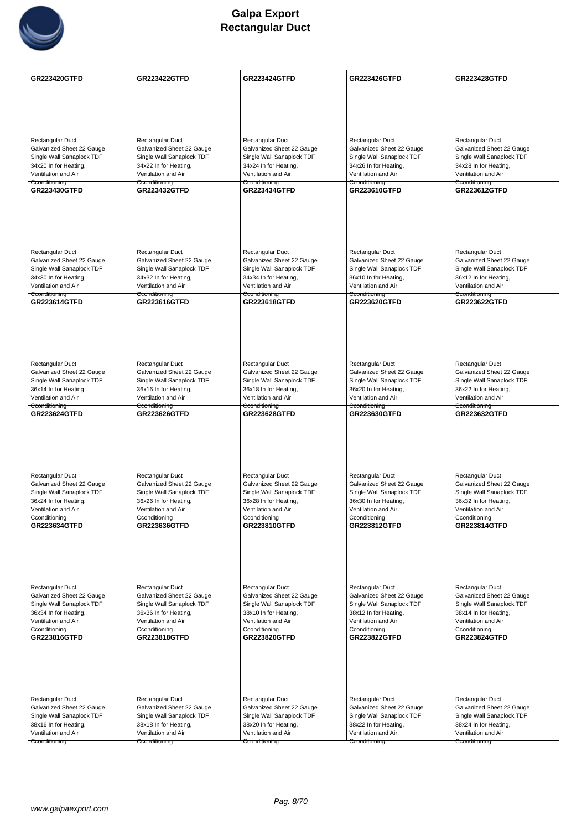

| <b>GR223420GTFD</b>                                    | <b>GR223422GTFD</b>                                    | <b>GR223424GTFD</b>                                    | <b>GR223426GTFD</b>                                    | <b>GR223428GTFD</b>                                    |
|--------------------------------------------------------|--------------------------------------------------------|--------------------------------------------------------|--------------------------------------------------------|--------------------------------------------------------|
|                                                        |                                                        |                                                        |                                                        |                                                        |
|                                                        |                                                        |                                                        |                                                        |                                                        |
|                                                        |                                                        |                                                        |                                                        |                                                        |
|                                                        |                                                        |                                                        |                                                        |                                                        |
| Rectangular Duct<br>Galvanized Sheet 22 Gauge          | Rectangular Duct<br>Galvanized Sheet 22 Gauge          | Rectangular Duct<br>Galvanized Sheet 22 Gauge          | Rectangular Duct<br>Galvanized Sheet 22 Gauge          | Rectangular Duct<br>Galvanized Sheet 22 Gauge          |
| Single Wall Sanaplock TDF                              | Single Wall Sanaplock TDF                              | Single Wall Sanaplock TDF                              | Single Wall Sanaplock TDF                              | Single Wall Sanaplock TDF                              |
| 34x20 In for Heating,                                  | 34x22 In for Heating,                                  | 34x24 In for Heating,                                  | 34x26 In for Heating,                                  | 34x28 In for Heating,                                  |
| Ventilation and Air<br>Cconditioning                   | Ventilation and Air<br>Cconditioning                   | Ventilation and Air<br>Cconditioning                   | Ventilation and Air<br>Cconditioning                   | Ventilation and Air<br>Cconditioning                   |
| GR223430GTFD                                           | <b>GR223432GTFD</b>                                    | <b>GR223434GTFD</b>                                    | GR223610GTFD                                           | <b>GR223612GTFD</b>                                    |
|                                                        |                                                        |                                                        |                                                        |                                                        |
|                                                        |                                                        |                                                        |                                                        |                                                        |
|                                                        |                                                        |                                                        |                                                        |                                                        |
|                                                        |                                                        |                                                        |                                                        |                                                        |
| Rectangular Duct                                       | Rectangular Duct                                       | Rectangular Duct                                       | Rectangular Duct                                       | Rectangular Duct                                       |
| Galvanized Sheet 22 Gauge                              | Galvanized Sheet 22 Gauge<br>Single Wall Sanaplock TDF | Galvanized Sheet 22 Gauge<br>Single Wall Sanaplock TDF | Galvanized Sheet 22 Gauge<br>Single Wall Sanaplock TDF | Galvanized Sheet 22 Gauge                              |
| Single Wall Sanaplock TDF<br>34x30 In for Heating,     | 34x32 In for Heating,                                  | 34x34 In for Heating,                                  | 36x10 In for Heating,                                  | Single Wall Sanaplock TDF<br>36x12 In for Heating,     |
| Ventilation and Air                                    | Ventilation and Air                                    | Ventilation and Air                                    | Ventilation and Air                                    | Ventilation and Air                                    |
| Cconditioning<br>GR223614GTFD                          | Cconditioning<br><b>GR223616GTFD</b>                   | Cconditioning<br><b>GR223618GTFD</b>                   | Cconditioning<br><b>GR223620GTFD</b>                   | Cconditioning<br><b>GR223622GTFD</b>                   |
|                                                        |                                                        |                                                        |                                                        |                                                        |
|                                                        |                                                        |                                                        |                                                        |                                                        |
|                                                        |                                                        |                                                        |                                                        |                                                        |
|                                                        |                                                        |                                                        |                                                        |                                                        |
| Rectangular Duct                                       | Rectangular Duct                                       | Rectangular Duct                                       | Rectangular Duct                                       | Rectangular Duct                                       |
| Galvanized Sheet 22 Gauge                              | Galvanized Sheet 22 Gauge                              | Galvanized Sheet 22 Gauge                              | Galvanized Sheet 22 Gauge                              | Galvanized Sheet 22 Gauge                              |
| Single Wall Sanaplock TDF                              | Single Wall Sanaplock TDF                              | Single Wall Sanaplock TDF                              | Single Wall Sanaplock TDF                              | Single Wall Sanaplock TDF                              |
| 36x14 In for Heating,<br>Ventilation and Air           | 36x16 In for Heating,<br>Ventilation and Air           | 36x18 In for Heating,<br>Ventilation and Air           | 36x20 In for Heating,<br>Ventilation and Air           | 36x22 In for Heating,<br>Ventilation and Air           |
| Cconditioning                                          | Cconditioning                                          | Cconditioning                                          | Cconditioning                                          | Cconditioning                                          |
| <b>GR223624GTFD</b>                                    | <b>GR223626GTFD</b>                                    | <b>GR223628GTFD</b>                                    | <b>GR223630GTFD</b>                                    | <b>GR223632GTFD</b>                                    |
|                                                        |                                                        |                                                        |                                                        |                                                        |
|                                                        |                                                        |                                                        |                                                        |                                                        |
|                                                        |                                                        |                                                        |                                                        |                                                        |
|                                                        |                                                        |                                                        |                                                        |                                                        |
| Rectangular Duct                                       | Rectangular Duct                                       | Rectangular Duct                                       | Rectangular Duct                                       | Rectangular Duct                                       |
| Galvanized Sheet 22 Gauge<br>Single Wall Sanaplock TDF | Galvanized Sheet 22 Gauge<br>Single Wall Sanaplock TDF | Galvanized Sheet 22 Gauge<br>Single Wall Sanaplock TDF | Galvanized Sheet 22 Gauge<br>Single Wall Sanaplock TDF | Galvanized Sheet 22 Gauge<br>Single Wall Sanaplock TDF |
| 36x24 In for Heating,                                  | 36x26 In for Heating,                                  | 36x28 In for Heating,                                  | 36x30 In for Heating,                                  | 36x32 In for Heating,                                  |
| Ventilation and Air<br>Cconditioning                   | Ventilation and Air<br>Cconditioning                   | Ventilation and Air<br>Cconditioning                   | Ventilation and Air<br>Cconditioning                   | Ventilation and Air<br>Cconditioning                   |
| <b>GR223634GTFD</b>                                    | <b>GR223636GTFD</b>                                    | <b>GR223810GTFD</b>                                    | GR223812GTFD                                           | <b>GR223814GTFD</b>                                    |
|                                                        |                                                        |                                                        |                                                        |                                                        |
|                                                        |                                                        |                                                        |                                                        |                                                        |
|                                                        |                                                        |                                                        |                                                        |                                                        |
|                                                        |                                                        |                                                        |                                                        |                                                        |
| Rectangular Duct                                       | Rectangular Duct                                       | Rectangular Duct                                       | Rectangular Duct                                       | Rectangular Duct                                       |
| Galvanized Sheet 22 Gauge                              | Galvanized Sheet 22 Gauge                              | Galvanized Sheet 22 Gauge                              | Galvanized Sheet 22 Gauge                              | Galvanized Sheet 22 Gauge                              |
| Single Wall Sanaplock TDF<br>36x34 In for Heating,     | Single Wall Sanaplock TDF                              | Single Wall Sanaplock TDF                              | Single Wall Sanaplock TDF                              | Single Wall Sanaplock TDF                              |
| Ventilation and Air                                    | 36x36 In for Heating,<br>Ventilation and Air           | 38x10 In for Heating,<br>Ventilation and Air           | 38x12 In for Heating,<br>Ventilation and Air           | 38x14 In for Heating,<br>Ventilation and Air           |
| Cconditioning                                          | Cconditioning                                          | Cconditioning                                          | Cconditioning                                          | Cconditioning                                          |
| GR223816GTFD                                           | <b>GR223818GTFD</b>                                    | <b>GR223820GTFD</b>                                    | <b>GR223822GTFD</b>                                    | <b>GR223824GTFD</b>                                    |
|                                                        |                                                        |                                                        |                                                        |                                                        |
|                                                        |                                                        |                                                        |                                                        |                                                        |
|                                                        |                                                        |                                                        |                                                        |                                                        |
|                                                        |                                                        |                                                        |                                                        |                                                        |
| Rectangular Duct                                       | Rectangular Duct                                       | Rectangular Duct                                       | Rectangular Duct                                       | Rectangular Duct                                       |
| Galvanized Sheet 22 Gauge<br>Single Wall Sanaplock TDF | Galvanized Sheet 22 Gauge<br>Single Wall Sanaplock TDF | Galvanized Sheet 22 Gauge<br>Single Wall Sanaplock TDF | Galvanized Sheet 22 Gauge<br>Single Wall Sanaplock TDF | Galvanized Sheet 22 Gauge<br>Single Wall Sanaplock TDF |
| 38x16 In for Heating,                                  | 38x18 In for Heating,                                  | 38x20 In for Heating,                                  | 38x22 In for Heating,                                  | 38x24 In for Heating,                                  |
| Ventilation and Air                                    | Ventilation and Air                                    | Ventilation and Air                                    | Ventilation and Air                                    | Ventilation and Air                                    |
| Cconditioning                                          | Cconditioning                                          | Cconditioning                                          | Cconditioning                                          | Cconditioning                                          |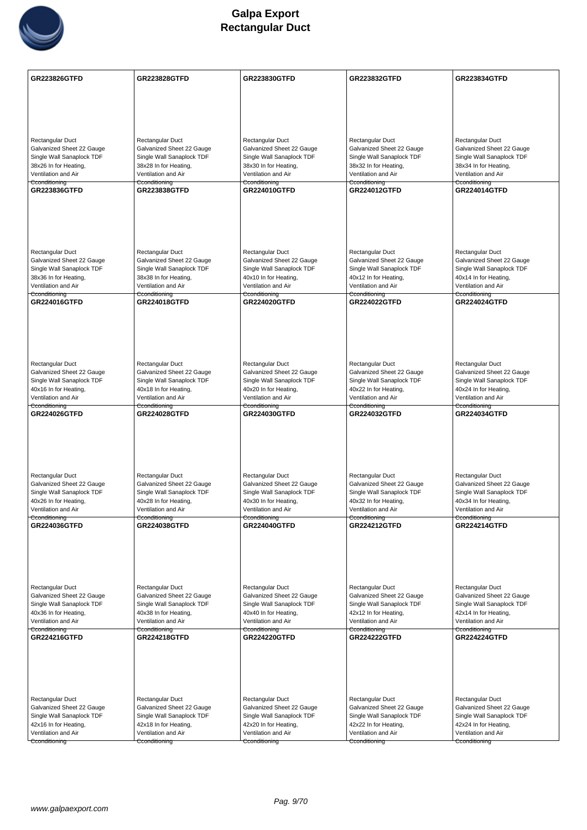

| GR223826GTFD                                           | <b>GR223828GTFD</b>                                    | <b>GR223830GTFD</b>                                    | <b>GR223832GTFD</b>                                    | <b>GR223834GTFD</b>                                    |
|--------------------------------------------------------|--------------------------------------------------------|--------------------------------------------------------|--------------------------------------------------------|--------------------------------------------------------|
|                                                        |                                                        |                                                        |                                                        |                                                        |
|                                                        |                                                        |                                                        |                                                        |                                                        |
|                                                        |                                                        |                                                        |                                                        |                                                        |
|                                                        |                                                        |                                                        |                                                        |                                                        |
| <b>Rectangular Duct</b>                                | Rectangular Duct                                       | Rectangular Duct                                       | Rectangular Duct                                       | Rectangular Duct                                       |
| Galvanized Sheet 22 Gauge                              | Galvanized Sheet 22 Gauge                              | Galvanized Sheet 22 Gauge                              | Galvanized Sheet 22 Gauge                              | Galvanized Sheet 22 Gauge                              |
| Single Wall Sanaplock TDF<br>38x26 In for Heating,     | Single Wall Sanaplock TDF<br>38x28 In for Heating,     | Single Wall Sanaplock TDF<br>38x30 In for Heating,     | Single Wall Sanaplock TDF<br>38x32 In for Heating,     | Single Wall Sanaplock TDF<br>38x34 In for Heating,     |
| Ventilation and Air                                    | Ventilation and Air                                    | Ventilation and Air                                    | Ventilation and Air                                    | Ventilation and Air                                    |
| Cconditioning<br>GR223836GTFD                          | Cconditioning<br><b>GR223838GTFD</b>                   | Cconditioning<br><b>GR224010GTFD</b>                   | Cconditioning<br><b>GR224012GTFD</b>                   | Cconditioning<br><b>GR224014GTFD</b>                   |
|                                                        |                                                        |                                                        |                                                        |                                                        |
|                                                        |                                                        |                                                        |                                                        |                                                        |
|                                                        |                                                        |                                                        |                                                        |                                                        |
|                                                        |                                                        |                                                        |                                                        |                                                        |
|                                                        |                                                        |                                                        |                                                        |                                                        |
| Rectangular Duct                                       | Rectangular Duct                                       | Rectangular Duct                                       | Rectangular Duct                                       | Rectangular Duct                                       |
| Galvanized Sheet 22 Gauge<br>Single Wall Sanaplock TDF | Galvanized Sheet 22 Gauge<br>Single Wall Sanaplock TDF | Galvanized Sheet 22 Gauge<br>Single Wall Sanaplock TDF | Galvanized Sheet 22 Gauge<br>Single Wall Sanaplock TDF | Galvanized Sheet 22 Gauge<br>Single Wall Sanaplock TDF |
| 38x36 In for Heating,                                  | 38x38 In for Heating,                                  | 40x10 In for Heating,                                  | 40x12 In for Heating,                                  | 40x14 In for Heating,                                  |
| Ventilation and Air                                    | Ventilation and Air                                    | Ventilation and Air                                    | Ventilation and Air                                    | Ventilation and Air                                    |
| Cconditioning<br>GR224016GTFD                          | <del>Cconditioning</del><br><b>GR224018GTFD</b>        | Cconditioning<br><b>GR224020GTFD</b>                   | Cconditioning<br><b>GR224022GTFD</b>                   | Cconditioning<br><b>GR224024GTFD</b>                   |
|                                                        |                                                        |                                                        |                                                        |                                                        |
|                                                        |                                                        |                                                        |                                                        |                                                        |
|                                                        |                                                        |                                                        |                                                        |                                                        |
|                                                        |                                                        |                                                        |                                                        |                                                        |
|                                                        |                                                        |                                                        |                                                        |                                                        |
| Rectangular Duct<br>Galvanized Sheet 22 Gauge          | Rectangular Duct<br>Galvanized Sheet 22 Gauge          | Rectangular Duct<br>Galvanized Sheet 22 Gauge          | Rectangular Duct<br>Galvanized Sheet 22 Gauge          | Rectangular Duct<br>Galvanized Sheet 22 Gauge          |
| Single Wall Sanaplock TDF                              | Single Wall Sanaplock TDF                              | Single Wall Sanaplock TDF                              | Single Wall Sanaplock TDF                              | Single Wall Sanaplock TDF                              |
| 40x16 In for Heating,                                  | 40x18 In for Heating,                                  | 40x20 In for Heating,                                  | 40x22 In for Heating,                                  | 40x24 In for Heating,                                  |
| Ventilation and Air<br>Cconditioning                   | Ventilation and Air<br>Cconditioning                   | Ventilation and Air<br>Cconditioning                   | Ventilation and Air<br>Cconditioning                   | Ventilation and Air<br>Cconditioning                   |
| GR224026GTFD                                           | <b>GR224028GTFD</b>                                    | <b>GR224030GTFD</b>                                    | <b>GR224032GTFD</b>                                    | GR224034GTFD                                           |
|                                                        |                                                        |                                                        |                                                        |                                                        |
|                                                        |                                                        |                                                        |                                                        |                                                        |
|                                                        |                                                        |                                                        |                                                        |                                                        |
|                                                        |                                                        |                                                        |                                                        |                                                        |
| Rectangular Duct                                       | Rectangular Duct                                       | Rectangular Duct                                       | Rectangular Duct                                       | Rectangular Duct                                       |
| Galvanized Sheet 22 Gauge                              | Galvanized Sheet 22 Gauge                              | Galvanized Sheet 22 Gauge                              | Galvanized Sheet 22 Gauge                              | Galvanized Sheet 22 Gauge                              |
| Single Wall Sanaplock TDF                              | Single Wall Sanaplock TDF                              | Single Wall Sanaplock TDF                              | Single Wall Sanaplock TDF                              | Single Wall Sanaplock TDF                              |
| 40x26 In for Heating,<br>Ventilation and Air           | 40x28 In for Heating,<br>Ventilation and Air           | 40x30 In for Heating,<br>Ventilation and Air           | 40x32 In for Heating,<br>Ventilation and Air           | 40x34 In for Heating,<br>Ventilation and Air           |
| Cconditioning                                          | Cconditioning                                          | Cconditioning                                          | Cconditioning                                          | Cconditioning                                          |
| GR224036GTFD                                           | GR224038GTFD                                           | <b>GR224040GTFD</b>                                    | <b>GR224212GTFD</b>                                    | <b>GR224214GTFD</b>                                    |
|                                                        |                                                        |                                                        |                                                        |                                                        |
|                                                        |                                                        |                                                        |                                                        |                                                        |
|                                                        |                                                        |                                                        |                                                        |                                                        |
|                                                        |                                                        |                                                        |                                                        |                                                        |
| Rectangular Duct                                       | Rectangular Duct                                       | Rectangular Duct                                       | Rectangular Duct                                       | Rectangular Duct                                       |
| Galvanized Sheet 22 Gauge                              | Galvanized Sheet 22 Gauge                              | Galvanized Sheet 22 Gauge                              | Galvanized Sheet 22 Gauge                              | Galvanized Sheet 22 Gauge                              |
| Single Wall Sanaplock TDF<br>40x36 In for Heating,     | Single Wall Sanaplock TDF<br>40x38 In for Heating,     | Single Wall Sanaplock TDF<br>40x40 In for Heating,     | Single Wall Sanaplock TDF<br>42x12 In for Heating,     | Single Wall Sanaplock TDF<br>42x14 In for Heating,     |
| Ventilation and Air                                    | Ventilation and Air                                    | Ventilation and Air                                    | Ventilation and Air                                    | Ventilation and Air                                    |
| Cconditioning<br>GR224216GTFD                          | Cconditioning<br><b>GR224218GTFD</b>                   | Cconditioning<br><b>GR224220GTFD</b>                   | Cconditioning<br><b>GR224222GTFD</b>                   | Cconditioning<br><b>GR224224GTFD</b>                   |
|                                                        |                                                        |                                                        |                                                        |                                                        |
|                                                        |                                                        |                                                        |                                                        |                                                        |
|                                                        |                                                        |                                                        |                                                        |                                                        |
|                                                        |                                                        |                                                        |                                                        |                                                        |
|                                                        |                                                        |                                                        |                                                        |                                                        |
| Rectangular Duct                                       | Rectangular Duct                                       | Rectangular Duct                                       | Rectangular Duct                                       | Rectangular Duct                                       |
| Galvanized Sheet 22 Gauge<br>Single Wall Sanaplock TDF | Galvanized Sheet 22 Gauge<br>Single Wall Sanaplock TDF | Galvanized Sheet 22 Gauge<br>Single Wall Sanaplock TDF | Galvanized Sheet 22 Gauge<br>Single Wall Sanaplock TDF | Galvanized Sheet 22 Gauge<br>Single Wall Sanaplock TDF |
| 42x16 In for Heating,                                  | 42x18 In for Heating,                                  | 42x20 In for Heating,                                  | 42x22 In for Heating,                                  | 42x24 In for Heating,                                  |
| Ventilation and Air                                    | Ventilation and Air                                    | Ventilation and Air                                    | Ventilation and Air                                    | Ventilation and Air                                    |
| Cconditioning                                          | Cconditioning                                          | Cconditioning                                          | Cconditioning                                          | Cconditioning                                          |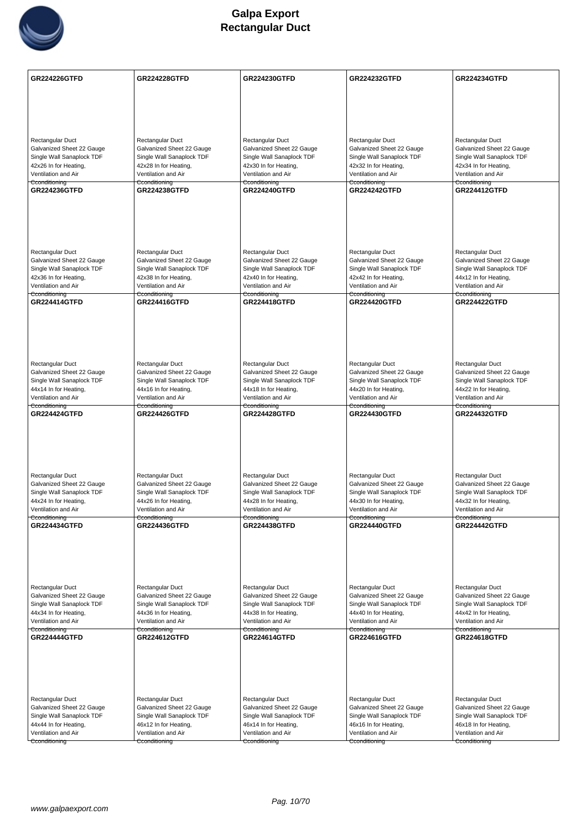

| <b>GR224226GTFD</b>                                | <b>GR224228GTFD</b>                                | GR224230GTFD                                       | <b>GR224232GTFD</b>                                | <b>GR224234GTFD</b>                                |
|----------------------------------------------------|----------------------------------------------------|----------------------------------------------------|----------------------------------------------------|----------------------------------------------------|
|                                                    |                                                    |                                                    |                                                    |                                                    |
|                                                    |                                                    |                                                    |                                                    |                                                    |
|                                                    |                                                    |                                                    |                                                    |                                                    |
| Rectangular Duct                                   | Rectangular Duct                                   | Rectangular Duct                                   | Rectangular Duct                                   | Rectangular Duct                                   |
| Galvanized Sheet 22 Gauge                          | Galvanized Sheet 22 Gauge                          | Galvanized Sheet 22 Gauge                          | Galvanized Sheet 22 Gauge                          | Galvanized Sheet 22 Gauge                          |
| Single Wall Sanaplock TDF                          | Single Wall Sanaplock TDF                          | Single Wall Sanaplock TDF                          | Single Wall Sanaplock TDF                          | Single Wall Sanaplock TDF                          |
| 42x26 In for Heating,<br>Ventilation and Air       | 42x28 In for Heating,<br>Ventilation and Air       | 42x30 In for Heating,<br>Ventilation and Air       | 42x32 In for Heating,<br>Ventilation and Air       | 42x34 In for Heating,<br>Ventilation and Air       |
| Cconditioning                                      | Cconditioning                                      | Cconditioning                                      | Cconditioning                                      | Cconditioning                                      |
| <b>GR224236GTFD</b>                                | <b>GR224238GTFD</b>                                | <b>GR224240GTFD</b>                                | <b>GR224242GTFD</b>                                | <b>GR224412GTFD</b>                                |
|                                                    |                                                    |                                                    |                                                    |                                                    |
|                                                    |                                                    |                                                    |                                                    |                                                    |
|                                                    |                                                    |                                                    |                                                    |                                                    |
| Rectangular Duct                                   | Rectangular Duct                                   | Rectangular Duct                                   | Rectangular Duct                                   | Rectangular Duct                                   |
| Galvanized Sheet 22 Gauge                          | Galvanized Sheet 22 Gauge                          | Galvanized Sheet 22 Gauge                          | Galvanized Sheet 22 Gauge                          | Galvanized Sheet 22 Gauge                          |
| Single Wall Sanaplock TDF<br>42x36 In for Heating, | Single Wall Sanaplock TDF<br>42x38 In for Heating, | Single Wall Sanaplock TDF<br>42x40 In for Heating, | Single Wall Sanaplock TDF<br>42x42 In for Heating, | Single Wall Sanaplock TDF<br>44x12 In for Heating, |
| Ventilation and Air                                | Ventilation and Air                                | Ventilation and Air                                | Ventilation and Air                                | Ventilation and Air                                |
| Cconditioning<br><b>GR224414GTFD</b>               | Cconditioning<br><b>GR224416GTFD</b>               | Cconditioning<br><b>GR224418GTFD</b>               | Cconditioning<br><b>GR224420GTFD</b>               | Cconditioning<br><b>GR224422GTFD</b>               |
|                                                    |                                                    |                                                    |                                                    |                                                    |
|                                                    |                                                    |                                                    |                                                    |                                                    |
|                                                    |                                                    |                                                    |                                                    |                                                    |
|                                                    |                                                    |                                                    |                                                    |                                                    |
| Rectangular Duct<br>Galvanized Sheet 22 Gauge      | Rectangular Duct<br>Galvanized Sheet 22 Gauge      | Rectangular Duct<br>Galvanized Sheet 22 Gauge      | Rectangular Duct<br>Galvanized Sheet 22 Gauge      | Rectangular Duct<br>Galvanized Sheet 22 Gauge      |
| Single Wall Sanaplock TDF                          | Single Wall Sanaplock TDF                          | Single Wall Sanaplock TDF                          | Single Wall Sanaplock TDF                          | Single Wall Sanaplock TDF                          |
| 44x14 In for Heating,                              | 44x16 In for Heating,                              | 44x18 In for Heating,                              | 44x20 In for Heating,                              | 44x22 In for Heating,                              |
| Ventilation and Air<br>Cconditioning               | Ventilation and Air<br>Cconditioning               | Ventilation and Air<br>Cconditioning               | Ventilation and Air<br>Cconditioning               | Ventilation and Air<br>Cconditioning               |
| <b>GR224424GTFD</b>                                | <b>GR224426GTFD</b>                                | <b>GR224428GTFD</b>                                | <b>GR224430GTFD</b>                                | <b>GR224432GTFD</b>                                |
|                                                    |                                                    |                                                    |                                                    |                                                    |
|                                                    |                                                    |                                                    |                                                    |                                                    |
|                                                    |                                                    |                                                    |                                                    |                                                    |
| Rectangular Duct                                   | Rectangular Duct                                   | Rectangular Duct                                   | Rectangular Duct                                   | Rectangular Duct                                   |
| Galvanized Sheet 22 Gauge                          | Galvanized Sheet 22 Gauge                          | Galvanized Sheet 22 Gauge                          | Galvanized Sheet 22 Gauge                          | Galvanized Sheet 22 Gauge                          |
| Single Wall Sanaplock TDF<br>44x24 In for Heating, | Single Wall Sanaplock TDF<br>44x26 In for Heating, | Single Wall Sanaplock TDF<br>44x28 In for Heating, | Single Wall Sanaplock TDF<br>44x30 In for Heating, | Single Wall Sanaplock TDF<br>44x32 In for Heating, |
| Ventilation and Air                                | Ventilation and Air                                | Ventilation and Air                                | Ventilation and Air                                | Ventilation and Air                                |
| Cconditioning<br><b>GR224434GTFD</b>               | Cconditioning<br><b>GR224436GTFD</b>               | Cconditioning<br><b>GR224438GTFD</b>               | Cconditioning<br><b>GR224440GTFD</b>               | Cconditioning<br><b>GR224442GTFD</b>               |
|                                                    |                                                    |                                                    |                                                    |                                                    |
|                                                    |                                                    |                                                    |                                                    |                                                    |
|                                                    |                                                    |                                                    |                                                    |                                                    |
|                                                    |                                                    |                                                    |                                                    |                                                    |
| Rectangular Duct<br>Galvanized Sheet 22 Gauge      | Rectangular Duct<br>Galvanized Sheet 22 Gauge      | Rectangular Duct<br>Galvanized Sheet 22 Gauge      | Rectangular Duct<br>Galvanized Sheet 22 Gauge      | Rectangular Duct<br>Galvanized Sheet 22 Gauge      |
| Single Wall Sanaplock TDF                          | Single Wall Sanaplock TDF                          | Single Wall Sanaplock TDF                          | Single Wall Sanaplock TDF                          | Single Wall Sanaplock TDF                          |
| 44x34 In for Heating,                              | 44x36 In for Heating,                              | 44x38 In for Heating,                              | 44x40 In for Heating,                              | 44x42 In for Heating,                              |
| Ventilation and Air<br>Cconditioning               | Ventilation and Air<br>Cconditioning               | Ventilation and Air<br>Cconditioning               | Ventilation and Air<br>Cconditioning               | Ventilation and Air<br>Cconditioning               |
| <b>GR224444GTFD</b>                                | <b>GR224612GTFD</b>                                | <b>GR224614GTFD</b>                                | <b>GR224616GTFD</b>                                | <b>GR224618GTFD</b>                                |
|                                                    |                                                    |                                                    |                                                    |                                                    |
|                                                    |                                                    |                                                    |                                                    |                                                    |
|                                                    |                                                    |                                                    |                                                    |                                                    |
|                                                    |                                                    |                                                    |                                                    |                                                    |
| Rectangular Duct<br>Galvanized Sheet 22 Gauge      | Rectangular Duct<br>Galvanized Sheet 22 Gauge      | Rectangular Duct<br>Galvanized Sheet 22 Gauge      | Rectangular Duct<br>Galvanized Sheet 22 Gauge      | Rectangular Duct<br>Galvanized Sheet 22 Gauge      |
| Single Wall Sanaplock TDF                          | Single Wall Sanaplock TDF                          | Single Wall Sanaplock TDF                          | Single Wall Sanaplock TDF                          | Single Wall Sanaplock TDF                          |
| 44x44 In for Heating,                              | 46x12 In for Heating,                              | 46x14 In for Heating,                              | 46x16 In for Heating,                              | 46x18 In for Heating,                              |
| Ventilation and Air<br>Cconditioning               | Ventilation and Air<br>Cconditioning               | Ventilation and Air<br>Cconditioning               | Ventilation and Air<br>Cconditioning               | Ventilation and Air<br>Cconditioning               |
|                                                    |                                                    |                                                    |                                                    |                                                    |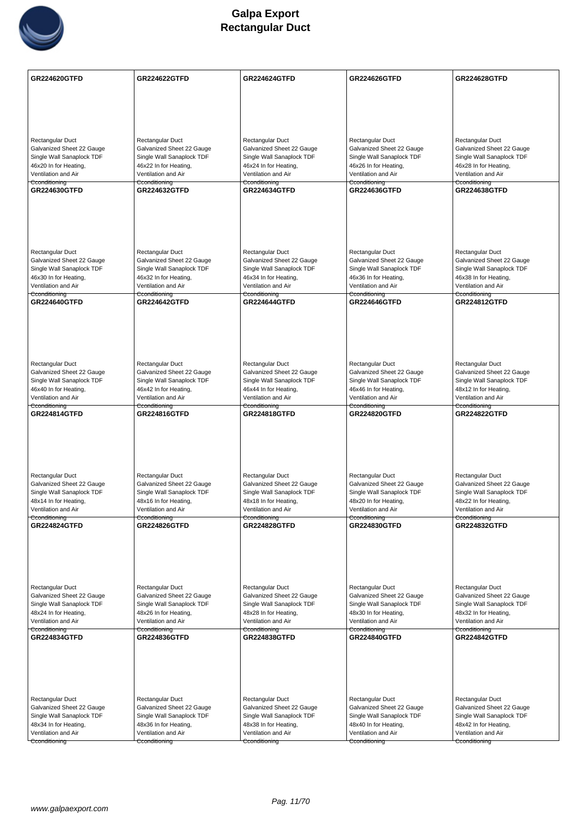

| Rectangular Duct<br>Rectangular Duct<br>Rectangular Duct<br>Rectangular Duct<br>Rectangular Duct<br>Galvanized Sheet 22 Gauge<br>Galvanized Sheet 22 Gauge<br>Galvanized Sheet 22 Gauge<br>Galvanized Sheet 22 Gauge<br>Galvanized Sheet 22 Gauge<br>Single Wall Sanaplock TDF<br>Single Wall Sanaplock TDF<br>Single Wall Sanaplock TDF<br>Single Wall Sanaplock TDF<br>Single Wall Sanaplock TDF<br>46x20 In for Heating,<br>46x22 In for Heating,<br>46x24 In for Heating,<br>46x26 In for Heating,<br>46x28 In for Heating,<br>Ventilation and Air<br>Ventilation and Air<br>Ventilation and Air<br>Ventilation and Air<br>Ventilation and Air<br>Cconditioning<br>Cconditioning<br>Cconditioning<br>Cconditioning<br>Cconditioning<br>GR224630GTFD<br><b>GR224632GTFD</b><br><b>GR224634GTFD</b><br><b>GR224636GTFD</b><br><b>GR224638GTFD</b><br>Rectangular Duct<br>Rectangular Duct<br>Rectangular Duct<br>Rectangular Duct<br>Rectangular Duct<br>Galvanized Sheet 22 Gauge<br>Galvanized Sheet 22 Gauge<br>Galvanized Sheet 22 Gauge<br>Galvanized Sheet 22 Gauge<br>Galvanized Sheet 22 Gauge<br>Single Wall Sanaplock TDF<br>Single Wall Sanaplock TDF<br>Single Wall Sanaplock TDF<br>Single Wall Sanaplock TDF<br>Single Wall Sanaplock TDF<br>46x30 In for Heating,<br>46x32 In for Heating,<br>46x34 In for Heating,<br>46x36 In for Heating,<br>46x38 In for Heating,<br>Ventilation and Air<br>Ventilation and Air<br>Ventilation and Air<br>Ventilation and Air<br>Ventilation and Air<br>Cconditioning<br>Cconditioning<br>Cconditioning<br>Cconditioning<br>Cconditioning<br><b>GR224640GTFD</b><br><b>GR224642GTFD</b><br><b>GR224644GTFD</b><br><b>GR224646GTFD</b><br><b>GR224812GTFD</b><br>Rectangular Duct<br>Rectangular Duct<br>Rectangular Duct<br>Rectangular Duct<br>Rectangular Duct<br>Galvanized Sheet 22 Gauge<br>Galvanized Sheet 22 Gauge<br>Galvanized Sheet 22 Gauge<br>Galvanized Sheet 22 Gauge<br>Galvanized Sheet 22 Gauge<br>Single Wall Sanaplock TDF<br>Single Wall Sanaplock TDF<br>Single Wall Sanaplock TDF<br>Single Wall Sanaplock TDF<br>Single Wall Sanaplock TDF<br>46x40 In for Heating,<br>46x42 In for Heating,<br>46x44 In for Heating,<br>46x46 In for Heating,<br>48x12 In for Heating,<br>Ventilation and Air<br>Ventilation and Air<br>Ventilation and Air<br>Ventilation and Air<br>Ventilation and Air<br>Cconditioning<br>Cconditioning<br>Cconditioning<br>Cconditioning<br>Cconditioning<br>GR224814GTFD<br><b>GR224816GTFD</b><br><b>GR224818GTFD</b><br><b>GR224820GTFD</b><br><b>GR224822GTFD</b><br>Rectangular Duct<br>Rectangular Duct<br>Rectangular Duct<br>Rectangular Duct<br>Rectangular Duct<br>Galvanized Sheet 22 Gauge<br>Galvanized Sheet 22 Gauge<br>Galvanized Sheet 22 Gauge<br>Galvanized Sheet 22 Gauge<br>Galvanized Sheet 22 Gauge<br>Single Wall Sanaplock TDF<br>Single Wall Sanaplock TDF<br>Single Wall Sanaplock TDF<br>Single Wall Sanaplock TDF<br>Single Wall Sanaplock TDF<br>48x14 In for Heating,<br>48x16 In for Heating,<br>48x18 In for Heating,<br>48x20 In for Heating,<br>48x22 In for Heating,<br>Ventilation and Air<br>Ventilation and Air<br>Ventilation and Air<br>Ventilation and Air<br>Ventilation and Air<br>Cconditioning<br>Cconditioning<br>Cconditioning<br>Cconditioning<br><b>GR224824GTFD</b><br><b>GR224826GTFD</b><br><b>GR224828GTFD</b><br>GR224830GTFD<br><b>GR224832GTFD</b><br>Rectangular Duct<br>Rectangular Duct<br>Rectangular Duct<br>Rectangular Duct<br>Rectangular Duct<br>Galvanized Sheet 22 Gauge<br>Galvanized Sheet 22 Gauge<br>Galvanized Sheet 22 Gauge<br>Galvanized Sheet 22 Gauge<br>Galvanized Sheet 22 Gauge<br>Single Wall Sanaplock TDF<br>Single Wall Sanaplock TDF<br>Single Wall Sanaplock TDF<br>Single Wall Sanaplock TDF<br>Single Wall Sanaplock TDF<br>48x24 In for Heating,<br>48x26 In for Heating,<br>48x28 In for Heating,<br>48x30 In for Heating,<br>48x32 In for Heating,<br>Ventilation and Air<br>Ventilation and Air<br>Ventilation and Air<br>Ventilation and Air<br>Ventilation and Air<br>Cconditioning<br>Cconditioning<br>Cconditioning<br>Cconditioning<br>Cconditioning<br><b>GR224834GTFD</b><br><b>GR224838GTFD</b><br><b>GR224840GTFD</b><br><b>GR224842GTFD</b><br><b>GR224836GTFD</b><br>Rectangular Duct<br>Rectangular Duct<br>Rectangular Duct<br>Rectangular Duct<br>Rectangular Duct<br>Galvanized Sheet 22 Gauge<br>Galvanized Sheet 22 Gauge<br>Galvanized Sheet 22 Gauge<br>Galvanized Sheet 22 Gauge<br>Galvanized Sheet 22 Gauge<br>Single Wall Sanaplock TDF<br>Single Wall Sanaplock TDF<br>Single Wall Sanaplock TDF<br>Single Wall Sanaplock TDF<br>Single Wall Sanaplock TDF<br>48x34 In for Heating,<br>48x36 In for Heating,<br>48x38 In for Heating,<br>48x40 In for Heating,<br>48x42 In for Heating,<br>Ventilation and Air<br>Ventilation and Air<br>Ventilation and Air<br>Ventilation and Air<br>Ventilation and Air<br>Cconditioning<br>Cconditioning<br>Cconditioning<br>Cconditioning<br>Cconditioning | <b>GR224620GTFD</b> | <b>GR224622GTFD</b> | <b>GR224624GTFD</b> | <b>GR224626GTFD</b> | <b>GR224628GTFD</b> |
|-------------------------------------------------------------------------------------------------------------------------------------------------------------------------------------------------------------------------------------------------------------------------------------------------------------------------------------------------------------------------------------------------------------------------------------------------------------------------------------------------------------------------------------------------------------------------------------------------------------------------------------------------------------------------------------------------------------------------------------------------------------------------------------------------------------------------------------------------------------------------------------------------------------------------------------------------------------------------------------------------------------------------------------------------------------------------------------------------------------------------------------------------------------------------------------------------------------------------------------------------------------------------------------------------------------------------------------------------------------------------------------------------------------------------------------------------------------------------------------------------------------------------------------------------------------------------------------------------------------------------------------------------------------------------------------------------------------------------------------------------------------------------------------------------------------------------------------------------------------------------------------------------------------------------------------------------------------------------------------------------------------------------------------------------------------------------------------------------------------------------------------------------------------------------------------------------------------------------------------------------------------------------------------------------------------------------------------------------------------------------------------------------------------------------------------------------------------------------------------------------------------------------------------------------------------------------------------------------------------------------------------------------------------------------------------------------------------------------------------------------------------------------------------------------------------------------------------------------------------------------------------------------------------------------------------------------------------------------------------------------------------------------------------------------------------------------------------------------------------------------------------------------------------------------------------------------------------------------------------------------------------------------------------------------------------------------------------------------------------------------------------------------------------------------------------------------------------------------------------------------------------------------------------------------------------------------------------------------------------------------------------------------------------------------------------------------------------------------------------------------------------------------------------------------------------------------------------------------------------------------------------------------------------------------------------------------------------------------------------------------------------------------------------------------------------------------------------------------------------------------------------------------------------------------------------------------------------------------------------------------------------------------------------------------------------------------------------------------------------------------------------------------------------------------------------------------------------------------------------------------------------------------------------------------------------------------------------------------------------------------------------------------------------------------------------------------------------------------------------------------------------------------------------------------------------------------------------------------------------------------------------------------------------------------------------------------------------------------------------------------------------------------|---------------------|---------------------|---------------------|---------------------|---------------------|
|                                                                                                                                                                                                                                                                                                                                                                                                                                                                                                                                                                                                                                                                                                                                                                                                                                                                                                                                                                                                                                                                                                                                                                                                                                                                                                                                                                                                                                                                                                                                                                                                                                                                                                                                                                                                                                                                                                                                                                                                                                                                                                                                                                                                                                                                                                                                                                                                                                                                                                                                                                                                                                                                                                                                                                                                                                                                                                                                                                                                                                                                                                                                                                                                                                                                                                                                                                                                                                                                                                                                                                                                                                                                                                                                                                                                                                                                                                                                                                                                                                                                                                                                                                                                                                                                                                                                                                                                                                                                                                                                                                                                                                                                                                                                                                                                                                                                                                                                                                                                                         |                     |                     |                     |                     |                     |
|                                                                                                                                                                                                                                                                                                                                                                                                                                                                                                                                                                                                                                                                                                                                                                                                                                                                                                                                                                                                                                                                                                                                                                                                                                                                                                                                                                                                                                                                                                                                                                                                                                                                                                                                                                                                                                                                                                                                                                                                                                                                                                                                                                                                                                                                                                                                                                                                                                                                                                                                                                                                                                                                                                                                                                                                                                                                                                                                                                                                                                                                                                                                                                                                                                                                                                                                                                                                                                                                                                                                                                                                                                                                                                                                                                                                                                                                                                                                                                                                                                                                                                                                                                                                                                                                                                                                                                                                                                                                                                                                                                                                                                                                                                                                                                                                                                                                                                                                                                                                                         |                     |                     |                     |                     |                     |
|                                                                                                                                                                                                                                                                                                                                                                                                                                                                                                                                                                                                                                                                                                                                                                                                                                                                                                                                                                                                                                                                                                                                                                                                                                                                                                                                                                                                                                                                                                                                                                                                                                                                                                                                                                                                                                                                                                                                                                                                                                                                                                                                                                                                                                                                                                                                                                                                                                                                                                                                                                                                                                                                                                                                                                                                                                                                                                                                                                                                                                                                                                                                                                                                                                                                                                                                                                                                                                                                                                                                                                                                                                                                                                                                                                                                                                                                                                                                                                                                                                                                                                                                                                                                                                                                                                                                                                                                                                                                                                                                                                                                                                                                                                                                                                                                                                                                                                                                                                                                                         |                     |                     |                     |                     |                     |
|                                                                                                                                                                                                                                                                                                                                                                                                                                                                                                                                                                                                                                                                                                                                                                                                                                                                                                                                                                                                                                                                                                                                                                                                                                                                                                                                                                                                                                                                                                                                                                                                                                                                                                                                                                                                                                                                                                                                                                                                                                                                                                                                                                                                                                                                                                                                                                                                                                                                                                                                                                                                                                                                                                                                                                                                                                                                                                                                                                                                                                                                                                                                                                                                                                                                                                                                                                                                                                                                                                                                                                                                                                                                                                                                                                                                                                                                                                                                                                                                                                                                                                                                                                                                                                                                                                                                                                                                                                                                                                                                                                                                                                                                                                                                                                                                                                                                                                                                                                                                                         |                     |                     |                     |                     |                     |
|                                                                                                                                                                                                                                                                                                                                                                                                                                                                                                                                                                                                                                                                                                                                                                                                                                                                                                                                                                                                                                                                                                                                                                                                                                                                                                                                                                                                                                                                                                                                                                                                                                                                                                                                                                                                                                                                                                                                                                                                                                                                                                                                                                                                                                                                                                                                                                                                                                                                                                                                                                                                                                                                                                                                                                                                                                                                                                                                                                                                                                                                                                                                                                                                                                                                                                                                                                                                                                                                                                                                                                                                                                                                                                                                                                                                                                                                                                                                                                                                                                                                                                                                                                                                                                                                                                                                                                                                                                                                                                                                                                                                                                                                                                                                                                                                                                                                                                                                                                                                                         |                     |                     |                     |                     |                     |
|                                                                                                                                                                                                                                                                                                                                                                                                                                                                                                                                                                                                                                                                                                                                                                                                                                                                                                                                                                                                                                                                                                                                                                                                                                                                                                                                                                                                                                                                                                                                                                                                                                                                                                                                                                                                                                                                                                                                                                                                                                                                                                                                                                                                                                                                                                                                                                                                                                                                                                                                                                                                                                                                                                                                                                                                                                                                                                                                                                                                                                                                                                                                                                                                                                                                                                                                                                                                                                                                                                                                                                                                                                                                                                                                                                                                                                                                                                                                                                                                                                                                                                                                                                                                                                                                                                                                                                                                                                                                                                                                                                                                                                                                                                                                                                                                                                                                                                                                                                                                                         |                     |                     |                     |                     |                     |
|                                                                                                                                                                                                                                                                                                                                                                                                                                                                                                                                                                                                                                                                                                                                                                                                                                                                                                                                                                                                                                                                                                                                                                                                                                                                                                                                                                                                                                                                                                                                                                                                                                                                                                                                                                                                                                                                                                                                                                                                                                                                                                                                                                                                                                                                                                                                                                                                                                                                                                                                                                                                                                                                                                                                                                                                                                                                                                                                                                                                                                                                                                                                                                                                                                                                                                                                                                                                                                                                                                                                                                                                                                                                                                                                                                                                                                                                                                                                                                                                                                                                                                                                                                                                                                                                                                                                                                                                                                                                                                                                                                                                                                                                                                                                                                                                                                                                                                                                                                                                                         |                     |                     |                     |                     |                     |
|                                                                                                                                                                                                                                                                                                                                                                                                                                                                                                                                                                                                                                                                                                                                                                                                                                                                                                                                                                                                                                                                                                                                                                                                                                                                                                                                                                                                                                                                                                                                                                                                                                                                                                                                                                                                                                                                                                                                                                                                                                                                                                                                                                                                                                                                                                                                                                                                                                                                                                                                                                                                                                                                                                                                                                                                                                                                                                                                                                                                                                                                                                                                                                                                                                                                                                                                                                                                                                                                                                                                                                                                                                                                                                                                                                                                                                                                                                                                                                                                                                                                                                                                                                                                                                                                                                                                                                                                                                                                                                                                                                                                                                                                                                                                                                                                                                                                                                                                                                                                                         |                     |                     |                     |                     |                     |
|                                                                                                                                                                                                                                                                                                                                                                                                                                                                                                                                                                                                                                                                                                                                                                                                                                                                                                                                                                                                                                                                                                                                                                                                                                                                                                                                                                                                                                                                                                                                                                                                                                                                                                                                                                                                                                                                                                                                                                                                                                                                                                                                                                                                                                                                                                                                                                                                                                                                                                                                                                                                                                                                                                                                                                                                                                                                                                                                                                                                                                                                                                                                                                                                                                                                                                                                                                                                                                                                                                                                                                                                                                                                                                                                                                                                                                                                                                                                                                                                                                                                                                                                                                                                                                                                                                                                                                                                                                                                                                                                                                                                                                                                                                                                                                                                                                                                                                                                                                                                                         |                     |                     |                     |                     |                     |
|                                                                                                                                                                                                                                                                                                                                                                                                                                                                                                                                                                                                                                                                                                                                                                                                                                                                                                                                                                                                                                                                                                                                                                                                                                                                                                                                                                                                                                                                                                                                                                                                                                                                                                                                                                                                                                                                                                                                                                                                                                                                                                                                                                                                                                                                                                                                                                                                                                                                                                                                                                                                                                                                                                                                                                                                                                                                                                                                                                                                                                                                                                                                                                                                                                                                                                                                                                                                                                                                                                                                                                                                                                                                                                                                                                                                                                                                                                                                                                                                                                                                                                                                                                                                                                                                                                                                                                                                                                                                                                                                                                                                                                                                                                                                                                                                                                                                                                                                                                                                                         |                     |                     |                     |                     |                     |
|                                                                                                                                                                                                                                                                                                                                                                                                                                                                                                                                                                                                                                                                                                                                                                                                                                                                                                                                                                                                                                                                                                                                                                                                                                                                                                                                                                                                                                                                                                                                                                                                                                                                                                                                                                                                                                                                                                                                                                                                                                                                                                                                                                                                                                                                                                                                                                                                                                                                                                                                                                                                                                                                                                                                                                                                                                                                                                                                                                                                                                                                                                                                                                                                                                                                                                                                                                                                                                                                                                                                                                                                                                                                                                                                                                                                                                                                                                                                                                                                                                                                                                                                                                                                                                                                                                                                                                                                                                                                                                                                                                                                                                                                                                                                                                                                                                                                                                                                                                                                                         |                     |                     |                     |                     |                     |
|                                                                                                                                                                                                                                                                                                                                                                                                                                                                                                                                                                                                                                                                                                                                                                                                                                                                                                                                                                                                                                                                                                                                                                                                                                                                                                                                                                                                                                                                                                                                                                                                                                                                                                                                                                                                                                                                                                                                                                                                                                                                                                                                                                                                                                                                                                                                                                                                                                                                                                                                                                                                                                                                                                                                                                                                                                                                                                                                                                                                                                                                                                                                                                                                                                                                                                                                                                                                                                                                                                                                                                                                                                                                                                                                                                                                                                                                                                                                                                                                                                                                                                                                                                                                                                                                                                                                                                                                                                                                                                                                                                                                                                                                                                                                                                                                                                                                                                                                                                                                                         |                     |                     |                     |                     |                     |
|                                                                                                                                                                                                                                                                                                                                                                                                                                                                                                                                                                                                                                                                                                                                                                                                                                                                                                                                                                                                                                                                                                                                                                                                                                                                                                                                                                                                                                                                                                                                                                                                                                                                                                                                                                                                                                                                                                                                                                                                                                                                                                                                                                                                                                                                                                                                                                                                                                                                                                                                                                                                                                                                                                                                                                                                                                                                                                                                                                                                                                                                                                                                                                                                                                                                                                                                                                                                                                                                                                                                                                                                                                                                                                                                                                                                                                                                                                                                                                                                                                                                                                                                                                                                                                                                                                                                                                                                                                                                                                                                                                                                                                                                                                                                                                                                                                                                                                                                                                                                                         |                     |                     |                     |                     |                     |
|                                                                                                                                                                                                                                                                                                                                                                                                                                                                                                                                                                                                                                                                                                                                                                                                                                                                                                                                                                                                                                                                                                                                                                                                                                                                                                                                                                                                                                                                                                                                                                                                                                                                                                                                                                                                                                                                                                                                                                                                                                                                                                                                                                                                                                                                                                                                                                                                                                                                                                                                                                                                                                                                                                                                                                                                                                                                                                                                                                                                                                                                                                                                                                                                                                                                                                                                                                                                                                                                                                                                                                                                                                                                                                                                                                                                                                                                                                                                                                                                                                                                                                                                                                                                                                                                                                                                                                                                                                                                                                                                                                                                                                                                                                                                                                                                                                                                                                                                                                                                                         |                     |                     |                     |                     |                     |
|                                                                                                                                                                                                                                                                                                                                                                                                                                                                                                                                                                                                                                                                                                                                                                                                                                                                                                                                                                                                                                                                                                                                                                                                                                                                                                                                                                                                                                                                                                                                                                                                                                                                                                                                                                                                                                                                                                                                                                                                                                                                                                                                                                                                                                                                                                                                                                                                                                                                                                                                                                                                                                                                                                                                                                                                                                                                                                                                                                                                                                                                                                                                                                                                                                                                                                                                                                                                                                                                                                                                                                                                                                                                                                                                                                                                                                                                                                                                                                                                                                                                                                                                                                                                                                                                                                                                                                                                                                                                                                                                                                                                                                                                                                                                                                                                                                                                                                                                                                                                                         |                     |                     |                     |                     |                     |
|                                                                                                                                                                                                                                                                                                                                                                                                                                                                                                                                                                                                                                                                                                                                                                                                                                                                                                                                                                                                                                                                                                                                                                                                                                                                                                                                                                                                                                                                                                                                                                                                                                                                                                                                                                                                                                                                                                                                                                                                                                                                                                                                                                                                                                                                                                                                                                                                                                                                                                                                                                                                                                                                                                                                                                                                                                                                                                                                                                                                                                                                                                                                                                                                                                                                                                                                                                                                                                                                                                                                                                                                                                                                                                                                                                                                                                                                                                                                                                                                                                                                                                                                                                                                                                                                                                                                                                                                                                                                                                                                                                                                                                                                                                                                                                                                                                                                                                                                                                                                                         |                     |                     |                     |                     |                     |
|                                                                                                                                                                                                                                                                                                                                                                                                                                                                                                                                                                                                                                                                                                                                                                                                                                                                                                                                                                                                                                                                                                                                                                                                                                                                                                                                                                                                                                                                                                                                                                                                                                                                                                                                                                                                                                                                                                                                                                                                                                                                                                                                                                                                                                                                                                                                                                                                                                                                                                                                                                                                                                                                                                                                                                                                                                                                                                                                                                                                                                                                                                                                                                                                                                                                                                                                                                                                                                                                                                                                                                                                                                                                                                                                                                                                                                                                                                                                                                                                                                                                                                                                                                                                                                                                                                                                                                                                                                                                                                                                                                                                                                                                                                                                                                                                                                                                                                                                                                                                                         |                     |                     |                     |                     |                     |
|                                                                                                                                                                                                                                                                                                                                                                                                                                                                                                                                                                                                                                                                                                                                                                                                                                                                                                                                                                                                                                                                                                                                                                                                                                                                                                                                                                                                                                                                                                                                                                                                                                                                                                                                                                                                                                                                                                                                                                                                                                                                                                                                                                                                                                                                                                                                                                                                                                                                                                                                                                                                                                                                                                                                                                                                                                                                                                                                                                                                                                                                                                                                                                                                                                                                                                                                                                                                                                                                                                                                                                                                                                                                                                                                                                                                                                                                                                                                                                                                                                                                                                                                                                                                                                                                                                                                                                                                                                                                                                                                                                                                                                                                                                                                                                                                                                                                                                                                                                                                                         |                     |                     |                     |                     |                     |
|                                                                                                                                                                                                                                                                                                                                                                                                                                                                                                                                                                                                                                                                                                                                                                                                                                                                                                                                                                                                                                                                                                                                                                                                                                                                                                                                                                                                                                                                                                                                                                                                                                                                                                                                                                                                                                                                                                                                                                                                                                                                                                                                                                                                                                                                                                                                                                                                                                                                                                                                                                                                                                                                                                                                                                                                                                                                                                                                                                                                                                                                                                                                                                                                                                                                                                                                                                                                                                                                                                                                                                                                                                                                                                                                                                                                                                                                                                                                                                                                                                                                                                                                                                                                                                                                                                                                                                                                                                                                                                                                                                                                                                                                                                                                                                                                                                                                                                                                                                                                                         |                     |                     |                     |                     |                     |
|                                                                                                                                                                                                                                                                                                                                                                                                                                                                                                                                                                                                                                                                                                                                                                                                                                                                                                                                                                                                                                                                                                                                                                                                                                                                                                                                                                                                                                                                                                                                                                                                                                                                                                                                                                                                                                                                                                                                                                                                                                                                                                                                                                                                                                                                                                                                                                                                                                                                                                                                                                                                                                                                                                                                                                                                                                                                                                                                                                                                                                                                                                                                                                                                                                                                                                                                                                                                                                                                                                                                                                                                                                                                                                                                                                                                                                                                                                                                                                                                                                                                                                                                                                                                                                                                                                                                                                                                                                                                                                                                                                                                                                                                                                                                                                                                                                                                                                                                                                                                                         |                     |                     |                     |                     |                     |
|                                                                                                                                                                                                                                                                                                                                                                                                                                                                                                                                                                                                                                                                                                                                                                                                                                                                                                                                                                                                                                                                                                                                                                                                                                                                                                                                                                                                                                                                                                                                                                                                                                                                                                                                                                                                                                                                                                                                                                                                                                                                                                                                                                                                                                                                                                                                                                                                                                                                                                                                                                                                                                                                                                                                                                                                                                                                                                                                                                                                                                                                                                                                                                                                                                                                                                                                                                                                                                                                                                                                                                                                                                                                                                                                                                                                                                                                                                                                                                                                                                                                                                                                                                                                                                                                                                                                                                                                                                                                                                                                                                                                                                                                                                                                                                                                                                                                                                                                                                                                                         |                     |                     |                     |                     |                     |
|                                                                                                                                                                                                                                                                                                                                                                                                                                                                                                                                                                                                                                                                                                                                                                                                                                                                                                                                                                                                                                                                                                                                                                                                                                                                                                                                                                                                                                                                                                                                                                                                                                                                                                                                                                                                                                                                                                                                                                                                                                                                                                                                                                                                                                                                                                                                                                                                                                                                                                                                                                                                                                                                                                                                                                                                                                                                                                                                                                                                                                                                                                                                                                                                                                                                                                                                                                                                                                                                                                                                                                                                                                                                                                                                                                                                                                                                                                                                                                                                                                                                                                                                                                                                                                                                                                                                                                                                                                                                                                                                                                                                                                                                                                                                                                                                                                                                                                                                                                                                                         |                     |                     |                     |                     |                     |
|                                                                                                                                                                                                                                                                                                                                                                                                                                                                                                                                                                                                                                                                                                                                                                                                                                                                                                                                                                                                                                                                                                                                                                                                                                                                                                                                                                                                                                                                                                                                                                                                                                                                                                                                                                                                                                                                                                                                                                                                                                                                                                                                                                                                                                                                                                                                                                                                                                                                                                                                                                                                                                                                                                                                                                                                                                                                                                                                                                                                                                                                                                                                                                                                                                                                                                                                                                                                                                                                                                                                                                                                                                                                                                                                                                                                                                                                                                                                                                                                                                                                                                                                                                                                                                                                                                                                                                                                                                                                                                                                                                                                                                                                                                                                                                                                                                                                                                                                                                                                                         |                     |                     |                     |                     |                     |
|                                                                                                                                                                                                                                                                                                                                                                                                                                                                                                                                                                                                                                                                                                                                                                                                                                                                                                                                                                                                                                                                                                                                                                                                                                                                                                                                                                                                                                                                                                                                                                                                                                                                                                                                                                                                                                                                                                                                                                                                                                                                                                                                                                                                                                                                                                                                                                                                                                                                                                                                                                                                                                                                                                                                                                                                                                                                                                                                                                                                                                                                                                                                                                                                                                                                                                                                                                                                                                                                                                                                                                                                                                                                                                                                                                                                                                                                                                                                                                                                                                                                                                                                                                                                                                                                                                                                                                                                                                                                                                                                                                                                                                                                                                                                                                                                                                                                                                                                                                                                                         |                     |                     |                     |                     |                     |
|                                                                                                                                                                                                                                                                                                                                                                                                                                                                                                                                                                                                                                                                                                                                                                                                                                                                                                                                                                                                                                                                                                                                                                                                                                                                                                                                                                                                                                                                                                                                                                                                                                                                                                                                                                                                                                                                                                                                                                                                                                                                                                                                                                                                                                                                                                                                                                                                                                                                                                                                                                                                                                                                                                                                                                                                                                                                                                                                                                                                                                                                                                                                                                                                                                                                                                                                                                                                                                                                                                                                                                                                                                                                                                                                                                                                                                                                                                                                                                                                                                                                                                                                                                                                                                                                                                                                                                                                                                                                                                                                                                                                                                                                                                                                                                                                                                                                                                                                                                                                                         |                     |                     |                     |                     |                     |
|                                                                                                                                                                                                                                                                                                                                                                                                                                                                                                                                                                                                                                                                                                                                                                                                                                                                                                                                                                                                                                                                                                                                                                                                                                                                                                                                                                                                                                                                                                                                                                                                                                                                                                                                                                                                                                                                                                                                                                                                                                                                                                                                                                                                                                                                                                                                                                                                                                                                                                                                                                                                                                                                                                                                                                                                                                                                                                                                                                                                                                                                                                                                                                                                                                                                                                                                                                                                                                                                                                                                                                                                                                                                                                                                                                                                                                                                                                                                                                                                                                                                                                                                                                                                                                                                                                                                                                                                                                                                                                                                                                                                                                                                                                                                                                                                                                                                                                                                                                                                                         |                     |                     |                     |                     |                     |
|                                                                                                                                                                                                                                                                                                                                                                                                                                                                                                                                                                                                                                                                                                                                                                                                                                                                                                                                                                                                                                                                                                                                                                                                                                                                                                                                                                                                                                                                                                                                                                                                                                                                                                                                                                                                                                                                                                                                                                                                                                                                                                                                                                                                                                                                                                                                                                                                                                                                                                                                                                                                                                                                                                                                                                                                                                                                                                                                                                                                                                                                                                                                                                                                                                                                                                                                                                                                                                                                                                                                                                                                                                                                                                                                                                                                                                                                                                                                                                                                                                                                                                                                                                                                                                                                                                                                                                                                                                                                                                                                                                                                                                                                                                                                                                                                                                                                                                                                                                                                                         |                     |                     |                     |                     |                     |
|                                                                                                                                                                                                                                                                                                                                                                                                                                                                                                                                                                                                                                                                                                                                                                                                                                                                                                                                                                                                                                                                                                                                                                                                                                                                                                                                                                                                                                                                                                                                                                                                                                                                                                                                                                                                                                                                                                                                                                                                                                                                                                                                                                                                                                                                                                                                                                                                                                                                                                                                                                                                                                                                                                                                                                                                                                                                                                                                                                                                                                                                                                                                                                                                                                                                                                                                                                                                                                                                                                                                                                                                                                                                                                                                                                                                                                                                                                                                                                                                                                                                                                                                                                                                                                                                                                                                                                                                                                                                                                                                                                                                                                                                                                                                                                                                                                                                                                                                                                                                                         |                     |                     |                     |                     |                     |
|                                                                                                                                                                                                                                                                                                                                                                                                                                                                                                                                                                                                                                                                                                                                                                                                                                                                                                                                                                                                                                                                                                                                                                                                                                                                                                                                                                                                                                                                                                                                                                                                                                                                                                                                                                                                                                                                                                                                                                                                                                                                                                                                                                                                                                                                                                                                                                                                                                                                                                                                                                                                                                                                                                                                                                                                                                                                                                                                                                                                                                                                                                                                                                                                                                                                                                                                                                                                                                                                                                                                                                                                                                                                                                                                                                                                                                                                                                                                                                                                                                                                                                                                                                                                                                                                                                                                                                                                                                                                                                                                                                                                                                                                                                                                                                                                                                                                                                                                                                                                                         |                     |                     |                     |                     |                     |
|                                                                                                                                                                                                                                                                                                                                                                                                                                                                                                                                                                                                                                                                                                                                                                                                                                                                                                                                                                                                                                                                                                                                                                                                                                                                                                                                                                                                                                                                                                                                                                                                                                                                                                                                                                                                                                                                                                                                                                                                                                                                                                                                                                                                                                                                                                                                                                                                                                                                                                                                                                                                                                                                                                                                                                                                                                                                                                                                                                                                                                                                                                                                                                                                                                                                                                                                                                                                                                                                                                                                                                                                                                                                                                                                                                                                                                                                                                                                                                                                                                                                                                                                                                                                                                                                                                                                                                                                                                                                                                                                                                                                                                                                                                                                                                                                                                                                                                                                                                                                                         |                     |                     |                     |                     |                     |
|                                                                                                                                                                                                                                                                                                                                                                                                                                                                                                                                                                                                                                                                                                                                                                                                                                                                                                                                                                                                                                                                                                                                                                                                                                                                                                                                                                                                                                                                                                                                                                                                                                                                                                                                                                                                                                                                                                                                                                                                                                                                                                                                                                                                                                                                                                                                                                                                                                                                                                                                                                                                                                                                                                                                                                                                                                                                                                                                                                                                                                                                                                                                                                                                                                                                                                                                                                                                                                                                                                                                                                                                                                                                                                                                                                                                                                                                                                                                                                                                                                                                                                                                                                                                                                                                                                                                                                                                                                                                                                                                                                                                                                                                                                                                                                                                                                                                                                                                                                                                                         |                     |                     |                     |                     |                     |
|                                                                                                                                                                                                                                                                                                                                                                                                                                                                                                                                                                                                                                                                                                                                                                                                                                                                                                                                                                                                                                                                                                                                                                                                                                                                                                                                                                                                                                                                                                                                                                                                                                                                                                                                                                                                                                                                                                                                                                                                                                                                                                                                                                                                                                                                                                                                                                                                                                                                                                                                                                                                                                                                                                                                                                                                                                                                                                                                                                                                                                                                                                                                                                                                                                                                                                                                                                                                                                                                                                                                                                                                                                                                                                                                                                                                                                                                                                                                                                                                                                                                                                                                                                                                                                                                                                                                                                                                                                                                                                                                                                                                                                                                                                                                                                                                                                                                                                                                                                                                                         |                     |                     |                     |                     |                     |
|                                                                                                                                                                                                                                                                                                                                                                                                                                                                                                                                                                                                                                                                                                                                                                                                                                                                                                                                                                                                                                                                                                                                                                                                                                                                                                                                                                                                                                                                                                                                                                                                                                                                                                                                                                                                                                                                                                                                                                                                                                                                                                                                                                                                                                                                                                                                                                                                                                                                                                                                                                                                                                                                                                                                                                                                                                                                                                                                                                                                                                                                                                                                                                                                                                                                                                                                                                                                                                                                                                                                                                                                                                                                                                                                                                                                                                                                                                                                                                                                                                                                                                                                                                                                                                                                                                                                                                                                                                                                                                                                                                                                                                                                                                                                                                                                                                                                                                                                                                                                                         |                     |                     |                     |                     |                     |
|                                                                                                                                                                                                                                                                                                                                                                                                                                                                                                                                                                                                                                                                                                                                                                                                                                                                                                                                                                                                                                                                                                                                                                                                                                                                                                                                                                                                                                                                                                                                                                                                                                                                                                                                                                                                                                                                                                                                                                                                                                                                                                                                                                                                                                                                                                                                                                                                                                                                                                                                                                                                                                                                                                                                                                                                                                                                                                                                                                                                                                                                                                                                                                                                                                                                                                                                                                                                                                                                                                                                                                                                                                                                                                                                                                                                                                                                                                                                                                                                                                                                                                                                                                                                                                                                                                                                                                                                                                                                                                                                                                                                                                                                                                                                                                                                                                                                                                                                                                                                                         |                     |                     |                     |                     |                     |
|                                                                                                                                                                                                                                                                                                                                                                                                                                                                                                                                                                                                                                                                                                                                                                                                                                                                                                                                                                                                                                                                                                                                                                                                                                                                                                                                                                                                                                                                                                                                                                                                                                                                                                                                                                                                                                                                                                                                                                                                                                                                                                                                                                                                                                                                                                                                                                                                                                                                                                                                                                                                                                                                                                                                                                                                                                                                                                                                                                                                                                                                                                                                                                                                                                                                                                                                                                                                                                                                                                                                                                                                                                                                                                                                                                                                                                                                                                                                                                                                                                                                                                                                                                                                                                                                                                                                                                                                                                                                                                                                                                                                                                                                                                                                                                                                                                                                                                                                                                                                                         |                     |                     |                     |                     |                     |
|                                                                                                                                                                                                                                                                                                                                                                                                                                                                                                                                                                                                                                                                                                                                                                                                                                                                                                                                                                                                                                                                                                                                                                                                                                                                                                                                                                                                                                                                                                                                                                                                                                                                                                                                                                                                                                                                                                                                                                                                                                                                                                                                                                                                                                                                                                                                                                                                                                                                                                                                                                                                                                                                                                                                                                                                                                                                                                                                                                                                                                                                                                                                                                                                                                                                                                                                                                                                                                                                                                                                                                                                                                                                                                                                                                                                                                                                                                                                                                                                                                                                                                                                                                                                                                                                                                                                                                                                                                                                                                                                                                                                                                                                                                                                                                                                                                                                                                                                                                                                                         |                     |                     |                     |                     |                     |
|                                                                                                                                                                                                                                                                                                                                                                                                                                                                                                                                                                                                                                                                                                                                                                                                                                                                                                                                                                                                                                                                                                                                                                                                                                                                                                                                                                                                                                                                                                                                                                                                                                                                                                                                                                                                                                                                                                                                                                                                                                                                                                                                                                                                                                                                                                                                                                                                                                                                                                                                                                                                                                                                                                                                                                                                                                                                                                                                                                                                                                                                                                                                                                                                                                                                                                                                                                                                                                                                                                                                                                                                                                                                                                                                                                                                                                                                                                                                                                                                                                                                                                                                                                                                                                                                                                                                                                                                                                                                                                                                                                                                                                                                                                                                                                                                                                                                                                                                                                                                                         |                     |                     |                     |                     |                     |
|                                                                                                                                                                                                                                                                                                                                                                                                                                                                                                                                                                                                                                                                                                                                                                                                                                                                                                                                                                                                                                                                                                                                                                                                                                                                                                                                                                                                                                                                                                                                                                                                                                                                                                                                                                                                                                                                                                                                                                                                                                                                                                                                                                                                                                                                                                                                                                                                                                                                                                                                                                                                                                                                                                                                                                                                                                                                                                                                                                                                                                                                                                                                                                                                                                                                                                                                                                                                                                                                                                                                                                                                                                                                                                                                                                                                                                                                                                                                                                                                                                                                                                                                                                                                                                                                                                                                                                                                                                                                                                                                                                                                                                                                                                                                                                                                                                                                                                                                                                                                                         | Cconditioning       |                     |                     |                     |                     |
|                                                                                                                                                                                                                                                                                                                                                                                                                                                                                                                                                                                                                                                                                                                                                                                                                                                                                                                                                                                                                                                                                                                                                                                                                                                                                                                                                                                                                                                                                                                                                                                                                                                                                                                                                                                                                                                                                                                                                                                                                                                                                                                                                                                                                                                                                                                                                                                                                                                                                                                                                                                                                                                                                                                                                                                                                                                                                                                                                                                                                                                                                                                                                                                                                                                                                                                                                                                                                                                                                                                                                                                                                                                                                                                                                                                                                                                                                                                                                                                                                                                                                                                                                                                                                                                                                                                                                                                                                                                                                                                                                                                                                                                                                                                                                                                                                                                                                                                                                                                                                         |                     |                     |                     |                     |                     |
|                                                                                                                                                                                                                                                                                                                                                                                                                                                                                                                                                                                                                                                                                                                                                                                                                                                                                                                                                                                                                                                                                                                                                                                                                                                                                                                                                                                                                                                                                                                                                                                                                                                                                                                                                                                                                                                                                                                                                                                                                                                                                                                                                                                                                                                                                                                                                                                                                                                                                                                                                                                                                                                                                                                                                                                                                                                                                                                                                                                                                                                                                                                                                                                                                                                                                                                                                                                                                                                                                                                                                                                                                                                                                                                                                                                                                                                                                                                                                                                                                                                                                                                                                                                                                                                                                                                                                                                                                                                                                                                                                                                                                                                                                                                                                                                                                                                                                                                                                                                                                         |                     |                     |                     |                     |                     |
|                                                                                                                                                                                                                                                                                                                                                                                                                                                                                                                                                                                                                                                                                                                                                                                                                                                                                                                                                                                                                                                                                                                                                                                                                                                                                                                                                                                                                                                                                                                                                                                                                                                                                                                                                                                                                                                                                                                                                                                                                                                                                                                                                                                                                                                                                                                                                                                                                                                                                                                                                                                                                                                                                                                                                                                                                                                                                                                                                                                                                                                                                                                                                                                                                                                                                                                                                                                                                                                                                                                                                                                                                                                                                                                                                                                                                                                                                                                                                                                                                                                                                                                                                                                                                                                                                                                                                                                                                                                                                                                                                                                                                                                                                                                                                                                                                                                                                                                                                                                                                         |                     |                     |                     |                     |                     |
|                                                                                                                                                                                                                                                                                                                                                                                                                                                                                                                                                                                                                                                                                                                                                                                                                                                                                                                                                                                                                                                                                                                                                                                                                                                                                                                                                                                                                                                                                                                                                                                                                                                                                                                                                                                                                                                                                                                                                                                                                                                                                                                                                                                                                                                                                                                                                                                                                                                                                                                                                                                                                                                                                                                                                                                                                                                                                                                                                                                                                                                                                                                                                                                                                                                                                                                                                                                                                                                                                                                                                                                                                                                                                                                                                                                                                                                                                                                                                                                                                                                                                                                                                                                                                                                                                                                                                                                                                                                                                                                                                                                                                                                                                                                                                                                                                                                                                                                                                                                                                         |                     |                     |                     |                     |                     |
|                                                                                                                                                                                                                                                                                                                                                                                                                                                                                                                                                                                                                                                                                                                                                                                                                                                                                                                                                                                                                                                                                                                                                                                                                                                                                                                                                                                                                                                                                                                                                                                                                                                                                                                                                                                                                                                                                                                                                                                                                                                                                                                                                                                                                                                                                                                                                                                                                                                                                                                                                                                                                                                                                                                                                                                                                                                                                                                                                                                                                                                                                                                                                                                                                                                                                                                                                                                                                                                                                                                                                                                                                                                                                                                                                                                                                                                                                                                                                                                                                                                                                                                                                                                                                                                                                                                                                                                                                                                                                                                                                                                                                                                                                                                                                                                                                                                                                                                                                                                                                         |                     |                     |                     |                     |                     |
|                                                                                                                                                                                                                                                                                                                                                                                                                                                                                                                                                                                                                                                                                                                                                                                                                                                                                                                                                                                                                                                                                                                                                                                                                                                                                                                                                                                                                                                                                                                                                                                                                                                                                                                                                                                                                                                                                                                                                                                                                                                                                                                                                                                                                                                                                                                                                                                                                                                                                                                                                                                                                                                                                                                                                                                                                                                                                                                                                                                                                                                                                                                                                                                                                                                                                                                                                                                                                                                                                                                                                                                                                                                                                                                                                                                                                                                                                                                                                                                                                                                                                                                                                                                                                                                                                                                                                                                                                                                                                                                                                                                                                                                                                                                                                                                                                                                                                                                                                                                                                         |                     |                     |                     |                     |                     |
|                                                                                                                                                                                                                                                                                                                                                                                                                                                                                                                                                                                                                                                                                                                                                                                                                                                                                                                                                                                                                                                                                                                                                                                                                                                                                                                                                                                                                                                                                                                                                                                                                                                                                                                                                                                                                                                                                                                                                                                                                                                                                                                                                                                                                                                                                                                                                                                                                                                                                                                                                                                                                                                                                                                                                                                                                                                                                                                                                                                                                                                                                                                                                                                                                                                                                                                                                                                                                                                                                                                                                                                                                                                                                                                                                                                                                                                                                                                                                                                                                                                                                                                                                                                                                                                                                                                                                                                                                                                                                                                                                                                                                                                                                                                                                                                                                                                                                                                                                                                                                         |                     |                     |                     |                     |                     |
|                                                                                                                                                                                                                                                                                                                                                                                                                                                                                                                                                                                                                                                                                                                                                                                                                                                                                                                                                                                                                                                                                                                                                                                                                                                                                                                                                                                                                                                                                                                                                                                                                                                                                                                                                                                                                                                                                                                                                                                                                                                                                                                                                                                                                                                                                                                                                                                                                                                                                                                                                                                                                                                                                                                                                                                                                                                                                                                                                                                                                                                                                                                                                                                                                                                                                                                                                                                                                                                                                                                                                                                                                                                                                                                                                                                                                                                                                                                                                                                                                                                                                                                                                                                                                                                                                                                                                                                                                                                                                                                                                                                                                                                                                                                                                                                                                                                                                                                                                                                                                         |                     |                     |                     |                     |                     |
|                                                                                                                                                                                                                                                                                                                                                                                                                                                                                                                                                                                                                                                                                                                                                                                                                                                                                                                                                                                                                                                                                                                                                                                                                                                                                                                                                                                                                                                                                                                                                                                                                                                                                                                                                                                                                                                                                                                                                                                                                                                                                                                                                                                                                                                                                                                                                                                                                                                                                                                                                                                                                                                                                                                                                                                                                                                                                                                                                                                                                                                                                                                                                                                                                                                                                                                                                                                                                                                                                                                                                                                                                                                                                                                                                                                                                                                                                                                                                                                                                                                                                                                                                                                                                                                                                                                                                                                                                                                                                                                                                                                                                                                                                                                                                                                                                                                                                                                                                                                                                         |                     |                     |                     |                     |                     |
|                                                                                                                                                                                                                                                                                                                                                                                                                                                                                                                                                                                                                                                                                                                                                                                                                                                                                                                                                                                                                                                                                                                                                                                                                                                                                                                                                                                                                                                                                                                                                                                                                                                                                                                                                                                                                                                                                                                                                                                                                                                                                                                                                                                                                                                                                                                                                                                                                                                                                                                                                                                                                                                                                                                                                                                                                                                                                                                                                                                                                                                                                                                                                                                                                                                                                                                                                                                                                                                                                                                                                                                                                                                                                                                                                                                                                                                                                                                                                                                                                                                                                                                                                                                                                                                                                                                                                                                                                                                                                                                                                                                                                                                                                                                                                                                                                                                                                                                                                                                                                         |                     |                     |                     |                     |                     |
|                                                                                                                                                                                                                                                                                                                                                                                                                                                                                                                                                                                                                                                                                                                                                                                                                                                                                                                                                                                                                                                                                                                                                                                                                                                                                                                                                                                                                                                                                                                                                                                                                                                                                                                                                                                                                                                                                                                                                                                                                                                                                                                                                                                                                                                                                                                                                                                                                                                                                                                                                                                                                                                                                                                                                                                                                                                                                                                                                                                                                                                                                                                                                                                                                                                                                                                                                                                                                                                                                                                                                                                                                                                                                                                                                                                                                                                                                                                                                                                                                                                                                                                                                                                                                                                                                                                                                                                                                                                                                                                                                                                                                                                                                                                                                                                                                                                                                                                                                                                                                         |                     |                     |                     |                     |                     |
|                                                                                                                                                                                                                                                                                                                                                                                                                                                                                                                                                                                                                                                                                                                                                                                                                                                                                                                                                                                                                                                                                                                                                                                                                                                                                                                                                                                                                                                                                                                                                                                                                                                                                                                                                                                                                                                                                                                                                                                                                                                                                                                                                                                                                                                                                                                                                                                                                                                                                                                                                                                                                                                                                                                                                                                                                                                                                                                                                                                                                                                                                                                                                                                                                                                                                                                                                                                                                                                                                                                                                                                                                                                                                                                                                                                                                                                                                                                                                                                                                                                                                                                                                                                                                                                                                                                                                                                                                                                                                                                                                                                                                                                                                                                                                                                                                                                                                                                                                                                                                         |                     |                     |                     |                     |                     |
|                                                                                                                                                                                                                                                                                                                                                                                                                                                                                                                                                                                                                                                                                                                                                                                                                                                                                                                                                                                                                                                                                                                                                                                                                                                                                                                                                                                                                                                                                                                                                                                                                                                                                                                                                                                                                                                                                                                                                                                                                                                                                                                                                                                                                                                                                                                                                                                                                                                                                                                                                                                                                                                                                                                                                                                                                                                                                                                                                                                                                                                                                                                                                                                                                                                                                                                                                                                                                                                                                                                                                                                                                                                                                                                                                                                                                                                                                                                                                                                                                                                                                                                                                                                                                                                                                                                                                                                                                                                                                                                                                                                                                                                                                                                                                                                                                                                                                                                                                                                                                         |                     |                     |                     |                     |                     |
|                                                                                                                                                                                                                                                                                                                                                                                                                                                                                                                                                                                                                                                                                                                                                                                                                                                                                                                                                                                                                                                                                                                                                                                                                                                                                                                                                                                                                                                                                                                                                                                                                                                                                                                                                                                                                                                                                                                                                                                                                                                                                                                                                                                                                                                                                                                                                                                                                                                                                                                                                                                                                                                                                                                                                                                                                                                                                                                                                                                                                                                                                                                                                                                                                                                                                                                                                                                                                                                                                                                                                                                                                                                                                                                                                                                                                                                                                                                                                                                                                                                                                                                                                                                                                                                                                                                                                                                                                                                                                                                                                                                                                                                                                                                                                                                                                                                                                                                                                                                                                         |                     |                     |                     |                     |                     |
|                                                                                                                                                                                                                                                                                                                                                                                                                                                                                                                                                                                                                                                                                                                                                                                                                                                                                                                                                                                                                                                                                                                                                                                                                                                                                                                                                                                                                                                                                                                                                                                                                                                                                                                                                                                                                                                                                                                                                                                                                                                                                                                                                                                                                                                                                                                                                                                                                                                                                                                                                                                                                                                                                                                                                                                                                                                                                                                                                                                                                                                                                                                                                                                                                                                                                                                                                                                                                                                                                                                                                                                                                                                                                                                                                                                                                                                                                                                                                                                                                                                                                                                                                                                                                                                                                                                                                                                                                                                                                                                                                                                                                                                                                                                                                                                                                                                                                                                                                                                                                         |                     |                     |                     |                     |                     |
|                                                                                                                                                                                                                                                                                                                                                                                                                                                                                                                                                                                                                                                                                                                                                                                                                                                                                                                                                                                                                                                                                                                                                                                                                                                                                                                                                                                                                                                                                                                                                                                                                                                                                                                                                                                                                                                                                                                                                                                                                                                                                                                                                                                                                                                                                                                                                                                                                                                                                                                                                                                                                                                                                                                                                                                                                                                                                                                                                                                                                                                                                                                                                                                                                                                                                                                                                                                                                                                                                                                                                                                                                                                                                                                                                                                                                                                                                                                                                                                                                                                                                                                                                                                                                                                                                                                                                                                                                                                                                                                                                                                                                                                                                                                                                                                                                                                                                                                                                                                                                         |                     |                     |                     |                     |                     |
|                                                                                                                                                                                                                                                                                                                                                                                                                                                                                                                                                                                                                                                                                                                                                                                                                                                                                                                                                                                                                                                                                                                                                                                                                                                                                                                                                                                                                                                                                                                                                                                                                                                                                                                                                                                                                                                                                                                                                                                                                                                                                                                                                                                                                                                                                                                                                                                                                                                                                                                                                                                                                                                                                                                                                                                                                                                                                                                                                                                                                                                                                                                                                                                                                                                                                                                                                                                                                                                                                                                                                                                                                                                                                                                                                                                                                                                                                                                                                                                                                                                                                                                                                                                                                                                                                                                                                                                                                                                                                                                                                                                                                                                                                                                                                                                                                                                                                                                                                                                                                         |                     |                     |                     |                     |                     |
|                                                                                                                                                                                                                                                                                                                                                                                                                                                                                                                                                                                                                                                                                                                                                                                                                                                                                                                                                                                                                                                                                                                                                                                                                                                                                                                                                                                                                                                                                                                                                                                                                                                                                                                                                                                                                                                                                                                                                                                                                                                                                                                                                                                                                                                                                                                                                                                                                                                                                                                                                                                                                                                                                                                                                                                                                                                                                                                                                                                                                                                                                                                                                                                                                                                                                                                                                                                                                                                                                                                                                                                                                                                                                                                                                                                                                                                                                                                                                                                                                                                                                                                                                                                                                                                                                                                                                                                                                                                                                                                                                                                                                                                                                                                                                                                                                                                                                                                                                                                                                         |                     |                     |                     |                     |                     |
|                                                                                                                                                                                                                                                                                                                                                                                                                                                                                                                                                                                                                                                                                                                                                                                                                                                                                                                                                                                                                                                                                                                                                                                                                                                                                                                                                                                                                                                                                                                                                                                                                                                                                                                                                                                                                                                                                                                                                                                                                                                                                                                                                                                                                                                                                                                                                                                                                                                                                                                                                                                                                                                                                                                                                                                                                                                                                                                                                                                                                                                                                                                                                                                                                                                                                                                                                                                                                                                                                                                                                                                                                                                                                                                                                                                                                                                                                                                                                                                                                                                                                                                                                                                                                                                                                                                                                                                                                                                                                                                                                                                                                                                                                                                                                                                                                                                                                                                                                                                                                         |                     |                     |                     |                     |                     |
|                                                                                                                                                                                                                                                                                                                                                                                                                                                                                                                                                                                                                                                                                                                                                                                                                                                                                                                                                                                                                                                                                                                                                                                                                                                                                                                                                                                                                                                                                                                                                                                                                                                                                                                                                                                                                                                                                                                                                                                                                                                                                                                                                                                                                                                                                                                                                                                                                                                                                                                                                                                                                                                                                                                                                                                                                                                                                                                                                                                                                                                                                                                                                                                                                                                                                                                                                                                                                                                                                                                                                                                                                                                                                                                                                                                                                                                                                                                                                                                                                                                                                                                                                                                                                                                                                                                                                                                                                                                                                                                                                                                                                                                                                                                                                                                                                                                                                                                                                                                                                         |                     |                     |                     |                     |                     |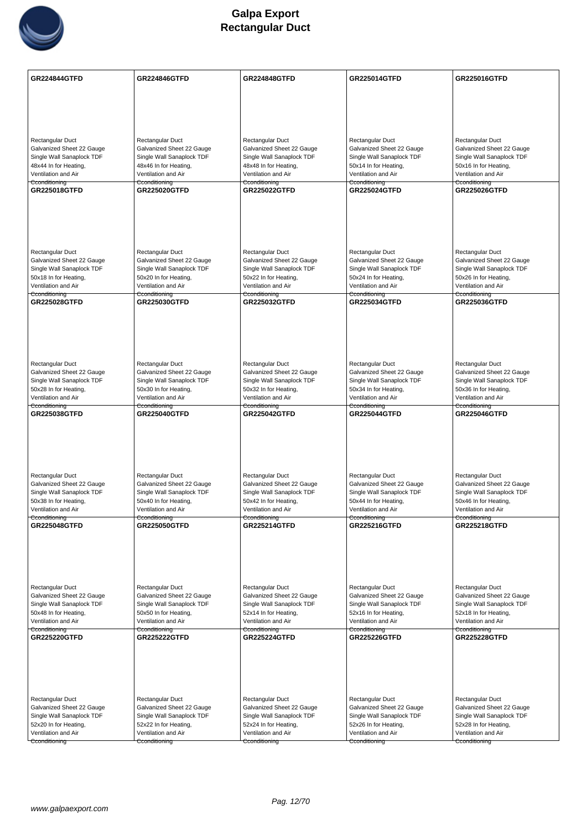

| Rectangular Duct<br>Rectangular Duct<br>Rectangular Duct<br>Rectangular Duct<br>Rectangular Duct<br>Galvanized Sheet 22 Gauge<br>Galvanized Sheet 22 Gauge<br>Galvanized Sheet 22 Gauge<br>Galvanized Sheet 22 Gauge<br>Galvanized Sheet 22 Gauge<br>Single Wall Sanaplock TDF<br>Single Wall Sanaplock TDF<br>Single Wall Sanaplock TDF<br>Single Wall Sanaplock TDF<br>Single Wall Sanaplock TDF<br>48x44 In for Heating,<br>48x46 In for Heating,<br>48x48 In for Heating,<br>50x14 In for Heating,<br>50x16 In for Heating,<br>Ventilation and Air<br>Ventilation and Air<br>Ventilation and Air<br>Ventilation and Air<br>Ventilation and Air<br>Cconditioning<br>Cconditioning<br>Cconditioning<br>Cconditioning<br>Cconditioning<br>GR225018GTFD<br><b>GR225020GTFD</b><br><b>GR225022GTFD</b><br><b>GR225024GTFD</b><br><b>GR225026GTFD</b><br>Rectangular Duct<br>Rectangular Duct<br>Rectangular Duct<br>Rectangular Duct<br>Rectangular Duct<br>Galvanized Sheet 22 Gauge<br>Galvanized Sheet 22 Gauge<br>Galvanized Sheet 22 Gauge<br>Galvanized Sheet 22 Gauge<br>Galvanized Sheet 22 Gauge<br>Single Wall Sanaplock TDF<br>Single Wall Sanaplock TDF<br>Single Wall Sanaplock TDF<br>Single Wall Sanaplock TDF<br>Single Wall Sanaplock TDF<br>50x18 In for Heating,<br>50x20 In for Heating,<br>50x22 In for Heating,<br>50x24 In for Heating,<br>50x26 In for Heating,<br>Ventilation and Air<br>Ventilation and Air<br>Ventilation and Air<br>Ventilation and Air<br>Ventilation and Air<br>Cconditioning<br>Cconditioning<br>Cconditioning<br>Cconditioning<br>Cconditioning<br>GR225028GTFD<br><b>GR225030GTFD</b><br><b>GR225032GTFD</b><br><b>GR225034GTFD</b><br><b>GR225036GTFD</b><br>Rectangular Duct<br>Rectangular Duct<br>Rectangular Duct<br>Rectangular Duct<br>Rectangular Duct<br>Galvanized Sheet 22 Gauge<br>Galvanized Sheet 22 Gauge<br>Galvanized Sheet 22 Gauge<br>Galvanized Sheet 22 Gauge<br>Galvanized Sheet 22 Gauge<br>Single Wall Sanaplock TDF<br>Single Wall Sanaplock TDF<br>Single Wall Sanaplock TDF<br>Single Wall Sanaplock TDF<br>Single Wall Sanaplock TDF<br>50x28 In for Heating,<br>50x30 In for Heating,<br>50x32 In for Heating,<br>50x34 In for Heating,<br>50x36 In for Heating,<br>Ventilation and Air<br>Ventilation and Air<br>Ventilation and Air<br>Ventilation and Air<br>Ventilation and Air<br>Cconditioning<br>Cconditioning<br>Cconditioning<br>Cconditioning<br>Cconditioning<br><b>GR225038GTFD</b><br><b>GR225040GTFD</b><br><b>GR225046GTFD</b><br><b>GR225042GTFD</b><br><b>GR225044GTFD</b><br>Rectangular Duct<br>Rectangular Duct<br>Rectangular Duct<br>Rectangular Duct<br>Rectangular Duct<br>Galvanized Sheet 22 Gauge<br>Galvanized Sheet 22 Gauge<br>Galvanized Sheet 22 Gauge<br>Galvanized Sheet 22 Gauge<br>Galvanized Sheet 22 Gauge<br>Single Wall Sanaplock TDF<br>Single Wall Sanaplock TDF<br>Single Wall Sanaplock TDF<br>Single Wall Sanaplock TDF<br>Single Wall Sanaplock TDF<br>50x38 In for Heating,<br>50x40 In for Heating,<br>50x42 In for Heating,<br>50x44 In for Heating,<br>50x46 In for Heating,<br>Ventilation and Air<br>Ventilation and Air<br>Ventilation and Air<br>Ventilation and Air<br>Ventilation and Air<br>Cconditioning<br>Cconditioning<br>Cconditioning<br>Cconditioning<br>Cconditioning<br><b>GR225048GTFD</b><br><b>GR225050GTFD</b><br><b>GR225214GTFD</b><br><b>GR225216GTFD</b><br><b>GR225218GTFD</b><br>Rectangular Duct<br>Rectangular Duct<br>Rectangular Duct<br>Rectangular Duct<br>Rectangular Duct<br>Galvanized Sheet 22 Gauge<br>Galvanized Sheet 22 Gauge<br>Galvanized Sheet 22 Gauge<br>Galvanized Sheet 22 Gauge<br>Galvanized Sheet 22 Gauge<br>Single Wall Sanaplock TDF<br>Single Wall Sanaplock TDF<br>Single Wall Sanaplock TDF<br>Single Wall Sanaplock TDF<br>Single Wall Sanaplock TDF<br>50x48 In for Heating,<br>50x50 In for Heating,<br>52x14 In for Heating,<br>52x16 In for Heating,<br>52x18 In for Heating,<br>Ventilation and Air<br>Ventilation and Air<br>Ventilation and Air<br>Ventilation and Air<br>Ventilation and Air<br>Cconditioning<br>Cconditioning<br>Cconditioning<br>Cconditioning<br>Cconditioning<br>GR225220GTFD<br><b>GR225228GTFD</b><br><b>GR225222GTFD</b><br><b>GR225224GTFD</b><br><b>GR225226GTFD</b><br>Rectangular Duct<br>Rectangular Duct<br>Rectangular Duct<br>Rectangular Duct<br>Rectangular Duct<br>Galvanized Sheet 22 Gauge<br>Galvanized Sheet 22 Gauge<br>Galvanized Sheet 22 Gauge<br>Galvanized Sheet 22 Gauge<br>Galvanized Sheet 22 Gauge<br>Single Wall Sanaplock TDF<br>Single Wall Sanaplock TDF<br>Single Wall Sanaplock TDF<br>Single Wall Sanaplock TDF<br>Single Wall Sanaplock TDF<br>52x20 In for Heating,<br>52x28 In for Heating,<br>52x22 In for Heating,<br>52x24 In for Heating,<br>52x26 In for Heating,<br>Ventilation and Air<br>Ventilation and Air<br>Ventilation and Air<br>Ventilation and Air<br>Ventilation and Air<br>Cconditioning<br>Cconditioning<br>Cconditioning<br>Cconditioning<br>Cconditioning | <b>GR224844GTFD</b> | <b>GR224846GTFD</b> | <b>GR224848GTFD</b> | <b>GR225014GTFD</b> | GR225016GTFD |
|------------------------------------------------------------------------------------------------------------------------------------------------------------------------------------------------------------------------------------------------------------------------------------------------------------------------------------------------------------------------------------------------------------------------------------------------------------------------------------------------------------------------------------------------------------------------------------------------------------------------------------------------------------------------------------------------------------------------------------------------------------------------------------------------------------------------------------------------------------------------------------------------------------------------------------------------------------------------------------------------------------------------------------------------------------------------------------------------------------------------------------------------------------------------------------------------------------------------------------------------------------------------------------------------------------------------------------------------------------------------------------------------------------------------------------------------------------------------------------------------------------------------------------------------------------------------------------------------------------------------------------------------------------------------------------------------------------------------------------------------------------------------------------------------------------------------------------------------------------------------------------------------------------------------------------------------------------------------------------------------------------------------------------------------------------------------------------------------------------------------------------------------------------------------------------------------------------------------------------------------------------------------------------------------------------------------------------------------------------------------------------------------------------------------------------------------------------------------------------------------------------------------------------------------------------------------------------------------------------------------------------------------------------------------------------------------------------------------------------------------------------------------------------------------------------------------------------------------------------------------------------------------------------------------------------------------------------------------------------------------------------------------------------------------------------------------------------------------------------------------------------------------------------------------------------------------------------------------------------------------------------------------------------------------------------------------------------------------------------------------------------------------------------------------------------------------------------------------------------------------------------------------------------------------------------------------------------------------------------------------------------------------------------------------------------------------------------------------------------------------------------------------------------------------------------------------------------------------------------------------------------------------------------------------------------------------------------------------------------------------------------------------------------------------------------------------------------------------------------------------------------------------------------------------------------------------------------------------------------------------------------------------------------------------------------------------------------------------------------------------------------------------------------------------------------------------------------------------------------------------------------------------------------------------------------------------------------------------------------------------------------------------------------------------------------------------------------------------------------------------------------------------------------------------------------------------------------------------------------------------------------------------------------------------------------------------------------------------------------------------------------------------------------------|---------------------|---------------------|---------------------|---------------------|--------------|
|                                                                                                                                                                                                                                                                                                                                                                                                                                                                                                                                                                                                                                                                                                                                                                                                                                                                                                                                                                                                                                                                                                                                                                                                                                                                                                                                                                                                                                                                                                                                                                                                                                                                                                                                                                                                                                                                                                                                                                                                                                                                                                                                                                                                                                                                                                                                                                                                                                                                                                                                                                                                                                                                                                                                                                                                                                                                                                                                                                                                                                                                                                                                                                                                                                                                                                                                                                                                                                                                                                                                                                                                                                                                                                                                                                                                                                                                                                                                                                                                                                                                                                                                                                                                                                                                                                                                                                                                                                                                                                                                                                                                                                                                                                                                                                                                                                                                                                                                                                                                                                          |                     |                     |                     |                     |              |
|                                                                                                                                                                                                                                                                                                                                                                                                                                                                                                                                                                                                                                                                                                                                                                                                                                                                                                                                                                                                                                                                                                                                                                                                                                                                                                                                                                                                                                                                                                                                                                                                                                                                                                                                                                                                                                                                                                                                                                                                                                                                                                                                                                                                                                                                                                                                                                                                                                                                                                                                                                                                                                                                                                                                                                                                                                                                                                                                                                                                                                                                                                                                                                                                                                                                                                                                                                                                                                                                                                                                                                                                                                                                                                                                                                                                                                                                                                                                                                                                                                                                                                                                                                                                                                                                                                                                                                                                                                                                                                                                                                                                                                                                                                                                                                                                                                                                                                                                                                                                                                          |                     |                     |                     |                     |              |
|                                                                                                                                                                                                                                                                                                                                                                                                                                                                                                                                                                                                                                                                                                                                                                                                                                                                                                                                                                                                                                                                                                                                                                                                                                                                                                                                                                                                                                                                                                                                                                                                                                                                                                                                                                                                                                                                                                                                                                                                                                                                                                                                                                                                                                                                                                                                                                                                                                                                                                                                                                                                                                                                                                                                                                                                                                                                                                                                                                                                                                                                                                                                                                                                                                                                                                                                                                                                                                                                                                                                                                                                                                                                                                                                                                                                                                                                                                                                                                                                                                                                                                                                                                                                                                                                                                                                                                                                                                                                                                                                                                                                                                                                                                                                                                                                                                                                                                                                                                                                                                          |                     |                     |                     |                     |              |
|                                                                                                                                                                                                                                                                                                                                                                                                                                                                                                                                                                                                                                                                                                                                                                                                                                                                                                                                                                                                                                                                                                                                                                                                                                                                                                                                                                                                                                                                                                                                                                                                                                                                                                                                                                                                                                                                                                                                                                                                                                                                                                                                                                                                                                                                                                                                                                                                                                                                                                                                                                                                                                                                                                                                                                                                                                                                                                                                                                                                                                                                                                                                                                                                                                                                                                                                                                                                                                                                                                                                                                                                                                                                                                                                                                                                                                                                                                                                                                                                                                                                                                                                                                                                                                                                                                                                                                                                                                                                                                                                                                                                                                                                                                                                                                                                                                                                                                                                                                                                                                          |                     |                     |                     |                     |              |
|                                                                                                                                                                                                                                                                                                                                                                                                                                                                                                                                                                                                                                                                                                                                                                                                                                                                                                                                                                                                                                                                                                                                                                                                                                                                                                                                                                                                                                                                                                                                                                                                                                                                                                                                                                                                                                                                                                                                                                                                                                                                                                                                                                                                                                                                                                                                                                                                                                                                                                                                                                                                                                                                                                                                                                                                                                                                                                                                                                                                                                                                                                                                                                                                                                                                                                                                                                                                                                                                                                                                                                                                                                                                                                                                                                                                                                                                                                                                                                                                                                                                                                                                                                                                                                                                                                                                                                                                                                                                                                                                                                                                                                                                                                                                                                                                                                                                                                                                                                                                                                          |                     |                     |                     |                     |              |
|                                                                                                                                                                                                                                                                                                                                                                                                                                                                                                                                                                                                                                                                                                                                                                                                                                                                                                                                                                                                                                                                                                                                                                                                                                                                                                                                                                                                                                                                                                                                                                                                                                                                                                                                                                                                                                                                                                                                                                                                                                                                                                                                                                                                                                                                                                                                                                                                                                                                                                                                                                                                                                                                                                                                                                                                                                                                                                                                                                                                                                                                                                                                                                                                                                                                                                                                                                                                                                                                                                                                                                                                                                                                                                                                                                                                                                                                                                                                                                                                                                                                                                                                                                                                                                                                                                                                                                                                                                                                                                                                                                                                                                                                                                                                                                                                                                                                                                                                                                                                                                          |                     |                     |                     |                     |              |
|                                                                                                                                                                                                                                                                                                                                                                                                                                                                                                                                                                                                                                                                                                                                                                                                                                                                                                                                                                                                                                                                                                                                                                                                                                                                                                                                                                                                                                                                                                                                                                                                                                                                                                                                                                                                                                                                                                                                                                                                                                                                                                                                                                                                                                                                                                                                                                                                                                                                                                                                                                                                                                                                                                                                                                                                                                                                                                                                                                                                                                                                                                                                                                                                                                                                                                                                                                                                                                                                                                                                                                                                                                                                                                                                                                                                                                                                                                                                                                                                                                                                                                                                                                                                                                                                                                                                                                                                                                                                                                                                                                                                                                                                                                                                                                                                                                                                                                                                                                                                                                          |                     |                     |                     |                     |              |
|                                                                                                                                                                                                                                                                                                                                                                                                                                                                                                                                                                                                                                                                                                                                                                                                                                                                                                                                                                                                                                                                                                                                                                                                                                                                                                                                                                                                                                                                                                                                                                                                                                                                                                                                                                                                                                                                                                                                                                                                                                                                                                                                                                                                                                                                                                                                                                                                                                                                                                                                                                                                                                                                                                                                                                                                                                                                                                                                                                                                                                                                                                                                                                                                                                                                                                                                                                                                                                                                                                                                                                                                                                                                                                                                                                                                                                                                                                                                                                                                                                                                                                                                                                                                                                                                                                                                                                                                                                                                                                                                                                                                                                                                                                                                                                                                                                                                                                                                                                                                                                          |                     |                     |                     |                     |              |
|                                                                                                                                                                                                                                                                                                                                                                                                                                                                                                                                                                                                                                                                                                                                                                                                                                                                                                                                                                                                                                                                                                                                                                                                                                                                                                                                                                                                                                                                                                                                                                                                                                                                                                                                                                                                                                                                                                                                                                                                                                                                                                                                                                                                                                                                                                                                                                                                                                                                                                                                                                                                                                                                                                                                                                                                                                                                                                                                                                                                                                                                                                                                                                                                                                                                                                                                                                                                                                                                                                                                                                                                                                                                                                                                                                                                                                                                                                                                                                                                                                                                                                                                                                                                                                                                                                                                                                                                                                                                                                                                                                                                                                                                                                                                                                                                                                                                                                                                                                                                                                          |                     |                     |                     |                     |              |
|                                                                                                                                                                                                                                                                                                                                                                                                                                                                                                                                                                                                                                                                                                                                                                                                                                                                                                                                                                                                                                                                                                                                                                                                                                                                                                                                                                                                                                                                                                                                                                                                                                                                                                                                                                                                                                                                                                                                                                                                                                                                                                                                                                                                                                                                                                                                                                                                                                                                                                                                                                                                                                                                                                                                                                                                                                                                                                                                                                                                                                                                                                                                                                                                                                                                                                                                                                                                                                                                                                                                                                                                                                                                                                                                                                                                                                                                                                                                                                                                                                                                                                                                                                                                                                                                                                                                                                                                                                                                                                                                                                                                                                                                                                                                                                                                                                                                                                                                                                                                                                          |                     |                     |                     |                     |              |
|                                                                                                                                                                                                                                                                                                                                                                                                                                                                                                                                                                                                                                                                                                                                                                                                                                                                                                                                                                                                                                                                                                                                                                                                                                                                                                                                                                                                                                                                                                                                                                                                                                                                                                                                                                                                                                                                                                                                                                                                                                                                                                                                                                                                                                                                                                                                                                                                                                                                                                                                                                                                                                                                                                                                                                                                                                                                                                                                                                                                                                                                                                                                                                                                                                                                                                                                                                                                                                                                                                                                                                                                                                                                                                                                                                                                                                                                                                                                                                                                                                                                                                                                                                                                                                                                                                                                                                                                                                                                                                                                                                                                                                                                                                                                                                                                                                                                                                                                                                                                                                          |                     |                     |                     |                     |              |
|                                                                                                                                                                                                                                                                                                                                                                                                                                                                                                                                                                                                                                                                                                                                                                                                                                                                                                                                                                                                                                                                                                                                                                                                                                                                                                                                                                                                                                                                                                                                                                                                                                                                                                                                                                                                                                                                                                                                                                                                                                                                                                                                                                                                                                                                                                                                                                                                                                                                                                                                                                                                                                                                                                                                                                                                                                                                                                                                                                                                                                                                                                                                                                                                                                                                                                                                                                                                                                                                                                                                                                                                                                                                                                                                                                                                                                                                                                                                                                                                                                                                                                                                                                                                                                                                                                                                                                                                                                                                                                                                                                                                                                                                                                                                                                                                                                                                                                                                                                                                                                          |                     |                     |                     |                     |              |
|                                                                                                                                                                                                                                                                                                                                                                                                                                                                                                                                                                                                                                                                                                                                                                                                                                                                                                                                                                                                                                                                                                                                                                                                                                                                                                                                                                                                                                                                                                                                                                                                                                                                                                                                                                                                                                                                                                                                                                                                                                                                                                                                                                                                                                                                                                                                                                                                                                                                                                                                                                                                                                                                                                                                                                                                                                                                                                                                                                                                                                                                                                                                                                                                                                                                                                                                                                                                                                                                                                                                                                                                                                                                                                                                                                                                                                                                                                                                                                                                                                                                                                                                                                                                                                                                                                                                                                                                                                                                                                                                                                                                                                                                                                                                                                                                                                                                                                                                                                                                                                          |                     |                     |                     |                     |              |
|                                                                                                                                                                                                                                                                                                                                                                                                                                                                                                                                                                                                                                                                                                                                                                                                                                                                                                                                                                                                                                                                                                                                                                                                                                                                                                                                                                                                                                                                                                                                                                                                                                                                                                                                                                                                                                                                                                                                                                                                                                                                                                                                                                                                                                                                                                                                                                                                                                                                                                                                                                                                                                                                                                                                                                                                                                                                                                                                                                                                                                                                                                                                                                                                                                                                                                                                                                                                                                                                                                                                                                                                                                                                                                                                                                                                                                                                                                                                                                                                                                                                                                                                                                                                                                                                                                                                                                                                                                                                                                                                                                                                                                                                                                                                                                                                                                                                                                                                                                                                                                          |                     |                     |                     |                     |              |
|                                                                                                                                                                                                                                                                                                                                                                                                                                                                                                                                                                                                                                                                                                                                                                                                                                                                                                                                                                                                                                                                                                                                                                                                                                                                                                                                                                                                                                                                                                                                                                                                                                                                                                                                                                                                                                                                                                                                                                                                                                                                                                                                                                                                                                                                                                                                                                                                                                                                                                                                                                                                                                                                                                                                                                                                                                                                                                                                                                                                                                                                                                                                                                                                                                                                                                                                                                                                                                                                                                                                                                                                                                                                                                                                                                                                                                                                                                                                                                                                                                                                                                                                                                                                                                                                                                                                                                                                                                                                                                                                                                                                                                                                                                                                                                                                                                                                                                                                                                                                                                          |                     |                     |                     |                     |              |
|                                                                                                                                                                                                                                                                                                                                                                                                                                                                                                                                                                                                                                                                                                                                                                                                                                                                                                                                                                                                                                                                                                                                                                                                                                                                                                                                                                                                                                                                                                                                                                                                                                                                                                                                                                                                                                                                                                                                                                                                                                                                                                                                                                                                                                                                                                                                                                                                                                                                                                                                                                                                                                                                                                                                                                                                                                                                                                                                                                                                                                                                                                                                                                                                                                                                                                                                                                                                                                                                                                                                                                                                                                                                                                                                                                                                                                                                                                                                                                                                                                                                                                                                                                                                                                                                                                                                                                                                                                                                                                                                                                                                                                                                                                                                                                                                                                                                                                                                                                                                                                          |                     |                     |                     |                     |              |
|                                                                                                                                                                                                                                                                                                                                                                                                                                                                                                                                                                                                                                                                                                                                                                                                                                                                                                                                                                                                                                                                                                                                                                                                                                                                                                                                                                                                                                                                                                                                                                                                                                                                                                                                                                                                                                                                                                                                                                                                                                                                                                                                                                                                                                                                                                                                                                                                                                                                                                                                                                                                                                                                                                                                                                                                                                                                                                                                                                                                                                                                                                                                                                                                                                                                                                                                                                                                                                                                                                                                                                                                                                                                                                                                                                                                                                                                                                                                                                                                                                                                                                                                                                                                                                                                                                                                                                                                                                                                                                                                                                                                                                                                                                                                                                                                                                                                                                                                                                                                                                          |                     |                     |                     |                     |              |
|                                                                                                                                                                                                                                                                                                                                                                                                                                                                                                                                                                                                                                                                                                                                                                                                                                                                                                                                                                                                                                                                                                                                                                                                                                                                                                                                                                                                                                                                                                                                                                                                                                                                                                                                                                                                                                                                                                                                                                                                                                                                                                                                                                                                                                                                                                                                                                                                                                                                                                                                                                                                                                                                                                                                                                                                                                                                                                                                                                                                                                                                                                                                                                                                                                                                                                                                                                                                                                                                                                                                                                                                                                                                                                                                                                                                                                                                                                                                                                                                                                                                                                                                                                                                                                                                                                                                                                                                                                                                                                                                                                                                                                                                                                                                                                                                                                                                                                                                                                                                                                          |                     |                     |                     |                     |              |
|                                                                                                                                                                                                                                                                                                                                                                                                                                                                                                                                                                                                                                                                                                                                                                                                                                                                                                                                                                                                                                                                                                                                                                                                                                                                                                                                                                                                                                                                                                                                                                                                                                                                                                                                                                                                                                                                                                                                                                                                                                                                                                                                                                                                                                                                                                                                                                                                                                                                                                                                                                                                                                                                                                                                                                                                                                                                                                                                                                                                                                                                                                                                                                                                                                                                                                                                                                                                                                                                                                                                                                                                                                                                                                                                                                                                                                                                                                                                                                                                                                                                                                                                                                                                                                                                                                                                                                                                                                                                                                                                                                                                                                                                                                                                                                                                                                                                                                                                                                                                                                          |                     |                     |                     |                     |              |
|                                                                                                                                                                                                                                                                                                                                                                                                                                                                                                                                                                                                                                                                                                                                                                                                                                                                                                                                                                                                                                                                                                                                                                                                                                                                                                                                                                                                                                                                                                                                                                                                                                                                                                                                                                                                                                                                                                                                                                                                                                                                                                                                                                                                                                                                                                                                                                                                                                                                                                                                                                                                                                                                                                                                                                                                                                                                                                                                                                                                                                                                                                                                                                                                                                                                                                                                                                                                                                                                                                                                                                                                                                                                                                                                                                                                                                                                                                                                                                                                                                                                                                                                                                                                                                                                                                                                                                                                                                                                                                                                                                                                                                                                                                                                                                                                                                                                                                                                                                                                                                          |                     |                     |                     |                     |              |
|                                                                                                                                                                                                                                                                                                                                                                                                                                                                                                                                                                                                                                                                                                                                                                                                                                                                                                                                                                                                                                                                                                                                                                                                                                                                                                                                                                                                                                                                                                                                                                                                                                                                                                                                                                                                                                                                                                                                                                                                                                                                                                                                                                                                                                                                                                                                                                                                                                                                                                                                                                                                                                                                                                                                                                                                                                                                                                                                                                                                                                                                                                                                                                                                                                                                                                                                                                                                                                                                                                                                                                                                                                                                                                                                                                                                                                                                                                                                                                                                                                                                                                                                                                                                                                                                                                                                                                                                                                                                                                                                                                                                                                                                                                                                                                                                                                                                                                                                                                                                                                          |                     |                     |                     |                     |              |
|                                                                                                                                                                                                                                                                                                                                                                                                                                                                                                                                                                                                                                                                                                                                                                                                                                                                                                                                                                                                                                                                                                                                                                                                                                                                                                                                                                                                                                                                                                                                                                                                                                                                                                                                                                                                                                                                                                                                                                                                                                                                                                                                                                                                                                                                                                                                                                                                                                                                                                                                                                                                                                                                                                                                                                                                                                                                                                                                                                                                                                                                                                                                                                                                                                                                                                                                                                                                                                                                                                                                                                                                                                                                                                                                                                                                                                                                                                                                                                                                                                                                                                                                                                                                                                                                                                                                                                                                                                                                                                                                                                                                                                                                                                                                                                                                                                                                                                                                                                                                                                          |                     |                     |                     |                     |              |
|                                                                                                                                                                                                                                                                                                                                                                                                                                                                                                                                                                                                                                                                                                                                                                                                                                                                                                                                                                                                                                                                                                                                                                                                                                                                                                                                                                                                                                                                                                                                                                                                                                                                                                                                                                                                                                                                                                                                                                                                                                                                                                                                                                                                                                                                                                                                                                                                                                                                                                                                                                                                                                                                                                                                                                                                                                                                                                                                                                                                                                                                                                                                                                                                                                                                                                                                                                                                                                                                                                                                                                                                                                                                                                                                                                                                                                                                                                                                                                                                                                                                                                                                                                                                                                                                                                                                                                                                                                                                                                                                                                                                                                                                                                                                                                                                                                                                                                                                                                                                                                          |                     |                     |                     |                     |              |
|                                                                                                                                                                                                                                                                                                                                                                                                                                                                                                                                                                                                                                                                                                                                                                                                                                                                                                                                                                                                                                                                                                                                                                                                                                                                                                                                                                                                                                                                                                                                                                                                                                                                                                                                                                                                                                                                                                                                                                                                                                                                                                                                                                                                                                                                                                                                                                                                                                                                                                                                                                                                                                                                                                                                                                                                                                                                                                                                                                                                                                                                                                                                                                                                                                                                                                                                                                                                                                                                                                                                                                                                                                                                                                                                                                                                                                                                                                                                                                                                                                                                                                                                                                                                                                                                                                                                                                                                                                                                                                                                                                                                                                                                                                                                                                                                                                                                                                                                                                                                                                          |                     |                     |                     |                     |              |
|                                                                                                                                                                                                                                                                                                                                                                                                                                                                                                                                                                                                                                                                                                                                                                                                                                                                                                                                                                                                                                                                                                                                                                                                                                                                                                                                                                                                                                                                                                                                                                                                                                                                                                                                                                                                                                                                                                                                                                                                                                                                                                                                                                                                                                                                                                                                                                                                                                                                                                                                                                                                                                                                                                                                                                                                                                                                                                                                                                                                                                                                                                                                                                                                                                                                                                                                                                                                                                                                                                                                                                                                                                                                                                                                                                                                                                                                                                                                                                                                                                                                                                                                                                                                                                                                                                                                                                                                                                                                                                                                                                                                                                                                                                                                                                                                                                                                                                                                                                                                                                          |                     |                     |                     |                     |              |
|                                                                                                                                                                                                                                                                                                                                                                                                                                                                                                                                                                                                                                                                                                                                                                                                                                                                                                                                                                                                                                                                                                                                                                                                                                                                                                                                                                                                                                                                                                                                                                                                                                                                                                                                                                                                                                                                                                                                                                                                                                                                                                                                                                                                                                                                                                                                                                                                                                                                                                                                                                                                                                                                                                                                                                                                                                                                                                                                                                                                                                                                                                                                                                                                                                                                                                                                                                                                                                                                                                                                                                                                                                                                                                                                                                                                                                                                                                                                                                                                                                                                                                                                                                                                                                                                                                                                                                                                                                                                                                                                                                                                                                                                                                                                                                                                                                                                                                                                                                                                                                          |                     |                     |                     |                     |              |
|                                                                                                                                                                                                                                                                                                                                                                                                                                                                                                                                                                                                                                                                                                                                                                                                                                                                                                                                                                                                                                                                                                                                                                                                                                                                                                                                                                                                                                                                                                                                                                                                                                                                                                                                                                                                                                                                                                                                                                                                                                                                                                                                                                                                                                                                                                                                                                                                                                                                                                                                                                                                                                                                                                                                                                                                                                                                                                                                                                                                                                                                                                                                                                                                                                                                                                                                                                                                                                                                                                                                                                                                                                                                                                                                                                                                                                                                                                                                                                                                                                                                                                                                                                                                                                                                                                                                                                                                                                                                                                                                                                                                                                                                                                                                                                                                                                                                                                                                                                                                                                          |                     |                     |                     |                     |              |
|                                                                                                                                                                                                                                                                                                                                                                                                                                                                                                                                                                                                                                                                                                                                                                                                                                                                                                                                                                                                                                                                                                                                                                                                                                                                                                                                                                                                                                                                                                                                                                                                                                                                                                                                                                                                                                                                                                                                                                                                                                                                                                                                                                                                                                                                                                                                                                                                                                                                                                                                                                                                                                                                                                                                                                                                                                                                                                                                                                                                                                                                                                                                                                                                                                                                                                                                                                                                                                                                                                                                                                                                                                                                                                                                                                                                                                                                                                                                                                                                                                                                                                                                                                                                                                                                                                                                                                                                                                                                                                                                                                                                                                                                                                                                                                                                                                                                                                                                                                                                                                          |                     |                     |                     |                     |              |
|                                                                                                                                                                                                                                                                                                                                                                                                                                                                                                                                                                                                                                                                                                                                                                                                                                                                                                                                                                                                                                                                                                                                                                                                                                                                                                                                                                                                                                                                                                                                                                                                                                                                                                                                                                                                                                                                                                                                                                                                                                                                                                                                                                                                                                                                                                                                                                                                                                                                                                                                                                                                                                                                                                                                                                                                                                                                                                                                                                                                                                                                                                                                                                                                                                                                                                                                                                                                                                                                                                                                                                                                                                                                                                                                                                                                                                                                                                                                                                                                                                                                                                                                                                                                                                                                                                                                                                                                                                                                                                                                                                                                                                                                                                                                                                                                                                                                                                                                                                                                                                          |                     |                     |                     |                     |              |
|                                                                                                                                                                                                                                                                                                                                                                                                                                                                                                                                                                                                                                                                                                                                                                                                                                                                                                                                                                                                                                                                                                                                                                                                                                                                                                                                                                                                                                                                                                                                                                                                                                                                                                                                                                                                                                                                                                                                                                                                                                                                                                                                                                                                                                                                                                                                                                                                                                                                                                                                                                                                                                                                                                                                                                                                                                                                                                                                                                                                                                                                                                                                                                                                                                                                                                                                                                                                                                                                                                                                                                                                                                                                                                                                                                                                                                                                                                                                                                                                                                                                                                                                                                                                                                                                                                                                                                                                                                                                                                                                                                                                                                                                                                                                                                                                                                                                                                                                                                                                                                          |                     |                     |                     |                     |              |
|                                                                                                                                                                                                                                                                                                                                                                                                                                                                                                                                                                                                                                                                                                                                                                                                                                                                                                                                                                                                                                                                                                                                                                                                                                                                                                                                                                                                                                                                                                                                                                                                                                                                                                                                                                                                                                                                                                                                                                                                                                                                                                                                                                                                                                                                                                                                                                                                                                                                                                                                                                                                                                                                                                                                                                                                                                                                                                                                                                                                                                                                                                                                                                                                                                                                                                                                                                                                                                                                                                                                                                                                                                                                                                                                                                                                                                                                                                                                                                                                                                                                                                                                                                                                                                                                                                                                                                                                                                                                                                                                                                                                                                                                                                                                                                                                                                                                                                                                                                                                                                          |                     |                     |                     |                     |              |
|                                                                                                                                                                                                                                                                                                                                                                                                                                                                                                                                                                                                                                                                                                                                                                                                                                                                                                                                                                                                                                                                                                                                                                                                                                                                                                                                                                                                                                                                                                                                                                                                                                                                                                                                                                                                                                                                                                                                                                                                                                                                                                                                                                                                                                                                                                                                                                                                                                                                                                                                                                                                                                                                                                                                                                                                                                                                                                                                                                                                                                                                                                                                                                                                                                                                                                                                                                                                                                                                                                                                                                                                                                                                                                                                                                                                                                                                                                                                                                                                                                                                                                                                                                                                                                                                                                                                                                                                                                                                                                                                                                                                                                                                                                                                                                                                                                                                                                                                                                                                                                          |                     |                     |                     |                     |              |
|                                                                                                                                                                                                                                                                                                                                                                                                                                                                                                                                                                                                                                                                                                                                                                                                                                                                                                                                                                                                                                                                                                                                                                                                                                                                                                                                                                                                                                                                                                                                                                                                                                                                                                                                                                                                                                                                                                                                                                                                                                                                                                                                                                                                                                                                                                                                                                                                                                                                                                                                                                                                                                                                                                                                                                                                                                                                                                                                                                                                                                                                                                                                                                                                                                                                                                                                                                                                                                                                                                                                                                                                                                                                                                                                                                                                                                                                                                                                                                                                                                                                                                                                                                                                                                                                                                                                                                                                                                                                                                                                                                                                                                                                                                                                                                                                                                                                                                                                                                                                                                          |                     |                     |                     |                     |              |
|                                                                                                                                                                                                                                                                                                                                                                                                                                                                                                                                                                                                                                                                                                                                                                                                                                                                                                                                                                                                                                                                                                                                                                                                                                                                                                                                                                                                                                                                                                                                                                                                                                                                                                                                                                                                                                                                                                                                                                                                                                                                                                                                                                                                                                                                                                                                                                                                                                                                                                                                                                                                                                                                                                                                                                                                                                                                                                                                                                                                                                                                                                                                                                                                                                                                                                                                                                                                                                                                                                                                                                                                                                                                                                                                                                                                                                                                                                                                                                                                                                                                                                                                                                                                                                                                                                                                                                                                                                                                                                                                                                                                                                                                                                                                                                                                                                                                                                                                                                                                                                          |                     |                     |                     |                     |              |
|                                                                                                                                                                                                                                                                                                                                                                                                                                                                                                                                                                                                                                                                                                                                                                                                                                                                                                                                                                                                                                                                                                                                                                                                                                                                                                                                                                                                                                                                                                                                                                                                                                                                                                                                                                                                                                                                                                                                                                                                                                                                                                                                                                                                                                                                                                                                                                                                                                                                                                                                                                                                                                                                                                                                                                                                                                                                                                                                                                                                                                                                                                                                                                                                                                                                                                                                                                                                                                                                                                                                                                                                                                                                                                                                                                                                                                                                                                                                                                                                                                                                                                                                                                                                                                                                                                                                                                                                                                                                                                                                                                                                                                                                                                                                                                                                                                                                                                                                                                                                                                          |                     |                     |                     |                     |              |
|                                                                                                                                                                                                                                                                                                                                                                                                                                                                                                                                                                                                                                                                                                                                                                                                                                                                                                                                                                                                                                                                                                                                                                                                                                                                                                                                                                                                                                                                                                                                                                                                                                                                                                                                                                                                                                                                                                                                                                                                                                                                                                                                                                                                                                                                                                                                                                                                                                                                                                                                                                                                                                                                                                                                                                                                                                                                                                                                                                                                                                                                                                                                                                                                                                                                                                                                                                                                                                                                                                                                                                                                                                                                                                                                                                                                                                                                                                                                                                                                                                                                                                                                                                                                                                                                                                                                                                                                                                                                                                                                                                                                                                                                                                                                                                                                                                                                                                                                                                                                                                          |                     |                     |                     |                     |              |
|                                                                                                                                                                                                                                                                                                                                                                                                                                                                                                                                                                                                                                                                                                                                                                                                                                                                                                                                                                                                                                                                                                                                                                                                                                                                                                                                                                                                                                                                                                                                                                                                                                                                                                                                                                                                                                                                                                                                                                                                                                                                                                                                                                                                                                                                                                                                                                                                                                                                                                                                                                                                                                                                                                                                                                                                                                                                                                                                                                                                                                                                                                                                                                                                                                                                                                                                                                                                                                                                                                                                                                                                                                                                                                                                                                                                                                                                                                                                                                                                                                                                                                                                                                                                                                                                                                                                                                                                                                                                                                                                                                                                                                                                                                                                                                                                                                                                                                                                                                                                                                          |                     |                     |                     |                     |              |
|                                                                                                                                                                                                                                                                                                                                                                                                                                                                                                                                                                                                                                                                                                                                                                                                                                                                                                                                                                                                                                                                                                                                                                                                                                                                                                                                                                                                                                                                                                                                                                                                                                                                                                                                                                                                                                                                                                                                                                                                                                                                                                                                                                                                                                                                                                                                                                                                                                                                                                                                                                                                                                                                                                                                                                                                                                                                                                                                                                                                                                                                                                                                                                                                                                                                                                                                                                                                                                                                                                                                                                                                                                                                                                                                                                                                                                                                                                                                                                                                                                                                                                                                                                                                                                                                                                                                                                                                                                                                                                                                                                                                                                                                                                                                                                                                                                                                                                                                                                                                                                          |                     |                     |                     |                     |              |
|                                                                                                                                                                                                                                                                                                                                                                                                                                                                                                                                                                                                                                                                                                                                                                                                                                                                                                                                                                                                                                                                                                                                                                                                                                                                                                                                                                                                                                                                                                                                                                                                                                                                                                                                                                                                                                                                                                                                                                                                                                                                                                                                                                                                                                                                                                                                                                                                                                                                                                                                                                                                                                                                                                                                                                                                                                                                                                                                                                                                                                                                                                                                                                                                                                                                                                                                                                                                                                                                                                                                                                                                                                                                                                                                                                                                                                                                                                                                                                                                                                                                                                                                                                                                                                                                                                                                                                                                                                                                                                                                                                                                                                                                                                                                                                                                                                                                                                                                                                                                                                          |                     |                     |                     |                     |              |
|                                                                                                                                                                                                                                                                                                                                                                                                                                                                                                                                                                                                                                                                                                                                                                                                                                                                                                                                                                                                                                                                                                                                                                                                                                                                                                                                                                                                                                                                                                                                                                                                                                                                                                                                                                                                                                                                                                                                                                                                                                                                                                                                                                                                                                                                                                                                                                                                                                                                                                                                                                                                                                                                                                                                                                                                                                                                                                                                                                                                                                                                                                                                                                                                                                                                                                                                                                                                                                                                                                                                                                                                                                                                                                                                                                                                                                                                                                                                                                                                                                                                                                                                                                                                                                                                                                                                                                                                                                                                                                                                                                                                                                                                                                                                                                                                                                                                                                                                                                                                                                          |                     |                     |                     |                     |              |
|                                                                                                                                                                                                                                                                                                                                                                                                                                                                                                                                                                                                                                                                                                                                                                                                                                                                                                                                                                                                                                                                                                                                                                                                                                                                                                                                                                                                                                                                                                                                                                                                                                                                                                                                                                                                                                                                                                                                                                                                                                                                                                                                                                                                                                                                                                                                                                                                                                                                                                                                                                                                                                                                                                                                                                                                                                                                                                                                                                                                                                                                                                                                                                                                                                                                                                                                                                                                                                                                                                                                                                                                                                                                                                                                                                                                                                                                                                                                                                                                                                                                                                                                                                                                                                                                                                                                                                                                                                                                                                                                                                                                                                                                                                                                                                                                                                                                                                                                                                                                                                          |                     |                     |                     |                     |              |
|                                                                                                                                                                                                                                                                                                                                                                                                                                                                                                                                                                                                                                                                                                                                                                                                                                                                                                                                                                                                                                                                                                                                                                                                                                                                                                                                                                                                                                                                                                                                                                                                                                                                                                                                                                                                                                                                                                                                                                                                                                                                                                                                                                                                                                                                                                                                                                                                                                                                                                                                                                                                                                                                                                                                                                                                                                                                                                                                                                                                                                                                                                                                                                                                                                                                                                                                                                                                                                                                                                                                                                                                                                                                                                                                                                                                                                                                                                                                                                                                                                                                                                                                                                                                                                                                                                                                                                                                                                                                                                                                                                                                                                                                                                                                                                                                                                                                                                                                                                                                                                          |                     |                     |                     |                     |              |
|                                                                                                                                                                                                                                                                                                                                                                                                                                                                                                                                                                                                                                                                                                                                                                                                                                                                                                                                                                                                                                                                                                                                                                                                                                                                                                                                                                                                                                                                                                                                                                                                                                                                                                                                                                                                                                                                                                                                                                                                                                                                                                                                                                                                                                                                                                                                                                                                                                                                                                                                                                                                                                                                                                                                                                                                                                                                                                                                                                                                                                                                                                                                                                                                                                                                                                                                                                                                                                                                                                                                                                                                                                                                                                                                                                                                                                                                                                                                                                                                                                                                                                                                                                                                                                                                                                                                                                                                                                                                                                                                                                                                                                                                                                                                                                                                                                                                                                                                                                                                                                          |                     |                     |                     |                     |              |
|                                                                                                                                                                                                                                                                                                                                                                                                                                                                                                                                                                                                                                                                                                                                                                                                                                                                                                                                                                                                                                                                                                                                                                                                                                                                                                                                                                                                                                                                                                                                                                                                                                                                                                                                                                                                                                                                                                                                                                                                                                                                                                                                                                                                                                                                                                                                                                                                                                                                                                                                                                                                                                                                                                                                                                                                                                                                                                                                                                                                                                                                                                                                                                                                                                                                                                                                                                                                                                                                                                                                                                                                                                                                                                                                                                                                                                                                                                                                                                                                                                                                                                                                                                                                                                                                                                                                                                                                                                                                                                                                                                                                                                                                                                                                                                                                                                                                                                                                                                                                                                          |                     |                     |                     |                     |              |
|                                                                                                                                                                                                                                                                                                                                                                                                                                                                                                                                                                                                                                                                                                                                                                                                                                                                                                                                                                                                                                                                                                                                                                                                                                                                                                                                                                                                                                                                                                                                                                                                                                                                                                                                                                                                                                                                                                                                                                                                                                                                                                                                                                                                                                                                                                                                                                                                                                                                                                                                                                                                                                                                                                                                                                                                                                                                                                                                                                                                                                                                                                                                                                                                                                                                                                                                                                                                                                                                                                                                                                                                                                                                                                                                                                                                                                                                                                                                                                                                                                                                                                                                                                                                                                                                                                                                                                                                                                                                                                                                                                                                                                                                                                                                                                                                                                                                                                                                                                                                                                          |                     |                     |                     |                     |              |
|                                                                                                                                                                                                                                                                                                                                                                                                                                                                                                                                                                                                                                                                                                                                                                                                                                                                                                                                                                                                                                                                                                                                                                                                                                                                                                                                                                                                                                                                                                                                                                                                                                                                                                                                                                                                                                                                                                                                                                                                                                                                                                                                                                                                                                                                                                                                                                                                                                                                                                                                                                                                                                                                                                                                                                                                                                                                                                                                                                                                                                                                                                                                                                                                                                                                                                                                                                                                                                                                                                                                                                                                                                                                                                                                                                                                                                                                                                                                                                                                                                                                                                                                                                                                                                                                                                                                                                                                                                                                                                                                                                                                                                                                                                                                                                                                                                                                                                                                                                                                                                          |                     |                     |                     |                     |              |
|                                                                                                                                                                                                                                                                                                                                                                                                                                                                                                                                                                                                                                                                                                                                                                                                                                                                                                                                                                                                                                                                                                                                                                                                                                                                                                                                                                                                                                                                                                                                                                                                                                                                                                                                                                                                                                                                                                                                                                                                                                                                                                                                                                                                                                                                                                                                                                                                                                                                                                                                                                                                                                                                                                                                                                                                                                                                                                                                                                                                                                                                                                                                                                                                                                                                                                                                                                                                                                                                                                                                                                                                                                                                                                                                                                                                                                                                                                                                                                                                                                                                                                                                                                                                                                                                                                                                                                                                                                                                                                                                                                                                                                                                                                                                                                                                                                                                                                                                                                                                                                          |                     |                     |                     |                     |              |
|                                                                                                                                                                                                                                                                                                                                                                                                                                                                                                                                                                                                                                                                                                                                                                                                                                                                                                                                                                                                                                                                                                                                                                                                                                                                                                                                                                                                                                                                                                                                                                                                                                                                                                                                                                                                                                                                                                                                                                                                                                                                                                                                                                                                                                                                                                                                                                                                                                                                                                                                                                                                                                                                                                                                                                                                                                                                                                                                                                                                                                                                                                                                                                                                                                                                                                                                                                                                                                                                                                                                                                                                                                                                                                                                                                                                                                                                                                                                                                                                                                                                                                                                                                                                                                                                                                                                                                                                                                                                                                                                                                                                                                                                                                                                                                                                                                                                                                                                                                                                                                          |                     |                     |                     |                     |              |
|                                                                                                                                                                                                                                                                                                                                                                                                                                                                                                                                                                                                                                                                                                                                                                                                                                                                                                                                                                                                                                                                                                                                                                                                                                                                                                                                                                                                                                                                                                                                                                                                                                                                                                                                                                                                                                                                                                                                                                                                                                                                                                                                                                                                                                                                                                                                                                                                                                                                                                                                                                                                                                                                                                                                                                                                                                                                                                                                                                                                                                                                                                                                                                                                                                                                                                                                                                                                                                                                                                                                                                                                                                                                                                                                                                                                                                                                                                                                                                                                                                                                                                                                                                                                                                                                                                                                                                                                                                                                                                                                                                                                                                                                                                                                                                                                                                                                                                                                                                                                                                          |                     |                     |                     |                     |              |
|                                                                                                                                                                                                                                                                                                                                                                                                                                                                                                                                                                                                                                                                                                                                                                                                                                                                                                                                                                                                                                                                                                                                                                                                                                                                                                                                                                                                                                                                                                                                                                                                                                                                                                                                                                                                                                                                                                                                                                                                                                                                                                                                                                                                                                                                                                                                                                                                                                                                                                                                                                                                                                                                                                                                                                                                                                                                                                                                                                                                                                                                                                                                                                                                                                                                                                                                                                                                                                                                                                                                                                                                                                                                                                                                                                                                                                                                                                                                                                                                                                                                                                                                                                                                                                                                                                                                                                                                                                                                                                                                                                                                                                                                                                                                                                                                                                                                                                                                                                                                                                          |                     |                     |                     |                     |              |
|                                                                                                                                                                                                                                                                                                                                                                                                                                                                                                                                                                                                                                                                                                                                                                                                                                                                                                                                                                                                                                                                                                                                                                                                                                                                                                                                                                                                                                                                                                                                                                                                                                                                                                                                                                                                                                                                                                                                                                                                                                                                                                                                                                                                                                                                                                                                                                                                                                                                                                                                                                                                                                                                                                                                                                                                                                                                                                                                                                                                                                                                                                                                                                                                                                                                                                                                                                                                                                                                                                                                                                                                                                                                                                                                                                                                                                                                                                                                                                                                                                                                                                                                                                                                                                                                                                                                                                                                                                                                                                                                                                                                                                                                                                                                                                                                                                                                                                                                                                                                                                          |                     |                     |                     |                     |              |
|                                                                                                                                                                                                                                                                                                                                                                                                                                                                                                                                                                                                                                                                                                                                                                                                                                                                                                                                                                                                                                                                                                                                                                                                                                                                                                                                                                                                                                                                                                                                                                                                                                                                                                                                                                                                                                                                                                                                                                                                                                                                                                                                                                                                                                                                                                                                                                                                                                                                                                                                                                                                                                                                                                                                                                                                                                                                                                                                                                                                                                                                                                                                                                                                                                                                                                                                                                                                                                                                                                                                                                                                                                                                                                                                                                                                                                                                                                                                                                                                                                                                                                                                                                                                                                                                                                                                                                                                                                                                                                                                                                                                                                                                                                                                                                                                                                                                                                                                                                                                                                          |                     |                     |                     |                     |              |
|                                                                                                                                                                                                                                                                                                                                                                                                                                                                                                                                                                                                                                                                                                                                                                                                                                                                                                                                                                                                                                                                                                                                                                                                                                                                                                                                                                                                                                                                                                                                                                                                                                                                                                                                                                                                                                                                                                                                                                                                                                                                                                                                                                                                                                                                                                                                                                                                                                                                                                                                                                                                                                                                                                                                                                                                                                                                                                                                                                                                                                                                                                                                                                                                                                                                                                                                                                                                                                                                                                                                                                                                                                                                                                                                                                                                                                                                                                                                                                                                                                                                                                                                                                                                                                                                                                                                                                                                                                                                                                                                                                                                                                                                                                                                                                                                                                                                                                                                                                                                                                          |                     |                     |                     |                     |              |
|                                                                                                                                                                                                                                                                                                                                                                                                                                                                                                                                                                                                                                                                                                                                                                                                                                                                                                                                                                                                                                                                                                                                                                                                                                                                                                                                                                                                                                                                                                                                                                                                                                                                                                                                                                                                                                                                                                                                                                                                                                                                                                                                                                                                                                                                                                                                                                                                                                                                                                                                                                                                                                                                                                                                                                                                                                                                                                                                                                                                                                                                                                                                                                                                                                                                                                                                                                                                                                                                                                                                                                                                                                                                                                                                                                                                                                                                                                                                                                                                                                                                                                                                                                                                                                                                                                                                                                                                                                                                                                                                                                                                                                                                                                                                                                                                                                                                                                                                                                                                                                          |                     |                     |                     |                     |              |
|                                                                                                                                                                                                                                                                                                                                                                                                                                                                                                                                                                                                                                                                                                                                                                                                                                                                                                                                                                                                                                                                                                                                                                                                                                                                                                                                                                                                                                                                                                                                                                                                                                                                                                                                                                                                                                                                                                                                                                                                                                                                                                                                                                                                                                                                                                                                                                                                                                                                                                                                                                                                                                                                                                                                                                                                                                                                                                                                                                                                                                                                                                                                                                                                                                                                                                                                                                                                                                                                                                                                                                                                                                                                                                                                                                                                                                                                                                                                                                                                                                                                                                                                                                                                                                                                                                                                                                                                                                                                                                                                                                                                                                                                                                                                                                                                                                                                                                                                                                                                                                          |                     |                     |                     |                     |              |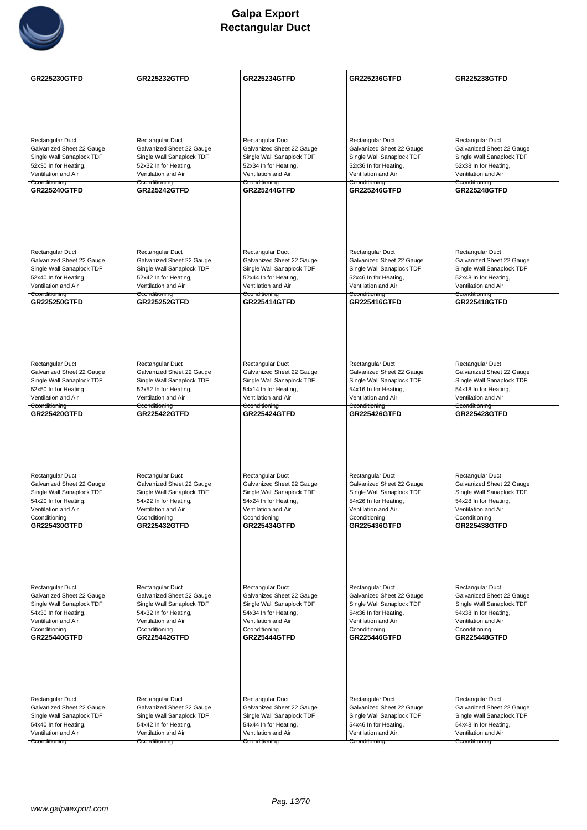

| <b>Rectangular Duct</b><br>Rectangular Duct<br>Rectangular Duct<br>Rectangular Duct<br>Rectangular Duct<br>Galvanized Sheet 22 Gauge<br>Galvanized Sheet 22 Gauge<br>Galvanized Sheet 22 Gauge<br>Galvanized Sheet 22 Gauge<br>Galvanized Sheet 22 Gauge<br>Single Wall Sanaplock TDF<br>Single Wall Sanaplock TDF<br>Single Wall Sanaplock TDF<br>Single Wall Sanaplock TDF<br>Single Wall Sanaplock TDF<br>52x30 In for Heating,<br>52x32 In for Heating,<br>52x34 In for Heating,<br>52x36 In for Heating,<br>52x38 In for Heating,<br>Ventilation and Air<br>Ventilation and Air<br>Ventilation and Air<br>Ventilation and Air<br>Ventilation and Air<br>Cconditioning<br>Cconditioning<br>Cconditioning<br>Cconditioning<br>Cconditioning<br><b>GR225240GTFD</b><br><b>GR225242GTFD</b><br><b>GR225244GTFD</b><br><b>GR225246GTFD</b><br><b>GR225248GTFD</b><br><b>Rectangular Duct</b><br>Rectangular Duct<br>Rectangular Duct<br>Rectangular Duct<br>Rectangular Duct<br>Galvanized Sheet 22 Gauge<br>Galvanized Sheet 22 Gauge<br>Galvanized Sheet 22 Gauge<br>Galvanized Sheet 22 Gauge<br>Galvanized Sheet 22 Gauge<br>Single Wall Sanaplock TDF<br>Single Wall Sanaplock TDF<br>Single Wall Sanaplock TDF<br>Single Wall Sanaplock TDF<br>Single Wall Sanaplock TDF<br>52x40 In for Heating,<br>52x42 In for Heating,<br>52x44 In for Heating,<br>52x46 In for Heating,<br>52x48 In for Heating,<br>Ventilation and Air<br>Ventilation and Air<br>Ventilation and Air<br>Ventilation and Air<br>Ventilation and Air<br>Cconditioning<br>Cconditioning<br>Cconditioning<br><del>Cconditioning</del><br>Cconditioning<br><b>GR225250GTFD</b><br><b>GR225252GTFD</b><br>GR225414GTFD<br>GR225416GTFD<br><b>GR225418GTFD</b><br><b>Rectangular Duct</b><br>Rectangular Duct<br>Rectangular Duct<br>Rectangular Duct<br>Rectangular Duct<br>Galvanized Sheet 22 Gauge<br>Galvanized Sheet 22 Gauge<br>Galvanized Sheet 22 Gauge<br>Galvanized Sheet 22 Gauge<br>Galvanized Sheet 22 Gauge<br>Single Wall Sanaplock TDF<br>Single Wall Sanaplock TDF<br>Single Wall Sanaplock TDF<br>Single Wall Sanaplock TDF<br>Single Wall Sanaplock TDF<br>52x50 In for Heating,<br>52x52 In for Heating,<br>54x14 In for Heating,<br>54x16 In for Heating,<br>54x18 In for Heating,<br>Ventilation and Air<br>Ventilation and Air<br>Ventilation and Air<br>Ventilation and Air<br>Ventilation and Air<br>Cconditioning<br>Cconditioning<br>Cconditioning<br>Cconditioning<br>Cconditioning<br><b>GR225420GTFD</b><br><b>GR225422GTFD</b><br><b>GR225424GTFD</b><br><b>GR225426GTFD</b><br><b>GR225428GTFD</b><br><b>Rectangular Duct</b><br>Rectangular Duct<br>Rectangular Duct<br>Rectangular Duct<br>Rectangular Duct<br>Galvanized Sheet 22 Gauge<br>Galvanized Sheet 22 Gauge<br>Galvanized Sheet 22 Gauge<br>Galvanized Sheet 22 Gauge<br>Galvanized Sheet 22 Gauge<br>Single Wall Sanaplock TDF<br>Single Wall Sanaplock TDF<br>Single Wall Sanaplock TDF<br>Single Wall Sanaplock TDF<br>Single Wall Sanaplock TDF<br>54x20 In for Heating,<br>54x22 In for Heating,<br>54x24 In for Heating,<br>54x26 In for Heating,<br>54x28 In for Heating,<br>Ventilation and Air<br>Ventilation and Air<br>Ventilation and Air<br>Ventilation and Air<br>Ventilation and Air<br>Cconditioning<br>Cconditioning<br>Cconditioning<br>Cconditioning<br><b>GR225430GTFD</b><br><b>GR225436GTFD</b><br><b>GR225432GTFD</b><br><b>GR225434GTFD</b><br><b>GR225438GTFD</b><br>Rectangular Duct<br>Rectangular Duct<br>Rectangular Duct<br>Rectangular Duct<br>Rectangular Duct<br>Galvanized Sheet 22 Gauge<br>Galvanized Sheet 22 Gauge<br>Galvanized Sheet 22 Gauge<br>Galvanized Sheet 22 Gauge<br>Galvanized Sheet 22 Gauge<br>Single Wall Sanaplock TDF<br>Single Wall Sanaplock TDF<br>Single Wall Sanaplock TDF<br>Single Wall Sanaplock TDF<br>Single Wall Sanaplock TDF<br>54x30 In for Heating,<br>54x36 In for Heating,<br>54x32 In for Heating,<br>54x34 In for Heating,<br>54x38 In for Heating,<br>Ventilation and Air<br>Ventilation and Air<br>Ventilation and Air<br>Ventilation and Air<br>Ventilation and Air<br>Cconditioning<br>Cconditioning<br>Cconditioning<br>Cconditioning<br>Cconditioning<br><b>GR225440GTFD</b><br><b>GR225442GTFD</b><br><b>GR225444GTFD</b><br><b>GR225446GTFD</b><br><b>GR225448GTFD</b><br>Rectangular Duct<br>Rectangular Duct<br>Rectangular Duct<br>Rectangular Duct<br>Rectangular Duct<br>Galvanized Sheet 22 Gauge<br>Galvanized Sheet 22 Gauge<br>Galvanized Sheet 22 Gauge<br>Galvanized Sheet 22 Gauge<br>Galvanized Sheet 22 Gauge<br>Single Wall Sanaplock TDF<br>Single Wall Sanaplock TDF<br>Single Wall Sanaplock TDF<br>Single Wall Sanaplock TDF<br>Single Wall Sanaplock TDF<br>54x40 In for Heating,<br>54x42 In for Heating,<br>54x44 In for Heating,<br>54x46 In for Heating,<br>54x48 In for Heating,<br>Ventilation and Air<br>Ventilation and Air<br>Ventilation and Air<br>Ventilation and Air<br>Ventilation and Air<br>Cconditioning<br>Cconditioning<br>Cconditioning<br>Cconditioning<br>Cconditioning | <b>GR225230GTFD</b> | <b>GR225232GTFD</b> | <b>GR225234GTFD</b> | GR225236GTFD | <b>GR225238GTFD</b> |
|-----------------------------------------------------------------------------------------------------------------------------------------------------------------------------------------------------------------------------------------------------------------------------------------------------------------------------------------------------------------------------------------------------------------------------------------------------------------------------------------------------------------------------------------------------------------------------------------------------------------------------------------------------------------------------------------------------------------------------------------------------------------------------------------------------------------------------------------------------------------------------------------------------------------------------------------------------------------------------------------------------------------------------------------------------------------------------------------------------------------------------------------------------------------------------------------------------------------------------------------------------------------------------------------------------------------------------------------------------------------------------------------------------------------------------------------------------------------------------------------------------------------------------------------------------------------------------------------------------------------------------------------------------------------------------------------------------------------------------------------------------------------------------------------------------------------------------------------------------------------------------------------------------------------------------------------------------------------------------------------------------------------------------------------------------------------------------------------------------------------------------------------------------------------------------------------------------------------------------------------------------------------------------------------------------------------------------------------------------------------------------------------------------------------------------------------------------------------------------------------------------------------------------------------------------------------------------------------------------------------------------------------------------------------------------------------------------------------------------------------------------------------------------------------------------------------------------------------------------------------------------------------------------------------------------------------------------------------------------------------------------------------------------------------------------------------------------------------------------------------------------------------------------------------------------------------------------------------------------------------------------------------------------------------------------------------------------------------------------------------------------------------------------------------------------------------------------------------------------------------------------------------------------------------------------------------------------------------------------------------------------------------------------------------------------------------------------------------------------------------------------------------------------------------------------------------------------------------------------------------------------------------------------------------------------------------------------------------------------------------------------------------------------------------------------------------------------------------------------------------------------------------------------------------------------------------------------------------------------------------------------------------------------------------------------------------------------------------------------------------------------------------------------------------------------------------------------------------------------------------------------------------------------------------------------------------------------------------------------------------------------------------------------------------------------------------------------------------------------------------------------------------------------------------------------------------------------------------------------------------------------------------------------------------------------------------------------------------------------------------------------------------------------------------------------------------------|---------------------|---------------------|---------------------|--------------|---------------------|
|                                                                                                                                                                                                                                                                                                                                                                                                                                                                                                                                                                                                                                                                                                                                                                                                                                                                                                                                                                                                                                                                                                                                                                                                                                                                                                                                                                                                                                                                                                                                                                                                                                                                                                                                                                                                                                                                                                                                                                                                                                                                                                                                                                                                                                                                                                                                                                                                                                                                                                                                                                                                                                                                                                                                                                                                                                                                                                                                                                                                                                                                                                                                                                                                                                                                                                                                                                                                                                                                                                                                                                                                                                                                                                                                                                                                                                                                                                                                                                                                                                                                                                                                                                                                                                                                                                                                                                                                                                                                                                                                                                                                                                                                                                                                                                                                                                                                                                                                                                                                                                                                       |                     |                     |                     |              |                     |
|                                                                                                                                                                                                                                                                                                                                                                                                                                                                                                                                                                                                                                                                                                                                                                                                                                                                                                                                                                                                                                                                                                                                                                                                                                                                                                                                                                                                                                                                                                                                                                                                                                                                                                                                                                                                                                                                                                                                                                                                                                                                                                                                                                                                                                                                                                                                                                                                                                                                                                                                                                                                                                                                                                                                                                                                                                                                                                                                                                                                                                                                                                                                                                                                                                                                                                                                                                                                                                                                                                                                                                                                                                                                                                                                                                                                                                                                                                                                                                                                                                                                                                                                                                                                                                                                                                                                                                                                                                                                                                                                                                                                                                                                                                                                                                                                                                                                                                                                                                                                                                                                       |                     |                     |                     |              |                     |
|                                                                                                                                                                                                                                                                                                                                                                                                                                                                                                                                                                                                                                                                                                                                                                                                                                                                                                                                                                                                                                                                                                                                                                                                                                                                                                                                                                                                                                                                                                                                                                                                                                                                                                                                                                                                                                                                                                                                                                                                                                                                                                                                                                                                                                                                                                                                                                                                                                                                                                                                                                                                                                                                                                                                                                                                                                                                                                                                                                                                                                                                                                                                                                                                                                                                                                                                                                                                                                                                                                                                                                                                                                                                                                                                                                                                                                                                                                                                                                                                                                                                                                                                                                                                                                                                                                                                                                                                                                                                                                                                                                                                                                                                                                                                                                                                                                                                                                                                                                                                                                                                       |                     |                     |                     |              |                     |
|                                                                                                                                                                                                                                                                                                                                                                                                                                                                                                                                                                                                                                                                                                                                                                                                                                                                                                                                                                                                                                                                                                                                                                                                                                                                                                                                                                                                                                                                                                                                                                                                                                                                                                                                                                                                                                                                                                                                                                                                                                                                                                                                                                                                                                                                                                                                                                                                                                                                                                                                                                                                                                                                                                                                                                                                                                                                                                                                                                                                                                                                                                                                                                                                                                                                                                                                                                                                                                                                                                                                                                                                                                                                                                                                                                                                                                                                                                                                                                                                                                                                                                                                                                                                                                                                                                                                                                                                                                                                                                                                                                                                                                                                                                                                                                                                                                                                                                                                                                                                                                                                       |                     |                     |                     |              |                     |
|                                                                                                                                                                                                                                                                                                                                                                                                                                                                                                                                                                                                                                                                                                                                                                                                                                                                                                                                                                                                                                                                                                                                                                                                                                                                                                                                                                                                                                                                                                                                                                                                                                                                                                                                                                                                                                                                                                                                                                                                                                                                                                                                                                                                                                                                                                                                                                                                                                                                                                                                                                                                                                                                                                                                                                                                                                                                                                                                                                                                                                                                                                                                                                                                                                                                                                                                                                                                                                                                                                                                                                                                                                                                                                                                                                                                                                                                                                                                                                                                                                                                                                                                                                                                                                                                                                                                                                                                                                                                                                                                                                                                                                                                                                                                                                                                                                                                                                                                                                                                                                                                       |                     |                     |                     |              |                     |
|                                                                                                                                                                                                                                                                                                                                                                                                                                                                                                                                                                                                                                                                                                                                                                                                                                                                                                                                                                                                                                                                                                                                                                                                                                                                                                                                                                                                                                                                                                                                                                                                                                                                                                                                                                                                                                                                                                                                                                                                                                                                                                                                                                                                                                                                                                                                                                                                                                                                                                                                                                                                                                                                                                                                                                                                                                                                                                                                                                                                                                                                                                                                                                                                                                                                                                                                                                                                                                                                                                                                                                                                                                                                                                                                                                                                                                                                                                                                                                                                                                                                                                                                                                                                                                                                                                                                                                                                                                                                                                                                                                                                                                                                                                                                                                                                                                                                                                                                                                                                                                                                       |                     |                     |                     |              |                     |
|                                                                                                                                                                                                                                                                                                                                                                                                                                                                                                                                                                                                                                                                                                                                                                                                                                                                                                                                                                                                                                                                                                                                                                                                                                                                                                                                                                                                                                                                                                                                                                                                                                                                                                                                                                                                                                                                                                                                                                                                                                                                                                                                                                                                                                                                                                                                                                                                                                                                                                                                                                                                                                                                                                                                                                                                                                                                                                                                                                                                                                                                                                                                                                                                                                                                                                                                                                                                                                                                                                                                                                                                                                                                                                                                                                                                                                                                                                                                                                                                                                                                                                                                                                                                                                                                                                                                                                                                                                                                                                                                                                                                                                                                                                                                                                                                                                                                                                                                                                                                                                                                       |                     |                     |                     |              |                     |
|                                                                                                                                                                                                                                                                                                                                                                                                                                                                                                                                                                                                                                                                                                                                                                                                                                                                                                                                                                                                                                                                                                                                                                                                                                                                                                                                                                                                                                                                                                                                                                                                                                                                                                                                                                                                                                                                                                                                                                                                                                                                                                                                                                                                                                                                                                                                                                                                                                                                                                                                                                                                                                                                                                                                                                                                                                                                                                                                                                                                                                                                                                                                                                                                                                                                                                                                                                                                                                                                                                                                                                                                                                                                                                                                                                                                                                                                                                                                                                                                                                                                                                                                                                                                                                                                                                                                                                                                                                                                                                                                                                                                                                                                                                                                                                                                                                                                                                                                                                                                                                                                       |                     |                     |                     |              |                     |
|                                                                                                                                                                                                                                                                                                                                                                                                                                                                                                                                                                                                                                                                                                                                                                                                                                                                                                                                                                                                                                                                                                                                                                                                                                                                                                                                                                                                                                                                                                                                                                                                                                                                                                                                                                                                                                                                                                                                                                                                                                                                                                                                                                                                                                                                                                                                                                                                                                                                                                                                                                                                                                                                                                                                                                                                                                                                                                                                                                                                                                                                                                                                                                                                                                                                                                                                                                                                                                                                                                                                                                                                                                                                                                                                                                                                                                                                                                                                                                                                                                                                                                                                                                                                                                                                                                                                                                                                                                                                                                                                                                                                                                                                                                                                                                                                                                                                                                                                                                                                                                                                       |                     |                     |                     |              |                     |
|                                                                                                                                                                                                                                                                                                                                                                                                                                                                                                                                                                                                                                                                                                                                                                                                                                                                                                                                                                                                                                                                                                                                                                                                                                                                                                                                                                                                                                                                                                                                                                                                                                                                                                                                                                                                                                                                                                                                                                                                                                                                                                                                                                                                                                                                                                                                                                                                                                                                                                                                                                                                                                                                                                                                                                                                                                                                                                                                                                                                                                                                                                                                                                                                                                                                                                                                                                                                                                                                                                                                                                                                                                                                                                                                                                                                                                                                                                                                                                                                                                                                                                                                                                                                                                                                                                                                                                                                                                                                                                                                                                                                                                                                                                                                                                                                                                                                                                                                                                                                                                                                       |                     |                     |                     |              |                     |
|                                                                                                                                                                                                                                                                                                                                                                                                                                                                                                                                                                                                                                                                                                                                                                                                                                                                                                                                                                                                                                                                                                                                                                                                                                                                                                                                                                                                                                                                                                                                                                                                                                                                                                                                                                                                                                                                                                                                                                                                                                                                                                                                                                                                                                                                                                                                                                                                                                                                                                                                                                                                                                                                                                                                                                                                                                                                                                                                                                                                                                                                                                                                                                                                                                                                                                                                                                                                                                                                                                                                                                                                                                                                                                                                                                                                                                                                                                                                                                                                                                                                                                                                                                                                                                                                                                                                                                                                                                                                                                                                                                                                                                                                                                                                                                                                                                                                                                                                                                                                                                                                       |                     |                     |                     |              |                     |
|                                                                                                                                                                                                                                                                                                                                                                                                                                                                                                                                                                                                                                                                                                                                                                                                                                                                                                                                                                                                                                                                                                                                                                                                                                                                                                                                                                                                                                                                                                                                                                                                                                                                                                                                                                                                                                                                                                                                                                                                                                                                                                                                                                                                                                                                                                                                                                                                                                                                                                                                                                                                                                                                                                                                                                                                                                                                                                                                                                                                                                                                                                                                                                                                                                                                                                                                                                                                                                                                                                                                                                                                                                                                                                                                                                                                                                                                                                                                                                                                                                                                                                                                                                                                                                                                                                                                                                                                                                                                                                                                                                                                                                                                                                                                                                                                                                                                                                                                                                                                                                                                       |                     |                     |                     |              |                     |
|                                                                                                                                                                                                                                                                                                                                                                                                                                                                                                                                                                                                                                                                                                                                                                                                                                                                                                                                                                                                                                                                                                                                                                                                                                                                                                                                                                                                                                                                                                                                                                                                                                                                                                                                                                                                                                                                                                                                                                                                                                                                                                                                                                                                                                                                                                                                                                                                                                                                                                                                                                                                                                                                                                                                                                                                                                                                                                                                                                                                                                                                                                                                                                                                                                                                                                                                                                                                                                                                                                                                                                                                                                                                                                                                                                                                                                                                                                                                                                                                                                                                                                                                                                                                                                                                                                                                                                                                                                                                                                                                                                                                                                                                                                                                                                                                                                                                                                                                                                                                                                                                       |                     |                     |                     |              |                     |
|                                                                                                                                                                                                                                                                                                                                                                                                                                                                                                                                                                                                                                                                                                                                                                                                                                                                                                                                                                                                                                                                                                                                                                                                                                                                                                                                                                                                                                                                                                                                                                                                                                                                                                                                                                                                                                                                                                                                                                                                                                                                                                                                                                                                                                                                                                                                                                                                                                                                                                                                                                                                                                                                                                                                                                                                                                                                                                                                                                                                                                                                                                                                                                                                                                                                                                                                                                                                                                                                                                                                                                                                                                                                                                                                                                                                                                                                                                                                                                                                                                                                                                                                                                                                                                                                                                                                                                                                                                                                                                                                                                                                                                                                                                                                                                                                                                                                                                                                                                                                                                                                       |                     |                     |                     |              |                     |
|                                                                                                                                                                                                                                                                                                                                                                                                                                                                                                                                                                                                                                                                                                                                                                                                                                                                                                                                                                                                                                                                                                                                                                                                                                                                                                                                                                                                                                                                                                                                                                                                                                                                                                                                                                                                                                                                                                                                                                                                                                                                                                                                                                                                                                                                                                                                                                                                                                                                                                                                                                                                                                                                                                                                                                                                                                                                                                                                                                                                                                                                                                                                                                                                                                                                                                                                                                                                                                                                                                                                                                                                                                                                                                                                                                                                                                                                                                                                                                                                                                                                                                                                                                                                                                                                                                                                                                                                                                                                                                                                                                                                                                                                                                                                                                                                                                                                                                                                                                                                                                                                       |                     |                     |                     |              |                     |
|                                                                                                                                                                                                                                                                                                                                                                                                                                                                                                                                                                                                                                                                                                                                                                                                                                                                                                                                                                                                                                                                                                                                                                                                                                                                                                                                                                                                                                                                                                                                                                                                                                                                                                                                                                                                                                                                                                                                                                                                                                                                                                                                                                                                                                                                                                                                                                                                                                                                                                                                                                                                                                                                                                                                                                                                                                                                                                                                                                                                                                                                                                                                                                                                                                                                                                                                                                                                                                                                                                                                                                                                                                                                                                                                                                                                                                                                                                                                                                                                                                                                                                                                                                                                                                                                                                                                                                                                                                                                                                                                                                                                                                                                                                                                                                                                                                                                                                                                                                                                                                                                       |                     |                     |                     |              |                     |
|                                                                                                                                                                                                                                                                                                                                                                                                                                                                                                                                                                                                                                                                                                                                                                                                                                                                                                                                                                                                                                                                                                                                                                                                                                                                                                                                                                                                                                                                                                                                                                                                                                                                                                                                                                                                                                                                                                                                                                                                                                                                                                                                                                                                                                                                                                                                                                                                                                                                                                                                                                                                                                                                                                                                                                                                                                                                                                                                                                                                                                                                                                                                                                                                                                                                                                                                                                                                                                                                                                                                                                                                                                                                                                                                                                                                                                                                                                                                                                                                                                                                                                                                                                                                                                                                                                                                                                                                                                                                                                                                                                                                                                                                                                                                                                                                                                                                                                                                                                                                                                                                       |                     |                     |                     |              |                     |
|                                                                                                                                                                                                                                                                                                                                                                                                                                                                                                                                                                                                                                                                                                                                                                                                                                                                                                                                                                                                                                                                                                                                                                                                                                                                                                                                                                                                                                                                                                                                                                                                                                                                                                                                                                                                                                                                                                                                                                                                                                                                                                                                                                                                                                                                                                                                                                                                                                                                                                                                                                                                                                                                                                                                                                                                                                                                                                                                                                                                                                                                                                                                                                                                                                                                                                                                                                                                                                                                                                                                                                                                                                                                                                                                                                                                                                                                                                                                                                                                                                                                                                                                                                                                                                                                                                                                                                                                                                                                                                                                                                                                                                                                                                                                                                                                                                                                                                                                                                                                                                                                       |                     |                     |                     |              |                     |
|                                                                                                                                                                                                                                                                                                                                                                                                                                                                                                                                                                                                                                                                                                                                                                                                                                                                                                                                                                                                                                                                                                                                                                                                                                                                                                                                                                                                                                                                                                                                                                                                                                                                                                                                                                                                                                                                                                                                                                                                                                                                                                                                                                                                                                                                                                                                                                                                                                                                                                                                                                                                                                                                                                                                                                                                                                                                                                                                                                                                                                                                                                                                                                                                                                                                                                                                                                                                                                                                                                                                                                                                                                                                                                                                                                                                                                                                                                                                                                                                                                                                                                                                                                                                                                                                                                                                                                                                                                                                                                                                                                                                                                                                                                                                                                                                                                                                                                                                                                                                                                                                       |                     |                     |                     |              |                     |
|                                                                                                                                                                                                                                                                                                                                                                                                                                                                                                                                                                                                                                                                                                                                                                                                                                                                                                                                                                                                                                                                                                                                                                                                                                                                                                                                                                                                                                                                                                                                                                                                                                                                                                                                                                                                                                                                                                                                                                                                                                                                                                                                                                                                                                                                                                                                                                                                                                                                                                                                                                                                                                                                                                                                                                                                                                                                                                                                                                                                                                                                                                                                                                                                                                                                                                                                                                                                                                                                                                                                                                                                                                                                                                                                                                                                                                                                                                                                                                                                                                                                                                                                                                                                                                                                                                                                                                                                                                                                                                                                                                                                                                                                                                                                                                                                                                                                                                                                                                                                                                                                       |                     |                     |                     |              |                     |
|                                                                                                                                                                                                                                                                                                                                                                                                                                                                                                                                                                                                                                                                                                                                                                                                                                                                                                                                                                                                                                                                                                                                                                                                                                                                                                                                                                                                                                                                                                                                                                                                                                                                                                                                                                                                                                                                                                                                                                                                                                                                                                                                                                                                                                                                                                                                                                                                                                                                                                                                                                                                                                                                                                                                                                                                                                                                                                                                                                                                                                                                                                                                                                                                                                                                                                                                                                                                                                                                                                                                                                                                                                                                                                                                                                                                                                                                                                                                                                                                                                                                                                                                                                                                                                                                                                                                                                                                                                                                                                                                                                                                                                                                                                                                                                                                                                                                                                                                                                                                                                                                       |                     |                     |                     |              |                     |
|                                                                                                                                                                                                                                                                                                                                                                                                                                                                                                                                                                                                                                                                                                                                                                                                                                                                                                                                                                                                                                                                                                                                                                                                                                                                                                                                                                                                                                                                                                                                                                                                                                                                                                                                                                                                                                                                                                                                                                                                                                                                                                                                                                                                                                                                                                                                                                                                                                                                                                                                                                                                                                                                                                                                                                                                                                                                                                                                                                                                                                                                                                                                                                                                                                                                                                                                                                                                                                                                                                                                                                                                                                                                                                                                                                                                                                                                                                                                                                                                                                                                                                                                                                                                                                                                                                                                                                                                                                                                                                                                                                                                                                                                                                                                                                                                                                                                                                                                                                                                                                                                       |                     |                     |                     |              |                     |
|                                                                                                                                                                                                                                                                                                                                                                                                                                                                                                                                                                                                                                                                                                                                                                                                                                                                                                                                                                                                                                                                                                                                                                                                                                                                                                                                                                                                                                                                                                                                                                                                                                                                                                                                                                                                                                                                                                                                                                                                                                                                                                                                                                                                                                                                                                                                                                                                                                                                                                                                                                                                                                                                                                                                                                                                                                                                                                                                                                                                                                                                                                                                                                                                                                                                                                                                                                                                                                                                                                                                                                                                                                                                                                                                                                                                                                                                                                                                                                                                                                                                                                                                                                                                                                                                                                                                                                                                                                                                                                                                                                                                                                                                                                                                                                                                                                                                                                                                                                                                                                                                       |                     |                     |                     |              |                     |
|                                                                                                                                                                                                                                                                                                                                                                                                                                                                                                                                                                                                                                                                                                                                                                                                                                                                                                                                                                                                                                                                                                                                                                                                                                                                                                                                                                                                                                                                                                                                                                                                                                                                                                                                                                                                                                                                                                                                                                                                                                                                                                                                                                                                                                                                                                                                                                                                                                                                                                                                                                                                                                                                                                                                                                                                                                                                                                                                                                                                                                                                                                                                                                                                                                                                                                                                                                                                                                                                                                                                                                                                                                                                                                                                                                                                                                                                                                                                                                                                                                                                                                                                                                                                                                                                                                                                                                                                                                                                                                                                                                                                                                                                                                                                                                                                                                                                                                                                                                                                                                                                       |                     |                     |                     |              |                     |
|                                                                                                                                                                                                                                                                                                                                                                                                                                                                                                                                                                                                                                                                                                                                                                                                                                                                                                                                                                                                                                                                                                                                                                                                                                                                                                                                                                                                                                                                                                                                                                                                                                                                                                                                                                                                                                                                                                                                                                                                                                                                                                                                                                                                                                                                                                                                                                                                                                                                                                                                                                                                                                                                                                                                                                                                                                                                                                                                                                                                                                                                                                                                                                                                                                                                                                                                                                                                                                                                                                                                                                                                                                                                                                                                                                                                                                                                                                                                                                                                                                                                                                                                                                                                                                                                                                                                                                                                                                                                                                                                                                                                                                                                                                                                                                                                                                                                                                                                                                                                                                                                       |                     |                     |                     |              |                     |
|                                                                                                                                                                                                                                                                                                                                                                                                                                                                                                                                                                                                                                                                                                                                                                                                                                                                                                                                                                                                                                                                                                                                                                                                                                                                                                                                                                                                                                                                                                                                                                                                                                                                                                                                                                                                                                                                                                                                                                                                                                                                                                                                                                                                                                                                                                                                                                                                                                                                                                                                                                                                                                                                                                                                                                                                                                                                                                                                                                                                                                                                                                                                                                                                                                                                                                                                                                                                                                                                                                                                                                                                                                                                                                                                                                                                                                                                                                                                                                                                                                                                                                                                                                                                                                                                                                                                                                                                                                                                                                                                                                                                                                                                                                                                                                                                                                                                                                                                                                                                                                                                       |                     |                     |                     |              |                     |
|                                                                                                                                                                                                                                                                                                                                                                                                                                                                                                                                                                                                                                                                                                                                                                                                                                                                                                                                                                                                                                                                                                                                                                                                                                                                                                                                                                                                                                                                                                                                                                                                                                                                                                                                                                                                                                                                                                                                                                                                                                                                                                                                                                                                                                                                                                                                                                                                                                                                                                                                                                                                                                                                                                                                                                                                                                                                                                                                                                                                                                                                                                                                                                                                                                                                                                                                                                                                                                                                                                                                                                                                                                                                                                                                                                                                                                                                                                                                                                                                                                                                                                                                                                                                                                                                                                                                                                                                                                                                                                                                                                                                                                                                                                                                                                                                                                                                                                                                                                                                                                                                       |                     |                     |                     |              |                     |
|                                                                                                                                                                                                                                                                                                                                                                                                                                                                                                                                                                                                                                                                                                                                                                                                                                                                                                                                                                                                                                                                                                                                                                                                                                                                                                                                                                                                                                                                                                                                                                                                                                                                                                                                                                                                                                                                                                                                                                                                                                                                                                                                                                                                                                                                                                                                                                                                                                                                                                                                                                                                                                                                                                                                                                                                                                                                                                                                                                                                                                                                                                                                                                                                                                                                                                                                                                                                                                                                                                                                                                                                                                                                                                                                                                                                                                                                                                                                                                                                                                                                                                                                                                                                                                                                                                                                                                                                                                                                                                                                                                                                                                                                                                                                                                                                                                                                                                                                                                                                                                                                       |                     |                     |                     |              |                     |
|                                                                                                                                                                                                                                                                                                                                                                                                                                                                                                                                                                                                                                                                                                                                                                                                                                                                                                                                                                                                                                                                                                                                                                                                                                                                                                                                                                                                                                                                                                                                                                                                                                                                                                                                                                                                                                                                                                                                                                                                                                                                                                                                                                                                                                                                                                                                                                                                                                                                                                                                                                                                                                                                                                                                                                                                                                                                                                                                                                                                                                                                                                                                                                                                                                                                                                                                                                                                                                                                                                                                                                                                                                                                                                                                                                                                                                                                                                                                                                                                                                                                                                                                                                                                                                                                                                                                                                                                                                                                                                                                                                                                                                                                                                                                                                                                                                                                                                                                                                                                                                                                       |                     |                     |                     |              |                     |
|                                                                                                                                                                                                                                                                                                                                                                                                                                                                                                                                                                                                                                                                                                                                                                                                                                                                                                                                                                                                                                                                                                                                                                                                                                                                                                                                                                                                                                                                                                                                                                                                                                                                                                                                                                                                                                                                                                                                                                                                                                                                                                                                                                                                                                                                                                                                                                                                                                                                                                                                                                                                                                                                                                                                                                                                                                                                                                                                                                                                                                                                                                                                                                                                                                                                                                                                                                                                                                                                                                                                                                                                                                                                                                                                                                                                                                                                                                                                                                                                                                                                                                                                                                                                                                                                                                                                                                                                                                                                                                                                                                                                                                                                                                                                                                                                                                                                                                                                                                                                                                                                       |                     |                     |                     |              |                     |
|                                                                                                                                                                                                                                                                                                                                                                                                                                                                                                                                                                                                                                                                                                                                                                                                                                                                                                                                                                                                                                                                                                                                                                                                                                                                                                                                                                                                                                                                                                                                                                                                                                                                                                                                                                                                                                                                                                                                                                                                                                                                                                                                                                                                                                                                                                                                                                                                                                                                                                                                                                                                                                                                                                                                                                                                                                                                                                                                                                                                                                                                                                                                                                                                                                                                                                                                                                                                                                                                                                                                                                                                                                                                                                                                                                                                                                                                                                                                                                                                                                                                                                                                                                                                                                                                                                                                                                                                                                                                                                                                                                                                                                                                                                                                                                                                                                                                                                                                                                                                                                                                       |                     |                     |                     |              |                     |
|                                                                                                                                                                                                                                                                                                                                                                                                                                                                                                                                                                                                                                                                                                                                                                                                                                                                                                                                                                                                                                                                                                                                                                                                                                                                                                                                                                                                                                                                                                                                                                                                                                                                                                                                                                                                                                                                                                                                                                                                                                                                                                                                                                                                                                                                                                                                                                                                                                                                                                                                                                                                                                                                                                                                                                                                                                                                                                                                                                                                                                                                                                                                                                                                                                                                                                                                                                                                                                                                                                                                                                                                                                                                                                                                                                                                                                                                                                                                                                                                                                                                                                                                                                                                                                                                                                                                                                                                                                                                                                                                                                                                                                                                                                                                                                                                                                                                                                                                                                                                                                                                       |                     |                     |                     |              |                     |
|                                                                                                                                                                                                                                                                                                                                                                                                                                                                                                                                                                                                                                                                                                                                                                                                                                                                                                                                                                                                                                                                                                                                                                                                                                                                                                                                                                                                                                                                                                                                                                                                                                                                                                                                                                                                                                                                                                                                                                                                                                                                                                                                                                                                                                                                                                                                                                                                                                                                                                                                                                                                                                                                                                                                                                                                                                                                                                                                                                                                                                                                                                                                                                                                                                                                                                                                                                                                                                                                                                                                                                                                                                                                                                                                                                                                                                                                                                                                                                                                                                                                                                                                                                                                                                                                                                                                                                                                                                                                                                                                                                                                                                                                                                                                                                                                                                                                                                                                                                                                                                                                       |                     |                     |                     |              |                     |
|                                                                                                                                                                                                                                                                                                                                                                                                                                                                                                                                                                                                                                                                                                                                                                                                                                                                                                                                                                                                                                                                                                                                                                                                                                                                                                                                                                                                                                                                                                                                                                                                                                                                                                                                                                                                                                                                                                                                                                                                                                                                                                                                                                                                                                                                                                                                                                                                                                                                                                                                                                                                                                                                                                                                                                                                                                                                                                                                                                                                                                                                                                                                                                                                                                                                                                                                                                                                                                                                                                                                                                                                                                                                                                                                                                                                                                                                                                                                                                                                                                                                                                                                                                                                                                                                                                                                                                                                                                                                                                                                                                                                                                                                                                                                                                                                                                                                                                                                                                                                                                                                       | Cconditioning       |                     |                     |              |                     |
|                                                                                                                                                                                                                                                                                                                                                                                                                                                                                                                                                                                                                                                                                                                                                                                                                                                                                                                                                                                                                                                                                                                                                                                                                                                                                                                                                                                                                                                                                                                                                                                                                                                                                                                                                                                                                                                                                                                                                                                                                                                                                                                                                                                                                                                                                                                                                                                                                                                                                                                                                                                                                                                                                                                                                                                                                                                                                                                                                                                                                                                                                                                                                                                                                                                                                                                                                                                                                                                                                                                                                                                                                                                                                                                                                                                                                                                                                                                                                                                                                                                                                                                                                                                                                                                                                                                                                                                                                                                                                                                                                                                                                                                                                                                                                                                                                                                                                                                                                                                                                                                                       |                     |                     |                     |              |                     |
|                                                                                                                                                                                                                                                                                                                                                                                                                                                                                                                                                                                                                                                                                                                                                                                                                                                                                                                                                                                                                                                                                                                                                                                                                                                                                                                                                                                                                                                                                                                                                                                                                                                                                                                                                                                                                                                                                                                                                                                                                                                                                                                                                                                                                                                                                                                                                                                                                                                                                                                                                                                                                                                                                                                                                                                                                                                                                                                                                                                                                                                                                                                                                                                                                                                                                                                                                                                                                                                                                                                                                                                                                                                                                                                                                                                                                                                                                                                                                                                                                                                                                                                                                                                                                                                                                                                                                                                                                                                                                                                                                                                                                                                                                                                                                                                                                                                                                                                                                                                                                                                                       |                     |                     |                     |              |                     |
|                                                                                                                                                                                                                                                                                                                                                                                                                                                                                                                                                                                                                                                                                                                                                                                                                                                                                                                                                                                                                                                                                                                                                                                                                                                                                                                                                                                                                                                                                                                                                                                                                                                                                                                                                                                                                                                                                                                                                                                                                                                                                                                                                                                                                                                                                                                                                                                                                                                                                                                                                                                                                                                                                                                                                                                                                                                                                                                                                                                                                                                                                                                                                                                                                                                                                                                                                                                                                                                                                                                                                                                                                                                                                                                                                                                                                                                                                                                                                                                                                                                                                                                                                                                                                                                                                                                                                                                                                                                                                                                                                                                                                                                                                                                                                                                                                                                                                                                                                                                                                                                                       |                     |                     |                     |              |                     |
|                                                                                                                                                                                                                                                                                                                                                                                                                                                                                                                                                                                                                                                                                                                                                                                                                                                                                                                                                                                                                                                                                                                                                                                                                                                                                                                                                                                                                                                                                                                                                                                                                                                                                                                                                                                                                                                                                                                                                                                                                                                                                                                                                                                                                                                                                                                                                                                                                                                                                                                                                                                                                                                                                                                                                                                                                                                                                                                                                                                                                                                                                                                                                                                                                                                                                                                                                                                                                                                                                                                                                                                                                                                                                                                                                                                                                                                                                                                                                                                                                                                                                                                                                                                                                                                                                                                                                                                                                                                                                                                                                                                                                                                                                                                                                                                                                                                                                                                                                                                                                                                                       |                     |                     |                     |              |                     |
|                                                                                                                                                                                                                                                                                                                                                                                                                                                                                                                                                                                                                                                                                                                                                                                                                                                                                                                                                                                                                                                                                                                                                                                                                                                                                                                                                                                                                                                                                                                                                                                                                                                                                                                                                                                                                                                                                                                                                                                                                                                                                                                                                                                                                                                                                                                                                                                                                                                                                                                                                                                                                                                                                                                                                                                                                                                                                                                                                                                                                                                                                                                                                                                                                                                                                                                                                                                                                                                                                                                                                                                                                                                                                                                                                                                                                                                                                                                                                                                                                                                                                                                                                                                                                                                                                                                                                                                                                                                                                                                                                                                                                                                                                                                                                                                                                                                                                                                                                                                                                                                                       |                     |                     |                     |              |                     |
|                                                                                                                                                                                                                                                                                                                                                                                                                                                                                                                                                                                                                                                                                                                                                                                                                                                                                                                                                                                                                                                                                                                                                                                                                                                                                                                                                                                                                                                                                                                                                                                                                                                                                                                                                                                                                                                                                                                                                                                                                                                                                                                                                                                                                                                                                                                                                                                                                                                                                                                                                                                                                                                                                                                                                                                                                                                                                                                                                                                                                                                                                                                                                                                                                                                                                                                                                                                                                                                                                                                                                                                                                                                                                                                                                                                                                                                                                                                                                                                                                                                                                                                                                                                                                                                                                                                                                                                                                                                                                                                                                                                                                                                                                                                                                                                                                                                                                                                                                                                                                                                                       |                     |                     |                     |              |                     |
|                                                                                                                                                                                                                                                                                                                                                                                                                                                                                                                                                                                                                                                                                                                                                                                                                                                                                                                                                                                                                                                                                                                                                                                                                                                                                                                                                                                                                                                                                                                                                                                                                                                                                                                                                                                                                                                                                                                                                                                                                                                                                                                                                                                                                                                                                                                                                                                                                                                                                                                                                                                                                                                                                                                                                                                                                                                                                                                                                                                                                                                                                                                                                                                                                                                                                                                                                                                                                                                                                                                                                                                                                                                                                                                                                                                                                                                                                                                                                                                                                                                                                                                                                                                                                                                                                                                                                                                                                                                                                                                                                                                                                                                                                                                                                                                                                                                                                                                                                                                                                                                                       |                     |                     |                     |              |                     |
|                                                                                                                                                                                                                                                                                                                                                                                                                                                                                                                                                                                                                                                                                                                                                                                                                                                                                                                                                                                                                                                                                                                                                                                                                                                                                                                                                                                                                                                                                                                                                                                                                                                                                                                                                                                                                                                                                                                                                                                                                                                                                                                                                                                                                                                                                                                                                                                                                                                                                                                                                                                                                                                                                                                                                                                                                                                                                                                                                                                                                                                                                                                                                                                                                                                                                                                                                                                                                                                                                                                                                                                                                                                                                                                                                                                                                                                                                                                                                                                                                                                                                                                                                                                                                                                                                                                                                                                                                                                                                                                                                                                                                                                                                                                                                                                                                                                                                                                                                                                                                                                                       |                     |                     |                     |              |                     |
|                                                                                                                                                                                                                                                                                                                                                                                                                                                                                                                                                                                                                                                                                                                                                                                                                                                                                                                                                                                                                                                                                                                                                                                                                                                                                                                                                                                                                                                                                                                                                                                                                                                                                                                                                                                                                                                                                                                                                                                                                                                                                                                                                                                                                                                                                                                                                                                                                                                                                                                                                                                                                                                                                                                                                                                                                                                                                                                                                                                                                                                                                                                                                                                                                                                                                                                                                                                                                                                                                                                                                                                                                                                                                                                                                                                                                                                                                                                                                                                                                                                                                                                                                                                                                                                                                                                                                                                                                                                                                                                                                                                                                                                                                                                                                                                                                                                                                                                                                                                                                                                                       |                     |                     |                     |              |                     |
|                                                                                                                                                                                                                                                                                                                                                                                                                                                                                                                                                                                                                                                                                                                                                                                                                                                                                                                                                                                                                                                                                                                                                                                                                                                                                                                                                                                                                                                                                                                                                                                                                                                                                                                                                                                                                                                                                                                                                                                                                                                                                                                                                                                                                                                                                                                                                                                                                                                                                                                                                                                                                                                                                                                                                                                                                                                                                                                                                                                                                                                                                                                                                                                                                                                                                                                                                                                                                                                                                                                                                                                                                                                                                                                                                                                                                                                                                                                                                                                                                                                                                                                                                                                                                                                                                                                                                                                                                                                                                                                                                                                                                                                                                                                                                                                                                                                                                                                                                                                                                                                                       |                     |                     |                     |              |                     |
|                                                                                                                                                                                                                                                                                                                                                                                                                                                                                                                                                                                                                                                                                                                                                                                                                                                                                                                                                                                                                                                                                                                                                                                                                                                                                                                                                                                                                                                                                                                                                                                                                                                                                                                                                                                                                                                                                                                                                                                                                                                                                                                                                                                                                                                                                                                                                                                                                                                                                                                                                                                                                                                                                                                                                                                                                                                                                                                                                                                                                                                                                                                                                                                                                                                                                                                                                                                                                                                                                                                                                                                                                                                                                                                                                                                                                                                                                                                                                                                                                                                                                                                                                                                                                                                                                                                                                                                                                                                                                                                                                                                                                                                                                                                                                                                                                                                                                                                                                                                                                                                                       |                     |                     |                     |              |                     |
|                                                                                                                                                                                                                                                                                                                                                                                                                                                                                                                                                                                                                                                                                                                                                                                                                                                                                                                                                                                                                                                                                                                                                                                                                                                                                                                                                                                                                                                                                                                                                                                                                                                                                                                                                                                                                                                                                                                                                                                                                                                                                                                                                                                                                                                                                                                                                                                                                                                                                                                                                                                                                                                                                                                                                                                                                                                                                                                                                                                                                                                                                                                                                                                                                                                                                                                                                                                                                                                                                                                                                                                                                                                                                                                                                                                                                                                                                                                                                                                                                                                                                                                                                                                                                                                                                                                                                                                                                                                                                                                                                                                                                                                                                                                                                                                                                                                                                                                                                                                                                                                                       |                     |                     |                     |              |                     |
|                                                                                                                                                                                                                                                                                                                                                                                                                                                                                                                                                                                                                                                                                                                                                                                                                                                                                                                                                                                                                                                                                                                                                                                                                                                                                                                                                                                                                                                                                                                                                                                                                                                                                                                                                                                                                                                                                                                                                                                                                                                                                                                                                                                                                                                                                                                                                                                                                                                                                                                                                                                                                                                                                                                                                                                                                                                                                                                                                                                                                                                                                                                                                                                                                                                                                                                                                                                                                                                                                                                                                                                                                                                                                                                                                                                                                                                                                                                                                                                                                                                                                                                                                                                                                                                                                                                                                                                                                                                                                                                                                                                                                                                                                                                                                                                                                                                                                                                                                                                                                                                                       |                     |                     |                     |              |                     |
|                                                                                                                                                                                                                                                                                                                                                                                                                                                                                                                                                                                                                                                                                                                                                                                                                                                                                                                                                                                                                                                                                                                                                                                                                                                                                                                                                                                                                                                                                                                                                                                                                                                                                                                                                                                                                                                                                                                                                                                                                                                                                                                                                                                                                                                                                                                                                                                                                                                                                                                                                                                                                                                                                                                                                                                                                                                                                                                                                                                                                                                                                                                                                                                                                                                                                                                                                                                                                                                                                                                                                                                                                                                                                                                                                                                                                                                                                                                                                                                                                                                                                                                                                                                                                                                                                                                                                                                                                                                                                                                                                                                                                                                                                                                                                                                                                                                                                                                                                                                                                                                                       |                     |                     |                     |              |                     |
|                                                                                                                                                                                                                                                                                                                                                                                                                                                                                                                                                                                                                                                                                                                                                                                                                                                                                                                                                                                                                                                                                                                                                                                                                                                                                                                                                                                                                                                                                                                                                                                                                                                                                                                                                                                                                                                                                                                                                                                                                                                                                                                                                                                                                                                                                                                                                                                                                                                                                                                                                                                                                                                                                                                                                                                                                                                                                                                                                                                                                                                                                                                                                                                                                                                                                                                                                                                                                                                                                                                                                                                                                                                                                                                                                                                                                                                                                                                                                                                                                                                                                                                                                                                                                                                                                                                                                                                                                                                                                                                                                                                                                                                                                                                                                                                                                                                                                                                                                                                                                                                                       |                     |                     |                     |              |                     |
|                                                                                                                                                                                                                                                                                                                                                                                                                                                                                                                                                                                                                                                                                                                                                                                                                                                                                                                                                                                                                                                                                                                                                                                                                                                                                                                                                                                                                                                                                                                                                                                                                                                                                                                                                                                                                                                                                                                                                                                                                                                                                                                                                                                                                                                                                                                                                                                                                                                                                                                                                                                                                                                                                                                                                                                                                                                                                                                                                                                                                                                                                                                                                                                                                                                                                                                                                                                                                                                                                                                                                                                                                                                                                                                                                                                                                                                                                                                                                                                                                                                                                                                                                                                                                                                                                                                                                                                                                                                                                                                                                                                                                                                                                                                                                                                                                                                                                                                                                                                                                                                                       |                     |                     |                     |              |                     |
|                                                                                                                                                                                                                                                                                                                                                                                                                                                                                                                                                                                                                                                                                                                                                                                                                                                                                                                                                                                                                                                                                                                                                                                                                                                                                                                                                                                                                                                                                                                                                                                                                                                                                                                                                                                                                                                                                                                                                                                                                                                                                                                                                                                                                                                                                                                                                                                                                                                                                                                                                                                                                                                                                                                                                                                                                                                                                                                                                                                                                                                                                                                                                                                                                                                                                                                                                                                                                                                                                                                                                                                                                                                                                                                                                                                                                                                                                                                                                                                                                                                                                                                                                                                                                                                                                                                                                                                                                                                                                                                                                                                                                                                                                                                                                                                                                                                                                                                                                                                                                                                                       |                     |                     |                     |              |                     |
|                                                                                                                                                                                                                                                                                                                                                                                                                                                                                                                                                                                                                                                                                                                                                                                                                                                                                                                                                                                                                                                                                                                                                                                                                                                                                                                                                                                                                                                                                                                                                                                                                                                                                                                                                                                                                                                                                                                                                                                                                                                                                                                                                                                                                                                                                                                                                                                                                                                                                                                                                                                                                                                                                                                                                                                                                                                                                                                                                                                                                                                                                                                                                                                                                                                                                                                                                                                                                                                                                                                                                                                                                                                                                                                                                                                                                                                                                                                                                                                                                                                                                                                                                                                                                                                                                                                                                                                                                                                                                                                                                                                                                                                                                                                                                                                                                                                                                                                                                                                                                                                                       |                     |                     |                     |              |                     |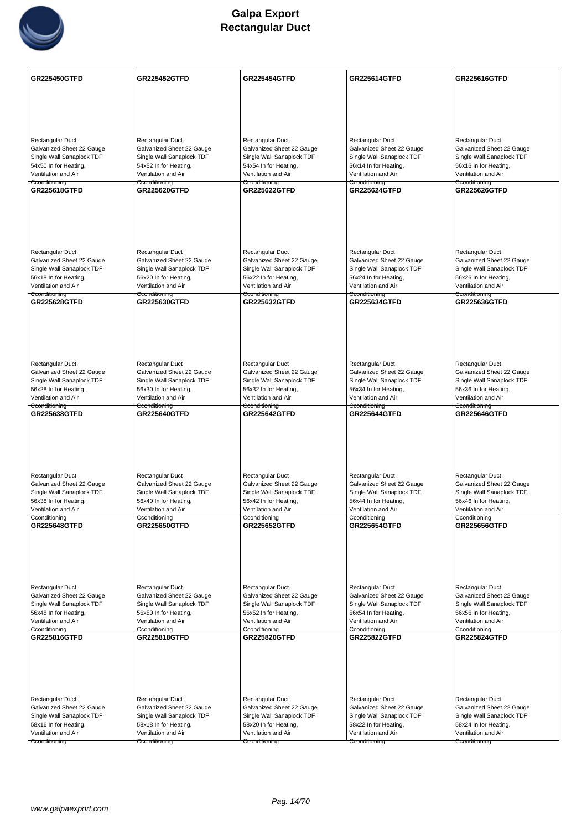

| Rectangular Duct<br>Rectangular Duct<br>Rectangular Duct<br>Rectangular Duct<br>Rectangular Duct<br>Galvanized Sheet 22 Gauge<br>Galvanized Sheet 22 Gauge<br>Galvanized Sheet 22 Gauge<br>Galvanized Sheet 22 Gauge<br>Galvanized Sheet 22 Gauge<br>Single Wall Sanaplock TDF<br>Single Wall Sanaplock TDF<br>Single Wall Sanaplock TDF<br>Single Wall Sanaplock TDF<br>Single Wall Sanaplock TDF<br>54x50 In for Heating,<br>54x52 In for Heating,<br>54x54 In for Heating,<br>56x14 In for Heating,<br>56x16 In for Heating,<br>Ventilation and Air<br>Ventilation and Air<br>Ventilation and Air<br>Ventilation and Air<br>Ventilation and Air<br>Cconditioning<br>Cconditioning<br>Cconditioning<br>Cconditioning<br>Cconditioning<br>GR225618GTFD<br><b>GR225620GTFD</b><br><b>GR225622GTFD</b><br><b>GR225624GTFD</b><br><b>GR225626GTFD</b><br>Rectangular Duct<br>Rectangular Duct<br>Rectangular Duct<br>Rectangular Duct<br>Rectangular Duct<br>Galvanized Sheet 22 Gauge<br>Galvanized Sheet 22 Gauge<br>Galvanized Sheet 22 Gauge<br>Galvanized Sheet 22 Gauge<br>Galvanized Sheet 22 Gauge<br>Single Wall Sanaplock TDF<br>Single Wall Sanaplock TDF<br>Single Wall Sanaplock TDF<br>Single Wall Sanaplock TDF<br>Single Wall Sanaplock TDF<br>56x18 In for Heating,<br>56x24 In for Heating,<br>56x26 In for Heating,<br>56x20 In for Heating,<br>56x22 In for Heating,<br>Ventilation and Air<br>Ventilation and Air<br>Ventilation and Air<br>Ventilation and Air<br>Ventilation and Air<br>Cconditioning<br>Cconditioning<br>Cconditioning<br>Cconditioning<br>Cconditioning<br><b>GR225628GTFD</b><br>GR225636GTFD<br><b>GR225630GTFD</b><br>GR225632GTFD<br><b>GR225634GTFD</b><br>Rectangular Duct<br>Rectangular Duct<br>Rectangular Duct<br>Rectangular Duct<br>Rectangular Duct<br>Galvanized Sheet 22 Gauge<br>Galvanized Sheet 22 Gauge<br>Galvanized Sheet 22 Gauge<br>Galvanized Sheet 22 Gauge<br>Galvanized Sheet 22 Gauge<br>Single Wall Sanaplock TDF<br>Single Wall Sanaplock TDF<br>Single Wall Sanaplock TDF<br>Single Wall Sanaplock TDF<br>Single Wall Sanaplock TDF<br>56x28 In for Heating,<br>56x30 In for Heating,<br>56x32 In for Heating,<br>56x34 In for Heating,<br>56x36 In for Heating,<br>Ventilation and Air<br>Ventilation and Air<br>Ventilation and Air<br>Ventilation and Air<br>Ventilation and Air<br>Cconditioning<br>Cconditioning<br>Cconditioning<br>Cconditioning<br>Cconditioning<br>GR225638GTFD<br><b>GR225640GTFD</b><br><b>GR225642GTFD</b><br><b>GR225646GTFD</b><br><b>GR225644GTFD</b><br>Rectangular Duct<br>Rectangular Duct<br>Rectangular Duct<br>Rectangular Duct<br>Rectangular Duct<br>Galvanized Sheet 22 Gauge<br>Galvanized Sheet 22 Gauge<br>Galvanized Sheet 22 Gauge<br>Galvanized Sheet 22 Gauge<br>Galvanized Sheet 22 Gauge<br>Single Wall Sanaplock TDF<br>Single Wall Sanaplock TDF<br>Single Wall Sanaplock TDF<br>Single Wall Sanaplock TDF<br>Single Wall Sanaplock TDF<br>56x38 In for Heating,<br>56x40 In for Heating,<br>56x42 In for Heating,<br>56x44 In for Heating,<br>56x46 In for Heating,<br>Ventilation and Air<br>Ventilation and Air<br>Ventilation and Air<br>Ventilation and Air<br>Ventilation and Air<br>Cconditioning<br>Cconditioning<br>Cconditioning<br>Cconditioning<br>Cconditioning<br><b>GR225648GTFD</b><br><b>GR225650GTFD</b><br><b>GR225652GTFD</b><br><b>GR225654GTFD</b><br><b>GR225656GTFD</b> | <b>GR225450GTFD</b> | <b>GR225452GTFD</b> | <b>GR225454GTFD</b> | <b>GR225614GTFD</b> | <b>GR225616GTFD</b> |
|--------------------------------------------------------------------------------------------------------------------------------------------------------------------------------------------------------------------------------------------------------------------------------------------------------------------------------------------------------------------------------------------------------------------------------------------------------------------------------------------------------------------------------------------------------------------------------------------------------------------------------------------------------------------------------------------------------------------------------------------------------------------------------------------------------------------------------------------------------------------------------------------------------------------------------------------------------------------------------------------------------------------------------------------------------------------------------------------------------------------------------------------------------------------------------------------------------------------------------------------------------------------------------------------------------------------------------------------------------------------------------------------------------------------------------------------------------------------------------------------------------------------------------------------------------------------------------------------------------------------------------------------------------------------------------------------------------------------------------------------------------------------------------------------------------------------------------------------------------------------------------------------------------------------------------------------------------------------------------------------------------------------------------------------------------------------------------------------------------------------------------------------------------------------------------------------------------------------------------------------------------------------------------------------------------------------------------------------------------------------------------------------------------------------------------------------------------------------------------------------------------------------------------------------------------------------------------------------------------------------------------------------------------------------------------------------------------------------------------------------------------------------------------------------------------------------------------------------------------------------------------------------------------------------------------------------------------------------------------------------------------------------------------------------------------------------------------------------------------------------------------------------------------------------------------------------------------------------------------------------------------------------------------------------------------------------------------------------------------------------------------------------------------------------------|---------------------|---------------------|---------------------|---------------------|---------------------|
|                                                                                                                                                                                                                                                                                                                                                                                                                                                                                                                                                                                                                                                                                                                                                                                                                                                                                                                                                                                                                                                                                                                                                                                                                                                                                                                                                                                                                                                                                                                                                                                                                                                                                                                                                                                                                                                                                                                                                                                                                                                                                                                                                                                                                                                                                                                                                                                                                                                                                                                                                                                                                                                                                                                                                                                                                                                                                                                                                                                                                                                                                                                                                                                                                                                                                                                                                                                                                          |                     |                     |                     |                     |                     |
|                                                                                                                                                                                                                                                                                                                                                                                                                                                                                                                                                                                                                                                                                                                                                                                                                                                                                                                                                                                                                                                                                                                                                                                                                                                                                                                                                                                                                                                                                                                                                                                                                                                                                                                                                                                                                                                                                                                                                                                                                                                                                                                                                                                                                                                                                                                                                                                                                                                                                                                                                                                                                                                                                                                                                                                                                                                                                                                                                                                                                                                                                                                                                                                                                                                                                                                                                                                                                          |                     |                     |                     |                     |                     |
|                                                                                                                                                                                                                                                                                                                                                                                                                                                                                                                                                                                                                                                                                                                                                                                                                                                                                                                                                                                                                                                                                                                                                                                                                                                                                                                                                                                                                                                                                                                                                                                                                                                                                                                                                                                                                                                                                                                                                                                                                                                                                                                                                                                                                                                                                                                                                                                                                                                                                                                                                                                                                                                                                                                                                                                                                                                                                                                                                                                                                                                                                                                                                                                                                                                                                                                                                                                                                          |                     |                     |                     |                     |                     |
|                                                                                                                                                                                                                                                                                                                                                                                                                                                                                                                                                                                                                                                                                                                                                                                                                                                                                                                                                                                                                                                                                                                                                                                                                                                                                                                                                                                                                                                                                                                                                                                                                                                                                                                                                                                                                                                                                                                                                                                                                                                                                                                                                                                                                                                                                                                                                                                                                                                                                                                                                                                                                                                                                                                                                                                                                                                                                                                                                                                                                                                                                                                                                                                                                                                                                                                                                                                                                          |                     |                     |                     |                     |                     |
|                                                                                                                                                                                                                                                                                                                                                                                                                                                                                                                                                                                                                                                                                                                                                                                                                                                                                                                                                                                                                                                                                                                                                                                                                                                                                                                                                                                                                                                                                                                                                                                                                                                                                                                                                                                                                                                                                                                                                                                                                                                                                                                                                                                                                                                                                                                                                                                                                                                                                                                                                                                                                                                                                                                                                                                                                                                                                                                                                                                                                                                                                                                                                                                                                                                                                                                                                                                                                          |                     |                     |                     |                     |                     |
|                                                                                                                                                                                                                                                                                                                                                                                                                                                                                                                                                                                                                                                                                                                                                                                                                                                                                                                                                                                                                                                                                                                                                                                                                                                                                                                                                                                                                                                                                                                                                                                                                                                                                                                                                                                                                                                                                                                                                                                                                                                                                                                                                                                                                                                                                                                                                                                                                                                                                                                                                                                                                                                                                                                                                                                                                                                                                                                                                                                                                                                                                                                                                                                                                                                                                                                                                                                                                          |                     |                     |                     |                     |                     |
|                                                                                                                                                                                                                                                                                                                                                                                                                                                                                                                                                                                                                                                                                                                                                                                                                                                                                                                                                                                                                                                                                                                                                                                                                                                                                                                                                                                                                                                                                                                                                                                                                                                                                                                                                                                                                                                                                                                                                                                                                                                                                                                                                                                                                                                                                                                                                                                                                                                                                                                                                                                                                                                                                                                                                                                                                                                                                                                                                                                                                                                                                                                                                                                                                                                                                                                                                                                                                          |                     |                     |                     |                     |                     |
|                                                                                                                                                                                                                                                                                                                                                                                                                                                                                                                                                                                                                                                                                                                                                                                                                                                                                                                                                                                                                                                                                                                                                                                                                                                                                                                                                                                                                                                                                                                                                                                                                                                                                                                                                                                                                                                                                                                                                                                                                                                                                                                                                                                                                                                                                                                                                                                                                                                                                                                                                                                                                                                                                                                                                                                                                                                                                                                                                                                                                                                                                                                                                                                                                                                                                                                                                                                                                          |                     |                     |                     |                     |                     |
|                                                                                                                                                                                                                                                                                                                                                                                                                                                                                                                                                                                                                                                                                                                                                                                                                                                                                                                                                                                                                                                                                                                                                                                                                                                                                                                                                                                                                                                                                                                                                                                                                                                                                                                                                                                                                                                                                                                                                                                                                                                                                                                                                                                                                                                                                                                                                                                                                                                                                                                                                                                                                                                                                                                                                                                                                                                                                                                                                                                                                                                                                                                                                                                                                                                                                                                                                                                                                          |                     |                     |                     |                     |                     |
|                                                                                                                                                                                                                                                                                                                                                                                                                                                                                                                                                                                                                                                                                                                                                                                                                                                                                                                                                                                                                                                                                                                                                                                                                                                                                                                                                                                                                                                                                                                                                                                                                                                                                                                                                                                                                                                                                                                                                                                                                                                                                                                                                                                                                                                                                                                                                                                                                                                                                                                                                                                                                                                                                                                                                                                                                                                                                                                                                                                                                                                                                                                                                                                                                                                                                                                                                                                                                          |                     |                     |                     |                     |                     |
|                                                                                                                                                                                                                                                                                                                                                                                                                                                                                                                                                                                                                                                                                                                                                                                                                                                                                                                                                                                                                                                                                                                                                                                                                                                                                                                                                                                                                                                                                                                                                                                                                                                                                                                                                                                                                                                                                                                                                                                                                                                                                                                                                                                                                                                                                                                                                                                                                                                                                                                                                                                                                                                                                                                                                                                                                                                                                                                                                                                                                                                                                                                                                                                                                                                                                                                                                                                                                          |                     |                     |                     |                     |                     |
|                                                                                                                                                                                                                                                                                                                                                                                                                                                                                                                                                                                                                                                                                                                                                                                                                                                                                                                                                                                                                                                                                                                                                                                                                                                                                                                                                                                                                                                                                                                                                                                                                                                                                                                                                                                                                                                                                                                                                                                                                                                                                                                                                                                                                                                                                                                                                                                                                                                                                                                                                                                                                                                                                                                                                                                                                                                                                                                                                                                                                                                                                                                                                                                                                                                                                                                                                                                                                          |                     |                     |                     |                     |                     |
|                                                                                                                                                                                                                                                                                                                                                                                                                                                                                                                                                                                                                                                                                                                                                                                                                                                                                                                                                                                                                                                                                                                                                                                                                                                                                                                                                                                                                                                                                                                                                                                                                                                                                                                                                                                                                                                                                                                                                                                                                                                                                                                                                                                                                                                                                                                                                                                                                                                                                                                                                                                                                                                                                                                                                                                                                                                                                                                                                                                                                                                                                                                                                                                                                                                                                                                                                                                                                          |                     |                     |                     |                     |                     |
|                                                                                                                                                                                                                                                                                                                                                                                                                                                                                                                                                                                                                                                                                                                                                                                                                                                                                                                                                                                                                                                                                                                                                                                                                                                                                                                                                                                                                                                                                                                                                                                                                                                                                                                                                                                                                                                                                                                                                                                                                                                                                                                                                                                                                                                                                                                                                                                                                                                                                                                                                                                                                                                                                                                                                                                                                                                                                                                                                                                                                                                                                                                                                                                                                                                                                                                                                                                                                          |                     |                     |                     |                     |                     |
|                                                                                                                                                                                                                                                                                                                                                                                                                                                                                                                                                                                                                                                                                                                                                                                                                                                                                                                                                                                                                                                                                                                                                                                                                                                                                                                                                                                                                                                                                                                                                                                                                                                                                                                                                                                                                                                                                                                                                                                                                                                                                                                                                                                                                                                                                                                                                                                                                                                                                                                                                                                                                                                                                                                                                                                                                                                                                                                                                                                                                                                                                                                                                                                                                                                                                                                                                                                                                          |                     |                     |                     |                     |                     |
|                                                                                                                                                                                                                                                                                                                                                                                                                                                                                                                                                                                                                                                                                                                                                                                                                                                                                                                                                                                                                                                                                                                                                                                                                                                                                                                                                                                                                                                                                                                                                                                                                                                                                                                                                                                                                                                                                                                                                                                                                                                                                                                                                                                                                                                                                                                                                                                                                                                                                                                                                                                                                                                                                                                                                                                                                                                                                                                                                                                                                                                                                                                                                                                                                                                                                                                                                                                                                          |                     |                     |                     |                     |                     |
|                                                                                                                                                                                                                                                                                                                                                                                                                                                                                                                                                                                                                                                                                                                                                                                                                                                                                                                                                                                                                                                                                                                                                                                                                                                                                                                                                                                                                                                                                                                                                                                                                                                                                                                                                                                                                                                                                                                                                                                                                                                                                                                                                                                                                                                                                                                                                                                                                                                                                                                                                                                                                                                                                                                                                                                                                                                                                                                                                                                                                                                                                                                                                                                                                                                                                                                                                                                                                          |                     |                     |                     |                     |                     |
|                                                                                                                                                                                                                                                                                                                                                                                                                                                                                                                                                                                                                                                                                                                                                                                                                                                                                                                                                                                                                                                                                                                                                                                                                                                                                                                                                                                                                                                                                                                                                                                                                                                                                                                                                                                                                                                                                                                                                                                                                                                                                                                                                                                                                                                                                                                                                                                                                                                                                                                                                                                                                                                                                                                                                                                                                                                                                                                                                                                                                                                                                                                                                                                                                                                                                                                                                                                                                          |                     |                     |                     |                     |                     |
|                                                                                                                                                                                                                                                                                                                                                                                                                                                                                                                                                                                                                                                                                                                                                                                                                                                                                                                                                                                                                                                                                                                                                                                                                                                                                                                                                                                                                                                                                                                                                                                                                                                                                                                                                                                                                                                                                                                                                                                                                                                                                                                                                                                                                                                                                                                                                                                                                                                                                                                                                                                                                                                                                                                                                                                                                                                                                                                                                                                                                                                                                                                                                                                                                                                                                                                                                                                                                          |                     |                     |                     |                     |                     |
|                                                                                                                                                                                                                                                                                                                                                                                                                                                                                                                                                                                                                                                                                                                                                                                                                                                                                                                                                                                                                                                                                                                                                                                                                                                                                                                                                                                                                                                                                                                                                                                                                                                                                                                                                                                                                                                                                                                                                                                                                                                                                                                                                                                                                                                                                                                                                                                                                                                                                                                                                                                                                                                                                                                                                                                                                                                                                                                                                                                                                                                                                                                                                                                                                                                                                                                                                                                                                          |                     |                     |                     |                     |                     |
|                                                                                                                                                                                                                                                                                                                                                                                                                                                                                                                                                                                                                                                                                                                                                                                                                                                                                                                                                                                                                                                                                                                                                                                                                                                                                                                                                                                                                                                                                                                                                                                                                                                                                                                                                                                                                                                                                                                                                                                                                                                                                                                                                                                                                                                                                                                                                                                                                                                                                                                                                                                                                                                                                                                                                                                                                                                                                                                                                                                                                                                                                                                                                                                                                                                                                                                                                                                                                          |                     |                     |                     |                     |                     |
|                                                                                                                                                                                                                                                                                                                                                                                                                                                                                                                                                                                                                                                                                                                                                                                                                                                                                                                                                                                                                                                                                                                                                                                                                                                                                                                                                                                                                                                                                                                                                                                                                                                                                                                                                                                                                                                                                                                                                                                                                                                                                                                                                                                                                                                                                                                                                                                                                                                                                                                                                                                                                                                                                                                                                                                                                                                                                                                                                                                                                                                                                                                                                                                                                                                                                                                                                                                                                          |                     |                     |                     |                     |                     |
|                                                                                                                                                                                                                                                                                                                                                                                                                                                                                                                                                                                                                                                                                                                                                                                                                                                                                                                                                                                                                                                                                                                                                                                                                                                                                                                                                                                                                                                                                                                                                                                                                                                                                                                                                                                                                                                                                                                                                                                                                                                                                                                                                                                                                                                                                                                                                                                                                                                                                                                                                                                                                                                                                                                                                                                                                                                                                                                                                                                                                                                                                                                                                                                                                                                                                                                                                                                                                          |                     |                     |                     |                     |                     |
|                                                                                                                                                                                                                                                                                                                                                                                                                                                                                                                                                                                                                                                                                                                                                                                                                                                                                                                                                                                                                                                                                                                                                                                                                                                                                                                                                                                                                                                                                                                                                                                                                                                                                                                                                                                                                                                                                                                                                                                                                                                                                                                                                                                                                                                                                                                                                                                                                                                                                                                                                                                                                                                                                                                                                                                                                                                                                                                                                                                                                                                                                                                                                                                                                                                                                                                                                                                                                          |                     |                     |                     |                     |                     |
|                                                                                                                                                                                                                                                                                                                                                                                                                                                                                                                                                                                                                                                                                                                                                                                                                                                                                                                                                                                                                                                                                                                                                                                                                                                                                                                                                                                                                                                                                                                                                                                                                                                                                                                                                                                                                                                                                                                                                                                                                                                                                                                                                                                                                                                                                                                                                                                                                                                                                                                                                                                                                                                                                                                                                                                                                                                                                                                                                                                                                                                                                                                                                                                                                                                                                                                                                                                                                          |                     |                     |                     |                     |                     |
|                                                                                                                                                                                                                                                                                                                                                                                                                                                                                                                                                                                                                                                                                                                                                                                                                                                                                                                                                                                                                                                                                                                                                                                                                                                                                                                                                                                                                                                                                                                                                                                                                                                                                                                                                                                                                                                                                                                                                                                                                                                                                                                                                                                                                                                                                                                                                                                                                                                                                                                                                                                                                                                                                                                                                                                                                                                                                                                                                                                                                                                                                                                                                                                                                                                                                                                                                                                                                          |                     |                     |                     |                     |                     |
|                                                                                                                                                                                                                                                                                                                                                                                                                                                                                                                                                                                                                                                                                                                                                                                                                                                                                                                                                                                                                                                                                                                                                                                                                                                                                                                                                                                                                                                                                                                                                                                                                                                                                                                                                                                                                                                                                                                                                                                                                                                                                                                                                                                                                                                                                                                                                                                                                                                                                                                                                                                                                                                                                                                                                                                                                                                                                                                                                                                                                                                                                                                                                                                                                                                                                                                                                                                                                          |                     |                     |                     |                     |                     |
|                                                                                                                                                                                                                                                                                                                                                                                                                                                                                                                                                                                                                                                                                                                                                                                                                                                                                                                                                                                                                                                                                                                                                                                                                                                                                                                                                                                                                                                                                                                                                                                                                                                                                                                                                                                                                                                                                                                                                                                                                                                                                                                                                                                                                                                                                                                                                                                                                                                                                                                                                                                                                                                                                                                                                                                                                                                                                                                                                                                                                                                                                                                                                                                                                                                                                                                                                                                                                          |                     |                     |                     |                     |                     |
|                                                                                                                                                                                                                                                                                                                                                                                                                                                                                                                                                                                                                                                                                                                                                                                                                                                                                                                                                                                                                                                                                                                                                                                                                                                                                                                                                                                                                                                                                                                                                                                                                                                                                                                                                                                                                                                                                                                                                                                                                                                                                                                                                                                                                                                                                                                                                                                                                                                                                                                                                                                                                                                                                                                                                                                                                                                                                                                                                                                                                                                                                                                                                                                                                                                                                                                                                                                                                          |                     |                     |                     |                     |                     |
|                                                                                                                                                                                                                                                                                                                                                                                                                                                                                                                                                                                                                                                                                                                                                                                                                                                                                                                                                                                                                                                                                                                                                                                                                                                                                                                                                                                                                                                                                                                                                                                                                                                                                                                                                                                                                                                                                                                                                                                                                                                                                                                                                                                                                                                                                                                                                                                                                                                                                                                                                                                                                                                                                                                                                                                                                                                                                                                                                                                                                                                                                                                                                                                                                                                                                                                                                                                                                          |                     |                     |                     |                     |                     |
|                                                                                                                                                                                                                                                                                                                                                                                                                                                                                                                                                                                                                                                                                                                                                                                                                                                                                                                                                                                                                                                                                                                                                                                                                                                                                                                                                                                                                                                                                                                                                                                                                                                                                                                                                                                                                                                                                                                                                                                                                                                                                                                                                                                                                                                                                                                                                                                                                                                                                                                                                                                                                                                                                                                                                                                                                                                                                                                                                                                                                                                                                                                                                                                                                                                                                                                                                                                                                          |                     |                     |                     |                     |                     |
|                                                                                                                                                                                                                                                                                                                                                                                                                                                                                                                                                                                                                                                                                                                                                                                                                                                                                                                                                                                                                                                                                                                                                                                                                                                                                                                                                                                                                                                                                                                                                                                                                                                                                                                                                                                                                                                                                                                                                                                                                                                                                                                                                                                                                                                                                                                                                                                                                                                                                                                                                                                                                                                                                                                                                                                                                                                                                                                                                                                                                                                                                                                                                                                                                                                                                                                                                                                                                          |                     |                     |                     |                     |                     |
|                                                                                                                                                                                                                                                                                                                                                                                                                                                                                                                                                                                                                                                                                                                                                                                                                                                                                                                                                                                                                                                                                                                                                                                                                                                                                                                                                                                                                                                                                                                                                                                                                                                                                                                                                                                                                                                                                                                                                                                                                                                                                                                                                                                                                                                                                                                                                                                                                                                                                                                                                                                                                                                                                                                                                                                                                                                                                                                                                                                                                                                                                                                                                                                                                                                                                                                                                                                                                          |                     |                     |                     |                     |                     |
|                                                                                                                                                                                                                                                                                                                                                                                                                                                                                                                                                                                                                                                                                                                                                                                                                                                                                                                                                                                                                                                                                                                                                                                                                                                                                                                                                                                                                                                                                                                                                                                                                                                                                                                                                                                                                                                                                                                                                                                                                                                                                                                                                                                                                                                                                                                                                                                                                                                                                                                                                                                                                                                                                                                                                                                                                                                                                                                                                                                                                                                                                                                                                                                                                                                                                                                                                                                                                          |                     |                     |                     |                     |                     |
|                                                                                                                                                                                                                                                                                                                                                                                                                                                                                                                                                                                                                                                                                                                                                                                                                                                                                                                                                                                                                                                                                                                                                                                                                                                                                                                                                                                                                                                                                                                                                                                                                                                                                                                                                                                                                                                                                                                                                                                                                                                                                                                                                                                                                                                                                                                                                                                                                                                                                                                                                                                                                                                                                                                                                                                                                                                                                                                                                                                                                                                                                                                                                                                                                                                                                                                                                                                                                          |                     |                     |                     |                     |                     |
|                                                                                                                                                                                                                                                                                                                                                                                                                                                                                                                                                                                                                                                                                                                                                                                                                                                                                                                                                                                                                                                                                                                                                                                                                                                                                                                                                                                                                                                                                                                                                                                                                                                                                                                                                                                                                                                                                                                                                                                                                                                                                                                                                                                                                                                                                                                                                                                                                                                                                                                                                                                                                                                                                                                                                                                                                                                                                                                                                                                                                                                                                                                                                                                                                                                                                                                                                                                                                          |                     |                     |                     |                     |                     |
|                                                                                                                                                                                                                                                                                                                                                                                                                                                                                                                                                                                                                                                                                                                                                                                                                                                                                                                                                                                                                                                                                                                                                                                                                                                                                                                                                                                                                                                                                                                                                                                                                                                                                                                                                                                                                                                                                                                                                                                                                                                                                                                                                                                                                                                                                                                                                                                                                                                                                                                                                                                                                                                                                                                                                                                                                                                                                                                                                                                                                                                                                                                                                                                                                                                                                                                                                                                                                          |                     |                     |                     |                     |                     |
|                                                                                                                                                                                                                                                                                                                                                                                                                                                                                                                                                                                                                                                                                                                                                                                                                                                                                                                                                                                                                                                                                                                                                                                                                                                                                                                                                                                                                                                                                                                                                                                                                                                                                                                                                                                                                                                                                                                                                                                                                                                                                                                                                                                                                                                                                                                                                                                                                                                                                                                                                                                                                                                                                                                                                                                                                                                                                                                                                                                                                                                                                                                                                                                                                                                                                                                                                                                                                          |                     |                     |                     |                     |                     |
|                                                                                                                                                                                                                                                                                                                                                                                                                                                                                                                                                                                                                                                                                                                                                                                                                                                                                                                                                                                                                                                                                                                                                                                                                                                                                                                                                                                                                                                                                                                                                                                                                                                                                                                                                                                                                                                                                                                                                                                                                                                                                                                                                                                                                                                                                                                                                                                                                                                                                                                                                                                                                                                                                                                                                                                                                                                                                                                                                                                                                                                                                                                                                                                                                                                                                                                                                                                                                          |                     |                     |                     |                     |                     |
|                                                                                                                                                                                                                                                                                                                                                                                                                                                                                                                                                                                                                                                                                                                                                                                                                                                                                                                                                                                                                                                                                                                                                                                                                                                                                                                                                                                                                                                                                                                                                                                                                                                                                                                                                                                                                                                                                                                                                                                                                                                                                                                                                                                                                                                                                                                                                                                                                                                                                                                                                                                                                                                                                                                                                                                                                                                                                                                                                                                                                                                                                                                                                                                                                                                                                                                                                                                                                          |                     |                     |                     |                     |                     |
|                                                                                                                                                                                                                                                                                                                                                                                                                                                                                                                                                                                                                                                                                                                                                                                                                                                                                                                                                                                                                                                                                                                                                                                                                                                                                                                                                                                                                                                                                                                                                                                                                                                                                                                                                                                                                                                                                                                                                                                                                                                                                                                                                                                                                                                                                                                                                                                                                                                                                                                                                                                                                                                                                                                                                                                                                                                                                                                                                                                                                                                                                                                                                                                                                                                                                                                                                                                                                          |                     |                     |                     |                     |                     |
| Rectangular Duct<br>Rectangular Duct<br>Rectangular Duct<br>Rectangular Duct                                                                                                                                                                                                                                                                                                                                                                                                                                                                                                                                                                                                                                                                                                                                                                                                                                                                                                                                                                                                                                                                                                                                                                                                                                                                                                                                                                                                                                                                                                                                                                                                                                                                                                                                                                                                                                                                                                                                                                                                                                                                                                                                                                                                                                                                                                                                                                                                                                                                                                                                                                                                                                                                                                                                                                                                                                                                                                                                                                                                                                                                                                                                                                                                                                                                                                                                             |                     |                     |                     |                     | Rectangular Duct    |
| Galvanized Sheet 22 Gauge<br>Galvanized Sheet 22 Gauge<br>Galvanized Sheet 22 Gauge<br>Galvanized Sheet 22 Gauge<br>Galvanized Sheet 22 Gauge                                                                                                                                                                                                                                                                                                                                                                                                                                                                                                                                                                                                                                                                                                                                                                                                                                                                                                                                                                                                                                                                                                                                                                                                                                                                                                                                                                                                                                                                                                                                                                                                                                                                                                                                                                                                                                                                                                                                                                                                                                                                                                                                                                                                                                                                                                                                                                                                                                                                                                                                                                                                                                                                                                                                                                                                                                                                                                                                                                                                                                                                                                                                                                                                                                                                            |                     |                     |                     |                     |                     |
| Single Wall Sanaplock TDF<br>Single Wall Sanaplock TDF<br>Single Wall Sanaplock TDF<br>Single Wall Sanaplock TDF<br>Single Wall Sanaplock TDF                                                                                                                                                                                                                                                                                                                                                                                                                                                                                                                                                                                                                                                                                                                                                                                                                                                                                                                                                                                                                                                                                                                                                                                                                                                                                                                                                                                                                                                                                                                                                                                                                                                                                                                                                                                                                                                                                                                                                                                                                                                                                                                                                                                                                                                                                                                                                                                                                                                                                                                                                                                                                                                                                                                                                                                                                                                                                                                                                                                                                                                                                                                                                                                                                                                                            |                     |                     |                     |                     |                     |
| 56x48 In for Heating,<br>56x50 In for Heating,<br>56x52 In for Heating,<br>56x54 In for Heating,<br>56x56 In for Heating,<br>Ventilation and Air                                                                                                                                                                                                                                                                                                                                                                                                                                                                                                                                                                                                                                                                                                                                                                                                                                                                                                                                                                                                                                                                                                                                                                                                                                                                                                                                                                                                                                                                                                                                                                                                                                                                                                                                                                                                                                                                                                                                                                                                                                                                                                                                                                                                                                                                                                                                                                                                                                                                                                                                                                                                                                                                                                                                                                                                                                                                                                                                                                                                                                                                                                                                                                                                                                                                         |                     |                     |                     |                     |                     |
| Ventilation and Air<br>Ventilation and Air<br>Ventilation and Air<br>Ventilation and Air<br>Cconditioning<br>Cconditioning<br>Cconditioning<br>Cconditioning<br>Cconditioning                                                                                                                                                                                                                                                                                                                                                                                                                                                                                                                                                                                                                                                                                                                                                                                                                                                                                                                                                                                                                                                                                                                                                                                                                                                                                                                                                                                                                                                                                                                                                                                                                                                                                                                                                                                                                                                                                                                                                                                                                                                                                                                                                                                                                                                                                                                                                                                                                                                                                                                                                                                                                                                                                                                                                                                                                                                                                                                                                                                                                                                                                                                                                                                                                                            |                     |                     |                     |                     |                     |
| GR225816GTFD<br><b>GR225818GTFD</b><br><b>GR225820GTFD</b><br><b>GR225822GTFD</b><br><b>GR225824GTFD</b>                                                                                                                                                                                                                                                                                                                                                                                                                                                                                                                                                                                                                                                                                                                                                                                                                                                                                                                                                                                                                                                                                                                                                                                                                                                                                                                                                                                                                                                                                                                                                                                                                                                                                                                                                                                                                                                                                                                                                                                                                                                                                                                                                                                                                                                                                                                                                                                                                                                                                                                                                                                                                                                                                                                                                                                                                                                                                                                                                                                                                                                                                                                                                                                                                                                                                                                 |                     |                     |                     |                     |                     |
|                                                                                                                                                                                                                                                                                                                                                                                                                                                                                                                                                                                                                                                                                                                                                                                                                                                                                                                                                                                                                                                                                                                                                                                                                                                                                                                                                                                                                                                                                                                                                                                                                                                                                                                                                                                                                                                                                                                                                                                                                                                                                                                                                                                                                                                                                                                                                                                                                                                                                                                                                                                                                                                                                                                                                                                                                                                                                                                                                                                                                                                                                                                                                                                                                                                                                                                                                                                                                          |                     |                     |                     |                     |                     |
|                                                                                                                                                                                                                                                                                                                                                                                                                                                                                                                                                                                                                                                                                                                                                                                                                                                                                                                                                                                                                                                                                                                                                                                                                                                                                                                                                                                                                                                                                                                                                                                                                                                                                                                                                                                                                                                                                                                                                                                                                                                                                                                                                                                                                                                                                                                                                                                                                                                                                                                                                                                                                                                                                                                                                                                                                                                                                                                                                                                                                                                                                                                                                                                                                                                                                                                                                                                                                          |                     |                     |                     |                     |                     |
|                                                                                                                                                                                                                                                                                                                                                                                                                                                                                                                                                                                                                                                                                                                                                                                                                                                                                                                                                                                                                                                                                                                                                                                                                                                                                                                                                                                                                                                                                                                                                                                                                                                                                                                                                                                                                                                                                                                                                                                                                                                                                                                                                                                                                                                                                                                                                                                                                                                                                                                                                                                                                                                                                                                                                                                                                                                                                                                                                                                                                                                                                                                                                                                                                                                                                                                                                                                                                          |                     |                     |                     |                     |                     |
|                                                                                                                                                                                                                                                                                                                                                                                                                                                                                                                                                                                                                                                                                                                                                                                                                                                                                                                                                                                                                                                                                                                                                                                                                                                                                                                                                                                                                                                                                                                                                                                                                                                                                                                                                                                                                                                                                                                                                                                                                                                                                                                                                                                                                                                                                                                                                                                                                                                                                                                                                                                                                                                                                                                                                                                                                                                                                                                                                                                                                                                                                                                                                                                                                                                                                                                                                                                                                          |                     |                     |                     |                     |                     |
| Rectangular Duct<br>Rectangular Duct<br>Rectangular Duct<br>Rectangular Duct<br>Rectangular Duct                                                                                                                                                                                                                                                                                                                                                                                                                                                                                                                                                                                                                                                                                                                                                                                                                                                                                                                                                                                                                                                                                                                                                                                                                                                                                                                                                                                                                                                                                                                                                                                                                                                                                                                                                                                                                                                                                                                                                                                                                                                                                                                                                                                                                                                                                                                                                                                                                                                                                                                                                                                                                                                                                                                                                                                                                                                                                                                                                                                                                                                                                                                                                                                                                                                                                                                         |                     |                     |                     |                     |                     |
| Galvanized Sheet 22 Gauge<br>Galvanized Sheet 22 Gauge<br>Galvanized Sheet 22 Gauge<br>Galvanized Sheet 22 Gauge<br>Galvanized Sheet 22 Gauge                                                                                                                                                                                                                                                                                                                                                                                                                                                                                                                                                                                                                                                                                                                                                                                                                                                                                                                                                                                                                                                                                                                                                                                                                                                                                                                                                                                                                                                                                                                                                                                                                                                                                                                                                                                                                                                                                                                                                                                                                                                                                                                                                                                                                                                                                                                                                                                                                                                                                                                                                                                                                                                                                                                                                                                                                                                                                                                                                                                                                                                                                                                                                                                                                                                                            |                     |                     |                     |                     |                     |
| Single Wall Sanaplock TDF<br>Single Wall Sanaplock TDF<br>Single Wall Sanaplock TDF<br>Single Wall Sanaplock TDF<br>Single Wall Sanaplock TDF<br>58x16 In for Heating,<br>58x18 In for Heating,<br>58x20 In for Heating,<br>58x22 In for Heating,<br>58x24 In for Heating,                                                                                                                                                                                                                                                                                                                                                                                                                                                                                                                                                                                                                                                                                                                                                                                                                                                                                                                                                                                                                                                                                                                                                                                                                                                                                                                                                                                                                                                                                                                                                                                                                                                                                                                                                                                                                                                                                                                                                                                                                                                                                                                                                                                                                                                                                                                                                                                                                                                                                                                                                                                                                                                                                                                                                                                                                                                                                                                                                                                                                                                                                                                                               |                     |                     |                     |                     |                     |
| Ventilation and Air<br>Ventilation and Air<br>Ventilation and Air<br>Ventilation and Air<br>Ventilation and Air                                                                                                                                                                                                                                                                                                                                                                                                                                                                                                                                                                                                                                                                                                                                                                                                                                                                                                                                                                                                                                                                                                                                                                                                                                                                                                                                                                                                                                                                                                                                                                                                                                                                                                                                                                                                                                                                                                                                                                                                                                                                                                                                                                                                                                                                                                                                                                                                                                                                                                                                                                                                                                                                                                                                                                                                                                                                                                                                                                                                                                                                                                                                                                                                                                                                                                          |                     |                     |                     |                     |                     |
| Cconditioning<br>Cconditioning<br>Cconditioning<br>Cconditioning<br>Cconditioning                                                                                                                                                                                                                                                                                                                                                                                                                                                                                                                                                                                                                                                                                                                                                                                                                                                                                                                                                                                                                                                                                                                                                                                                                                                                                                                                                                                                                                                                                                                                                                                                                                                                                                                                                                                                                                                                                                                                                                                                                                                                                                                                                                                                                                                                                                                                                                                                                                                                                                                                                                                                                                                                                                                                                                                                                                                                                                                                                                                                                                                                                                                                                                                                                                                                                                                                        |                     |                     |                     |                     |                     |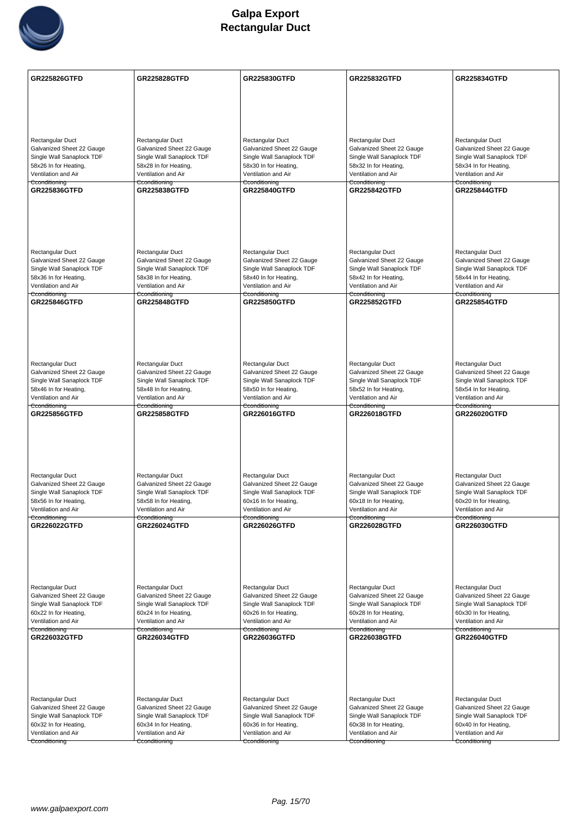

| GR225826GTFD                                           | <b>GR225828GTFD</b>                                    | <b>GR225830GTFD</b>                                    | <b>GR225832GTFD</b>                                    | <b>GR225834GTFD</b>                                    |
|--------------------------------------------------------|--------------------------------------------------------|--------------------------------------------------------|--------------------------------------------------------|--------------------------------------------------------|
|                                                        |                                                        |                                                        |                                                        |                                                        |
|                                                        |                                                        |                                                        |                                                        |                                                        |
|                                                        |                                                        |                                                        |                                                        |                                                        |
|                                                        |                                                        |                                                        |                                                        |                                                        |
| <b>Rectangular Duct</b>                                | Rectangular Duct                                       | Rectangular Duct                                       | Rectangular Duct                                       | Rectangular Duct                                       |
| Galvanized Sheet 22 Gauge                              | Galvanized Sheet 22 Gauge                              | Galvanized Sheet 22 Gauge                              | Galvanized Sheet 22 Gauge                              | Galvanized Sheet 22 Gauge                              |
| Single Wall Sanaplock TDF<br>58x26 In for Heating,     | Single Wall Sanaplock TDF<br>58x28 In for Heating,     | Single Wall Sanaplock TDF<br>58x30 In for Heating,     | Single Wall Sanaplock TDF<br>58x32 In for Heating,     | Single Wall Sanaplock TDF<br>58x34 In for Heating,     |
| Ventilation and Air                                    | Ventilation and Air                                    | Ventilation and Air                                    | Ventilation and Air                                    | Ventilation and Air                                    |
| Cconditioning<br>GR225836GTFD                          | Cconditioning<br><b>GR225838GTFD</b>                   | Cconditioning<br><b>GR225840GTFD</b>                   | Cconditioning<br><b>GR225842GTFD</b>                   | Cconditioning<br><b>GR225844GTFD</b>                   |
|                                                        |                                                        |                                                        |                                                        |                                                        |
|                                                        |                                                        |                                                        |                                                        |                                                        |
|                                                        |                                                        |                                                        |                                                        |                                                        |
|                                                        |                                                        |                                                        |                                                        |                                                        |
|                                                        |                                                        |                                                        |                                                        |                                                        |
| <b>Rectangular Duct</b>                                | Rectangular Duct                                       | Rectangular Duct                                       | Rectangular Duct                                       | Rectangular Duct                                       |
| Galvanized Sheet 22 Gauge<br>Single Wall Sanaplock TDF | Galvanized Sheet 22 Gauge<br>Single Wall Sanaplock TDF | Galvanized Sheet 22 Gauge<br>Single Wall Sanaplock TDF | Galvanized Sheet 22 Gauge<br>Single Wall Sanaplock TDF | Galvanized Sheet 22 Gauge<br>Single Wall Sanaplock TDF |
| 58x36 In for Heating,                                  | 58x38 In for Heating,                                  | 58x40 In for Heating,                                  | 58x42 In for Heating,                                  | 58x44 In for Heating,                                  |
| Ventilation and Air                                    | Ventilation and Air                                    | Ventilation and Air                                    | Ventilation and Air                                    | Ventilation and Air                                    |
| Cconditioning<br>GR225846GTFD                          | <del>Cconditioning</del><br><b>GR225848GTFD</b>        | Cconditioning<br><b>GR225850GTFD</b>                   | <del>Cconditioning</del><br><b>GR225852GTFD</b>        | Cconditioning<br><b>GR225854GTFD</b>                   |
|                                                        |                                                        |                                                        |                                                        |                                                        |
|                                                        |                                                        |                                                        |                                                        |                                                        |
|                                                        |                                                        |                                                        |                                                        |                                                        |
|                                                        |                                                        |                                                        |                                                        |                                                        |
|                                                        |                                                        |                                                        |                                                        |                                                        |
| Rectangular Duct<br>Galvanized Sheet 22 Gauge          | Rectangular Duct<br>Galvanized Sheet 22 Gauge          | Rectangular Duct<br>Galvanized Sheet 22 Gauge          | Rectangular Duct<br>Galvanized Sheet 22 Gauge          | Rectangular Duct<br>Galvanized Sheet 22 Gauge          |
| Single Wall Sanaplock TDF                              | Single Wall Sanaplock TDF                              | Single Wall Sanaplock TDF                              | Single Wall Sanaplock TDF                              | Single Wall Sanaplock TDF                              |
| 58x46 In for Heating,                                  | 58x48 In for Heating,                                  | 58x50 In for Heating,                                  | 58x52 In for Heating,                                  | 58x54 In for Heating,                                  |
| Ventilation and Air<br>Cconditioning                   | Ventilation and Air<br>Cconditioning                   | Ventilation and Air<br>Cconditioning                   | Ventilation and Air<br>Cconditioning                   | Ventilation and Air<br>Cconditioning                   |
| GR225856GTFD                                           | <b>GR225858GTFD</b>                                    | GR226016GTFD                                           | <b>GR226018GTFD</b>                                    | GR226020GTFD                                           |
|                                                        |                                                        |                                                        |                                                        |                                                        |
|                                                        |                                                        |                                                        |                                                        |                                                        |
|                                                        |                                                        |                                                        |                                                        |                                                        |
|                                                        |                                                        |                                                        |                                                        |                                                        |
| Rectangular Duct                                       | Rectangular Duct                                       | Rectangular Duct                                       | Rectangular Duct                                       | Rectangular Duct                                       |
| Galvanized Sheet 22 Gauge                              | Galvanized Sheet 22 Gauge                              | Galvanized Sheet 22 Gauge                              | Galvanized Sheet 22 Gauge                              | Galvanized Sheet 22 Gauge                              |
| Single Wall Sanaplock TDF                              | Single Wall Sanaplock TDF                              | Single Wall Sanaplock TDF                              | Single Wall Sanaplock TDF                              | Single Wall Sanaplock TDF                              |
| 58x56 In for Heating,<br>Ventilation and Air           | 58x58 In for Heating,<br>Ventilation and Air           | 60x16 In for Heating,<br>Ventilation and Air           | 60x18 In for Heating,<br>Ventilation and Air           | 60x20 In for Heating,<br>Ventilation and Air           |
| Cconditioning                                          | Cconditioning                                          | Cconditioning                                          | Cconditioning                                          | Cconditioning                                          |
| GR226022GTFD                                           | GR226024GTFD                                           | <b>GR226026GTFD</b>                                    | GR226028GTFD                                           | GR226030GTFD                                           |
|                                                        |                                                        |                                                        |                                                        |                                                        |
|                                                        |                                                        |                                                        |                                                        |                                                        |
|                                                        |                                                        |                                                        |                                                        |                                                        |
|                                                        |                                                        |                                                        |                                                        |                                                        |
| Rectangular Duct                                       | Rectangular Duct                                       | Rectangular Duct                                       | Rectangular Duct                                       | Rectangular Duct                                       |
| Galvanized Sheet 22 Gauge                              | Galvanized Sheet 22 Gauge                              | Galvanized Sheet 22 Gauge                              | Galvanized Sheet 22 Gauge                              | Galvanized Sheet 22 Gauge                              |
| Single Wall Sanaplock TDF                              | Single Wall Sanaplock TDF                              | Single Wall Sanaplock TDF                              | Single Wall Sanaplock TDF                              | Single Wall Sanaplock TDF                              |
| 60x22 In for Heating,<br>Ventilation and Air           | 60x24 In for Heating,<br>Ventilation and Air           | 60x26 In for Heating,<br>Ventilation and Air           | 60x28 In for Heating,<br>Ventilation and Air           | 60x30 In for Heating,<br>Ventilation and Air           |
| Cconditioning                                          | Cconditioning                                          | Cconditioning                                          | Cconditioning                                          | Cconditioning                                          |
| GR226032GTFD                                           | <b>GR226034GTFD</b>                                    | <b>GR226036GTFD</b>                                    | <b>GR226038GTFD</b>                                    | <b>GR226040GTFD</b>                                    |
|                                                        |                                                        |                                                        |                                                        |                                                        |
|                                                        |                                                        |                                                        |                                                        |                                                        |
|                                                        |                                                        |                                                        |                                                        |                                                        |
|                                                        |                                                        |                                                        |                                                        |                                                        |
| Rectangular Duct                                       | Rectangular Duct                                       | Rectangular Duct                                       | Rectangular Duct                                       | Rectangular Duct                                       |
| Galvanized Sheet 22 Gauge                              | Galvanized Sheet 22 Gauge                              | Galvanized Sheet 22 Gauge                              | Galvanized Sheet 22 Gauge                              | Galvanized Sheet 22 Gauge                              |
| Single Wall Sanaplock TDF<br>60x32 In for Heating,     | Single Wall Sanaplock TDF<br>60x34 In for Heating,     | Single Wall Sanaplock TDF<br>60x36 In for Heating,     | Single Wall Sanaplock TDF<br>60x38 In for Heating,     | Single Wall Sanaplock TDF<br>60x40 In for Heating,     |
| Ventilation and Air                                    | Ventilation and Air                                    | Ventilation and Air                                    | Ventilation and Air                                    | Ventilation and Air                                    |
| Cconditioning                                          | Cconditioning                                          | Cconditioning                                          | Cconditioning                                          | Cconditioning                                          |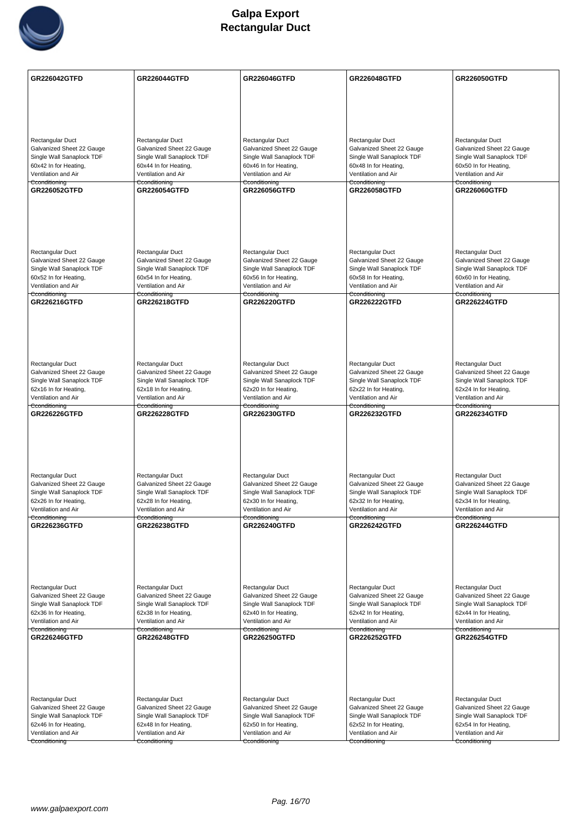

| <b>GR226042GTFD</b>                                    | <b>GR226044GTFD</b>                                    | GR226046GTFD                                           | <b>GR226048GTFD</b>                                    | GR226050GTFD                                           |
|--------------------------------------------------------|--------------------------------------------------------|--------------------------------------------------------|--------------------------------------------------------|--------------------------------------------------------|
|                                                        |                                                        |                                                        |                                                        |                                                        |
|                                                        |                                                        |                                                        |                                                        |                                                        |
|                                                        |                                                        |                                                        |                                                        |                                                        |
|                                                        |                                                        |                                                        |                                                        |                                                        |
| Rectangular Duct                                       | Rectangular Duct                                       | Rectangular Duct                                       | Rectangular Duct                                       | Rectangular Duct                                       |
| Galvanized Sheet 22 Gauge                              | Galvanized Sheet 22 Gauge                              | Galvanized Sheet 22 Gauge                              | Galvanized Sheet 22 Gauge                              | Galvanized Sheet 22 Gauge                              |
| Single Wall Sanaplock TDF<br>60x42 In for Heating,     | Single Wall Sanaplock TDF<br>60x44 In for Heating,     | Single Wall Sanaplock TDF<br>60x46 In for Heating,     | Single Wall Sanaplock TDF<br>60x48 In for Heating,     | Single Wall Sanaplock TDF<br>60x50 In for Heating,     |
| Ventilation and Air                                    | Ventilation and Air                                    | Ventilation and Air                                    | Ventilation and Air                                    | Ventilation and Air                                    |
| Cconditioning                                          | Cconditioning                                          | Cconditioning<br>GR226056GTFD                          | Cconditioning                                          | Cconditioning                                          |
| GR226052GTFD                                           | <b>GR226054GTFD</b>                                    |                                                        | <b>GR226058GTFD</b>                                    | GR226060GTFD                                           |
|                                                        |                                                        |                                                        |                                                        |                                                        |
|                                                        |                                                        |                                                        |                                                        |                                                        |
|                                                        |                                                        |                                                        |                                                        |                                                        |
|                                                        |                                                        |                                                        |                                                        |                                                        |
| Rectangular Duct                                       | Rectangular Duct                                       | Rectangular Duct                                       | Rectangular Duct                                       | Rectangular Duct                                       |
| Galvanized Sheet 22 Gauge                              | Galvanized Sheet 22 Gauge                              | Galvanized Sheet 22 Gauge                              | Galvanized Sheet 22 Gauge                              | Galvanized Sheet 22 Gauge                              |
| Single Wall Sanaplock TDF<br>60x52 In for Heating,     | Single Wall Sanaplock TDF<br>60x54 In for Heating,     | Single Wall Sanaplock TDF<br>60x56 In for Heating,     | Single Wall Sanaplock TDF<br>60x58 In for Heating,     | Single Wall Sanaplock TDF<br>60x60 In for Heating,     |
| Ventilation and Air                                    | Ventilation and Air                                    | Ventilation and Air                                    | Ventilation and Air                                    | Ventilation and Air                                    |
| Cconditioning                                          | Cconditioning                                          | Cconditioning                                          | Cconditioning                                          | Cconditioning                                          |
| <b>GR226216GTFD</b>                                    | <b>GR226218GTFD</b>                                    | <b>GR226220GTFD</b>                                    | <b>GR226222GTFD</b>                                    | <b>GR226224GTFD</b>                                    |
|                                                        |                                                        |                                                        |                                                        |                                                        |
|                                                        |                                                        |                                                        |                                                        |                                                        |
|                                                        |                                                        |                                                        |                                                        |                                                        |
|                                                        |                                                        |                                                        |                                                        |                                                        |
| Rectangular Duct                                       | Rectangular Duct                                       | Rectangular Duct                                       | Rectangular Duct                                       | Rectangular Duct                                       |
| Galvanized Sheet 22 Gauge                              | Galvanized Sheet 22 Gauge                              | Galvanized Sheet 22 Gauge                              | Galvanized Sheet 22 Gauge                              | Galvanized Sheet 22 Gauge                              |
| Single Wall Sanaplock TDF<br>62x16 In for Heating,     | Single Wall Sanaplock TDF<br>62x18 In for Heating,     | Single Wall Sanaplock TDF<br>62x20 In for Heating,     | Single Wall Sanaplock TDF<br>62x22 In for Heating,     | Single Wall Sanaplock TDF<br>62x24 In for Heating,     |
| Ventilation and Air                                    | Ventilation and Air                                    | Ventilation and Air                                    | Ventilation and Air                                    | Ventilation and Air                                    |
| Cconditioning<br>GR226226GTFD                          | Cconditioning<br><b>GR226228GTFD</b>                   | Cconditioning<br><b>GR226230GTFD</b>                   | Cconditioning<br>GR226232GTFD                          | Cconditioning<br><b>GR226234GTFD</b>                   |
|                                                        |                                                        |                                                        |                                                        |                                                        |
|                                                        |                                                        |                                                        |                                                        |                                                        |
|                                                        |                                                        |                                                        |                                                        |                                                        |
|                                                        |                                                        |                                                        |                                                        |                                                        |
|                                                        |                                                        |                                                        |                                                        |                                                        |
| Rectangular Duct                                       | Rectangular Duct                                       | Rectangular Duct                                       | Rectangular Duct                                       | Rectangular Duct                                       |
| Galvanized Sheet 22 Gauge<br>Single Wall Sanaplock TDF | Galvanized Sheet 22 Gauge<br>Single Wall Sanaplock TDF | Galvanized Sheet 22 Gauge<br>Single Wall Sanaplock TDF | Galvanized Sheet 22 Gauge<br>Single Wall Sanaplock TDF | Galvanized Sheet 22 Gauge<br>Single Wall Sanaplock TDF |
| 62x26 In for Heating,                                  | 62x28 In for Heating,                                  | 62x30 In for Heating,                                  | 62x32 In for Heating,                                  | 62x34 In for Heating,                                  |
| Ventilation and Air                                    | Ventilation and Air                                    | Ventilation and Air                                    | Ventilation and Air                                    | Ventilation and Air                                    |
| Cconditioning<br><b>GR226236GTFD</b>                   | Cconditioning<br><b>GR226238GTFD</b>                   | Cconditioning<br><b>GR226240GTFD</b>                   | Cconditioning<br><b>GR226242GTFD</b>                   | Cconditioning<br><b>GR226244GTFD</b>                   |
|                                                        |                                                        |                                                        |                                                        |                                                        |
|                                                        |                                                        |                                                        |                                                        |                                                        |
|                                                        |                                                        |                                                        |                                                        |                                                        |
|                                                        |                                                        |                                                        |                                                        |                                                        |
|                                                        |                                                        |                                                        |                                                        |                                                        |
| Rectangular Duct<br>Galvanized Sheet 22 Gauge          | Rectangular Duct<br>Galvanized Sheet 22 Gauge          | Rectangular Duct<br>Galvanized Sheet 22 Gauge          | Rectangular Duct<br>Galvanized Sheet 22 Gauge          | Rectangular Duct<br>Galvanized Sheet 22 Gauge          |
| Single Wall Sanaplock TDF                              | Single Wall Sanaplock TDF                              | Single Wall Sanaplock TDF                              | Single Wall Sanaplock TDF                              | Single Wall Sanaplock TDF                              |
| 62x36 In for Heating,                                  | 62x38 In for Heating,                                  | 62x40 In for Heating,                                  | 62x42 In for Heating,                                  | 62x44 In for Heating,                                  |
| Ventilation and Air<br>Cconditioning                   | Ventilation and Air<br>Cconditioning                   | Ventilation and Air<br>Cconditioning                   | Ventilation and Air<br>Cconditioning                   | Ventilation and Air<br>Cconditioning                   |
| <b>GR226246GTFD</b>                                    | <b>GR226248GTFD</b>                                    | <b>GR226250GTFD</b>                                    | <b>GR226252GTFD</b>                                    | <b>GR226254GTFD</b>                                    |
|                                                        |                                                        |                                                        |                                                        |                                                        |
|                                                        |                                                        |                                                        |                                                        |                                                        |
|                                                        |                                                        |                                                        |                                                        |                                                        |
|                                                        |                                                        |                                                        |                                                        |                                                        |
|                                                        |                                                        |                                                        |                                                        |                                                        |
| Rectangular Duct<br>Galvanized Sheet 22 Gauge          | Rectangular Duct<br>Galvanized Sheet 22 Gauge          | Rectangular Duct<br>Galvanized Sheet 22 Gauge          | Rectangular Duct<br>Galvanized Sheet 22 Gauge          | Rectangular Duct<br>Galvanized Sheet 22 Gauge          |
| Single Wall Sanaplock TDF                              | Single Wall Sanaplock TDF                              | Single Wall Sanaplock TDF                              | Single Wall Sanaplock TDF                              | Single Wall Sanaplock TDF                              |
| 62x46 In for Heating,                                  | 62x48 In for Heating,                                  | 62x50 In for Heating,                                  | 62x52 In for Heating,                                  | 62x54 In for Heating,                                  |
| Ventilation and Air                                    | Ventilation and Air                                    | Ventilation and Air                                    | Ventilation and Air                                    | Ventilation and Air                                    |
| Cconditioning                                          | Cconditioning                                          | Cconditioning                                          | Cconditioning                                          | Cconditioning                                          |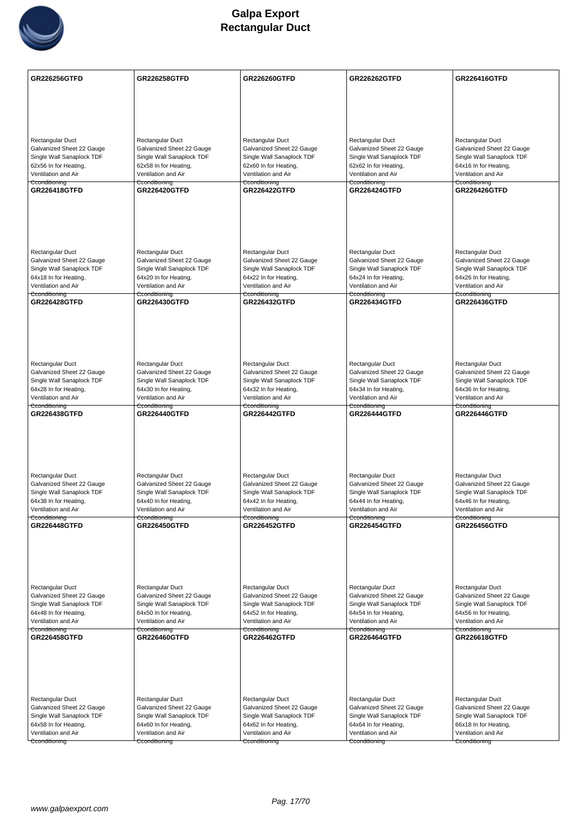

| <b>GR226256GTFD</b>                                    | <b>GR226258GTFD</b>                                    | <b>GR226260GTFD</b>                                    | <b>GR226262GTFD</b>                                    | GR226416GTFD                                           |
|--------------------------------------------------------|--------------------------------------------------------|--------------------------------------------------------|--------------------------------------------------------|--------------------------------------------------------|
|                                                        |                                                        |                                                        |                                                        |                                                        |
|                                                        |                                                        |                                                        |                                                        |                                                        |
|                                                        |                                                        |                                                        |                                                        |                                                        |
| Rectangular Duct                                       | Rectangular Duct                                       | Rectangular Duct                                       | Rectangular Duct                                       | Rectangular Duct                                       |
| Galvanized Sheet 22 Gauge                              | Galvanized Sheet 22 Gauge                              | Galvanized Sheet 22 Gauge                              | Galvanized Sheet 22 Gauge                              | Galvanized Sheet 22 Gauge                              |
| Single Wall Sanaplock TDF<br>62x56 In for Heating,     | Single Wall Sanaplock TDF<br>62x58 In for Heating,     | Single Wall Sanaplock TDF<br>62x60 In for Heating,     | Single Wall Sanaplock TDF<br>62x62 In for Heating,     | Single Wall Sanaplock TDF<br>64x16 In for Heating,     |
| Ventilation and Air                                    | Ventilation and Air                                    | Ventilation and Air                                    | Ventilation and Air                                    | Ventilation and Air                                    |
| Cconditioning<br><b>GR226418GTFD</b>                   | Cconditioning<br><b>GR226420GTFD</b>                   | Cconditioning<br><b>GR226422GTFD</b>                   | Cconditioning<br><b>GR226424GTFD</b>                   | Cconditioning<br><b>GR226426GTFD</b>                   |
|                                                        |                                                        |                                                        |                                                        |                                                        |
|                                                        |                                                        |                                                        |                                                        |                                                        |
|                                                        |                                                        |                                                        |                                                        |                                                        |
|                                                        |                                                        |                                                        |                                                        |                                                        |
| Rectangular Duct                                       | Rectangular Duct                                       | Rectangular Duct                                       | Rectangular Duct                                       | Rectangular Duct                                       |
| Galvanized Sheet 22 Gauge                              | Galvanized Sheet 22 Gauge                              | Galvanized Sheet 22 Gauge                              | Galvanized Sheet 22 Gauge                              | Galvanized Sheet 22 Gauge                              |
| Single Wall Sanaplock TDF<br>64x18 In for Heating,     | Single Wall Sanaplock TDF<br>64x20 In for Heating,     | Single Wall Sanaplock TDF<br>64x22 In for Heating,     | Single Wall Sanaplock TDF<br>64x24 In for Heating,     | Single Wall Sanaplock TDF<br>64x26 In for Heating,     |
| Ventilation and Air                                    | Ventilation and Air                                    | Ventilation and Air                                    | Ventilation and Air                                    | Ventilation and Air                                    |
| Cconditioning<br><b>GR226428GTFD</b>                   | Cconditioning<br><b>GR226430GTFD</b>                   | Cconditioning<br><b>GR226432GTFD</b>                   | Cconditioning<br><b>GR226434GTFD</b>                   | Cconditioning<br><b>GR226436GTFD</b>                   |
|                                                        |                                                        |                                                        |                                                        |                                                        |
|                                                        |                                                        |                                                        |                                                        |                                                        |
|                                                        |                                                        |                                                        |                                                        |                                                        |
|                                                        |                                                        |                                                        |                                                        |                                                        |
| Rectangular Duct                                       | Rectangular Duct                                       | Rectangular Duct                                       | Rectangular Duct                                       | Rectangular Duct                                       |
| Galvanized Sheet 22 Gauge<br>Single Wall Sanaplock TDF | Galvanized Sheet 22 Gauge<br>Single Wall Sanaplock TDF | Galvanized Sheet 22 Gauge<br>Single Wall Sanaplock TDF | Galvanized Sheet 22 Gauge<br>Single Wall Sanaplock TDF | Galvanized Sheet 22 Gauge<br>Single Wall Sanaplock TDF |
| 64x28 In for Heating,                                  | 64x30 In for Heating,                                  | 64x32 In for Heating,                                  | 64x34 In for Heating,                                  | 64x36 In for Heating,                                  |
| Ventilation and Air<br>Cconditioning                   | Ventilation and Air<br>Cconditioning                   | Ventilation and Air<br>Cconditioning                   | Ventilation and Air<br>Cconditioning                   | Ventilation and Air<br>Cconditioning                   |
| <b>GR226438GTFD</b>                                    | <b>GR226440GTFD</b>                                    | <b>GR226442GTFD</b>                                    | <b>GR226444GTFD</b>                                    | <b>GR226446GTFD</b>                                    |
|                                                        |                                                        |                                                        |                                                        |                                                        |
|                                                        |                                                        |                                                        |                                                        |                                                        |
|                                                        |                                                        |                                                        |                                                        |                                                        |
|                                                        |                                                        |                                                        |                                                        |                                                        |
| Rectangular Duct<br>Galvanized Sheet 22 Gauge          | Rectangular Duct<br>Galvanized Sheet 22 Gauge          | Rectangular Duct<br>Galvanized Sheet 22 Gauge          | Rectangular Duct<br>Galvanized Sheet 22 Gauge          | Rectangular Duct<br>Galvanized Sheet 22 Gauge          |
| Single Wall Sanaplock TDF                              | Single Wall Sanaplock TDF                              | Single Wall Sanaplock TDF                              | Single Wall Sanaplock TDF                              | Single Wall Sanaplock TDF                              |
| 64x38 In for Heating,<br>Ventilation and Air           | 64x40 In for Heating,<br>Ventilation and Air           | 64x42 In for Heating,<br>Ventilation and Air           | 64x44 In for Heating,<br>Ventilation and Air           | 64x46 In for Heating,<br>Ventilation and Air           |
| Cconditioning                                          | Cconditioning                                          | Cconditioning                                          | Cconditioning                                          | Cconditioning                                          |
| <b>GR226448GTFD</b>                                    | <b>GR226450GTFD</b>                                    | <b>GR226452GTFD</b>                                    | <b>GR226454GTFD</b>                                    | <b>GR226456GTFD</b>                                    |
|                                                        |                                                        |                                                        |                                                        |                                                        |
|                                                        |                                                        |                                                        |                                                        |                                                        |
|                                                        |                                                        |                                                        |                                                        |                                                        |
| Rectangular Duct                                       | Rectangular Duct                                       | Rectangular Duct                                       | Rectangular Duct                                       | Rectangular Duct                                       |
| Galvanized Sheet 22 Gauge                              | Galvanized Sheet 22 Gauge                              | Galvanized Sheet 22 Gauge                              | Galvanized Sheet 22 Gauge                              | Galvanized Sheet 22 Gauge                              |
| Single Wall Sanaplock TDF                              | Single Wall Sanaplock TDF                              | Single Wall Sanaplock TDF                              | Single Wall Sanaplock TDF                              | Single Wall Sanaplock TDF                              |
| 64x48 In for Heating,<br>Ventilation and Air           | 64x50 In for Heating,<br>Ventilation and Air           | 64x52 In for Heating,<br>Ventilation and Air           | 64x54 In for Heating,<br>Ventilation and Air           | 64x56 In for Heating,<br>Ventilation and Air           |
| Cconditioning                                          | Cconditioning<br><b>GR226460GTFD</b>                   | Cconditioning                                          | Cconditioning                                          | Cconditioning                                          |
| GR226458GTFD                                           |                                                        | <b>GR226462GTFD</b>                                    | <b>GR226464GTFD</b>                                    | <b>GR226618GTFD</b>                                    |
|                                                        |                                                        |                                                        |                                                        |                                                        |
|                                                        |                                                        |                                                        |                                                        |                                                        |
|                                                        |                                                        |                                                        |                                                        |                                                        |
| Rectangular Duct                                       | Rectangular Duct                                       | Rectangular Duct                                       | Rectangular Duct                                       | Rectangular Duct                                       |
| Galvanized Sheet 22 Gauge                              | Galvanized Sheet 22 Gauge                              | Galvanized Sheet 22 Gauge                              | Galvanized Sheet 22 Gauge                              | Galvanized Sheet 22 Gauge                              |
| Single Wall Sanaplock TDF<br>64x58 In for Heating,     | Single Wall Sanaplock TDF<br>64x60 In for Heating,     | Single Wall Sanaplock TDF<br>64x62 In for Heating,     | Single Wall Sanaplock TDF<br>64x64 In for Heating,     | Single Wall Sanaplock TDF<br>66x18 In for Heating,     |
| Ventilation and Air                                    | Ventilation and Air                                    | Ventilation and Air                                    | Ventilation and Air                                    | Ventilation and Air                                    |
| Cconditioning                                          | Cconditioning                                          | Cconditioning                                          | Cconditioning                                          | Cconditioning                                          |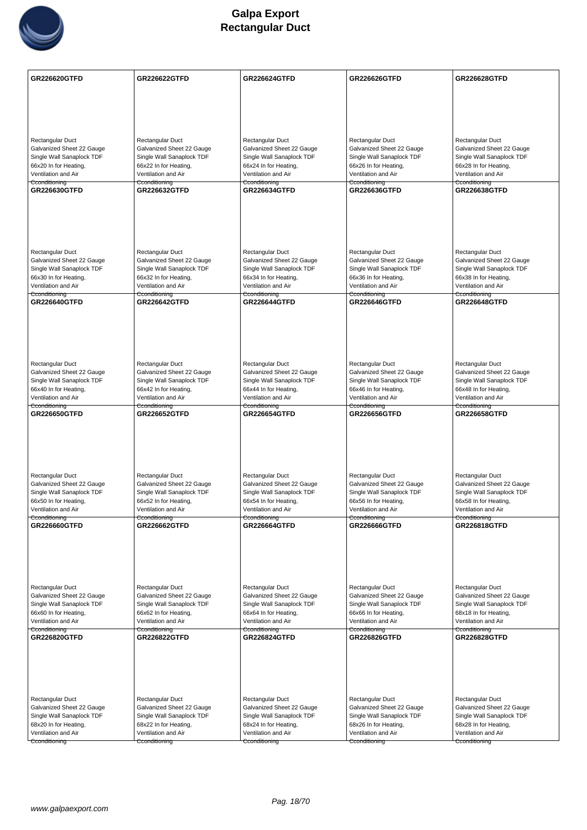

| <b>GR226620GTFD</b>                                    | <b>GR226622GTFD</b>                                    | <b>GR226624GTFD</b>                                    | <b>GR226626GTFD</b>                                    | GR226628GTFD                                           |
|--------------------------------------------------------|--------------------------------------------------------|--------------------------------------------------------|--------------------------------------------------------|--------------------------------------------------------|
|                                                        |                                                        |                                                        |                                                        |                                                        |
|                                                        |                                                        |                                                        |                                                        |                                                        |
|                                                        |                                                        |                                                        |                                                        |                                                        |
|                                                        |                                                        |                                                        |                                                        |                                                        |
| Rectangular Duct<br>Galvanized Sheet 22 Gauge          | Rectangular Duct<br>Galvanized Sheet 22 Gauge          | Rectangular Duct<br>Galvanized Sheet 22 Gauge          | Rectangular Duct<br>Galvanized Sheet 22 Gauge          | Rectangular Duct<br>Galvanized Sheet 22 Gauge          |
| Single Wall Sanaplock TDF                              | Single Wall Sanaplock TDF                              | Single Wall Sanaplock TDF                              | Single Wall Sanaplock TDF                              | Single Wall Sanaplock TDF                              |
| 66x20 In for Heating,<br>Ventilation and Air           | 66x22 In for Heating,<br>Ventilation and Air           | 66x24 In for Heating,<br>Ventilation and Air           | 66x26 In for Heating,<br>Ventilation and Air           | 66x28 In for Heating,<br>Ventilation and Air           |
| Cconditioning                                          | Cconditioning                                          | Cconditioning                                          | Cconditioning                                          | Cconditioning                                          |
| GR226630GTFD                                           | <b>GR226632GTFD</b>                                    | <b>GR226634GTFD</b>                                    | GR226636GTFD                                           | <b>GR226638GTFD</b>                                    |
|                                                        |                                                        |                                                        |                                                        |                                                        |
|                                                        |                                                        |                                                        |                                                        |                                                        |
|                                                        |                                                        |                                                        |                                                        |                                                        |
|                                                        |                                                        |                                                        |                                                        |                                                        |
| Rectangular Duct<br>Galvanized Sheet 22 Gauge          | Rectangular Duct<br>Galvanized Sheet 22 Gauge          | Rectangular Duct<br>Galvanized Sheet 22 Gauge          | Rectangular Duct<br>Galvanized Sheet 22 Gauge          | Rectangular Duct<br>Galvanized Sheet 22 Gauge          |
| Single Wall Sanaplock TDF                              | Single Wall Sanaplock TDF                              | Single Wall Sanaplock TDF                              | Single Wall Sanaplock TDF                              | Single Wall Sanaplock TDF                              |
| 66x30 In for Heating,                                  | 66x32 In for Heating,                                  | 66x34 In for Heating,                                  | 66x36 In for Heating,                                  | 66x38 In for Heating,                                  |
| Ventilation and Air<br>Cconditioning                   | Ventilation and Air<br>Cconditioning                   | Ventilation and Air<br>Cconditioning                   | Ventilation and Air<br>Cconditioning                   | Ventilation and Air<br>Cconditioning                   |
| GR226640GTFD                                           | <b>GR226642GTFD</b>                                    | <b>GR226644GTFD</b>                                    | GR226646GTFD                                           | <b>GR226648GTFD</b>                                    |
|                                                        |                                                        |                                                        |                                                        |                                                        |
|                                                        |                                                        |                                                        |                                                        |                                                        |
|                                                        |                                                        |                                                        |                                                        |                                                        |
|                                                        |                                                        |                                                        |                                                        |                                                        |
| Rectangular Duct<br>Galvanized Sheet 22 Gauge          | Rectangular Duct<br>Galvanized Sheet 22 Gauge          | Rectangular Duct<br>Galvanized Sheet 22 Gauge          | Rectangular Duct<br>Galvanized Sheet 22 Gauge          | Rectangular Duct<br>Galvanized Sheet 22 Gauge          |
| Single Wall Sanaplock TDF                              | Single Wall Sanaplock TDF                              | Single Wall Sanaplock TDF                              | Single Wall Sanaplock TDF                              | Single Wall Sanaplock TDF                              |
| 66x40 In for Heating,<br>Ventilation and Air           | 66x42 In for Heating,<br>Ventilation and Air           | 66x44 In for Heating,<br>Ventilation and Air           | 66x46 In for Heating,<br>Ventilation and Air           | 66x48 In for Heating,<br>Ventilation and Air           |
| Cconditioning                                          | Cconditioning                                          | Cconditioning                                          | Cconditioning                                          | Cconditioning                                          |
| GR226650GTFD                                           | <b>GR226652GTFD</b>                                    | <b>GR226654GTFD</b>                                    | GR226656GTFD                                           | <b>GR226658GTFD</b>                                    |
|                                                        |                                                        |                                                        |                                                        |                                                        |
|                                                        |                                                        |                                                        |                                                        |                                                        |
|                                                        |                                                        |                                                        |                                                        |                                                        |
| Rectangular Duct                                       | Rectangular Duct                                       | Rectangular Duct                                       | Rectangular Duct                                       | Rectangular Duct                                       |
| Galvanized Sheet 22 Gauge                              | Galvanized Sheet 22 Gauge                              | Galvanized Sheet 22 Gauge                              | Galvanized Sheet 22 Gauge                              | Galvanized Sheet 22 Gauge                              |
| Single Wall Sanaplock TDF<br>66x50 In for Heating,     | Single Wall Sanaplock TDF<br>66x52 In for Heating,     | Single Wall Sanaplock TDF<br>66x54 In for Heating,     | Single Wall Sanaplock TDF<br>66x56 In for Heating,     | Single Wall Sanaplock TDF<br>66x58 In for Heating,     |
| Ventilation and Air                                    | Ventilation and Air                                    | Ventilation and Air                                    | Ventilation and Air                                    | Ventilation and Air                                    |
| Cconditioning<br>GR226660GTFD                          | Cconditioning<br><b>GR226662GTFD</b>                   | Cconditioning<br><b>GR226664GTFD</b>                   | Cconditioning<br>GR226666GTFD                          | Cconditioning<br>GR226818GTFD                          |
|                                                        |                                                        |                                                        |                                                        |                                                        |
|                                                        |                                                        |                                                        |                                                        |                                                        |
|                                                        |                                                        |                                                        |                                                        |                                                        |
|                                                        |                                                        |                                                        |                                                        |                                                        |
| Rectangular Duct                                       | Rectangular Duct                                       | Rectangular Duct                                       | Rectangular Duct                                       | Rectangular Duct                                       |
| Galvanized Sheet 22 Gauge<br>Single Wall Sanaplock TDF | Galvanized Sheet 22 Gauge<br>Single Wall Sanaplock TDF | Galvanized Sheet 22 Gauge<br>Single Wall Sanaplock TDF | Galvanized Sheet 22 Gauge<br>Single Wall Sanaplock TDF | Galvanized Sheet 22 Gauge<br>Single Wall Sanaplock TDF |
| 66x60 In for Heating,                                  | 66x62 In for Heating,                                  | 66x64 In for Heating,                                  | 66x66 In for Heating,                                  | 68x18 In for Heating,                                  |
| Ventilation and Air                                    | Ventilation and Air                                    | Ventilation and Air                                    | Ventilation and Air                                    | Ventilation and Air                                    |
| Cconditioning<br>GR226820GTFD                          | Cconditioning<br><b>GR226822GTFD</b>                   | Cconditioning<br><b>GR226824GTFD</b>                   | Cconditioning<br><b>GR226826GTFD</b>                   | Cconditioning<br><b>GR226828GTFD</b>                   |
|                                                        |                                                        |                                                        |                                                        |                                                        |
|                                                        |                                                        |                                                        |                                                        |                                                        |
|                                                        |                                                        |                                                        |                                                        |                                                        |
|                                                        |                                                        |                                                        |                                                        |                                                        |
| Rectangular Duct                                       | Rectangular Duct                                       | Rectangular Duct                                       | Rectangular Duct                                       | Rectangular Duct                                       |
| Galvanized Sheet 22 Gauge<br>Single Wall Sanaplock TDF | Galvanized Sheet 22 Gauge<br>Single Wall Sanaplock TDF | Galvanized Sheet 22 Gauge<br>Single Wall Sanaplock TDF | Galvanized Sheet 22 Gauge<br>Single Wall Sanaplock TDF | Galvanized Sheet 22 Gauge<br>Single Wall Sanaplock TDF |
| 68x20 In for Heating,                                  | 68x22 In for Heating,                                  | 68x24 In for Heating,                                  | 68x26 In for Heating,                                  | 68x28 In for Heating,                                  |
| Ventilation and Air                                    | Ventilation and Air                                    | Ventilation and Air                                    | Ventilation and Air                                    | Ventilation and Air                                    |
| Cconditioning                                          | Cconditioning                                          | Cconditioning                                          | Cconditioning                                          | Cconditioning                                          |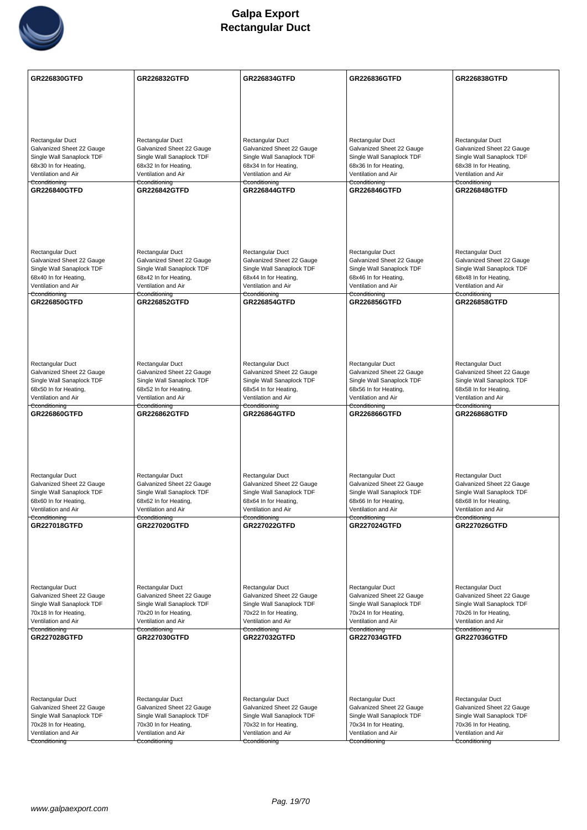

| <b>Rectangular Duct</b><br>Rectangular Duct<br>Rectangular Duct<br>Rectangular Duct<br>Rectangular Duct<br>Galvanized Sheet 22 Gauge<br>Galvanized Sheet 22 Gauge<br>Galvanized Sheet 22 Gauge<br>Galvanized Sheet 22 Gauge<br>Galvanized Sheet 22 Gauge<br>Single Wall Sanaplock TDF<br>Single Wall Sanaplock TDF<br>Single Wall Sanaplock TDF<br>Single Wall Sanaplock TDF<br>Single Wall Sanaplock TDF<br>68x30 In for Heating,<br>68x38 In for Heating,<br>68x32 In for Heating,<br>68x34 In for Heating,<br>68x36 In for Heating,<br>Ventilation and Air<br>Ventilation and Air<br>Ventilation and Air<br>Ventilation and Air<br>Ventilation and Air<br>Cconditioning<br>Cconditioning<br>Cconditioning<br>Cconditioning<br>Cconditioning<br>GR226840GTFD<br><b>GR226844GTFD</b><br><b>GR226848GTFD</b><br><b>GR226842GTFD</b><br><b>GR226846GTFD</b><br>Rectangular Duct<br>Rectangular Duct<br>Rectangular Duct<br>Rectangular Duct<br>Rectangular Duct<br>Galvanized Sheet 22 Gauge<br>Galvanized Sheet 22 Gauge<br>Galvanized Sheet 22 Gauge<br>Galvanized Sheet 22 Gauge<br>Galvanized Sheet 22 Gauge<br>Single Wall Sanaplock TDF<br>Single Wall Sanaplock TDF<br>Single Wall Sanaplock TDF<br>Single Wall Sanaplock TDF<br>Single Wall Sanaplock TDF<br>68x40 In for Heating,<br>68x42 In for Heating,<br>68x44 In for Heating,<br>68x46 In for Heating,<br>68x48 In for Heating,<br>Ventilation and Air<br>Ventilation and Air<br>Ventilation and Air<br>Ventilation and Air<br>Ventilation and Air<br>Cconditioning<br>Cconditioning<br>Cconditioning<br>Cconditioning<br>Cconditioning<br><b>GR226850GTFD</b><br><b>GR226852GTFD</b><br><b>GR226854GTFD</b><br><b>GR226856GTFD</b><br><b>GR226858GTFD</b><br>Rectangular Duct<br>Rectangular Duct<br>Rectangular Duct<br>Rectangular Duct<br>Rectangular Duct<br>Galvanized Sheet 22 Gauge<br>Galvanized Sheet 22 Gauge<br>Galvanized Sheet 22 Gauge<br>Galvanized Sheet 22 Gauge<br>Galvanized Sheet 22 Gauge<br>Single Wall Sanaplock TDF<br>Single Wall Sanaplock TDF<br>Single Wall Sanaplock TDF<br>Single Wall Sanaplock TDF<br>Single Wall Sanaplock TDF<br>68x50 In for Heating,<br>68x52 In for Heating,<br>68x54 In for Heating,<br>68x56 In for Heating,<br>68x58 In for Heating,<br>Ventilation and Air<br>Ventilation and Air<br>Ventilation and Air<br>Ventilation and Air<br>Ventilation and Air<br>Cconditioning<br>Cconditioning<br>Cconditioning<br>Cconditioning<br>Cconditioning<br><b>GR226860GTFD</b><br><b>GR226862GTFD</b><br><b>GR226864GTFD</b><br>GR226866GTFD<br>GR226868GTFD<br>Rectangular Duct<br>Rectangular Duct<br>Rectangular Duct<br>Rectangular Duct<br>Rectangular Duct<br>Galvanized Sheet 22 Gauge<br>Galvanized Sheet 22 Gauge<br>Galvanized Sheet 22 Gauge<br>Galvanized Sheet 22 Gauge<br>Galvanized Sheet 22 Gauge<br>Single Wall Sanaplock TDF<br>Single Wall Sanaplock TDF<br>Single Wall Sanaplock TDF<br>Single Wall Sanaplock TDF<br>Single Wall Sanaplock TDF<br>68x60 In for Heating,<br>68x62 In for Heating,<br>68x66 In for Heating,<br>68x68 In for Heating,<br>68x64 In for Heating,<br>Ventilation and Air<br>Ventilation and Air<br>Ventilation and Air<br>Ventilation and Air<br>Ventilation and Air<br>Cconditioning<br>Cconditioning<br>Cconditioning<br>Cconditioning<br><b>GR227018GTFD</b><br><b>GR227020GTFD</b><br>GR227022GTFD<br><b>GR227024GTFD</b><br><b>GR227026GTFD</b><br>Rectangular Duct<br>Rectangular Duct<br>Rectangular Duct<br>Rectangular Duct<br>Rectangular Duct<br>Galvanized Sheet 22 Gauge<br>Galvanized Sheet 22 Gauge<br>Galvanized Sheet 22 Gauge<br>Galvanized Sheet 22 Gauge<br>Galvanized Sheet 22 Gauge<br>Single Wall Sanaplock TDF<br>Single Wall Sanaplock TDF<br>Single Wall Sanaplock TDF<br>Single Wall Sanaplock TDF<br>Single Wall Sanaplock TDF<br>70x18 In for Heating,<br>70x20 In for Heating,<br>70x22 In for Heating,<br>70x24 In for Heating,<br>70x26 In for Heating,<br>Ventilation and Air<br>Ventilation and Air<br>Ventilation and Air<br>Ventilation and Air<br>Ventilation and Air<br>Cconditioning<br>Cconditioning<br>Cconditioning<br>Cconditioning<br>GR227030GTFD<br>GR227032GTFD<br>GR227036GTFD<br><b>GR227028GTFD</b><br><b>GR227034GTFD</b><br>Rectangular Duct<br>Rectangular Duct<br>Rectangular Duct<br>Rectangular Duct<br>Rectangular Duct<br>Galvanized Sheet 22 Gauge<br>Galvanized Sheet 22 Gauge<br>Galvanized Sheet 22 Gauge<br>Galvanized Sheet 22 Gauge<br>Galvanized Sheet 22 Gauge<br>Single Wall Sanaplock TDF<br>Single Wall Sanaplock TDF<br>Single Wall Sanaplock TDF<br>Single Wall Sanaplock TDF<br>Single Wall Sanaplock TDF<br>70x28 In for Heating,<br>70x34 In for Heating,<br>70x36 In for Heating,<br>70x30 In for Heating,<br>70x32 In for Heating,<br>Ventilation and Air<br>Ventilation and Air<br>Ventilation and Air<br>Ventilation and Air<br>Ventilation and Air | GR226830GTFD  | <b>GR226832GTFD</b> | GR226834GTFD  | GR226836GTFD  | <b>GR226838GTFD</b> |
|----------------------------------------------------------------------------------------------------------------------------------------------------------------------------------------------------------------------------------------------------------------------------------------------------------------------------------------------------------------------------------------------------------------------------------------------------------------------------------------------------------------------------------------------------------------------------------------------------------------------------------------------------------------------------------------------------------------------------------------------------------------------------------------------------------------------------------------------------------------------------------------------------------------------------------------------------------------------------------------------------------------------------------------------------------------------------------------------------------------------------------------------------------------------------------------------------------------------------------------------------------------------------------------------------------------------------------------------------------------------------------------------------------------------------------------------------------------------------------------------------------------------------------------------------------------------------------------------------------------------------------------------------------------------------------------------------------------------------------------------------------------------------------------------------------------------------------------------------------------------------------------------------------------------------------------------------------------------------------------------------------------------------------------------------------------------------------------------------------------------------------------------------------------------------------------------------------------------------------------------------------------------------------------------------------------------------------------------------------------------------------------------------------------------------------------------------------------------------------------------------------------------------------------------------------------------------------------------------------------------------------------------------------------------------------------------------------------------------------------------------------------------------------------------------------------------------------------------------------------------------------------------------------------------------------------------------------------------------------------------------------------------------------------------------------------------------------------------------------------------------------------------------------------------------------------------------------------------------------------------------------------------------------------------------------------------------------------------------------------------------------------------------------------------------------------------------------------------------------------------------------------------------------------------------------------------------------------------------------------------------------------------------------------------------------------------------------------------------------------------------------------------------------------------------------------------------------------------------------------------------------------------------------------------------------------------------------------------------------------------------------------------------------------------------------------------------------------------------------------------------------------------------------------------------------------------------------------------------------------------------------------------------------------------------------------------------------------------------------------------------------------------------------------------------------------------------------------------------------------------------------------------------------------------------------------------------------------------------------------------------------------------------------------------------------------------------------------------------------------------------------------------------------------------------------------------------------------------------------------------------------------------|---------------|---------------------|---------------|---------------|---------------------|
|                                                                                                                                                                                                                                                                                                                                                                                                                                                                                                                                                                                                                                                                                                                                                                                                                                                                                                                                                                                                                                                                                                                                                                                                                                                                                                                                                                                                                                                                                                                                                                                                                                                                                                                                                                                                                                                                                                                                                                                                                                                                                                                                                                                                                                                                                                                                                                                                                                                                                                                                                                                                                                                                                                                                                                                                                                                                                                                                                                                                                                                                                                                                                                                                                                                                                                                                                                                                                                                                                                                                                                                                                                                                                                                                                                                                                                                                                                                                                                                                                                                                                                                                                                                                                                                                                                                                                                                                                                                                                                                                                                                                                                                                                                                                                                                                                                                                                              |               |                     |               |               |                     |
|                                                                                                                                                                                                                                                                                                                                                                                                                                                                                                                                                                                                                                                                                                                                                                                                                                                                                                                                                                                                                                                                                                                                                                                                                                                                                                                                                                                                                                                                                                                                                                                                                                                                                                                                                                                                                                                                                                                                                                                                                                                                                                                                                                                                                                                                                                                                                                                                                                                                                                                                                                                                                                                                                                                                                                                                                                                                                                                                                                                                                                                                                                                                                                                                                                                                                                                                                                                                                                                                                                                                                                                                                                                                                                                                                                                                                                                                                                                                                                                                                                                                                                                                                                                                                                                                                                                                                                                                                                                                                                                                                                                                                                                                                                                                                                                                                                                                                              |               |                     |               |               |                     |
|                                                                                                                                                                                                                                                                                                                                                                                                                                                                                                                                                                                                                                                                                                                                                                                                                                                                                                                                                                                                                                                                                                                                                                                                                                                                                                                                                                                                                                                                                                                                                                                                                                                                                                                                                                                                                                                                                                                                                                                                                                                                                                                                                                                                                                                                                                                                                                                                                                                                                                                                                                                                                                                                                                                                                                                                                                                                                                                                                                                                                                                                                                                                                                                                                                                                                                                                                                                                                                                                                                                                                                                                                                                                                                                                                                                                                                                                                                                                                                                                                                                                                                                                                                                                                                                                                                                                                                                                                                                                                                                                                                                                                                                                                                                                                                                                                                                                                              |               |                     |               |               |                     |
|                                                                                                                                                                                                                                                                                                                                                                                                                                                                                                                                                                                                                                                                                                                                                                                                                                                                                                                                                                                                                                                                                                                                                                                                                                                                                                                                                                                                                                                                                                                                                                                                                                                                                                                                                                                                                                                                                                                                                                                                                                                                                                                                                                                                                                                                                                                                                                                                                                                                                                                                                                                                                                                                                                                                                                                                                                                                                                                                                                                                                                                                                                                                                                                                                                                                                                                                                                                                                                                                                                                                                                                                                                                                                                                                                                                                                                                                                                                                                                                                                                                                                                                                                                                                                                                                                                                                                                                                                                                                                                                                                                                                                                                                                                                                                                                                                                                                                              |               |                     |               |               |                     |
|                                                                                                                                                                                                                                                                                                                                                                                                                                                                                                                                                                                                                                                                                                                                                                                                                                                                                                                                                                                                                                                                                                                                                                                                                                                                                                                                                                                                                                                                                                                                                                                                                                                                                                                                                                                                                                                                                                                                                                                                                                                                                                                                                                                                                                                                                                                                                                                                                                                                                                                                                                                                                                                                                                                                                                                                                                                                                                                                                                                                                                                                                                                                                                                                                                                                                                                                                                                                                                                                                                                                                                                                                                                                                                                                                                                                                                                                                                                                                                                                                                                                                                                                                                                                                                                                                                                                                                                                                                                                                                                                                                                                                                                                                                                                                                                                                                                                                              |               |                     |               |               |                     |
|                                                                                                                                                                                                                                                                                                                                                                                                                                                                                                                                                                                                                                                                                                                                                                                                                                                                                                                                                                                                                                                                                                                                                                                                                                                                                                                                                                                                                                                                                                                                                                                                                                                                                                                                                                                                                                                                                                                                                                                                                                                                                                                                                                                                                                                                                                                                                                                                                                                                                                                                                                                                                                                                                                                                                                                                                                                                                                                                                                                                                                                                                                                                                                                                                                                                                                                                                                                                                                                                                                                                                                                                                                                                                                                                                                                                                                                                                                                                                                                                                                                                                                                                                                                                                                                                                                                                                                                                                                                                                                                                                                                                                                                                                                                                                                                                                                                                                              |               |                     |               |               |                     |
|                                                                                                                                                                                                                                                                                                                                                                                                                                                                                                                                                                                                                                                                                                                                                                                                                                                                                                                                                                                                                                                                                                                                                                                                                                                                                                                                                                                                                                                                                                                                                                                                                                                                                                                                                                                                                                                                                                                                                                                                                                                                                                                                                                                                                                                                                                                                                                                                                                                                                                                                                                                                                                                                                                                                                                                                                                                                                                                                                                                                                                                                                                                                                                                                                                                                                                                                                                                                                                                                                                                                                                                                                                                                                                                                                                                                                                                                                                                                                                                                                                                                                                                                                                                                                                                                                                                                                                                                                                                                                                                                                                                                                                                                                                                                                                                                                                                                                              |               |                     |               |               |                     |
|                                                                                                                                                                                                                                                                                                                                                                                                                                                                                                                                                                                                                                                                                                                                                                                                                                                                                                                                                                                                                                                                                                                                                                                                                                                                                                                                                                                                                                                                                                                                                                                                                                                                                                                                                                                                                                                                                                                                                                                                                                                                                                                                                                                                                                                                                                                                                                                                                                                                                                                                                                                                                                                                                                                                                                                                                                                                                                                                                                                                                                                                                                                                                                                                                                                                                                                                                                                                                                                                                                                                                                                                                                                                                                                                                                                                                                                                                                                                                                                                                                                                                                                                                                                                                                                                                                                                                                                                                                                                                                                                                                                                                                                                                                                                                                                                                                                                                              |               |                     |               |               |                     |
|                                                                                                                                                                                                                                                                                                                                                                                                                                                                                                                                                                                                                                                                                                                                                                                                                                                                                                                                                                                                                                                                                                                                                                                                                                                                                                                                                                                                                                                                                                                                                                                                                                                                                                                                                                                                                                                                                                                                                                                                                                                                                                                                                                                                                                                                                                                                                                                                                                                                                                                                                                                                                                                                                                                                                                                                                                                                                                                                                                                                                                                                                                                                                                                                                                                                                                                                                                                                                                                                                                                                                                                                                                                                                                                                                                                                                                                                                                                                                                                                                                                                                                                                                                                                                                                                                                                                                                                                                                                                                                                                                                                                                                                                                                                                                                                                                                                                                              |               |                     |               |               |                     |
|                                                                                                                                                                                                                                                                                                                                                                                                                                                                                                                                                                                                                                                                                                                                                                                                                                                                                                                                                                                                                                                                                                                                                                                                                                                                                                                                                                                                                                                                                                                                                                                                                                                                                                                                                                                                                                                                                                                                                                                                                                                                                                                                                                                                                                                                                                                                                                                                                                                                                                                                                                                                                                                                                                                                                                                                                                                                                                                                                                                                                                                                                                                                                                                                                                                                                                                                                                                                                                                                                                                                                                                                                                                                                                                                                                                                                                                                                                                                                                                                                                                                                                                                                                                                                                                                                                                                                                                                                                                                                                                                                                                                                                                                                                                                                                                                                                                                                              |               |                     |               |               |                     |
|                                                                                                                                                                                                                                                                                                                                                                                                                                                                                                                                                                                                                                                                                                                                                                                                                                                                                                                                                                                                                                                                                                                                                                                                                                                                                                                                                                                                                                                                                                                                                                                                                                                                                                                                                                                                                                                                                                                                                                                                                                                                                                                                                                                                                                                                                                                                                                                                                                                                                                                                                                                                                                                                                                                                                                                                                                                                                                                                                                                                                                                                                                                                                                                                                                                                                                                                                                                                                                                                                                                                                                                                                                                                                                                                                                                                                                                                                                                                                                                                                                                                                                                                                                                                                                                                                                                                                                                                                                                                                                                                                                                                                                                                                                                                                                                                                                                                                              |               |                     |               |               |                     |
|                                                                                                                                                                                                                                                                                                                                                                                                                                                                                                                                                                                                                                                                                                                                                                                                                                                                                                                                                                                                                                                                                                                                                                                                                                                                                                                                                                                                                                                                                                                                                                                                                                                                                                                                                                                                                                                                                                                                                                                                                                                                                                                                                                                                                                                                                                                                                                                                                                                                                                                                                                                                                                                                                                                                                                                                                                                                                                                                                                                                                                                                                                                                                                                                                                                                                                                                                                                                                                                                                                                                                                                                                                                                                                                                                                                                                                                                                                                                                                                                                                                                                                                                                                                                                                                                                                                                                                                                                                                                                                                                                                                                                                                                                                                                                                                                                                                                                              |               |                     |               |               |                     |
|                                                                                                                                                                                                                                                                                                                                                                                                                                                                                                                                                                                                                                                                                                                                                                                                                                                                                                                                                                                                                                                                                                                                                                                                                                                                                                                                                                                                                                                                                                                                                                                                                                                                                                                                                                                                                                                                                                                                                                                                                                                                                                                                                                                                                                                                                                                                                                                                                                                                                                                                                                                                                                                                                                                                                                                                                                                                                                                                                                                                                                                                                                                                                                                                                                                                                                                                                                                                                                                                                                                                                                                                                                                                                                                                                                                                                                                                                                                                                                                                                                                                                                                                                                                                                                                                                                                                                                                                                                                                                                                                                                                                                                                                                                                                                                                                                                                                                              |               |                     |               |               |                     |
|                                                                                                                                                                                                                                                                                                                                                                                                                                                                                                                                                                                                                                                                                                                                                                                                                                                                                                                                                                                                                                                                                                                                                                                                                                                                                                                                                                                                                                                                                                                                                                                                                                                                                                                                                                                                                                                                                                                                                                                                                                                                                                                                                                                                                                                                                                                                                                                                                                                                                                                                                                                                                                                                                                                                                                                                                                                                                                                                                                                                                                                                                                                                                                                                                                                                                                                                                                                                                                                                                                                                                                                                                                                                                                                                                                                                                                                                                                                                                                                                                                                                                                                                                                                                                                                                                                                                                                                                                                                                                                                                                                                                                                                                                                                                                                                                                                                                                              |               |                     |               |               |                     |
|                                                                                                                                                                                                                                                                                                                                                                                                                                                                                                                                                                                                                                                                                                                                                                                                                                                                                                                                                                                                                                                                                                                                                                                                                                                                                                                                                                                                                                                                                                                                                                                                                                                                                                                                                                                                                                                                                                                                                                                                                                                                                                                                                                                                                                                                                                                                                                                                                                                                                                                                                                                                                                                                                                                                                                                                                                                                                                                                                                                                                                                                                                                                                                                                                                                                                                                                                                                                                                                                                                                                                                                                                                                                                                                                                                                                                                                                                                                                                                                                                                                                                                                                                                                                                                                                                                                                                                                                                                                                                                                                                                                                                                                                                                                                                                                                                                                                                              |               |                     |               |               |                     |
|                                                                                                                                                                                                                                                                                                                                                                                                                                                                                                                                                                                                                                                                                                                                                                                                                                                                                                                                                                                                                                                                                                                                                                                                                                                                                                                                                                                                                                                                                                                                                                                                                                                                                                                                                                                                                                                                                                                                                                                                                                                                                                                                                                                                                                                                                                                                                                                                                                                                                                                                                                                                                                                                                                                                                                                                                                                                                                                                                                                                                                                                                                                                                                                                                                                                                                                                                                                                                                                                                                                                                                                                                                                                                                                                                                                                                                                                                                                                                                                                                                                                                                                                                                                                                                                                                                                                                                                                                                                                                                                                                                                                                                                                                                                                                                                                                                                                                              |               |                     |               |               |                     |
|                                                                                                                                                                                                                                                                                                                                                                                                                                                                                                                                                                                                                                                                                                                                                                                                                                                                                                                                                                                                                                                                                                                                                                                                                                                                                                                                                                                                                                                                                                                                                                                                                                                                                                                                                                                                                                                                                                                                                                                                                                                                                                                                                                                                                                                                                                                                                                                                                                                                                                                                                                                                                                                                                                                                                                                                                                                                                                                                                                                                                                                                                                                                                                                                                                                                                                                                                                                                                                                                                                                                                                                                                                                                                                                                                                                                                                                                                                                                                                                                                                                                                                                                                                                                                                                                                                                                                                                                                                                                                                                                                                                                                                                                                                                                                                                                                                                                                              |               |                     |               |               |                     |
|                                                                                                                                                                                                                                                                                                                                                                                                                                                                                                                                                                                                                                                                                                                                                                                                                                                                                                                                                                                                                                                                                                                                                                                                                                                                                                                                                                                                                                                                                                                                                                                                                                                                                                                                                                                                                                                                                                                                                                                                                                                                                                                                                                                                                                                                                                                                                                                                                                                                                                                                                                                                                                                                                                                                                                                                                                                                                                                                                                                                                                                                                                                                                                                                                                                                                                                                                                                                                                                                                                                                                                                                                                                                                                                                                                                                                                                                                                                                                                                                                                                                                                                                                                                                                                                                                                                                                                                                                                                                                                                                                                                                                                                                                                                                                                                                                                                                                              |               |                     |               |               |                     |
|                                                                                                                                                                                                                                                                                                                                                                                                                                                                                                                                                                                                                                                                                                                                                                                                                                                                                                                                                                                                                                                                                                                                                                                                                                                                                                                                                                                                                                                                                                                                                                                                                                                                                                                                                                                                                                                                                                                                                                                                                                                                                                                                                                                                                                                                                                                                                                                                                                                                                                                                                                                                                                                                                                                                                                                                                                                                                                                                                                                                                                                                                                                                                                                                                                                                                                                                                                                                                                                                                                                                                                                                                                                                                                                                                                                                                                                                                                                                                                                                                                                                                                                                                                                                                                                                                                                                                                                                                                                                                                                                                                                                                                                                                                                                                                                                                                                                                              |               |                     |               |               |                     |
|                                                                                                                                                                                                                                                                                                                                                                                                                                                                                                                                                                                                                                                                                                                                                                                                                                                                                                                                                                                                                                                                                                                                                                                                                                                                                                                                                                                                                                                                                                                                                                                                                                                                                                                                                                                                                                                                                                                                                                                                                                                                                                                                                                                                                                                                                                                                                                                                                                                                                                                                                                                                                                                                                                                                                                                                                                                                                                                                                                                                                                                                                                                                                                                                                                                                                                                                                                                                                                                                                                                                                                                                                                                                                                                                                                                                                                                                                                                                                                                                                                                                                                                                                                                                                                                                                                                                                                                                                                                                                                                                                                                                                                                                                                                                                                                                                                                                                              |               |                     |               |               |                     |
|                                                                                                                                                                                                                                                                                                                                                                                                                                                                                                                                                                                                                                                                                                                                                                                                                                                                                                                                                                                                                                                                                                                                                                                                                                                                                                                                                                                                                                                                                                                                                                                                                                                                                                                                                                                                                                                                                                                                                                                                                                                                                                                                                                                                                                                                                                                                                                                                                                                                                                                                                                                                                                                                                                                                                                                                                                                                                                                                                                                                                                                                                                                                                                                                                                                                                                                                                                                                                                                                                                                                                                                                                                                                                                                                                                                                                                                                                                                                                                                                                                                                                                                                                                                                                                                                                                                                                                                                                                                                                                                                                                                                                                                                                                                                                                                                                                                                                              |               |                     |               |               |                     |
|                                                                                                                                                                                                                                                                                                                                                                                                                                                                                                                                                                                                                                                                                                                                                                                                                                                                                                                                                                                                                                                                                                                                                                                                                                                                                                                                                                                                                                                                                                                                                                                                                                                                                                                                                                                                                                                                                                                                                                                                                                                                                                                                                                                                                                                                                                                                                                                                                                                                                                                                                                                                                                                                                                                                                                                                                                                                                                                                                                                                                                                                                                                                                                                                                                                                                                                                                                                                                                                                                                                                                                                                                                                                                                                                                                                                                                                                                                                                                                                                                                                                                                                                                                                                                                                                                                                                                                                                                                                                                                                                                                                                                                                                                                                                                                                                                                                                                              |               |                     |               |               |                     |
|                                                                                                                                                                                                                                                                                                                                                                                                                                                                                                                                                                                                                                                                                                                                                                                                                                                                                                                                                                                                                                                                                                                                                                                                                                                                                                                                                                                                                                                                                                                                                                                                                                                                                                                                                                                                                                                                                                                                                                                                                                                                                                                                                                                                                                                                                                                                                                                                                                                                                                                                                                                                                                                                                                                                                                                                                                                                                                                                                                                                                                                                                                                                                                                                                                                                                                                                                                                                                                                                                                                                                                                                                                                                                                                                                                                                                                                                                                                                                                                                                                                                                                                                                                                                                                                                                                                                                                                                                                                                                                                                                                                                                                                                                                                                                                                                                                                                                              |               |                     |               |               |                     |
|                                                                                                                                                                                                                                                                                                                                                                                                                                                                                                                                                                                                                                                                                                                                                                                                                                                                                                                                                                                                                                                                                                                                                                                                                                                                                                                                                                                                                                                                                                                                                                                                                                                                                                                                                                                                                                                                                                                                                                                                                                                                                                                                                                                                                                                                                                                                                                                                                                                                                                                                                                                                                                                                                                                                                                                                                                                                                                                                                                                                                                                                                                                                                                                                                                                                                                                                                                                                                                                                                                                                                                                                                                                                                                                                                                                                                                                                                                                                                                                                                                                                                                                                                                                                                                                                                                                                                                                                                                                                                                                                                                                                                                                                                                                                                                                                                                                                                              |               |                     |               |               |                     |
|                                                                                                                                                                                                                                                                                                                                                                                                                                                                                                                                                                                                                                                                                                                                                                                                                                                                                                                                                                                                                                                                                                                                                                                                                                                                                                                                                                                                                                                                                                                                                                                                                                                                                                                                                                                                                                                                                                                                                                                                                                                                                                                                                                                                                                                                                                                                                                                                                                                                                                                                                                                                                                                                                                                                                                                                                                                                                                                                                                                                                                                                                                                                                                                                                                                                                                                                                                                                                                                                                                                                                                                                                                                                                                                                                                                                                                                                                                                                                                                                                                                                                                                                                                                                                                                                                                                                                                                                                                                                                                                                                                                                                                                                                                                                                                                                                                                                                              |               |                     |               |               |                     |
|                                                                                                                                                                                                                                                                                                                                                                                                                                                                                                                                                                                                                                                                                                                                                                                                                                                                                                                                                                                                                                                                                                                                                                                                                                                                                                                                                                                                                                                                                                                                                                                                                                                                                                                                                                                                                                                                                                                                                                                                                                                                                                                                                                                                                                                                                                                                                                                                                                                                                                                                                                                                                                                                                                                                                                                                                                                                                                                                                                                                                                                                                                                                                                                                                                                                                                                                                                                                                                                                                                                                                                                                                                                                                                                                                                                                                                                                                                                                                                                                                                                                                                                                                                                                                                                                                                                                                                                                                                                                                                                                                                                                                                                                                                                                                                                                                                                                                              |               |                     |               |               |                     |
|                                                                                                                                                                                                                                                                                                                                                                                                                                                                                                                                                                                                                                                                                                                                                                                                                                                                                                                                                                                                                                                                                                                                                                                                                                                                                                                                                                                                                                                                                                                                                                                                                                                                                                                                                                                                                                                                                                                                                                                                                                                                                                                                                                                                                                                                                                                                                                                                                                                                                                                                                                                                                                                                                                                                                                                                                                                                                                                                                                                                                                                                                                                                                                                                                                                                                                                                                                                                                                                                                                                                                                                                                                                                                                                                                                                                                                                                                                                                                                                                                                                                                                                                                                                                                                                                                                                                                                                                                                                                                                                                                                                                                                                                                                                                                                                                                                                                                              |               |                     |               |               |                     |
|                                                                                                                                                                                                                                                                                                                                                                                                                                                                                                                                                                                                                                                                                                                                                                                                                                                                                                                                                                                                                                                                                                                                                                                                                                                                                                                                                                                                                                                                                                                                                                                                                                                                                                                                                                                                                                                                                                                                                                                                                                                                                                                                                                                                                                                                                                                                                                                                                                                                                                                                                                                                                                                                                                                                                                                                                                                                                                                                                                                                                                                                                                                                                                                                                                                                                                                                                                                                                                                                                                                                                                                                                                                                                                                                                                                                                                                                                                                                                                                                                                                                                                                                                                                                                                                                                                                                                                                                                                                                                                                                                                                                                                                                                                                                                                                                                                                                                              |               |                     |               |               |                     |
|                                                                                                                                                                                                                                                                                                                                                                                                                                                                                                                                                                                                                                                                                                                                                                                                                                                                                                                                                                                                                                                                                                                                                                                                                                                                                                                                                                                                                                                                                                                                                                                                                                                                                                                                                                                                                                                                                                                                                                                                                                                                                                                                                                                                                                                                                                                                                                                                                                                                                                                                                                                                                                                                                                                                                                                                                                                                                                                                                                                                                                                                                                                                                                                                                                                                                                                                                                                                                                                                                                                                                                                                                                                                                                                                                                                                                                                                                                                                                                                                                                                                                                                                                                                                                                                                                                                                                                                                                                                                                                                                                                                                                                                                                                                                                                                                                                                                                              |               |                     |               |               |                     |
|                                                                                                                                                                                                                                                                                                                                                                                                                                                                                                                                                                                                                                                                                                                                                                                                                                                                                                                                                                                                                                                                                                                                                                                                                                                                                                                                                                                                                                                                                                                                                                                                                                                                                                                                                                                                                                                                                                                                                                                                                                                                                                                                                                                                                                                                                                                                                                                                                                                                                                                                                                                                                                                                                                                                                                                                                                                                                                                                                                                                                                                                                                                                                                                                                                                                                                                                                                                                                                                                                                                                                                                                                                                                                                                                                                                                                                                                                                                                                                                                                                                                                                                                                                                                                                                                                                                                                                                                                                                                                                                                                                                                                                                                                                                                                                                                                                                                                              |               |                     |               |               |                     |
|                                                                                                                                                                                                                                                                                                                                                                                                                                                                                                                                                                                                                                                                                                                                                                                                                                                                                                                                                                                                                                                                                                                                                                                                                                                                                                                                                                                                                                                                                                                                                                                                                                                                                                                                                                                                                                                                                                                                                                                                                                                                                                                                                                                                                                                                                                                                                                                                                                                                                                                                                                                                                                                                                                                                                                                                                                                                                                                                                                                                                                                                                                                                                                                                                                                                                                                                                                                                                                                                                                                                                                                                                                                                                                                                                                                                                                                                                                                                                                                                                                                                                                                                                                                                                                                                                                                                                                                                                                                                                                                                                                                                                                                                                                                                                                                                                                                                                              | Cconditioning |                     |               |               |                     |
|                                                                                                                                                                                                                                                                                                                                                                                                                                                                                                                                                                                                                                                                                                                                                                                                                                                                                                                                                                                                                                                                                                                                                                                                                                                                                                                                                                                                                                                                                                                                                                                                                                                                                                                                                                                                                                                                                                                                                                                                                                                                                                                                                                                                                                                                                                                                                                                                                                                                                                                                                                                                                                                                                                                                                                                                                                                                                                                                                                                                                                                                                                                                                                                                                                                                                                                                                                                                                                                                                                                                                                                                                                                                                                                                                                                                                                                                                                                                                                                                                                                                                                                                                                                                                                                                                                                                                                                                                                                                                                                                                                                                                                                                                                                                                                                                                                                                                              |               |                     |               |               |                     |
|                                                                                                                                                                                                                                                                                                                                                                                                                                                                                                                                                                                                                                                                                                                                                                                                                                                                                                                                                                                                                                                                                                                                                                                                                                                                                                                                                                                                                                                                                                                                                                                                                                                                                                                                                                                                                                                                                                                                                                                                                                                                                                                                                                                                                                                                                                                                                                                                                                                                                                                                                                                                                                                                                                                                                                                                                                                                                                                                                                                                                                                                                                                                                                                                                                                                                                                                                                                                                                                                                                                                                                                                                                                                                                                                                                                                                                                                                                                                                                                                                                                                                                                                                                                                                                                                                                                                                                                                                                                                                                                                                                                                                                                                                                                                                                                                                                                                                              |               |                     |               |               |                     |
|                                                                                                                                                                                                                                                                                                                                                                                                                                                                                                                                                                                                                                                                                                                                                                                                                                                                                                                                                                                                                                                                                                                                                                                                                                                                                                                                                                                                                                                                                                                                                                                                                                                                                                                                                                                                                                                                                                                                                                                                                                                                                                                                                                                                                                                                                                                                                                                                                                                                                                                                                                                                                                                                                                                                                                                                                                                                                                                                                                                                                                                                                                                                                                                                                                                                                                                                                                                                                                                                                                                                                                                                                                                                                                                                                                                                                                                                                                                                                                                                                                                                                                                                                                                                                                                                                                                                                                                                                                                                                                                                                                                                                                                                                                                                                                                                                                                                                              |               |                     |               |               |                     |
|                                                                                                                                                                                                                                                                                                                                                                                                                                                                                                                                                                                                                                                                                                                                                                                                                                                                                                                                                                                                                                                                                                                                                                                                                                                                                                                                                                                                                                                                                                                                                                                                                                                                                                                                                                                                                                                                                                                                                                                                                                                                                                                                                                                                                                                                                                                                                                                                                                                                                                                                                                                                                                                                                                                                                                                                                                                                                                                                                                                                                                                                                                                                                                                                                                                                                                                                                                                                                                                                                                                                                                                                                                                                                                                                                                                                                                                                                                                                                                                                                                                                                                                                                                                                                                                                                                                                                                                                                                                                                                                                                                                                                                                                                                                                                                                                                                                                                              |               |                     |               |               |                     |
|                                                                                                                                                                                                                                                                                                                                                                                                                                                                                                                                                                                                                                                                                                                                                                                                                                                                                                                                                                                                                                                                                                                                                                                                                                                                                                                                                                                                                                                                                                                                                                                                                                                                                                                                                                                                                                                                                                                                                                                                                                                                                                                                                                                                                                                                                                                                                                                                                                                                                                                                                                                                                                                                                                                                                                                                                                                                                                                                                                                                                                                                                                                                                                                                                                                                                                                                                                                                                                                                                                                                                                                                                                                                                                                                                                                                                                                                                                                                                                                                                                                                                                                                                                                                                                                                                                                                                                                                                                                                                                                                                                                                                                                                                                                                                                                                                                                                                              |               |                     |               |               |                     |
|                                                                                                                                                                                                                                                                                                                                                                                                                                                                                                                                                                                                                                                                                                                                                                                                                                                                                                                                                                                                                                                                                                                                                                                                                                                                                                                                                                                                                                                                                                                                                                                                                                                                                                                                                                                                                                                                                                                                                                                                                                                                                                                                                                                                                                                                                                                                                                                                                                                                                                                                                                                                                                                                                                                                                                                                                                                                                                                                                                                                                                                                                                                                                                                                                                                                                                                                                                                                                                                                                                                                                                                                                                                                                                                                                                                                                                                                                                                                                                                                                                                                                                                                                                                                                                                                                                                                                                                                                                                                                                                                                                                                                                                                                                                                                                                                                                                                                              |               |                     |               |               |                     |
|                                                                                                                                                                                                                                                                                                                                                                                                                                                                                                                                                                                                                                                                                                                                                                                                                                                                                                                                                                                                                                                                                                                                                                                                                                                                                                                                                                                                                                                                                                                                                                                                                                                                                                                                                                                                                                                                                                                                                                                                                                                                                                                                                                                                                                                                                                                                                                                                                                                                                                                                                                                                                                                                                                                                                                                                                                                                                                                                                                                                                                                                                                                                                                                                                                                                                                                                                                                                                                                                                                                                                                                                                                                                                                                                                                                                                                                                                                                                                                                                                                                                                                                                                                                                                                                                                                                                                                                                                                                                                                                                                                                                                                                                                                                                                                                                                                                                                              |               |                     |               |               |                     |
|                                                                                                                                                                                                                                                                                                                                                                                                                                                                                                                                                                                                                                                                                                                                                                                                                                                                                                                                                                                                                                                                                                                                                                                                                                                                                                                                                                                                                                                                                                                                                                                                                                                                                                                                                                                                                                                                                                                                                                                                                                                                                                                                                                                                                                                                                                                                                                                                                                                                                                                                                                                                                                                                                                                                                                                                                                                                                                                                                                                                                                                                                                                                                                                                                                                                                                                                                                                                                                                                                                                                                                                                                                                                                                                                                                                                                                                                                                                                                                                                                                                                                                                                                                                                                                                                                                                                                                                                                                                                                                                                                                                                                                                                                                                                                                                                                                                                                              | Cconditioning |                     |               |               |                     |
|                                                                                                                                                                                                                                                                                                                                                                                                                                                                                                                                                                                                                                                                                                                                                                                                                                                                                                                                                                                                                                                                                                                                                                                                                                                                                                                                                                                                                                                                                                                                                                                                                                                                                                                                                                                                                                                                                                                                                                                                                                                                                                                                                                                                                                                                                                                                                                                                                                                                                                                                                                                                                                                                                                                                                                                                                                                                                                                                                                                                                                                                                                                                                                                                                                                                                                                                                                                                                                                                                                                                                                                                                                                                                                                                                                                                                                                                                                                                                                                                                                                                                                                                                                                                                                                                                                                                                                                                                                                                                                                                                                                                                                                                                                                                                                                                                                                                                              |               |                     |               |               |                     |
|                                                                                                                                                                                                                                                                                                                                                                                                                                                                                                                                                                                                                                                                                                                                                                                                                                                                                                                                                                                                                                                                                                                                                                                                                                                                                                                                                                                                                                                                                                                                                                                                                                                                                                                                                                                                                                                                                                                                                                                                                                                                                                                                                                                                                                                                                                                                                                                                                                                                                                                                                                                                                                                                                                                                                                                                                                                                                                                                                                                                                                                                                                                                                                                                                                                                                                                                                                                                                                                                                                                                                                                                                                                                                                                                                                                                                                                                                                                                                                                                                                                                                                                                                                                                                                                                                                                                                                                                                                                                                                                                                                                                                                                                                                                                                                                                                                                                                              |               |                     |               |               |                     |
|                                                                                                                                                                                                                                                                                                                                                                                                                                                                                                                                                                                                                                                                                                                                                                                                                                                                                                                                                                                                                                                                                                                                                                                                                                                                                                                                                                                                                                                                                                                                                                                                                                                                                                                                                                                                                                                                                                                                                                                                                                                                                                                                                                                                                                                                                                                                                                                                                                                                                                                                                                                                                                                                                                                                                                                                                                                                                                                                                                                                                                                                                                                                                                                                                                                                                                                                                                                                                                                                                                                                                                                                                                                                                                                                                                                                                                                                                                                                                                                                                                                                                                                                                                                                                                                                                                                                                                                                                                                                                                                                                                                                                                                                                                                                                                                                                                                                                              |               |                     |               |               |                     |
|                                                                                                                                                                                                                                                                                                                                                                                                                                                                                                                                                                                                                                                                                                                                                                                                                                                                                                                                                                                                                                                                                                                                                                                                                                                                                                                                                                                                                                                                                                                                                                                                                                                                                                                                                                                                                                                                                                                                                                                                                                                                                                                                                                                                                                                                                                                                                                                                                                                                                                                                                                                                                                                                                                                                                                                                                                                                                                                                                                                                                                                                                                                                                                                                                                                                                                                                                                                                                                                                                                                                                                                                                                                                                                                                                                                                                                                                                                                                                                                                                                                                                                                                                                                                                                                                                                                                                                                                                                                                                                                                                                                                                                                                                                                                                                                                                                                                                              |               |                     |               |               |                     |
|                                                                                                                                                                                                                                                                                                                                                                                                                                                                                                                                                                                                                                                                                                                                                                                                                                                                                                                                                                                                                                                                                                                                                                                                                                                                                                                                                                                                                                                                                                                                                                                                                                                                                                                                                                                                                                                                                                                                                                                                                                                                                                                                                                                                                                                                                                                                                                                                                                                                                                                                                                                                                                                                                                                                                                                                                                                                                                                                                                                                                                                                                                                                                                                                                                                                                                                                                                                                                                                                                                                                                                                                                                                                                                                                                                                                                                                                                                                                                                                                                                                                                                                                                                                                                                                                                                                                                                                                                                                                                                                                                                                                                                                                                                                                                                                                                                                                                              |               |                     |               |               |                     |
|                                                                                                                                                                                                                                                                                                                                                                                                                                                                                                                                                                                                                                                                                                                                                                                                                                                                                                                                                                                                                                                                                                                                                                                                                                                                                                                                                                                                                                                                                                                                                                                                                                                                                                                                                                                                                                                                                                                                                                                                                                                                                                                                                                                                                                                                                                                                                                                                                                                                                                                                                                                                                                                                                                                                                                                                                                                                                                                                                                                                                                                                                                                                                                                                                                                                                                                                                                                                                                                                                                                                                                                                                                                                                                                                                                                                                                                                                                                                                                                                                                                                                                                                                                                                                                                                                                                                                                                                                                                                                                                                                                                                                                                                                                                                                                                                                                                                                              |               |                     |               |               |                     |
|                                                                                                                                                                                                                                                                                                                                                                                                                                                                                                                                                                                                                                                                                                                                                                                                                                                                                                                                                                                                                                                                                                                                                                                                                                                                                                                                                                                                                                                                                                                                                                                                                                                                                                                                                                                                                                                                                                                                                                                                                                                                                                                                                                                                                                                                                                                                                                                                                                                                                                                                                                                                                                                                                                                                                                                                                                                                                                                                                                                                                                                                                                                                                                                                                                                                                                                                                                                                                                                                                                                                                                                                                                                                                                                                                                                                                                                                                                                                                                                                                                                                                                                                                                                                                                                                                                                                                                                                                                                                                                                                                                                                                                                                                                                                                                                                                                                                                              |               |                     |               |               |                     |
|                                                                                                                                                                                                                                                                                                                                                                                                                                                                                                                                                                                                                                                                                                                                                                                                                                                                                                                                                                                                                                                                                                                                                                                                                                                                                                                                                                                                                                                                                                                                                                                                                                                                                                                                                                                                                                                                                                                                                                                                                                                                                                                                                                                                                                                                                                                                                                                                                                                                                                                                                                                                                                                                                                                                                                                                                                                                                                                                                                                                                                                                                                                                                                                                                                                                                                                                                                                                                                                                                                                                                                                                                                                                                                                                                                                                                                                                                                                                                                                                                                                                                                                                                                                                                                                                                                                                                                                                                                                                                                                                                                                                                                                                                                                                                                                                                                                                                              | Cconditioning | Cconditioning       | Cconditioning | Cconditioning | Cconditioning       |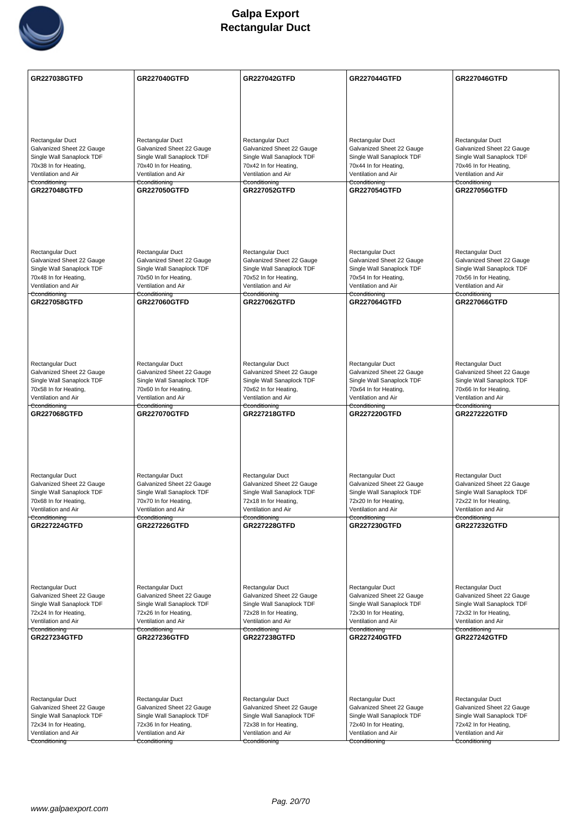

| <b>GR227038GTFD</b>                                    | <b>GR227040GTFD</b>                                    | <b>GR227042GTFD</b>                                    | <b>GR227044GTFD</b>                                    | <b>GR227046GTFD</b>                                    |
|--------------------------------------------------------|--------------------------------------------------------|--------------------------------------------------------|--------------------------------------------------------|--------------------------------------------------------|
|                                                        |                                                        |                                                        |                                                        |                                                        |
|                                                        |                                                        |                                                        |                                                        |                                                        |
|                                                        |                                                        |                                                        |                                                        |                                                        |
|                                                        |                                                        |                                                        |                                                        |                                                        |
| Rectangular Duct<br>Galvanized Sheet 22 Gauge          | Rectangular Duct<br>Galvanized Sheet 22 Gauge          | Rectangular Duct<br>Galvanized Sheet 22 Gauge          | Rectangular Duct<br>Galvanized Sheet 22 Gauge          | Rectangular Duct<br>Galvanized Sheet 22 Gauge          |
| Single Wall Sanaplock TDF                              | Single Wall Sanaplock TDF                              | Single Wall Sanaplock TDF                              | Single Wall Sanaplock TDF                              | Single Wall Sanaplock TDF                              |
| 70x38 In for Heating,                                  | 70x40 In for Heating,                                  | 70x42 In for Heating,                                  | 70x44 In for Heating,                                  | 70x46 In for Heating,                                  |
| Ventilation and Air<br>Cconditioning                   | Ventilation and Air<br>Cconditioning                   | Ventilation and Air<br>Cconditioning                   | Ventilation and Air<br>Cconditioning                   | Ventilation and Air<br>Cconditioning                   |
| <b>GR227048GTFD</b>                                    | <b>GR227050GTFD</b>                                    | <b>GR227052GTFD</b>                                    | <b>GR227054GTFD</b>                                    | <b>GR227056GTFD</b>                                    |
|                                                        |                                                        |                                                        |                                                        |                                                        |
|                                                        |                                                        |                                                        |                                                        |                                                        |
|                                                        |                                                        |                                                        |                                                        |                                                        |
|                                                        |                                                        |                                                        |                                                        |                                                        |
| Rectangular Duct                                       | Rectangular Duct                                       | Rectangular Duct                                       | Rectangular Duct                                       | Rectangular Duct                                       |
| Galvanized Sheet 22 Gauge<br>Single Wall Sanaplock TDF | Galvanized Sheet 22 Gauge<br>Single Wall Sanaplock TDF | Galvanized Sheet 22 Gauge<br>Single Wall Sanaplock TDF | Galvanized Sheet 22 Gauge<br>Single Wall Sanaplock TDF | Galvanized Sheet 22 Gauge<br>Single Wall Sanaplock TDF |
| 70x48 In for Heating,                                  | 70x50 In for Heating,                                  | 70x52 In for Heating,                                  | 70x54 In for Heating,                                  | 70x56 In for Heating,                                  |
| Ventilation and Air                                    | Ventilation and Air                                    | Ventilation and Air                                    | Ventilation and Air                                    | Ventilation and Air                                    |
| Cconditioning<br>GR227058GTFD                          | Cconditioning<br><b>GR227060GTFD</b>                   | Cconditioning<br><b>GR227062GTFD</b>                   | Cconditioning<br><b>GR227064GTFD</b>                   | Cconditioning<br><b>GR227066GTFD</b>                   |
|                                                        |                                                        |                                                        |                                                        |                                                        |
|                                                        |                                                        |                                                        |                                                        |                                                        |
|                                                        |                                                        |                                                        |                                                        |                                                        |
|                                                        |                                                        |                                                        |                                                        |                                                        |
| Rectangular Duct                                       | Rectangular Duct                                       | Rectangular Duct                                       | Rectangular Duct                                       | Rectangular Duct                                       |
| Galvanized Sheet 22 Gauge                              | Galvanized Sheet 22 Gauge                              | Galvanized Sheet 22 Gauge                              | Galvanized Sheet 22 Gauge                              | Galvanized Sheet 22 Gauge                              |
| Single Wall Sanaplock TDF                              | Single Wall Sanaplock TDF                              | Single Wall Sanaplock TDF                              | Single Wall Sanaplock TDF                              | Single Wall Sanaplock TDF                              |
| 70x58 In for Heating,<br>Ventilation and Air           | 70x60 In for Heating,<br>Ventilation and Air           | 70x62 In for Heating,<br>Ventilation and Air           | 70x64 In for Heating,<br>Ventilation and Air           | 70x66 In for Heating,<br>Ventilation and Air           |
| Cconditioning                                          | Cconditioning                                          | Cconditioning                                          | Cconditioning                                          | Cconditioning                                          |
| GR227068GTFD                                           | <b>GR227070GTFD</b>                                    | <b>GR227218GTFD</b>                                    | <b>GR227220GTFD</b>                                    | <b>GR227222GTFD</b>                                    |
|                                                        |                                                        |                                                        |                                                        |                                                        |
|                                                        |                                                        |                                                        |                                                        |                                                        |
|                                                        |                                                        |                                                        |                                                        |                                                        |
|                                                        |                                                        |                                                        |                                                        |                                                        |
| Rectangular Duct<br>Galvanized Sheet 22 Gauge          | Rectangular Duct<br>Galvanized Sheet 22 Gauge          | Rectangular Duct<br>Galvanized Sheet 22 Gauge          | Rectangular Duct<br>Galvanized Sheet 22 Gauge          | Rectangular Duct<br>Galvanized Sheet 22 Gauge          |
| Single Wall Sanaplock TDF                              | Single Wall Sanaplock TDF                              | Single Wall Sanaplock TDF                              | Single Wall Sanaplock TDF                              | Single Wall Sanaplock TDF                              |
| 70x68 In for Heating,                                  | 70x70 In for Heating,                                  | 72x18 In for Heating,                                  | 72x20 In for Heating,                                  | 72x22 In for Heating,                                  |
| Ventilation and Air<br>Cconditioning                   | Ventilation and Air<br>Cconditioning                   | Ventilation and Air<br>Cconditioning                   | Ventilation and Air<br>Cconditioning                   | Ventilation and Air<br>Cconditioning                   |
| <b>GR227224GTFD</b>                                    | <b>GR227226GTFD</b>                                    | <b>GR227228GTFD</b>                                    | <b>GR227230GTFD</b>                                    | <b>GR227232GTFD</b>                                    |
|                                                        |                                                        |                                                        |                                                        |                                                        |
|                                                        |                                                        |                                                        |                                                        |                                                        |
|                                                        |                                                        |                                                        |                                                        |                                                        |
|                                                        |                                                        |                                                        |                                                        |                                                        |
| Rectangular Duct                                       | Rectangular Duct                                       | Rectangular Duct                                       | Rectangular Duct                                       | Rectangular Duct                                       |
| Galvanized Sheet 22 Gauge                              | Galvanized Sheet 22 Gauge                              | Galvanized Sheet 22 Gauge                              | Galvanized Sheet 22 Gauge                              | Galvanized Sheet 22 Gauge                              |
| Single Wall Sanaplock TDF<br>72x24 In for Heating,     | Single Wall Sanaplock TDF<br>72x26 In for Heating,     | Single Wall Sanaplock TDF<br>72x28 In for Heating,     | Single Wall Sanaplock TDF<br>72x30 In for Heating,     | Single Wall Sanaplock TDF<br>72x32 In for Heating,     |
| Ventilation and Air                                    | Ventilation and Air                                    | Ventilation and Air                                    | Ventilation and Air                                    | Ventilation and Air                                    |
| Cconditioning<br><b>GR227234GTFD</b>                   | Cconditioning<br><b>GR227236GTFD</b>                   | Cconditioning<br>GR227238GTFD                          | Cconditioning<br><b>GR227240GTFD</b>                   | Cconditioning<br><b>GR227242GTFD</b>                   |
|                                                        |                                                        |                                                        |                                                        |                                                        |
|                                                        |                                                        |                                                        |                                                        |                                                        |
|                                                        |                                                        |                                                        |                                                        |                                                        |
|                                                        |                                                        |                                                        |                                                        |                                                        |
| Rectangular Duct                                       |                                                        |                                                        | Rectangular Duct                                       | Rectangular Duct                                       |
| Galvanized Sheet 22 Gauge                              | <b>Rectangular Duct</b><br>Galvanized Sheet 22 Gauge   | Rectangular Duct<br>Galvanized Sheet 22 Gauge          | Galvanized Sheet 22 Gauge                              | Galvanized Sheet 22 Gauge                              |
| Single Wall Sanaplock TDF                              | Single Wall Sanaplock TDF                              | Single Wall Sanaplock TDF                              | Single Wall Sanaplock TDF                              | Single Wall Sanaplock TDF                              |
| 72x34 In for Heating,                                  | 72x36 In for Heating,                                  | 72x38 In for Heating,                                  | 72x40 In for Heating,                                  | 72x42 In for Heating,                                  |
| Ventilation and Air<br>Cconditioning                   | Ventilation and Air<br>Cconditioning                   | Ventilation and Air<br>Cconditioning                   | Ventilation and Air<br>Cconditioning                   | Ventilation and Air<br>Cconditioning                   |
|                                                        |                                                        |                                                        |                                                        |                                                        |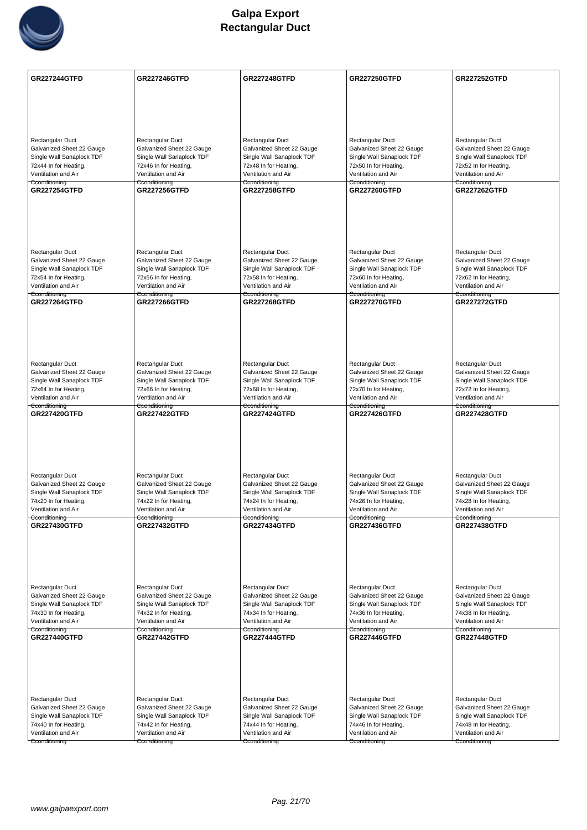

| <b>GR227244GTFD</b>                                    | <b>GR227246GTFD</b>                                    | <b>GR227248GTFD</b>                                    | <b>GR227250GTFD</b>                                    | <b>GR227252GTFD</b>                                    |
|--------------------------------------------------------|--------------------------------------------------------|--------------------------------------------------------|--------------------------------------------------------|--------------------------------------------------------|
|                                                        |                                                        |                                                        |                                                        |                                                        |
|                                                        |                                                        |                                                        |                                                        |                                                        |
|                                                        |                                                        |                                                        |                                                        |                                                        |
| <b>Rectangular Duct</b>                                | Rectangular Duct                                       | Rectangular Duct                                       | Rectangular Duct                                       | Rectangular Duct                                       |
| Galvanized Sheet 22 Gauge                              | Galvanized Sheet 22 Gauge                              | Galvanized Sheet 22 Gauge                              | Galvanized Sheet 22 Gauge                              | Galvanized Sheet 22 Gauge                              |
| Single Wall Sanaplock TDF<br>72x44 In for Heating,     | Single Wall Sanaplock TDF<br>72x46 In for Heating,     | Single Wall Sanaplock TDF<br>72x48 In for Heating,     | Single Wall Sanaplock TDF<br>72x50 In for Heating,     | Single Wall Sanaplock TDF<br>72x52 In for Heating,     |
| Ventilation and Air                                    | Ventilation and Air                                    | Ventilation and Air                                    | Ventilation and Air                                    | Ventilation and Air                                    |
| Cconditioning                                          | Cconditioning                                          | Cconditioning<br><b>GR227258GTFD</b>                   | Cconditioning                                          | Cconditioning                                          |
| <b>GR227254GTFD</b>                                    | <b>GR227256GTFD</b>                                    |                                                        | <b>GR227260GTFD</b>                                    | <b>GR227262GTFD</b>                                    |
|                                                        |                                                        |                                                        |                                                        |                                                        |
|                                                        |                                                        |                                                        |                                                        |                                                        |
|                                                        |                                                        |                                                        |                                                        |                                                        |
|                                                        |                                                        |                                                        |                                                        |                                                        |
| <b>Rectangular Duct</b><br>Galvanized Sheet 22 Gauge   | Rectangular Duct<br>Galvanized Sheet 22 Gauge          | Rectangular Duct<br>Galvanized Sheet 22 Gauge          | Rectangular Duct<br>Galvanized Sheet 22 Gauge          | Rectangular Duct<br>Galvanized Sheet 22 Gauge          |
| Single Wall Sanaplock TDF                              | Single Wall Sanaplock TDF                              | Single Wall Sanaplock TDF                              | Single Wall Sanaplock TDF                              | Single Wall Sanaplock TDF                              |
| 72x54 In for Heating,<br>Ventilation and Air           | 72x56 In for Heating,                                  | 72x58 In for Heating,                                  | 72x60 In for Heating,                                  | 72x62 In for Heating,                                  |
| Cconditioning                                          | Ventilation and Air<br>Cconditioning                   | Ventilation and Air<br>Cconditioning                   | Ventilation and Air<br>Cconditioning                   | Ventilation and Air<br>Cconditioning                   |
| <b>GR227264GTFD</b>                                    | <b>GR227266GTFD</b>                                    | <b>GR227268GTFD</b>                                    | <b>GR227270GTFD</b>                                    | <b>GR227272GTFD</b>                                    |
|                                                        |                                                        |                                                        |                                                        |                                                        |
|                                                        |                                                        |                                                        |                                                        |                                                        |
|                                                        |                                                        |                                                        |                                                        |                                                        |
|                                                        |                                                        |                                                        |                                                        |                                                        |
| <b>Rectangular Duct</b>                                | Rectangular Duct                                       | Rectangular Duct                                       | Rectangular Duct                                       | Rectangular Duct                                       |
| Galvanized Sheet 22 Gauge<br>Single Wall Sanaplock TDF | Galvanized Sheet 22 Gauge<br>Single Wall Sanaplock TDF | Galvanized Sheet 22 Gauge<br>Single Wall Sanaplock TDF | Galvanized Sheet 22 Gauge<br>Single Wall Sanaplock TDF | Galvanized Sheet 22 Gauge<br>Single Wall Sanaplock TDF |
| 72x64 In for Heating,                                  | 72x66 In for Heating,                                  | 72x68 In for Heating,                                  | 72x70 In for Heating,                                  | 72x72 In for Heating,                                  |
| Ventilation and Air                                    | Ventilation and Air                                    | Ventilation and Air                                    | Ventilation and Air                                    | Ventilation and Air                                    |
| Cconditioning<br><b>GR227420GTFD</b>                   | Cconditioning<br><b>GR227422GTFD</b>                   | Cconditioning<br><b>GR227424GTFD</b>                   | Cconditioning<br><b>GR227426GTFD</b>                   | Cconditioning<br><b>GR227428GTFD</b>                   |
|                                                        |                                                        |                                                        |                                                        |                                                        |
|                                                        |                                                        |                                                        |                                                        |                                                        |
|                                                        |                                                        |                                                        |                                                        |                                                        |
|                                                        |                                                        |                                                        |                                                        |                                                        |
| <b>Rectangular Duct</b>                                | Rectangular Duct                                       | Rectangular Duct                                       | Rectangular Duct                                       | Rectangular Duct                                       |
| Galvanized Sheet 22 Gauge                              | Galvanized Sheet 22 Gauge                              | Galvanized Sheet 22 Gauge                              | Galvanized Sheet 22 Gauge                              | Galvanized Sheet 22 Gauge                              |
| Single Wall Sanaplock TDF<br>74x20 In for Heating,     | Single Wall Sanaplock TDF<br>74x22 In for Heating,     | Single Wall Sanaplock TDF<br>74x24 In for Heating,     | Single Wall Sanaplock TDF<br>74x26 In for Heating,     | Single Wall Sanaplock TDF<br>74x28 In for Heating,     |
| Ventilation and Air                                    | Ventilation and Air                                    | Ventilation and Air                                    | Ventilation and Air                                    | Ventilation and Air                                    |
| Cconditioning<br><b>GR227430GTFD</b>                   | Cconditioning<br><b>GR227432GTFD</b>                   | Cconditioning<br><b>GR227434GTFD</b>                   | Cconditioning<br><b>GR227436GTFD</b>                   | Cconditioning<br><b>GR227438GTFD</b>                   |
|                                                        |                                                        |                                                        |                                                        |                                                        |
|                                                        |                                                        |                                                        |                                                        |                                                        |
|                                                        |                                                        |                                                        |                                                        |                                                        |
|                                                        |                                                        |                                                        |                                                        |                                                        |
| Rectangular Duct                                       | Rectangular Duct                                       | Rectangular Duct                                       | Rectangular Duct                                       | Rectangular Duct                                       |
| Galvanized Sheet 22 Gauge                              | Galvanized Sheet 22 Gauge                              | Galvanized Sheet 22 Gauge                              | Galvanized Sheet 22 Gauge                              | Galvanized Sheet 22 Gauge                              |
| Single Wall Sanaplock TDF                              | Single Wall Sanaplock TDF                              | Single Wall Sanaplock TDF                              | Single Wall Sanaplock TDF                              | Single Wall Sanaplock TDF                              |
| 74x30 In for Heating,<br>Ventilation and Air           | 74x32 In for Heating,<br>Ventilation and Air           | 74x34 In for Heating,<br>Ventilation and Air           | 74x36 In for Heating,<br>Ventilation and Air           | 74x38 In for Heating,<br>Ventilation and Air           |
| Cconditioning                                          | Cconditioning                                          | Cconditioning                                          | Cconditioning                                          | Cconditioning                                          |
| <b>GR227440GTFD</b>                                    | <b>GR227442GTFD</b>                                    | <b>GR227444GTFD</b>                                    | <b>GR227446GTFD</b>                                    | <b>GR227448GTFD</b>                                    |
|                                                        |                                                        |                                                        |                                                        |                                                        |
|                                                        |                                                        |                                                        |                                                        |                                                        |
|                                                        |                                                        |                                                        |                                                        |                                                        |
|                                                        |                                                        |                                                        |                                                        |                                                        |
| Rectangular Duct                                       | Rectangular Duct                                       | Rectangular Duct                                       | Rectangular Duct                                       | Rectangular Duct                                       |
| Galvanized Sheet 22 Gauge<br>Single Wall Sanaplock TDF | Galvanized Sheet 22 Gauge<br>Single Wall Sanaplock TDF | Galvanized Sheet 22 Gauge<br>Single Wall Sanaplock TDF | Galvanized Sheet 22 Gauge<br>Single Wall Sanaplock TDF | Galvanized Sheet 22 Gauge<br>Single Wall Sanaplock TDF |
| 74x40 In for Heating,                                  | 74x42 In for Heating,                                  | 74x44 In for Heating,                                  | 74x46 In for Heating,                                  | 74x48 In for Heating,                                  |
| Ventilation and Air                                    | Ventilation and Air                                    | Ventilation and Air                                    | Ventilation and Air                                    | Ventilation and Air                                    |
| Cconditioning                                          | Cconditioning                                          | Cconditioning                                          | Cconditioning                                          | Cconditioning                                          |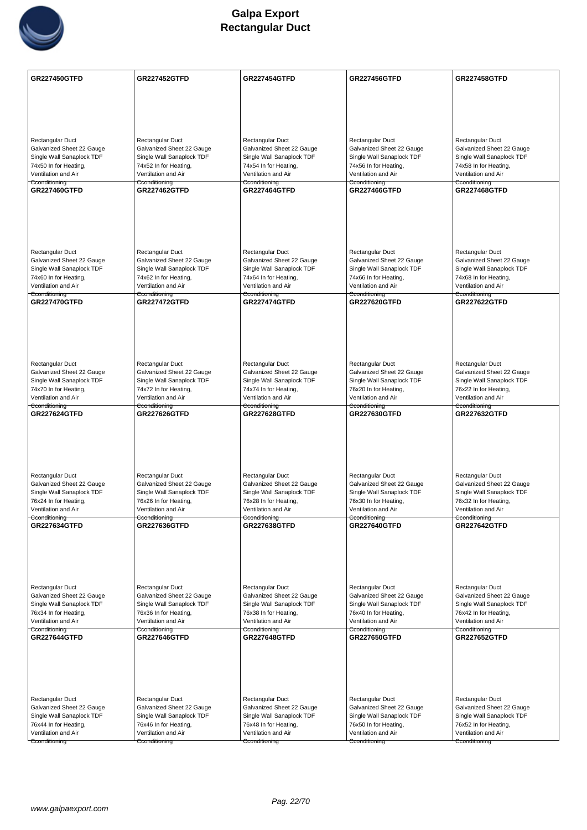

| GR227450GTFD                                           | <b>GR227452GTFD</b>                                    | <b>GR227454GTFD</b>                                    | <b>GR227456GTFD</b>                                    | <b>GR227458GTFD</b>                                    |
|--------------------------------------------------------|--------------------------------------------------------|--------------------------------------------------------|--------------------------------------------------------|--------------------------------------------------------|
|                                                        |                                                        |                                                        |                                                        |                                                        |
|                                                        |                                                        |                                                        |                                                        |                                                        |
|                                                        |                                                        |                                                        |                                                        |                                                        |
|                                                        |                                                        |                                                        |                                                        |                                                        |
| <b>Rectangular Duct</b><br>Galvanized Sheet 22 Gauge   | Rectangular Duct<br>Galvanized Sheet 22 Gauge          | Rectangular Duct<br>Galvanized Sheet 22 Gauge          | Rectangular Duct<br>Galvanized Sheet 22 Gauge          | Rectangular Duct<br>Galvanized Sheet 22 Gauge          |
| Single Wall Sanaplock TDF                              | Single Wall Sanaplock TDF                              | Single Wall Sanaplock TDF                              | Single Wall Sanaplock TDF                              | Single Wall Sanaplock TDF                              |
| 74x50 In for Heating,                                  | 74x52 In for Heating,                                  | 74x54 In for Heating,                                  | 74x56 In for Heating,                                  | 74x58 In for Heating,                                  |
| Ventilation and Air<br>Cconditioning                   | Ventilation and Air<br>Cconditioning                   | Ventilation and Air<br>Cconditioning                   | Ventilation and Air<br>Cconditioning                   | Ventilation and Air<br>Cconditioning                   |
| <b>GR227460GTFD</b>                                    | <b>GR227462GTFD</b>                                    | <b>GR227464GTFD</b>                                    | <b>GR227466GTFD</b>                                    | <b>GR227468GTFD</b>                                    |
|                                                        |                                                        |                                                        |                                                        |                                                        |
|                                                        |                                                        |                                                        |                                                        |                                                        |
|                                                        |                                                        |                                                        |                                                        |                                                        |
|                                                        |                                                        |                                                        |                                                        |                                                        |
| Rectangular Duct                                       | Rectangular Duct                                       | Rectangular Duct                                       | Rectangular Duct                                       | Rectangular Duct                                       |
| Galvanized Sheet 22 Gauge<br>Single Wall Sanaplock TDF | Galvanized Sheet 22 Gauge<br>Single Wall Sanaplock TDF | Galvanized Sheet 22 Gauge<br>Single Wall Sanaplock TDF | Galvanized Sheet 22 Gauge<br>Single Wall Sanaplock TDF | Galvanized Sheet 22 Gauge<br>Single Wall Sanaplock TDF |
| 74x60 In for Heating,                                  | 74x62 In for Heating,                                  | 74x64 In for Heating,                                  | 74x66 In for Heating,                                  | 74x68 In for Heating,                                  |
| Ventilation and Air                                    | Ventilation and Air                                    | Ventilation and Air                                    | Ventilation and Air                                    | Ventilation and Air                                    |
| Cconditioning<br><b>GR227470GTFD</b>                   | <del>Cconditioning</del><br><b>GR227472GTFD</b>        | Cconditioning<br><b>GR227474GTFD</b>                   | <del>Cconditioning</del><br><b>GR227620GTFD</b>        | Cconditioning<br><b>GR227622GTFD</b>                   |
|                                                        |                                                        |                                                        |                                                        |                                                        |
|                                                        |                                                        |                                                        |                                                        |                                                        |
|                                                        |                                                        |                                                        |                                                        |                                                        |
|                                                        |                                                        |                                                        |                                                        |                                                        |
| Rectangular Duct                                       | Rectangular Duct                                       | Rectangular Duct                                       | Rectangular Duct                                       | Rectangular Duct                                       |
| Galvanized Sheet 22 Gauge                              | Galvanized Sheet 22 Gauge                              | Galvanized Sheet 22 Gauge                              | Galvanized Sheet 22 Gauge                              | Galvanized Sheet 22 Gauge                              |
| Single Wall Sanaplock TDF                              | Single Wall Sanaplock TDF                              | Single Wall Sanaplock TDF                              | Single Wall Sanaplock TDF                              | Single Wall Sanaplock TDF                              |
| 74x70 In for Heating,<br>Ventilation and Air           | 74x72 In for Heating,<br>Ventilation and Air           | 74x74 In for Heating,<br>Ventilation and Air           | 76x20 In for Heating,<br>Ventilation and Air           | 76x22 In for Heating,<br>Ventilation and Air           |
| Cconditioning                                          | Cconditioning                                          | Cconditioning                                          | Cconditioning                                          | Cconditioning                                          |
| <b>GR227624GTFD</b>                                    | <b>GR227626GTFD</b>                                    | <b>GR227628GTFD</b>                                    | <b>GR227630GTFD</b>                                    | <b>GR227632GTFD</b>                                    |
|                                                        |                                                        |                                                        |                                                        |                                                        |
|                                                        |                                                        |                                                        |                                                        |                                                        |
|                                                        |                                                        |                                                        |                                                        |                                                        |
|                                                        |                                                        |                                                        |                                                        |                                                        |
| Rectangular Duct<br>Galvanized Sheet 22 Gauge          | Rectangular Duct<br>Galvanized Sheet 22 Gauge          | Rectangular Duct<br>Galvanized Sheet 22 Gauge          | Rectangular Duct<br>Galvanized Sheet 22 Gauge          | Rectangular Duct<br>Galvanized Sheet 22 Gauge          |
| Single Wall Sanaplock TDF                              | Single Wall Sanaplock TDF                              | Single Wall Sanaplock TDF                              | Single Wall Sanaplock TDF                              | Single Wall Sanaplock TDF                              |
| 76x24 In for Heating,<br>Ventilation and Air           | 76x26 In for Heating,<br>Ventilation and Air           | 76x28 In for Heating,                                  | 76x30 In for Heating,                                  | 76x32 In for Heating,                                  |
| Cconditioning                                          | Cconditioning                                          | Ventilation and Air<br>Cconditioning                   | Ventilation and Air<br>Cconditioning                   | Ventilation and Air<br>Cconditioning                   |
| <b>GR227634GTFD</b>                                    | <b>GR227636GTFD</b>                                    | <b>GR227638GTFD</b>                                    | <b>GR227640GTFD</b>                                    | <b>GR227642GTFD</b>                                    |
|                                                        |                                                        |                                                        |                                                        |                                                        |
|                                                        |                                                        |                                                        |                                                        |                                                        |
|                                                        |                                                        |                                                        |                                                        |                                                        |
|                                                        |                                                        |                                                        |                                                        |                                                        |
| Rectangular Duct                                       | Rectangular Duct                                       | Rectangular Duct                                       | Rectangular Duct                                       | Rectangular Duct                                       |
| Galvanized Sheet 22 Gauge<br>Single Wall Sanaplock TDF | Galvanized Sheet 22 Gauge<br>Single Wall Sanaplock TDF | Galvanized Sheet 22 Gauge<br>Single Wall Sanaplock TDF | Galvanized Sheet 22 Gauge<br>Single Wall Sanaplock TDF | Galvanized Sheet 22 Gauge<br>Single Wall Sanaplock TDF |
| 76x34 In for Heating,                                  | 76x36 In for Heating,                                  | 76x38 In for Heating,                                  | 76x40 In for Heating,                                  | 76x42 In for Heating,                                  |
| Ventilation and Air<br>Cconditioning                   | Ventilation and Air<br>Cconditioning                   | Ventilation and Air<br>Cconditioning                   | Ventilation and Air<br>Cconditioning                   | Ventilation and Air<br>Cconditioning                   |
| <b>GR227644GTFD</b>                                    | <b>GR227646GTFD</b>                                    | <b>GR227648GTFD</b>                                    | <b>GR227650GTFD</b>                                    | <b>GR227652GTFD</b>                                    |
|                                                        |                                                        |                                                        |                                                        |                                                        |
|                                                        |                                                        |                                                        |                                                        |                                                        |
|                                                        |                                                        |                                                        |                                                        |                                                        |
|                                                        |                                                        |                                                        |                                                        |                                                        |
| Rectangular Duct                                       | Rectangular Duct                                       | Rectangular Duct                                       | Rectangular Duct                                       | Rectangular Duct                                       |
| Galvanized Sheet 22 Gauge                              | Galvanized Sheet 22 Gauge                              | Galvanized Sheet 22 Gauge                              | Galvanized Sheet 22 Gauge                              | Galvanized Sheet 22 Gauge                              |
| Single Wall Sanaplock TDF<br>76x44 In for Heating,     | Single Wall Sanaplock TDF<br>76x46 In for Heating,     | Single Wall Sanaplock TDF<br>76x48 In for Heating,     | Single Wall Sanaplock TDF<br>76x50 In for Heating,     | Single Wall Sanaplock TDF<br>76x52 In for Heating,     |
| Ventilation and Air                                    | Ventilation and Air                                    | Ventilation and Air                                    | Ventilation and Air                                    | Ventilation and Air                                    |
| Cconditioning                                          | Cconditioning                                          | Cconditioning                                          | Cconditioning                                          | Cconditioning                                          |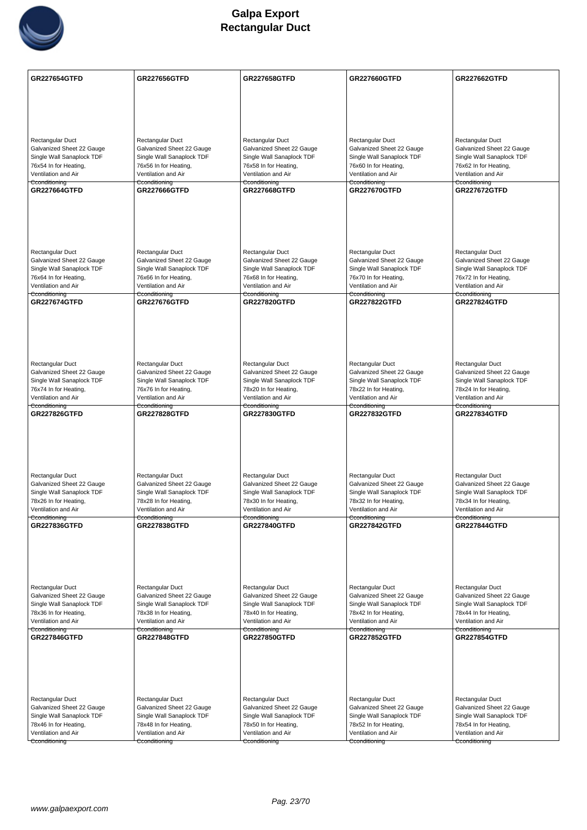

| <b>GR227654GTFD</b>                                    | <b>GR227656GTFD</b>                                    | <b>GR227658GTFD</b>                                    | <b>GR227660GTFD</b>                                    | <b>GR227662GTFD</b>                                    |
|--------------------------------------------------------|--------------------------------------------------------|--------------------------------------------------------|--------------------------------------------------------|--------------------------------------------------------|
|                                                        |                                                        |                                                        |                                                        |                                                        |
|                                                        |                                                        |                                                        |                                                        |                                                        |
|                                                        |                                                        |                                                        |                                                        |                                                        |
| Rectangular Duct                                       | Rectangular Duct                                       | Rectangular Duct                                       | Rectangular Duct                                       | Rectangular Duct                                       |
| Galvanized Sheet 22 Gauge<br>Single Wall Sanaplock TDF | Galvanized Sheet 22 Gauge<br>Single Wall Sanaplock TDF | Galvanized Sheet 22 Gauge<br>Single Wall Sanaplock TDF | Galvanized Sheet 22 Gauge<br>Single Wall Sanaplock TDF | Galvanized Sheet 22 Gauge<br>Single Wall Sanaplock TDF |
| 76x54 In for Heating,                                  | 76x56 In for Heating,                                  | 76x58 In for Heating,                                  | 76x60 In for Heating,                                  | 76x62 In for Heating,                                  |
| Ventilation and Air<br>Cconditioning                   | Ventilation and Air<br>Cconditioning                   | Ventilation and Air<br>Cconditioning                   | Ventilation and Air<br>Cconditioning                   | Ventilation and Air<br>Cconditioning                   |
| <b>GR227664GTFD</b>                                    | <b>GR227666GTFD</b>                                    | <b>GR227668GTFD</b>                                    | <b>GR227670GTFD</b>                                    | <b>GR227672GTFD</b>                                    |
|                                                        |                                                        |                                                        |                                                        |                                                        |
|                                                        |                                                        |                                                        |                                                        |                                                        |
|                                                        |                                                        |                                                        |                                                        |                                                        |
| <b>Rectangular Duct</b>                                | Rectangular Duct                                       | Rectangular Duct                                       | Rectangular Duct                                       | Rectangular Duct                                       |
| Galvanized Sheet 22 Gauge                              | Galvanized Sheet 22 Gauge                              | Galvanized Sheet 22 Gauge                              | Galvanized Sheet 22 Gauge                              | Galvanized Sheet 22 Gauge                              |
| Single Wall Sanaplock TDF<br>76x64 In for Heating,     | Single Wall Sanaplock TDF<br>76x66 In for Heating,     | Single Wall Sanaplock TDF<br>76x68 In for Heating,     | Single Wall Sanaplock TDF<br>76x70 In for Heating,     | Single Wall Sanaplock TDF<br>76x72 In for Heating,     |
| Ventilation and Air<br>Cconditioning                   | Ventilation and Air<br>Cconditioning                   | Ventilation and Air<br>Cconditioning                   | Ventilation and Air<br>Cconditioning                   | Ventilation and Air<br>Cconditioning                   |
| <b>GR227674GTFD</b>                                    | <b>GR227676GTFD</b>                                    | <b>GR227820GTFD</b>                                    | <b>GR227822GTFD</b>                                    | <b>GR227824GTFD</b>                                    |
|                                                        |                                                        |                                                        |                                                        |                                                        |
|                                                        |                                                        |                                                        |                                                        |                                                        |
|                                                        |                                                        |                                                        |                                                        |                                                        |
| Rectangular Duct                                       | Rectangular Duct                                       | Rectangular Duct                                       | Rectangular Duct                                       | Rectangular Duct                                       |
| Galvanized Sheet 22 Gauge<br>Single Wall Sanaplock TDF | Galvanized Sheet 22 Gauge<br>Single Wall Sanaplock TDF | Galvanized Sheet 22 Gauge<br>Single Wall Sanaplock TDF | Galvanized Sheet 22 Gauge<br>Single Wall Sanaplock TDF | Galvanized Sheet 22 Gauge<br>Single Wall Sanaplock TDF |
| 76x74 In for Heating,                                  | 76x76 In for Heating,                                  | 78x20 In for Heating,                                  | 78x22 In for Heating,                                  | 78x24 In for Heating,                                  |
| Ventilation and Air<br>Cconditioning                   | Ventilation and Air<br>Cconditioning                   | Ventilation and Air<br>Cconditioning                   | Ventilation and Air<br>Cconditioning                   | Ventilation and Air<br>Cconditioning                   |
| <b>GR227826GTFD</b>                                    | <b>GR227828GTFD</b>                                    | <b>GR227830GTFD</b>                                    | <b>GR227832GTFD</b>                                    | <b>GR227834GTFD</b>                                    |
|                                                        |                                                        |                                                        |                                                        |                                                        |
|                                                        |                                                        |                                                        |                                                        |                                                        |
|                                                        |                                                        |                                                        |                                                        |                                                        |
| Rectangular Duct                                       | Rectangular Duct                                       | Rectangular Duct                                       | Rectangular Duct                                       | Rectangular Duct                                       |
| Galvanized Sheet 22 Gauge<br>Single Wall Sanaplock TDF | Galvanized Sheet 22 Gauge<br>Single Wall Sanaplock TDF | Galvanized Sheet 22 Gauge<br>Single Wall Sanaplock TDF | Galvanized Sheet 22 Gauge<br>Single Wall Sanaplock TDF | Galvanized Sheet 22 Gauge<br>Single Wall Sanaplock TDF |
| 78x26 In for Heating,                                  | 78x28 In for Heating,                                  | 78x30 In for Heating,                                  | 78x32 In for Heating,                                  | 78x34 In for Heating,                                  |
| Ventilation and Air<br>Cconditioning                   | Ventilation and Air<br>Cconditioning                   | Ventilation and Air<br>Cconditioning                   | Ventilation and Air<br>Cconditioning                   | Ventilation and Air<br>Cconditioning                   |
| GR227836GTFD                                           | <b>GR227838GTFD</b>                                    | <b>GR227840GTFD</b>                                    | <b>GR227842GTFD</b>                                    | <b>GR227844GTFD</b>                                    |
|                                                        |                                                        |                                                        |                                                        |                                                        |
|                                                        |                                                        |                                                        |                                                        |                                                        |
|                                                        |                                                        |                                                        |                                                        |                                                        |
| Rectangular Duct                                       | Rectangular Duct                                       | Rectangular Duct                                       | Rectangular Duct                                       | Rectangular Duct                                       |
| Galvanized Sheet 22 Gauge<br>Single Wall Sanaplock TDF | Galvanized Sheet 22 Gauge<br>Single Wall Sanaplock TDF | Galvanized Sheet 22 Gauge<br>Single Wall Sanaplock TDF | Galvanized Sheet 22 Gauge<br>Single Wall Sanaplock TDF | Galvanized Sheet 22 Gauge<br>Single Wall Sanaplock TDF |
| 78x36 In for Heating,                                  | 78x38 In for Heating,                                  | 78x40 In for Heating,                                  | 78x42 In for Heating,                                  | 78x44 In for Heating,                                  |
| Ventilation and Air<br>Cconditioning                   | Ventilation and Air<br>Cconditioning                   | Ventilation and Air<br>Cconditioning                   | Ventilation and Air<br>Cconditioning                   | Ventilation and Air<br>Cconditioning                   |
| <b>GR227846GTFD</b>                                    | <b>GR227848GTFD</b>                                    | <b>GR227850GTFD</b>                                    | <b>GR227852GTFD</b>                                    | <b>GR227854GTFD</b>                                    |
|                                                        |                                                        |                                                        |                                                        |                                                        |
|                                                        |                                                        |                                                        |                                                        |                                                        |
|                                                        |                                                        |                                                        |                                                        |                                                        |
| Rectangular Duct                                       | Rectangular Duct                                       | Rectangular Duct                                       | Rectangular Duct                                       | Rectangular Duct                                       |
| Galvanized Sheet 22 Gauge<br>Single Wall Sanaplock TDF | Galvanized Sheet 22 Gauge<br>Single Wall Sanaplock TDF | Galvanized Sheet 22 Gauge<br>Single Wall Sanaplock TDF | Galvanized Sheet 22 Gauge<br>Single Wall Sanaplock TDF | Galvanized Sheet 22 Gauge<br>Single Wall Sanaplock TDF |
| 78x46 In for Heating,                                  | 78x48 In for Heating,                                  | 78x50 In for Heating,                                  | 78x52 In for Heating,                                  | 78x54 In for Heating,                                  |
| Ventilation and Air<br>Cconditioning                   | Ventilation and Air<br>Cconditioning                   | Ventilation and Air<br>Cconditioning                   | Ventilation and Air<br>Cconditioning                   | Ventilation and Air<br>Cconditioning                   |
|                                                        |                                                        |                                                        |                                                        |                                                        |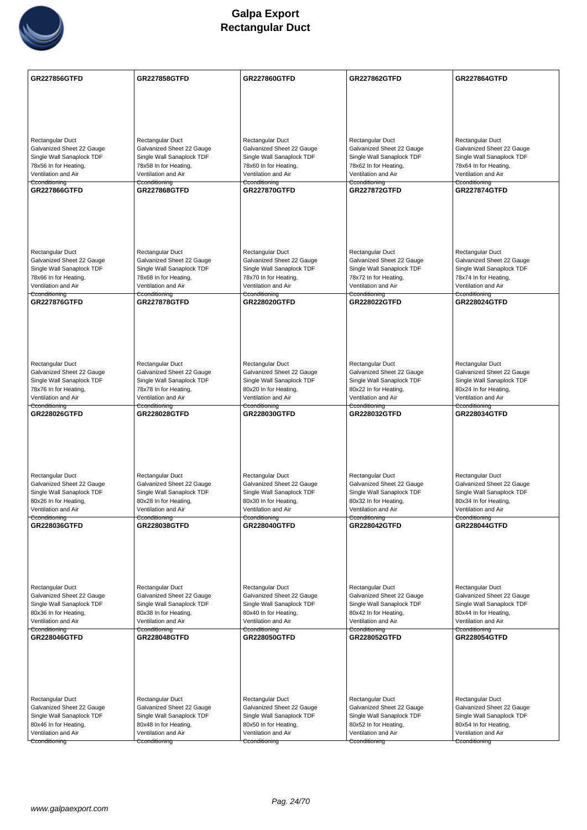

| Rectangular Duct<br>Rectangular Duct<br>Rectangular Duct<br>Rectangular Duct<br>Rectangular Duct<br>Galvanized Sheet 22 Gauge<br>Galvanized Sheet 22 Gauge<br>Galvanized Sheet 22 Gauge<br>Galvanized Sheet 22 Gauge<br>Galvanized Sheet 22 Gauge<br>Single Wall Sanaplock TDF<br>Single Wall Sanaplock TDF<br>Single Wall Sanaplock TDF<br>Single Wall Sanaplock TDF<br>Single Wall Sanaplock TDF<br>78x56 In for Heating,<br>78x58 In for Heating,<br>78x60 In for Heating,<br>78x62 In for Heating,<br>78x64 In for Heating,<br>Ventilation and Air<br>Ventilation and Air<br>Ventilation and Air<br>Ventilation and Air<br>Ventilation and Air<br>Cconditioning<br>Cconditioning<br>Cconditioning<br>Cconditioning<br>Cconditioning<br><b>GR227866GTFD</b><br><b>GR227868GTFD</b><br><b>GR227870GTFD</b><br><b>GR227872GTFD</b><br><b>GR227874GTFD</b><br>Rectangular Duct<br>Rectangular Duct<br>Rectangular Duct<br>Rectangular Duct<br>Rectangular Duct<br>Galvanized Sheet 22 Gauge<br>Galvanized Sheet 22 Gauge<br>Galvanized Sheet 22 Gauge<br>Galvanized Sheet 22 Gauge<br>Galvanized Sheet 22 Gauge<br>Single Wall Sanaplock TDF<br>Single Wall Sanaplock TDF<br>Single Wall Sanaplock TDF<br>Single Wall Sanaplock TDF<br>Single Wall Sanaplock TDF<br>78x66 In for Heating,<br>78x68 In for Heating,<br>78x70 In for Heating,<br>78x72 In for Heating,<br>78x74 In for Heating,<br>Ventilation and Air<br>Ventilation and Air<br>Ventilation and Air<br>Ventilation and Air<br>Ventilation and Air<br>Cconditioning<br>Cconditioning<br>Cconditioning<br>Cconditioning<br>Cconditioning<br><b>GR227876GTFD</b><br><b>GR227878GTFD</b><br><b>GR228020GTFD</b><br><b>GR228022GTFD</b><br><b>GR228024GTFD</b><br>Rectangular Duct<br>Rectangular Duct<br>Rectangular Duct<br>Rectangular Duct<br>Rectangular Duct<br>Galvanized Sheet 22 Gauge<br>Galvanized Sheet 22 Gauge<br>Galvanized Sheet 22 Gauge<br>Galvanized Sheet 22 Gauge<br>Galvanized Sheet 22 Gauge<br>Single Wall Sanaplock TDF<br>Single Wall Sanaplock TDF<br>Single Wall Sanaplock TDF<br>Single Wall Sanaplock TDF<br>Single Wall Sanaplock TDF<br>78x76 In for Heating,<br>78x78 In for Heating,<br>80x20 In for Heating,<br>80x22 In for Heating,<br>80x24 In for Heating,<br>Ventilation and Air<br>Ventilation and Air<br>Ventilation and Air<br>Ventilation and Air<br>Ventilation and Air<br>Cconditioning<br>Cconditioning<br>Cconditioning<br>Cconditioning<br>Cconditioning<br><b>GR228026GTFD</b><br><b>GR228028GTFD</b><br><b>GR228030GTFD</b><br><b>GR228034GTFD</b><br><b>GR228032GTFD</b><br>Rectangular Duct<br>Rectangular Duct<br>Rectangular Duct<br>Rectangular Duct<br>Rectangular Duct<br>Galvanized Sheet 22 Gauge<br>Galvanized Sheet 22 Gauge<br>Galvanized Sheet 22 Gauge<br>Galvanized Sheet 22 Gauge<br>Galvanized Sheet 22 Gauge<br>Single Wall Sanaplock TDF<br>Single Wall Sanaplock TDF<br>Single Wall Sanaplock TDF<br>Single Wall Sanaplock TDF<br>Single Wall Sanaplock TDF<br>80x26 In for Heating,<br>80x28 In for Heating,<br>80x30 In for Heating,<br>80x32 In for Heating,<br>80x34 In for Heating,<br>Ventilation and Air<br>Ventilation and Air<br>Ventilation and Air<br>Ventilation and Air<br>Ventilation and Air<br>Cconditioning<br>Cconditioning<br>Cconditioning<br>Cconditioning<br>Cconditioning<br>GR228036GTFD<br><b>GR228038GTFD</b><br><b>GR228040GTFD</b><br>GR228042GTFD<br><b>GR228044GTFD</b><br>Rectangular Duct<br>Rectangular Duct<br>Rectangular Duct<br>Rectangular Duct<br>Rectangular Duct<br>Galvanized Sheet 22 Gauge<br>Galvanized Sheet 22 Gauge<br>Galvanized Sheet 22 Gauge<br>Galvanized Sheet 22 Gauge<br>Galvanized Sheet 22 Gauge<br>Single Wall Sanaplock TDF<br>Single Wall Sanaplock TDF<br>Single Wall Sanaplock TDF<br>Single Wall Sanaplock TDF<br>Single Wall Sanaplock TDF<br>80x36 In for Heating,<br>80x38 In for Heating,<br>80x40 In for Heating,<br>80x42 In for Heating,<br>80x44 In for Heating,<br>Ventilation and Air<br>Ventilation and Air<br>Ventilation and Air<br>Ventilation and Air<br>Ventilation and Air<br>Cconditioning<br>Cconditioning<br>Cconditioning<br>Cconditioning<br>Cconditioning<br>GR228046GTFD<br>GR228054GTFD<br><b>GR228048GTFD</b><br><b>GR228050GTFD</b><br><b>GR228052GTFD</b><br>Rectangular Duct<br>Rectangular Duct<br>Rectangular Duct<br>Rectangular Duct<br>Rectangular Duct<br>Galvanized Sheet 22 Gauge<br>Galvanized Sheet 22 Gauge<br>Galvanized Sheet 22 Gauge<br>Galvanized Sheet 22 Gauge<br>Galvanized Sheet 22 Gauge<br>Single Wall Sanaplock TDF<br>Single Wall Sanaplock TDF<br>Single Wall Sanaplock TDF<br>Single Wall Sanaplock TDF<br>Single Wall Sanaplock TDF<br>80x46 In for Heating,<br>80x54 In for Heating,<br>80x48 In for Heating,<br>80x50 In for Heating,<br>80x52 In for Heating,<br>Ventilation and Air<br>Ventilation and Air<br>Ventilation and Air<br>Ventilation and Air<br>Ventilation and Air<br>Cconditioning<br>Cconditioning<br>Cconditioning<br>Cconditioning<br>Cconditioning | <b>GR227856GTFD</b> | <b>GR227858GTFD</b> | <b>GR227860GTFD</b> | <b>GR227862GTFD</b> | <b>GR227864GTFD</b> |
|-----------------------------------------------------------------------------------------------------------------------------------------------------------------------------------------------------------------------------------------------------------------------------------------------------------------------------------------------------------------------------------------------------------------------------------------------------------------------------------------------------------------------------------------------------------------------------------------------------------------------------------------------------------------------------------------------------------------------------------------------------------------------------------------------------------------------------------------------------------------------------------------------------------------------------------------------------------------------------------------------------------------------------------------------------------------------------------------------------------------------------------------------------------------------------------------------------------------------------------------------------------------------------------------------------------------------------------------------------------------------------------------------------------------------------------------------------------------------------------------------------------------------------------------------------------------------------------------------------------------------------------------------------------------------------------------------------------------------------------------------------------------------------------------------------------------------------------------------------------------------------------------------------------------------------------------------------------------------------------------------------------------------------------------------------------------------------------------------------------------------------------------------------------------------------------------------------------------------------------------------------------------------------------------------------------------------------------------------------------------------------------------------------------------------------------------------------------------------------------------------------------------------------------------------------------------------------------------------------------------------------------------------------------------------------------------------------------------------------------------------------------------------------------------------------------------------------------------------------------------------------------------------------------------------------------------------------------------------------------------------------------------------------------------------------------------------------------------------------------------------------------------------------------------------------------------------------------------------------------------------------------------------------------------------------------------------------------------------------------------------------------------------------------------------------------------------------------------------------------------------------------------------------------------------------------------------------------------------------------------------------------------------------------------------------------------------------------------------------------------------------------------------------------------------------------------------------------------------------------------------------------------------------------------------------------------------------------------------------------------------------------------------------------------------------------------------------------------------------------------------------------------------------------------------------------------------------------------------------------------------------------------------------------------------------------------------------------------------------------------------------------------------------------------------------------------------------------------------------------------------------------------------------------------------------------------------------------------------------------------------------------------------------------------------------------------------------------------------------------------------------------------------------------------------------------------------------------------------------------------------------------------------------------------------------------------------------------------------------------------------------------------------------------|---------------------|---------------------|---------------------|---------------------|---------------------|
|                                                                                                                                                                                                                                                                                                                                                                                                                                                                                                                                                                                                                                                                                                                                                                                                                                                                                                                                                                                                                                                                                                                                                                                                                                                                                                                                                                                                                                                                                                                                                                                                                                                                                                                                                                                                                                                                                                                                                                                                                                                                                                                                                                                                                                                                                                                                                                                                                                                                                                                                                                                                                                                                                                                                                                                                                                                                                                                                                                                                                                                                                                                                                                                                                                                                                                                                                                                                                                                                                                                                                                                                                                                                                                                                                                                                                                                                                                                                                                                                                                                                                                                                                                                                                                                                                                                                                                                                                                                                                                                                                                                                                                                                                                                                                                                                                                                                                                                                                                                                                                   |                     |                     |                     |                     |                     |
|                                                                                                                                                                                                                                                                                                                                                                                                                                                                                                                                                                                                                                                                                                                                                                                                                                                                                                                                                                                                                                                                                                                                                                                                                                                                                                                                                                                                                                                                                                                                                                                                                                                                                                                                                                                                                                                                                                                                                                                                                                                                                                                                                                                                                                                                                                                                                                                                                                                                                                                                                                                                                                                                                                                                                                                                                                                                                                                                                                                                                                                                                                                                                                                                                                                                                                                                                                                                                                                                                                                                                                                                                                                                                                                                                                                                                                                                                                                                                                                                                                                                                                                                                                                                                                                                                                                                                                                                                                                                                                                                                                                                                                                                                                                                                                                                                                                                                                                                                                                                                                   |                     |                     |                     |                     |                     |
|                                                                                                                                                                                                                                                                                                                                                                                                                                                                                                                                                                                                                                                                                                                                                                                                                                                                                                                                                                                                                                                                                                                                                                                                                                                                                                                                                                                                                                                                                                                                                                                                                                                                                                                                                                                                                                                                                                                                                                                                                                                                                                                                                                                                                                                                                                                                                                                                                                                                                                                                                                                                                                                                                                                                                                                                                                                                                                                                                                                                                                                                                                                                                                                                                                                                                                                                                                                                                                                                                                                                                                                                                                                                                                                                                                                                                                                                                                                                                                                                                                                                                                                                                                                                                                                                                                                                                                                                                                                                                                                                                                                                                                                                                                                                                                                                                                                                                                                                                                                                                                   |                     |                     |                     |                     |                     |
|                                                                                                                                                                                                                                                                                                                                                                                                                                                                                                                                                                                                                                                                                                                                                                                                                                                                                                                                                                                                                                                                                                                                                                                                                                                                                                                                                                                                                                                                                                                                                                                                                                                                                                                                                                                                                                                                                                                                                                                                                                                                                                                                                                                                                                                                                                                                                                                                                                                                                                                                                                                                                                                                                                                                                                                                                                                                                                                                                                                                                                                                                                                                                                                                                                                                                                                                                                                                                                                                                                                                                                                                                                                                                                                                                                                                                                                                                                                                                                                                                                                                                                                                                                                                                                                                                                                                                                                                                                                                                                                                                                                                                                                                                                                                                                                                                                                                                                                                                                                                                                   |                     |                     |                     |                     |                     |
|                                                                                                                                                                                                                                                                                                                                                                                                                                                                                                                                                                                                                                                                                                                                                                                                                                                                                                                                                                                                                                                                                                                                                                                                                                                                                                                                                                                                                                                                                                                                                                                                                                                                                                                                                                                                                                                                                                                                                                                                                                                                                                                                                                                                                                                                                                                                                                                                                                                                                                                                                                                                                                                                                                                                                                                                                                                                                                                                                                                                                                                                                                                                                                                                                                                                                                                                                                                                                                                                                                                                                                                                                                                                                                                                                                                                                                                                                                                                                                                                                                                                                                                                                                                                                                                                                                                                                                                                                                                                                                                                                                                                                                                                                                                                                                                                                                                                                                                                                                                                                                   |                     |                     |                     |                     |                     |
|                                                                                                                                                                                                                                                                                                                                                                                                                                                                                                                                                                                                                                                                                                                                                                                                                                                                                                                                                                                                                                                                                                                                                                                                                                                                                                                                                                                                                                                                                                                                                                                                                                                                                                                                                                                                                                                                                                                                                                                                                                                                                                                                                                                                                                                                                                                                                                                                                                                                                                                                                                                                                                                                                                                                                                                                                                                                                                                                                                                                                                                                                                                                                                                                                                                                                                                                                                                                                                                                                                                                                                                                                                                                                                                                                                                                                                                                                                                                                                                                                                                                                                                                                                                                                                                                                                                                                                                                                                                                                                                                                                                                                                                                                                                                                                                                                                                                                                                                                                                                                                   |                     |                     |                     |                     |                     |
|                                                                                                                                                                                                                                                                                                                                                                                                                                                                                                                                                                                                                                                                                                                                                                                                                                                                                                                                                                                                                                                                                                                                                                                                                                                                                                                                                                                                                                                                                                                                                                                                                                                                                                                                                                                                                                                                                                                                                                                                                                                                                                                                                                                                                                                                                                                                                                                                                                                                                                                                                                                                                                                                                                                                                                                                                                                                                                                                                                                                                                                                                                                                                                                                                                                                                                                                                                                                                                                                                                                                                                                                                                                                                                                                                                                                                                                                                                                                                                                                                                                                                                                                                                                                                                                                                                                                                                                                                                                                                                                                                                                                                                                                                                                                                                                                                                                                                                                                                                                                                                   |                     |                     |                     |                     |                     |
|                                                                                                                                                                                                                                                                                                                                                                                                                                                                                                                                                                                                                                                                                                                                                                                                                                                                                                                                                                                                                                                                                                                                                                                                                                                                                                                                                                                                                                                                                                                                                                                                                                                                                                                                                                                                                                                                                                                                                                                                                                                                                                                                                                                                                                                                                                                                                                                                                                                                                                                                                                                                                                                                                                                                                                                                                                                                                                                                                                                                                                                                                                                                                                                                                                                                                                                                                                                                                                                                                                                                                                                                                                                                                                                                                                                                                                                                                                                                                                                                                                                                                                                                                                                                                                                                                                                                                                                                                                                                                                                                                                                                                                                                                                                                                                                                                                                                                                                                                                                                                                   |                     |                     |                     |                     |                     |
|                                                                                                                                                                                                                                                                                                                                                                                                                                                                                                                                                                                                                                                                                                                                                                                                                                                                                                                                                                                                                                                                                                                                                                                                                                                                                                                                                                                                                                                                                                                                                                                                                                                                                                                                                                                                                                                                                                                                                                                                                                                                                                                                                                                                                                                                                                                                                                                                                                                                                                                                                                                                                                                                                                                                                                                                                                                                                                                                                                                                                                                                                                                                                                                                                                                                                                                                                                                                                                                                                                                                                                                                                                                                                                                                                                                                                                                                                                                                                                                                                                                                                                                                                                                                                                                                                                                                                                                                                                                                                                                                                                                                                                                                                                                                                                                                                                                                                                                                                                                                                                   |                     |                     |                     |                     |                     |
|                                                                                                                                                                                                                                                                                                                                                                                                                                                                                                                                                                                                                                                                                                                                                                                                                                                                                                                                                                                                                                                                                                                                                                                                                                                                                                                                                                                                                                                                                                                                                                                                                                                                                                                                                                                                                                                                                                                                                                                                                                                                                                                                                                                                                                                                                                                                                                                                                                                                                                                                                                                                                                                                                                                                                                                                                                                                                                                                                                                                                                                                                                                                                                                                                                                                                                                                                                                                                                                                                                                                                                                                                                                                                                                                                                                                                                                                                                                                                                                                                                                                                                                                                                                                                                                                                                                                                                                                                                                                                                                                                                                                                                                                                                                                                                                                                                                                                                                                                                                                                                   |                     |                     |                     |                     |                     |
|                                                                                                                                                                                                                                                                                                                                                                                                                                                                                                                                                                                                                                                                                                                                                                                                                                                                                                                                                                                                                                                                                                                                                                                                                                                                                                                                                                                                                                                                                                                                                                                                                                                                                                                                                                                                                                                                                                                                                                                                                                                                                                                                                                                                                                                                                                                                                                                                                                                                                                                                                                                                                                                                                                                                                                                                                                                                                                                                                                                                                                                                                                                                                                                                                                                                                                                                                                                                                                                                                                                                                                                                                                                                                                                                                                                                                                                                                                                                                                                                                                                                                                                                                                                                                                                                                                                                                                                                                                                                                                                                                                                                                                                                                                                                                                                                                                                                                                                                                                                                                                   |                     |                     |                     |                     |                     |
|                                                                                                                                                                                                                                                                                                                                                                                                                                                                                                                                                                                                                                                                                                                                                                                                                                                                                                                                                                                                                                                                                                                                                                                                                                                                                                                                                                                                                                                                                                                                                                                                                                                                                                                                                                                                                                                                                                                                                                                                                                                                                                                                                                                                                                                                                                                                                                                                                                                                                                                                                                                                                                                                                                                                                                                                                                                                                                                                                                                                                                                                                                                                                                                                                                                                                                                                                                                                                                                                                                                                                                                                                                                                                                                                                                                                                                                                                                                                                                                                                                                                                                                                                                                                                                                                                                                                                                                                                                                                                                                                                                                                                                                                                                                                                                                                                                                                                                                                                                                                                                   |                     |                     |                     |                     |                     |
|                                                                                                                                                                                                                                                                                                                                                                                                                                                                                                                                                                                                                                                                                                                                                                                                                                                                                                                                                                                                                                                                                                                                                                                                                                                                                                                                                                                                                                                                                                                                                                                                                                                                                                                                                                                                                                                                                                                                                                                                                                                                                                                                                                                                                                                                                                                                                                                                                                                                                                                                                                                                                                                                                                                                                                                                                                                                                                                                                                                                                                                                                                                                                                                                                                                                                                                                                                                                                                                                                                                                                                                                                                                                                                                                                                                                                                                                                                                                                                                                                                                                                                                                                                                                                                                                                                                                                                                                                                                                                                                                                                                                                                                                                                                                                                                                                                                                                                                                                                                                                                   |                     |                     |                     |                     |                     |
|                                                                                                                                                                                                                                                                                                                                                                                                                                                                                                                                                                                                                                                                                                                                                                                                                                                                                                                                                                                                                                                                                                                                                                                                                                                                                                                                                                                                                                                                                                                                                                                                                                                                                                                                                                                                                                                                                                                                                                                                                                                                                                                                                                                                                                                                                                                                                                                                                                                                                                                                                                                                                                                                                                                                                                                                                                                                                                                                                                                                                                                                                                                                                                                                                                                                                                                                                                                                                                                                                                                                                                                                                                                                                                                                                                                                                                                                                                                                                                                                                                                                                                                                                                                                                                                                                                                                                                                                                                                                                                                                                                                                                                                                                                                                                                                                                                                                                                                                                                                                                                   |                     |                     |                     |                     |                     |
|                                                                                                                                                                                                                                                                                                                                                                                                                                                                                                                                                                                                                                                                                                                                                                                                                                                                                                                                                                                                                                                                                                                                                                                                                                                                                                                                                                                                                                                                                                                                                                                                                                                                                                                                                                                                                                                                                                                                                                                                                                                                                                                                                                                                                                                                                                                                                                                                                                                                                                                                                                                                                                                                                                                                                                                                                                                                                                                                                                                                                                                                                                                                                                                                                                                                                                                                                                                                                                                                                                                                                                                                                                                                                                                                                                                                                                                                                                                                                                                                                                                                                                                                                                                                                                                                                                                                                                                                                                                                                                                                                                                                                                                                                                                                                                                                                                                                                                                                                                                                                                   |                     |                     |                     |                     |                     |
|                                                                                                                                                                                                                                                                                                                                                                                                                                                                                                                                                                                                                                                                                                                                                                                                                                                                                                                                                                                                                                                                                                                                                                                                                                                                                                                                                                                                                                                                                                                                                                                                                                                                                                                                                                                                                                                                                                                                                                                                                                                                                                                                                                                                                                                                                                                                                                                                                                                                                                                                                                                                                                                                                                                                                                                                                                                                                                                                                                                                                                                                                                                                                                                                                                                                                                                                                                                                                                                                                                                                                                                                                                                                                                                                                                                                                                                                                                                                                                                                                                                                                                                                                                                                                                                                                                                                                                                                                                                                                                                                                                                                                                                                                                                                                                                                                                                                                                                                                                                                                                   |                     |                     |                     |                     |                     |
|                                                                                                                                                                                                                                                                                                                                                                                                                                                                                                                                                                                                                                                                                                                                                                                                                                                                                                                                                                                                                                                                                                                                                                                                                                                                                                                                                                                                                                                                                                                                                                                                                                                                                                                                                                                                                                                                                                                                                                                                                                                                                                                                                                                                                                                                                                                                                                                                                                                                                                                                                                                                                                                                                                                                                                                                                                                                                                                                                                                                                                                                                                                                                                                                                                                                                                                                                                                                                                                                                                                                                                                                                                                                                                                                                                                                                                                                                                                                                                                                                                                                                                                                                                                                                                                                                                                                                                                                                                                                                                                                                                                                                                                                                                                                                                                                                                                                                                                                                                                                                                   |                     |                     |                     |                     |                     |
|                                                                                                                                                                                                                                                                                                                                                                                                                                                                                                                                                                                                                                                                                                                                                                                                                                                                                                                                                                                                                                                                                                                                                                                                                                                                                                                                                                                                                                                                                                                                                                                                                                                                                                                                                                                                                                                                                                                                                                                                                                                                                                                                                                                                                                                                                                                                                                                                                                                                                                                                                                                                                                                                                                                                                                                                                                                                                                                                                                                                                                                                                                                                                                                                                                                                                                                                                                                                                                                                                                                                                                                                                                                                                                                                                                                                                                                                                                                                                                                                                                                                                                                                                                                                                                                                                                                                                                                                                                                                                                                                                                                                                                                                                                                                                                                                                                                                                                                                                                                                                                   |                     |                     |                     |                     |                     |
|                                                                                                                                                                                                                                                                                                                                                                                                                                                                                                                                                                                                                                                                                                                                                                                                                                                                                                                                                                                                                                                                                                                                                                                                                                                                                                                                                                                                                                                                                                                                                                                                                                                                                                                                                                                                                                                                                                                                                                                                                                                                                                                                                                                                                                                                                                                                                                                                                                                                                                                                                                                                                                                                                                                                                                                                                                                                                                                                                                                                                                                                                                                                                                                                                                                                                                                                                                                                                                                                                                                                                                                                                                                                                                                                                                                                                                                                                                                                                                                                                                                                                                                                                                                                                                                                                                                                                                                                                                                                                                                                                                                                                                                                                                                                                                                                                                                                                                                                                                                                                                   |                     |                     |                     |                     |                     |
|                                                                                                                                                                                                                                                                                                                                                                                                                                                                                                                                                                                                                                                                                                                                                                                                                                                                                                                                                                                                                                                                                                                                                                                                                                                                                                                                                                                                                                                                                                                                                                                                                                                                                                                                                                                                                                                                                                                                                                                                                                                                                                                                                                                                                                                                                                                                                                                                                                                                                                                                                                                                                                                                                                                                                                                                                                                                                                                                                                                                                                                                                                                                                                                                                                                                                                                                                                                                                                                                                                                                                                                                                                                                                                                                                                                                                                                                                                                                                                                                                                                                                                                                                                                                                                                                                                                                                                                                                                                                                                                                                                                                                                                                                                                                                                                                                                                                                                                                                                                                                                   |                     |                     |                     |                     |                     |
|                                                                                                                                                                                                                                                                                                                                                                                                                                                                                                                                                                                                                                                                                                                                                                                                                                                                                                                                                                                                                                                                                                                                                                                                                                                                                                                                                                                                                                                                                                                                                                                                                                                                                                                                                                                                                                                                                                                                                                                                                                                                                                                                                                                                                                                                                                                                                                                                                                                                                                                                                                                                                                                                                                                                                                                                                                                                                                                                                                                                                                                                                                                                                                                                                                                                                                                                                                                                                                                                                                                                                                                                                                                                                                                                                                                                                                                                                                                                                                                                                                                                                                                                                                                                                                                                                                                                                                                                                                                                                                                                                                                                                                                                                                                                                                                                                                                                                                                                                                                                                                   |                     |                     |                     |                     |                     |
|                                                                                                                                                                                                                                                                                                                                                                                                                                                                                                                                                                                                                                                                                                                                                                                                                                                                                                                                                                                                                                                                                                                                                                                                                                                                                                                                                                                                                                                                                                                                                                                                                                                                                                                                                                                                                                                                                                                                                                                                                                                                                                                                                                                                                                                                                                                                                                                                                                                                                                                                                                                                                                                                                                                                                                                                                                                                                                                                                                                                                                                                                                                                                                                                                                                                                                                                                                                                                                                                                                                                                                                                                                                                                                                                                                                                                                                                                                                                                                                                                                                                                                                                                                                                                                                                                                                                                                                                                                                                                                                                                                                                                                                                                                                                                                                                                                                                                                                                                                                                                                   |                     |                     |                     |                     |                     |
|                                                                                                                                                                                                                                                                                                                                                                                                                                                                                                                                                                                                                                                                                                                                                                                                                                                                                                                                                                                                                                                                                                                                                                                                                                                                                                                                                                                                                                                                                                                                                                                                                                                                                                                                                                                                                                                                                                                                                                                                                                                                                                                                                                                                                                                                                                                                                                                                                                                                                                                                                                                                                                                                                                                                                                                                                                                                                                                                                                                                                                                                                                                                                                                                                                                                                                                                                                                                                                                                                                                                                                                                                                                                                                                                                                                                                                                                                                                                                                                                                                                                                                                                                                                                                                                                                                                                                                                                                                                                                                                                                                                                                                                                                                                                                                                                                                                                                                                                                                                                                                   |                     |                     |                     |                     |                     |
|                                                                                                                                                                                                                                                                                                                                                                                                                                                                                                                                                                                                                                                                                                                                                                                                                                                                                                                                                                                                                                                                                                                                                                                                                                                                                                                                                                                                                                                                                                                                                                                                                                                                                                                                                                                                                                                                                                                                                                                                                                                                                                                                                                                                                                                                                                                                                                                                                                                                                                                                                                                                                                                                                                                                                                                                                                                                                                                                                                                                                                                                                                                                                                                                                                                                                                                                                                                                                                                                                                                                                                                                                                                                                                                                                                                                                                                                                                                                                                                                                                                                                                                                                                                                                                                                                                                                                                                                                                                                                                                                                                                                                                                                                                                                                                                                                                                                                                                                                                                                                                   |                     |                     |                     |                     |                     |
|                                                                                                                                                                                                                                                                                                                                                                                                                                                                                                                                                                                                                                                                                                                                                                                                                                                                                                                                                                                                                                                                                                                                                                                                                                                                                                                                                                                                                                                                                                                                                                                                                                                                                                                                                                                                                                                                                                                                                                                                                                                                                                                                                                                                                                                                                                                                                                                                                                                                                                                                                                                                                                                                                                                                                                                                                                                                                                                                                                                                                                                                                                                                                                                                                                                                                                                                                                                                                                                                                                                                                                                                                                                                                                                                                                                                                                                                                                                                                                                                                                                                                                                                                                                                                                                                                                                                                                                                                                                                                                                                                                                                                                                                                                                                                                                                                                                                                                                                                                                                                                   |                     |                     |                     |                     |                     |
|                                                                                                                                                                                                                                                                                                                                                                                                                                                                                                                                                                                                                                                                                                                                                                                                                                                                                                                                                                                                                                                                                                                                                                                                                                                                                                                                                                                                                                                                                                                                                                                                                                                                                                                                                                                                                                                                                                                                                                                                                                                                                                                                                                                                                                                                                                                                                                                                                                                                                                                                                                                                                                                                                                                                                                                                                                                                                                                                                                                                                                                                                                                                                                                                                                                                                                                                                                                                                                                                                                                                                                                                                                                                                                                                                                                                                                                                                                                                                                                                                                                                                                                                                                                                                                                                                                                                                                                                                                                                                                                                                                                                                                                                                                                                                                                                                                                                                                                                                                                                                                   |                     |                     |                     |                     |                     |
|                                                                                                                                                                                                                                                                                                                                                                                                                                                                                                                                                                                                                                                                                                                                                                                                                                                                                                                                                                                                                                                                                                                                                                                                                                                                                                                                                                                                                                                                                                                                                                                                                                                                                                                                                                                                                                                                                                                                                                                                                                                                                                                                                                                                                                                                                                                                                                                                                                                                                                                                                                                                                                                                                                                                                                                                                                                                                                                                                                                                                                                                                                                                                                                                                                                                                                                                                                                                                                                                                                                                                                                                                                                                                                                                                                                                                                                                                                                                                                                                                                                                                                                                                                                                                                                                                                                                                                                                                                                                                                                                                                                                                                                                                                                                                                                                                                                                                                                                                                                                                                   |                     |                     |                     |                     |                     |
|                                                                                                                                                                                                                                                                                                                                                                                                                                                                                                                                                                                                                                                                                                                                                                                                                                                                                                                                                                                                                                                                                                                                                                                                                                                                                                                                                                                                                                                                                                                                                                                                                                                                                                                                                                                                                                                                                                                                                                                                                                                                                                                                                                                                                                                                                                                                                                                                                                                                                                                                                                                                                                                                                                                                                                                                                                                                                                                                                                                                                                                                                                                                                                                                                                                                                                                                                                                                                                                                                                                                                                                                                                                                                                                                                                                                                                                                                                                                                                                                                                                                                                                                                                                                                                                                                                                                                                                                                                                                                                                                                                                                                                                                                                                                                                                                                                                                                                                                                                                                                                   |                     |                     |                     |                     |                     |
|                                                                                                                                                                                                                                                                                                                                                                                                                                                                                                                                                                                                                                                                                                                                                                                                                                                                                                                                                                                                                                                                                                                                                                                                                                                                                                                                                                                                                                                                                                                                                                                                                                                                                                                                                                                                                                                                                                                                                                                                                                                                                                                                                                                                                                                                                                                                                                                                                                                                                                                                                                                                                                                                                                                                                                                                                                                                                                                                                                                                                                                                                                                                                                                                                                                                                                                                                                                                                                                                                                                                                                                                                                                                                                                                                                                                                                                                                                                                                                                                                                                                                                                                                                                                                                                                                                                                                                                                                                                                                                                                                                                                                                                                                                                                                                                                                                                                                                                                                                                                                                   |                     |                     |                     |                     |                     |
|                                                                                                                                                                                                                                                                                                                                                                                                                                                                                                                                                                                                                                                                                                                                                                                                                                                                                                                                                                                                                                                                                                                                                                                                                                                                                                                                                                                                                                                                                                                                                                                                                                                                                                                                                                                                                                                                                                                                                                                                                                                                                                                                                                                                                                                                                                                                                                                                                                                                                                                                                                                                                                                                                                                                                                                                                                                                                                                                                                                                                                                                                                                                                                                                                                                                                                                                                                                                                                                                                                                                                                                                                                                                                                                                                                                                                                                                                                                                                                                                                                                                                                                                                                                                                                                                                                                                                                                                                                                                                                                                                                                                                                                                                                                                                                                                                                                                                                                                                                                                                                   |                     |                     |                     |                     |                     |
|                                                                                                                                                                                                                                                                                                                                                                                                                                                                                                                                                                                                                                                                                                                                                                                                                                                                                                                                                                                                                                                                                                                                                                                                                                                                                                                                                                                                                                                                                                                                                                                                                                                                                                                                                                                                                                                                                                                                                                                                                                                                                                                                                                                                                                                                                                                                                                                                                                                                                                                                                                                                                                                                                                                                                                                                                                                                                                                                                                                                                                                                                                                                                                                                                                                                                                                                                                                                                                                                                                                                                                                                                                                                                                                                                                                                                                                                                                                                                                                                                                                                                                                                                                                                                                                                                                                                                                                                                                                                                                                                                                                                                                                                                                                                                                                                                                                                                                                                                                                                                                   |                     |                     |                     |                     |                     |
|                                                                                                                                                                                                                                                                                                                                                                                                                                                                                                                                                                                                                                                                                                                                                                                                                                                                                                                                                                                                                                                                                                                                                                                                                                                                                                                                                                                                                                                                                                                                                                                                                                                                                                                                                                                                                                                                                                                                                                                                                                                                                                                                                                                                                                                                                                                                                                                                                                                                                                                                                                                                                                                                                                                                                                                                                                                                                                                                                                                                                                                                                                                                                                                                                                                                                                                                                                                                                                                                                                                                                                                                                                                                                                                                                                                                                                                                                                                                                                                                                                                                                                                                                                                                                                                                                                                                                                                                                                                                                                                                                                                                                                                                                                                                                                                                                                                                                                                                                                                                                                   |                     |                     |                     |                     |                     |
|                                                                                                                                                                                                                                                                                                                                                                                                                                                                                                                                                                                                                                                                                                                                                                                                                                                                                                                                                                                                                                                                                                                                                                                                                                                                                                                                                                                                                                                                                                                                                                                                                                                                                                                                                                                                                                                                                                                                                                                                                                                                                                                                                                                                                                                                                                                                                                                                                                                                                                                                                                                                                                                                                                                                                                                                                                                                                                                                                                                                                                                                                                                                                                                                                                                                                                                                                                                                                                                                                                                                                                                                                                                                                                                                                                                                                                                                                                                                                                                                                                                                                                                                                                                                                                                                                                                                                                                                                                                                                                                                                                                                                                                                                                                                                                                                                                                                                                                                                                                                                                   |                     |                     |                     |                     |                     |
|                                                                                                                                                                                                                                                                                                                                                                                                                                                                                                                                                                                                                                                                                                                                                                                                                                                                                                                                                                                                                                                                                                                                                                                                                                                                                                                                                                                                                                                                                                                                                                                                                                                                                                                                                                                                                                                                                                                                                                                                                                                                                                                                                                                                                                                                                                                                                                                                                                                                                                                                                                                                                                                                                                                                                                                                                                                                                                                                                                                                                                                                                                                                                                                                                                                                                                                                                                                                                                                                                                                                                                                                                                                                                                                                                                                                                                                                                                                                                                                                                                                                                                                                                                                                                                                                                                                                                                                                                                                                                                                                                                                                                                                                                                                                                                                                                                                                                                                                                                                                                                   |                     |                     |                     |                     |                     |
|                                                                                                                                                                                                                                                                                                                                                                                                                                                                                                                                                                                                                                                                                                                                                                                                                                                                                                                                                                                                                                                                                                                                                                                                                                                                                                                                                                                                                                                                                                                                                                                                                                                                                                                                                                                                                                                                                                                                                                                                                                                                                                                                                                                                                                                                                                                                                                                                                                                                                                                                                                                                                                                                                                                                                                                                                                                                                                                                                                                                                                                                                                                                                                                                                                                                                                                                                                                                                                                                                                                                                                                                                                                                                                                                                                                                                                                                                                                                                                                                                                                                                                                                                                                                                                                                                                                                                                                                                                                                                                                                                                                                                                                                                                                                                                                                                                                                                                                                                                                                                                   |                     |                     |                     |                     |                     |
|                                                                                                                                                                                                                                                                                                                                                                                                                                                                                                                                                                                                                                                                                                                                                                                                                                                                                                                                                                                                                                                                                                                                                                                                                                                                                                                                                                                                                                                                                                                                                                                                                                                                                                                                                                                                                                                                                                                                                                                                                                                                                                                                                                                                                                                                                                                                                                                                                                                                                                                                                                                                                                                                                                                                                                                                                                                                                                                                                                                                                                                                                                                                                                                                                                                                                                                                                                                                                                                                                                                                                                                                                                                                                                                                                                                                                                                                                                                                                                                                                                                                                                                                                                                                                                                                                                                                                                                                                                                                                                                                                                                                                                                                                                                                                                                                                                                                                                                                                                                                                                   |                     |                     |                     |                     |                     |
|                                                                                                                                                                                                                                                                                                                                                                                                                                                                                                                                                                                                                                                                                                                                                                                                                                                                                                                                                                                                                                                                                                                                                                                                                                                                                                                                                                                                                                                                                                                                                                                                                                                                                                                                                                                                                                                                                                                                                                                                                                                                                                                                                                                                                                                                                                                                                                                                                                                                                                                                                                                                                                                                                                                                                                                                                                                                                                                                                                                                                                                                                                                                                                                                                                                                                                                                                                                                                                                                                                                                                                                                                                                                                                                                                                                                                                                                                                                                                                                                                                                                                                                                                                                                                                                                                                                                                                                                                                                                                                                                                                                                                                                                                                                                                                                                                                                                                                                                                                                                                                   |                     |                     |                     |                     |                     |
|                                                                                                                                                                                                                                                                                                                                                                                                                                                                                                                                                                                                                                                                                                                                                                                                                                                                                                                                                                                                                                                                                                                                                                                                                                                                                                                                                                                                                                                                                                                                                                                                                                                                                                                                                                                                                                                                                                                                                                                                                                                                                                                                                                                                                                                                                                                                                                                                                                                                                                                                                                                                                                                                                                                                                                                                                                                                                                                                                                                                                                                                                                                                                                                                                                                                                                                                                                                                                                                                                                                                                                                                                                                                                                                                                                                                                                                                                                                                                                                                                                                                                                                                                                                                                                                                                                                                                                                                                                                                                                                                                                                                                                                                                                                                                                                                                                                                                                                                                                                                                                   |                     |                     |                     |                     |                     |
|                                                                                                                                                                                                                                                                                                                                                                                                                                                                                                                                                                                                                                                                                                                                                                                                                                                                                                                                                                                                                                                                                                                                                                                                                                                                                                                                                                                                                                                                                                                                                                                                                                                                                                                                                                                                                                                                                                                                                                                                                                                                                                                                                                                                                                                                                                                                                                                                                                                                                                                                                                                                                                                                                                                                                                                                                                                                                                                                                                                                                                                                                                                                                                                                                                                                                                                                                                                                                                                                                                                                                                                                                                                                                                                                                                                                                                                                                                                                                                                                                                                                                                                                                                                                                                                                                                                                                                                                                                                                                                                                                                                                                                                                                                                                                                                                                                                                                                                                                                                                                                   |                     |                     |                     |                     |                     |
|                                                                                                                                                                                                                                                                                                                                                                                                                                                                                                                                                                                                                                                                                                                                                                                                                                                                                                                                                                                                                                                                                                                                                                                                                                                                                                                                                                                                                                                                                                                                                                                                                                                                                                                                                                                                                                                                                                                                                                                                                                                                                                                                                                                                                                                                                                                                                                                                                                                                                                                                                                                                                                                                                                                                                                                                                                                                                                                                                                                                                                                                                                                                                                                                                                                                                                                                                                                                                                                                                                                                                                                                                                                                                                                                                                                                                                                                                                                                                                                                                                                                                                                                                                                                                                                                                                                                                                                                                                                                                                                                                                                                                                                                                                                                                                                                                                                                                                                                                                                                                                   |                     |                     |                     |                     |                     |
|                                                                                                                                                                                                                                                                                                                                                                                                                                                                                                                                                                                                                                                                                                                                                                                                                                                                                                                                                                                                                                                                                                                                                                                                                                                                                                                                                                                                                                                                                                                                                                                                                                                                                                                                                                                                                                                                                                                                                                                                                                                                                                                                                                                                                                                                                                                                                                                                                                                                                                                                                                                                                                                                                                                                                                                                                                                                                                                                                                                                                                                                                                                                                                                                                                                                                                                                                                                                                                                                                                                                                                                                                                                                                                                                                                                                                                                                                                                                                                                                                                                                                                                                                                                                                                                                                                                                                                                                                                                                                                                                                                                                                                                                                                                                                                                                                                                                                                                                                                                                                                   |                     |                     |                     |                     |                     |
|                                                                                                                                                                                                                                                                                                                                                                                                                                                                                                                                                                                                                                                                                                                                                                                                                                                                                                                                                                                                                                                                                                                                                                                                                                                                                                                                                                                                                                                                                                                                                                                                                                                                                                                                                                                                                                                                                                                                                                                                                                                                                                                                                                                                                                                                                                                                                                                                                                                                                                                                                                                                                                                                                                                                                                                                                                                                                                                                                                                                                                                                                                                                                                                                                                                                                                                                                                                                                                                                                                                                                                                                                                                                                                                                                                                                                                                                                                                                                                                                                                                                                                                                                                                                                                                                                                                                                                                                                                                                                                                                                                                                                                                                                                                                                                                                                                                                                                                                                                                                                                   |                     |                     |                     |                     |                     |
|                                                                                                                                                                                                                                                                                                                                                                                                                                                                                                                                                                                                                                                                                                                                                                                                                                                                                                                                                                                                                                                                                                                                                                                                                                                                                                                                                                                                                                                                                                                                                                                                                                                                                                                                                                                                                                                                                                                                                                                                                                                                                                                                                                                                                                                                                                                                                                                                                                                                                                                                                                                                                                                                                                                                                                                                                                                                                                                                                                                                                                                                                                                                                                                                                                                                                                                                                                                                                                                                                                                                                                                                                                                                                                                                                                                                                                                                                                                                                                                                                                                                                                                                                                                                                                                                                                                                                                                                                                                                                                                                                                                                                                                                                                                                                                                                                                                                                                                                                                                                                                   |                     |                     |                     |                     |                     |
|                                                                                                                                                                                                                                                                                                                                                                                                                                                                                                                                                                                                                                                                                                                                                                                                                                                                                                                                                                                                                                                                                                                                                                                                                                                                                                                                                                                                                                                                                                                                                                                                                                                                                                                                                                                                                                                                                                                                                                                                                                                                                                                                                                                                                                                                                                                                                                                                                                                                                                                                                                                                                                                                                                                                                                                                                                                                                                                                                                                                                                                                                                                                                                                                                                                                                                                                                                                                                                                                                                                                                                                                                                                                                                                                                                                                                                                                                                                                                                                                                                                                                                                                                                                                                                                                                                                                                                                                                                                                                                                                                                                                                                                                                                                                                                                                                                                                                                                                                                                                                                   |                     |                     |                     |                     |                     |
|                                                                                                                                                                                                                                                                                                                                                                                                                                                                                                                                                                                                                                                                                                                                                                                                                                                                                                                                                                                                                                                                                                                                                                                                                                                                                                                                                                                                                                                                                                                                                                                                                                                                                                                                                                                                                                                                                                                                                                                                                                                                                                                                                                                                                                                                                                                                                                                                                                                                                                                                                                                                                                                                                                                                                                                                                                                                                                                                                                                                                                                                                                                                                                                                                                                                                                                                                                                                                                                                                                                                                                                                                                                                                                                                                                                                                                                                                                                                                                                                                                                                                                                                                                                                                                                                                                                                                                                                                                                                                                                                                                                                                                                                                                                                                                                                                                                                                                                                                                                                                                   |                     |                     |                     |                     |                     |
|                                                                                                                                                                                                                                                                                                                                                                                                                                                                                                                                                                                                                                                                                                                                                                                                                                                                                                                                                                                                                                                                                                                                                                                                                                                                                                                                                                                                                                                                                                                                                                                                                                                                                                                                                                                                                                                                                                                                                                                                                                                                                                                                                                                                                                                                                                                                                                                                                                                                                                                                                                                                                                                                                                                                                                                                                                                                                                                                                                                                                                                                                                                                                                                                                                                                                                                                                                                                                                                                                                                                                                                                                                                                                                                                                                                                                                                                                                                                                                                                                                                                                                                                                                                                                                                                                                                                                                                                                                                                                                                                                                                                                                                                                                                                                                                                                                                                                                                                                                                                                                   |                     |                     |                     |                     |                     |
|                                                                                                                                                                                                                                                                                                                                                                                                                                                                                                                                                                                                                                                                                                                                                                                                                                                                                                                                                                                                                                                                                                                                                                                                                                                                                                                                                                                                                                                                                                                                                                                                                                                                                                                                                                                                                                                                                                                                                                                                                                                                                                                                                                                                                                                                                                                                                                                                                                                                                                                                                                                                                                                                                                                                                                                                                                                                                                                                                                                                                                                                                                                                                                                                                                                                                                                                                                                                                                                                                                                                                                                                                                                                                                                                                                                                                                                                                                                                                                                                                                                                                                                                                                                                                                                                                                                                                                                                                                                                                                                                                                                                                                                                                                                                                                                                                                                                                                                                                                                                                                   |                     |                     |                     |                     |                     |
|                                                                                                                                                                                                                                                                                                                                                                                                                                                                                                                                                                                                                                                                                                                                                                                                                                                                                                                                                                                                                                                                                                                                                                                                                                                                                                                                                                                                                                                                                                                                                                                                                                                                                                                                                                                                                                                                                                                                                                                                                                                                                                                                                                                                                                                                                                                                                                                                                                                                                                                                                                                                                                                                                                                                                                                                                                                                                                                                                                                                                                                                                                                                                                                                                                                                                                                                                                                                                                                                                                                                                                                                                                                                                                                                                                                                                                                                                                                                                                                                                                                                                                                                                                                                                                                                                                                                                                                                                                                                                                                                                                                                                                                                                                                                                                                                                                                                                                                                                                                                                                   |                     |                     |                     |                     |                     |
|                                                                                                                                                                                                                                                                                                                                                                                                                                                                                                                                                                                                                                                                                                                                                                                                                                                                                                                                                                                                                                                                                                                                                                                                                                                                                                                                                                                                                                                                                                                                                                                                                                                                                                                                                                                                                                                                                                                                                                                                                                                                                                                                                                                                                                                                                                                                                                                                                                                                                                                                                                                                                                                                                                                                                                                                                                                                                                                                                                                                                                                                                                                                                                                                                                                                                                                                                                                                                                                                                                                                                                                                                                                                                                                                                                                                                                                                                                                                                                                                                                                                                                                                                                                                                                                                                                                                                                                                                                                                                                                                                                                                                                                                                                                                                                                                                                                                                                                                                                                                                                   |                     |                     |                     |                     |                     |
|                                                                                                                                                                                                                                                                                                                                                                                                                                                                                                                                                                                                                                                                                                                                                                                                                                                                                                                                                                                                                                                                                                                                                                                                                                                                                                                                                                                                                                                                                                                                                                                                                                                                                                                                                                                                                                                                                                                                                                                                                                                                                                                                                                                                                                                                                                                                                                                                                                                                                                                                                                                                                                                                                                                                                                                                                                                                                                                                                                                                                                                                                                                                                                                                                                                                                                                                                                                                                                                                                                                                                                                                                                                                                                                                                                                                                                                                                                                                                                                                                                                                                                                                                                                                                                                                                                                                                                                                                                                                                                                                                                                                                                                                                                                                                                                                                                                                                                                                                                                                                                   |                     |                     |                     |                     |                     |
|                                                                                                                                                                                                                                                                                                                                                                                                                                                                                                                                                                                                                                                                                                                                                                                                                                                                                                                                                                                                                                                                                                                                                                                                                                                                                                                                                                                                                                                                                                                                                                                                                                                                                                                                                                                                                                                                                                                                                                                                                                                                                                                                                                                                                                                                                                                                                                                                                                                                                                                                                                                                                                                                                                                                                                                                                                                                                                                                                                                                                                                                                                                                                                                                                                                                                                                                                                                                                                                                                                                                                                                                                                                                                                                                                                                                                                                                                                                                                                                                                                                                                                                                                                                                                                                                                                                                                                                                                                                                                                                                                                                                                                                                                                                                                                                                                                                                                                                                                                                                                                   |                     |                     |                     |                     |                     |
|                                                                                                                                                                                                                                                                                                                                                                                                                                                                                                                                                                                                                                                                                                                                                                                                                                                                                                                                                                                                                                                                                                                                                                                                                                                                                                                                                                                                                                                                                                                                                                                                                                                                                                                                                                                                                                                                                                                                                                                                                                                                                                                                                                                                                                                                                                                                                                                                                                                                                                                                                                                                                                                                                                                                                                                                                                                                                                                                                                                                                                                                                                                                                                                                                                                                                                                                                                                                                                                                                                                                                                                                                                                                                                                                                                                                                                                                                                                                                                                                                                                                                                                                                                                                                                                                                                                                                                                                                                                                                                                                                                                                                                                                                                                                                                                                                                                                                                                                                                                                                                   |                     |                     |                     |                     |                     |
|                                                                                                                                                                                                                                                                                                                                                                                                                                                                                                                                                                                                                                                                                                                                                                                                                                                                                                                                                                                                                                                                                                                                                                                                                                                                                                                                                                                                                                                                                                                                                                                                                                                                                                                                                                                                                                                                                                                                                                                                                                                                                                                                                                                                                                                                                                                                                                                                                                                                                                                                                                                                                                                                                                                                                                                                                                                                                                                                                                                                                                                                                                                                                                                                                                                                                                                                                                                                                                                                                                                                                                                                                                                                                                                                                                                                                                                                                                                                                                                                                                                                                                                                                                                                                                                                                                                                                                                                                                                                                                                                                                                                                                                                                                                                                                                                                                                                                                                                                                                                                                   |                     |                     |                     |                     |                     |
|                                                                                                                                                                                                                                                                                                                                                                                                                                                                                                                                                                                                                                                                                                                                                                                                                                                                                                                                                                                                                                                                                                                                                                                                                                                                                                                                                                                                                                                                                                                                                                                                                                                                                                                                                                                                                                                                                                                                                                                                                                                                                                                                                                                                                                                                                                                                                                                                                                                                                                                                                                                                                                                                                                                                                                                                                                                                                                                                                                                                                                                                                                                                                                                                                                                                                                                                                                                                                                                                                                                                                                                                                                                                                                                                                                                                                                                                                                                                                                                                                                                                                                                                                                                                                                                                                                                                                                                                                                                                                                                                                                                                                                                                                                                                                                                                                                                                                                                                                                                                                                   |                     |                     |                     |                     |                     |
|                                                                                                                                                                                                                                                                                                                                                                                                                                                                                                                                                                                                                                                                                                                                                                                                                                                                                                                                                                                                                                                                                                                                                                                                                                                                                                                                                                                                                                                                                                                                                                                                                                                                                                                                                                                                                                                                                                                                                                                                                                                                                                                                                                                                                                                                                                                                                                                                                                                                                                                                                                                                                                                                                                                                                                                                                                                                                                                                                                                                                                                                                                                                                                                                                                                                                                                                                                                                                                                                                                                                                                                                                                                                                                                                                                                                                                                                                                                                                                                                                                                                                                                                                                                                                                                                                                                                                                                                                                                                                                                                                                                                                                                                                                                                                                                                                                                                                                                                                                                                                                   |                     |                     |                     |                     |                     |
|                                                                                                                                                                                                                                                                                                                                                                                                                                                                                                                                                                                                                                                                                                                                                                                                                                                                                                                                                                                                                                                                                                                                                                                                                                                                                                                                                                                                                                                                                                                                                                                                                                                                                                                                                                                                                                                                                                                                                                                                                                                                                                                                                                                                                                                                                                                                                                                                                                                                                                                                                                                                                                                                                                                                                                                                                                                                                                                                                                                                                                                                                                                                                                                                                                                                                                                                                                                                                                                                                                                                                                                                                                                                                                                                                                                                                                                                                                                                                                                                                                                                                                                                                                                                                                                                                                                                                                                                                                                                                                                                                                                                                                                                                                                                                                                                                                                                                                                                                                                                                                   |                     |                     |                     |                     |                     |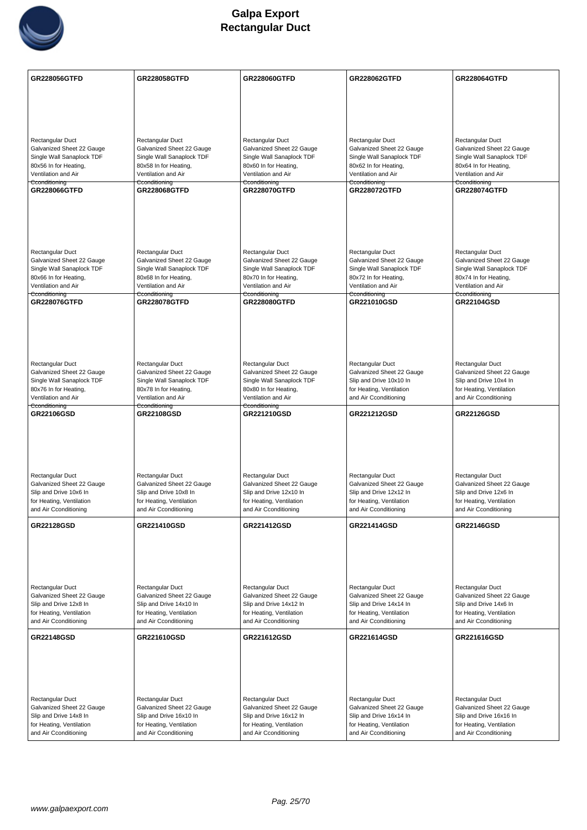

| <b>GR228056GTFD</b>                                    | <b>GR228058GTFD</b>                                    | <b>GR228060GTFD</b>                                    | GR228062GTFD                                         | <b>GR228064GTFD</b>                                 |
|--------------------------------------------------------|--------------------------------------------------------|--------------------------------------------------------|------------------------------------------------------|-----------------------------------------------------|
|                                                        |                                                        |                                                        |                                                      |                                                     |
|                                                        |                                                        |                                                        |                                                      |                                                     |
|                                                        |                                                        |                                                        |                                                      |                                                     |
|                                                        |                                                        |                                                        |                                                      |                                                     |
| Rectangular Duct                                       | Rectangular Duct                                       | Rectangular Duct                                       | Rectangular Duct                                     | Rectangular Duct                                    |
| Galvanized Sheet 22 Gauge                              | Galvanized Sheet 22 Gauge                              | Galvanized Sheet 22 Gauge                              | Galvanized Sheet 22 Gauge                            | Galvanized Sheet 22 Gauge                           |
| Single Wall Sanaplock TDF<br>80x56 In for Heating,     | Single Wall Sanaplock TDF<br>80x58 In for Heating,     | Single Wall Sanaplock TDF<br>80x60 In for Heating,     | Single Wall Sanaplock TDF<br>80x62 In for Heating,   | Single Wall Sanaplock TDF<br>80x64 In for Heating,  |
| Ventilation and Air                                    | Ventilation and Air                                    | Ventilation and Air                                    | Ventilation and Air                                  | Ventilation and Air                                 |
| Cconditioning<br>GR228066GTFD                          | Cconditioning<br>GR228068GTFD                          | Cconditioning<br><b>GR228070GTFD</b>                   | Cconditioning<br>GR228072GTFD                        | Cconditioning<br><b>GR228074GTFD</b>                |
|                                                        |                                                        |                                                        |                                                      |                                                     |
|                                                        |                                                        |                                                        |                                                      |                                                     |
|                                                        |                                                        |                                                        |                                                      |                                                     |
|                                                        |                                                        |                                                        |                                                      |                                                     |
| Rectangular Duct                                       | Rectangular Duct                                       | Rectangular Duct                                       | Rectangular Duct                                     | Rectangular Duct                                    |
| Galvanized Sheet 22 Gauge                              | Galvanized Sheet 22 Gauge                              | Galvanized Sheet 22 Gauge                              | Galvanized Sheet 22 Gauge                            | Galvanized Sheet 22 Gauge                           |
| Single Wall Sanaplock TDF                              | Single Wall Sanaplock TDF                              | Single Wall Sanaplock TDF                              | Single Wall Sanaplock TDF                            | Single Wall Sanaplock TDF                           |
| 80x66 In for Heating,<br>Ventilation and Air           | 80x68 In for Heating,<br>Ventilation and Air           | 80x70 In for Heating,<br>Ventilation and Air           | 80x72 In for Heating,<br>Ventilation and Air         | 80x74 In for Heating,<br>Ventilation and Air        |
| Cconditioning                                          | Cconditioning                                          | Cconditioning                                          | Cconditioning                                        | Cconditioning                                       |
| <b>GR228076GTFD</b>                                    | <b>GR228078GTFD</b>                                    | <b>GR228080GTFD</b>                                    | GR221010GSD                                          | <b>GR22104GSD</b>                                   |
|                                                        |                                                        |                                                        |                                                      |                                                     |
|                                                        |                                                        |                                                        |                                                      |                                                     |
|                                                        |                                                        |                                                        |                                                      |                                                     |
|                                                        |                                                        |                                                        |                                                      |                                                     |
| Rectangular Duct                                       | Rectangular Duct                                       | Rectangular Duct                                       | Rectangular Duct                                     | Rectangular Duct                                    |
| Galvanized Sheet 22 Gauge<br>Single Wall Sanaplock TDF | Galvanized Sheet 22 Gauge<br>Single Wall Sanaplock TDF | Galvanized Sheet 22 Gauge<br>Single Wall Sanaplock TDF | Galvanized Sheet 22 Gauge<br>Slip and Drive 10x10 In | Galvanized Sheet 22 Gauge<br>Slip and Drive 10x4 In |
| 80x76 In for Heating,                                  | 80x78 In for Heating,                                  | 80x80 In for Heating,                                  | for Heating, Ventilation                             | for Heating, Ventilation                            |
| Ventilation and Air                                    | Ventilation and Air                                    | Ventilation and Air                                    | and Air Cconditioning                                | and Air Cconditioning                               |
| Cconditioning                                          | Cconditioning                                          | Cconditioning                                          |                                                      |                                                     |
| <b>GR22106GSD</b>                                      | <b>GR22108GSD</b>                                      | GR221210GSD                                            | GR221212GSD                                          | <b>GR22126GSD</b>                                   |
|                                                        |                                                        |                                                        |                                                      |                                                     |
|                                                        |                                                        |                                                        |                                                      |                                                     |
|                                                        |                                                        |                                                        |                                                      |                                                     |
|                                                        |                                                        |                                                        |                                                      |                                                     |
| Rectangular Duct                                       | Rectangular Duct                                       | Rectangular Duct                                       | Rectangular Duct                                     | Rectangular Duct                                    |
| Galvanized Sheet 22 Gauge                              | Galvanized Sheet 22 Gauge                              | Galvanized Sheet 22 Gauge                              | Galvanized Sheet 22 Gauge                            | Galvanized Sheet 22 Gauge                           |
| Slip and Drive 10x6 In                                 | Slip and Drive 10x8 In                                 | Slip and Drive 12x10 In                                | Slip and Drive 12x12 In                              | Slip and Drive 12x6 In                              |
| for Heating, Ventilation<br>and Air Cconditioning      | for Heating, Ventilation<br>and Air Cconditioning      | for Heating, Ventilation<br>and Air Cconditioning      | for Heating, Ventilation<br>and Air Cconditioning    | for Heating, Ventilation<br>and Air Cconditioning   |
|                                                        |                                                        |                                                        |                                                      |                                                     |
| <b>GR22128GSD</b>                                      | GR221410GSD                                            | GR221412GSD                                            | GR221414GSD                                          | <b>GR22146GSD</b>                                   |
|                                                        |                                                        |                                                        |                                                      |                                                     |
|                                                        |                                                        |                                                        |                                                      |                                                     |
|                                                        |                                                        |                                                        |                                                      |                                                     |
|                                                        |                                                        |                                                        |                                                      |                                                     |
| Rectangular Duct<br>Galvanized Sheet 22 Gauge          | Rectangular Duct                                       | Rectangular Duct<br>Galvanized Sheet 22 Gauge          | Rectangular Duct<br>Galvanized Sheet 22 Gauge        | Rectangular Duct<br>Galvanized Sheet 22 Gauge       |
| Slip and Drive 12x8 In                                 | Galvanized Sheet 22 Gauge<br>Slip and Drive 14x10 In   | Slip and Drive 14x12 In                                | Slip and Drive 14x14 In                              | Slip and Drive 14x6 In                              |
| for Heating, Ventilation                               | for Heating, Ventilation                               | for Heating, Ventilation                               | for Heating, Ventilation                             | for Heating, Ventilation                            |
| and Air Cconditioning                                  | and Air Cconditioning                                  | and Air Cconditioning                                  | and Air Cconditioning                                | and Air Cconditioning                               |
| <b>GR22148GSD</b>                                      | GR221610GSD                                            | GR221612GSD                                            | GR221614GSD                                          | GR221616GSD                                         |
|                                                        |                                                        |                                                        |                                                      |                                                     |
|                                                        |                                                        |                                                        |                                                      |                                                     |
|                                                        |                                                        |                                                        |                                                      |                                                     |
|                                                        |                                                        |                                                        |                                                      |                                                     |
| Rectangular Duct                                       | Rectangular Duct                                       | Rectangular Duct                                       | Rectangular Duct                                     | Rectangular Duct                                    |
| Galvanized Sheet 22 Gauge                              | Galvanized Sheet 22 Gauge                              | Galvanized Sheet 22 Gauge                              | Galvanized Sheet 22 Gauge                            | Galvanized Sheet 22 Gauge                           |
| Slip and Drive 14x8 In<br>for Heating, Ventilation     | Slip and Drive 16x10 In<br>for Heating, Ventilation    | Slip and Drive 16x12 In<br>for Heating, Ventilation    | Slip and Drive 16x14 In<br>for Heating, Ventilation  | Slip and Drive 16x16 In<br>for Heating, Ventilation |
| and Air Cconditioning                                  | and Air Cconditioning                                  | and Air Cconditioning                                  | and Air Cconditioning                                | and Air Cconditioning                               |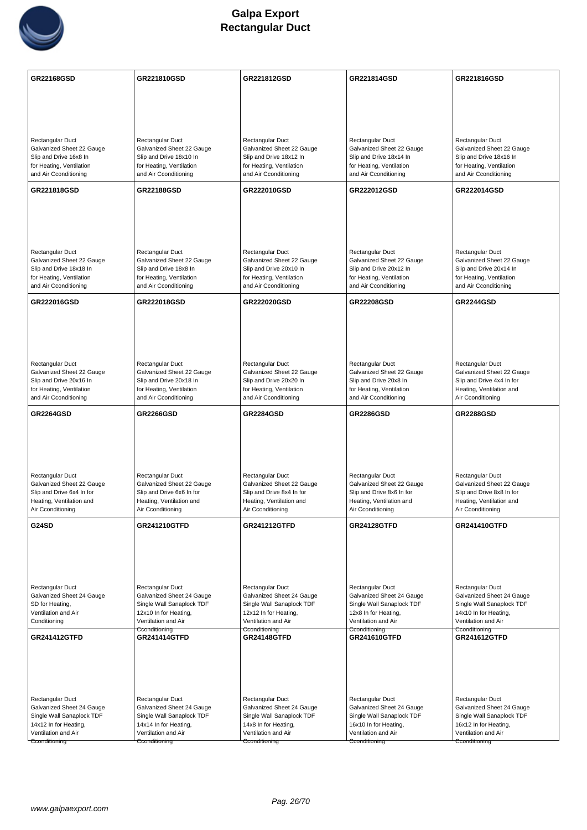

| <b>GR22168GSD</b>                                      | GR221810GSD                                            | GR221812GSD                                            | GR221814GSD                                            | GR221816GSD                                            |
|--------------------------------------------------------|--------------------------------------------------------|--------------------------------------------------------|--------------------------------------------------------|--------------------------------------------------------|
|                                                        |                                                        |                                                        |                                                        |                                                        |
|                                                        |                                                        |                                                        |                                                        |                                                        |
|                                                        |                                                        |                                                        |                                                        |                                                        |
| Rectangular Duct<br>Galvanized Sheet 22 Gauge          | Rectangular Duct<br>Galvanized Sheet 22 Gauge          | Rectangular Duct<br>Galvanized Sheet 22 Gauge          | Rectangular Duct<br>Galvanized Sheet 22 Gauge          | Rectangular Duct<br>Galvanized Sheet 22 Gauge          |
| Slip and Drive 16x8 In                                 | Slip and Drive 18x10 In                                | Slip and Drive 18x12 In                                | Slip and Drive 18x14 In                                | Slip and Drive 18x16 In                                |
| for Heating, Ventilation<br>and Air Cconditioning      | for Heating, Ventilation<br>and Air Cconditioning      | for Heating, Ventilation<br>and Air Cconditioning      | for Heating, Ventilation<br>and Air Cconditioning      | for Heating, Ventilation<br>and Air Cconditioning      |
| GR221818GSD                                            | <b>GR22188GSD</b>                                      | GR222010GSD                                            | GR222012GSD                                            | GR222014GSD                                            |
|                                                        |                                                        |                                                        |                                                        |                                                        |
|                                                        |                                                        |                                                        |                                                        |                                                        |
|                                                        |                                                        |                                                        |                                                        |                                                        |
| Rectangular Duct                                       | Rectangular Duct                                       | Rectangular Duct                                       | Rectangular Duct                                       | Rectangular Duct                                       |
| Galvanized Sheet 22 Gauge<br>Slip and Drive 18x18 In   | Galvanized Sheet 22 Gauge<br>Slip and Drive 18x8 In    | Galvanized Sheet 22 Gauge<br>Slip and Drive 20x10 In   | Galvanized Sheet 22 Gauge<br>Slip and Drive 20x12 In   | Galvanized Sheet 22 Gauge<br>Slip and Drive 20x14 In   |
| for Heating, Ventilation<br>and Air Cconditioning      | for Heating, Ventilation<br>and Air Cconditioning      | for Heating, Ventilation<br>and Air Cconditioning      | for Heating, Ventilation<br>and Air Cconditioning      | for Heating, Ventilation<br>and Air Cconditioning      |
| GR222016GSD                                            | GR222018GSD                                            | GR222020GSD                                            | <b>GR22208GSD</b>                                      | <b>GR2244GSD</b>                                       |
|                                                        |                                                        |                                                        |                                                        |                                                        |
|                                                        |                                                        |                                                        |                                                        |                                                        |
|                                                        |                                                        |                                                        |                                                        |                                                        |
| Rectangular Duct                                       | Rectangular Duct                                       | Rectangular Duct                                       | Rectangular Duct                                       | Rectangular Duct                                       |
| Galvanized Sheet 22 Gauge<br>Slip and Drive 20x16 In   | Galvanized Sheet 22 Gauge<br>Slip and Drive 20x18 In   | Galvanized Sheet 22 Gauge<br>Slip and Drive 20x20 In   | Galvanized Sheet 22 Gauge<br>Slip and Drive 20x8 In    | Galvanized Sheet 22 Gauge<br>Slip and Drive 4x4 In for |
| for Heating, Ventilation<br>and Air Cconditioning      | for Heating, Ventilation<br>and Air Cconditioning      | for Heating, Ventilation<br>and Air Cconditioning      | for Heating, Ventilation<br>and Air Cconditioning      | Heating, Ventilation and<br>Air Cconditioning          |
| <b>GR2264GSD</b>                                       | <b>GR2266GSD</b>                                       | <b>GR2284GSD</b>                                       | <b>GR2286GSD</b>                                       | <b>GR2288GSD</b>                                       |
|                                                        |                                                        |                                                        |                                                        |                                                        |
|                                                        |                                                        |                                                        |                                                        |                                                        |
|                                                        |                                                        |                                                        |                                                        |                                                        |
| Rectangular Duct                                       | Rectangular Duct                                       | Rectangular Duct                                       | Rectangular Duct                                       | Rectangular Duct                                       |
| Galvanized Sheet 22 Gauge<br>Slip and Drive 6x4 In for | Galvanized Sheet 22 Gauge<br>Slip and Drive 6x6 In for | Galvanized Sheet 22 Gauge<br>Slip and Drive 8x4 In for | Galvanized Sheet 22 Gauge<br>Slip and Drive 8x6 In for | Galvanized Sheet 22 Gauge<br>Slip and Drive 8x8 In for |
| Heating, Ventilation and<br>Air Cconditioning          | Heating, Ventilation and<br>Air Cconditioning          | Heating, Ventilation and<br>Air Cconditioning          | Heating, Ventilation and<br>Air Cconditioning          | Heating, Ventilation and<br>Air Cconditioning          |
| G24SD                                                  | <b>GR241210GTFD</b>                                    | <b>GR241212GTFD</b>                                    | <b>GR24128GTFD</b>                                     | <b>GR241410GTFD</b>                                    |
|                                                        |                                                        |                                                        |                                                        |                                                        |
|                                                        |                                                        |                                                        |                                                        |                                                        |
|                                                        |                                                        |                                                        |                                                        |                                                        |
| Rectangular Duct<br>Galvanized Sheet 24 Gauge          | Rectangular Duct                                       | Rectangular Duct                                       | Rectangular Duct                                       | Rectangular Duct<br>Galvanized Sheet 24 Gauge          |
| SD for Heating,                                        | Galvanized Sheet 24 Gauge<br>Single Wall Sanaplock TDF | Galvanized Sheet 24 Gauge<br>Single Wall Sanaplock TDF | Galvanized Sheet 24 Gauge<br>Single Wall Sanaplock TDF | Single Wall Sanaplock TDF                              |
| Ventilation and Air<br>Conditioning                    | 12x10 In for Heating,                                  | 12x12 In for Heating,                                  | 12x8 In for Heating,                                   | 14x10 In for Heating,                                  |
|                                                        | Ventilation and Air                                    | Ventilation and Air                                    | Ventilation and Air                                    | Ventilation and Air                                    |
| <b>GR241412GTFD</b>                                    | Cconditioning<br><b>GR241414GTFD</b>                   | Cconditioning<br><b>GR24148GTFD</b>                    | Cconditioning<br><b>GR241610GTFD</b>                   | Cconditioning<br><b>GR241612GTFD</b>                   |
|                                                        |                                                        |                                                        |                                                        |                                                        |
|                                                        |                                                        |                                                        |                                                        |                                                        |
|                                                        |                                                        |                                                        |                                                        |                                                        |
| Rectangular Duct                                       | Rectangular Duct                                       | Rectangular Duct                                       | Rectangular Duct                                       | Rectangular Duct                                       |
| Galvanized Sheet 24 Gauge<br>Single Wall Sanaplock TDF | Galvanized Sheet 24 Gauge<br>Single Wall Sanaplock TDF | Galvanized Sheet 24 Gauge<br>Single Wall Sanaplock TDF | Galvanized Sheet 24 Gauge<br>Single Wall Sanaplock TDF | Galvanized Sheet 24 Gauge<br>Single Wall Sanaplock TDF |
| 14x12 In for Heating,<br>Ventilation and Air           | 14x14 In for Heating,<br>Ventilation and Air           | 14x8 In for Heating,<br>Ventilation and Air            | 16x10 In for Heating,<br>Ventilation and Air           | 16x12 In for Heating,<br>Ventilation and Air           |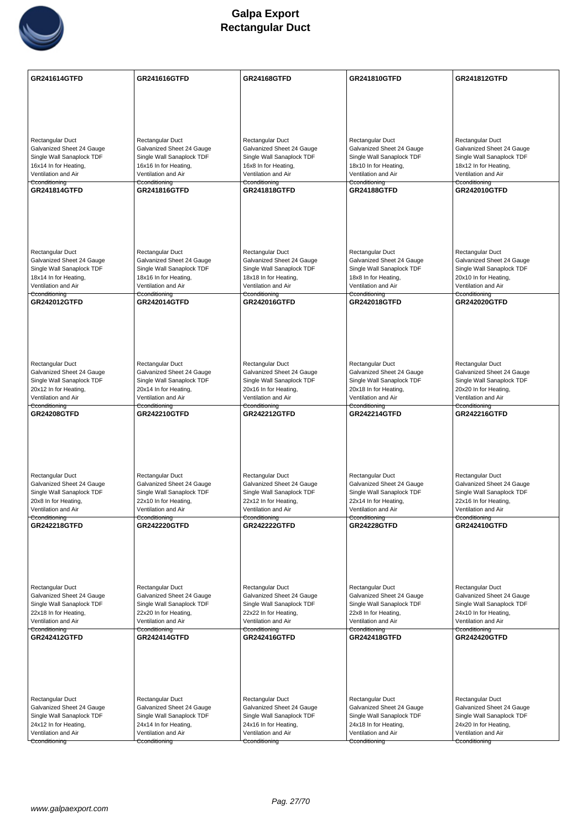

| GR241614GTFD                                           | <b>GR241616GTFD</b>                                    | <b>GR24168GTFD</b>                                     | <b>GR241810GTFD</b>                                    | <b>GR241812GTFD</b>                                    |
|--------------------------------------------------------|--------------------------------------------------------|--------------------------------------------------------|--------------------------------------------------------|--------------------------------------------------------|
|                                                        |                                                        |                                                        |                                                        |                                                        |
|                                                        |                                                        |                                                        |                                                        |                                                        |
|                                                        |                                                        |                                                        |                                                        |                                                        |
| Rectangular Duct                                       | Rectangular Duct                                       | Rectangular Duct                                       | Rectangular Duct                                       | Rectangular Duct                                       |
| Galvanized Sheet 24 Gauge                              | Galvanized Sheet 24 Gauge                              | Galvanized Sheet 24 Gauge                              | Galvanized Sheet 24 Gauge                              | Galvanized Sheet 24 Gauge                              |
| Single Wall Sanaplock TDF<br>16x14 In for Heating,     | Single Wall Sanaplock TDF<br>16x16 In for Heating,     | Single Wall Sanaplock TDF<br>16x8 In for Heating,      | Single Wall Sanaplock TDF<br>18x10 In for Heating,     | Single Wall Sanaplock TDF<br>18x12 In for Heating,     |
| Ventilation and Air                                    | Ventilation and Air                                    | Ventilation and Air                                    | Ventilation and Air                                    | Ventilation and Air                                    |
| Cconditioning<br><b>GR241814GTFD</b>                   | Cconditioning<br><b>GR241816GTFD</b>                   | Cconditioning<br>GR241818GTFD                          | Cconditioning<br><b>GR24188GTFD</b>                    | Cconditioning<br>GR242010GTFD                          |
|                                                        |                                                        |                                                        |                                                        |                                                        |
|                                                        |                                                        |                                                        |                                                        |                                                        |
|                                                        |                                                        |                                                        |                                                        |                                                        |
|                                                        |                                                        |                                                        |                                                        |                                                        |
| Rectangular Duct<br>Galvanized Sheet 24 Gauge          | Rectangular Duct<br>Galvanized Sheet 24 Gauge          | Rectangular Duct<br>Galvanized Sheet 24 Gauge          | Rectangular Duct<br>Galvanized Sheet 24 Gauge          | Rectangular Duct<br>Galvanized Sheet 24 Gauge          |
| Single Wall Sanaplock TDF                              | Single Wall Sanaplock TDF                              | Single Wall Sanaplock TDF                              | Single Wall Sanaplock TDF                              | Single Wall Sanaplock TDF                              |
| 18x14 In for Heating,<br>Ventilation and Air           | 18x16 In for Heating,<br>Ventilation and Air           | 18x18 In for Heating,<br>Ventilation and Air           | 18x8 In for Heating,<br>Ventilation and Air            | 20x10 In for Heating,<br>Ventilation and Air           |
| Cconditioning                                          | Cconditioning                                          | Cconditioning                                          | Cconditioning                                          | Cconditioning                                          |
| <b>GR242012GTFD</b>                                    | <b>GR242014GTFD</b>                                    | GR242016GTFD                                           | <b>GR242018GTFD</b>                                    | <b>GR242020GTFD</b>                                    |
|                                                        |                                                        |                                                        |                                                        |                                                        |
|                                                        |                                                        |                                                        |                                                        |                                                        |
|                                                        |                                                        |                                                        |                                                        |                                                        |
| Rectangular Duct                                       | Rectangular Duct                                       | Rectangular Duct                                       | Rectangular Duct                                       | Rectangular Duct                                       |
| Galvanized Sheet 24 Gauge<br>Single Wall Sanaplock TDF | Galvanized Sheet 24 Gauge<br>Single Wall Sanaplock TDF | Galvanized Sheet 24 Gauge<br>Single Wall Sanaplock TDF | Galvanized Sheet 24 Gauge<br>Single Wall Sanaplock TDF | Galvanized Sheet 24 Gauge<br>Single Wall Sanaplock TDF |
| 20x12 In for Heating,                                  | 20x14 In for Heating,                                  | 20x16 In for Heating,                                  | 20x18 In for Heating,                                  | 20x20 In for Heating,                                  |
| Ventilation and Air<br>Cconditioning                   | Ventilation and Air<br>Cconditioning                   | Ventilation and Air<br>Cconditioning                   | Ventilation and Air<br>Cconditioning                   | Ventilation and Air<br>Cconditioning                   |
| <b>GR24208GTFD</b>                                     | <b>GR242210GTFD</b>                                    | <b>GR242212GTFD</b>                                    | <b>GR242214GTFD</b>                                    | <b>GR242216GTFD</b>                                    |
|                                                        |                                                        |                                                        |                                                        |                                                        |
|                                                        |                                                        |                                                        |                                                        |                                                        |
|                                                        |                                                        |                                                        |                                                        |                                                        |
| Rectangular Duct                                       | Rectangular Duct                                       | Rectangular Duct                                       | Rectangular Duct                                       | Rectangular Duct                                       |
| Galvanized Sheet 24 Gauge                              | Galvanized Sheet 24 Gauge                              | Galvanized Sheet 24 Gauge                              | Galvanized Sheet 24 Gauge                              | Galvanized Sheet 24 Gauge                              |
| Single Wall Sanaplock TDF<br>20x8 In for Heating,      | Single Wall Sanaplock TDF<br>22x10 In for Heating,     | Single Wall Sanaplock TDF<br>22x12 In for Heating,     | Single Wall Sanaplock TDF<br>22x14 In for Heating,     | Single Wall Sanaplock TDF<br>22x16 In for Heating,     |
| Ventilation and Air                                    | Ventilation and Air                                    | Ventilation and Air                                    | Ventilation and Air                                    | Ventilation and Air                                    |
| Cconditioning<br><b>GR242218GTFD</b>                   | Cconditioning<br><b>GR242220GTFD</b>                   | Cconditioning<br><b>GR242222GTFD</b>                   | Cconditioning<br><b>GR24228GTFD</b>                    | Cconditioning<br>GR242410GTFD                          |
|                                                        |                                                        |                                                        |                                                        |                                                        |
|                                                        |                                                        |                                                        |                                                        |                                                        |
|                                                        |                                                        |                                                        |                                                        |                                                        |
|                                                        |                                                        |                                                        |                                                        |                                                        |
| Rectangular Duct<br>Galvanized Sheet 24 Gauge          | Rectangular Duct<br>Galvanized Sheet 24 Gauge          | Rectangular Duct<br>Galvanized Sheet 24 Gauge          | Rectangular Duct<br>Galvanized Sheet 24 Gauge          | Rectangular Duct<br>Galvanized Sheet 24 Gauge          |
| Single Wall Sanaplock TDF                              | Single Wall Sanaplock TDF                              | Single Wall Sanaplock TDF                              | Single Wall Sanaplock TDF                              | Single Wall Sanaplock TDF                              |
| 22x18 In for Heating,<br>Ventilation and Air           | 22x20 In for Heating,<br>Ventilation and Air           | 22x22 In for Heating,<br>Ventilation and Air           | 22x8 In for Heating,<br>Ventilation and Air            | 24x10 In for Heating,<br>Ventilation and Air           |
| Cconditioning<br><b>GR242412GTFD</b>                   | Cconditioning<br><b>GR242414GTFD</b>                   | Cconditioning<br>GR242416GTFD                          | Cconditioning<br><b>GR242418GTFD</b>                   | Cconditioning<br><b>GR242420GTFD</b>                   |
|                                                        |                                                        |                                                        |                                                        |                                                        |
|                                                        |                                                        |                                                        |                                                        |                                                        |
|                                                        |                                                        |                                                        |                                                        |                                                        |
|                                                        |                                                        |                                                        |                                                        |                                                        |
| Rectangular Duct                                       | Rectangular Duct                                       | Rectangular Duct                                       | Rectangular Duct                                       | Rectangular Duct                                       |
| Galvanized Sheet 24 Gauge<br>Single Wall Sanaplock TDF | Galvanized Sheet 24 Gauge<br>Single Wall Sanaplock TDF | Galvanized Sheet 24 Gauge<br>Single Wall Sanaplock TDF | Galvanized Sheet 24 Gauge<br>Single Wall Sanaplock TDF | Galvanized Sheet 24 Gauge<br>Single Wall Sanaplock TDF |
| 24x12 In for Heating,                                  | 24x14 In for Heating,                                  | 24x16 In for Heating,                                  | 24x18 In for Heating,                                  | 24x20 In for Heating,                                  |
| Ventilation and Air<br>Cconditioning                   | Ventilation and Air<br>Cconditioning                   | Ventilation and Air<br>Cconditioning                   | Ventilation and Air<br>Cconditioning                   | Ventilation and Air<br>Cconditioning                   |
|                                                        |                                                        |                                                        |                                                        |                                                        |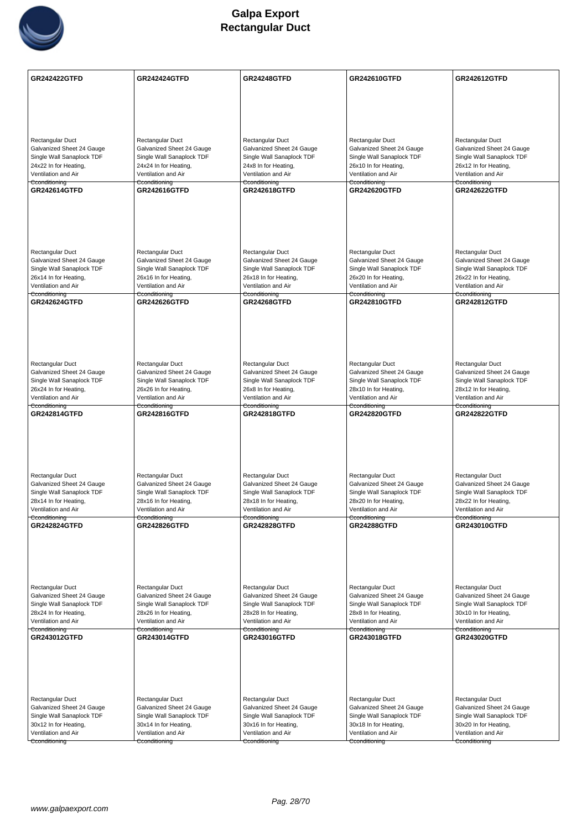

| <b>GR242422GTFD</b>                                    | <b>GR242424GTFD</b>                                    | <b>GR24248GTFD</b>                                     | GR242610GTFD                                           | <b>GR242612GTFD</b>                                    |
|--------------------------------------------------------|--------------------------------------------------------|--------------------------------------------------------|--------------------------------------------------------|--------------------------------------------------------|
|                                                        |                                                        |                                                        |                                                        |                                                        |
|                                                        |                                                        |                                                        |                                                        |                                                        |
|                                                        |                                                        |                                                        |                                                        |                                                        |
| Rectangular Duct                                       | Rectangular Duct                                       | Rectangular Duct                                       | Rectangular Duct                                       | Rectangular Duct                                       |
| Galvanized Sheet 24 Gauge<br>Single Wall Sanaplock TDF | Galvanized Sheet 24 Gauge<br>Single Wall Sanaplock TDF | Galvanized Sheet 24 Gauge<br>Single Wall Sanaplock TDF | Galvanized Sheet 24 Gauge<br>Single Wall Sanaplock TDF | Galvanized Sheet 24 Gauge<br>Single Wall Sanaplock TDF |
| 24x22 In for Heating,                                  | 24x24 In for Heating,                                  | 24x8 In for Heating,                                   | 26x10 In for Heating,                                  | 26x12 In for Heating,                                  |
| Ventilation and Air                                    | Ventilation and Air                                    | Ventilation and Air                                    | Ventilation and Air                                    | Ventilation and Air                                    |
| Cconditioning<br><b>GR242614GTFD</b>                   | Cconditioning<br><b>GR242616GTFD</b>                   | Cconditioning<br><b>GR242618GTFD</b>                   | Cconditioning<br><b>GR242620GTFD</b>                   | Cconditioning<br><b>GR242622GTFD</b>                   |
|                                                        |                                                        |                                                        |                                                        |                                                        |
|                                                        |                                                        |                                                        |                                                        |                                                        |
|                                                        |                                                        |                                                        |                                                        |                                                        |
|                                                        |                                                        |                                                        |                                                        |                                                        |
| Rectangular Duct                                       | Rectangular Duct                                       | Rectangular Duct                                       | Rectangular Duct                                       | Rectangular Duct                                       |
| Galvanized Sheet 24 Gauge<br>Single Wall Sanaplock TDF | Galvanized Sheet 24 Gauge<br>Single Wall Sanaplock TDF | Galvanized Sheet 24 Gauge<br>Single Wall Sanaplock TDF | Galvanized Sheet 24 Gauge<br>Single Wall Sanaplock TDF | Galvanized Sheet 24 Gauge<br>Single Wall Sanaplock TDF |
| 26x14 In for Heating,                                  | 26x16 In for Heating,                                  | 26x18 In for Heating,                                  | 26x20 In for Heating,                                  | 26x22 In for Heating,                                  |
| Ventilation and Air<br>Cconditioning                   | Ventilation and Air                                    | Ventilation and Air                                    | Ventilation and Air                                    | Ventilation and Air                                    |
| <b>GR242624GTFD</b>                                    | Cconditioning<br><b>GR242626GTFD</b>                   | Cconditioning<br><b>GR24268GTFD</b>                    | Cconditioning<br><b>GR242810GTFD</b>                   | Cconditioning<br><b>GR242812GTFD</b>                   |
|                                                        |                                                        |                                                        |                                                        |                                                        |
|                                                        |                                                        |                                                        |                                                        |                                                        |
|                                                        |                                                        |                                                        |                                                        |                                                        |
|                                                        |                                                        |                                                        |                                                        |                                                        |
| Rectangular Duct<br>Galvanized Sheet 24 Gauge          | Rectangular Duct<br>Galvanized Sheet 24 Gauge          | Rectangular Duct<br>Galvanized Sheet 24 Gauge          | Rectangular Duct<br>Galvanized Sheet 24 Gauge          | Rectangular Duct<br>Galvanized Sheet 24 Gauge          |
| Single Wall Sanaplock TDF                              | Single Wall Sanaplock TDF                              | Single Wall Sanaplock TDF                              | Single Wall Sanaplock TDF                              | Single Wall Sanaplock TDF                              |
| 26x24 In for Heating,                                  | 26x26 In for Heating,                                  | 26x8 In for Heating,                                   | 28x10 In for Heating,                                  | 28x12 In for Heating,                                  |
| Ventilation and Air<br>Cconditioning                   | Ventilation and Air<br>Cconditioning                   | Ventilation and Air<br>Cconditioning                   | Ventilation and Air<br>Cconditioning                   | Ventilation and Air<br>Cconditioning                   |
| <b>GR242814GTFD</b>                                    | <b>GR242816GTFD</b>                                    | <b>GR242818GTFD</b>                                    | <b>GR242820GTFD</b>                                    | <b>GR242822GTFD</b>                                    |
|                                                        |                                                        |                                                        |                                                        |                                                        |
|                                                        |                                                        |                                                        |                                                        |                                                        |
|                                                        |                                                        |                                                        |                                                        |                                                        |
| <b>Rectangular Duct</b>                                | Rectangular Duct                                       | Rectangular Duct                                       | Rectangular Duct                                       | Rectangular Duct                                       |
| Galvanized Sheet 24 Gauge                              | Galvanized Sheet 24 Gauge                              | Galvanized Sheet 24 Gauge                              | Galvanized Sheet 24 Gauge                              | Galvanized Sheet 24 Gauge                              |
| Single Wall Sanaplock TDF                              | Single Wall Sanaplock TDF                              | Single Wall Sanaplock TDF                              | Single Wall Sanaplock TDF                              | Single Wall Sanaplock TDF                              |
| 28x14 In for Heating,<br>Ventilation and Air           | 28x16 In for Heating,<br>Ventilation and Air           | 28x18 In for Heating,<br>Ventilation and Air           | 28x20 In for Heating,<br>Ventilation and Air           | 28x22 In for Heating,<br>Ventilation and Air           |
| Cconditioning                                          | Cconditioning                                          | Cconditioning                                          | Cconditioning                                          | Cconditioning                                          |
| <b>GR242824GTFD</b>                                    | <b>GR242826GTFD</b>                                    | <b>GR242828GTFD</b>                                    | <b>GR24288GTFD</b>                                     | <b>GR243010GTFD</b>                                    |
|                                                        |                                                        |                                                        |                                                        |                                                        |
|                                                        |                                                        |                                                        |                                                        |                                                        |
|                                                        |                                                        |                                                        |                                                        |                                                        |
| Rectangular Duct                                       | Rectangular Duct                                       | Rectangular Duct                                       | Rectangular Duct                                       | Rectangular Duct                                       |
| Galvanized Sheet 24 Gauge                              | Galvanized Sheet 24 Gauge                              | Galvanized Sheet 24 Gauge                              | Galvanized Sheet 24 Gauge                              | Galvanized Sheet 24 Gauge                              |
| Single Wall Sanaplock TDF<br>28x24 In for Heating,     | Single Wall Sanaplock TDF<br>28x26 In for Heating,     | Single Wall Sanaplock TDF<br>28x28 In for Heating,     | Single Wall Sanaplock TDF<br>28x8 In for Heating,      | Single Wall Sanaplock TDF<br>30x10 In for Heating,     |
| Ventilation and Air                                    | Ventilation and Air                                    | Ventilation and Air                                    | Ventilation and Air                                    | Ventilation and Air                                    |
| Cconditioning<br>GR243012GTFD                          | Cconditioning<br><b>GR243014GTFD</b>                   | Cconditioning<br>GR243016GTFD                          | Cconditioning<br>GR243018GTFD                          | Cconditioning<br>GR243020GTFD                          |
|                                                        |                                                        |                                                        |                                                        |                                                        |
|                                                        |                                                        |                                                        |                                                        |                                                        |
|                                                        |                                                        |                                                        |                                                        |                                                        |
|                                                        |                                                        |                                                        |                                                        |                                                        |
| Rectangular Duct                                       | Rectangular Duct                                       | Rectangular Duct                                       | Rectangular Duct                                       | Rectangular Duct                                       |
| Galvanized Sheet 24 Gauge<br>Single Wall Sanaplock TDF | Galvanized Sheet 24 Gauge<br>Single Wall Sanaplock TDF | Galvanized Sheet 24 Gauge<br>Single Wall Sanaplock TDF | Galvanized Sheet 24 Gauge<br>Single Wall Sanaplock TDF | Galvanized Sheet 24 Gauge<br>Single Wall Sanaplock TDF |
| 30x12 In for Heating,                                  | 30x14 In for Heating,                                  | 30x16 In for Heating,                                  | 30x18 In for Heating,                                  | 30x20 In for Heating,                                  |
| Ventilation and Air                                    | Ventilation and Air                                    | Ventilation and Air                                    | Ventilation and Air                                    | Ventilation and Air                                    |
| Cconditioning                                          | Cconditioning                                          | Cconditioning                                          | Cconditioning                                          | Cconditioning                                          |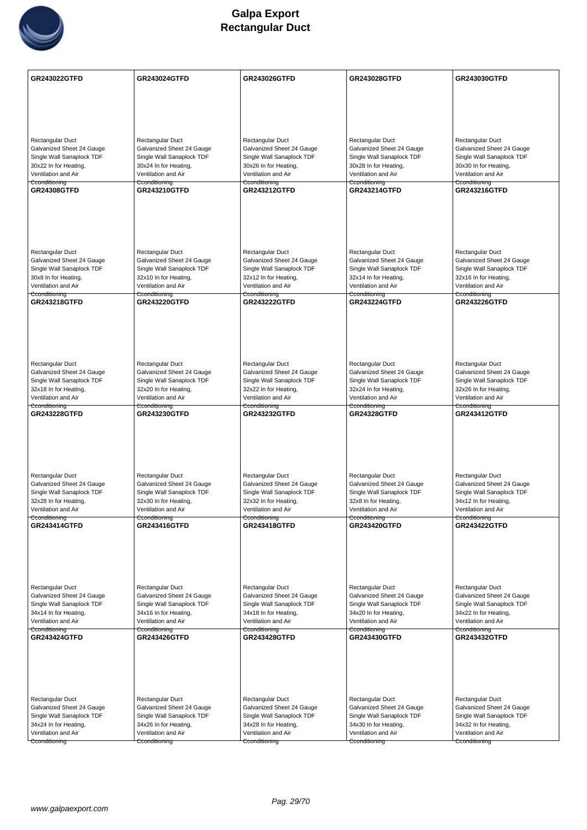

| Rectangular Duct<br>Rectangular Duct<br>Rectangular Duct<br>Rectangular Duct<br>Rectangular Duct<br>Galvanized Sheet 24 Gauge<br>Galvanized Sheet 24 Gauge<br>Galvanized Sheet 24 Gauge<br>Galvanized Sheet 24 Gauge<br>Galvanized Sheet 24 Gauge<br>Single Wall Sanaplock TDF<br>Single Wall Sanaplock TDF<br>Single Wall Sanaplock TDF<br>Single Wall Sanaplock TDF<br>Single Wall Sanaplock TDF<br>30x22 In for Heating,<br>30x24 In for Heating,<br>30x26 In for Heating,<br>30x28 In for Heating,<br>30x30 In for Heating,<br>Ventilation and Air<br>Ventilation and Air<br>Ventilation and Air<br>Ventilation and Air<br>Ventilation and Air<br>Cconditioning<br>Cconditioning<br>Cconditioning<br>Cconditioning<br>Cconditioning<br><b>GR24308GTFD</b><br>GR243216GTFD<br><b>GR243210GTFD</b><br><b>GR243212GTFD</b><br><b>GR243214GTFD</b><br>Rectangular Duct<br>Rectangular Duct<br>Rectangular Duct<br>Rectangular Duct<br>Rectangular Duct<br>Galvanized Sheet 24 Gauge<br>Galvanized Sheet 24 Gauge<br>Galvanized Sheet 24 Gauge<br>Galvanized Sheet 24 Gauge<br>Galvanized Sheet 24 Gauge<br>Single Wall Sanaplock TDF<br>Single Wall Sanaplock TDF<br>Single Wall Sanaplock TDF<br>Single Wall Sanaplock TDF<br>Single Wall Sanaplock TDF<br>30x8 In for Heating,<br>32x10 In for Heating,<br>32x12 In for Heating,<br>32x14 In for Heating,<br>32x16 In for Heating,<br>Ventilation and Air<br>Ventilation and Air<br>Ventilation and Air<br>Ventilation and Air<br>Ventilation and Air<br>Cconditioning<br>Cconditioning<br>Cconditioning<br>Cconditioning<br>Cconditioning<br><b>GR243218GTFD</b><br><b>GR243220GTFD</b><br><b>GR243222GTFD</b><br><b>GR243224GTFD</b><br><b>GR243226GTFD</b><br>Rectangular Duct<br>Rectangular Duct<br>Rectangular Duct<br>Rectangular Duct<br>Rectangular Duct<br>Galvanized Sheet 24 Gauge<br>Galvanized Sheet 24 Gauge<br>Galvanized Sheet 24 Gauge<br>Galvanized Sheet 24 Gauge<br>Galvanized Sheet 24 Gauge<br>Single Wall Sanaplock TDF<br>Single Wall Sanaplock TDF<br>Single Wall Sanaplock TDF<br>Single Wall Sanaplock TDF<br>Single Wall Sanaplock TDF<br>32x18 In for Heating,<br>32x20 In for Heating,<br>32x22 In for Heating,<br>32x24 In for Heating,<br>32x26 In for Heating,<br>Ventilation and Air<br>Ventilation and Air<br>Ventilation and Air<br>Ventilation and Air<br>Ventilation and Air<br>Cconditioning<br>Cconditioning<br>Cconditioning<br>Cconditioning<br>Cconditioning<br>GR243228GTFD<br><b>GR243230GTFD</b><br><b>GR243232GTFD</b><br><b>GR24328GTFD</b><br><b>GR243412GTFD</b><br>Rectangular Duct<br>Rectangular Duct<br>Rectangular Duct<br>Rectangular Duct<br>Rectangular Duct<br>Galvanized Sheet 24 Gauge<br>Galvanized Sheet 24 Gauge<br>Galvanized Sheet 24 Gauge<br>Galvanized Sheet 24 Gauge<br>Galvanized Sheet 24 Gauge<br>Single Wall Sanaplock TDF<br>Single Wall Sanaplock TDF<br>Single Wall Sanaplock TDF<br>Single Wall Sanaplock TDF<br>Single Wall Sanaplock TDF<br>32x28 In for Heating,<br>32x30 In for Heating,<br>32x32 In for Heating,<br>32x8 In for Heating,<br>34x12 In for Heating,<br>Ventilation and Air<br>Ventilation and Air<br>Ventilation and Air<br>Ventilation and Air<br>Ventilation and Air<br>Cconditioning<br>Cconditioning<br>Cconditioning<br>Cconditioning<br>Cconditioning<br><b>GR243414GTFD</b><br><b>GR243420GTFD</b><br><b>GR243422GTFD</b><br><b>GR243416GTFD</b><br><b>GR243418GTFD</b><br>Rectangular Duct<br>Rectangular Duct<br>Rectangular Duct<br>Rectangular Duct<br>Rectangular Duct<br>Galvanized Sheet 24 Gauge<br>Galvanized Sheet 24 Gauge<br>Galvanized Sheet 24 Gauge<br>Galvanized Sheet 24 Gauge<br>Galvanized Sheet 24 Gauge<br>Single Wall Sanaplock TDF<br>Single Wall Sanaplock TDF<br>Single Wall Sanaplock TDF<br>Single Wall Sanaplock TDF<br>Single Wall Sanaplock TDF<br>34x14 In for Heating,<br>34x16 In for Heating,<br>34x18 In for Heating,<br>34x20 In for Heating,<br>34x22 In for Heating,<br>Ventilation and Air<br>Ventilation and Air<br>Ventilation and Air<br>Ventilation and Air<br>Ventilation and Air<br>Cconditioning<br>Cconditioning<br>Cconditioning<br>Cconditioning<br>Cconditioning<br><b>GR243424GTFD</b><br><b>GR243426GTFD</b><br><b>GR243428GTFD</b><br>GR243430GTFD<br><b>GR243432GTFD</b><br>Rectangular Duct<br>Rectangular Duct<br>Rectangular Duct<br>Rectangular Duct<br>Rectangular Duct<br>Galvanized Sheet 24 Gauge<br>Galvanized Sheet 24 Gauge<br>Galvanized Sheet 24 Gauge<br>Galvanized Sheet 24 Gauge<br>Galvanized Sheet 24 Gauge<br>Single Wall Sanaplock TDF<br>Single Wall Sanaplock TDF<br>Single Wall Sanaplock TDF<br>Single Wall Sanaplock TDF<br>Single Wall Sanaplock TDF<br>34x24 In for Heating,<br>34x26 In for Heating,<br>34x28 In for Heating,<br>34x30 In for Heating,<br>34x32 In for Heating,<br>Ventilation and Air<br>Ventilation and Air<br>Ventilation and Air<br>Ventilation and Air<br>Ventilation and Air<br>Cconditioning<br>Cconditioning<br>Cconditioning<br>Cconditioning<br>Cconditioning | <b>GR243022GTFD</b> | GR243024GTFD | GR243026GTFD | GR243028GTFD | GR243030GTFD |
|--------------------------------------------------------------------------------------------------------------------------------------------------------------------------------------------------------------------------------------------------------------------------------------------------------------------------------------------------------------------------------------------------------------------------------------------------------------------------------------------------------------------------------------------------------------------------------------------------------------------------------------------------------------------------------------------------------------------------------------------------------------------------------------------------------------------------------------------------------------------------------------------------------------------------------------------------------------------------------------------------------------------------------------------------------------------------------------------------------------------------------------------------------------------------------------------------------------------------------------------------------------------------------------------------------------------------------------------------------------------------------------------------------------------------------------------------------------------------------------------------------------------------------------------------------------------------------------------------------------------------------------------------------------------------------------------------------------------------------------------------------------------------------------------------------------------------------------------------------------------------------------------------------------------------------------------------------------------------------------------------------------------------------------------------------------------------------------------------------------------------------------------------------------------------------------------------------------------------------------------------------------------------------------------------------------------------------------------------------------------------------------------------------------------------------------------------------------------------------------------------------------------------------------------------------------------------------------------------------------------------------------------------------------------------------------------------------------------------------------------------------------------------------------------------------------------------------------------------------------------------------------------------------------------------------------------------------------------------------------------------------------------------------------------------------------------------------------------------------------------------------------------------------------------------------------------------------------------------------------------------------------------------------------------------------------------------------------------------------------------------------------------------------------------------------------------------------------------------------------------------------------------------------------------------------------------------------------------------------------------------------------------------------------------------------------------------------------------------------------------------------------------------------------------------------------------------------------------------------------------------------------------------------------------------------------------------------------------------------------------------------------------------------------------------------------------------------------------------------------------------------------------------------------------------------------------------------------------------------------------------------------------------------------------------------------------------------------------------------------------------------------------------------------------------------------------------------------------------------------------------------------------------------------------------------------------------------------------------------------------------------------------------------------------------------------------------------------------------------------------------------------------------------------------------------------------------------------------------------------------------------------------------------------------------------------------------------------------------------------------------------------------------------------|---------------------|--------------|--------------|--------------|--------------|
|                                                                                                                                                                                                                                                                                                                                                                                                                                                                                                                                                                                                                                                                                                                                                                                                                                                                                                                                                                                                                                                                                                                                                                                                                                                                                                                                                                                                                                                                                                                                                                                                                                                                                                                                                                                                                                                                                                                                                                                                                                                                                                                                                                                                                                                                                                                                                                                                                                                                                                                                                                                                                                                                                                                                                                                                                                                                                                                                                                                                                                                                                                                                                                                                                                                                                                                                                                                                                                                                                                                                                                                                                                                                                                                                                                                                                                                                                                                                                                                                                                                                                                                                                                                                                                                                                                                                                                                                                                                                                                                                                                                                                                                                                                                                                                                                                                                                                                                                                                                                                                      |                     |              |              |              |              |
|                                                                                                                                                                                                                                                                                                                                                                                                                                                                                                                                                                                                                                                                                                                                                                                                                                                                                                                                                                                                                                                                                                                                                                                                                                                                                                                                                                                                                                                                                                                                                                                                                                                                                                                                                                                                                                                                                                                                                                                                                                                                                                                                                                                                                                                                                                                                                                                                                                                                                                                                                                                                                                                                                                                                                                                                                                                                                                                                                                                                                                                                                                                                                                                                                                                                                                                                                                                                                                                                                                                                                                                                                                                                                                                                                                                                                                                                                                                                                                                                                                                                                                                                                                                                                                                                                                                                                                                                                                                                                                                                                                                                                                                                                                                                                                                                                                                                                                                                                                                                                                      |                     |              |              |              |              |
|                                                                                                                                                                                                                                                                                                                                                                                                                                                                                                                                                                                                                                                                                                                                                                                                                                                                                                                                                                                                                                                                                                                                                                                                                                                                                                                                                                                                                                                                                                                                                                                                                                                                                                                                                                                                                                                                                                                                                                                                                                                                                                                                                                                                                                                                                                                                                                                                                                                                                                                                                                                                                                                                                                                                                                                                                                                                                                                                                                                                                                                                                                                                                                                                                                                                                                                                                                                                                                                                                                                                                                                                                                                                                                                                                                                                                                                                                                                                                                                                                                                                                                                                                                                                                                                                                                                                                                                                                                                                                                                                                                                                                                                                                                                                                                                                                                                                                                                                                                                                                                      |                     |              |              |              |              |
|                                                                                                                                                                                                                                                                                                                                                                                                                                                                                                                                                                                                                                                                                                                                                                                                                                                                                                                                                                                                                                                                                                                                                                                                                                                                                                                                                                                                                                                                                                                                                                                                                                                                                                                                                                                                                                                                                                                                                                                                                                                                                                                                                                                                                                                                                                                                                                                                                                                                                                                                                                                                                                                                                                                                                                                                                                                                                                                                                                                                                                                                                                                                                                                                                                                                                                                                                                                                                                                                                                                                                                                                                                                                                                                                                                                                                                                                                                                                                                                                                                                                                                                                                                                                                                                                                                                                                                                                                                                                                                                                                                                                                                                                                                                                                                                                                                                                                                                                                                                                                                      |                     |              |              |              |              |
|                                                                                                                                                                                                                                                                                                                                                                                                                                                                                                                                                                                                                                                                                                                                                                                                                                                                                                                                                                                                                                                                                                                                                                                                                                                                                                                                                                                                                                                                                                                                                                                                                                                                                                                                                                                                                                                                                                                                                                                                                                                                                                                                                                                                                                                                                                                                                                                                                                                                                                                                                                                                                                                                                                                                                                                                                                                                                                                                                                                                                                                                                                                                                                                                                                                                                                                                                                                                                                                                                                                                                                                                                                                                                                                                                                                                                                                                                                                                                                                                                                                                                                                                                                                                                                                                                                                                                                                                                                                                                                                                                                                                                                                                                                                                                                                                                                                                                                                                                                                                                                      |                     |              |              |              |              |
|                                                                                                                                                                                                                                                                                                                                                                                                                                                                                                                                                                                                                                                                                                                                                                                                                                                                                                                                                                                                                                                                                                                                                                                                                                                                                                                                                                                                                                                                                                                                                                                                                                                                                                                                                                                                                                                                                                                                                                                                                                                                                                                                                                                                                                                                                                                                                                                                                                                                                                                                                                                                                                                                                                                                                                                                                                                                                                                                                                                                                                                                                                                                                                                                                                                                                                                                                                                                                                                                                                                                                                                                                                                                                                                                                                                                                                                                                                                                                                                                                                                                                                                                                                                                                                                                                                                                                                                                                                                                                                                                                                                                                                                                                                                                                                                                                                                                                                                                                                                                                                      |                     |              |              |              |              |
|                                                                                                                                                                                                                                                                                                                                                                                                                                                                                                                                                                                                                                                                                                                                                                                                                                                                                                                                                                                                                                                                                                                                                                                                                                                                                                                                                                                                                                                                                                                                                                                                                                                                                                                                                                                                                                                                                                                                                                                                                                                                                                                                                                                                                                                                                                                                                                                                                                                                                                                                                                                                                                                                                                                                                                                                                                                                                                                                                                                                                                                                                                                                                                                                                                                                                                                                                                                                                                                                                                                                                                                                                                                                                                                                                                                                                                                                                                                                                                                                                                                                                                                                                                                                                                                                                                                                                                                                                                                                                                                                                                                                                                                                                                                                                                                                                                                                                                                                                                                                                                      |                     |              |              |              |              |
|                                                                                                                                                                                                                                                                                                                                                                                                                                                                                                                                                                                                                                                                                                                                                                                                                                                                                                                                                                                                                                                                                                                                                                                                                                                                                                                                                                                                                                                                                                                                                                                                                                                                                                                                                                                                                                                                                                                                                                                                                                                                                                                                                                                                                                                                                                                                                                                                                                                                                                                                                                                                                                                                                                                                                                                                                                                                                                                                                                                                                                                                                                                                                                                                                                                                                                                                                                                                                                                                                                                                                                                                                                                                                                                                                                                                                                                                                                                                                                                                                                                                                                                                                                                                                                                                                                                                                                                                                                                                                                                                                                                                                                                                                                                                                                                                                                                                                                                                                                                                                                      |                     |              |              |              |              |
|                                                                                                                                                                                                                                                                                                                                                                                                                                                                                                                                                                                                                                                                                                                                                                                                                                                                                                                                                                                                                                                                                                                                                                                                                                                                                                                                                                                                                                                                                                                                                                                                                                                                                                                                                                                                                                                                                                                                                                                                                                                                                                                                                                                                                                                                                                                                                                                                                                                                                                                                                                                                                                                                                                                                                                                                                                                                                                                                                                                                                                                                                                                                                                                                                                                                                                                                                                                                                                                                                                                                                                                                                                                                                                                                                                                                                                                                                                                                                                                                                                                                                                                                                                                                                                                                                                                                                                                                                                                                                                                                                                                                                                                                                                                                                                                                                                                                                                                                                                                                                                      |                     |              |              |              |              |
|                                                                                                                                                                                                                                                                                                                                                                                                                                                                                                                                                                                                                                                                                                                                                                                                                                                                                                                                                                                                                                                                                                                                                                                                                                                                                                                                                                                                                                                                                                                                                                                                                                                                                                                                                                                                                                                                                                                                                                                                                                                                                                                                                                                                                                                                                                                                                                                                                                                                                                                                                                                                                                                                                                                                                                                                                                                                                                                                                                                                                                                                                                                                                                                                                                                                                                                                                                                                                                                                                                                                                                                                                                                                                                                                                                                                                                                                                                                                                                                                                                                                                                                                                                                                                                                                                                                                                                                                                                                                                                                                                                                                                                                                                                                                                                                                                                                                                                                                                                                                                                      |                     |              |              |              |              |
|                                                                                                                                                                                                                                                                                                                                                                                                                                                                                                                                                                                                                                                                                                                                                                                                                                                                                                                                                                                                                                                                                                                                                                                                                                                                                                                                                                                                                                                                                                                                                                                                                                                                                                                                                                                                                                                                                                                                                                                                                                                                                                                                                                                                                                                                                                                                                                                                                                                                                                                                                                                                                                                                                                                                                                                                                                                                                                                                                                                                                                                                                                                                                                                                                                                                                                                                                                                                                                                                                                                                                                                                                                                                                                                                                                                                                                                                                                                                                                                                                                                                                                                                                                                                                                                                                                                                                                                                                                                                                                                                                                                                                                                                                                                                                                                                                                                                                                                                                                                                                                      |                     |              |              |              |              |
|                                                                                                                                                                                                                                                                                                                                                                                                                                                                                                                                                                                                                                                                                                                                                                                                                                                                                                                                                                                                                                                                                                                                                                                                                                                                                                                                                                                                                                                                                                                                                                                                                                                                                                                                                                                                                                                                                                                                                                                                                                                                                                                                                                                                                                                                                                                                                                                                                                                                                                                                                                                                                                                                                                                                                                                                                                                                                                                                                                                                                                                                                                                                                                                                                                                                                                                                                                                                                                                                                                                                                                                                                                                                                                                                                                                                                                                                                                                                                                                                                                                                                                                                                                                                                                                                                                                                                                                                                                                                                                                                                                                                                                                                                                                                                                                                                                                                                                                                                                                                                                      |                     |              |              |              |              |
|                                                                                                                                                                                                                                                                                                                                                                                                                                                                                                                                                                                                                                                                                                                                                                                                                                                                                                                                                                                                                                                                                                                                                                                                                                                                                                                                                                                                                                                                                                                                                                                                                                                                                                                                                                                                                                                                                                                                                                                                                                                                                                                                                                                                                                                                                                                                                                                                                                                                                                                                                                                                                                                                                                                                                                                                                                                                                                                                                                                                                                                                                                                                                                                                                                                                                                                                                                                                                                                                                                                                                                                                                                                                                                                                                                                                                                                                                                                                                                                                                                                                                                                                                                                                                                                                                                                                                                                                                                                                                                                                                                                                                                                                                                                                                                                                                                                                                                                                                                                                                                      |                     |              |              |              |              |
|                                                                                                                                                                                                                                                                                                                                                                                                                                                                                                                                                                                                                                                                                                                                                                                                                                                                                                                                                                                                                                                                                                                                                                                                                                                                                                                                                                                                                                                                                                                                                                                                                                                                                                                                                                                                                                                                                                                                                                                                                                                                                                                                                                                                                                                                                                                                                                                                                                                                                                                                                                                                                                                                                                                                                                                                                                                                                                                                                                                                                                                                                                                                                                                                                                                                                                                                                                                                                                                                                                                                                                                                                                                                                                                                                                                                                                                                                                                                                                                                                                                                                                                                                                                                                                                                                                                                                                                                                                                                                                                                                                                                                                                                                                                                                                                                                                                                                                                                                                                                                                      |                     |              |              |              |              |
|                                                                                                                                                                                                                                                                                                                                                                                                                                                                                                                                                                                                                                                                                                                                                                                                                                                                                                                                                                                                                                                                                                                                                                                                                                                                                                                                                                                                                                                                                                                                                                                                                                                                                                                                                                                                                                                                                                                                                                                                                                                                                                                                                                                                                                                                                                                                                                                                                                                                                                                                                                                                                                                                                                                                                                                                                                                                                                                                                                                                                                                                                                                                                                                                                                                                                                                                                                                                                                                                                                                                                                                                                                                                                                                                                                                                                                                                                                                                                                                                                                                                                                                                                                                                                                                                                                                                                                                                                                                                                                                                                                                                                                                                                                                                                                                                                                                                                                                                                                                                                                      |                     |              |              |              |              |
|                                                                                                                                                                                                                                                                                                                                                                                                                                                                                                                                                                                                                                                                                                                                                                                                                                                                                                                                                                                                                                                                                                                                                                                                                                                                                                                                                                                                                                                                                                                                                                                                                                                                                                                                                                                                                                                                                                                                                                                                                                                                                                                                                                                                                                                                                                                                                                                                                                                                                                                                                                                                                                                                                                                                                                                                                                                                                                                                                                                                                                                                                                                                                                                                                                                                                                                                                                                                                                                                                                                                                                                                                                                                                                                                                                                                                                                                                                                                                                                                                                                                                                                                                                                                                                                                                                                                                                                                                                                                                                                                                                                                                                                                                                                                                                                                                                                                                                                                                                                                                                      |                     |              |              |              |              |
|                                                                                                                                                                                                                                                                                                                                                                                                                                                                                                                                                                                                                                                                                                                                                                                                                                                                                                                                                                                                                                                                                                                                                                                                                                                                                                                                                                                                                                                                                                                                                                                                                                                                                                                                                                                                                                                                                                                                                                                                                                                                                                                                                                                                                                                                                                                                                                                                                                                                                                                                                                                                                                                                                                                                                                                                                                                                                                                                                                                                                                                                                                                                                                                                                                                                                                                                                                                                                                                                                                                                                                                                                                                                                                                                                                                                                                                                                                                                                                                                                                                                                                                                                                                                                                                                                                                                                                                                                                                                                                                                                                                                                                                                                                                                                                                                                                                                                                                                                                                                                                      |                     |              |              |              |              |
|                                                                                                                                                                                                                                                                                                                                                                                                                                                                                                                                                                                                                                                                                                                                                                                                                                                                                                                                                                                                                                                                                                                                                                                                                                                                                                                                                                                                                                                                                                                                                                                                                                                                                                                                                                                                                                                                                                                                                                                                                                                                                                                                                                                                                                                                                                                                                                                                                                                                                                                                                                                                                                                                                                                                                                                                                                                                                                                                                                                                                                                                                                                                                                                                                                                                                                                                                                                                                                                                                                                                                                                                                                                                                                                                                                                                                                                                                                                                                                                                                                                                                                                                                                                                                                                                                                                                                                                                                                                                                                                                                                                                                                                                                                                                                                                                                                                                                                                                                                                                                                      |                     |              |              |              |              |
|                                                                                                                                                                                                                                                                                                                                                                                                                                                                                                                                                                                                                                                                                                                                                                                                                                                                                                                                                                                                                                                                                                                                                                                                                                                                                                                                                                                                                                                                                                                                                                                                                                                                                                                                                                                                                                                                                                                                                                                                                                                                                                                                                                                                                                                                                                                                                                                                                                                                                                                                                                                                                                                                                                                                                                                                                                                                                                                                                                                                                                                                                                                                                                                                                                                                                                                                                                                                                                                                                                                                                                                                                                                                                                                                                                                                                                                                                                                                                                                                                                                                                                                                                                                                                                                                                                                                                                                                                                                                                                                                                                                                                                                                                                                                                                                                                                                                                                                                                                                                                                      |                     |              |              |              |              |
|                                                                                                                                                                                                                                                                                                                                                                                                                                                                                                                                                                                                                                                                                                                                                                                                                                                                                                                                                                                                                                                                                                                                                                                                                                                                                                                                                                                                                                                                                                                                                                                                                                                                                                                                                                                                                                                                                                                                                                                                                                                                                                                                                                                                                                                                                                                                                                                                                                                                                                                                                                                                                                                                                                                                                                                                                                                                                                                                                                                                                                                                                                                                                                                                                                                                                                                                                                                                                                                                                                                                                                                                                                                                                                                                                                                                                                                                                                                                                                                                                                                                                                                                                                                                                                                                                                                                                                                                                                                                                                                                                                                                                                                                                                                                                                                                                                                                                                                                                                                                                                      |                     |              |              |              |              |
|                                                                                                                                                                                                                                                                                                                                                                                                                                                                                                                                                                                                                                                                                                                                                                                                                                                                                                                                                                                                                                                                                                                                                                                                                                                                                                                                                                                                                                                                                                                                                                                                                                                                                                                                                                                                                                                                                                                                                                                                                                                                                                                                                                                                                                                                                                                                                                                                                                                                                                                                                                                                                                                                                                                                                                                                                                                                                                                                                                                                                                                                                                                                                                                                                                                                                                                                                                                                                                                                                                                                                                                                                                                                                                                                                                                                                                                                                                                                                                                                                                                                                                                                                                                                                                                                                                                                                                                                                                                                                                                                                                                                                                                                                                                                                                                                                                                                                                                                                                                                                                      |                     |              |              |              |              |
|                                                                                                                                                                                                                                                                                                                                                                                                                                                                                                                                                                                                                                                                                                                                                                                                                                                                                                                                                                                                                                                                                                                                                                                                                                                                                                                                                                                                                                                                                                                                                                                                                                                                                                                                                                                                                                                                                                                                                                                                                                                                                                                                                                                                                                                                                                                                                                                                                                                                                                                                                                                                                                                                                                                                                                                                                                                                                                                                                                                                                                                                                                                                                                                                                                                                                                                                                                                                                                                                                                                                                                                                                                                                                                                                                                                                                                                                                                                                                                                                                                                                                                                                                                                                                                                                                                                                                                                                                                                                                                                                                                                                                                                                                                                                                                                                                                                                                                                                                                                                                                      |                     |              |              |              |              |
|                                                                                                                                                                                                                                                                                                                                                                                                                                                                                                                                                                                                                                                                                                                                                                                                                                                                                                                                                                                                                                                                                                                                                                                                                                                                                                                                                                                                                                                                                                                                                                                                                                                                                                                                                                                                                                                                                                                                                                                                                                                                                                                                                                                                                                                                                                                                                                                                                                                                                                                                                                                                                                                                                                                                                                                                                                                                                                                                                                                                                                                                                                                                                                                                                                                                                                                                                                                                                                                                                                                                                                                                                                                                                                                                                                                                                                                                                                                                                                                                                                                                                                                                                                                                                                                                                                                                                                                                                                                                                                                                                                                                                                                                                                                                                                                                                                                                                                                                                                                                                                      |                     |              |              |              |              |
|                                                                                                                                                                                                                                                                                                                                                                                                                                                                                                                                                                                                                                                                                                                                                                                                                                                                                                                                                                                                                                                                                                                                                                                                                                                                                                                                                                                                                                                                                                                                                                                                                                                                                                                                                                                                                                                                                                                                                                                                                                                                                                                                                                                                                                                                                                                                                                                                                                                                                                                                                                                                                                                                                                                                                                                                                                                                                                                                                                                                                                                                                                                                                                                                                                                                                                                                                                                                                                                                                                                                                                                                                                                                                                                                                                                                                                                                                                                                                                                                                                                                                                                                                                                                                                                                                                                                                                                                                                                                                                                                                                                                                                                                                                                                                                                                                                                                                                                                                                                                                                      |                     |              |              |              |              |
|                                                                                                                                                                                                                                                                                                                                                                                                                                                                                                                                                                                                                                                                                                                                                                                                                                                                                                                                                                                                                                                                                                                                                                                                                                                                                                                                                                                                                                                                                                                                                                                                                                                                                                                                                                                                                                                                                                                                                                                                                                                                                                                                                                                                                                                                                                                                                                                                                                                                                                                                                                                                                                                                                                                                                                                                                                                                                                                                                                                                                                                                                                                                                                                                                                                                                                                                                                                                                                                                                                                                                                                                                                                                                                                                                                                                                                                                                                                                                                                                                                                                                                                                                                                                                                                                                                                                                                                                                                                                                                                                                                                                                                                                                                                                                                                                                                                                                                                                                                                                                                      |                     |              |              |              |              |
|                                                                                                                                                                                                                                                                                                                                                                                                                                                                                                                                                                                                                                                                                                                                                                                                                                                                                                                                                                                                                                                                                                                                                                                                                                                                                                                                                                                                                                                                                                                                                                                                                                                                                                                                                                                                                                                                                                                                                                                                                                                                                                                                                                                                                                                                                                                                                                                                                                                                                                                                                                                                                                                                                                                                                                                                                                                                                                                                                                                                                                                                                                                                                                                                                                                                                                                                                                                                                                                                                                                                                                                                                                                                                                                                                                                                                                                                                                                                                                                                                                                                                                                                                                                                                                                                                                                                                                                                                                                                                                                                                                                                                                                                                                                                                                                                                                                                                                                                                                                                                                      |                     |              |              |              |              |
|                                                                                                                                                                                                                                                                                                                                                                                                                                                                                                                                                                                                                                                                                                                                                                                                                                                                                                                                                                                                                                                                                                                                                                                                                                                                                                                                                                                                                                                                                                                                                                                                                                                                                                                                                                                                                                                                                                                                                                                                                                                                                                                                                                                                                                                                                                                                                                                                                                                                                                                                                                                                                                                                                                                                                                                                                                                                                                                                                                                                                                                                                                                                                                                                                                                                                                                                                                                                                                                                                                                                                                                                                                                                                                                                                                                                                                                                                                                                                                                                                                                                                                                                                                                                                                                                                                                                                                                                                                                                                                                                                                                                                                                                                                                                                                                                                                                                                                                                                                                                                                      |                     |              |              |              |              |
|                                                                                                                                                                                                                                                                                                                                                                                                                                                                                                                                                                                                                                                                                                                                                                                                                                                                                                                                                                                                                                                                                                                                                                                                                                                                                                                                                                                                                                                                                                                                                                                                                                                                                                                                                                                                                                                                                                                                                                                                                                                                                                                                                                                                                                                                                                                                                                                                                                                                                                                                                                                                                                                                                                                                                                                                                                                                                                                                                                                                                                                                                                                                                                                                                                                                                                                                                                                                                                                                                                                                                                                                                                                                                                                                                                                                                                                                                                                                                                                                                                                                                                                                                                                                                                                                                                                                                                                                                                                                                                                                                                                                                                                                                                                                                                                                                                                                                                                                                                                                                                      |                     |              |              |              |              |
|                                                                                                                                                                                                                                                                                                                                                                                                                                                                                                                                                                                                                                                                                                                                                                                                                                                                                                                                                                                                                                                                                                                                                                                                                                                                                                                                                                                                                                                                                                                                                                                                                                                                                                                                                                                                                                                                                                                                                                                                                                                                                                                                                                                                                                                                                                                                                                                                                                                                                                                                                                                                                                                                                                                                                                                                                                                                                                                                                                                                                                                                                                                                                                                                                                                                                                                                                                                                                                                                                                                                                                                                                                                                                                                                                                                                                                                                                                                                                                                                                                                                                                                                                                                                                                                                                                                                                                                                                                                                                                                                                                                                                                                                                                                                                                                                                                                                                                                                                                                                                                      |                     |              |              |              |              |
|                                                                                                                                                                                                                                                                                                                                                                                                                                                                                                                                                                                                                                                                                                                                                                                                                                                                                                                                                                                                                                                                                                                                                                                                                                                                                                                                                                                                                                                                                                                                                                                                                                                                                                                                                                                                                                                                                                                                                                                                                                                                                                                                                                                                                                                                                                                                                                                                                                                                                                                                                                                                                                                                                                                                                                                                                                                                                                                                                                                                                                                                                                                                                                                                                                                                                                                                                                                                                                                                                                                                                                                                                                                                                                                                                                                                                                                                                                                                                                                                                                                                                                                                                                                                                                                                                                                                                                                                                                                                                                                                                                                                                                                                                                                                                                                                                                                                                                                                                                                                                                      |                     |              |              |              |              |
|                                                                                                                                                                                                                                                                                                                                                                                                                                                                                                                                                                                                                                                                                                                                                                                                                                                                                                                                                                                                                                                                                                                                                                                                                                                                                                                                                                                                                                                                                                                                                                                                                                                                                                                                                                                                                                                                                                                                                                                                                                                                                                                                                                                                                                                                                                                                                                                                                                                                                                                                                                                                                                                                                                                                                                                                                                                                                                                                                                                                                                                                                                                                                                                                                                                                                                                                                                                                                                                                                                                                                                                                                                                                                                                                                                                                                                                                                                                                                                                                                                                                                                                                                                                                                                                                                                                                                                                                                                                                                                                                                                                                                                                                                                                                                                                                                                                                                                                                                                                                                                      |                     |              |              |              |              |
|                                                                                                                                                                                                                                                                                                                                                                                                                                                                                                                                                                                                                                                                                                                                                                                                                                                                                                                                                                                                                                                                                                                                                                                                                                                                                                                                                                                                                                                                                                                                                                                                                                                                                                                                                                                                                                                                                                                                                                                                                                                                                                                                                                                                                                                                                                                                                                                                                                                                                                                                                                                                                                                                                                                                                                                                                                                                                                                                                                                                                                                                                                                                                                                                                                                                                                                                                                                                                                                                                                                                                                                                                                                                                                                                                                                                                                                                                                                                                                                                                                                                                                                                                                                                                                                                                                                                                                                                                                                                                                                                                                                                                                                                                                                                                                                                                                                                                                                                                                                                                                      |                     |              |              |              |              |
|                                                                                                                                                                                                                                                                                                                                                                                                                                                                                                                                                                                                                                                                                                                                                                                                                                                                                                                                                                                                                                                                                                                                                                                                                                                                                                                                                                                                                                                                                                                                                                                                                                                                                                                                                                                                                                                                                                                                                                                                                                                                                                                                                                                                                                                                                                                                                                                                                                                                                                                                                                                                                                                                                                                                                                                                                                                                                                                                                                                                                                                                                                                                                                                                                                                                                                                                                                                                                                                                                                                                                                                                                                                                                                                                                                                                                                                                                                                                                                                                                                                                                                                                                                                                                                                                                                                                                                                                                                                                                                                                                                                                                                                                                                                                                                                                                                                                                                                                                                                                                                      |                     |              |              |              |              |
|                                                                                                                                                                                                                                                                                                                                                                                                                                                                                                                                                                                                                                                                                                                                                                                                                                                                                                                                                                                                                                                                                                                                                                                                                                                                                                                                                                                                                                                                                                                                                                                                                                                                                                                                                                                                                                                                                                                                                                                                                                                                                                                                                                                                                                                                                                                                                                                                                                                                                                                                                                                                                                                                                                                                                                                                                                                                                                                                                                                                                                                                                                                                                                                                                                                                                                                                                                                                                                                                                                                                                                                                                                                                                                                                                                                                                                                                                                                                                                                                                                                                                                                                                                                                                                                                                                                                                                                                                                                                                                                                                                                                                                                                                                                                                                                                                                                                                                                                                                                                                                      |                     |              |              |              |              |
|                                                                                                                                                                                                                                                                                                                                                                                                                                                                                                                                                                                                                                                                                                                                                                                                                                                                                                                                                                                                                                                                                                                                                                                                                                                                                                                                                                                                                                                                                                                                                                                                                                                                                                                                                                                                                                                                                                                                                                                                                                                                                                                                                                                                                                                                                                                                                                                                                                                                                                                                                                                                                                                                                                                                                                                                                                                                                                                                                                                                                                                                                                                                                                                                                                                                                                                                                                                                                                                                                                                                                                                                                                                                                                                                                                                                                                                                                                                                                                                                                                                                                                                                                                                                                                                                                                                                                                                                                                                                                                                                                                                                                                                                                                                                                                                                                                                                                                                                                                                                                                      |                     |              |              |              |              |
|                                                                                                                                                                                                                                                                                                                                                                                                                                                                                                                                                                                                                                                                                                                                                                                                                                                                                                                                                                                                                                                                                                                                                                                                                                                                                                                                                                                                                                                                                                                                                                                                                                                                                                                                                                                                                                                                                                                                                                                                                                                                                                                                                                                                                                                                                                                                                                                                                                                                                                                                                                                                                                                                                                                                                                                                                                                                                                                                                                                                                                                                                                                                                                                                                                                                                                                                                                                                                                                                                                                                                                                                                                                                                                                                                                                                                                                                                                                                                                                                                                                                                                                                                                                                                                                                                                                                                                                                                                                                                                                                                                                                                                                                                                                                                                                                                                                                                                                                                                                                                                      |                     |              |              |              |              |
|                                                                                                                                                                                                                                                                                                                                                                                                                                                                                                                                                                                                                                                                                                                                                                                                                                                                                                                                                                                                                                                                                                                                                                                                                                                                                                                                                                                                                                                                                                                                                                                                                                                                                                                                                                                                                                                                                                                                                                                                                                                                                                                                                                                                                                                                                                                                                                                                                                                                                                                                                                                                                                                                                                                                                                                                                                                                                                                                                                                                                                                                                                                                                                                                                                                                                                                                                                                                                                                                                                                                                                                                                                                                                                                                                                                                                                                                                                                                                                                                                                                                                                                                                                                                                                                                                                                                                                                                                                                                                                                                                                                                                                                                                                                                                                                                                                                                                                                                                                                                                                      |                     |              |              |              |              |
|                                                                                                                                                                                                                                                                                                                                                                                                                                                                                                                                                                                                                                                                                                                                                                                                                                                                                                                                                                                                                                                                                                                                                                                                                                                                                                                                                                                                                                                                                                                                                                                                                                                                                                                                                                                                                                                                                                                                                                                                                                                                                                                                                                                                                                                                                                                                                                                                                                                                                                                                                                                                                                                                                                                                                                                                                                                                                                                                                                                                                                                                                                                                                                                                                                                                                                                                                                                                                                                                                                                                                                                                                                                                                                                                                                                                                                                                                                                                                                                                                                                                                                                                                                                                                                                                                                                                                                                                                                                                                                                                                                                                                                                                                                                                                                                                                                                                                                                                                                                                                                      |                     |              |              |              |              |
|                                                                                                                                                                                                                                                                                                                                                                                                                                                                                                                                                                                                                                                                                                                                                                                                                                                                                                                                                                                                                                                                                                                                                                                                                                                                                                                                                                                                                                                                                                                                                                                                                                                                                                                                                                                                                                                                                                                                                                                                                                                                                                                                                                                                                                                                                                                                                                                                                                                                                                                                                                                                                                                                                                                                                                                                                                                                                                                                                                                                                                                                                                                                                                                                                                                                                                                                                                                                                                                                                                                                                                                                                                                                                                                                                                                                                                                                                                                                                                                                                                                                                                                                                                                                                                                                                                                                                                                                                                                                                                                                                                                                                                                                                                                                                                                                                                                                                                                                                                                                                                      |                     |              |              |              |              |
|                                                                                                                                                                                                                                                                                                                                                                                                                                                                                                                                                                                                                                                                                                                                                                                                                                                                                                                                                                                                                                                                                                                                                                                                                                                                                                                                                                                                                                                                                                                                                                                                                                                                                                                                                                                                                                                                                                                                                                                                                                                                                                                                                                                                                                                                                                                                                                                                                                                                                                                                                                                                                                                                                                                                                                                                                                                                                                                                                                                                                                                                                                                                                                                                                                                                                                                                                                                                                                                                                                                                                                                                                                                                                                                                                                                                                                                                                                                                                                                                                                                                                                                                                                                                                                                                                                                                                                                                                                                                                                                                                                                                                                                                                                                                                                                                                                                                                                                                                                                                                                      |                     |              |              |              |              |
|                                                                                                                                                                                                                                                                                                                                                                                                                                                                                                                                                                                                                                                                                                                                                                                                                                                                                                                                                                                                                                                                                                                                                                                                                                                                                                                                                                                                                                                                                                                                                                                                                                                                                                                                                                                                                                                                                                                                                                                                                                                                                                                                                                                                                                                                                                                                                                                                                                                                                                                                                                                                                                                                                                                                                                                                                                                                                                                                                                                                                                                                                                                                                                                                                                                                                                                                                                                                                                                                                                                                                                                                                                                                                                                                                                                                                                                                                                                                                                                                                                                                                                                                                                                                                                                                                                                                                                                                                                                                                                                                                                                                                                                                                                                                                                                                                                                                                                                                                                                                                                      |                     |              |              |              |              |
|                                                                                                                                                                                                                                                                                                                                                                                                                                                                                                                                                                                                                                                                                                                                                                                                                                                                                                                                                                                                                                                                                                                                                                                                                                                                                                                                                                                                                                                                                                                                                                                                                                                                                                                                                                                                                                                                                                                                                                                                                                                                                                                                                                                                                                                                                                                                                                                                                                                                                                                                                                                                                                                                                                                                                                                                                                                                                                                                                                                                                                                                                                                                                                                                                                                                                                                                                                                                                                                                                                                                                                                                                                                                                                                                                                                                                                                                                                                                                                                                                                                                                                                                                                                                                                                                                                                                                                                                                                                                                                                                                                                                                                                                                                                                                                                                                                                                                                                                                                                                                                      |                     |              |              |              |              |
|                                                                                                                                                                                                                                                                                                                                                                                                                                                                                                                                                                                                                                                                                                                                                                                                                                                                                                                                                                                                                                                                                                                                                                                                                                                                                                                                                                                                                                                                                                                                                                                                                                                                                                                                                                                                                                                                                                                                                                                                                                                                                                                                                                                                                                                                                                                                                                                                                                                                                                                                                                                                                                                                                                                                                                                                                                                                                                                                                                                                                                                                                                                                                                                                                                                                                                                                                                                                                                                                                                                                                                                                                                                                                                                                                                                                                                                                                                                                                                                                                                                                                                                                                                                                                                                                                                                                                                                                                                                                                                                                                                                                                                                                                                                                                                                                                                                                                                                                                                                                                                      |                     |              |              |              |              |
|                                                                                                                                                                                                                                                                                                                                                                                                                                                                                                                                                                                                                                                                                                                                                                                                                                                                                                                                                                                                                                                                                                                                                                                                                                                                                                                                                                                                                                                                                                                                                                                                                                                                                                                                                                                                                                                                                                                                                                                                                                                                                                                                                                                                                                                                                                                                                                                                                                                                                                                                                                                                                                                                                                                                                                                                                                                                                                                                                                                                                                                                                                                                                                                                                                                                                                                                                                                                                                                                                                                                                                                                                                                                                                                                                                                                                                                                                                                                                                                                                                                                                                                                                                                                                                                                                                                                                                                                                                                                                                                                                                                                                                                                                                                                                                                                                                                                                                                                                                                                                                      |                     |              |              |              |              |
|                                                                                                                                                                                                                                                                                                                                                                                                                                                                                                                                                                                                                                                                                                                                                                                                                                                                                                                                                                                                                                                                                                                                                                                                                                                                                                                                                                                                                                                                                                                                                                                                                                                                                                                                                                                                                                                                                                                                                                                                                                                                                                                                                                                                                                                                                                                                                                                                                                                                                                                                                                                                                                                                                                                                                                                                                                                                                                                                                                                                                                                                                                                                                                                                                                                                                                                                                                                                                                                                                                                                                                                                                                                                                                                                                                                                                                                                                                                                                                                                                                                                                                                                                                                                                                                                                                                                                                                                                                                                                                                                                                                                                                                                                                                                                                                                                                                                                                                                                                                                                                      |                     |              |              |              |              |
|                                                                                                                                                                                                                                                                                                                                                                                                                                                                                                                                                                                                                                                                                                                                                                                                                                                                                                                                                                                                                                                                                                                                                                                                                                                                                                                                                                                                                                                                                                                                                                                                                                                                                                                                                                                                                                                                                                                                                                                                                                                                                                                                                                                                                                                                                                                                                                                                                                                                                                                                                                                                                                                                                                                                                                                                                                                                                                                                                                                                                                                                                                                                                                                                                                                                                                                                                                                                                                                                                                                                                                                                                                                                                                                                                                                                                                                                                                                                                                                                                                                                                                                                                                                                                                                                                                                                                                                                                                                                                                                                                                                                                                                                                                                                                                                                                                                                                                                                                                                                                                      |                     |              |              |              |              |
|                                                                                                                                                                                                                                                                                                                                                                                                                                                                                                                                                                                                                                                                                                                                                                                                                                                                                                                                                                                                                                                                                                                                                                                                                                                                                                                                                                                                                                                                                                                                                                                                                                                                                                                                                                                                                                                                                                                                                                                                                                                                                                                                                                                                                                                                                                                                                                                                                                                                                                                                                                                                                                                                                                                                                                                                                                                                                                                                                                                                                                                                                                                                                                                                                                                                                                                                                                                                                                                                                                                                                                                                                                                                                                                                                                                                                                                                                                                                                                                                                                                                                                                                                                                                                                                                                                                                                                                                                                                                                                                                                                                                                                                                                                                                                                                                                                                                                                                                                                                                                                      |                     |              |              |              |              |
|                                                                                                                                                                                                                                                                                                                                                                                                                                                                                                                                                                                                                                                                                                                                                                                                                                                                                                                                                                                                                                                                                                                                                                                                                                                                                                                                                                                                                                                                                                                                                                                                                                                                                                                                                                                                                                                                                                                                                                                                                                                                                                                                                                                                                                                                                                                                                                                                                                                                                                                                                                                                                                                                                                                                                                                                                                                                                                                                                                                                                                                                                                                                                                                                                                                                                                                                                                                                                                                                                                                                                                                                                                                                                                                                                                                                                                                                                                                                                                                                                                                                                                                                                                                                                                                                                                                                                                                                                                                                                                                                                                                                                                                                                                                                                                                                                                                                                                                                                                                                                                      |                     |              |              |              |              |
|                                                                                                                                                                                                                                                                                                                                                                                                                                                                                                                                                                                                                                                                                                                                                                                                                                                                                                                                                                                                                                                                                                                                                                                                                                                                                                                                                                                                                                                                                                                                                                                                                                                                                                                                                                                                                                                                                                                                                                                                                                                                                                                                                                                                                                                                                                                                                                                                                                                                                                                                                                                                                                                                                                                                                                                                                                                                                                                                                                                                                                                                                                                                                                                                                                                                                                                                                                                                                                                                                                                                                                                                                                                                                                                                                                                                                                                                                                                                                                                                                                                                                                                                                                                                                                                                                                                                                                                                                                                                                                                                                                                                                                                                                                                                                                                                                                                                                                                                                                                                                                      |                     |              |              |              |              |
|                                                                                                                                                                                                                                                                                                                                                                                                                                                                                                                                                                                                                                                                                                                                                                                                                                                                                                                                                                                                                                                                                                                                                                                                                                                                                                                                                                                                                                                                                                                                                                                                                                                                                                                                                                                                                                                                                                                                                                                                                                                                                                                                                                                                                                                                                                                                                                                                                                                                                                                                                                                                                                                                                                                                                                                                                                                                                                                                                                                                                                                                                                                                                                                                                                                                                                                                                                                                                                                                                                                                                                                                                                                                                                                                                                                                                                                                                                                                                                                                                                                                                                                                                                                                                                                                                                                                                                                                                                                                                                                                                                                                                                                                                                                                                                                                                                                                                                                                                                                                                                      |                     |              |              |              |              |
|                                                                                                                                                                                                                                                                                                                                                                                                                                                                                                                                                                                                                                                                                                                                                                                                                                                                                                                                                                                                                                                                                                                                                                                                                                                                                                                                                                                                                                                                                                                                                                                                                                                                                                                                                                                                                                                                                                                                                                                                                                                                                                                                                                                                                                                                                                                                                                                                                                                                                                                                                                                                                                                                                                                                                                                                                                                                                                                                                                                                                                                                                                                                                                                                                                                                                                                                                                                                                                                                                                                                                                                                                                                                                                                                                                                                                                                                                                                                                                                                                                                                                                                                                                                                                                                                                                                                                                                                                                                                                                                                                                                                                                                                                                                                                                                                                                                                                                                                                                                                                                      |                     |              |              |              |              |
|                                                                                                                                                                                                                                                                                                                                                                                                                                                                                                                                                                                                                                                                                                                                                                                                                                                                                                                                                                                                                                                                                                                                                                                                                                                                                                                                                                                                                                                                                                                                                                                                                                                                                                                                                                                                                                                                                                                                                                                                                                                                                                                                                                                                                                                                                                                                                                                                                                                                                                                                                                                                                                                                                                                                                                                                                                                                                                                                                                                                                                                                                                                                                                                                                                                                                                                                                                                                                                                                                                                                                                                                                                                                                                                                                                                                                                                                                                                                                                                                                                                                                                                                                                                                                                                                                                                                                                                                                                                                                                                                                                                                                                                                                                                                                                                                                                                                                                                                                                                                                                      |                     |              |              |              |              |
|                                                                                                                                                                                                                                                                                                                                                                                                                                                                                                                                                                                                                                                                                                                                                                                                                                                                                                                                                                                                                                                                                                                                                                                                                                                                                                                                                                                                                                                                                                                                                                                                                                                                                                                                                                                                                                                                                                                                                                                                                                                                                                                                                                                                                                                                                                                                                                                                                                                                                                                                                                                                                                                                                                                                                                                                                                                                                                                                                                                                                                                                                                                                                                                                                                                                                                                                                                                                                                                                                                                                                                                                                                                                                                                                                                                                                                                                                                                                                                                                                                                                                                                                                                                                                                                                                                                                                                                                                                                                                                                                                                                                                                                                                                                                                                                                                                                                                                                                                                                                                                      |                     |              |              |              |              |
|                                                                                                                                                                                                                                                                                                                                                                                                                                                                                                                                                                                                                                                                                                                                                                                                                                                                                                                                                                                                                                                                                                                                                                                                                                                                                                                                                                                                                                                                                                                                                                                                                                                                                                                                                                                                                                                                                                                                                                                                                                                                                                                                                                                                                                                                                                                                                                                                                                                                                                                                                                                                                                                                                                                                                                                                                                                                                                                                                                                                                                                                                                                                                                                                                                                                                                                                                                                                                                                                                                                                                                                                                                                                                                                                                                                                                                                                                                                                                                                                                                                                                                                                                                                                                                                                                                                                                                                                                                                                                                                                                                                                                                                                                                                                                                                                                                                                                                                                                                                                                                      |                     |              |              |              |              |
|                                                                                                                                                                                                                                                                                                                                                                                                                                                                                                                                                                                                                                                                                                                                                                                                                                                                                                                                                                                                                                                                                                                                                                                                                                                                                                                                                                                                                                                                                                                                                                                                                                                                                                                                                                                                                                                                                                                                                                                                                                                                                                                                                                                                                                                                                                                                                                                                                                                                                                                                                                                                                                                                                                                                                                                                                                                                                                                                                                                                                                                                                                                                                                                                                                                                                                                                                                                                                                                                                                                                                                                                                                                                                                                                                                                                                                                                                                                                                                                                                                                                                                                                                                                                                                                                                                                                                                                                                                                                                                                                                                                                                                                                                                                                                                                                                                                                                                                                                                                                                                      |                     |              |              |              |              |
|                                                                                                                                                                                                                                                                                                                                                                                                                                                                                                                                                                                                                                                                                                                                                                                                                                                                                                                                                                                                                                                                                                                                                                                                                                                                                                                                                                                                                                                                                                                                                                                                                                                                                                                                                                                                                                                                                                                                                                                                                                                                                                                                                                                                                                                                                                                                                                                                                                                                                                                                                                                                                                                                                                                                                                                                                                                                                                                                                                                                                                                                                                                                                                                                                                                                                                                                                                                                                                                                                                                                                                                                                                                                                                                                                                                                                                                                                                                                                                                                                                                                                                                                                                                                                                                                                                                                                                                                                                                                                                                                                                                                                                                                                                                                                                                                                                                                                                                                                                                                                                      |                     |              |              |              |              |
|                                                                                                                                                                                                                                                                                                                                                                                                                                                                                                                                                                                                                                                                                                                                                                                                                                                                                                                                                                                                                                                                                                                                                                                                                                                                                                                                                                                                                                                                                                                                                                                                                                                                                                                                                                                                                                                                                                                                                                                                                                                                                                                                                                                                                                                                                                                                                                                                                                                                                                                                                                                                                                                                                                                                                                                                                                                                                                                                                                                                                                                                                                                                                                                                                                                                                                                                                                                                                                                                                                                                                                                                                                                                                                                                                                                                                                                                                                                                                                                                                                                                                                                                                                                                                                                                                                                                                                                                                                                                                                                                                                                                                                                                                                                                                                                                                                                                                                                                                                                                                                      |                     |              |              |              |              |
|                                                                                                                                                                                                                                                                                                                                                                                                                                                                                                                                                                                                                                                                                                                                                                                                                                                                                                                                                                                                                                                                                                                                                                                                                                                                                                                                                                                                                                                                                                                                                                                                                                                                                                                                                                                                                                                                                                                                                                                                                                                                                                                                                                                                                                                                                                                                                                                                                                                                                                                                                                                                                                                                                                                                                                                                                                                                                                                                                                                                                                                                                                                                                                                                                                                                                                                                                                                                                                                                                                                                                                                                                                                                                                                                                                                                                                                                                                                                                                                                                                                                                                                                                                                                                                                                                                                                                                                                                                                                                                                                                                                                                                                                                                                                                                                                                                                                                                                                                                                                                                      |                     |              |              |              |              |
|                                                                                                                                                                                                                                                                                                                                                                                                                                                                                                                                                                                                                                                                                                                                                                                                                                                                                                                                                                                                                                                                                                                                                                                                                                                                                                                                                                                                                                                                                                                                                                                                                                                                                                                                                                                                                                                                                                                                                                                                                                                                                                                                                                                                                                                                                                                                                                                                                                                                                                                                                                                                                                                                                                                                                                                                                                                                                                                                                                                                                                                                                                                                                                                                                                                                                                                                                                                                                                                                                                                                                                                                                                                                                                                                                                                                                                                                                                                                                                                                                                                                                                                                                                                                                                                                                                                                                                                                                                                                                                                                                                                                                                                                                                                                                                                                                                                                                                                                                                                                                                      |                     |              |              |              |              |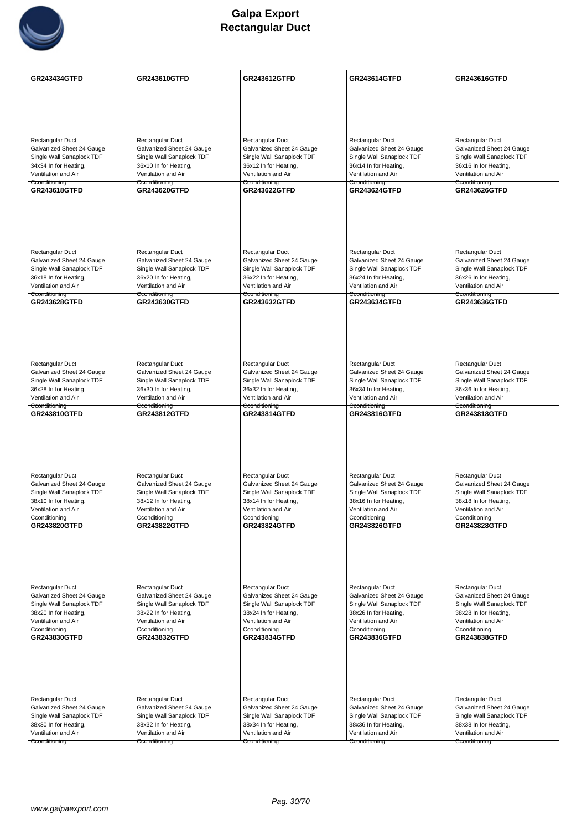

| Rectangular Duct<br>Rectangular Duct<br>Rectangular Duct<br>Rectangular Duct<br>Rectangular Duct<br>Galvanized Sheet 24 Gauge<br>Galvanized Sheet 24 Gauge<br>Galvanized Sheet 24 Gauge<br>Galvanized Sheet 24 Gauge<br>Galvanized Sheet 24 Gauge<br>Single Wall Sanaplock TDF<br>Single Wall Sanaplock TDF<br>Single Wall Sanaplock TDF<br>Single Wall Sanaplock TDF<br>Single Wall Sanaplock TDF<br>34x34 In for Heating,<br>36x10 In for Heating,<br>36x12 In for Heating,<br>36x14 In for Heating,<br>36x16 In for Heating,<br>Ventilation and Air<br>Ventilation and Air<br>Ventilation and Air<br>Ventilation and Air<br>Ventilation and Air<br>Cconditioning<br>Cconditioning<br>Cconditioning<br>Cconditioning<br>Cconditioning<br>GR243618GTFD<br><b>GR243620GTFD</b><br><b>GR243622GTFD</b><br><b>GR243624GTFD</b><br><b>GR243626GTFD</b><br><b>Rectangular Duct</b><br>Rectangular Duct<br>Rectangular Duct<br>Rectangular Duct<br>Rectangular Duct<br>Galvanized Sheet 24 Gauge<br>Galvanized Sheet 24 Gauge<br>Galvanized Sheet 24 Gauge<br>Galvanized Sheet 24 Gauge<br>Galvanized Sheet 24 Gauge<br>Single Wall Sanaplock TDF<br>Single Wall Sanaplock TDF<br>Single Wall Sanaplock TDF<br>Single Wall Sanaplock TDF<br>Single Wall Sanaplock TDF<br>36x18 In for Heating,<br>36x20 In for Heating,<br>36x22 In for Heating,<br>36x24 In for Heating,<br>36x26 In for Heating,<br>Ventilation and Air<br>Ventilation and Air<br>Ventilation and Air<br>Ventilation and Air<br>Ventilation and Air<br>Cconditioning<br>Cconditioning<br>Cconditioning<br>Cconditioning<br>Cconditioning<br>GR243628GTFD<br>GR243630GTFD<br><b>GR243632GTFD</b><br><b>GR243634GTFD</b><br><b>GR243636GTFD</b><br>Rectangular Duct<br>Rectangular Duct<br>Rectangular Duct<br>Rectangular Duct<br>Rectangular Duct<br>Galvanized Sheet 24 Gauge<br>Galvanized Sheet 24 Gauge<br>Galvanized Sheet 24 Gauge<br>Galvanized Sheet 24 Gauge<br>Galvanized Sheet 24 Gauge<br>Single Wall Sanaplock TDF<br>Single Wall Sanaplock TDF<br>Single Wall Sanaplock TDF<br>Single Wall Sanaplock TDF<br>Single Wall Sanaplock TDF<br>36x28 In for Heating,<br>36x30 In for Heating,<br>36x32 In for Heating,<br>36x34 In for Heating,<br>36x36 In for Heating,<br>Ventilation and Air<br>Ventilation and Air<br>Ventilation and Air<br>Ventilation and Air<br>Ventilation and Air<br>Cconditioning<br>Cconditioning<br>Cconditioning<br>Cconditioning<br>Cconditioning<br>GR243810GTFD<br><b>GR243812GTFD</b><br><b>GR243814GTFD</b><br><b>GR243816GTFD</b><br><b>GR243818GTFD</b><br>Rectangular Duct<br>Rectangular Duct<br>Rectangular Duct<br>Rectangular Duct<br>Rectangular Duct<br>Galvanized Sheet 24 Gauge<br>Galvanized Sheet 24 Gauge<br>Galvanized Sheet 24 Gauge<br>Galvanized Sheet 24 Gauge<br>Galvanized Sheet 24 Gauge<br>Single Wall Sanaplock TDF<br>Single Wall Sanaplock TDF<br>Single Wall Sanaplock TDF<br>Single Wall Sanaplock TDF<br>Single Wall Sanaplock TDF<br>38x10 In for Heating,<br>38x12 In for Heating,<br>38x14 In for Heating,<br>38x16 In for Heating,<br>38x18 In for Heating,<br>Ventilation and Air<br>Ventilation and Air<br>Ventilation and Air<br>Ventilation and Air<br>Ventilation and Air<br>Cconditioning<br>Cconditioning<br>Cconditioning<br>Cconditioning<br>Cconditioning<br>GR243820GTFD<br><b>GR243822GTFD</b><br><b>GR243824GTFD</b><br><b>GR243826GTFD</b><br><b>GR243828GTFD</b><br>Rectangular Duct<br>Rectangular Duct<br>Rectangular Duct<br>Rectangular Duct<br>Rectangular Duct<br>Galvanized Sheet 24 Gauge<br>Galvanized Sheet 24 Gauge<br>Galvanized Sheet 24 Gauge<br>Galvanized Sheet 24 Gauge<br>Galvanized Sheet 24 Gauge<br>Single Wall Sanaplock TDF<br>Single Wall Sanaplock TDF<br>Single Wall Sanaplock TDF<br>Single Wall Sanaplock TDF<br>Single Wall Sanaplock TDF<br>38x20 In for Heating,<br>38x22 In for Heating,<br>38x24 In for Heating,<br>38x26 In for Heating,<br>38x28 In for Heating,<br>Ventilation and Air<br>Ventilation and Air<br>Ventilation and Air<br>Ventilation and Air<br>Ventilation and Air<br>Cconditioning<br>Cconditioning<br>Cconditioning<br>Cconditioning<br>Cconditioning<br><b>GR243838GTFD</b><br><b>GR243830GTFD</b><br><b>GR243832GTFD</b><br><b>GR243834GTFD</b><br><b>GR243836GTFD</b><br>Rectangular Duct<br>Rectangular Duct<br>Rectangular Duct<br>Rectangular Duct<br>Rectangular Duct<br>Galvanized Sheet 24 Gauge<br>Galvanized Sheet 24 Gauge<br>Galvanized Sheet 24 Gauge<br>Galvanized Sheet 24 Gauge<br>Galvanized Sheet 24 Gauge<br>Single Wall Sanaplock TDF<br>Single Wall Sanaplock TDF<br>Single Wall Sanaplock TDF<br>Single Wall Sanaplock TDF<br>Single Wall Sanaplock TDF<br>38x30 In for Heating,<br>38x38 In for Heating,<br>38x32 In for Heating,<br>38x34 In for Heating,<br>38x36 In for Heating,<br>Ventilation and Air<br>Ventilation and Air<br>Ventilation and Air<br>Ventilation and Air<br>Ventilation and Air<br>Cconditioning<br>Cconditioning<br>Cconditioning<br>Cconditioning<br>Cconditioning | <b>GR243434GTFD</b> | <b>GR243610GTFD</b> | GR243612GTFD | <b>GR243614GTFD</b> | GR243616GTFD |
|-----------------------------------------------------------------------------------------------------------------------------------------------------------------------------------------------------------------------------------------------------------------------------------------------------------------------------------------------------------------------------------------------------------------------------------------------------------------------------------------------------------------------------------------------------------------------------------------------------------------------------------------------------------------------------------------------------------------------------------------------------------------------------------------------------------------------------------------------------------------------------------------------------------------------------------------------------------------------------------------------------------------------------------------------------------------------------------------------------------------------------------------------------------------------------------------------------------------------------------------------------------------------------------------------------------------------------------------------------------------------------------------------------------------------------------------------------------------------------------------------------------------------------------------------------------------------------------------------------------------------------------------------------------------------------------------------------------------------------------------------------------------------------------------------------------------------------------------------------------------------------------------------------------------------------------------------------------------------------------------------------------------------------------------------------------------------------------------------------------------------------------------------------------------------------------------------------------------------------------------------------------------------------------------------------------------------------------------------------------------------------------------------------------------------------------------------------------------------------------------------------------------------------------------------------------------------------------------------------------------------------------------------------------------------------------------------------------------------------------------------------------------------------------------------------------------------------------------------------------------------------------------------------------------------------------------------------------------------------------------------------------------------------------------------------------------------------------------------------------------------------------------------------------------------------------------------------------------------------------------------------------------------------------------------------------------------------------------------------------------------------------------------------------------------------------------------------------------------------------------------------------------------------------------------------------------------------------------------------------------------------------------------------------------------------------------------------------------------------------------------------------------------------------------------------------------------------------------------------------------------------------------------------------------------------------------------------------------------------------------------------------------------------------------------------------------------------------------------------------------------------------------------------------------------------------------------------------------------------------------------------------------------------------------------------------------------------------------------------------------------------------------------------------------------------------------------------------------------------------------------------------------------------------------------------------------------------------------------------------------------------------------------------------------------------------------------------------------------------------------------------------------------------------------------------------------------------------------------------------------------------------------------------------------------------------------------------------------------------------------------------------------------------------|---------------------|---------------------|--------------|---------------------|--------------|
|                                                                                                                                                                                                                                                                                                                                                                                                                                                                                                                                                                                                                                                                                                                                                                                                                                                                                                                                                                                                                                                                                                                                                                                                                                                                                                                                                                                                                                                                                                                                                                                                                                                                                                                                                                                                                                                                                                                                                                                                                                                                                                                                                                                                                                                                                                                                                                                                                                                                                                                                                                                                                                                                                                                                                                                                                                                                                                                                                                                                                                                                                                                                                                                                                                                                                                                                                                                                                                                                                                                                                                                                                                                                                                                                                                                                                                                                                                                                                                                                                                                                                                                                                                                                                                                                                                                                                                                                                                                                                                                                                                                                                                                                                                                                                                                                                                                                                                                                                                                                                                   |                     |                     |              |                     |              |
|                                                                                                                                                                                                                                                                                                                                                                                                                                                                                                                                                                                                                                                                                                                                                                                                                                                                                                                                                                                                                                                                                                                                                                                                                                                                                                                                                                                                                                                                                                                                                                                                                                                                                                                                                                                                                                                                                                                                                                                                                                                                                                                                                                                                                                                                                                                                                                                                                                                                                                                                                                                                                                                                                                                                                                                                                                                                                                                                                                                                                                                                                                                                                                                                                                                                                                                                                                                                                                                                                                                                                                                                                                                                                                                                                                                                                                                                                                                                                                                                                                                                                                                                                                                                                                                                                                                                                                                                                                                                                                                                                                                                                                                                                                                                                                                                                                                                                                                                                                                                                                   |                     |                     |              |                     |              |
|                                                                                                                                                                                                                                                                                                                                                                                                                                                                                                                                                                                                                                                                                                                                                                                                                                                                                                                                                                                                                                                                                                                                                                                                                                                                                                                                                                                                                                                                                                                                                                                                                                                                                                                                                                                                                                                                                                                                                                                                                                                                                                                                                                                                                                                                                                                                                                                                                                                                                                                                                                                                                                                                                                                                                                                                                                                                                                                                                                                                                                                                                                                                                                                                                                                                                                                                                                                                                                                                                                                                                                                                                                                                                                                                                                                                                                                                                                                                                                                                                                                                                                                                                                                                                                                                                                                                                                                                                                                                                                                                                                                                                                                                                                                                                                                                                                                                                                                                                                                                                                   |                     |                     |              |                     |              |
|                                                                                                                                                                                                                                                                                                                                                                                                                                                                                                                                                                                                                                                                                                                                                                                                                                                                                                                                                                                                                                                                                                                                                                                                                                                                                                                                                                                                                                                                                                                                                                                                                                                                                                                                                                                                                                                                                                                                                                                                                                                                                                                                                                                                                                                                                                                                                                                                                                                                                                                                                                                                                                                                                                                                                                                                                                                                                                                                                                                                                                                                                                                                                                                                                                                                                                                                                                                                                                                                                                                                                                                                                                                                                                                                                                                                                                                                                                                                                                                                                                                                                                                                                                                                                                                                                                                                                                                                                                                                                                                                                                                                                                                                                                                                                                                                                                                                                                                                                                                                                                   |                     |                     |              |                     |              |
|                                                                                                                                                                                                                                                                                                                                                                                                                                                                                                                                                                                                                                                                                                                                                                                                                                                                                                                                                                                                                                                                                                                                                                                                                                                                                                                                                                                                                                                                                                                                                                                                                                                                                                                                                                                                                                                                                                                                                                                                                                                                                                                                                                                                                                                                                                                                                                                                                                                                                                                                                                                                                                                                                                                                                                                                                                                                                                                                                                                                                                                                                                                                                                                                                                                                                                                                                                                                                                                                                                                                                                                                                                                                                                                                                                                                                                                                                                                                                                                                                                                                                                                                                                                                                                                                                                                                                                                                                                                                                                                                                                                                                                                                                                                                                                                                                                                                                                                                                                                                                                   |                     |                     |              |                     |              |
|                                                                                                                                                                                                                                                                                                                                                                                                                                                                                                                                                                                                                                                                                                                                                                                                                                                                                                                                                                                                                                                                                                                                                                                                                                                                                                                                                                                                                                                                                                                                                                                                                                                                                                                                                                                                                                                                                                                                                                                                                                                                                                                                                                                                                                                                                                                                                                                                                                                                                                                                                                                                                                                                                                                                                                                                                                                                                                                                                                                                                                                                                                                                                                                                                                                                                                                                                                                                                                                                                                                                                                                                                                                                                                                                                                                                                                                                                                                                                                                                                                                                                                                                                                                                                                                                                                                                                                                                                                                                                                                                                                                                                                                                                                                                                                                                                                                                                                                                                                                                                                   |                     |                     |              |                     |              |
|                                                                                                                                                                                                                                                                                                                                                                                                                                                                                                                                                                                                                                                                                                                                                                                                                                                                                                                                                                                                                                                                                                                                                                                                                                                                                                                                                                                                                                                                                                                                                                                                                                                                                                                                                                                                                                                                                                                                                                                                                                                                                                                                                                                                                                                                                                                                                                                                                                                                                                                                                                                                                                                                                                                                                                                                                                                                                                                                                                                                                                                                                                                                                                                                                                                                                                                                                                                                                                                                                                                                                                                                                                                                                                                                                                                                                                                                                                                                                                                                                                                                                                                                                                                                                                                                                                                                                                                                                                                                                                                                                                                                                                                                                                                                                                                                                                                                                                                                                                                                                                   |                     |                     |              |                     |              |
|                                                                                                                                                                                                                                                                                                                                                                                                                                                                                                                                                                                                                                                                                                                                                                                                                                                                                                                                                                                                                                                                                                                                                                                                                                                                                                                                                                                                                                                                                                                                                                                                                                                                                                                                                                                                                                                                                                                                                                                                                                                                                                                                                                                                                                                                                                                                                                                                                                                                                                                                                                                                                                                                                                                                                                                                                                                                                                                                                                                                                                                                                                                                                                                                                                                                                                                                                                                                                                                                                                                                                                                                                                                                                                                                                                                                                                                                                                                                                                                                                                                                                                                                                                                                                                                                                                                                                                                                                                                                                                                                                                                                                                                                                                                                                                                                                                                                                                                                                                                                                                   |                     |                     |              |                     |              |
|                                                                                                                                                                                                                                                                                                                                                                                                                                                                                                                                                                                                                                                                                                                                                                                                                                                                                                                                                                                                                                                                                                                                                                                                                                                                                                                                                                                                                                                                                                                                                                                                                                                                                                                                                                                                                                                                                                                                                                                                                                                                                                                                                                                                                                                                                                                                                                                                                                                                                                                                                                                                                                                                                                                                                                                                                                                                                                                                                                                                                                                                                                                                                                                                                                                                                                                                                                                                                                                                                                                                                                                                                                                                                                                                                                                                                                                                                                                                                                                                                                                                                                                                                                                                                                                                                                                                                                                                                                                                                                                                                                                                                                                                                                                                                                                                                                                                                                                                                                                                                                   |                     |                     |              |                     |              |
|                                                                                                                                                                                                                                                                                                                                                                                                                                                                                                                                                                                                                                                                                                                                                                                                                                                                                                                                                                                                                                                                                                                                                                                                                                                                                                                                                                                                                                                                                                                                                                                                                                                                                                                                                                                                                                                                                                                                                                                                                                                                                                                                                                                                                                                                                                                                                                                                                                                                                                                                                                                                                                                                                                                                                                                                                                                                                                                                                                                                                                                                                                                                                                                                                                                                                                                                                                                                                                                                                                                                                                                                                                                                                                                                                                                                                                                                                                                                                                                                                                                                                                                                                                                                                                                                                                                                                                                                                                                                                                                                                                                                                                                                                                                                                                                                                                                                                                                                                                                                                                   |                     |                     |              |                     |              |
|                                                                                                                                                                                                                                                                                                                                                                                                                                                                                                                                                                                                                                                                                                                                                                                                                                                                                                                                                                                                                                                                                                                                                                                                                                                                                                                                                                                                                                                                                                                                                                                                                                                                                                                                                                                                                                                                                                                                                                                                                                                                                                                                                                                                                                                                                                                                                                                                                                                                                                                                                                                                                                                                                                                                                                                                                                                                                                                                                                                                                                                                                                                                                                                                                                                                                                                                                                                                                                                                                                                                                                                                                                                                                                                                                                                                                                                                                                                                                                                                                                                                                                                                                                                                                                                                                                                                                                                                                                                                                                                                                                                                                                                                                                                                                                                                                                                                                                                                                                                                                                   |                     |                     |              |                     |              |
|                                                                                                                                                                                                                                                                                                                                                                                                                                                                                                                                                                                                                                                                                                                                                                                                                                                                                                                                                                                                                                                                                                                                                                                                                                                                                                                                                                                                                                                                                                                                                                                                                                                                                                                                                                                                                                                                                                                                                                                                                                                                                                                                                                                                                                                                                                                                                                                                                                                                                                                                                                                                                                                                                                                                                                                                                                                                                                                                                                                                                                                                                                                                                                                                                                                                                                                                                                                                                                                                                                                                                                                                                                                                                                                                                                                                                                                                                                                                                                                                                                                                                                                                                                                                                                                                                                                                                                                                                                                                                                                                                                                                                                                                                                                                                                                                                                                                                                                                                                                                                                   |                     |                     |              |                     |              |
|                                                                                                                                                                                                                                                                                                                                                                                                                                                                                                                                                                                                                                                                                                                                                                                                                                                                                                                                                                                                                                                                                                                                                                                                                                                                                                                                                                                                                                                                                                                                                                                                                                                                                                                                                                                                                                                                                                                                                                                                                                                                                                                                                                                                                                                                                                                                                                                                                                                                                                                                                                                                                                                                                                                                                                                                                                                                                                                                                                                                                                                                                                                                                                                                                                                                                                                                                                                                                                                                                                                                                                                                                                                                                                                                                                                                                                                                                                                                                                                                                                                                                                                                                                                                                                                                                                                                                                                                                                                                                                                                                                                                                                                                                                                                                                                                                                                                                                                                                                                                                                   |                     |                     |              |                     |              |
|                                                                                                                                                                                                                                                                                                                                                                                                                                                                                                                                                                                                                                                                                                                                                                                                                                                                                                                                                                                                                                                                                                                                                                                                                                                                                                                                                                                                                                                                                                                                                                                                                                                                                                                                                                                                                                                                                                                                                                                                                                                                                                                                                                                                                                                                                                                                                                                                                                                                                                                                                                                                                                                                                                                                                                                                                                                                                                                                                                                                                                                                                                                                                                                                                                                                                                                                                                                                                                                                                                                                                                                                                                                                                                                                                                                                                                                                                                                                                                                                                                                                                                                                                                                                                                                                                                                                                                                                                                                                                                                                                                                                                                                                                                                                                                                                                                                                                                                                                                                                                                   |                     |                     |              |                     |              |
|                                                                                                                                                                                                                                                                                                                                                                                                                                                                                                                                                                                                                                                                                                                                                                                                                                                                                                                                                                                                                                                                                                                                                                                                                                                                                                                                                                                                                                                                                                                                                                                                                                                                                                                                                                                                                                                                                                                                                                                                                                                                                                                                                                                                                                                                                                                                                                                                                                                                                                                                                                                                                                                                                                                                                                                                                                                                                                                                                                                                                                                                                                                                                                                                                                                                                                                                                                                                                                                                                                                                                                                                                                                                                                                                                                                                                                                                                                                                                                                                                                                                                                                                                                                                                                                                                                                                                                                                                                                                                                                                                                                                                                                                                                                                                                                                                                                                                                                                                                                                                                   |                     |                     |              |                     |              |
|                                                                                                                                                                                                                                                                                                                                                                                                                                                                                                                                                                                                                                                                                                                                                                                                                                                                                                                                                                                                                                                                                                                                                                                                                                                                                                                                                                                                                                                                                                                                                                                                                                                                                                                                                                                                                                                                                                                                                                                                                                                                                                                                                                                                                                                                                                                                                                                                                                                                                                                                                                                                                                                                                                                                                                                                                                                                                                                                                                                                                                                                                                                                                                                                                                                                                                                                                                                                                                                                                                                                                                                                                                                                                                                                                                                                                                                                                                                                                                                                                                                                                                                                                                                                                                                                                                                                                                                                                                                                                                                                                                                                                                                                                                                                                                                                                                                                                                                                                                                                                                   |                     |                     |              |                     |              |
|                                                                                                                                                                                                                                                                                                                                                                                                                                                                                                                                                                                                                                                                                                                                                                                                                                                                                                                                                                                                                                                                                                                                                                                                                                                                                                                                                                                                                                                                                                                                                                                                                                                                                                                                                                                                                                                                                                                                                                                                                                                                                                                                                                                                                                                                                                                                                                                                                                                                                                                                                                                                                                                                                                                                                                                                                                                                                                                                                                                                                                                                                                                                                                                                                                                                                                                                                                                                                                                                                                                                                                                                                                                                                                                                                                                                                                                                                                                                                                                                                                                                                                                                                                                                                                                                                                                                                                                                                                                                                                                                                                                                                                                                                                                                                                                                                                                                                                                                                                                                                                   |                     |                     |              |                     |              |
|                                                                                                                                                                                                                                                                                                                                                                                                                                                                                                                                                                                                                                                                                                                                                                                                                                                                                                                                                                                                                                                                                                                                                                                                                                                                                                                                                                                                                                                                                                                                                                                                                                                                                                                                                                                                                                                                                                                                                                                                                                                                                                                                                                                                                                                                                                                                                                                                                                                                                                                                                                                                                                                                                                                                                                                                                                                                                                                                                                                                                                                                                                                                                                                                                                                                                                                                                                                                                                                                                                                                                                                                                                                                                                                                                                                                                                                                                                                                                                                                                                                                                                                                                                                                                                                                                                                                                                                                                                                                                                                                                                                                                                                                                                                                                                                                                                                                                                                                                                                                                                   |                     |                     |              |                     |              |
|                                                                                                                                                                                                                                                                                                                                                                                                                                                                                                                                                                                                                                                                                                                                                                                                                                                                                                                                                                                                                                                                                                                                                                                                                                                                                                                                                                                                                                                                                                                                                                                                                                                                                                                                                                                                                                                                                                                                                                                                                                                                                                                                                                                                                                                                                                                                                                                                                                                                                                                                                                                                                                                                                                                                                                                                                                                                                                                                                                                                                                                                                                                                                                                                                                                                                                                                                                                                                                                                                                                                                                                                                                                                                                                                                                                                                                                                                                                                                                                                                                                                                                                                                                                                                                                                                                                                                                                                                                                                                                                                                                                                                                                                                                                                                                                                                                                                                                                                                                                                                                   |                     |                     |              |                     |              |
|                                                                                                                                                                                                                                                                                                                                                                                                                                                                                                                                                                                                                                                                                                                                                                                                                                                                                                                                                                                                                                                                                                                                                                                                                                                                                                                                                                                                                                                                                                                                                                                                                                                                                                                                                                                                                                                                                                                                                                                                                                                                                                                                                                                                                                                                                                                                                                                                                                                                                                                                                                                                                                                                                                                                                                                                                                                                                                                                                                                                                                                                                                                                                                                                                                                                                                                                                                                                                                                                                                                                                                                                                                                                                                                                                                                                                                                                                                                                                                                                                                                                                                                                                                                                                                                                                                                                                                                                                                                                                                                                                                                                                                                                                                                                                                                                                                                                                                                                                                                                                                   |                     |                     |              |                     |              |
|                                                                                                                                                                                                                                                                                                                                                                                                                                                                                                                                                                                                                                                                                                                                                                                                                                                                                                                                                                                                                                                                                                                                                                                                                                                                                                                                                                                                                                                                                                                                                                                                                                                                                                                                                                                                                                                                                                                                                                                                                                                                                                                                                                                                                                                                                                                                                                                                                                                                                                                                                                                                                                                                                                                                                                                                                                                                                                                                                                                                                                                                                                                                                                                                                                                                                                                                                                                                                                                                                                                                                                                                                                                                                                                                                                                                                                                                                                                                                                                                                                                                                                                                                                                                                                                                                                                                                                                                                                                                                                                                                                                                                                                                                                                                                                                                                                                                                                                                                                                                                                   |                     |                     |              |                     |              |
|                                                                                                                                                                                                                                                                                                                                                                                                                                                                                                                                                                                                                                                                                                                                                                                                                                                                                                                                                                                                                                                                                                                                                                                                                                                                                                                                                                                                                                                                                                                                                                                                                                                                                                                                                                                                                                                                                                                                                                                                                                                                                                                                                                                                                                                                                                                                                                                                                                                                                                                                                                                                                                                                                                                                                                                                                                                                                                                                                                                                                                                                                                                                                                                                                                                                                                                                                                                                                                                                                                                                                                                                                                                                                                                                                                                                                                                                                                                                                                                                                                                                                                                                                                                                                                                                                                                                                                                                                                                                                                                                                                                                                                                                                                                                                                                                                                                                                                                                                                                                                                   |                     |                     |              |                     |              |
|                                                                                                                                                                                                                                                                                                                                                                                                                                                                                                                                                                                                                                                                                                                                                                                                                                                                                                                                                                                                                                                                                                                                                                                                                                                                                                                                                                                                                                                                                                                                                                                                                                                                                                                                                                                                                                                                                                                                                                                                                                                                                                                                                                                                                                                                                                                                                                                                                                                                                                                                                                                                                                                                                                                                                                                                                                                                                                                                                                                                                                                                                                                                                                                                                                                                                                                                                                                                                                                                                                                                                                                                                                                                                                                                                                                                                                                                                                                                                                                                                                                                                                                                                                                                                                                                                                                                                                                                                                                                                                                                                                                                                                                                                                                                                                                                                                                                                                                                                                                                                                   |                     |                     |              |                     |              |
|                                                                                                                                                                                                                                                                                                                                                                                                                                                                                                                                                                                                                                                                                                                                                                                                                                                                                                                                                                                                                                                                                                                                                                                                                                                                                                                                                                                                                                                                                                                                                                                                                                                                                                                                                                                                                                                                                                                                                                                                                                                                                                                                                                                                                                                                                                                                                                                                                                                                                                                                                                                                                                                                                                                                                                                                                                                                                                                                                                                                                                                                                                                                                                                                                                                                                                                                                                                                                                                                                                                                                                                                                                                                                                                                                                                                                                                                                                                                                                                                                                                                                                                                                                                                                                                                                                                                                                                                                                                                                                                                                                                                                                                                                                                                                                                                                                                                                                                                                                                                                                   |                     |                     |              |                     |              |
|                                                                                                                                                                                                                                                                                                                                                                                                                                                                                                                                                                                                                                                                                                                                                                                                                                                                                                                                                                                                                                                                                                                                                                                                                                                                                                                                                                                                                                                                                                                                                                                                                                                                                                                                                                                                                                                                                                                                                                                                                                                                                                                                                                                                                                                                                                                                                                                                                                                                                                                                                                                                                                                                                                                                                                                                                                                                                                                                                                                                                                                                                                                                                                                                                                                                                                                                                                                                                                                                                                                                                                                                                                                                                                                                                                                                                                                                                                                                                                                                                                                                                                                                                                                                                                                                                                                                                                                                                                                                                                                                                                                                                                                                                                                                                                                                                                                                                                                                                                                                                                   |                     |                     |              |                     |              |
|                                                                                                                                                                                                                                                                                                                                                                                                                                                                                                                                                                                                                                                                                                                                                                                                                                                                                                                                                                                                                                                                                                                                                                                                                                                                                                                                                                                                                                                                                                                                                                                                                                                                                                                                                                                                                                                                                                                                                                                                                                                                                                                                                                                                                                                                                                                                                                                                                                                                                                                                                                                                                                                                                                                                                                                                                                                                                                                                                                                                                                                                                                                                                                                                                                                                                                                                                                                                                                                                                                                                                                                                                                                                                                                                                                                                                                                                                                                                                                                                                                                                                                                                                                                                                                                                                                                                                                                                                                                                                                                                                                                                                                                                                                                                                                                                                                                                                                                                                                                                                                   |                     |                     |              |                     |              |
|                                                                                                                                                                                                                                                                                                                                                                                                                                                                                                                                                                                                                                                                                                                                                                                                                                                                                                                                                                                                                                                                                                                                                                                                                                                                                                                                                                                                                                                                                                                                                                                                                                                                                                                                                                                                                                                                                                                                                                                                                                                                                                                                                                                                                                                                                                                                                                                                                                                                                                                                                                                                                                                                                                                                                                                                                                                                                                                                                                                                                                                                                                                                                                                                                                                                                                                                                                                                                                                                                                                                                                                                                                                                                                                                                                                                                                                                                                                                                                                                                                                                                                                                                                                                                                                                                                                                                                                                                                                                                                                                                                                                                                                                                                                                                                                                                                                                                                                                                                                                                                   |                     |                     |              |                     |              |
|                                                                                                                                                                                                                                                                                                                                                                                                                                                                                                                                                                                                                                                                                                                                                                                                                                                                                                                                                                                                                                                                                                                                                                                                                                                                                                                                                                                                                                                                                                                                                                                                                                                                                                                                                                                                                                                                                                                                                                                                                                                                                                                                                                                                                                                                                                                                                                                                                                                                                                                                                                                                                                                                                                                                                                                                                                                                                                                                                                                                                                                                                                                                                                                                                                                                                                                                                                                                                                                                                                                                                                                                                                                                                                                                                                                                                                                                                                                                                                                                                                                                                                                                                                                                                                                                                                                                                                                                                                                                                                                                                                                                                                                                                                                                                                                                                                                                                                                                                                                                                                   |                     |                     |              |                     |              |
|                                                                                                                                                                                                                                                                                                                                                                                                                                                                                                                                                                                                                                                                                                                                                                                                                                                                                                                                                                                                                                                                                                                                                                                                                                                                                                                                                                                                                                                                                                                                                                                                                                                                                                                                                                                                                                                                                                                                                                                                                                                                                                                                                                                                                                                                                                                                                                                                                                                                                                                                                                                                                                                                                                                                                                                                                                                                                                                                                                                                                                                                                                                                                                                                                                                                                                                                                                                                                                                                                                                                                                                                                                                                                                                                                                                                                                                                                                                                                                                                                                                                                                                                                                                                                                                                                                                                                                                                                                                                                                                                                                                                                                                                                                                                                                                                                                                                                                                                                                                                                                   |                     |                     |              |                     |              |
|                                                                                                                                                                                                                                                                                                                                                                                                                                                                                                                                                                                                                                                                                                                                                                                                                                                                                                                                                                                                                                                                                                                                                                                                                                                                                                                                                                                                                                                                                                                                                                                                                                                                                                                                                                                                                                                                                                                                                                                                                                                                                                                                                                                                                                                                                                                                                                                                                                                                                                                                                                                                                                                                                                                                                                                                                                                                                                                                                                                                                                                                                                                                                                                                                                                                                                                                                                                                                                                                                                                                                                                                                                                                                                                                                                                                                                                                                                                                                                                                                                                                                                                                                                                                                                                                                                                                                                                                                                                                                                                                                                                                                                                                                                                                                                                                                                                                                                                                                                                                                                   |                     |                     |              |                     |              |
|                                                                                                                                                                                                                                                                                                                                                                                                                                                                                                                                                                                                                                                                                                                                                                                                                                                                                                                                                                                                                                                                                                                                                                                                                                                                                                                                                                                                                                                                                                                                                                                                                                                                                                                                                                                                                                                                                                                                                                                                                                                                                                                                                                                                                                                                                                                                                                                                                                                                                                                                                                                                                                                                                                                                                                                                                                                                                                                                                                                                                                                                                                                                                                                                                                                                                                                                                                                                                                                                                                                                                                                                                                                                                                                                                                                                                                                                                                                                                                                                                                                                                                                                                                                                                                                                                                                                                                                                                                                                                                                                                                                                                                                                                                                                                                                                                                                                                                                                                                                                                                   |                     |                     |              |                     |              |
|                                                                                                                                                                                                                                                                                                                                                                                                                                                                                                                                                                                                                                                                                                                                                                                                                                                                                                                                                                                                                                                                                                                                                                                                                                                                                                                                                                                                                                                                                                                                                                                                                                                                                                                                                                                                                                                                                                                                                                                                                                                                                                                                                                                                                                                                                                                                                                                                                                                                                                                                                                                                                                                                                                                                                                                                                                                                                                                                                                                                                                                                                                                                                                                                                                                                                                                                                                                                                                                                                                                                                                                                                                                                                                                                                                                                                                                                                                                                                                                                                                                                                                                                                                                                                                                                                                                                                                                                                                                                                                                                                                                                                                                                                                                                                                                                                                                                                                                                                                                                                                   |                     |                     |              |                     |              |
|                                                                                                                                                                                                                                                                                                                                                                                                                                                                                                                                                                                                                                                                                                                                                                                                                                                                                                                                                                                                                                                                                                                                                                                                                                                                                                                                                                                                                                                                                                                                                                                                                                                                                                                                                                                                                                                                                                                                                                                                                                                                                                                                                                                                                                                                                                                                                                                                                                                                                                                                                                                                                                                                                                                                                                                                                                                                                                                                                                                                                                                                                                                                                                                                                                                                                                                                                                                                                                                                                                                                                                                                                                                                                                                                                                                                                                                                                                                                                                                                                                                                                                                                                                                                                                                                                                                                                                                                                                                                                                                                                                                                                                                                                                                                                                                                                                                                                                                                                                                                                                   |                     |                     |              |                     |              |
|                                                                                                                                                                                                                                                                                                                                                                                                                                                                                                                                                                                                                                                                                                                                                                                                                                                                                                                                                                                                                                                                                                                                                                                                                                                                                                                                                                                                                                                                                                                                                                                                                                                                                                                                                                                                                                                                                                                                                                                                                                                                                                                                                                                                                                                                                                                                                                                                                                                                                                                                                                                                                                                                                                                                                                                                                                                                                                                                                                                                                                                                                                                                                                                                                                                                                                                                                                                                                                                                                                                                                                                                                                                                                                                                                                                                                                                                                                                                                                                                                                                                                                                                                                                                                                                                                                                                                                                                                                                                                                                                                                                                                                                                                                                                                                                                                                                                                                                                                                                                                                   |                     |                     |              |                     |              |
|                                                                                                                                                                                                                                                                                                                                                                                                                                                                                                                                                                                                                                                                                                                                                                                                                                                                                                                                                                                                                                                                                                                                                                                                                                                                                                                                                                                                                                                                                                                                                                                                                                                                                                                                                                                                                                                                                                                                                                                                                                                                                                                                                                                                                                                                                                                                                                                                                                                                                                                                                                                                                                                                                                                                                                                                                                                                                                                                                                                                                                                                                                                                                                                                                                                                                                                                                                                                                                                                                                                                                                                                                                                                                                                                                                                                                                                                                                                                                                                                                                                                                                                                                                                                                                                                                                                                                                                                                                                                                                                                                                                                                                                                                                                                                                                                                                                                                                                                                                                                                                   |                     |                     |              |                     |              |
|                                                                                                                                                                                                                                                                                                                                                                                                                                                                                                                                                                                                                                                                                                                                                                                                                                                                                                                                                                                                                                                                                                                                                                                                                                                                                                                                                                                                                                                                                                                                                                                                                                                                                                                                                                                                                                                                                                                                                                                                                                                                                                                                                                                                                                                                                                                                                                                                                                                                                                                                                                                                                                                                                                                                                                                                                                                                                                                                                                                                                                                                                                                                                                                                                                                                                                                                                                                                                                                                                                                                                                                                                                                                                                                                                                                                                                                                                                                                                                                                                                                                                                                                                                                                                                                                                                                                                                                                                                                                                                                                                                                                                                                                                                                                                                                                                                                                                                                                                                                                                                   |                     |                     |              |                     |              |
|                                                                                                                                                                                                                                                                                                                                                                                                                                                                                                                                                                                                                                                                                                                                                                                                                                                                                                                                                                                                                                                                                                                                                                                                                                                                                                                                                                                                                                                                                                                                                                                                                                                                                                                                                                                                                                                                                                                                                                                                                                                                                                                                                                                                                                                                                                                                                                                                                                                                                                                                                                                                                                                                                                                                                                                                                                                                                                                                                                                                                                                                                                                                                                                                                                                                                                                                                                                                                                                                                                                                                                                                                                                                                                                                                                                                                                                                                                                                                                                                                                                                                                                                                                                                                                                                                                                                                                                                                                                                                                                                                                                                                                                                                                                                                                                                                                                                                                                                                                                                                                   |                     |                     |              |                     |              |
|                                                                                                                                                                                                                                                                                                                                                                                                                                                                                                                                                                                                                                                                                                                                                                                                                                                                                                                                                                                                                                                                                                                                                                                                                                                                                                                                                                                                                                                                                                                                                                                                                                                                                                                                                                                                                                                                                                                                                                                                                                                                                                                                                                                                                                                                                                                                                                                                                                                                                                                                                                                                                                                                                                                                                                                                                                                                                                                                                                                                                                                                                                                                                                                                                                                                                                                                                                                                                                                                                                                                                                                                                                                                                                                                                                                                                                                                                                                                                                                                                                                                                                                                                                                                                                                                                                                                                                                                                                                                                                                                                                                                                                                                                                                                                                                                                                                                                                                                                                                                                                   |                     |                     |              |                     |              |
|                                                                                                                                                                                                                                                                                                                                                                                                                                                                                                                                                                                                                                                                                                                                                                                                                                                                                                                                                                                                                                                                                                                                                                                                                                                                                                                                                                                                                                                                                                                                                                                                                                                                                                                                                                                                                                                                                                                                                                                                                                                                                                                                                                                                                                                                                                                                                                                                                                                                                                                                                                                                                                                                                                                                                                                                                                                                                                                                                                                                                                                                                                                                                                                                                                                                                                                                                                                                                                                                                                                                                                                                                                                                                                                                                                                                                                                                                                                                                                                                                                                                                                                                                                                                                                                                                                                                                                                                                                                                                                                                                                                                                                                                                                                                                                                                                                                                                                                                                                                                                                   |                     |                     |              |                     |              |
|                                                                                                                                                                                                                                                                                                                                                                                                                                                                                                                                                                                                                                                                                                                                                                                                                                                                                                                                                                                                                                                                                                                                                                                                                                                                                                                                                                                                                                                                                                                                                                                                                                                                                                                                                                                                                                                                                                                                                                                                                                                                                                                                                                                                                                                                                                                                                                                                                                                                                                                                                                                                                                                                                                                                                                                                                                                                                                                                                                                                                                                                                                                                                                                                                                                                                                                                                                                                                                                                                                                                                                                                                                                                                                                                                                                                                                                                                                                                                                                                                                                                                                                                                                                                                                                                                                                                                                                                                                                                                                                                                                                                                                                                                                                                                                                                                                                                                                                                                                                                                                   |                     |                     |              |                     |              |
|                                                                                                                                                                                                                                                                                                                                                                                                                                                                                                                                                                                                                                                                                                                                                                                                                                                                                                                                                                                                                                                                                                                                                                                                                                                                                                                                                                                                                                                                                                                                                                                                                                                                                                                                                                                                                                                                                                                                                                                                                                                                                                                                                                                                                                                                                                                                                                                                                                                                                                                                                                                                                                                                                                                                                                                                                                                                                                                                                                                                                                                                                                                                                                                                                                                                                                                                                                                                                                                                                                                                                                                                                                                                                                                                                                                                                                                                                                                                                                                                                                                                                                                                                                                                                                                                                                                                                                                                                                                                                                                                                                                                                                                                                                                                                                                                                                                                                                                                                                                                                                   |                     |                     |              |                     |              |
|                                                                                                                                                                                                                                                                                                                                                                                                                                                                                                                                                                                                                                                                                                                                                                                                                                                                                                                                                                                                                                                                                                                                                                                                                                                                                                                                                                                                                                                                                                                                                                                                                                                                                                                                                                                                                                                                                                                                                                                                                                                                                                                                                                                                                                                                                                                                                                                                                                                                                                                                                                                                                                                                                                                                                                                                                                                                                                                                                                                                                                                                                                                                                                                                                                                                                                                                                                                                                                                                                                                                                                                                                                                                                                                                                                                                                                                                                                                                                                                                                                                                                                                                                                                                                                                                                                                                                                                                                                                                                                                                                                                                                                                                                                                                                                                                                                                                                                                                                                                                                                   |                     |                     |              |                     |              |
|                                                                                                                                                                                                                                                                                                                                                                                                                                                                                                                                                                                                                                                                                                                                                                                                                                                                                                                                                                                                                                                                                                                                                                                                                                                                                                                                                                                                                                                                                                                                                                                                                                                                                                                                                                                                                                                                                                                                                                                                                                                                                                                                                                                                                                                                                                                                                                                                                                                                                                                                                                                                                                                                                                                                                                                                                                                                                                                                                                                                                                                                                                                                                                                                                                                                                                                                                                                                                                                                                                                                                                                                                                                                                                                                                                                                                                                                                                                                                                                                                                                                                                                                                                                                                                                                                                                                                                                                                                                                                                                                                                                                                                                                                                                                                                                                                                                                                                                                                                                                                                   |                     |                     |              |                     |              |
|                                                                                                                                                                                                                                                                                                                                                                                                                                                                                                                                                                                                                                                                                                                                                                                                                                                                                                                                                                                                                                                                                                                                                                                                                                                                                                                                                                                                                                                                                                                                                                                                                                                                                                                                                                                                                                                                                                                                                                                                                                                                                                                                                                                                                                                                                                                                                                                                                                                                                                                                                                                                                                                                                                                                                                                                                                                                                                                                                                                                                                                                                                                                                                                                                                                                                                                                                                                                                                                                                                                                                                                                                                                                                                                                                                                                                                                                                                                                                                                                                                                                                                                                                                                                                                                                                                                                                                                                                                                                                                                                                                                                                                                                                                                                                                                                                                                                                                                                                                                                                                   |                     |                     |              |                     |              |
|                                                                                                                                                                                                                                                                                                                                                                                                                                                                                                                                                                                                                                                                                                                                                                                                                                                                                                                                                                                                                                                                                                                                                                                                                                                                                                                                                                                                                                                                                                                                                                                                                                                                                                                                                                                                                                                                                                                                                                                                                                                                                                                                                                                                                                                                                                                                                                                                                                                                                                                                                                                                                                                                                                                                                                                                                                                                                                                                                                                                                                                                                                                                                                                                                                                                                                                                                                                                                                                                                                                                                                                                                                                                                                                                                                                                                                                                                                                                                                                                                                                                                                                                                                                                                                                                                                                                                                                                                                                                                                                                                                                                                                                                                                                                                                                                                                                                                                                                                                                                                                   |                     |                     |              |                     |              |
|                                                                                                                                                                                                                                                                                                                                                                                                                                                                                                                                                                                                                                                                                                                                                                                                                                                                                                                                                                                                                                                                                                                                                                                                                                                                                                                                                                                                                                                                                                                                                                                                                                                                                                                                                                                                                                                                                                                                                                                                                                                                                                                                                                                                                                                                                                                                                                                                                                                                                                                                                                                                                                                                                                                                                                                                                                                                                                                                                                                                                                                                                                                                                                                                                                                                                                                                                                                                                                                                                                                                                                                                                                                                                                                                                                                                                                                                                                                                                                                                                                                                                                                                                                                                                                                                                                                                                                                                                                                                                                                                                                                                                                                                                                                                                                                                                                                                                                                                                                                                                                   |                     |                     |              |                     |              |
|                                                                                                                                                                                                                                                                                                                                                                                                                                                                                                                                                                                                                                                                                                                                                                                                                                                                                                                                                                                                                                                                                                                                                                                                                                                                                                                                                                                                                                                                                                                                                                                                                                                                                                                                                                                                                                                                                                                                                                                                                                                                                                                                                                                                                                                                                                                                                                                                                                                                                                                                                                                                                                                                                                                                                                                                                                                                                                                                                                                                                                                                                                                                                                                                                                                                                                                                                                                                                                                                                                                                                                                                                                                                                                                                                                                                                                                                                                                                                                                                                                                                                                                                                                                                                                                                                                                                                                                                                                                                                                                                                                                                                                                                                                                                                                                                                                                                                                                                                                                                                                   |                     |                     |              |                     |              |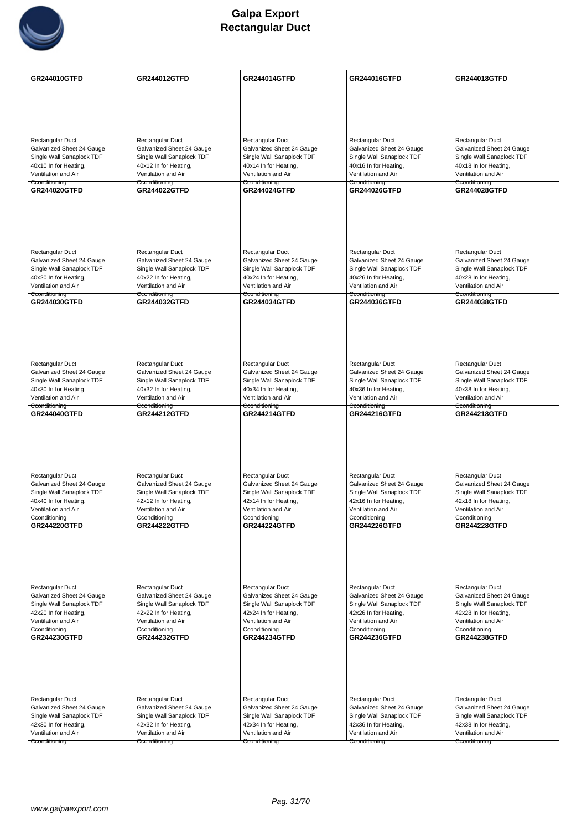

| GR244010GTFD                                           | <b>GR244012GTFD</b>                                    | <b>GR244014GTFD</b>                                    | <b>GR244016GTFD</b>                                    | <b>GR244018GTFD</b>                                    |
|--------------------------------------------------------|--------------------------------------------------------|--------------------------------------------------------|--------------------------------------------------------|--------------------------------------------------------|
|                                                        |                                                        |                                                        |                                                        |                                                        |
|                                                        |                                                        |                                                        |                                                        |                                                        |
|                                                        |                                                        |                                                        |                                                        |                                                        |
|                                                        |                                                        |                                                        |                                                        |                                                        |
| Rectangular Duct<br>Galvanized Sheet 24 Gauge          | Rectangular Duct<br>Galvanized Sheet 24 Gauge          | Rectangular Duct<br>Galvanized Sheet 24 Gauge          | Rectangular Duct<br>Galvanized Sheet 24 Gauge          | Rectangular Duct<br>Galvanized Sheet 24 Gauge          |
| Single Wall Sanaplock TDF                              | Single Wall Sanaplock TDF                              | Single Wall Sanaplock TDF                              | Single Wall Sanaplock TDF                              | Single Wall Sanaplock TDF                              |
| 40x10 In for Heating,                                  | 40x12 In for Heating,                                  | 40x14 In for Heating,                                  | 40x16 In for Heating,                                  | 40x18 In for Heating,                                  |
| Ventilation and Air<br>Cconditioning                   | Ventilation and Air<br>Cconditioning                   | Ventilation and Air<br>Cconditioning                   | Ventilation and Air<br>Cconditioning                   | Ventilation and Air<br>Cconditioning                   |
| <b>GR244020GTFD</b>                                    | <b>GR244022GTFD</b>                                    | GR244024GTFD                                           | <b>GR244026GTFD</b>                                    | <b>GR244028GTFD</b>                                    |
|                                                        |                                                        |                                                        |                                                        |                                                        |
|                                                        |                                                        |                                                        |                                                        |                                                        |
|                                                        |                                                        |                                                        |                                                        |                                                        |
|                                                        |                                                        |                                                        |                                                        |                                                        |
| Rectangular Duct                                       | Rectangular Duct                                       | Rectangular Duct                                       | Rectangular Duct                                       | Rectangular Duct                                       |
| Galvanized Sheet 24 Gauge<br>Single Wall Sanaplock TDF | Galvanized Sheet 24 Gauge<br>Single Wall Sanaplock TDF | Galvanized Sheet 24 Gauge<br>Single Wall Sanaplock TDF | Galvanized Sheet 24 Gauge<br>Single Wall Sanaplock TDF | Galvanized Sheet 24 Gauge<br>Single Wall Sanaplock TDF |
| 40x20 In for Heating,                                  | 40x22 In for Heating,                                  | 40x24 In for Heating,                                  | 40x26 In for Heating,                                  | 40x28 In for Heating,                                  |
| Ventilation and Air<br>Cconditioning                   | Ventilation and Air<br><del>Cconditioning</del>        | Ventilation and Air<br>Cconditioning                   | Ventilation and Air<br><del>Cconditioning</del>        | Ventilation and Air<br>Cconditioning                   |
| GR244030GTFD                                           | <b>GR244032GTFD</b>                                    | GR244034GTFD                                           | <b>GR244036GTFD</b>                                    | <b>GR244038GTFD</b>                                    |
|                                                        |                                                        |                                                        |                                                        |                                                        |
|                                                        |                                                        |                                                        |                                                        |                                                        |
|                                                        |                                                        |                                                        |                                                        |                                                        |
|                                                        |                                                        |                                                        |                                                        |                                                        |
| Rectangular Duct                                       | Rectangular Duct                                       | Rectangular Duct                                       | Rectangular Duct                                       | Rectangular Duct                                       |
| Galvanized Sheet 24 Gauge<br>Single Wall Sanaplock TDF | Galvanized Sheet 24 Gauge<br>Single Wall Sanaplock TDF | Galvanized Sheet 24 Gauge<br>Single Wall Sanaplock TDF | Galvanized Sheet 24 Gauge<br>Single Wall Sanaplock TDF | Galvanized Sheet 24 Gauge<br>Single Wall Sanaplock TDF |
| 40x30 In for Heating,                                  | 40x32 In for Heating,                                  | 40x34 In for Heating,                                  | 40x36 In for Heating,                                  | 40x38 In for Heating,                                  |
| Ventilation and Air<br>Cconditioning                   | Ventilation and Air<br>Cconditioning                   | Ventilation and Air<br>Cconditioning                   | Ventilation and Air<br>Cconditioning                   | Ventilation and Air<br>Cconditioning                   |
| GR244040GTFD                                           | <b>GR244212GTFD</b>                                    | <b>GR244214GTFD</b>                                    | <b>GR244216GTFD</b>                                    | <b>GR244218GTFD</b>                                    |
|                                                        |                                                        |                                                        |                                                        |                                                        |
|                                                        |                                                        |                                                        |                                                        |                                                        |
|                                                        |                                                        |                                                        |                                                        |                                                        |
|                                                        |                                                        |                                                        |                                                        |                                                        |
| Rectangular Duct<br>Galvanized Sheet 24 Gauge          | Rectangular Duct<br>Galvanized Sheet 24 Gauge          | Rectangular Duct<br>Galvanized Sheet 24 Gauge          | Rectangular Duct<br>Galvanized Sheet 24 Gauge          | Rectangular Duct<br>Galvanized Sheet 24 Gauge          |
| Single Wall Sanaplock TDF                              | Single Wall Sanaplock TDF                              | Single Wall Sanaplock TDF                              | Single Wall Sanaplock TDF                              | Single Wall Sanaplock TDF                              |
| 40x40 In for Heating,                                  | 42x12 In for Heating,                                  | 42x14 In for Heating,                                  | 42x16 In for Heating,                                  | 42x18 In for Heating,                                  |
| Ventilation and Air<br>Cconditioning                   | Ventilation and Air<br>Cconditioning                   | Ventilation and Air<br>Cconditioning                   | Ventilation and Air<br>Cconditioning                   | Ventilation and Air<br>Cconditioning                   |
| <b>GR244220GTFD</b>                                    | <b>GR244222GTFD</b>                                    | <b>GR244224GTFD</b>                                    | GR244226GTFD                                           | <b>GR244228GTFD</b>                                    |
|                                                        |                                                        |                                                        |                                                        |                                                        |
|                                                        |                                                        |                                                        |                                                        |                                                        |
|                                                        |                                                        |                                                        |                                                        |                                                        |
| Rectangular Duct                                       | Rectangular Duct                                       | Rectangular Duct                                       | Rectangular Duct                                       | Rectangular Duct                                       |
| Galvanized Sheet 24 Gauge                              | Galvanized Sheet 24 Gauge                              | Galvanized Sheet 24 Gauge                              | Galvanized Sheet 24 Gauge                              | Galvanized Sheet 24 Gauge                              |
| Single Wall Sanaplock TDF                              | Single Wall Sanaplock TDF                              | Single Wall Sanaplock TDF                              | Single Wall Sanaplock TDF                              | Single Wall Sanaplock TDF                              |
| 42x20 In for Heating,<br>Ventilation and Air           | 42x22 In for Heating,<br>Ventilation and Air           | 42x24 In for Heating,<br>Ventilation and Air           | 42x26 In for Heating,<br>Ventilation and Air           | 42x28 In for Heating,<br>Ventilation and Air           |
| Cconditioning<br>GR244230GTFD                          | Cconditioning<br><b>GR244232GTFD</b>                   | Cconditioning<br><b>GR244234GTFD</b>                   | Cconditioning<br><b>GR244236GTFD</b>                   | Cconditioning<br><b>GR244238GTFD</b>                   |
|                                                        |                                                        |                                                        |                                                        |                                                        |
|                                                        |                                                        |                                                        |                                                        |                                                        |
|                                                        |                                                        |                                                        |                                                        |                                                        |
|                                                        |                                                        |                                                        |                                                        |                                                        |
| Rectangular Duct                                       | Rectangular Duct                                       | Rectangular Duct                                       | Rectangular Duct                                       | Rectangular Duct                                       |
| Galvanized Sheet 24 Gauge                              | Galvanized Sheet 24 Gauge                              | Galvanized Sheet 24 Gauge                              | Galvanized Sheet 24 Gauge                              | Galvanized Sheet 24 Gauge                              |
| Single Wall Sanaplock TDF<br>42x30 In for Heating,     | Single Wall Sanaplock TDF<br>42x32 In for Heating,     | Single Wall Sanaplock TDF<br>42x34 In for Heating,     | Single Wall Sanaplock TDF<br>42x36 In for Heating,     | Single Wall Sanaplock TDF<br>42x38 In for Heating,     |
| Ventilation and Air                                    | Ventilation and Air                                    | Ventilation and Air                                    | Ventilation and Air                                    | Ventilation and Air                                    |
| Cconditioning                                          | Cconditioning                                          | Cconditioning                                          | Cconditioning                                          | Cconditioning                                          |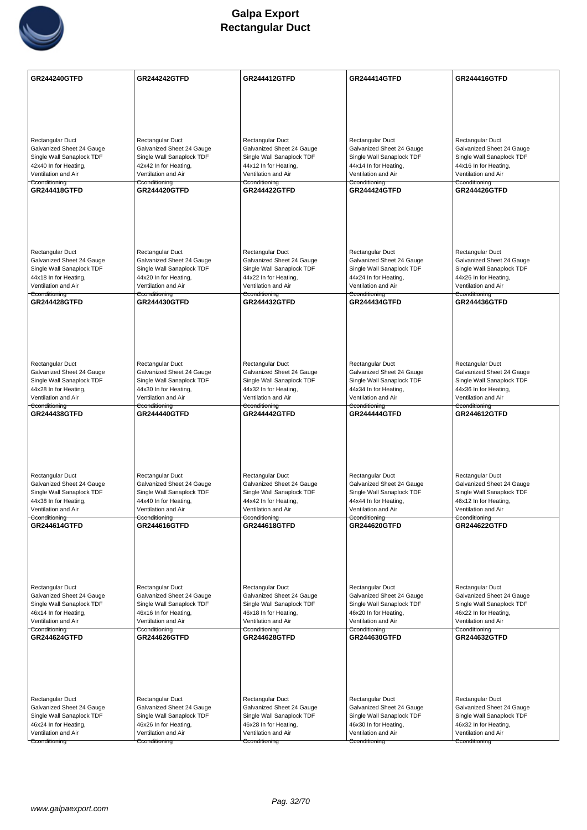

| <b>GR244240GTFD</b>       | <b>GR244242GTFD</b>       | <b>GR244412GTFD</b>       | <b>GR244414GTFD</b>       | <b>GR244416GTFD</b>       |
|---------------------------|---------------------------|---------------------------|---------------------------|---------------------------|
|                           |                           |                           |                           |                           |
|                           |                           |                           |                           |                           |
| Rectangular Duct          | Rectangular Duct          | Rectangular Duct          | Rectangular Duct          | Rectangular Duct          |
| Galvanized Sheet 24 Gauge | Galvanized Sheet 24 Gauge | Galvanized Sheet 24 Gauge | Galvanized Sheet 24 Gauge | Galvanized Sheet 24 Gauge |
| Single Wall Sanaplock TDF | Single Wall Sanaplock TDF | Single Wall Sanaplock TDF | Single Wall Sanaplock TDF | Single Wall Sanaplock TDF |
| 42x40 In for Heating,     | 42x42 In for Heating,     | 44x12 In for Heating,     | 44x14 In for Heating,     | 44x16 In for Heating,     |
| Ventilation and Air       | Ventilation and Air       | Ventilation and Air       | Ventilation and Air       | Ventilation and Air       |
| Cconditioning             | Cconditioning             | Cconditioning             | Cconditioning             | Cconditioning             |
| <b>GR244418GTFD</b>       | <b>GR244420GTFD</b>       | <b>GR244422GTFD</b>       | <b>GR244424GTFD</b>       | <b>GR244426GTFD</b>       |
|                           |                           |                           |                           |                           |
| Rectangular Duct          | Rectangular Duct          | Rectangular Duct          | Rectangular Duct          | Rectangular Duct          |
| Galvanized Sheet 24 Gauge | Galvanized Sheet 24 Gauge | Galvanized Sheet 24 Gauge | Galvanized Sheet 24 Gauge | Galvanized Sheet 24 Gauge |
| Single Wall Sanaplock TDF | Single Wall Sanaplock TDF | Single Wall Sanaplock TDF | Single Wall Sanaplock TDF | Single Wall Sanaplock TDF |
| 44x18 In for Heating,     | 44x20 In for Heating,     | 44x22 In for Heating,     | 44x24 In for Heating,     | 44x26 In for Heating,     |
| Ventilation and Air       | Ventilation and Air       | Ventilation and Air       | Ventilation and Air       | Ventilation and Air       |
| Cconditioning             | Cconditioning             | Cconditioning             | Cconditioning             | Cconditioning             |
| <b>GR244428GTFD</b>       | <b>GR244430GTFD</b>       | <b>GR244432GTFD</b>       | GR244434GTFD              | <b>GR244436GTFD</b>       |
|                           |                           |                           |                           |                           |
| <b>Rectangular Duct</b>   | Rectangular Duct          | Rectangular Duct          | Rectangular Duct          | Rectangular Duct          |
| Galvanized Sheet 24 Gauge | Galvanized Sheet 24 Gauge | Galvanized Sheet 24 Gauge | Galvanized Sheet 24 Gauge | Galvanized Sheet 24 Gauge |
| Single Wall Sanaplock TDF | Single Wall Sanaplock TDF | Single Wall Sanaplock TDF | Single Wall Sanaplock TDF | Single Wall Sanaplock TDF |
| 44x28 In for Heating,     | 44x30 In for Heating,     | 44x32 In for Heating,     | 44x34 In for Heating,     | 44x36 In for Heating,     |
| Ventilation and Air       | Ventilation and Air       | Ventilation and Air       | Ventilation and Air       | Ventilation and Air       |
| Cconditioning             | Cconditioning             | Cconditioning             | Cconditioning             | Cconditioning             |
| GR244438GTFD              | <b>GR244440GTFD</b>       | <b>GR244442GTFD</b>       | <b>GR244444GTFD</b>       | <b>GR244612GTFD</b>       |
| <b>Rectangular Duct</b>   | Rectangular Duct          | Rectangular Duct          | Rectangular Duct          | Rectangular Duct          |
| Galvanized Sheet 24 Gauge | Galvanized Sheet 24 Gauge | Galvanized Sheet 24 Gauge | Galvanized Sheet 24 Gauge | Galvanized Sheet 24 Gauge |
| Single Wall Sanaplock TDF | Single Wall Sanaplock TDF | Single Wall Sanaplock TDF | Single Wall Sanaplock TDF | Single Wall Sanaplock TDF |
| 44x38 In for Heating,     | 44x40 In for Heating,     | 44x42 In for Heating,     | 44x44 In for Heating,     | 46x12 In for Heating,     |
| Ventilation and Air       | Ventilation and Air       | Ventilation and Air       | Ventilation and Air       | Ventilation and Air       |
| Cconditioning             | Cconditioning             | Cconditioning             | Cconditioning             | Cconditioning             |
| <b>GR244614GTFD</b>       | <b>GR244616GTFD</b>       | <b>GR244618GTFD</b>       | <b>GR244620GTFD</b>       | <b>GR244622GTFD</b>       |
| Rectangular Duct          | Rectangular Duct          | Rectangular Duct          | Rectangular Duct          | Rectangular Duct          |
| Galvanized Sheet 24 Gauge | Galvanized Sheet 24 Gauge | Galvanized Sheet 24 Gauge | Galvanized Sheet 24 Gauge | Galvanized Sheet 24 Gauge |
| Single Wall Sanaplock TDF | Single Wall Sanaplock TDF | Single Wall Sanaplock TDF | Single Wall Sanaplock TDF | Single Wall Sanaplock TDF |
| 46x14 In for Heating,     | 46x16 In for Heating,     | 46x18 In for Heating,     | 46x20 In for Heating,     | 46x22 In for Heating,     |
| Ventilation and Air       | Ventilation and Air       | Ventilation and Air       | Ventilation and Air       | Ventilation and Air       |
| Cconditioning             | Cconditioning             | Cconditioning             | Cconditioning             | Cconditioning             |
| <b>GR244624GTFD</b>       | <b>GR244626GTFD</b>       | <b>GR244628GTFD</b>       | GR244630GTFD              | GR244632GTFD              |
|                           |                           |                           |                           |                           |
| <b>Rectangular Duct</b>   | Rectangular Duct          | Rectangular Duct          | Rectangular Duct          | Rectangular Duct          |
| Galvanized Sheet 24 Gauge | Galvanized Sheet 24 Gauge | Galvanized Sheet 24 Gauge | Galvanized Sheet 24 Gauge | Galvanized Sheet 24 Gauge |
| Single Wall Sanaplock TDF | Single Wall Sanaplock TDF | Single Wall Sanaplock TDF | Single Wall Sanaplock TDF | Single Wall Sanaplock TDF |
| 46x24 In for Heating,     | 46x26 In for Heating,     | 46x28 In for Heating,     | 46x30 In for Heating,     | 46x32 In for Heating,     |
| Ventilation and Air       | Ventilation and Air       | Ventilation and Air       | Ventilation and Air       | Ventilation and Air       |
| Cconditioning             | Cconditioning             | Cconditioning             | Cconditioning             | Cconditioning             |
|                           |                           |                           |                           |                           |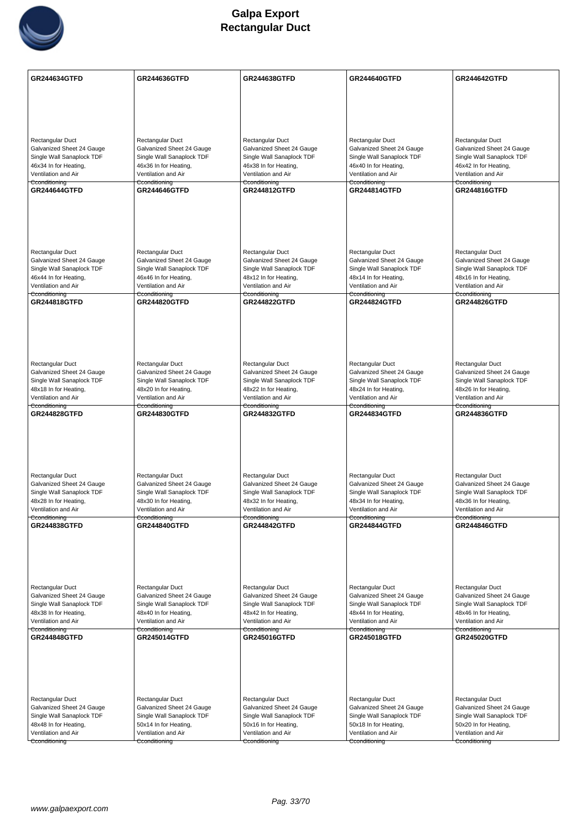

| GR244634GTFD                                           | <b>GR244636GTFD</b>                                    | <b>GR244638GTFD</b>                                    | GR244640GTFD                                           | <b>GR244642GTFD</b>                                    |
|--------------------------------------------------------|--------------------------------------------------------|--------------------------------------------------------|--------------------------------------------------------|--------------------------------------------------------|
|                                                        |                                                        |                                                        |                                                        |                                                        |
|                                                        |                                                        |                                                        |                                                        |                                                        |
|                                                        |                                                        |                                                        |                                                        |                                                        |
| Rectangular Duct                                       | Rectangular Duct                                       | Rectangular Duct                                       | Rectangular Duct                                       | Rectangular Duct                                       |
| Galvanized Sheet 24 Gauge                              | Galvanized Sheet 24 Gauge                              | Galvanized Sheet 24 Gauge                              | Galvanized Sheet 24 Gauge                              | Galvanized Sheet 24 Gauge                              |
| Single Wall Sanaplock TDF<br>46x34 In for Heating,     | Single Wall Sanaplock TDF<br>46x36 In for Heating,     | Single Wall Sanaplock TDF<br>46x38 In for Heating,     | Single Wall Sanaplock TDF<br>46x40 In for Heating,     | Single Wall Sanaplock TDF<br>46x42 In for Heating,     |
| Ventilation and Air                                    | Ventilation and Air                                    | Ventilation and Air                                    | Ventilation and Air                                    | Ventilation and Air                                    |
| Cconditioning                                          | Cconditioning<br><b>GR244646GTFD</b>                   | Cconditioning                                          | Cconditioning                                          | Cconditioning                                          |
| <b>GR244644GTFD</b>                                    |                                                        | <b>GR244812GTFD</b>                                    | <b>GR244814GTFD</b>                                    | <b>GR244816GTFD</b>                                    |
|                                                        |                                                        |                                                        |                                                        |                                                        |
|                                                        |                                                        |                                                        |                                                        |                                                        |
|                                                        |                                                        |                                                        |                                                        |                                                        |
|                                                        |                                                        |                                                        |                                                        |                                                        |
| Rectangular Duct<br>Galvanized Sheet 24 Gauge          | Rectangular Duct<br>Galvanized Sheet 24 Gauge          | Rectangular Duct<br>Galvanized Sheet 24 Gauge          | Rectangular Duct<br>Galvanized Sheet 24 Gauge          | Rectangular Duct<br>Galvanized Sheet 24 Gauge          |
| Single Wall Sanaplock TDF                              | Single Wall Sanaplock TDF                              | Single Wall Sanaplock TDF                              | Single Wall Sanaplock TDF                              | Single Wall Sanaplock TDF                              |
| 46x44 In for Heating,                                  | 46x46 In for Heating,                                  | 48x12 In for Heating,                                  | 48x14 In for Heating,                                  | 48x16 In for Heating,                                  |
| Ventilation and Air<br>Cconditioning                   | Ventilation and Air<br>Cconditioning                   | Ventilation and Air<br>Cconditioning                   | Ventilation and Air<br>Cconditioning                   | Ventilation and Air<br>Cconditioning                   |
| <b>GR244818GTFD</b>                                    | <b>GR244820GTFD</b>                                    | <b>GR244822GTFD</b>                                    | <b>GR244824GTFD</b>                                    | <b>GR244826GTFD</b>                                    |
|                                                        |                                                        |                                                        |                                                        |                                                        |
|                                                        |                                                        |                                                        |                                                        |                                                        |
|                                                        |                                                        |                                                        |                                                        |                                                        |
|                                                        |                                                        |                                                        |                                                        |                                                        |
| Rectangular Duct                                       | Rectangular Duct                                       | Rectangular Duct                                       | Rectangular Duct                                       | Rectangular Duct                                       |
| Galvanized Sheet 24 Gauge<br>Single Wall Sanaplock TDF | Galvanized Sheet 24 Gauge<br>Single Wall Sanaplock TDF | Galvanized Sheet 24 Gauge<br>Single Wall Sanaplock TDF | Galvanized Sheet 24 Gauge<br>Single Wall Sanaplock TDF | Galvanized Sheet 24 Gauge<br>Single Wall Sanaplock TDF |
| 48x18 In for Heating,                                  | 48x20 In for Heating,                                  | 48x22 In for Heating,                                  | 48x24 In for Heating,                                  | 48x26 In for Heating,                                  |
| Ventilation and Air                                    | Ventilation and Air                                    | Ventilation and Air                                    | Ventilation and Air                                    | Ventilation and Air                                    |
| Cconditioning<br><b>GR244828GTFD</b>                   | Cconditioning<br><b>GR244830GTFD</b>                   | Cconditioning<br><b>GR244832GTFD</b>                   | Cconditioning<br><b>GR244834GTFD</b>                   | Cconditioning<br><b>GR244836GTFD</b>                   |
|                                                        |                                                        |                                                        |                                                        |                                                        |
|                                                        |                                                        |                                                        |                                                        |                                                        |
|                                                        |                                                        |                                                        |                                                        |                                                        |
|                                                        |                                                        |                                                        |                                                        |                                                        |
| <b>Rectangular Duct</b>                                | Rectangular Duct                                       | Rectangular Duct                                       | Rectangular Duct                                       | Rectangular Duct                                       |
| Galvanized Sheet 24 Gauge                              | Galvanized Sheet 24 Gauge                              | Galvanized Sheet 24 Gauge                              | Galvanized Sheet 24 Gauge                              | Galvanized Sheet 24 Gauge                              |
| Single Wall Sanaplock TDF<br>48x28 In for Heating,     | Single Wall Sanaplock TDF<br>48x30 In for Heating,     | Single Wall Sanaplock TDF<br>48x32 In for Heating,     | Single Wall Sanaplock TDF<br>48x34 In for Heating,     | Single Wall Sanaplock TDF<br>48x36 In for Heating,     |
| Ventilation and Air                                    | Ventilation and Air                                    | Ventilation and Air                                    | Ventilation and Air                                    | Ventilation and Air                                    |
| Cconditioning<br><b>GR244838GTFD</b>                   | Cconditioning<br><b>GR244840GTFD</b>                   | Cconditioning<br><b>GR244842GTFD</b>                   | Cconditioning<br><b>GR244844GTFD</b>                   | Cconditioning<br><b>GR244846GTFD</b>                   |
|                                                        |                                                        |                                                        |                                                        |                                                        |
|                                                        |                                                        |                                                        |                                                        |                                                        |
|                                                        |                                                        |                                                        |                                                        |                                                        |
|                                                        |                                                        |                                                        |                                                        |                                                        |
| Rectangular Duct                                       | Rectangular Duct                                       | Rectangular Duct                                       | Rectangular Duct                                       | Rectangular Duct                                       |
| Galvanized Sheet 24 Gauge                              | Galvanized Sheet 24 Gauge                              | Galvanized Sheet 24 Gauge                              | Galvanized Sheet 24 Gauge                              | Galvanized Sheet 24 Gauge                              |
| Single Wall Sanaplock TDF                              | Single Wall Sanaplock TDF                              | Single Wall Sanaplock TDF                              | Single Wall Sanaplock TDF                              | Single Wall Sanaplock TDF                              |
| 48x38 In for Heating,<br>Ventilation and Air           | 48x40 In for Heating,<br>Ventilation and Air           | 48x42 In for Heating,<br>Ventilation and Air           | 48x44 In for Heating,<br>Ventilation and Air           | 48x46 In for Heating,<br>Ventilation and Air           |
| Cconditioning                                          | Cconditioning                                          | Cconditioning                                          | Cconditioning                                          | Cconditioning                                          |
| <b>GR244848GTFD</b>                                    | <b>GR245014GTFD</b>                                    | GR245016GTFD                                           | GR245018GTFD                                           | GR245020GTFD                                           |
|                                                        |                                                        |                                                        |                                                        |                                                        |
|                                                        |                                                        |                                                        |                                                        |                                                        |
|                                                        |                                                        |                                                        |                                                        |                                                        |
|                                                        |                                                        |                                                        |                                                        |                                                        |
| <b>Rectangular Duct</b>                                | Rectangular Duct                                       | Rectangular Duct                                       | Rectangular Duct                                       | Rectangular Duct                                       |
| Galvanized Sheet 24 Gauge<br>Single Wall Sanaplock TDF | Galvanized Sheet 24 Gauge<br>Single Wall Sanaplock TDF | Galvanized Sheet 24 Gauge<br>Single Wall Sanaplock TDF | Galvanized Sheet 24 Gauge<br>Single Wall Sanaplock TDF | Galvanized Sheet 24 Gauge<br>Single Wall Sanaplock TDF |
| 48x48 In for Heating,                                  | 50x14 In for Heating,                                  | 50x16 In for Heating,                                  | 50x18 In for Heating,                                  | 50x20 In for Heating,                                  |
| Ventilation and Air                                    | Ventilation and Air                                    | Ventilation and Air                                    | Ventilation and Air                                    | Ventilation and Air                                    |
| Cconditioning                                          | Cconditioning                                          | Cconditioning                                          | Cconditioning                                          | Cconditioning                                          |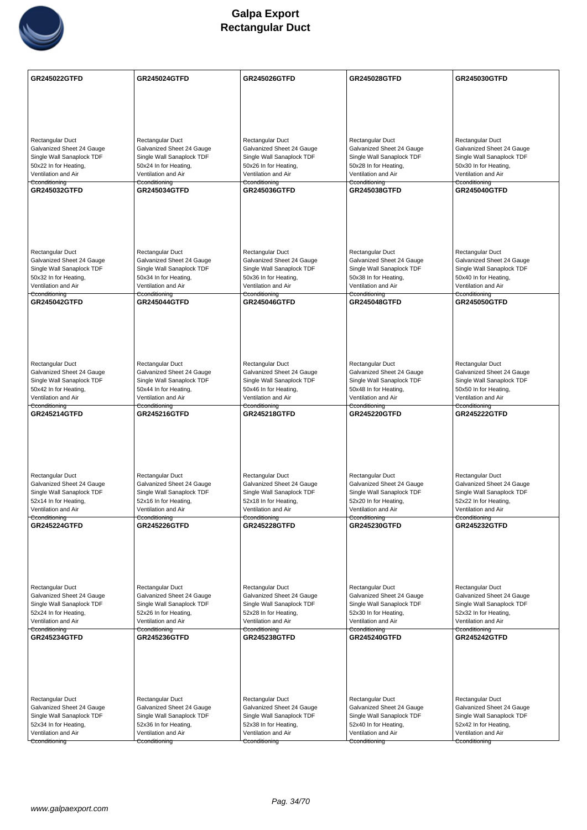

| GR245022GTFD                                           | GR245024GTFD                                           | <b>GR245026GTFD</b>                                    | GR245028GTFD                                           | GR245030GTFD                                           |
|--------------------------------------------------------|--------------------------------------------------------|--------------------------------------------------------|--------------------------------------------------------|--------------------------------------------------------|
|                                                        |                                                        |                                                        |                                                        |                                                        |
|                                                        |                                                        |                                                        |                                                        |                                                        |
|                                                        |                                                        |                                                        |                                                        |                                                        |
|                                                        |                                                        |                                                        |                                                        |                                                        |
| Rectangular Duct<br>Galvanized Sheet 24 Gauge          | Rectangular Duct<br>Galvanized Sheet 24 Gauge          | Rectangular Duct<br>Galvanized Sheet 24 Gauge          | Rectangular Duct<br>Galvanized Sheet 24 Gauge          | Rectangular Duct<br>Galvanized Sheet 24 Gauge          |
| Single Wall Sanaplock TDF                              | Single Wall Sanaplock TDF                              | Single Wall Sanaplock TDF                              | Single Wall Sanaplock TDF                              | Single Wall Sanaplock TDF                              |
| 50x22 In for Heating,<br>Ventilation and Air           | 50x24 In for Heating,<br>Ventilation and Air           | 50x26 In for Heating,<br>Ventilation and Air           | 50x28 In for Heating,<br>Ventilation and Air           | 50x30 In for Heating,<br>Ventilation and Air           |
| Cconditioning                                          | Cconditioning                                          | Cconditioning                                          | Cconditioning                                          | Cconditioning                                          |
| GR245032GTFD                                           | GR245034GTFD                                           | <b>GR245036GTFD</b>                                    | <b>GR245038GTFD</b>                                    | <b>GR245040GTFD</b>                                    |
|                                                        |                                                        |                                                        |                                                        |                                                        |
|                                                        |                                                        |                                                        |                                                        |                                                        |
|                                                        |                                                        |                                                        |                                                        |                                                        |
|                                                        |                                                        |                                                        |                                                        |                                                        |
| Rectangular Duct                                       | Rectangular Duct                                       | Rectangular Duct                                       | Rectangular Duct                                       | Rectangular Duct                                       |
| Galvanized Sheet 24 Gauge<br>Single Wall Sanaplock TDF | Galvanized Sheet 24 Gauge<br>Single Wall Sanaplock TDF | Galvanized Sheet 24 Gauge<br>Single Wall Sanaplock TDF | Galvanized Sheet 24 Gauge<br>Single Wall Sanaplock TDF | Galvanized Sheet 24 Gauge<br>Single Wall Sanaplock TDF |
| 50x32 In for Heating,                                  | 50x34 In for Heating,                                  | 50x36 In for Heating,                                  | 50x38 In for Heating,                                  | 50x40 In for Heating,                                  |
| Ventilation and Air<br>Cconditioning                   | Ventilation and Air<br>Cconditioning                   | Ventilation and Air<br>Cconditioning                   | Ventilation and Air<br>Cconditioning                   | Ventilation and Air<br>Cconditioning                   |
| <b>GR245042GTFD</b>                                    | <b>GR245044GTFD</b>                                    | <b>GR245046GTFD</b>                                    | <b>GR245048GTFD</b>                                    | <b>GR245050GTFD</b>                                    |
|                                                        |                                                        |                                                        |                                                        |                                                        |
|                                                        |                                                        |                                                        |                                                        |                                                        |
|                                                        |                                                        |                                                        |                                                        |                                                        |
|                                                        |                                                        |                                                        |                                                        |                                                        |
| Rectangular Duct                                       | Rectangular Duct                                       | Rectangular Duct                                       | Rectangular Duct                                       | Rectangular Duct                                       |
| Galvanized Sheet 24 Gauge<br>Single Wall Sanaplock TDF | Galvanized Sheet 24 Gauge<br>Single Wall Sanaplock TDF | Galvanized Sheet 24 Gauge<br>Single Wall Sanaplock TDF | Galvanized Sheet 24 Gauge<br>Single Wall Sanaplock TDF | Galvanized Sheet 24 Gauge<br>Single Wall Sanaplock TDF |
| 50x42 In for Heating,                                  | 50x44 In for Heating,                                  | 50x46 In for Heating,                                  | 50x48 In for Heating,                                  | 50x50 In for Heating,                                  |
| Ventilation and Air<br>Cconditioning                   | Ventilation and Air<br>Cconditioning                   | Ventilation and Air<br>Cconditioning                   | Ventilation and Air<br>Cconditioning                   | Ventilation and Air<br>Cconditioning                   |
| <b>GR245214GTFD</b>                                    | GR245216GTFD                                           | <b>GR245218GTFD</b>                                    | GR245220GTFD                                           | <b>GR245222GTFD</b>                                    |
|                                                        |                                                        |                                                        |                                                        |                                                        |
|                                                        |                                                        |                                                        |                                                        |                                                        |
|                                                        |                                                        |                                                        |                                                        |                                                        |
|                                                        |                                                        |                                                        |                                                        |                                                        |
| Rectangular Duct                                       | Rectangular Duct                                       | Rectangular Duct                                       | Rectangular Duct<br>Galvanized Sheet 24 Gauge          | Rectangular Duct<br>Galvanized Sheet 24 Gauge          |
| Galvanized Sheet 24 Gauge<br>Single Wall Sanaplock TDF | Galvanized Sheet 24 Gauge<br>Single Wall Sanaplock TDF | Galvanized Sheet 24 Gauge<br>Single Wall Sanaplock TDF | Single Wall Sanaplock TDF                              | Single Wall Sanaplock TDF                              |
| 52x14 In for Heating,                                  | 52x16 In for Heating,                                  | 52x18 In for Heating,                                  | 52x20 In for Heating,                                  | 52x22 In for Heating,                                  |
| Ventilation and Air<br>Cconditioning                   | Ventilation and Air<br>Cconditioning                   | Ventilation and Air<br>Cconditioning                   | Ventilation and Air<br>Cconditioning                   | Ventilation and Air<br>Cconditioning                   |
| <b>GR245224GTFD</b>                                    | <b>GR245226GTFD</b>                                    | <b>GR245228GTFD</b>                                    | <b>GR245230GTFD</b>                                    | <b>GR245232GTFD</b>                                    |
|                                                        |                                                        |                                                        |                                                        |                                                        |
|                                                        |                                                        |                                                        |                                                        |                                                        |
|                                                        |                                                        |                                                        |                                                        |                                                        |
|                                                        |                                                        |                                                        |                                                        |                                                        |
| Rectangular Duct                                       | Rectangular Duct                                       | Rectangular Duct                                       | Rectangular Duct                                       | Rectangular Duct                                       |
| Galvanized Sheet 24 Gauge<br>Single Wall Sanaplock TDF | Galvanized Sheet 24 Gauge<br>Single Wall Sanaplock TDF | Galvanized Sheet 24 Gauge<br>Single Wall Sanaplock TDF | Galvanized Sheet 24 Gauge<br>Single Wall Sanaplock TDF | Galvanized Sheet 24 Gauge<br>Single Wall Sanaplock TDF |
| 52x24 In for Heating,                                  | 52x26 In for Heating,                                  | 52x28 In for Heating,                                  | 52x30 In for Heating,                                  | 52x32 In for Heating,                                  |
| Ventilation and Air<br>Cconditioning                   | Ventilation and Air<br>Cconditioning                   | Ventilation and Air<br>Cconditioning                   | Ventilation and Air<br>Cconditioning                   | Ventilation and Air<br>Cconditioning                   |
| <b>GR245234GTFD</b>                                    | <b>GR245236GTFD</b>                                    | <b>GR245238GTFD</b>                                    | <b>GR245240GTFD</b>                                    | <b>GR245242GTFD</b>                                    |
|                                                        |                                                        |                                                        |                                                        |                                                        |
|                                                        |                                                        |                                                        |                                                        |                                                        |
|                                                        |                                                        |                                                        |                                                        |                                                        |
|                                                        |                                                        |                                                        |                                                        |                                                        |
| Rectangular Duct                                       | Rectangular Duct                                       | Rectangular Duct                                       | Rectangular Duct                                       | Rectangular Duct                                       |
| Galvanized Sheet 24 Gauge                              | Galvanized Sheet 24 Gauge                              | Galvanized Sheet 24 Gauge                              | Galvanized Sheet 24 Gauge                              | Galvanized Sheet 24 Gauge                              |
| Single Wall Sanaplock TDF<br>52x34 In for Heating,     | Single Wall Sanaplock TDF<br>52x36 In for Heating,     | Single Wall Sanaplock TDF<br>52x38 In for Heating,     | Single Wall Sanaplock TDF<br>52x40 In for Heating,     | Single Wall Sanaplock TDF<br>52x42 In for Heating,     |
| Ventilation and Air                                    | Ventilation and Air                                    | Ventilation and Air                                    | Ventilation and Air                                    | Ventilation and Air                                    |
| Cconditioning                                          | Cconditioning                                          | Cconditioning                                          | Cconditioning                                          | Cconditioning                                          |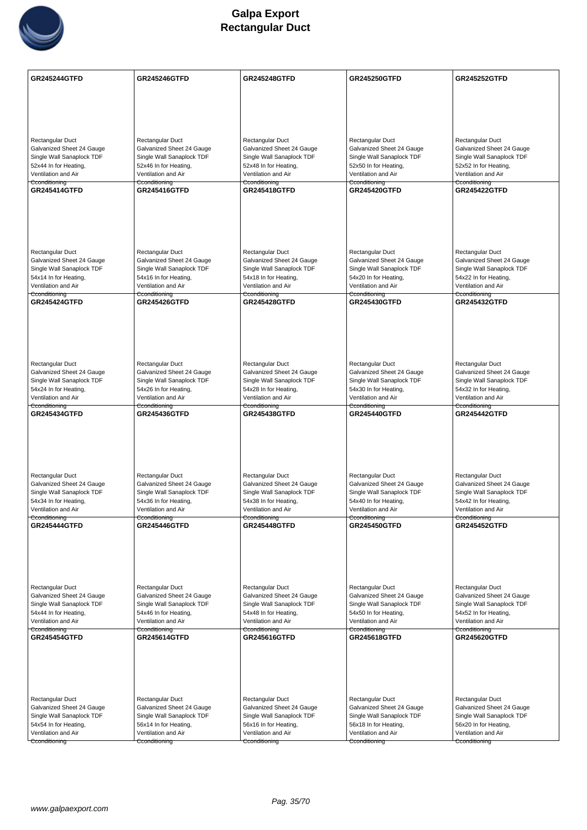

| <b>GR245244GTFD</b>                                    | <b>GR245246GTFD</b>                                    | <b>GR245248GTFD</b>                                    | <b>GR245250GTFD</b>                                    | <b>GR245252GTFD</b>                                    |
|--------------------------------------------------------|--------------------------------------------------------|--------------------------------------------------------|--------------------------------------------------------|--------------------------------------------------------|
|                                                        |                                                        |                                                        |                                                        |                                                        |
|                                                        |                                                        |                                                        |                                                        |                                                        |
|                                                        |                                                        |                                                        |                                                        |                                                        |
| <b>Rectangular Duct</b>                                | Rectangular Duct                                       | Rectangular Duct                                       | Rectangular Duct                                       | Rectangular Duct                                       |
| Galvanized Sheet 24 Gauge<br>Single Wall Sanaplock TDF | Galvanized Sheet 24 Gauge<br>Single Wall Sanaplock TDF | Galvanized Sheet 24 Gauge<br>Single Wall Sanaplock TDF | Galvanized Sheet 24 Gauge<br>Single Wall Sanaplock TDF | Galvanized Sheet 24 Gauge<br>Single Wall Sanaplock TDF |
| 52x44 In for Heating,                                  | 52x46 In for Heating,                                  | 52x48 In for Heating,                                  | 52x50 In for Heating,                                  | 52x52 In for Heating,                                  |
| Ventilation and Air                                    | Ventilation and Air                                    | Ventilation and Air                                    | Ventilation and Air                                    | Ventilation and Air                                    |
| Cconditioning<br><b>GR245414GTFD</b>                   | Cconditioning<br><b>GR245416GTFD</b>                   | Cconditioning<br><b>GR245418GTFD</b>                   | Cconditioning<br><b>GR245420GTFD</b>                   | Cconditioning<br><b>GR245422GTFD</b>                   |
|                                                        |                                                        |                                                        |                                                        |                                                        |
|                                                        |                                                        |                                                        |                                                        |                                                        |
|                                                        |                                                        |                                                        |                                                        |                                                        |
|                                                        |                                                        |                                                        |                                                        |                                                        |
| <b>Rectangular Duct</b>                                | Rectangular Duct                                       | Rectangular Duct                                       | Rectangular Duct                                       | Rectangular Duct                                       |
| Galvanized Sheet 24 Gauge                              | Galvanized Sheet 24 Gauge                              | Galvanized Sheet 24 Gauge                              | Galvanized Sheet 24 Gauge                              | Galvanized Sheet 24 Gauge                              |
| Single Wall Sanaplock TDF                              | Single Wall Sanaplock TDF                              | Single Wall Sanaplock TDF                              | Single Wall Sanaplock TDF                              | Single Wall Sanaplock TDF                              |
| 54x14 In for Heating,<br>Ventilation and Air           | 54x16 In for Heating,<br>Ventilation and Air           | 54x18 In for Heating,<br>Ventilation and Air           | 54x20 In for Heating,<br>Ventilation and Air           | 54x22 In for Heating,<br>Ventilation and Air           |
| Cconditioning                                          | Cconditioning                                          | Cconditioning                                          | Cconditioning                                          | Cconditioning                                          |
| <b>GR245424GTFD</b>                                    | <b>GR245426GTFD</b>                                    | <b>GR245428GTFD</b>                                    | GR245430GTFD                                           | <b>GR245432GTFD</b>                                    |
|                                                        |                                                        |                                                        |                                                        |                                                        |
|                                                        |                                                        |                                                        |                                                        |                                                        |
|                                                        |                                                        |                                                        |                                                        |                                                        |
|                                                        |                                                        |                                                        |                                                        |                                                        |
| <b>Rectangular Duct</b>                                | Rectangular Duct                                       | Rectangular Duct                                       | Rectangular Duct                                       | Rectangular Duct                                       |
| Galvanized Sheet 24 Gauge<br>Single Wall Sanaplock TDF | Galvanized Sheet 24 Gauge<br>Single Wall Sanaplock TDF | Galvanized Sheet 24 Gauge<br>Single Wall Sanaplock TDF | Galvanized Sheet 24 Gauge<br>Single Wall Sanaplock TDF | Galvanized Sheet 24 Gauge<br>Single Wall Sanaplock TDF |
| 54x24 In for Heating,                                  | 54x26 In for Heating,                                  | 54x28 In for Heating,                                  | 54x30 In for Heating,                                  | 54x32 In for Heating,                                  |
| Ventilation and Air                                    | Ventilation and Air                                    | Ventilation and Air                                    | Ventilation and Air                                    | Ventilation and Air                                    |
| Cconditioning<br><b>GR245434GTFD</b>                   | Cconditioning<br><b>GR245436GTFD</b>                   | Cconditioning<br><b>GR245438GTFD</b>                   | Cconditioning<br><b>GR245440GTFD</b>                   | Cconditioning<br><b>GR245442GTFD</b>                   |
|                                                        |                                                        |                                                        |                                                        |                                                        |
|                                                        |                                                        |                                                        |                                                        |                                                        |
|                                                        |                                                        |                                                        |                                                        |                                                        |
|                                                        |                                                        |                                                        |                                                        |                                                        |
| <b>Rectangular Duct</b>                                | Rectangular Duct                                       | Rectangular Duct                                       | Rectangular Duct                                       | Rectangular Duct                                       |
| Galvanized Sheet 24 Gauge                              | Galvanized Sheet 24 Gauge                              | Galvanized Sheet 24 Gauge                              | Galvanized Sheet 24 Gauge                              | Galvanized Sheet 24 Gauge                              |
| Single Wall Sanaplock TDF<br>54x34 In for Heating,     | Single Wall Sanaplock TDF<br>54x36 In for Heating,     | Single Wall Sanaplock TDF<br>54x38 In for Heating,     | Single Wall Sanaplock TDF<br>54x40 In for Heating,     | Single Wall Sanaplock TDF<br>54x42 In for Heating,     |
| Ventilation and Air                                    | Ventilation and Air                                    | Ventilation and Air                                    | Ventilation and Air                                    | Ventilation and Air                                    |
| Cconditioning<br><b>GR245444GTFD</b>                   | Cconditioning<br><b>GR245446GTFD</b>                   | Cconditioning<br><b>GR245448GTFD</b>                   | Cconditioning<br><b>GR245450GTFD</b>                   | Cconditioning<br><b>GR245452GTFD</b>                   |
|                                                        |                                                        |                                                        |                                                        |                                                        |
|                                                        |                                                        |                                                        |                                                        |                                                        |
|                                                        |                                                        |                                                        |                                                        |                                                        |
|                                                        |                                                        |                                                        |                                                        |                                                        |
|                                                        |                                                        |                                                        |                                                        |                                                        |
| Rectangular Duct<br>Galvanized Sheet 24 Gauge          | Rectangular Duct<br>Galvanized Sheet 24 Gauge          | Rectangular Duct<br>Galvanized Sheet 24 Gauge          | Rectangular Duct<br>Galvanized Sheet 24 Gauge          | Rectangular Duct<br>Galvanized Sheet 24 Gauge          |
| Single Wall Sanaplock TDF                              | Single Wall Sanaplock TDF                              | Single Wall Sanaplock TDF                              | Single Wall Sanaplock TDF                              | Single Wall Sanaplock TDF                              |
| 54x44 In for Heating,<br>Ventilation and Air           | 54x46 In for Heating,<br>Ventilation and Air           | 54x48 In for Heating,                                  | 54x50 In for Heating,<br>Ventilation and Air           | 54x52 In for Heating,                                  |
| Cconditioning                                          | Cconditioning                                          | Ventilation and Air<br>Cconditioning                   | Cconditioning                                          | Ventilation and Air<br>Cconditioning                   |
| <b>GR245454GTFD</b>                                    | <b>GR245614GTFD</b>                                    | GR245616GTFD                                           | GR245618GTFD                                           | <b>GR245620GTFD</b>                                    |
|                                                        |                                                        |                                                        |                                                        |                                                        |
|                                                        |                                                        |                                                        |                                                        |                                                        |
|                                                        |                                                        |                                                        |                                                        |                                                        |
|                                                        |                                                        |                                                        |                                                        |                                                        |
| <b>Rectangular Duct</b>                                | Rectangular Duct                                       | Rectangular Duct                                       | Rectangular Duct                                       | Rectangular Duct                                       |
| Galvanized Sheet 24 Gauge<br>Single Wall Sanaplock TDF | Galvanized Sheet 24 Gauge<br>Single Wall Sanaplock TDF | Galvanized Sheet 24 Gauge<br>Single Wall Sanaplock TDF | Galvanized Sheet 24 Gauge<br>Single Wall Sanaplock TDF | Galvanized Sheet 24 Gauge<br>Single Wall Sanaplock TDF |
| 54x54 In for Heating,                                  | 56x14 In for Heating,                                  | 56x16 In for Heating,                                  | 56x18 In for Heating,                                  | 56x20 In for Heating,                                  |
| Ventilation and Air                                    | Ventilation and Air                                    | Ventilation and Air                                    | Ventilation and Air                                    | Ventilation and Air                                    |
| Cconditioning                                          | Cconditioning                                          | Cconditioning                                          | Cconditioning                                          | Cconditioning                                          |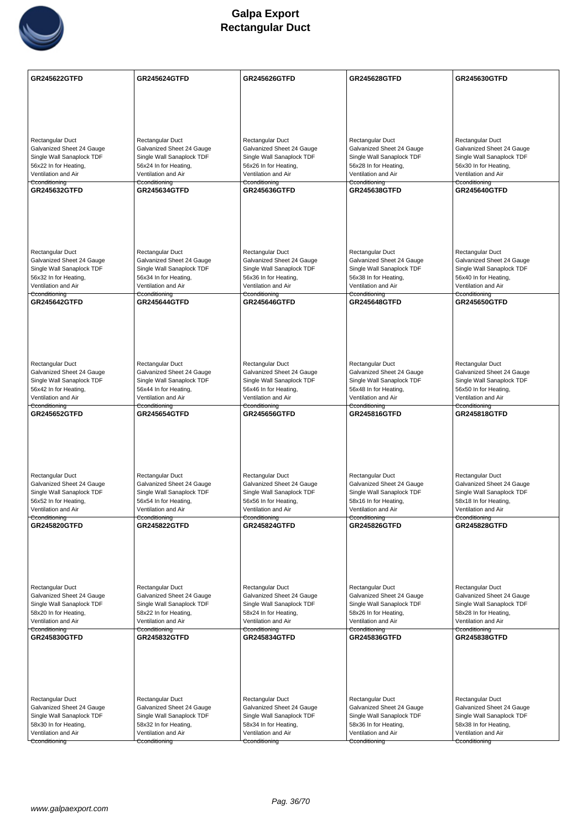

| <b>GR245622GTFD</b>                                    | <b>GR245624GTFD</b>                                    | <b>GR245626GTFD</b>                                    | <b>GR245628GTFD</b>                                    | GR245630GTFD                                           |
|--------------------------------------------------------|--------------------------------------------------------|--------------------------------------------------------|--------------------------------------------------------|--------------------------------------------------------|
|                                                        |                                                        |                                                        |                                                        |                                                        |
|                                                        |                                                        |                                                        |                                                        |                                                        |
|                                                        |                                                        |                                                        |                                                        |                                                        |
|                                                        |                                                        |                                                        |                                                        |                                                        |
| Rectangular Duct<br>Galvanized Sheet 24 Gauge          | Rectangular Duct<br>Galvanized Sheet 24 Gauge          | Rectangular Duct<br>Galvanized Sheet 24 Gauge          | Rectangular Duct<br>Galvanized Sheet 24 Gauge          | Rectangular Duct<br>Galvanized Sheet 24 Gauge          |
| Single Wall Sanaplock TDF                              | Single Wall Sanaplock TDF                              | Single Wall Sanaplock TDF                              | Single Wall Sanaplock TDF                              | Single Wall Sanaplock TDF                              |
| 56x22 In for Heating,                                  | 56x24 In for Heating,                                  | 56x26 In for Heating,                                  | 56x28 In for Heating,                                  | 56x30 In for Heating,                                  |
| Ventilation and Air<br>Cconditioning                   | Ventilation and Air<br>Cconditioning                   | Ventilation and Air<br>Cconditioning                   | Ventilation and Air<br>Cconditioning                   | Ventilation and Air<br>Cconditioning                   |
| <b>GR245632GTFD</b>                                    | <b>GR245634GTFD</b>                                    | <b>GR245636GTFD</b>                                    | <b>GR245638GTFD</b>                                    | <b>GR245640GTFD</b>                                    |
|                                                        |                                                        |                                                        |                                                        |                                                        |
|                                                        |                                                        |                                                        |                                                        |                                                        |
|                                                        |                                                        |                                                        |                                                        |                                                        |
|                                                        |                                                        |                                                        |                                                        |                                                        |
| <b>Rectangular Duct</b>                                | Rectangular Duct                                       | Rectangular Duct                                       | Rectangular Duct                                       | Rectangular Duct                                       |
| Galvanized Sheet 24 Gauge<br>Single Wall Sanaplock TDF | Galvanized Sheet 24 Gauge<br>Single Wall Sanaplock TDF | Galvanized Sheet 24 Gauge<br>Single Wall Sanaplock TDF | Galvanized Sheet 24 Gauge<br>Single Wall Sanaplock TDF | Galvanized Sheet 24 Gauge<br>Single Wall Sanaplock TDF |
| 56x32 In for Heating,                                  | 56x34 In for Heating,                                  | 56x36 In for Heating,                                  | 56x38 In for Heating,                                  | 56x40 In for Heating,                                  |
| Ventilation and Air<br>Cconditioning                   | Ventilation and Air<br><del>Cconditioning</del>        | Ventilation and Air<br>Cconditioning                   | Ventilation and Air<br><del>Cconditioning</del>        | Ventilation and Air<br>Cconditioning                   |
| GR245642GTFD                                           | <b>GR245644GTFD</b>                                    | <b>GR245646GTFD</b>                                    | <b>GR245648GTFD</b>                                    | <b>GR245650GTFD</b>                                    |
|                                                        |                                                        |                                                        |                                                        |                                                        |
|                                                        |                                                        |                                                        |                                                        |                                                        |
|                                                        |                                                        |                                                        |                                                        |                                                        |
|                                                        |                                                        |                                                        |                                                        |                                                        |
| Rectangular Duct                                       | Rectangular Duct                                       | Rectangular Duct                                       | Rectangular Duct                                       | Rectangular Duct                                       |
| Galvanized Sheet 24 Gauge<br>Single Wall Sanaplock TDF | Galvanized Sheet 24 Gauge<br>Single Wall Sanaplock TDF | Galvanized Sheet 24 Gauge<br>Single Wall Sanaplock TDF | Galvanized Sheet 24 Gauge<br>Single Wall Sanaplock TDF | Galvanized Sheet 24 Gauge<br>Single Wall Sanaplock TDF |
| 56x42 In for Heating,                                  | 56x44 In for Heating,                                  | 56x46 In for Heating,                                  | 56x48 In for Heating,                                  | 56x50 In for Heating,                                  |
| Ventilation and Air<br>Cconditioning                   | Ventilation and Air<br>Cconditioning                   | Ventilation and Air<br>Cconditioning                   | Ventilation and Air<br>Cconditioning                   | Ventilation and Air<br>Cconditioning                   |
| GR245652GTFD                                           | <b>GR245654GTFD</b>                                    | <b>GR245656GTFD</b>                                    | <b>GR245816GTFD</b>                                    | GR245818GTFD                                           |
|                                                        |                                                        |                                                        |                                                        |                                                        |
|                                                        |                                                        |                                                        |                                                        |                                                        |
|                                                        |                                                        |                                                        |                                                        |                                                        |
|                                                        |                                                        |                                                        |                                                        |                                                        |
| Rectangular Duct<br>Galvanized Sheet 24 Gauge          | Rectangular Duct<br>Galvanized Sheet 24 Gauge          | Rectangular Duct<br>Galvanized Sheet 24 Gauge          | Rectangular Duct<br>Galvanized Sheet 24 Gauge          | Rectangular Duct<br>Galvanized Sheet 24 Gauge          |
| Single Wall Sanaplock TDF                              | Single Wall Sanaplock TDF                              | Single Wall Sanaplock TDF                              | Single Wall Sanaplock TDF                              | Single Wall Sanaplock TDF                              |
| 56x52 In for Heating,<br>Ventilation and Air           | 56x54 In for Heating,<br>Ventilation and Air           | 56x56 In for Heating,                                  | 58x16 In for Heating,                                  | 58x18 In for Heating,                                  |
| Cconditioning                                          | Cconditioning                                          | Ventilation and Air<br>Cconditioning                   | Ventilation and Air<br>Cconditioning                   | Ventilation and Air<br>Cconditioning                   |
| <b>GR245820GTFD</b>                                    | <b>GR245822GTFD</b>                                    | <b>GR245824GTFD</b>                                    | GR245826GTFD                                           | <b>GR245828GTFD</b>                                    |
|                                                        |                                                        |                                                        |                                                        |                                                        |
|                                                        |                                                        |                                                        |                                                        |                                                        |
|                                                        |                                                        |                                                        |                                                        |                                                        |
| Rectangular Duct                                       | Rectangular Duct                                       | Rectangular Duct                                       | Rectangular Duct                                       | Rectangular Duct                                       |
| Galvanized Sheet 24 Gauge                              | Galvanized Sheet 24 Gauge                              | Galvanized Sheet 24 Gauge                              | Galvanized Sheet 24 Gauge                              | Galvanized Sheet 24 Gauge                              |
| Single Wall Sanaplock TDF                              | Single Wall Sanaplock TDF                              | Single Wall Sanaplock TDF                              | Single Wall Sanaplock TDF                              | Single Wall Sanaplock TDF                              |
| 58x20 In for Heating,<br>Ventilation and Air           | 58x22 In for Heating,<br>Ventilation and Air           | 58x24 In for Heating,<br>Ventilation and Air           | 58x26 In for Heating,<br>Ventilation and Air           | 58x28 In for Heating,<br>Ventilation and Air           |
| Cconditioning<br>GR245830GTFD                          | Cconditioning<br><b>GR245832GTFD</b>                   | Cconditioning<br><b>GR245834GTFD</b>                   | Cconditioning<br><b>GR245836GTFD</b>                   | Cconditioning<br><b>GR245838GTFD</b>                   |
|                                                        |                                                        |                                                        |                                                        |                                                        |
|                                                        |                                                        |                                                        |                                                        |                                                        |
|                                                        |                                                        |                                                        |                                                        |                                                        |
|                                                        |                                                        |                                                        |                                                        |                                                        |
| Rectangular Duct                                       | Rectangular Duct                                       | Rectangular Duct                                       | Rectangular Duct                                       | Rectangular Duct                                       |
| Galvanized Sheet 24 Gauge                              | Galvanized Sheet 24 Gauge                              | Galvanized Sheet 24 Gauge                              | Galvanized Sheet 24 Gauge                              | Galvanized Sheet 24 Gauge                              |
| Single Wall Sanaplock TDF<br>58x30 In for Heating,     | Single Wall Sanaplock TDF<br>58x32 In for Heating,     | Single Wall Sanaplock TDF<br>58x34 In for Heating,     | Single Wall Sanaplock TDF<br>58x36 In for Heating,     | Single Wall Sanaplock TDF<br>58x38 In for Heating,     |
| Ventilation and Air                                    | Ventilation and Air                                    | Ventilation and Air                                    | Ventilation and Air                                    | Ventilation and Air                                    |
| Cconditioning                                          | Cconditioning                                          | Cconditioning                                          | Cconditioning                                          | Cconditioning                                          |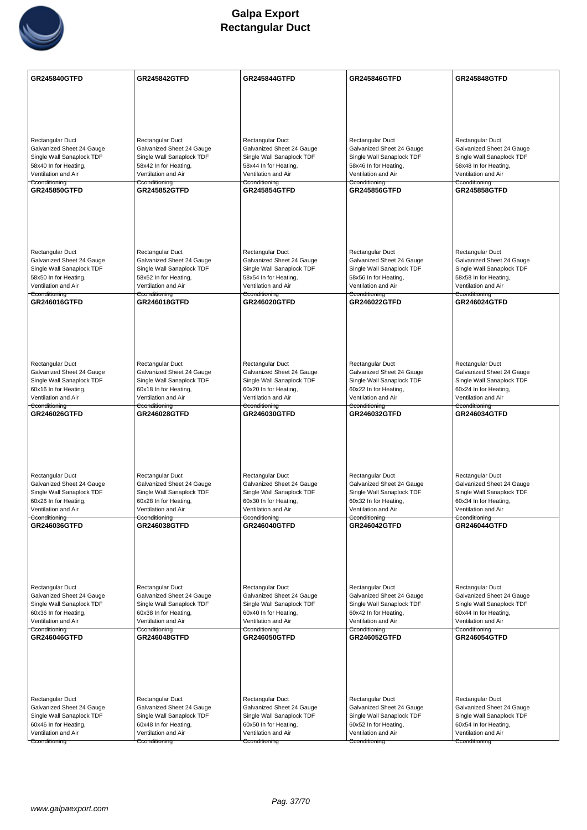

| Rectangular Duct<br>Rectangular Duct<br>Rectangular Duct<br>Rectangular Duct<br>Rectangular Duct<br>Galvanized Sheet 24 Gauge<br>Galvanized Sheet 24 Gauge<br>Galvanized Sheet 24 Gauge<br>Galvanized Sheet 24 Gauge<br>Galvanized Sheet 24 Gauge<br>Single Wall Sanaplock TDF<br>Single Wall Sanaplock TDF<br>Single Wall Sanaplock TDF<br>Single Wall Sanaplock TDF<br>Single Wall Sanaplock TDF<br>58x40 In for Heating,<br>58x42 In for Heating,<br>58x44 In for Heating,<br>58x46 In for Heating,<br>58x48 In for Heating,<br>Ventilation and Air<br>Ventilation and Air<br>Ventilation and Air<br>Ventilation and Air<br>Ventilation and Air<br>Cconditioning<br>Cconditioning<br>Cconditioning<br>Cconditioning<br>Cconditioning<br><b>GR245850GTFD</b><br><b>GR245852GTFD</b><br><b>GR245854GTFD</b><br><b>GR245856GTFD</b><br><b>GR245858GTFD</b><br><b>Rectangular Duct</b><br>Rectangular Duct<br>Rectangular Duct<br>Rectangular Duct<br>Rectangular Duct<br>Galvanized Sheet 24 Gauge<br>Galvanized Sheet 24 Gauge<br>Galvanized Sheet 24 Gauge<br>Galvanized Sheet 24 Gauge<br>Galvanized Sheet 24 Gauge<br>Single Wall Sanaplock TDF<br>Single Wall Sanaplock TDF<br>Single Wall Sanaplock TDF<br>Single Wall Sanaplock TDF<br>Single Wall Sanaplock TDF<br>58x50 In for Heating,<br>58x52 In for Heating,<br>58x54 In for Heating,<br>58x56 In for Heating,<br>58x58 In for Heating,<br>Ventilation and Air<br>Ventilation and Air<br>Ventilation and Air<br>Ventilation and Air<br>Ventilation and Air<br>Cconditioning<br>Cconditioning<br>Cconditioning<br>Cconditioning<br>Cconditioning<br>GR246016GTFD<br><b>GR246018GTFD</b><br><b>GR246020GTFD</b><br>GR246022GTFD<br><b>GR246024GTFD</b><br>Rectangular Duct<br>Rectangular Duct<br>Rectangular Duct<br>Rectangular Duct<br>Rectangular Duct<br>Galvanized Sheet 24 Gauge<br>Galvanized Sheet 24 Gauge<br>Galvanized Sheet 24 Gauge<br>Galvanized Sheet 24 Gauge<br>Galvanized Sheet 24 Gauge<br>Single Wall Sanaplock TDF<br>Single Wall Sanaplock TDF<br>Single Wall Sanaplock TDF<br>Single Wall Sanaplock TDF<br>Single Wall Sanaplock TDF<br>60x16 In for Heating,<br>60x18 In for Heating,<br>60x20 In for Heating,<br>60x22 In for Heating,<br>60x24 In for Heating,<br>Ventilation and Air<br>Ventilation and Air<br>Ventilation and Air<br>Ventilation and Air<br>Ventilation and Air<br>Cconditioning<br>Cconditioning<br>Cconditioning<br>Cconditioning<br>Cconditioning<br><b>GR246026GTFD</b><br><b>GR246028GTFD</b><br><b>GR246030GTFD</b><br><b>GR246032GTFD</b><br><b>GR246034GTFD</b><br>Rectangular Duct<br>Rectangular Duct<br>Rectangular Duct<br>Rectangular Duct<br>Rectangular Duct<br>Galvanized Sheet 24 Gauge<br>Galvanized Sheet 24 Gauge<br>Galvanized Sheet 24 Gauge<br>Galvanized Sheet 24 Gauge<br>Galvanized Sheet 24 Gauge<br>Single Wall Sanaplock TDF<br>Single Wall Sanaplock TDF<br>Single Wall Sanaplock TDF<br>Single Wall Sanaplock TDF<br>Single Wall Sanaplock TDF<br>60x26 In for Heating,<br>60x28 In for Heating,<br>60x30 In for Heating,<br>60x32 In for Heating,<br>60x34 In for Heating,<br>Ventilation and Air<br>Ventilation and Air<br>Ventilation and Air<br>Ventilation and Air<br>Ventilation and Air<br>Cconditioning<br>Cconditioning<br>Cconditioning<br>Cconditioning<br>Cconditioning<br>GR246036GTFD<br>GR246038GTFD<br><b>GR246040GTFD</b><br><b>GR246042GTFD</b><br>GR246044GTFD<br>Rectangular Duct<br>Rectangular Duct<br>Rectangular Duct<br>Rectangular Duct<br>Rectangular Duct<br>Galvanized Sheet 24 Gauge<br>Galvanized Sheet 24 Gauge<br>Galvanized Sheet 24 Gauge<br>Galvanized Sheet 24 Gauge<br>Galvanized Sheet 24 Gauge<br>Single Wall Sanaplock TDF<br>Single Wall Sanaplock TDF<br>Single Wall Sanaplock TDF<br>Single Wall Sanaplock TDF<br>Single Wall Sanaplock TDF<br>60x36 In for Heating,<br>60x38 In for Heating,<br>60x40 In for Heating,<br>60x42 In for Heating,<br>60x44 In for Heating,<br>Ventilation and Air<br>Ventilation and Air<br>Ventilation and Air<br>Ventilation and Air<br>Ventilation and Air<br>Cconditioning<br>Cconditioning<br>Cconditioning<br>Cconditioning<br>Cconditioning<br>GR246050GTFD<br>GR246054GTFD<br><b>GR246046GTFD</b><br><b>GR246048GTFD</b><br><b>GR246052GTFD</b><br>Rectangular Duct<br>Rectangular Duct<br>Rectangular Duct<br>Rectangular Duct<br>Rectangular Duct<br>Galvanized Sheet 24 Gauge<br>Galvanized Sheet 24 Gauge<br>Galvanized Sheet 24 Gauge<br>Galvanized Sheet 24 Gauge<br>Galvanized Sheet 24 Gauge<br>Single Wall Sanaplock TDF<br>Single Wall Sanaplock TDF<br>Single Wall Sanaplock TDF<br>Single Wall Sanaplock TDF<br>Single Wall Sanaplock TDF<br>60x54 In for Heating,<br>60x46 In for Heating,<br>60x48 In for Heating,<br>60x50 In for Heating,<br>60x52 In for Heating,<br>Ventilation and Air<br>Ventilation and Air<br>Ventilation and Air<br>Ventilation and Air<br>Ventilation and Air<br>Cconditioning<br>Cconditioning<br>Cconditioning<br>Cconditioning<br>Cconditioning | GR245840GTFD | <b>GR245842GTFD</b> | <b>GR245844GTFD</b> | <b>GR245846GTFD</b> | <b>GR245848GTFD</b> |
|---------------------------------------------------------------------------------------------------------------------------------------------------------------------------------------------------------------------------------------------------------------------------------------------------------------------------------------------------------------------------------------------------------------------------------------------------------------------------------------------------------------------------------------------------------------------------------------------------------------------------------------------------------------------------------------------------------------------------------------------------------------------------------------------------------------------------------------------------------------------------------------------------------------------------------------------------------------------------------------------------------------------------------------------------------------------------------------------------------------------------------------------------------------------------------------------------------------------------------------------------------------------------------------------------------------------------------------------------------------------------------------------------------------------------------------------------------------------------------------------------------------------------------------------------------------------------------------------------------------------------------------------------------------------------------------------------------------------------------------------------------------------------------------------------------------------------------------------------------------------------------------------------------------------------------------------------------------------------------------------------------------------------------------------------------------------------------------------------------------------------------------------------------------------------------------------------------------------------------------------------------------------------------------------------------------------------------------------------------------------------------------------------------------------------------------------------------------------------------------------------------------------------------------------------------------------------------------------------------------------------------------------------------------------------------------------------------------------------------------------------------------------------------------------------------------------------------------------------------------------------------------------------------------------------------------------------------------------------------------------------------------------------------------------------------------------------------------------------------------------------------------------------------------------------------------------------------------------------------------------------------------------------------------------------------------------------------------------------------------------------------------------------------------------------------------------------------------------------------------------------------------------------------------------------------------------------------------------------------------------------------------------------------------------------------------------------------------------------------------------------------------------------------------------------------------------------------------------------------------------------------------------------------------------------------------------------------------------------------------------------------------------------------------------------------------------------------------------------------------------------------------------------------------------------------------------------------------------------------------------------------------------------------------------------------------------------------------------------------------------------------------------------------------------------------------------------------------------------------------------------------------------------------------------------------------------------------------------------------------------------------------------------------------------------------------------------------------------------------------------------------------------------------------------------------------------------------------------------------------------------------------------------------------------------------------------------------------------------------------------------------------------|--------------|---------------------|---------------------|---------------------|---------------------|
|                                                                                                                                                                                                                                                                                                                                                                                                                                                                                                                                                                                                                                                                                                                                                                                                                                                                                                                                                                                                                                                                                                                                                                                                                                                                                                                                                                                                                                                                                                                                                                                                                                                                                                                                                                                                                                                                                                                                                                                                                                                                                                                                                                                                                                                                                                                                                                                                                                                                                                                                                                                                                                                                                                                                                                                                                                                                                                                                                                                                                                                                                                                                                                                                                                                                                                                                                                                                                                                                                                                                                                                                                                                                                                                                                                                                                                                                                                                                                                                                                                                                                                                                                                                                                                                                                                                                                                                                                                                                                                                                                                                                                                                                                                                                                                                                                                                                                                                                                                                                                     |              |                     |                     |                     |                     |
|                                                                                                                                                                                                                                                                                                                                                                                                                                                                                                                                                                                                                                                                                                                                                                                                                                                                                                                                                                                                                                                                                                                                                                                                                                                                                                                                                                                                                                                                                                                                                                                                                                                                                                                                                                                                                                                                                                                                                                                                                                                                                                                                                                                                                                                                                                                                                                                                                                                                                                                                                                                                                                                                                                                                                                                                                                                                                                                                                                                                                                                                                                                                                                                                                                                                                                                                                                                                                                                                                                                                                                                                                                                                                                                                                                                                                                                                                                                                                                                                                                                                                                                                                                                                                                                                                                                                                                                                                                                                                                                                                                                                                                                                                                                                                                                                                                                                                                                                                                                                                     |              |                     |                     |                     |                     |
|                                                                                                                                                                                                                                                                                                                                                                                                                                                                                                                                                                                                                                                                                                                                                                                                                                                                                                                                                                                                                                                                                                                                                                                                                                                                                                                                                                                                                                                                                                                                                                                                                                                                                                                                                                                                                                                                                                                                                                                                                                                                                                                                                                                                                                                                                                                                                                                                                                                                                                                                                                                                                                                                                                                                                                                                                                                                                                                                                                                                                                                                                                                                                                                                                                                                                                                                                                                                                                                                                                                                                                                                                                                                                                                                                                                                                                                                                                                                                                                                                                                                                                                                                                                                                                                                                                                                                                                                                                                                                                                                                                                                                                                                                                                                                                                                                                                                                                                                                                                                                     |              |                     |                     |                     |                     |
|                                                                                                                                                                                                                                                                                                                                                                                                                                                                                                                                                                                                                                                                                                                                                                                                                                                                                                                                                                                                                                                                                                                                                                                                                                                                                                                                                                                                                                                                                                                                                                                                                                                                                                                                                                                                                                                                                                                                                                                                                                                                                                                                                                                                                                                                                                                                                                                                                                                                                                                                                                                                                                                                                                                                                                                                                                                                                                                                                                                                                                                                                                                                                                                                                                                                                                                                                                                                                                                                                                                                                                                                                                                                                                                                                                                                                                                                                                                                                                                                                                                                                                                                                                                                                                                                                                                                                                                                                                                                                                                                                                                                                                                                                                                                                                                                                                                                                                                                                                                                                     |              |                     |                     |                     |                     |
|                                                                                                                                                                                                                                                                                                                                                                                                                                                                                                                                                                                                                                                                                                                                                                                                                                                                                                                                                                                                                                                                                                                                                                                                                                                                                                                                                                                                                                                                                                                                                                                                                                                                                                                                                                                                                                                                                                                                                                                                                                                                                                                                                                                                                                                                                                                                                                                                                                                                                                                                                                                                                                                                                                                                                                                                                                                                                                                                                                                                                                                                                                                                                                                                                                                                                                                                                                                                                                                                                                                                                                                                                                                                                                                                                                                                                                                                                                                                                                                                                                                                                                                                                                                                                                                                                                                                                                                                                                                                                                                                                                                                                                                                                                                                                                                                                                                                                                                                                                                                                     |              |                     |                     |                     |                     |
|                                                                                                                                                                                                                                                                                                                                                                                                                                                                                                                                                                                                                                                                                                                                                                                                                                                                                                                                                                                                                                                                                                                                                                                                                                                                                                                                                                                                                                                                                                                                                                                                                                                                                                                                                                                                                                                                                                                                                                                                                                                                                                                                                                                                                                                                                                                                                                                                                                                                                                                                                                                                                                                                                                                                                                                                                                                                                                                                                                                                                                                                                                                                                                                                                                                                                                                                                                                                                                                                                                                                                                                                                                                                                                                                                                                                                                                                                                                                                                                                                                                                                                                                                                                                                                                                                                                                                                                                                                                                                                                                                                                                                                                                                                                                                                                                                                                                                                                                                                                                                     |              |                     |                     |                     |                     |
|                                                                                                                                                                                                                                                                                                                                                                                                                                                                                                                                                                                                                                                                                                                                                                                                                                                                                                                                                                                                                                                                                                                                                                                                                                                                                                                                                                                                                                                                                                                                                                                                                                                                                                                                                                                                                                                                                                                                                                                                                                                                                                                                                                                                                                                                                                                                                                                                                                                                                                                                                                                                                                                                                                                                                                                                                                                                                                                                                                                                                                                                                                                                                                                                                                                                                                                                                                                                                                                                                                                                                                                                                                                                                                                                                                                                                                                                                                                                                                                                                                                                                                                                                                                                                                                                                                                                                                                                                                                                                                                                                                                                                                                                                                                                                                                                                                                                                                                                                                                                                     |              |                     |                     |                     |                     |
|                                                                                                                                                                                                                                                                                                                                                                                                                                                                                                                                                                                                                                                                                                                                                                                                                                                                                                                                                                                                                                                                                                                                                                                                                                                                                                                                                                                                                                                                                                                                                                                                                                                                                                                                                                                                                                                                                                                                                                                                                                                                                                                                                                                                                                                                                                                                                                                                                                                                                                                                                                                                                                                                                                                                                                                                                                                                                                                                                                                                                                                                                                                                                                                                                                                                                                                                                                                                                                                                                                                                                                                                                                                                                                                                                                                                                                                                                                                                                                                                                                                                                                                                                                                                                                                                                                                                                                                                                                                                                                                                                                                                                                                                                                                                                                                                                                                                                                                                                                                                                     |              |                     |                     |                     |                     |
|                                                                                                                                                                                                                                                                                                                                                                                                                                                                                                                                                                                                                                                                                                                                                                                                                                                                                                                                                                                                                                                                                                                                                                                                                                                                                                                                                                                                                                                                                                                                                                                                                                                                                                                                                                                                                                                                                                                                                                                                                                                                                                                                                                                                                                                                                                                                                                                                                                                                                                                                                                                                                                                                                                                                                                                                                                                                                                                                                                                                                                                                                                                                                                                                                                                                                                                                                                                                                                                                                                                                                                                                                                                                                                                                                                                                                                                                                                                                                                                                                                                                                                                                                                                                                                                                                                                                                                                                                                                                                                                                                                                                                                                                                                                                                                                                                                                                                                                                                                                                                     |              |                     |                     |                     |                     |
|                                                                                                                                                                                                                                                                                                                                                                                                                                                                                                                                                                                                                                                                                                                                                                                                                                                                                                                                                                                                                                                                                                                                                                                                                                                                                                                                                                                                                                                                                                                                                                                                                                                                                                                                                                                                                                                                                                                                                                                                                                                                                                                                                                                                                                                                                                                                                                                                                                                                                                                                                                                                                                                                                                                                                                                                                                                                                                                                                                                                                                                                                                                                                                                                                                                                                                                                                                                                                                                                                                                                                                                                                                                                                                                                                                                                                                                                                                                                                                                                                                                                                                                                                                                                                                                                                                                                                                                                                                                                                                                                                                                                                                                                                                                                                                                                                                                                                                                                                                                                                     |              |                     |                     |                     |                     |
|                                                                                                                                                                                                                                                                                                                                                                                                                                                                                                                                                                                                                                                                                                                                                                                                                                                                                                                                                                                                                                                                                                                                                                                                                                                                                                                                                                                                                                                                                                                                                                                                                                                                                                                                                                                                                                                                                                                                                                                                                                                                                                                                                                                                                                                                                                                                                                                                                                                                                                                                                                                                                                                                                                                                                                                                                                                                                                                                                                                                                                                                                                                                                                                                                                                                                                                                                                                                                                                                                                                                                                                                                                                                                                                                                                                                                                                                                                                                                                                                                                                                                                                                                                                                                                                                                                                                                                                                                                                                                                                                                                                                                                                                                                                                                                                                                                                                                                                                                                                                                     |              |                     |                     |                     |                     |
|                                                                                                                                                                                                                                                                                                                                                                                                                                                                                                                                                                                                                                                                                                                                                                                                                                                                                                                                                                                                                                                                                                                                                                                                                                                                                                                                                                                                                                                                                                                                                                                                                                                                                                                                                                                                                                                                                                                                                                                                                                                                                                                                                                                                                                                                                                                                                                                                                                                                                                                                                                                                                                                                                                                                                                                                                                                                                                                                                                                                                                                                                                                                                                                                                                                                                                                                                                                                                                                                                                                                                                                                                                                                                                                                                                                                                                                                                                                                                                                                                                                                                                                                                                                                                                                                                                                                                                                                                                                                                                                                                                                                                                                                                                                                                                                                                                                                                                                                                                                                                     |              |                     |                     |                     |                     |
|                                                                                                                                                                                                                                                                                                                                                                                                                                                                                                                                                                                                                                                                                                                                                                                                                                                                                                                                                                                                                                                                                                                                                                                                                                                                                                                                                                                                                                                                                                                                                                                                                                                                                                                                                                                                                                                                                                                                                                                                                                                                                                                                                                                                                                                                                                                                                                                                                                                                                                                                                                                                                                                                                                                                                                                                                                                                                                                                                                                                                                                                                                                                                                                                                                                                                                                                                                                                                                                                                                                                                                                                                                                                                                                                                                                                                                                                                                                                                                                                                                                                                                                                                                                                                                                                                                                                                                                                                                                                                                                                                                                                                                                                                                                                                                                                                                                                                                                                                                                                                     |              |                     |                     |                     |                     |
|                                                                                                                                                                                                                                                                                                                                                                                                                                                                                                                                                                                                                                                                                                                                                                                                                                                                                                                                                                                                                                                                                                                                                                                                                                                                                                                                                                                                                                                                                                                                                                                                                                                                                                                                                                                                                                                                                                                                                                                                                                                                                                                                                                                                                                                                                                                                                                                                                                                                                                                                                                                                                                                                                                                                                                                                                                                                                                                                                                                                                                                                                                                                                                                                                                                                                                                                                                                                                                                                                                                                                                                                                                                                                                                                                                                                                                                                                                                                                                                                                                                                                                                                                                                                                                                                                                                                                                                                                                                                                                                                                                                                                                                                                                                                                                                                                                                                                                                                                                                                                     |              |                     |                     |                     |                     |
|                                                                                                                                                                                                                                                                                                                                                                                                                                                                                                                                                                                                                                                                                                                                                                                                                                                                                                                                                                                                                                                                                                                                                                                                                                                                                                                                                                                                                                                                                                                                                                                                                                                                                                                                                                                                                                                                                                                                                                                                                                                                                                                                                                                                                                                                                                                                                                                                                                                                                                                                                                                                                                                                                                                                                                                                                                                                                                                                                                                                                                                                                                                                                                                                                                                                                                                                                                                                                                                                                                                                                                                                                                                                                                                                                                                                                                                                                                                                                                                                                                                                                                                                                                                                                                                                                                                                                                                                                                                                                                                                                                                                                                                                                                                                                                                                                                                                                                                                                                                                                     |              |                     |                     |                     |                     |
|                                                                                                                                                                                                                                                                                                                                                                                                                                                                                                                                                                                                                                                                                                                                                                                                                                                                                                                                                                                                                                                                                                                                                                                                                                                                                                                                                                                                                                                                                                                                                                                                                                                                                                                                                                                                                                                                                                                                                                                                                                                                                                                                                                                                                                                                                                                                                                                                                                                                                                                                                                                                                                                                                                                                                                                                                                                                                                                                                                                                                                                                                                                                                                                                                                                                                                                                                                                                                                                                                                                                                                                                                                                                                                                                                                                                                                                                                                                                                                                                                                                                                                                                                                                                                                                                                                                                                                                                                                                                                                                                                                                                                                                                                                                                                                                                                                                                                                                                                                                                                     |              |                     |                     |                     |                     |
|                                                                                                                                                                                                                                                                                                                                                                                                                                                                                                                                                                                                                                                                                                                                                                                                                                                                                                                                                                                                                                                                                                                                                                                                                                                                                                                                                                                                                                                                                                                                                                                                                                                                                                                                                                                                                                                                                                                                                                                                                                                                                                                                                                                                                                                                                                                                                                                                                                                                                                                                                                                                                                                                                                                                                                                                                                                                                                                                                                                                                                                                                                                                                                                                                                                                                                                                                                                                                                                                                                                                                                                                                                                                                                                                                                                                                                                                                                                                                                                                                                                                                                                                                                                                                                                                                                                                                                                                                                                                                                                                                                                                                                                                                                                                                                                                                                                                                                                                                                                                                     |              |                     |                     |                     |                     |
|                                                                                                                                                                                                                                                                                                                                                                                                                                                                                                                                                                                                                                                                                                                                                                                                                                                                                                                                                                                                                                                                                                                                                                                                                                                                                                                                                                                                                                                                                                                                                                                                                                                                                                                                                                                                                                                                                                                                                                                                                                                                                                                                                                                                                                                                                                                                                                                                                                                                                                                                                                                                                                                                                                                                                                                                                                                                                                                                                                                                                                                                                                                                                                                                                                                                                                                                                                                                                                                                                                                                                                                                                                                                                                                                                                                                                                                                                                                                                                                                                                                                                                                                                                                                                                                                                                                                                                                                                                                                                                                                                                                                                                                                                                                                                                                                                                                                                                                                                                                                                     |              |                     |                     |                     |                     |
|                                                                                                                                                                                                                                                                                                                                                                                                                                                                                                                                                                                                                                                                                                                                                                                                                                                                                                                                                                                                                                                                                                                                                                                                                                                                                                                                                                                                                                                                                                                                                                                                                                                                                                                                                                                                                                                                                                                                                                                                                                                                                                                                                                                                                                                                                                                                                                                                                                                                                                                                                                                                                                                                                                                                                                                                                                                                                                                                                                                                                                                                                                                                                                                                                                                                                                                                                                                                                                                                                                                                                                                                                                                                                                                                                                                                                                                                                                                                                                                                                                                                                                                                                                                                                                                                                                                                                                                                                                                                                                                                                                                                                                                                                                                                                                                                                                                                                                                                                                                                                     |              |                     |                     |                     |                     |
|                                                                                                                                                                                                                                                                                                                                                                                                                                                                                                                                                                                                                                                                                                                                                                                                                                                                                                                                                                                                                                                                                                                                                                                                                                                                                                                                                                                                                                                                                                                                                                                                                                                                                                                                                                                                                                                                                                                                                                                                                                                                                                                                                                                                                                                                                                                                                                                                                                                                                                                                                                                                                                                                                                                                                                                                                                                                                                                                                                                                                                                                                                                                                                                                                                                                                                                                                                                                                                                                                                                                                                                                                                                                                                                                                                                                                                                                                                                                                                                                                                                                                                                                                                                                                                                                                                                                                                                                                                                                                                                                                                                                                                                                                                                                                                                                                                                                                                                                                                                                                     |              |                     |                     |                     |                     |
|                                                                                                                                                                                                                                                                                                                                                                                                                                                                                                                                                                                                                                                                                                                                                                                                                                                                                                                                                                                                                                                                                                                                                                                                                                                                                                                                                                                                                                                                                                                                                                                                                                                                                                                                                                                                                                                                                                                                                                                                                                                                                                                                                                                                                                                                                                                                                                                                                                                                                                                                                                                                                                                                                                                                                                                                                                                                                                                                                                                                                                                                                                                                                                                                                                                                                                                                                                                                                                                                                                                                                                                                                                                                                                                                                                                                                                                                                                                                                                                                                                                                                                                                                                                                                                                                                                                                                                                                                                                                                                                                                                                                                                                                                                                                                                                                                                                                                                                                                                                                                     |              |                     |                     |                     |                     |
|                                                                                                                                                                                                                                                                                                                                                                                                                                                                                                                                                                                                                                                                                                                                                                                                                                                                                                                                                                                                                                                                                                                                                                                                                                                                                                                                                                                                                                                                                                                                                                                                                                                                                                                                                                                                                                                                                                                                                                                                                                                                                                                                                                                                                                                                                                                                                                                                                                                                                                                                                                                                                                                                                                                                                                                                                                                                                                                                                                                                                                                                                                                                                                                                                                                                                                                                                                                                                                                                                                                                                                                                                                                                                                                                                                                                                                                                                                                                                                                                                                                                                                                                                                                                                                                                                                                                                                                                                                                                                                                                                                                                                                                                                                                                                                                                                                                                                                                                                                                                                     |              |                     |                     |                     |                     |
|                                                                                                                                                                                                                                                                                                                                                                                                                                                                                                                                                                                                                                                                                                                                                                                                                                                                                                                                                                                                                                                                                                                                                                                                                                                                                                                                                                                                                                                                                                                                                                                                                                                                                                                                                                                                                                                                                                                                                                                                                                                                                                                                                                                                                                                                                                                                                                                                                                                                                                                                                                                                                                                                                                                                                                                                                                                                                                                                                                                                                                                                                                                                                                                                                                                                                                                                                                                                                                                                                                                                                                                                                                                                                                                                                                                                                                                                                                                                                                                                                                                                                                                                                                                                                                                                                                                                                                                                                                                                                                                                                                                                                                                                                                                                                                                                                                                                                                                                                                                                                     |              |                     |                     |                     |                     |
|                                                                                                                                                                                                                                                                                                                                                                                                                                                                                                                                                                                                                                                                                                                                                                                                                                                                                                                                                                                                                                                                                                                                                                                                                                                                                                                                                                                                                                                                                                                                                                                                                                                                                                                                                                                                                                                                                                                                                                                                                                                                                                                                                                                                                                                                                                                                                                                                                                                                                                                                                                                                                                                                                                                                                                                                                                                                                                                                                                                                                                                                                                                                                                                                                                                                                                                                                                                                                                                                                                                                                                                                                                                                                                                                                                                                                                                                                                                                                                                                                                                                                                                                                                                                                                                                                                                                                                                                                                                                                                                                                                                                                                                                                                                                                                                                                                                                                                                                                                                                                     |              |                     |                     |                     |                     |
|                                                                                                                                                                                                                                                                                                                                                                                                                                                                                                                                                                                                                                                                                                                                                                                                                                                                                                                                                                                                                                                                                                                                                                                                                                                                                                                                                                                                                                                                                                                                                                                                                                                                                                                                                                                                                                                                                                                                                                                                                                                                                                                                                                                                                                                                                                                                                                                                                                                                                                                                                                                                                                                                                                                                                                                                                                                                                                                                                                                                                                                                                                                                                                                                                                                                                                                                                                                                                                                                                                                                                                                                                                                                                                                                                                                                                                                                                                                                                                                                                                                                                                                                                                                                                                                                                                                                                                                                                                                                                                                                                                                                                                                                                                                                                                                                                                                                                                                                                                                                                     |              |                     |                     |                     |                     |
|                                                                                                                                                                                                                                                                                                                                                                                                                                                                                                                                                                                                                                                                                                                                                                                                                                                                                                                                                                                                                                                                                                                                                                                                                                                                                                                                                                                                                                                                                                                                                                                                                                                                                                                                                                                                                                                                                                                                                                                                                                                                                                                                                                                                                                                                                                                                                                                                                                                                                                                                                                                                                                                                                                                                                                                                                                                                                                                                                                                                                                                                                                                                                                                                                                                                                                                                                                                                                                                                                                                                                                                                                                                                                                                                                                                                                                                                                                                                                                                                                                                                                                                                                                                                                                                                                                                                                                                                                                                                                                                                                                                                                                                                                                                                                                                                                                                                                                                                                                                                                     |              |                     |                     |                     |                     |
|                                                                                                                                                                                                                                                                                                                                                                                                                                                                                                                                                                                                                                                                                                                                                                                                                                                                                                                                                                                                                                                                                                                                                                                                                                                                                                                                                                                                                                                                                                                                                                                                                                                                                                                                                                                                                                                                                                                                                                                                                                                                                                                                                                                                                                                                                                                                                                                                                                                                                                                                                                                                                                                                                                                                                                                                                                                                                                                                                                                                                                                                                                                                                                                                                                                                                                                                                                                                                                                                                                                                                                                                                                                                                                                                                                                                                                                                                                                                                                                                                                                                                                                                                                                                                                                                                                                                                                                                                                                                                                                                                                                                                                                                                                                                                                                                                                                                                                                                                                                                                     |              |                     |                     |                     |                     |
|                                                                                                                                                                                                                                                                                                                                                                                                                                                                                                                                                                                                                                                                                                                                                                                                                                                                                                                                                                                                                                                                                                                                                                                                                                                                                                                                                                                                                                                                                                                                                                                                                                                                                                                                                                                                                                                                                                                                                                                                                                                                                                                                                                                                                                                                                                                                                                                                                                                                                                                                                                                                                                                                                                                                                                                                                                                                                                                                                                                                                                                                                                                                                                                                                                                                                                                                                                                                                                                                                                                                                                                                                                                                                                                                                                                                                                                                                                                                                                                                                                                                                                                                                                                                                                                                                                                                                                                                                                                                                                                                                                                                                                                                                                                                                                                                                                                                                                                                                                                                                     |              |                     |                     |                     |                     |
|                                                                                                                                                                                                                                                                                                                                                                                                                                                                                                                                                                                                                                                                                                                                                                                                                                                                                                                                                                                                                                                                                                                                                                                                                                                                                                                                                                                                                                                                                                                                                                                                                                                                                                                                                                                                                                                                                                                                                                                                                                                                                                                                                                                                                                                                                                                                                                                                                                                                                                                                                                                                                                                                                                                                                                                                                                                                                                                                                                                                                                                                                                                                                                                                                                                                                                                                                                                                                                                                                                                                                                                                                                                                                                                                                                                                                                                                                                                                                                                                                                                                                                                                                                                                                                                                                                                                                                                                                                                                                                                                                                                                                                                                                                                                                                                                                                                                                                                                                                                                                     |              |                     |                     |                     |                     |
|                                                                                                                                                                                                                                                                                                                                                                                                                                                                                                                                                                                                                                                                                                                                                                                                                                                                                                                                                                                                                                                                                                                                                                                                                                                                                                                                                                                                                                                                                                                                                                                                                                                                                                                                                                                                                                                                                                                                                                                                                                                                                                                                                                                                                                                                                                                                                                                                                                                                                                                                                                                                                                                                                                                                                                                                                                                                                                                                                                                                                                                                                                                                                                                                                                                                                                                                                                                                                                                                                                                                                                                                                                                                                                                                                                                                                                                                                                                                                                                                                                                                                                                                                                                                                                                                                                                                                                                                                                                                                                                                                                                                                                                                                                                                                                                                                                                                                                                                                                                                                     |              |                     |                     |                     |                     |
|                                                                                                                                                                                                                                                                                                                                                                                                                                                                                                                                                                                                                                                                                                                                                                                                                                                                                                                                                                                                                                                                                                                                                                                                                                                                                                                                                                                                                                                                                                                                                                                                                                                                                                                                                                                                                                                                                                                                                                                                                                                                                                                                                                                                                                                                                                                                                                                                                                                                                                                                                                                                                                                                                                                                                                                                                                                                                                                                                                                                                                                                                                                                                                                                                                                                                                                                                                                                                                                                                                                                                                                                                                                                                                                                                                                                                                                                                                                                                                                                                                                                                                                                                                                                                                                                                                                                                                                                                                                                                                                                                                                                                                                                                                                                                                                                                                                                                                                                                                                                                     |              |                     |                     |                     |                     |
|                                                                                                                                                                                                                                                                                                                                                                                                                                                                                                                                                                                                                                                                                                                                                                                                                                                                                                                                                                                                                                                                                                                                                                                                                                                                                                                                                                                                                                                                                                                                                                                                                                                                                                                                                                                                                                                                                                                                                                                                                                                                                                                                                                                                                                                                                                                                                                                                                                                                                                                                                                                                                                                                                                                                                                                                                                                                                                                                                                                                                                                                                                                                                                                                                                                                                                                                                                                                                                                                                                                                                                                                                                                                                                                                                                                                                                                                                                                                                                                                                                                                                                                                                                                                                                                                                                                                                                                                                                                                                                                                                                                                                                                                                                                                                                                                                                                                                                                                                                                                                     |              |                     |                     |                     |                     |
|                                                                                                                                                                                                                                                                                                                                                                                                                                                                                                                                                                                                                                                                                                                                                                                                                                                                                                                                                                                                                                                                                                                                                                                                                                                                                                                                                                                                                                                                                                                                                                                                                                                                                                                                                                                                                                                                                                                                                                                                                                                                                                                                                                                                                                                                                                                                                                                                                                                                                                                                                                                                                                                                                                                                                                                                                                                                                                                                                                                                                                                                                                                                                                                                                                                                                                                                                                                                                                                                                                                                                                                                                                                                                                                                                                                                                                                                                                                                                                                                                                                                                                                                                                                                                                                                                                                                                                                                                                                                                                                                                                                                                                                                                                                                                                                                                                                                                                                                                                                                                     |              |                     |                     |                     |                     |
|                                                                                                                                                                                                                                                                                                                                                                                                                                                                                                                                                                                                                                                                                                                                                                                                                                                                                                                                                                                                                                                                                                                                                                                                                                                                                                                                                                                                                                                                                                                                                                                                                                                                                                                                                                                                                                                                                                                                                                                                                                                                                                                                                                                                                                                                                                                                                                                                                                                                                                                                                                                                                                                                                                                                                                                                                                                                                                                                                                                                                                                                                                                                                                                                                                                                                                                                                                                                                                                                                                                                                                                                                                                                                                                                                                                                                                                                                                                                                                                                                                                                                                                                                                                                                                                                                                                                                                                                                                                                                                                                                                                                                                                                                                                                                                                                                                                                                                                                                                                                                     |              |                     |                     |                     |                     |
|                                                                                                                                                                                                                                                                                                                                                                                                                                                                                                                                                                                                                                                                                                                                                                                                                                                                                                                                                                                                                                                                                                                                                                                                                                                                                                                                                                                                                                                                                                                                                                                                                                                                                                                                                                                                                                                                                                                                                                                                                                                                                                                                                                                                                                                                                                                                                                                                                                                                                                                                                                                                                                                                                                                                                                                                                                                                                                                                                                                                                                                                                                                                                                                                                                                                                                                                                                                                                                                                                                                                                                                                                                                                                                                                                                                                                                                                                                                                                                                                                                                                                                                                                                                                                                                                                                                                                                                                                                                                                                                                                                                                                                                                                                                                                                                                                                                                                                                                                                                                                     |              |                     |                     |                     |                     |
|                                                                                                                                                                                                                                                                                                                                                                                                                                                                                                                                                                                                                                                                                                                                                                                                                                                                                                                                                                                                                                                                                                                                                                                                                                                                                                                                                                                                                                                                                                                                                                                                                                                                                                                                                                                                                                                                                                                                                                                                                                                                                                                                                                                                                                                                                                                                                                                                                                                                                                                                                                                                                                                                                                                                                                                                                                                                                                                                                                                                                                                                                                                                                                                                                                                                                                                                                                                                                                                                                                                                                                                                                                                                                                                                                                                                                                                                                                                                                                                                                                                                                                                                                                                                                                                                                                                                                                                                                                                                                                                                                                                                                                                                                                                                                                                                                                                                                                                                                                                                                     |              |                     |                     |                     |                     |
|                                                                                                                                                                                                                                                                                                                                                                                                                                                                                                                                                                                                                                                                                                                                                                                                                                                                                                                                                                                                                                                                                                                                                                                                                                                                                                                                                                                                                                                                                                                                                                                                                                                                                                                                                                                                                                                                                                                                                                                                                                                                                                                                                                                                                                                                                                                                                                                                                                                                                                                                                                                                                                                                                                                                                                                                                                                                                                                                                                                                                                                                                                                                                                                                                                                                                                                                                                                                                                                                                                                                                                                                                                                                                                                                                                                                                                                                                                                                                                                                                                                                                                                                                                                                                                                                                                                                                                                                                                                                                                                                                                                                                                                                                                                                                                                                                                                                                                                                                                                                                     |              |                     |                     |                     |                     |
|                                                                                                                                                                                                                                                                                                                                                                                                                                                                                                                                                                                                                                                                                                                                                                                                                                                                                                                                                                                                                                                                                                                                                                                                                                                                                                                                                                                                                                                                                                                                                                                                                                                                                                                                                                                                                                                                                                                                                                                                                                                                                                                                                                                                                                                                                                                                                                                                                                                                                                                                                                                                                                                                                                                                                                                                                                                                                                                                                                                                                                                                                                                                                                                                                                                                                                                                                                                                                                                                                                                                                                                                                                                                                                                                                                                                                                                                                                                                                                                                                                                                                                                                                                                                                                                                                                                                                                                                                                                                                                                                                                                                                                                                                                                                                                                                                                                                                                                                                                                                                     |              |                     |                     |                     |                     |
|                                                                                                                                                                                                                                                                                                                                                                                                                                                                                                                                                                                                                                                                                                                                                                                                                                                                                                                                                                                                                                                                                                                                                                                                                                                                                                                                                                                                                                                                                                                                                                                                                                                                                                                                                                                                                                                                                                                                                                                                                                                                                                                                                                                                                                                                                                                                                                                                                                                                                                                                                                                                                                                                                                                                                                                                                                                                                                                                                                                                                                                                                                                                                                                                                                                                                                                                                                                                                                                                                                                                                                                                                                                                                                                                                                                                                                                                                                                                                                                                                                                                                                                                                                                                                                                                                                                                                                                                                                                                                                                                                                                                                                                                                                                                                                                                                                                                                                                                                                                                                     |              |                     |                     |                     |                     |
|                                                                                                                                                                                                                                                                                                                                                                                                                                                                                                                                                                                                                                                                                                                                                                                                                                                                                                                                                                                                                                                                                                                                                                                                                                                                                                                                                                                                                                                                                                                                                                                                                                                                                                                                                                                                                                                                                                                                                                                                                                                                                                                                                                                                                                                                                                                                                                                                                                                                                                                                                                                                                                                                                                                                                                                                                                                                                                                                                                                                                                                                                                                                                                                                                                                                                                                                                                                                                                                                                                                                                                                                                                                                                                                                                                                                                                                                                                                                                                                                                                                                                                                                                                                                                                                                                                                                                                                                                                                                                                                                                                                                                                                                                                                                                                                                                                                                                                                                                                                                                     |              |                     |                     |                     |                     |
|                                                                                                                                                                                                                                                                                                                                                                                                                                                                                                                                                                                                                                                                                                                                                                                                                                                                                                                                                                                                                                                                                                                                                                                                                                                                                                                                                                                                                                                                                                                                                                                                                                                                                                                                                                                                                                                                                                                                                                                                                                                                                                                                                                                                                                                                                                                                                                                                                                                                                                                                                                                                                                                                                                                                                                                                                                                                                                                                                                                                                                                                                                                                                                                                                                                                                                                                                                                                                                                                                                                                                                                                                                                                                                                                                                                                                                                                                                                                                                                                                                                                                                                                                                                                                                                                                                                                                                                                                                                                                                                                                                                                                                                                                                                                                                                                                                                                                                                                                                                                                     |              |                     |                     |                     |                     |
|                                                                                                                                                                                                                                                                                                                                                                                                                                                                                                                                                                                                                                                                                                                                                                                                                                                                                                                                                                                                                                                                                                                                                                                                                                                                                                                                                                                                                                                                                                                                                                                                                                                                                                                                                                                                                                                                                                                                                                                                                                                                                                                                                                                                                                                                                                                                                                                                                                                                                                                                                                                                                                                                                                                                                                                                                                                                                                                                                                                                                                                                                                                                                                                                                                                                                                                                                                                                                                                                                                                                                                                                                                                                                                                                                                                                                                                                                                                                                                                                                                                                                                                                                                                                                                                                                                                                                                                                                                                                                                                                                                                                                                                                                                                                                                                                                                                                                                                                                                                                                     |              |                     |                     |                     |                     |
|                                                                                                                                                                                                                                                                                                                                                                                                                                                                                                                                                                                                                                                                                                                                                                                                                                                                                                                                                                                                                                                                                                                                                                                                                                                                                                                                                                                                                                                                                                                                                                                                                                                                                                                                                                                                                                                                                                                                                                                                                                                                                                                                                                                                                                                                                                                                                                                                                                                                                                                                                                                                                                                                                                                                                                                                                                                                                                                                                                                                                                                                                                                                                                                                                                                                                                                                                                                                                                                                                                                                                                                                                                                                                                                                                                                                                                                                                                                                                                                                                                                                                                                                                                                                                                                                                                                                                                                                                                                                                                                                                                                                                                                                                                                                                                                                                                                                                                                                                                                                                     |              |                     |                     |                     |                     |
|                                                                                                                                                                                                                                                                                                                                                                                                                                                                                                                                                                                                                                                                                                                                                                                                                                                                                                                                                                                                                                                                                                                                                                                                                                                                                                                                                                                                                                                                                                                                                                                                                                                                                                                                                                                                                                                                                                                                                                                                                                                                                                                                                                                                                                                                                                                                                                                                                                                                                                                                                                                                                                                                                                                                                                                                                                                                                                                                                                                                                                                                                                                                                                                                                                                                                                                                                                                                                                                                                                                                                                                                                                                                                                                                                                                                                                                                                                                                                                                                                                                                                                                                                                                                                                                                                                                                                                                                                                                                                                                                                                                                                                                                                                                                                                                                                                                                                                                                                                                                                     |              |                     |                     |                     |                     |
|                                                                                                                                                                                                                                                                                                                                                                                                                                                                                                                                                                                                                                                                                                                                                                                                                                                                                                                                                                                                                                                                                                                                                                                                                                                                                                                                                                                                                                                                                                                                                                                                                                                                                                                                                                                                                                                                                                                                                                                                                                                                                                                                                                                                                                                                                                                                                                                                                                                                                                                                                                                                                                                                                                                                                                                                                                                                                                                                                                                                                                                                                                                                                                                                                                                                                                                                                                                                                                                                                                                                                                                                                                                                                                                                                                                                                                                                                                                                                                                                                                                                                                                                                                                                                                                                                                                                                                                                                                                                                                                                                                                                                                                                                                                                                                                                                                                                                                                                                                                                                     |              |                     |                     |                     |                     |
|                                                                                                                                                                                                                                                                                                                                                                                                                                                                                                                                                                                                                                                                                                                                                                                                                                                                                                                                                                                                                                                                                                                                                                                                                                                                                                                                                                                                                                                                                                                                                                                                                                                                                                                                                                                                                                                                                                                                                                                                                                                                                                                                                                                                                                                                                                                                                                                                                                                                                                                                                                                                                                                                                                                                                                                                                                                                                                                                                                                                                                                                                                                                                                                                                                                                                                                                                                                                                                                                                                                                                                                                                                                                                                                                                                                                                                                                                                                                                                                                                                                                                                                                                                                                                                                                                                                                                                                                                                                                                                                                                                                                                                                                                                                                                                                                                                                                                                                                                                                                                     |              |                     |                     |                     |                     |
|                                                                                                                                                                                                                                                                                                                                                                                                                                                                                                                                                                                                                                                                                                                                                                                                                                                                                                                                                                                                                                                                                                                                                                                                                                                                                                                                                                                                                                                                                                                                                                                                                                                                                                                                                                                                                                                                                                                                                                                                                                                                                                                                                                                                                                                                                                                                                                                                                                                                                                                                                                                                                                                                                                                                                                                                                                                                                                                                                                                                                                                                                                                                                                                                                                                                                                                                                                                                                                                                                                                                                                                                                                                                                                                                                                                                                                                                                                                                                                                                                                                                                                                                                                                                                                                                                                                                                                                                                                                                                                                                                                                                                                                                                                                                                                                                                                                                                                                                                                                                                     |              |                     |                     |                     |                     |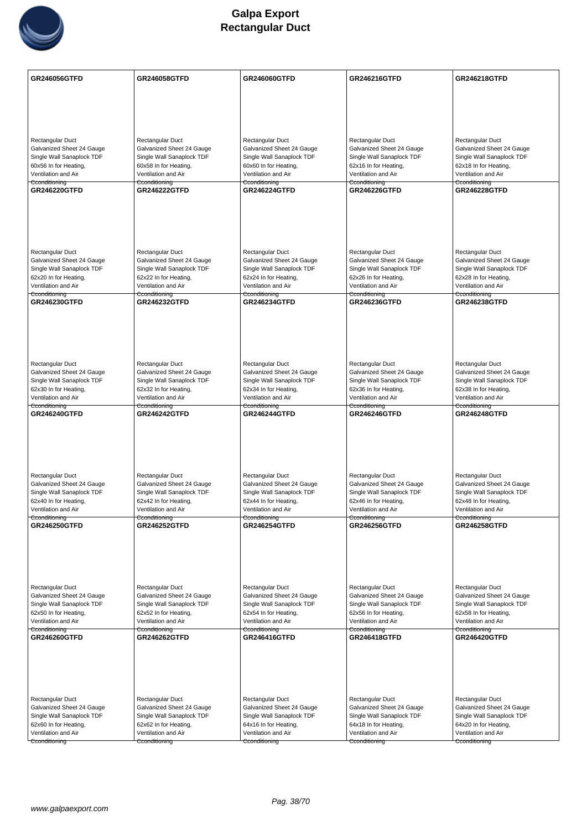

| <b>GR246056GTFD</b>                                    | GR246058GTFD                                           | GR246060GTFD                                           | GR246216GTFD                                           | GR246218GTFD                                           |
|--------------------------------------------------------|--------------------------------------------------------|--------------------------------------------------------|--------------------------------------------------------|--------------------------------------------------------|
|                                                        |                                                        |                                                        |                                                        |                                                        |
|                                                        |                                                        |                                                        |                                                        |                                                        |
|                                                        |                                                        |                                                        |                                                        |                                                        |
|                                                        |                                                        |                                                        |                                                        |                                                        |
| Rectangular Duct                                       | Rectangular Duct                                       | Rectangular Duct                                       | Rectangular Duct                                       | Rectangular Duct                                       |
| Galvanized Sheet 24 Gauge                              | Galvanized Sheet 24 Gauge                              | Galvanized Sheet 24 Gauge                              | Galvanized Sheet 24 Gauge                              | Galvanized Sheet 24 Gauge                              |
| Single Wall Sanaplock TDF<br>60x56 In for Heating,     | Single Wall Sanaplock TDF<br>60x58 In for Heating,     | Single Wall Sanaplock TDF<br>60x60 In for Heating,     | Single Wall Sanaplock TDF<br>62x16 In for Heating,     | Single Wall Sanaplock TDF<br>62x18 In for Heating,     |
| Ventilation and Air                                    | Ventilation and Air                                    | Ventilation and Air                                    | Ventilation and Air                                    | Ventilation and Air                                    |
| Cconditioning                                          | Cconditioning                                          | Cconditioning                                          | Cconditioning                                          | Cconditioning                                          |
| GR246220GTFD                                           | <b>GR246222GTFD</b>                                    | <b>GR246224GTFD</b>                                    | <b>GR246226GTFD</b>                                    | <b>GR246228GTFD</b>                                    |
|                                                        |                                                        |                                                        |                                                        |                                                        |
|                                                        |                                                        |                                                        |                                                        |                                                        |
|                                                        |                                                        |                                                        |                                                        |                                                        |
|                                                        |                                                        |                                                        |                                                        |                                                        |
| Rectangular Duct                                       | Rectangular Duct                                       | Rectangular Duct                                       | Rectangular Duct                                       | Rectangular Duct                                       |
| Galvanized Sheet 24 Gauge                              | Galvanized Sheet 24 Gauge                              | Galvanized Sheet 24 Gauge                              | Galvanized Sheet 24 Gauge                              | Galvanized Sheet 24 Gauge                              |
| Single Wall Sanaplock TDF<br>62x20 In for Heating,     | Single Wall Sanaplock TDF<br>62x22 In for Heating,     | Single Wall Sanaplock TDF<br>62x24 In for Heating,     | Single Wall Sanaplock TDF<br>62x26 In for Heating,     | Single Wall Sanaplock TDF<br>62x28 In for Heating,     |
| Ventilation and Air                                    | Ventilation and Air                                    | Ventilation and Air                                    | Ventilation and Air                                    | Ventilation and Air                                    |
| Cconditioning                                          | Cconditioning                                          | Cconditioning                                          | Cconditioning                                          | Cconditioning                                          |
| <b>GR246230GTFD</b>                                    | <b>GR246232GTFD</b>                                    | <b>GR246234GTFD</b>                                    | <b>GR246236GTFD</b>                                    | <b>GR246238GTFD</b>                                    |
|                                                        |                                                        |                                                        |                                                        |                                                        |
|                                                        |                                                        |                                                        |                                                        |                                                        |
|                                                        |                                                        |                                                        |                                                        |                                                        |
|                                                        |                                                        |                                                        |                                                        |                                                        |
| Rectangular Duct                                       | Rectangular Duct                                       | Rectangular Duct                                       | Rectangular Duct                                       | Rectangular Duct                                       |
| Galvanized Sheet 24 Gauge                              | Galvanized Sheet 24 Gauge                              | Galvanized Sheet 24 Gauge                              | Galvanized Sheet 24 Gauge                              | Galvanized Sheet 24 Gauge                              |
| Single Wall Sanaplock TDF<br>62x30 In for Heating,     | Single Wall Sanaplock TDF<br>62x32 In for Heating,     | Single Wall Sanaplock TDF<br>62x34 In for Heating,     | Single Wall Sanaplock TDF<br>62x36 In for Heating,     | Single Wall Sanaplock TDF<br>62x38 In for Heating,     |
| Ventilation and Air                                    | Ventilation and Air                                    | Ventilation and Air                                    | Ventilation and Air                                    | Ventilation and Air                                    |
| Cconditioning<br>GR246240GTFD                          | Cconditioning<br><b>GR246242GTFD</b>                   | Cconditioning<br><b>GR246244GTFD</b>                   | Cconditioning<br>GR246246GTFD                          | Cconditioning<br><b>GR246248GTFD</b>                   |
|                                                        |                                                        |                                                        |                                                        |                                                        |
|                                                        |                                                        |                                                        |                                                        |                                                        |
|                                                        |                                                        |                                                        |                                                        |                                                        |
|                                                        |                                                        |                                                        |                                                        |                                                        |
|                                                        |                                                        |                                                        |                                                        |                                                        |
| Rectangular Duct                                       | Rectangular Duct                                       | Rectangular Duct                                       | Rectangular Duct                                       | Rectangular Duct                                       |
| Galvanized Sheet 24 Gauge<br>Single Wall Sanaplock TDF | Galvanized Sheet 24 Gauge<br>Single Wall Sanaplock TDF | Galvanized Sheet 24 Gauge<br>Single Wall Sanaplock TDF | Galvanized Sheet 24 Gauge<br>Single Wall Sanaplock TDF | Galvanized Sheet 24 Gauge<br>Single Wall Sanaplock TDF |
| 62x40 In for Heating,                                  | 62x42 In for Heating,                                  | 62x44 In for Heating,                                  | 62x46 In for Heating,                                  | 62x48 In for Heating,                                  |
| Ventilation and Air                                    | Ventilation and Air                                    | Ventilation and Air                                    | Ventilation and Air                                    | Ventilation and Air                                    |
| Cconditioning<br><b>GR246250GTFD</b>                   | Cconditioning<br><b>GR246252GTFD</b>                   | Cconditioning<br><b>GR246254GTFD</b>                   | Cconditioning<br>GR246256GTFD                          | Cconditioning<br><b>GR246258GTFD</b>                   |
|                                                        |                                                        |                                                        |                                                        |                                                        |
|                                                        |                                                        |                                                        |                                                        |                                                        |
|                                                        |                                                        |                                                        |                                                        |                                                        |
|                                                        |                                                        |                                                        |                                                        |                                                        |
|                                                        |                                                        |                                                        |                                                        |                                                        |
| Rectangular Duct                                       | Rectangular Duct                                       | Rectangular Duct                                       | Rectangular Duct                                       | Rectangular Duct                                       |
| Galvanized Sheet 24 Gauge<br>Single Wall Sanaplock TDF | Galvanized Sheet 24 Gauge<br>Single Wall Sanaplock TDF | Galvanized Sheet 24 Gauge<br>Single Wall Sanaplock TDF | Galvanized Sheet 24 Gauge<br>Single Wall Sanaplock TDF | Galvanized Sheet 24 Gauge<br>Single Wall Sanaplock TDF |
| 62x50 In for Heating,                                  | 62x52 In for Heating,                                  | 62x54 In for Heating,                                  | 62x56 In for Heating,                                  | 62x58 In for Heating,                                  |
| Ventilation and Air                                    | Ventilation and Air                                    | Ventilation and Air                                    | Ventilation and Air                                    | Ventilation and Air                                    |
| Cconditioning<br>GR246260GTFD                          | Cconditioning<br><b>GR246262GTFD</b>                   | Cconditioning<br>GR246416GTFD                          | Cconditioning<br><b>GR246418GTFD</b>                   | Cconditioning<br><b>GR246420GTFD</b>                   |
|                                                        |                                                        |                                                        |                                                        |                                                        |
|                                                        |                                                        |                                                        |                                                        |                                                        |
|                                                        |                                                        |                                                        |                                                        |                                                        |
|                                                        |                                                        |                                                        |                                                        |                                                        |
|                                                        |                                                        |                                                        |                                                        |                                                        |
| Rectangular Duct<br>Galvanized Sheet 24 Gauge          | Rectangular Duct                                       | Rectangular Duct                                       | Rectangular Duct<br>Galvanized Sheet 24 Gauge          | Rectangular Duct<br>Galvanized Sheet 24 Gauge          |
| Single Wall Sanaplock TDF                              | Galvanized Sheet 24 Gauge<br>Single Wall Sanaplock TDF | Galvanized Sheet 24 Gauge<br>Single Wall Sanaplock TDF | Single Wall Sanaplock TDF                              | Single Wall Sanaplock TDF                              |
| 62x60 In for Heating,                                  | 62x62 In for Heating,                                  | 64x16 In for Heating,                                  | 64x18 In for Heating,                                  | 64x20 In for Heating,                                  |
| Ventilation and Air                                    | Ventilation and Air                                    | Ventilation and Air                                    | Ventilation and Air                                    | Ventilation and Air                                    |
| Cconditioning                                          | Cconditioning                                          | Cconditioning                                          | Cconditioning                                          | Cconditioning                                          |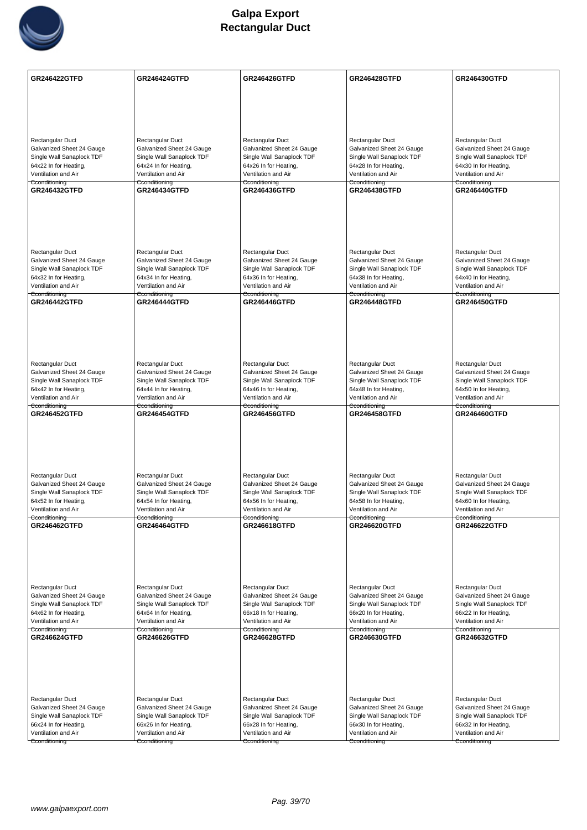

| <b>GR246422GTFD</b>                                    | <b>GR246424GTFD</b>                                    | <b>GR246426GTFD</b>                                    | <b>GR246428GTFD</b>                                    | GR246430GTFD                                           |
|--------------------------------------------------------|--------------------------------------------------------|--------------------------------------------------------|--------------------------------------------------------|--------------------------------------------------------|
|                                                        |                                                        |                                                        |                                                        |                                                        |
|                                                        |                                                        |                                                        |                                                        |                                                        |
|                                                        |                                                        |                                                        |                                                        |                                                        |
|                                                        | Rectangular Duct                                       |                                                        |                                                        |                                                        |
| Rectangular Duct<br>Galvanized Sheet 24 Gauge          | Galvanized Sheet 24 Gauge                              | Rectangular Duct<br>Galvanized Sheet 24 Gauge          | Rectangular Duct<br>Galvanized Sheet 24 Gauge          | Rectangular Duct<br>Galvanized Sheet 24 Gauge          |
| Single Wall Sanaplock TDF                              | Single Wall Sanaplock TDF                              | Single Wall Sanaplock TDF                              | Single Wall Sanaplock TDF                              | Single Wall Sanaplock TDF                              |
| 64x22 In for Heating,<br>Ventilation and Air           | 64x24 In for Heating,<br>Ventilation and Air           | 64x26 In for Heating,<br>Ventilation and Air           | 64x28 In for Heating,<br>Ventilation and Air           | 64x30 In for Heating,<br>Ventilation and Air           |
| Cconditioning                                          | Cconditioning                                          | Cconditioning                                          | Cconditioning                                          | Cconditioning                                          |
| <b>GR246432GTFD</b>                                    | <b>GR246434GTFD</b>                                    | <b>GR246436GTFD</b>                                    | <b>GR246438GTFD</b>                                    | <b>GR246440GTFD</b>                                    |
|                                                        |                                                        |                                                        |                                                        |                                                        |
|                                                        |                                                        |                                                        |                                                        |                                                        |
|                                                        |                                                        |                                                        |                                                        |                                                        |
| Rectangular Duct                                       | Rectangular Duct                                       | Rectangular Duct                                       | Rectangular Duct                                       | Rectangular Duct                                       |
| Galvanized Sheet 24 Gauge                              | Galvanized Sheet 24 Gauge                              | Galvanized Sheet 24 Gauge                              | Galvanized Sheet 24 Gauge                              | Galvanized Sheet 24 Gauge                              |
| Single Wall Sanaplock TDF<br>64x32 In for Heating,     | Single Wall Sanaplock TDF<br>64x34 In for Heating,     | Single Wall Sanaplock TDF<br>64x36 In for Heating,     | Single Wall Sanaplock TDF<br>64x38 In for Heating,     | Single Wall Sanaplock TDF<br>64x40 In for Heating,     |
| Ventilation and Air                                    | Ventilation and Air                                    | Ventilation and Air                                    | Ventilation and Air                                    | Ventilation and Air                                    |
| Cconditioning<br><b>GR246442GTFD</b>                   | Cconditioning<br><b>GR246444GTFD</b>                   | Cconditioning<br><b>GR246446GTFD</b>                   | Cconditioning<br><b>GR246448GTFD</b>                   | Cconditioning<br><b>GR246450GTFD</b>                   |
|                                                        |                                                        |                                                        |                                                        |                                                        |
|                                                        |                                                        |                                                        |                                                        |                                                        |
|                                                        |                                                        |                                                        |                                                        |                                                        |
|                                                        |                                                        |                                                        |                                                        |                                                        |
| Rectangular Duct<br>Galvanized Sheet 24 Gauge          | Rectangular Duct                                       | Rectangular Duct                                       | Rectangular Duct<br>Galvanized Sheet 24 Gauge          | Rectangular Duct                                       |
| Single Wall Sanaplock TDF                              | Galvanized Sheet 24 Gauge<br>Single Wall Sanaplock TDF | Galvanized Sheet 24 Gauge<br>Single Wall Sanaplock TDF | Single Wall Sanaplock TDF                              | Galvanized Sheet 24 Gauge<br>Single Wall Sanaplock TDF |
| 64x42 In for Heating,                                  | 64x44 In for Heating,                                  | 64x46 In for Heating,                                  | 64x48 In for Heating,                                  | 64x50 In for Heating,                                  |
| Ventilation and Air<br>Cconditioning                   | Ventilation and Air<br>Cconditioning                   | Ventilation and Air<br>Cconditioning                   | Ventilation and Air<br>Cconditioning                   | Ventilation and Air<br>Cconditioning                   |
| <b>GR246452GTFD</b>                                    | <b>GR246454GTFD</b>                                    | <b>GR246456GTFD</b>                                    | <b>GR246458GTFD</b>                                    | <b>GR246460GTFD</b>                                    |
|                                                        |                                                        |                                                        |                                                        |                                                        |
|                                                        |                                                        |                                                        |                                                        |                                                        |
|                                                        |                                                        |                                                        |                                                        |                                                        |
| Rectangular Duct                                       | Rectangular Duct                                       | Rectangular Duct                                       | Rectangular Duct                                       | Rectangular Duct                                       |
| Galvanized Sheet 24 Gauge                              | Galvanized Sheet 24 Gauge                              | Galvanized Sheet 24 Gauge                              | Galvanized Sheet 24 Gauge                              | Galvanized Sheet 24 Gauge                              |
| Single Wall Sanaplock TDF<br>64x52 In for Heating,     | Single Wall Sanaplock TDF<br>64x54 In for Heating,     | Single Wall Sanaplock TDF<br>64x56 In for Heating,     | Single Wall Sanaplock TDF<br>64x58 In for Heating,     | Single Wall Sanaplock TDF                              |
| Ventilation and Air                                    | Ventilation and Air                                    | Ventilation and Air                                    | Ventilation and Air                                    | 64x60 In for Heating,<br>Ventilation and Air           |
| Cconditioning<br>GR246462GTFD                          | Cconditioning<br><b>GR246464GTFD</b>                   | Cconditioning<br>GR246618GTFD                          | Cconditioning<br>GR246620GTFD                          | Cconditioning<br><b>GR246622GTFD</b>                   |
|                                                        |                                                        |                                                        |                                                        |                                                        |
|                                                        |                                                        |                                                        |                                                        |                                                        |
|                                                        |                                                        |                                                        |                                                        |                                                        |
|                                                        |                                                        |                                                        |                                                        |                                                        |
| Rectangular Duct                                       | Rectangular Duct                                       | Rectangular Duct                                       | Rectangular Duct                                       | Rectangular Duct                                       |
| Galvanized Sheet 24 Gauge<br>Single Wall Sanaplock TDF | Galvanized Sheet 24 Gauge<br>Single Wall Sanaplock TDF | Galvanized Sheet 24 Gauge<br>Single Wall Sanaplock TDF | Galvanized Sheet 24 Gauge<br>Single Wall Sanaplock TDF | Galvanized Sheet 24 Gauge<br>Single Wall Sanaplock TDF |
| 64x62 In for Heating,                                  | 64x64 In for Heating,                                  | 66x18 In for Heating,                                  | 66x20 In for Heating,                                  | 66x22 In for Heating,                                  |
| Ventilation and Air                                    | Ventilation and Air                                    | Ventilation and Air                                    | Ventilation and Air                                    | Ventilation and Air                                    |
| Cconditioning<br><b>GR246624GTFD</b>                   | Cconditioning<br><b>GR246626GTFD</b>                   | Cconditioning<br>GR246628GTFD                          | Cconditioning<br><b>GR246630GTFD</b>                   | Cconditioning<br><b>GR246632GTFD</b>                   |
|                                                        |                                                        |                                                        |                                                        |                                                        |
|                                                        |                                                        |                                                        |                                                        |                                                        |
|                                                        |                                                        |                                                        |                                                        |                                                        |
|                                                        |                                                        |                                                        |                                                        |                                                        |
| Rectangular Duct                                       | Rectangular Duct                                       | Rectangular Duct                                       | Rectangular Duct                                       | Rectangular Duct                                       |
| Galvanized Sheet 24 Gauge<br>Single Wall Sanaplock TDF | Galvanized Sheet 24 Gauge<br>Single Wall Sanaplock TDF | Galvanized Sheet 24 Gauge<br>Single Wall Sanaplock TDF | Galvanized Sheet 24 Gauge<br>Single Wall Sanaplock TDF | Galvanized Sheet 24 Gauge<br>Single Wall Sanaplock TDF |
| 66x24 In for Heating,                                  | 66x26 In for Heating,                                  | 66x28 In for Heating,                                  | 66x30 In for Heating,                                  | 66x32 In for Heating,                                  |
| Ventilation and Air                                    | Ventilation and Air                                    | Ventilation and Air                                    | Ventilation and Air                                    | Ventilation and Air                                    |
| Cconditioning                                          | Cconditioning                                          | Cconditioning                                          | Cconditioning                                          | Cconditioning                                          |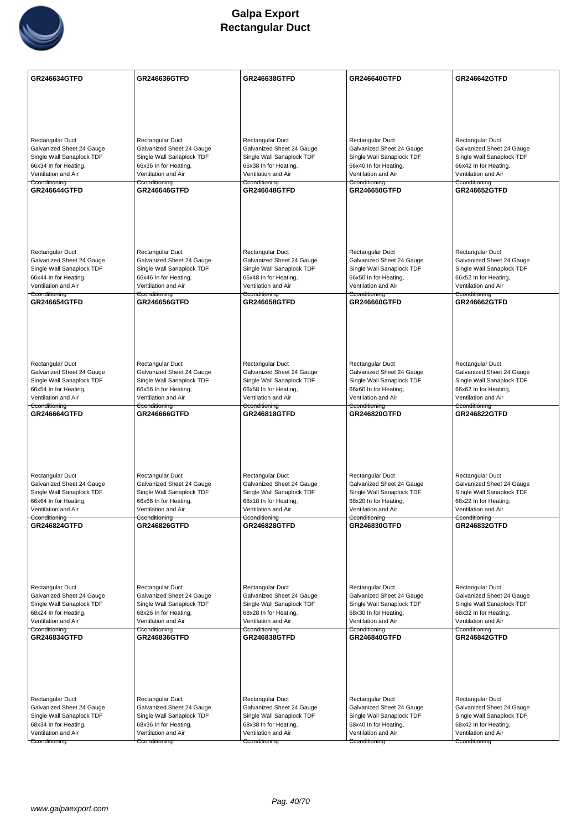

| <b>GR246634GTFD</b>                                    | GR246636GTFD                                           | <b>GR246638GTFD</b>                                    | <b>GR246640GTFD</b>                                    | <b>GR246642GTFD</b>                                    |
|--------------------------------------------------------|--------------------------------------------------------|--------------------------------------------------------|--------------------------------------------------------|--------------------------------------------------------|
|                                                        |                                                        |                                                        |                                                        |                                                        |
|                                                        |                                                        |                                                        |                                                        |                                                        |
|                                                        |                                                        |                                                        |                                                        |                                                        |
|                                                        |                                                        |                                                        |                                                        |                                                        |
| Rectangular Duct                                       | Rectangular Duct                                       | Rectangular Duct                                       | Rectangular Duct                                       | Rectangular Duct                                       |
| Galvanized Sheet 24 Gauge                              | Galvanized Sheet 24 Gauge                              | Galvanized Sheet 24 Gauge                              | Galvanized Sheet 24 Gauge                              | Galvanized Sheet 24 Gauge                              |
| Single Wall Sanaplock TDF<br>66x34 In for Heating,     | Single Wall Sanaplock TDF<br>66x36 In for Heating,     | Single Wall Sanaplock TDF<br>66x38 In for Heating,     | Single Wall Sanaplock TDF<br>66x40 In for Heating,     | Single Wall Sanaplock TDF<br>66x42 In for Heating,     |
| Ventilation and Air                                    | Ventilation and Air                                    | Ventilation and Air                                    | Ventilation and Air                                    | Ventilation and Air                                    |
| Cconditioning<br>GR246644GTFD                          | Cconditioning                                          | Cconditioning<br><b>GR246648GTFD</b>                   | Cconditioning                                          | Cconditioning                                          |
|                                                        | <b>GR246646GTFD</b>                                    |                                                        | GR246650GTFD                                           | <b>GR246652GTFD</b>                                    |
|                                                        |                                                        |                                                        |                                                        |                                                        |
|                                                        |                                                        |                                                        |                                                        |                                                        |
|                                                        |                                                        |                                                        |                                                        |                                                        |
|                                                        |                                                        |                                                        |                                                        |                                                        |
| Rectangular Duct                                       | Rectangular Duct                                       | Rectangular Duct                                       | Rectangular Duct                                       | Rectangular Duct                                       |
| Galvanized Sheet 24 Gauge<br>Single Wall Sanaplock TDF | Galvanized Sheet 24 Gauge<br>Single Wall Sanaplock TDF | Galvanized Sheet 24 Gauge<br>Single Wall Sanaplock TDF | Galvanized Sheet 24 Gauge<br>Single Wall Sanaplock TDF | Galvanized Sheet 24 Gauge<br>Single Wall Sanaplock TDF |
| 66x44 In for Heating,                                  | 66x46 In for Heating,                                  | 66x48 In for Heating,                                  | 66x50 In for Heating,                                  | 66x52 In for Heating,                                  |
| Ventilation and Air                                    | Ventilation and Air                                    | Ventilation and Air                                    | Ventilation and Air                                    | Ventilation and Air                                    |
| Cconditioning<br>GR246654GTFD                          | Cconditioning<br><b>GR246656GTFD</b>                   | Cconditioning<br><b>GR246658GTFD</b>                   | Cconditioning<br><b>GR246660GTFD</b>                   | Cconditioning<br><b>GR246662GTFD</b>                   |
|                                                        |                                                        |                                                        |                                                        |                                                        |
|                                                        |                                                        |                                                        |                                                        |                                                        |
|                                                        |                                                        |                                                        |                                                        |                                                        |
|                                                        |                                                        |                                                        |                                                        |                                                        |
|                                                        |                                                        |                                                        |                                                        |                                                        |
| Rectangular Duct                                       | Rectangular Duct                                       | Rectangular Duct                                       | Rectangular Duct                                       | Rectangular Duct                                       |
| Galvanized Sheet 24 Gauge<br>Single Wall Sanaplock TDF | Galvanized Sheet 24 Gauge<br>Single Wall Sanaplock TDF | Galvanized Sheet 24 Gauge<br>Single Wall Sanaplock TDF | Galvanized Sheet 24 Gauge<br>Single Wall Sanaplock TDF | Galvanized Sheet 24 Gauge<br>Single Wall Sanaplock TDF |
| 66x54 In for Heating,                                  | 66x56 In for Heating,                                  | 66x58 In for Heating,                                  | 66x60 In for Heating,                                  | 66x62 In for Heating,                                  |
| Ventilation and Air                                    | Ventilation and Air                                    | Ventilation and Air                                    | Ventilation and Air                                    | Ventilation and Air                                    |
| Cconditioning<br>GR246664GTFD                          | Cconditioning<br>GR246666GTFD                          | Cconditioning<br>GR246818GTFD                          | Cconditioning<br>GR246820GTFD                          | Cconditioning<br><b>GR246822GTFD</b>                   |
|                                                        |                                                        |                                                        |                                                        |                                                        |
|                                                        |                                                        |                                                        |                                                        |                                                        |
|                                                        |                                                        |                                                        |                                                        |                                                        |
|                                                        |                                                        |                                                        |                                                        |                                                        |
|                                                        |                                                        |                                                        |                                                        |                                                        |
| Rectangular Duct<br>Galvanized Sheet 24 Gauge          | Rectangular Duct<br>Galvanized Sheet 24 Gauge          | Rectangular Duct<br>Galvanized Sheet 24 Gauge          | Rectangular Duct<br>Galvanized Sheet 24 Gauge          | Rectangular Duct<br>Galvanized Sheet 24 Gauge          |
| Single Wall Sanaplock TDF                              | Single Wall Sanaplock TDF                              | Single Wall Sanaplock TDF                              | Single Wall Sanaplock TDF                              | Single Wall Sanaplock TDF                              |
| 66x64 In for Heating,                                  | 66x66 In for Heating,                                  | 68x18 In for Heating,                                  | 68x20 In for Heating,                                  | 68x22 In for Heating,                                  |
| Ventilation and Air                                    | Ventilation and Air<br>Cconditioning                   | Ventilation and Air                                    | Ventilation and Air                                    | Ventilation and Air                                    |
| Cconditioning<br>GR246824GTFD                          | <b>GR246826GTFD</b>                                    | Cconditioning<br><b>GR246828GTFD</b>                   | Cconditioning<br>GR246830GTFD                          | Cconditioning<br>GR246832GTFD                          |
|                                                        |                                                        |                                                        |                                                        |                                                        |
|                                                        |                                                        |                                                        |                                                        |                                                        |
|                                                        |                                                        |                                                        |                                                        |                                                        |
|                                                        |                                                        |                                                        |                                                        |                                                        |
|                                                        |                                                        |                                                        | Rectangular Duct                                       |                                                        |
| Rectangular Duct<br>Galvanized Sheet 24 Gauge          | Rectangular Duct<br>Galvanized Sheet 24 Gauge          | Rectangular Duct<br>Galvanized Sheet 24 Gauge          | Galvanized Sheet 24 Gauge                              | Rectangular Duct<br>Galvanized Sheet 24 Gauge          |
| Single Wall Sanaplock TDF                              | Single Wall Sanaplock TDF                              | Single Wall Sanaplock TDF                              | Single Wall Sanaplock TDF                              | Single Wall Sanaplock TDF                              |
| 68x24 In for Heating,                                  | 68x26 In for Heating,                                  | 68x28 In for Heating,                                  | 68x30 In for Heating,                                  | 68x32 In for Heating,                                  |
| Ventilation and Air<br>Cconditioning                   | Ventilation and Air<br>Cconditioning                   | Ventilation and Air<br>Cconditioning                   | Ventilation and Air<br>Cconditioning                   | Ventilation and Air<br>Cconditioning                   |
| GR246834GTFD                                           | <b>GR246836GTFD</b>                                    | GR246838GTFD                                           | GR246840GTFD                                           | <b>GR246842GTFD</b>                                    |
|                                                        |                                                        |                                                        |                                                        |                                                        |
|                                                        |                                                        |                                                        |                                                        |                                                        |
|                                                        |                                                        |                                                        |                                                        |                                                        |
|                                                        |                                                        |                                                        |                                                        |                                                        |
| Rectangular Duct                                       | Rectangular Duct                                       | Rectangular Duct                                       | Rectangular Duct                                       | Rectangular Duct                                       |
| Galvanized Sheet 24 Gauge                              | Galvanized Sheet 24 Gauge                              | Galvanized Sheet 24 Gauge                              | Galvanized Sheet 24 Gauge                              | Galvanized Sheet 24 Gauge                              |
| Single Wall Sanaplock TDF                              | Single Wall Sanaplock TDF                              | Single Wall Sanaplock TDF                              | Single Wall Sanaplock TDF                              | Single Wall Sanaplock TDF                              |
| 68x34 In for Heating,                                  | 68x36 In for Heating,                                  | 68x38 In for Heating,                                  | 68x40 In for Heating,                                  | 68x42 In for Heating,                                  |
| Ventilation and Air<br>Cconditioning                   | Ventilation and Air                                    | Ventilation and Air                                    | Ventilation and Air                                    | Ventilation and Air                                    |
|                                                        | Cconditioning                                          | Cconditioning                                          | Cconditioning                                          | Cconditioning                                          |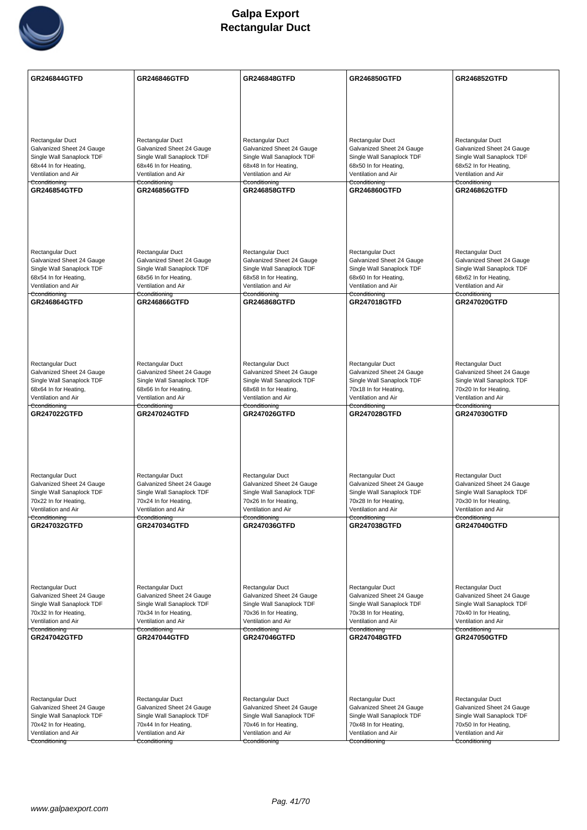

| <b>GR246844GTFD</b>                                    | <b>GR246846GTFD</b>                                    | <b>GR246848GTFD</b>                                    | <b>GR246850GTFD</b>                                    | <b>GR246852GTFD</b>                                    |
|--------------------------------------------------------|--------------------------------------------------------|--------------------------------------------------------|--------------------------------------------------------|--------------------------------------------------------|
|                                                        |                                                        |                                                        |                                                        |                                                        |
|                                                        |                                                        |                                                        |                                                        |                                                        |
|                                                        |                                                        |                                                        |                                                        |                                                        |
| Rectangular Duct                                       | Rectangular Duct                                       | Rectangular Duct                                       | Rectangular Duct                                       | Rectangular Duct                                       |
| Galvanized Sheet 24 Gauge                              | Galvanized Sheet 24 Gauge                              | Galvanized Sheet 24 Gauge                              | Galvanized Sheet 24 Gauge                              | Galvanized Sheet 24 Gauge                              |
| Single Wall Sanaplock TDF<br>68x44 In for Heating,     | Single Wall Sanaplock TDF<br>68x46 In for Heating,     | Single Wall Sanaplock TDF<br>68x48 In for Heating,     | Single Wall Sanaplock TDF<br>68x50 In for Heating,     | Single Wall Sanaplock TDF<br>68x52 In for Heating,     |
| Ventilation and Air                                    | Ventilation and Air                                    | Ventilation and Air                                    | Ventilation and Air                                    | Ventilation and Air                                    |
| Cconditioning<br><b>GR246854GTFD</b>                   | Cconditioning<br><b>GR246856GTFD</b>                   | Cconditioning<br><b>GR246858GTFD</b>                   | Cconditioning<br><b>GR246860GTFD</b>                   | Cconditioning<br><b>GR246862GTFD</b>                   |
|                                                        |                                                        |                                                        |                                                        |                                                        |
|                                                        |                                                        |                                                        |                                                        |                                                        |
|                                                        |                                                        |                                                        |                                                        |                                                        |
|                                                        |                                                        |                                                        |                                                        |                                                        |
| <b>Rectangular Duct</b><br>Galvanized Sheet 24 Gauge   | Rectangular Duct<br>Galvanized Sheet 24 Gauge          | Rectangular Duct<br>Galvanized Sheet 24 Gauge          | Rectangular Duct<br>Galvanized Sheet 24 Gauge          | Rectangular Duct<br>Galvanized Sheet 24 Gauge          |
| Single Wall Sanaplock TDF                              | Single Wall Sanaplock TDF                              | Single Wall Sanaplock TDF                              | Single Wall Sanaplock TDF                              | Single Wall Sanaplock TDF                              |
| 68x54 In for Heating,<br>Ventilation and Air           | 68x56 In for Heating,<br>Ventilation and Air           | 68x58 In for Heating,<br>Ventilation and Air           | 68x60 In for Heating,<br>Ventilation and Air           | 68x62 In for Heating,<br>Ventilation and Air           |
| Cconditioning<br><b>GR246864GTFD</b>                   | Cconditioning<br>GR246866GTFD                          | Cconditioning<br><b>GR246868GTFD</b>                   | Cconditioning<br><b>GR247018GTFD</b>                   | Cconditioning<br><b>GR247020GTFD</b>                   |
|                                                        |                                                        |                                                        |                                                        |                                                        |
|                                                        |                                                        |                                                        |                                                        |                                                        |
|                                                        |                                                        |                                                        |                                                        |                                                        |
|                                                        |                                                        |                                                        |                                                        |                                                        |
| Rectangular Duct<br>Galvanized Sheet 24 Gauge          | Rectangular Duct<br>Galvanized Sheet 24 Gauge          | Rectangular Duct<br>Galvanized Sheet 24 Gauge          | Rectangular Duct<br>Galvanized Sheet 24 Gauge          | Rectangular Duct<br>Galvanized Sheet 24 Gauge          |
| Single Wall Sanaplock TDF                              | Single Wall Sanaplock TDF                              | Single Wall Sanaplock TDF                              | Single Wall Sanaplock TDF                              | Single Wall Sanaplock TDF                              |
| 68x64 In for Heating,<br>Ventilation and Air           | 68x66 In for Heating,<br>Ventilation and Air           | 68x68 In for Heating,<br>Ventilation and Air           | 70x18 In for Heating,<br>Ventilation and Air           | 70x20 In for Heating,<br>Ventilation and Air           |
| Cconditioning<br><b>GR247022GTFD</b>                   | Cconditioning<br><b>GR247024GTFD</b>                   | Cconditioning<br><b>GR247026GTFD</b>                   | Cconditioning<br><b>GR247028GTFD</b>                   | Cconditioning<br><b>GR247030GTFD</b>                   |
|                                                        |                                                        |                                                        |                                                        |                                                        |
|                                                        |                                                        |                                                        |                                                        |                                                        |
|                                                        |                                                        |                                                        |                                                        |                                                        |
|                                                        |                                                        |                                                        |                                                        |                                                        |
| Rectangular Duct                                       | Rectangular Duct                                       | Rectangular Duct                                       | Rectangular Duct                                       | Rectangular Duct                                       |
| Galvanized Sheet 24 Gauge<br>Single Wall Sanaplock TDF | Galvanized Sheet 24 Gauge<br>Single Wall Sanaplock TDF | Galvanized Sheet 24 Gauge<br>Single Wall Sanaplock TDF | Galvanized Sheet 24 Gauge<br>Single Wall Sanaplock TDF | Galvanized Sheet 24 Gauge<br>Single Wall Sanaplock TDF |
| 70x22 In for Heating,                                  | 70x24 In for Heating,                                  | 70x26 In for Heating,                                  | 70x28 In for Heating,                                  | 70x30 In for Heating,                                  |
| Ventilation and Air<br>Cconditioning                   | Ventilation and Air<br>Cconditioning                   | Ventilation and Air<br>Cconditioning                   | Ventilation and Air<br>Cconditioning                   | Ventilation and Air<br>Cconditioning                   |
| GR247032GTFD                                           | GR247034GTFD                                           | <b>GR247036GTFD</b>                                    | <b>GR247038GTFD</b>                                    | GR247040GTFD                                           |
|                                                        |                                                        |                                                        |                                                        |                                                        |
|                                                        |                                                        |                                                        |                                                        |                                                        |
|                                                        |                                                        |                                                        |                                                        |                                                        |
| Rectangular Duct                                       | Rectangular Duct                                       | Rectangular Duct                                       | Rectangular Duct                                       | Rectangular Duct                                       |
| Galvanized Sheet 24 Gauge                              | Galvanized Sheet 24 Gauge                              | Galvanized Sheet 24 Gauge                              | Galvanized Sheet 24 Gauge                              | Galvanized Sheet 24 Gauge                              |
| Single Wall Sanaplock TDF                              | Single Wall Sanaplock TDF                              | Single Wall Sanaplock TDF                              | Single Wall Sanaplock TDF                              | Single Wall Sanaplock TDF                              |
| 70x32 In for Heating,<br>Ventilation and Air           | 70x34 In for Heating,<br>Ventilation and Air           | 70x36 In for Heating,<br>Ventilation and Air           | 70x38 In for Heating,<br>Ventilation and Air           | 70x40 In for Heating,<br>Ventilation and Air           |
| Cconditioning<br><b>GR247042GTFD</b>                   | Cconditioning<br><b>GR247044GTFD</b>                   | Cconditioning<br><b>GR247046GTFD</b>                   | Cconditioning<br><b>GR247048GTFD</b>                   | Cconditioning<br>GR247050GTFD                          |
|                                                        |                                                        |                                                        |                                                        |                                                        |
|                                                        |                                                        |                                                        |                                                        |                                                        |
|                                                        |                                                        |                                                        |                                                        |                                                        |
|                                                        |                                                        |                                                        |                                                        |                                                        |
| Rectangular Duct<br>Galvanized Sheet 24 Gauge          | Rectangular Duct<br>Galvanized Sheet 24 Gauge          | Rectangular Duct<br>Galvanized Sheet 24 Gauge          | Rectangular Duct<br>Galvanized Sheet 24 Gauge          | Rectangular Duct<br>Galvanized Sheet 24 Gauge          |
| Single Wall Sanaplock TDF                              | Single Wall Sanaplock TDF                              | Single Wall Sanaplock TDF                              | Single Wall Sanaplock TDF                              | Single Wall Sanaplock TDF                              |
| 70x42 In for Heating,                                  | 70x44 In for Heating,                                  | 70x46 In for Heating,                                  | 70x48 In for Heating,                                  | 70x50 In for Heating,                                  |
| Ventilation and Air<br>Cconditioning                   | Ventilation and Air                                    | Ventilation and Air                                    | Ventilation and Air                                    | Ventilation and Air                                    |
|                                                        | Cconditioning                                          | Cconditioning                                          | Cconditioning                                          | Cconditioning                                          |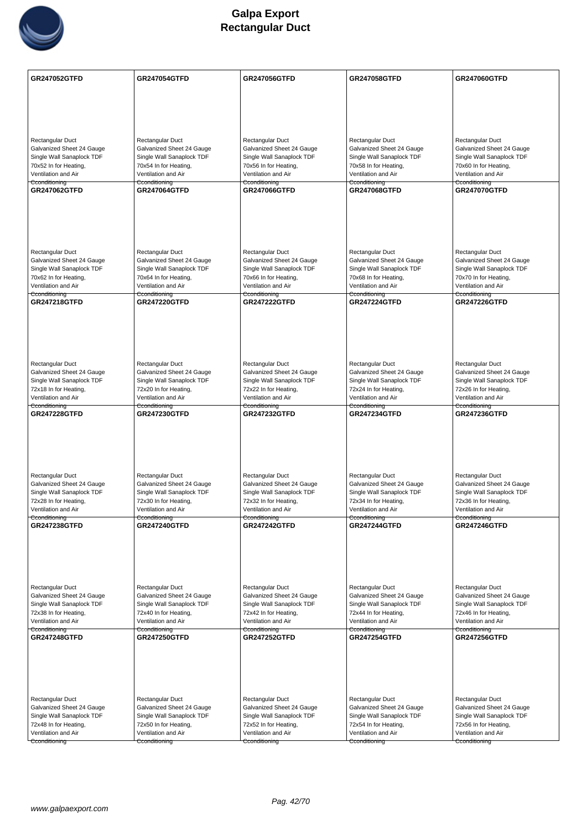

| <b>GR247052GTFD</b>                                    | <b>GR247054GTFD</b>                                    | GR247056GTFD                                           | GR247058GTFD                                           | <b>GR247060GTFD</b>                                    |
|--------------------------------------------------------|--------------------------------------------------------|--------------------------------------------------------|--------------------------------------------------------|--------------------------------------------------------|
|                                                        |                                                        |                                                        |                                                        |                                                        |
|                                                        |                                                        |                                                        |                                                        |                                                        |
|                                                        |                                                        |                                                        |                                                        |                                                        |
| Rectangular Duct                                       | Rectangular Duct                                       | Rectangular Duct                                       | Rectangular Duct                                       | Rectangular Duct                                       |
| Galvanized Sheet 24 Gauge                              | Galvanized Sheet 24 Gauge                              | Galvanized Sheet 24 Gauge                              | Galvanized Sheet 24 Gauge                              | Galvanized Sheet 24 Gauge                              |
| Single Wall Sanaplock TDF<br>70x52 In for Heating,     | Single Wall Sanaplock TDF<br>70x54 In for Heating,     | Single Wall Sanaplock TDF<br>70x56 In for Heating,     | Single Wall Sanaplock TDF<br>70x58 In for Heating,     | Single Wall Sanaplock TDF<br>70x60 In for Heating,     |
| Ventilation and Air                                    | Ventilation and Air                                    | Ventilation and Air                                    | Ventilation and Air                                    | Ventilation and Air                                    |
| Cconditioning<br><b>GR247062GTFD</b>                   | Cconditioning<br><b>GR247064GTFD</b>                   | Cconditioning<br><b>GR247066GTFD</b>                   | Cconditioning<br><b>GR247068GTFD</b>                   | Cconditioning<br><b>GR247070GTFD</b>                   |
|                                                        |                                                        |                                                        |                                                        |                                                        |
|                                                        |                                                        |                                                        |                                                        |                                                        |
|                                                        |                                                        |                                                        |                                                        |                                                        |
|                                                        |                                                        |                                                        |                                                        |                                                        |
| <b>Rectangular Duct</b><br>Galvanized Sheet 24 Gauge   | Rectangular Duct<br>Galvanized Sheet 24 Gauge          | Rectangular Duct<br>Galvanized Sheet 24 Gauge          | Rectangular Duct<br>Galvanized Sheet 24 Gauge          | Rectangular Duct<br>Galvanized Sheet 24 Gauge          |
| Single Wall Sanaplock TDF                              | Single Wall Sanaplock TDF                              | Single Wall Sanaplock TDF                              | Single Wall Sanaplock TDF                              | Single Wall Sanaplock TDF                              |
| 70x62 In for Heating,<br>Ventilation and Air           | 70x64 In for Heating,<br>Ventilation and Air           | 70x66 In for Heating,<br>Ventilation and Air           | 70x68 In for Heating,<br>Ventilation and Air           | 70x70 In for Heating,<br>Ventilation and Air           |
| Cconditioning<br><b>GR247218GTFD</b>                   | Cconditioning<br><b>GR247220GTFD</b>                   | Cconditioning<br><b>GR247222GTFD</b>                   | Cconditioning<br><b>GR247224GTFD</b>                   | Cconditioning<br><b>GR247226GTFD</b>                   |
|                                                        |                                                        |                                                        |                                                        |                                                        |
|                                                        |                                                        |                                                        |                                                        |                                                        |
|                                                        |                                                        |                                                        |                                                        |                                                        |
|                                                        |                                                        |                                                        |                                                        |                                                        |
| Rectangular Duct<br>Galvanized Sheet 24 Gauge          | Rectangular Duct<br>Galvanized Sheet 24 Gauge          | Rectangular Duct<br>Galvanized Sheet 24 Gauge          | Rectangular Duct<br>Galvanized Sheet 24 Gauge          | Rectangular Duct<br>Galvanized Sheet 24 Gauge          |
| Single Wall Sanaplock TDF                              | Single Wall Sanaplock TDF                              | Single Wall Sanaplock TDF                              | Single Wall Sanaplock TDF                              | Single Wall Sanaplock TDF                              |
| 72x18 In for Heating,<br>Ventilation and Air           | 72x20 In for Heating,<br>Ventilation and Air           | 72x22 In for Heating,<br>Ventilation and Air           | 72x24 In for Heating,<br>Ventilation and Air           | 72x26 In for Heating,<br>Ventilation and Air           |
| Cconditioning<br><b>GR247228GTFD</b>                   | Cconditioning<br><b>GR247230GTFD</b>                   | Cconditioning<br><b>GR247232GTFD</b>                   | Cconditioning<br><b>GR247234GTFD</b>                   | Cconditioning<br><b>GR247236GTFD</b>                   |
|                                                        |                                                        |                                                        |                                                        |                                                        |
|                                                        |                                                        |                                                        |                                                        |                                                        |
|                                                        |                                                        |                                                        |                                                        |                                                        |
|                                                        |                                                        |                                                        |                                                        |                                                        |
| Rectangular Duct                                       | Rectangular Duct                                       | Rectangular Duct                                       | Rectangular Duct                                       | Rectangular Duct                                       |
| Galvanized Sheet 24 Gauge<br>Single Wall Sanaplock TDF | Galvanized Sheet 24 Gauge<br>Single Wall Sanaplock TDF | Galvanized Sheet 24 Gauge<br>Single Wall Sanaplock TDF | Galvanized Sheet 24 Gauge<br>Single Wall Sanaplock TDF | Galvanized Sheet 24 Gauge<br>Single Wall Sanaplock TDF |
| 72x28 In for Heating,                                  | 72x30 In for Heating,                                  | 72x32 In for Heating,                                  | 72x34 In for Heating,                                  | 72x36 In for Heating,                                  |
| Ventilation and Air<br>Cconditioning                   | Ventilation and Air<br>Cconditioning                   | Ventilation and Air<br>Cconditioning                   | Ventilation and Air<br>Cconditioning                   | Ventilation and Air<br>Cconditioning                   |
| <b>GR247238GTFD</b>                                    | <b>GR247240GTFD</b>                                    | <b>GR247242GTFD</b>                                    | <b>GR247244GTFD</b>                                    | <b>GR247246GTFD</b>                                    |
|                                                        |                                                        |                                                        |                                                        |                                                        |
|                                                        |                                                        |                                                        |                                                        |                                                        |
|                                                        |                                                        |                                                        |                                                        |                                                        |
| Rectangular Duct                                       | Rectangular Duct                                       | Rectangular Duct                                       | Rectangular Duct                                       | Rectangular Duct                                       |
| Galvanized Sheet 24 Gauge                              | Galvanized Sheet 24 Gauge                              | Galvanized Sheet 24 Gauge                              | Galvanized Sheet 24 Gauge                              | Galvanized Sheet 24 Gauge                              |
| Single Wall Sanaplock TDF                              | Single Wall Sanaplock TDF                              | Single Wall Sanaplock TDF                              | Single Wall Sanaplock TDF                              | Single Wall Sanaplock TDF                              |
| 72x38 In for Heating,<br>Ventilation and Air           | 72x40 In for Heating,<br>Ventilation and Air           | 72x42 In for Heating,<br>Ventilation and Air           | 72x44 In for Heating,<br>Ventilation and Air           | 72x46 In for Heating,<br>Ventilation and Air           |
| Cconditioning<br><b>GR247248GTFD</b>                   | Cconditioning<br><b>GR247250GTFD</b>                   | Cconditioning<br><b>GR247252GTFD</b>                   | Cconditioning<br><b>GR247254GTFD</b>                   | Cconditioning<br><b>GR247256GTFD</b>                   |
|                                                        |                                                        |                                                        |                                                        |                                                        |
|                                                        |                                                        |                                                        |                                                        |                                                        |
|                                                        |                                                        |                                                        |                                                        |                                                        |
|                                                        |                                                        |                                                        |                                                        |                                                        |
| Rectangular Duct<br>Galvanized Sheet 24 Gauge          | Rectangular Duct<br>Galvanized Sheet 24 Gauge          | Rectangular Duct<br>Galvanized Sheet 24 Gauge          | Rectangular Duct<br>Galvanized Sheet 24 Gauge          | Rectangular Duct<br>Galvanized Sheet 24 Gauge          |
| Single Wall Sanaplock TDF                              | Single Wall Sanaplock TDF                              | Single Wall Sanaplock TDF                              | Single Wall Sanaplock TDF                              | Single Wall Sanaplock TDF                              |
| 72x48 In for Heating,                                  | 72x50 In for Heating,                                  | 72x52 In for Heating,                                  | 72x54 In for Heating,                                  | 72x56 In for Heating,                                  |
| Ventilation and Air<br>Cconditioning                   | Ventilation and Air                                    | Ventilation and Air                                    | Ventilation and Air                                    | Ventilation and Air                                    |
|                                                        | Cconditioning                                          | Cconditioning                                          | Cconditioning                                          | Cconditioning                                          |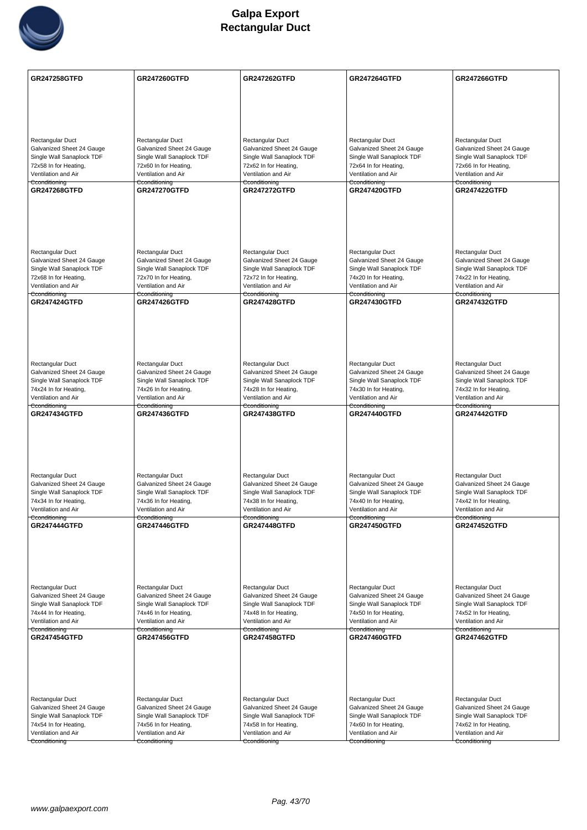

| <b>GR247258GTFD</b>                                    | <b>GR247260GTFD</b>                                    | <b>GR247262GTFD</b>                                    | <b>GR247264GTFD</b>                                    | <b>GR247266GTFD</b>                                    |
|--------------------------------------------------------|--------------------------------------------------------|--------------------------------------------------------|--------------------------------------------------------|--------------------------------------------------------|
|                                                        |                                                        |                                                        |                                                        |                                                        |
|                                                        |                                                        |                                                        |                                                        |                                                        |
|                                                        |                                                        |                                                        |                                                        |                                                        |
| Rectangular Duct                                       | Rectangular Duct                                       | Rectangular Duct                                       | Rectangular Duct                                       | Rectangular Duct                                       |
| Galvanized Sheet 24 Gauge<br>Single Wall Sanaplock TDF | Galvanized Sheet 24 Gauge<br>Single Wall Sanaplock TDF | Galvanized Sheet 24 Gauge<br>Single Wall Sanaplock TDF | Galvanized Sheet 24 Gauge<br>Single Wall Sanaplock TDF | Galvanized Sheet 24 Gauge<br>Single Wall Sanaplock TDF |
| 72x58 In for Heating,                                  | 72x60 In for Heating,                                  | 72x62 In for Heating,                                  | 72x64 In for Heating,                                  | 72x66 In for Heating,                                  |
| Ventilation and Air<br>Cconditioning                   | Ventilation and Air<br>Cconditioning                   | Ventilation and Air<br>Cconditioning                   | Ventilation and Air<br>Cconditioning                   | Ventilation and Air<br>Cconditioning                   |
| <b>GR247268GTFD</b>                                    | <b>GR247270GTFD</b>                                    | <b>GR247272GTFD</b>                                    | <b>GR247420GTFD</b>                                    | <b>GR247422GTFD</b>                                    |
|                                                        |                                                        |                                                        |                                                        |                                                        |
|                                                        |                                                        |                                                        |                                                        |                                                        |
|                                                        |                                                        |                                                        |                                                        |                                                        |
|                                                        |                                                        |                                                        |                                                        |                                                        |
| <b>Rectangular Duct</b>                                | Rectangular Duct                                       | Rectangular Duct                                       | Rectangular Duct                                       | Rectangular Duct                                       |
| Galvanized Sheet 24 Gauge                              | Galvanized Sheet 24 Gauge                              | Galvanized Sheet 24 Gauge                              | Galvanized Sheet 24 Gauge                              | Galvanized Sheet 24 Gauge                              |
| Single Wall Sanaplock TDF<br>72x68 In for Heating,     | Single Wall Sanaplock TDF<br>72x70 In for Heating,     | Single Wall Sanaplock TDF<br>72x72 In for Heating,     | Single Wall Sanaplock TDF<br>74x20 In for Heating,     | Single Wall Sanaplock TDF<br>74x22 In for Heating,     |
| Ventilation and Air                                    | Ventilation and Air                                    | Ventilation and Air                                    | Ventilation and Air                                    | Ventilation and Air                                    |
| Cconditioning                                          | Cconditioning<br><b>GR247426GTFD</b>                   | Cconditioning<br><b>GR247428GTFD</b>                   | Cconditioning<br><b>GR247430GTFD</b>                   | Cconditioning                                          |
| <b>GR247424GTFD</b>                                    |                                                        |                                                        |                                                        | <b>GR247432GTFD</b>                                    |
|                                                        |                                                        |                                                        |                                                        |                                                        |
|                                                        |                                                        |                                                        |                                                        |                                                        |
|                                                        |                                                        |                                                        |                                                        |                                                        |
|                                                        |                                                        |                                                        |                                                        |                                                        |
| <b>Rectangular Duct</b><br>Galvanized Sheet 24 Gauge   | Rectangular Duct<br>Galvanized Sheet 24 Gauge          | Rectangular Duct<br>Galvanized Sheet 24 Gauge          | Rectangular Duct<br>Galvanized Sheet 24 Gauge          | Rectangular Duct<br>Galvanized Sheet 24 Gauge          |
| Single Wall Sanaplock TDF                              | Single Wall Sanaplock TDF                              | Single Wall Sanaplock TDF                              | Single Wall Sanaplock TDF                              | Single Wall Sanaplock TDF                              |
| 74x24 In for Heating,<br>Ventilation and Air           | 74x26 In for Heating,                                  | 74x28 In for Heating,<br>Ventilation and Air           | 74x30 In for Heating,<br>Ventilation and Air           | 74x32 In for Heating,                                  |
| Cconditioning                                          | Ventilation and Air<br>Cconditioning                   | Cconditioning                                          | Cconditioning                                          | Ventilation and Air<br>Cconditioning                   |
| <b>GR247434GTFD</b>                                    | <b>GR247436GTFD</b>                                    | <b>GR247438GTFD</b>                                    | <b>GR247440GTFD</b>                                    | <b>GR247442GTFD</b>                                    |
|                                                        |                                                        |                                                        |                                                        |                                                        |
|                                                        |                                                        |                                                        |                                                        |                                                        |
|                                                        |                                                        |                                                        |                                                        |                                                        |
|                                                        |                                                        |                                                        |                                                        |                                                        |
| <b>Rectangular Duct</b><br>Galvanized Sheet 24 Gauge   | Rectangular Duct<br>Galvanized Sheet 24 Gauge          | Rectangular Duct<br>Galvanized Sheet 24 Gauge          | Rectangular Duct<br>Galvanized Sheet 24 Gauge          | Rectangular Duct<br>Galvanized Sheet 24 Gauge          |
| Single Wall Sanaplock TDF                              | Single Wall Sanaplock TDF                              | Single Wall Sanaplock TDF                              | Single Wall Sanaplock TDF                              | Single Wall Sanaplock TDF                              |
| 74x34 In for Heating,                                  | 74x36 In for Heating,                                  | 74x38 In for Heating,                                  | 74x40 In for Heating,                                  | 74x42 In for Heating,                                  |
| Ventilation and Air<br>Cconditioning                   | Ventilation and Air<br>Cconditioning                   | Ventilation and Air<br>Cconditioning                   | Ventilation and Air<br>Cconditioning                   | Ventilation and Air<br>Cconditioning                   |
| <b>GR247444GTFD</b>                                    | <b>GR247446GTFD</b>                                    | <b>GR247448GTFD</b>                                    | <b>GR247450GTFD</b>                                    | <b>GR247452GTFD</b>                                    |
|                                                        |                                                        |                                                        |                                                        |                                                        |
|                                                        |                                                        |                                                        |                                                        |                                                        |
|                                                        |                                                        |                                                        |                                                        |                                                        |
|                                                        |                                                        |                                                        |                                                        |                                                        |
| Rectangular Duct                                       | Rectangular Duct                                       | Rectangular Duct                                       | Rectangular Duct                                       | Rectangular Duct                                       |
| Galvanized Sheet 24 Gauge<br>Single Wall Sanaplock TDF | Galvanized Sheet 24 Gauge<br>Single Wall Sanaplock TDF | Galvanized Sheet 24 Gauge<br>Single Wall Sanaplock TDF | Galvanized Sheet 24 Gauge<br>Single Wall Sanaplock TDF | Galvanized Sheet 24 Gauge<br>Single Wall Sanaplock TDF |
| 74x44 In for Heating,                                  | 74x46 In for Heating,                                  | 74x48 In for Heating,                                  | 74x50 In for Heating,                                  | 74x52 In for Heating,                                  |
| Ventilation and Air<br>Cconditioning                   | Ventilation and Air                                    | Ventilation and Air                                    | Ventilation and Air                                    | Ventilation and Air<br>Cconditioning                   |
| <b>GR247454GTFD</b>                                    | Cconditioning<br><b>GR247456GTFD</b>                   | Cconditioning<br><b>GR247458GTFD</b>                   | Cconditioning<br>GR247460GTFD                          | <b>GR247462GTFD</b>                                    |
|                                                        |                                                        |                                                        |                                                        |                                                        |
|                                                        |                                                        |                                                        |                                                        |                                                        |
|                                                        |                                                        |                                                        |                                                        |                                                        |
|                                                        |                                                        |                                                        |                                                        |                                                        |
| Rectangular Duct                                       | Rectangular Duct                                       | Rectangular Duct                                       | Rectangular Duct                                       | Rectangular Duct                                       |
| Galvanized Sheet 24 Gauge                              | Galvanized Sheet 24 Gauge                              | Galvanized Sheet 24 Gauge                              | Galvanized Sheet 24 Gauge                              | Galvanized Sheet 24 Gauge                              |
| Single Wall Sanaplock TDF<br>74x54 In for Heating,     | Single Wall Sanaplock TDF<br>74x56 In for Heating,     | Single Wall Sanaplock TDF<br>74x58 In for Heating,     | Single Wall Sanaplock TDF<br>74x60 In for Heating,     | Single Wall Sanaplock TDF<br>74x62 In for Heating,     |
| Ventilation and Air                                    | Ventilation and Air                                    | Ventilation and Air                                    | Ventilation and Air                                    | Ventilation and Air                                    |
| Cconditioning                                          | Cconditioning                                          | Cconditioning                                          | Cconditioning                                          | Cconditioning                                          |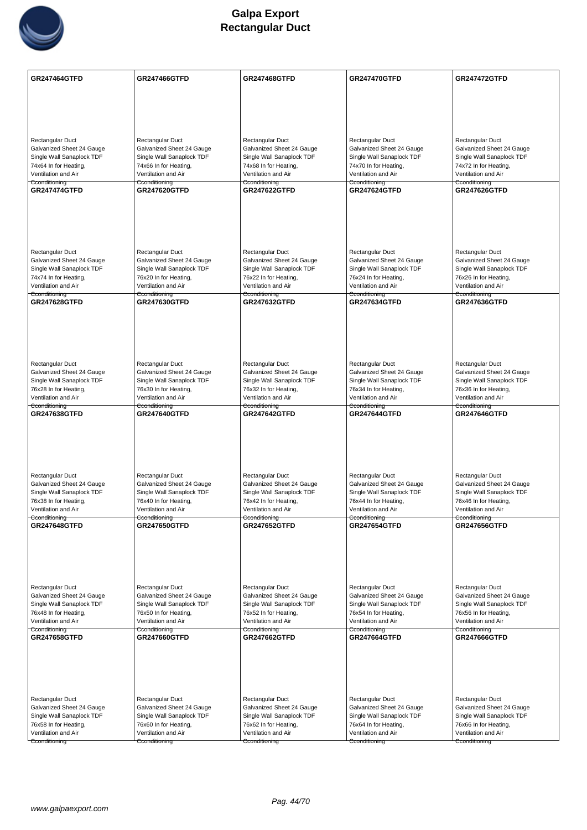

| <b>GR247464GTFD</b>                                    | <b>GR247466GTFD</b>                                    | <b>GR247468GTFD</b>                                    | <b>GR247470GTFD</b>                                    | <b>GR247472GTFD</b>                                    |
|--------------------------------------------------------|--------------------------------------------------------|--------------------------------------------------------|--------------------------------------------------------|--------------------------------------------------------|
|                                                        |                                                        |                                                        |                                                        |                                                        |
|                                                        |                                                        |                                                        |                                                        |                                                        |
|                                                        |                                                        |                                                        |                                                        |                                                        |
| Rectangular Duct                                       | Rectangular Duct                                       | Rectangular Duct                                       | Rectangular Duct                                       | Rectangular Duct                                       |
| Galvanized Sheet 24 Gauge                              | Galvanized Sheet 24 Gauge                              | Galvanized Sheet 24 Gauge                              | Galvanized Sheet 24 Gauge                              | Galvanized Sheet 24 Gauge                              |
| Single Wall Sanaplock TDF<br>74x64 In for Heating,     | Single Wall Sanaplock TDF<br>74x66 In for Heating,     | Single Wall Sanaplock TDF<br>74x68 In for Heating,     | Single Wall Sanaplock TDF<br>74x70 In for Heating,     | Single Wall Sanaplock TDF<br>74x72 In for Heating,     |
| Ventilation and Air                                    | Ventilation and Air                                    | Ventilation and Air                                    | Ventilation and Air                                    | Ventilation and Air                                    |
| Cconditioning<br><b>GR247474GTFD</b>                   | Cconditioning<br><b>GR247620GTFD</b>                   | Cconditioning<br><b>GR247622GTFD</b>                   | Cconditioning<br><b>GR247624GTFD</b>                   | Cconditioning<br><b>GR247626GTFD</b>                   |
|                                                        |                                                        |                                                        |                                                        |                                                        |
|                                                        |                                                        |                                                        |                                                        |                                                        |
|                                                        |                                                        |                                                        |                                                        |                                                        |
|                                                        |                                                        |                                                        |                                                        |                                                        |
| <b>Rectangular Duct</b><br>Galvanized Sheet 24 Gauge   | Rectangular Duct                                       | Rectangular Duct                                       | Rectangular Duct<br>Galvanized Sheet 24 Gauge          | Rectangular Duct                                       |
| Single Wall Sanaplock TDF                              | Galvanized Sheet 24 Gauge<br>Single Wall Sanaplock TDF | Galvanized Sheet 24 Gauge<br>Single Wall Sanaplock TDF | Single Wall Sanaplock TDF                              | Galvanized Sheet 24 Gauge<br>Single Wall Sanaplock TDF |
| 74x74 In for Heating,                                  | 76x20 In for Heating,                                  | 76x22 In for Heating,                                  | 76x24 In for Heating,                                  | 76x26 In for Heating,                                  |
| Ventilation and Air<br>Cconditioning                   | Ventilation and Air<br><del>Cconditioning</del>        | Ventilation and Air<br>Cconditioning                   | Ventilation and Air<br><del>Cconditioning</del>        | Ventilation and Air<br>Cconditioning                   |
| <b>GR247628GTFD</b>                                    | <b>GR247630GTFD</b>                                    | <b>GR247632GTFD</b>                                    | <b>GR247634GTFD</b>                                    | <b>GR247636GTFD</b>                                    |
|                                                        |                                                        |                                                        |                                                        |                                                        |
|                                                        |                                                        |                                                        |                                                        |                                                        |
|                                                        |                                                        |                                                        |                                                        |                                                        |
| Rectangular Duct                                       | Rectangular Duct                                       | Rectangular Duct                                       | Rectangular Duct                                       | Rectangular Duct                                       |
| Galvanized Sheet 24 Gauge                              | Galvanized Sheet 24 Gauge                              | Galvanized Sheet 24 Gauge                              | Galvanized Sheet 24 Gauge                              | Galvanized Sheet 24 Gauge                              |
| Single Wall Sanaplock TDF                              | Single Wall Sanaplock TDF                              | Single Wall Sanaplock TDF                              | Single Wall Sanaplock TDF                              | Single Wall Sanaplock TDF                              |
| 76x28 In for Heating,<br>Ventilation and Air           | 76x30 In for Heating,<br>Ventilation and Air           | 76x32 In for Heating,<br>Ventilation and Air           | 76x34 In for Heating,<br>Ventilation and Air           | 76x36 In for Heating,<br>Ventilation and Air           |
| Cconditioning                                          | Cconditioning                                          | Cconditioning                                          | Cconditioning                                          | Cconditioning                                          |
| <b>GR247638GTFD</b>                                    | <b>GR247640GTFD</b>                                    | <b>GR247642GTFD</b>                                    | <b>GR247644GTFD</b>                                    | <b>GR247646GTFD</b>                                    |
|                                                        |                                                        |                                                        |                                                        |                                                        |
|                                                        |                                                        |                                                        |                                                        |                                                        |
|                                                        |                                                        |                                                        |                                                        |                                                        |
| Rectangular Duct                                       | Rectangular Duct                                       | Rectangular Duct                                       | Rectangular Duct                                       | Rectangular Duct                                       |
| Galvanized Sheet 24 Gauge                              | Galvanized Sheet 24 Gauge                              | Galvanized Sheet 24 Gauge                              | Galvanized Sheet 24 Gauge                              | Galvanized Sheet 24 Gauge                              |
| Single Wall Sanaplock TDF<br>76x38 In for Heating,     | Single Wall Sanaplock TDF<br>76x40 In for Heating,     | Single Wall Sanaplock TDF<br>76x42 In for Heating,     | Single Wall Sanaplock TDF<br>76x44 In for Heating,     | Single Wall Sanaplock TDF<br>76x46 In for Heating,     |
| Ventilation and Air                                    | Ventilation and Air                                    | Ventilation and Air                                    | Ventilation and Air                                    | Ventilation and Air                                    |
| Cconditioning<br><b>GR247648GTFD</b>                   | Cconditioning<br><b>GR247650GTFD</b>                   | Cconditioning<br><b>GR247652GTFD</b>                   | Cconditioning<br><b>GR247654GTFD</b>                   | Cconditioning<br><b>GR247656GTFD</b>                   |
|                                                        |                                                        |                                                        |                                                        |                                                        |
|                                                        |                                                        |                                                        |                                                        |                                                        |
|                                                        |                                                        |                                                        |                                                        |                                                        |
|                                                        |                                                        |                                                        |                                                        |                                                        |
| Rectangular Duct                                       | Rectangular Duct                                       | Rectangular Duct                                       | Rectangular Duct                                       | Rectangular Duct                                       |
| Galvanized Sheet 24 Gauge<br>Single Wall Sanaplock TDF | Galvanized Sheet 24 Gauge                              | Galvanized Sheet 24 Gauge<br>Single Wall Sanaplock TDF | Galvanized Sheet 24 Gauge<br>Single Wall Sanaplock TDF | Galvanized Sheet 24 Gauge<br>Single Wall Sanaplock TDF |
| 76x48 In for Heating,                                  | Single Wall Sanaplock TDF<br>76x50 In for Heating,     | 76x52 In for Heating,                                  | 76x54 In for Heating,                                  | 76x56 In for Heating,                                  |
| Ventilation and Air                                    | Ventilation and Air                                    | Ventilation and Air                                    | Ventilation and Air                                    | Ventilation and Air                                    |
| Cconditioning<br>GR247658GTFD                          | Cconditioning<br>GR247660GTFD                          | Cconditioning<br><b>GR247662GTFD</b>                   | Cconditioning<br><b>GR247664GTFD</b>                   | Cconditioning<br>GR247666GTFD                          |
|                                                        |                                                        |                                                        |                                                        |                                                        |
|                                                        |                                                        |                                                        |                                                        |                                                        |
|                                                        |                                                        |                                                        |                                                        |                                                        |
|                                                        |                                                        |                                                        |                                                        |                                                        |
| Rectangular Duct                                       | Rectangular Duct                                       | Rectangular Duct                                       | Rectangular Duct                                       | Rectangular Duct                                       |
| Galvanized Sheet 24 Gauge<br>Single Wall Sanaplock TDF | Galvanized Sheet 24 Gauge<br>Single Wall Sanaplock TDF | Galvanized Sheet 24 Gauge<br>Single Wall Sanaplock TDF | Galvanized Sheet 24 Gauge<br>Single Wall Sanaplock TDF | Galvanized Sheet 24 Gauge<br>Single Wall Sanaplock TDF |
| 76x58 In for Heating,                                  | 76x60 In for Heating,                                  | 76x62 In for Heating,                                  | 76x64 In for Heating,                                  | 76x66 In for Heating,                                  |
| Ventilation and Air                                    | Ventilation and Air                                    | Ventilation and Air                                    | Ventilation and Air                                    | Ventilation and Air                                    |
| Cconditioning                                          | Cconditioning                                          | Cconditioning                                          | Cconditioning                                          | Cconditioning                                          |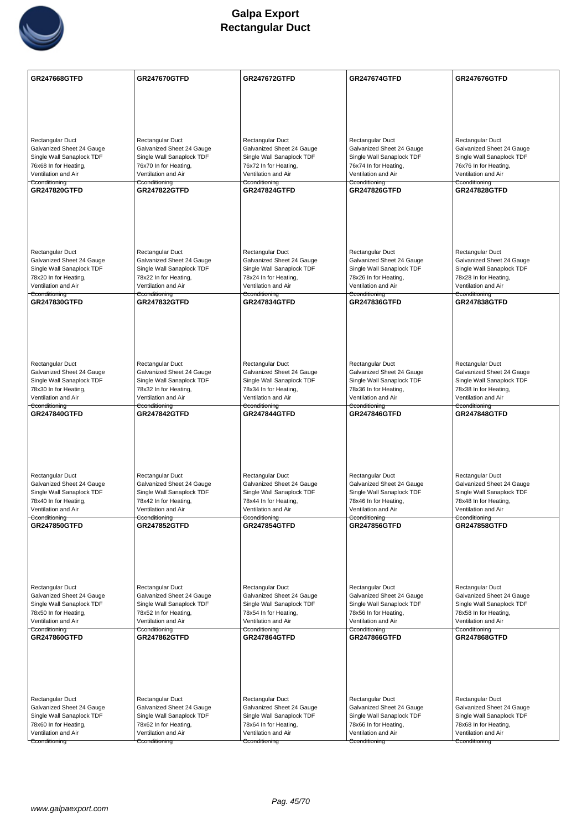

| GR247668GTFD                                           | <b>GR247670GTFD</b>                                    | <b>GR247672GTFD</b>                                    | <b>GR247674GTFD</b>                                    | <b>GR247676GTFD</b>                                    |
|--------------------------------------------------------|--------------------------------------------------------|--------------------------------------------------------|--------------------------------------------------------|--------------------------------------------------------|
|                                                        |                                                        |                                                        |                                                        |                                                        |
|                                                        |                                                        |                                                        |                                                        |                                                        |
|                                                        |                                                        |                                                        |                                                        |                                                        |
| Rectangular Duct                                       | Rectangular Duct                                       | Rectangular Duct                                       | Rectangular Duct                                       | Rectangular Duct                                       |
| Galvanized Sheet 24 Gauge<br>Single Wall Sanaplock TDF | Galvanized Sheet 24 Gauge<br>Single Wall Sanaplock TDF | Galvanized Sheet 24 Gauge<br>Single Wall Sanaplock TDF | Galvanized Sheet 24 Gauge<br>Single Wall Sanaplock TDF | Galvanized Sheet 24 Gauge<br>Single Wall Sanaplock TDF |
| 76x68 In for Heating,                                  | 76x70 In for Heating,                                  | 76x72 In for Heating,                                  | 76x74 In for Heating,                                  | 76x76 In for Heating,                                  |
| Ventilation and Air<br>Cconditioning                   | Ventilation and Air<br>Cconditioning                   | Ventilation and Air<br>Cconditioning                   | Ventilation and Air<br>Cconditioning                   | Ventilation and Air<br>Cconditioning                   |
| <b>GR247820GTFD</b>                                    | <b>GR247822GTFD</b>                                    | <b>GR247824GTFD</b>                                    | <b>GR247826GTFD</b>                                    | <b>GR247828GTFD</b>                                    |
|                                                        |                                                        |                                                        |                                                        |                                                        |
|                                                        |                                                        |                                                        |                                                        |                                                        |
|                                                        |                                                        |                                                        |                                                        |                                                        |
|                                                        |                                                        |                                                        |                                                        |                                                        |
| <b>Rectangular Duct</b><br>Galvanized Sheet 24 Gauge   | Rectangular Duct<br>Galvanized Sheet 24 Gauge          | Rectangular Duct<br>Galvanized Sheet 24 Gauge          | Rectangular Duct<br>Galvanized Sheet 24 Gauge          | Rectangular Duct<br>Galvanized Sheet 24 Gauge          |
| Single Wall Sanaplock TDF                              | Single Wall Sanaplock TDF                              | Single Wall Sanaplock TDF                              | Single Wall Sanaplock TDF                              | Single Wall Sanaplock TDF                              |
| 78x20 In for Heating,<br>Ventilation and Air           | 78x22 In for Heating,<br>Ventilation and Air           | 78x24 In for Heating,<br>Ventilation and Air           | 78x26 In for Heating,<br>Ventilation and Air           | 78x28 In for Heating,<br>Ventilation and Air           |
| Cconditioning                                          | <del>Cconditioning</del>                               | Cconditioning                                          | <del>Cconditioning</del>                               | Cconditioning                                          |
| <b>GR247830GTFD</b>                                    | <b>GR247832GTFD</b>                                    | <b>GR247834GTFD</b>                                    | <b>GR247836GTFD</b>                                    | <b>GR247838GTFD</b>                                    |
|                                                        |                                                        |                                                        |                                                        |                                                        |
|                                                        |                                                        |                                                        |                                                        |                                                        |
|                                                        |                                                        |                                                        |                                                        |                                                        |
| Rectangular Duct                                       | Rectangular Duct                                       | Rectangular Duct                                       | Rectangular Duct                                       | Rectangular Duct                                       |
| Galvanized Sheet 24 Gauge                              | Galvanized Sheet 24 Gauge                              | Galvanized Sheet 24 Gauge                              | Galvanized Sheet 24 Gauge                              | Galvanized Sheet 24 Gauge                              |
| Single Wall Sanaplock TDF<br>78x30 In for Heating,     | Single Wall Sanaplock TDF<br>78x32 In for Heating,     | Single Wall Sanaplock TDF<br>78x34 In for Heating,     | Single Wall Sanaplock TDF<br>78x36 In for Heating,     | Single Wall Sanaplock TDF<br>78x38 In for Heating,     |
| Ventilation and Air                                    | Ventilation and Air                                    | Ventilation and Air                                    | Ventilation and Air                                    | Ventilation and Air                                    |
| Cconditioning<br>GR247840GTFD                          | Cconditioning<br><b>GR247842GTFD</b>                   | Cconditioning<br><b>GR247844GTFD</b>                   | Cconditioning<br><b>GR247846GTFD</b>                   | Cconditioning<br><b>GR247848GTFD</b>                   |
|                                                        |                                                        |                                                        |                                                        |                                                        |
|                                                        |                                                        |                                                        |                                                        |                                                        |
|                                                        |                                                        |                                                        |                                                        |                                                        |
|                                                        |                                                        |                                                        |                                                        |                                                        |
| Rectangular Duct<br>Galvanized Sheet 24 Gauge          | Rectangular Duct<br>Galvanized Sheet 24 Gauge          | Rectangular Duct<br>Galvanized Sheet 24 Gauge          | Rectangular Duct<br>Galvanized Sheet 24 Gauge          | Rectangular Duct<br>Galvanized Sheet 24 Gauge          |
| Single Wall Sanaplock TDF                              | Single Wall Sanaplock TDF                              | Single Wall Sanaplock TDF                              | Single Wall Sanaplock TDF                              | Single Wall Sanaplock TDF                              |
| 78x40 In for Heating,<br>Ventilation and Air           | 78x42 In for Heating,<br>Ventilation and Air           | 78x44 In for Heating,<br>Ventilation and Air           | 78x46 In for Heating,<br>Ventilation and Air           | 78x48 In for Heating,<br>Ventilation and Air           |
| Cconditioning                                          | Cconditioning                                          | Cconditioning                                          | Cconditioning                                          | Cconditioning                                          |
| <b>GR247850GTFD</b>                                    | <b>GR247852GTFD</b>                                    | <b>GR247854GTFD</b>                                    | <b>GR247856GTFD</b>                                    | <b>GR247858GTFD</b>                                    |
|                                                        |                                                        |                                                        |                                                        |                                                        |
|                                                        |                                                        |                                                        |                                                        |                                                        |
|                                                        |                                                        |                                                        |                                                        |                                                        |
| Rectangular Duct                                       | Rectangular Duct                                       | Rectangular Duct                                       | Rectangular Duct                                       | Rectangular Duct                                       |
| Galvanized Sheet 24 Gauge                              | Galvanized Sheet 24 Gauge                              | Galvanized Sheet 24 Gauge                              | Galvanized Sheet 24 Gauge                              | Galvanized Sheet 24 Gauge                              |
| Single Wall Sanaplock TDF<br>78x50 In for Heating,     | Single Wall Sanaplock TDF<br>78x52 In for Heating,     | Single Wall Sanaplock TDF<br>78x54 In for Heating,     | Single Wall Sanaplock TDF<br>78x56 In for Heating,     | Single Wall Sanaplock TDF<br>78x58 In for Heating,     |
| Ventilation and Air                                    | Ventilation and Air                                    | Ventilation and Air                                    | Ventilation and Air                                    | Ventilation and Air                                    |
| Cconditioning<br><b>GR247860GTFD</b>                   | Cconditioning<br><b>GR247862GTFD</b>                   | Cconditioning<br><b>GR247864GTFD</b>                   | Cconditioning<br><b>GR247866GTFD</b>                   | Cconditioning<br><b>GR247868GTFD</b>                   |
|                                                        |                                                        |                                                        |                                                        |                                                        |
|                                                        |                                                        |                                                        |                                                        |                                                        |
|                                                        |                                                        |                                                        |                                                        |                                                        |
|                                                        |                                                        |                                                        |                                                        |                                                        |
| Rectangular Duct                                       | Rectangular Duct                                       | Rectangular Duct                                       | Rectangular Duct                                       | Rectangular Duct                                       |
| Galvanized Sheet 24 Gauge<br>Single Wall Sanaplock TDF | Galvanized Sheet 24 Gauge<br>Single Wall Sanaplock TDF | Galvanized Sheet 24 Gauge<br>Single Wall Sanaplock TDF | Galvanized Sheet 24 Gauge<br>Single Wall Sanaplock TDF | Galvanized Sheet 24 Gauge<br>Single Wall Sanaplock TDF |
| 78x60 In for Heating,                                  | 78x62 In for Heating,                                  | 78x64 In for Heating,                                  | 78x66 In for Heating,                                  | 78x68 In for Heating,                                  |
| Ventilation and Air                                    | Ventilation and Air                                    | Ventilation and Air                                    | Ventilation and Air                                    | Ventilation and Air                                    |
| Cconditioning                                          | Cconditioning                                          | Cconditioning                                          | Cconditioning                                          | Cconditioning                                          |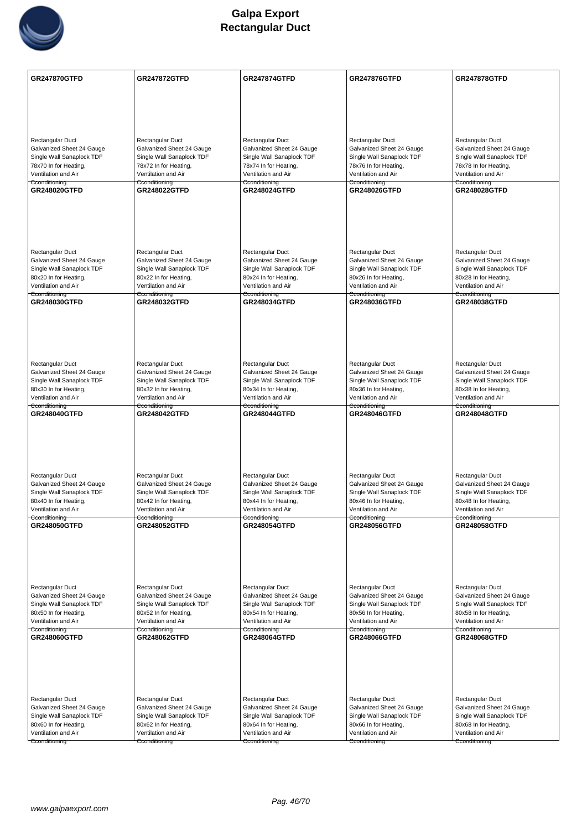

| <b>GR247870GTFD</b>                                    | <b>GR247872GTFD</b>                                    | <b>GR247874GTFD</b>                                    | <b>GR247876GTFD</b>                                    | <b>GR247878GTFD</b>                                    |
|--------------------------------------------------------|--------------------------------------------------------|--------------------------------------------------------|--------------------------------------------------------|--------------------------------------------------------|
|                                                        |                                                        |                                                        |                                                        |                                                        |
|                                                        |                                                        |                                                        |                                                        |                                                        |
|                                                        |                                                        |                                                        |                                                        |                                                        |
| Rectangular Duct                                       | Rectangular Duct                                       | Rectangular Duct                                       | Rectangular Duct                                       | Rectangular Duct                                       |
| Galvanized Sheet 24 Gauge<br>Single Wall Sanaplock TDF | Galvanized Sheet 24 Gauge<br>Single Wall Sanaplock TDF | Galvanized Sheet 24 Gauge<br>Single Wall Sanaplock TDF | Galvanized Sheet 24 Gauge<br>Single Wall Sanaplock TDF | Galvanized Sheet 24 Gauge<br>Single Wall Sanaplock TDF |
| 78x70 In for Heating,                                  | 78x72 In for Heating,                                  | 78x74 In for Heating,                                  | 78x76 In for Heating,                                  | 78x78 In for Heating,                                  |
| Ventilation and Air<br>Cconditioning                   | Ventilation and Air<br>Cconditioning                   | Ventilation and Air<br>Cconditioning                   | Ventilation and Air<br>Cconditioning                   | Ventilation and Air<br>Cconditioning                   |
| <b>GR248020GTFD</b>                                    | <b>GR248022GTFD</b>                                    | <b>GR248024GTFD</b>                                    | <b>GR248026GTFD</b>                                    | <b>GR248028GTFD</b>                                    |
|                                                        |                                                        |                                                        |                                                        |                                                        |
|                                                        |                                                        |                                                        |                                                        |                                                        |
|                                                        |                                                        |                                                        |                                                        |                                                        |
| <b>Rectangular Duct</b>                                | Rectangular Duct                                       | Rectangular Duct                                       | Rectangular Duct                                       | Rectangular Duct                                       |
| Galvanized Sheet 24 Gauge                              | Galvanized Sheet 24 Gauge                              | Galvanized Sheet 24 Gauge                              | Galvanized Sheet 24 Gauge                              | Galvanized Sheet 24 Gauge                              |
| Single Wall Sanaplock TDF<br>80x20 In for Heating,     | Single Wall Sanaplock TDF<br>80x22 In for Heating,     | Single Wall Sanaplock TDF<br>80x24 In for Heating,     | Single Wall Sanaplock TDF<br>80x26 In for Heating,     | Single Wall Sanaplock TDF<br>80x28 In for Heating,     |
| Ventilation and Air<br>Cconditioning                   | Ventilation and Air<br>Cconditioning                   | Ventilation and Air<br>Cconditioning                   | Ventilation and Air<br>Cconditioning                   | Ventilation and Air<br>Cconditioning                   |
| GR248030GTFD                                           | GR248032GTFD                                           | <b>GR248034GTFD</b>                                    | <b>GR248036GTFD</b>                                    | <b>GR248038GTFD</b>                                    |
|                                                        |                                                        |                                                        |                                                        |                                                        |
|                                                        |                                                        |                                                        |                                                        |                                                        |
|                                                        |                                                        |                                                        |                                                        |                                                        |
| Rectangular Duct                                       | Rectangular Duct                                       | Rectangular Duct                                       | Rectangular Duct                                       | Rectangular Duct                                       |
| Galvanized Sheet 24 Gauge                              | Galvanized Sheet 24 Gauge                              | Galvanized Sheet 24 Gauge                              | Galvanized Sheet 24 Gauge                              | Galvanized Sheet 24 Gauge                              |
| Single Wall Sanaplock TDF<br>80x30 In for Heating,     | Single Wall Sanaplock TDF<br>80x32 In for Heating,     | Single Wall Sanaplock TDF<br>80x34 In for Heating,     | Single Wall Sanaplock TDF<br>80x36 In for Heating,     | Single Wall Sanaplock TDF<br>80x38 In for Heating,     |
| Ventilation and Air<br>Cconditioning                   | Ventilation and Air<br>Cconditioning                   | Ventilation and Air<br>Cconditioning                   | Ventilation and Air<br>Cconditioning                   | Ventilation and Air<br>Cconditioning                   |
| <b>GR248040GTFD</b>                                    | <b>GR248042GTFD</b>                                    | <b>GR248044GTFD</b>                                    | <b>GR248046GTFD</b>                                    | <b>GR248048GTFD</b>                                    |
|                                                        |                                                        |                                                        |                                                        |                                                        |
|                                                        |                                                        |                                                        |                                                        |                                                        |
|                                                        |                                                        |                                                        |                                                        |                                                        |
| Rectangular Duct                                       | Rectangular Duct                                       | Rectangular Duct                                       | Rectangular Duct                                       | Rectangular Duct                                       |
| Galvanized Sheet 24 Gauge<br>Single Wall Sanaplock TDF | Galvanized Sheet 24 Gauge<br>Single Wall Sanaplock TDF | Galvanized Sheet 24 Gauge<br>Single Wall Sanaplock TDF | Galvanized Sheet 24 Gauge<br>Single Wall Sanaplock TDF | Galvanized Sheet 24 Gauge<br>Single Wall Sanaplock TDF |
| 80x40 In for Heating,                                  | 80x42 In for Heating,                                  | 80x44 In for Heating,                                  | 80x46 In for Heating,                                  | 80x48 In for Heating,                                  |
| Ventilation and Air<br>Cconditioning                   | Ventilation and Air<br>Cconditioning                   | Ventilation and Air<br>Cconditioning                   | Ventilation and Air<br>Cconditioning                   | Ventilation and Air<br>Cconditioning                   |
| GR248050GTFD                                           | GR248052GTFD                                           | <b>GR248054GTFD</b>                                    | <b>GR248056GTFD</b>                                    | GR248058GTFD                                           |
|                                                        |                                                        |                                                        |                                                        |                                                        |
|                                                        |                                                        |                                                        |                                                        |                                                        |
|                                                        |                                                        |                                                        |                                                        |                                                        |
| Rectangular Duct                                       | Rectangular Duct                                       | Rectangular Duct                                       | Rectangular Duct                                       | Rectangular Duct                                       |
| Galvanized Sheet 24 Gauge<br>Single Wall Sanaplock TDF | Galvanized Sheet 24 Gauge<br>Single Wall Sanaplock TDF | Galvanized Sheet 24 Gauge<br>Single Wall Sanaplock TDF | Galvanized Sheet 24 Gauge<br>Single Wall Sanaplock TDF | Galvanized Sheet 24 Gauge<br>Single Wall Sanaplock TDF |
| 80x50 In for Heating,                                  | 80x52 In for Heating,                                  | 80x54 In for Heating,                                  | 80x56 In for Heating,                                  | 80x58 In for Heating,                                  |
| Ventilation and Air<br>Cconditioning                   | Ventilation and Air<br>Cconditioning                   | Ventilation and Air<br>Cconditioning                   | Ventilation and Air<br>Cconditioning                   | Ventilation and Air<br>Cconditioning                   |
| GR248060GTFD                                           | <b>GR248062GTFD</b>                                    | <b>GR248064GTFD</b>                                    | GR248066GTFD                                           | GR248068GTFD                                           |
|                                                        |                                                        |                                                        |                                                        |                                                        |
|                                                        |                                                        |                                                        |                                                        |                                                        |
|                                                        |                                                        |                                                        |                                                        |                                                        |
| Rectangular Duct                                       | Rectangular Duct                                       | Rectangular Duct                                       | Rectangular Duct                                       | Rectangular Duct                                       |
| Galvanized Sheet 24 Gauge<br>Single Wall Sanaplock TDF | Galvanized Sheet 24 Gauge<br>Single Wall Sanaplock TDF | Galvanized Sheet 24 Gauge<br>Single Wall Sanaplock TDF | Galvanized Sheet 24 Gauge<br>Single Wall Sanaplock TDF | Galvanized Sheet 24 Gauge<br>Single Wall Sanaplock TDF |
| 80x60 In for Heating,                                  | 80x62 In for Heating,                                  | 80x64 In for Heating,                                  | 80x66 In for Heating,                                  | 80x68 In for Heating,                                  |
| Ventilation and Air<br>Cconditioning                   | Ventilation and Air<br>Cconditioning                   | Ventilation and Air<br>Cconditioning                   | Ventilation and Air<br>Cconditioning                   | Ventilation and Air<br>Cconditioning                   |
|                                                        |                                                        |                                                        |                                                        |                                                        |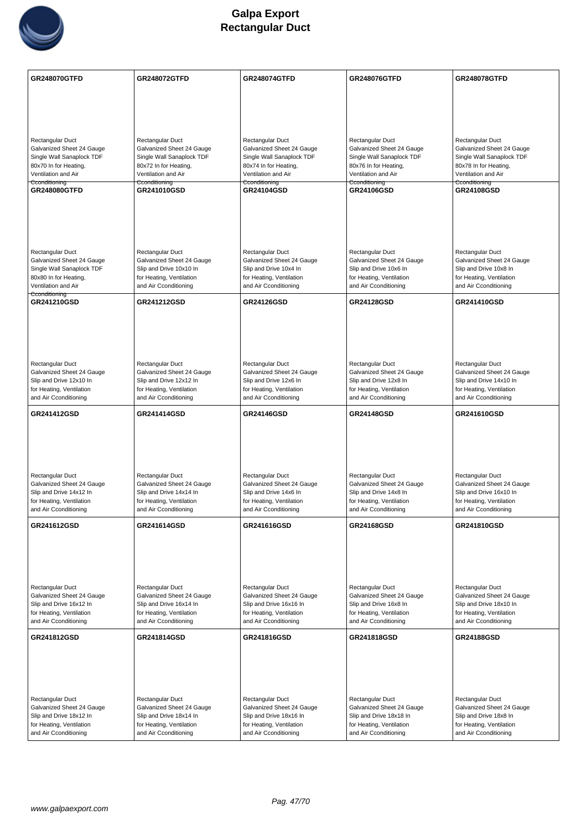

| <b>GR248070GTFD</b>                                    | <b>GR248072GTFD</b>                                    | <b>GR248074GTFD</b>                                    | <b>GR248076GTFD</b>                                    | <b>GR248078GTFD</b>                                    |
|--------------------------------------------------------|--------------------------------------------------------|--------------------------------------------------------|--------------------------------------------------------|--------------------------------------------------------|
|                                                        |                                                        |                                                        |                                                        |                                                        |
|                                                        |                                                        |                                                        |                                                        |                                                        |
|                                                        |                                                        |                                                        |                                                        |                                                        |
|                                                        |                                                        |                                                        |                                                        |                                                        |
| Rectangular Duct                                       | Rectangular Duct                                       | Rectangular Duct                                       | Rectangular Duct                                       | Rectangular Duct                                       |
| Galvanized Sheet 24 Gauge<br>Single Wall Sanaplock TDF | Galvanized Sheet 24 Gauge<br>Single Wall Sanaplock TDF | Galvanized Sheet 24 Gauge<br>Single Wall Sanaplock TDF | Galvanized Sheet 24 Gauge<br>Single Wall Sanaplock TDF | Galvanized Sheet 24 Gauge<br>Single Wall Sanaplock TDF |
| 80x70 In for Heating,                                  | 80x72 In for Heating,                                  | 80x74 In for Heating,                                  | 80x76 In for Heating,                                  | 80x78 In for Heating,                                  |
| Ventilation and Air                                    | Ventilation and Air                                    | Ventilation and Air                                    | Ventilation and Air                                    | Ventilation and Air                                    |
| Cconditioning<br>GR248080GTFD                          | Cconditioning<br>GR241010GSD                           | Cconditioning<br><b>GR24104GSD</b>                     | Cconditioning<br>GR24106GSD                            | Cconditioning<br>GR24108GSD                            |
|                                                        |                                                        |                                                        |                                                        |                                                        |
|                                                        |                                                        |                                                        |                                                        |                                                        |
|                                                        |                                                        |                                                        |                                                        |                                                        |
|                                                        |                                                        |                                                        |                                                        |                                                        |
| Rectangular Duct                                       | Rectangular Duct                                       | Rectangular Duct                                       | Rectangular Duct                                       | Rectangular Duct                                       |
| Galvanized Sheet 24 Gauge                              | Galvanized Sheet 24 Gauge                              | Galvanized Sheet 24 Gauge                              | Galvanized Sheet 24 Gauge                              | Galvanized Sheet 24 Gauge                              |
| Single Wall Sanaplock TDF<br>80x80 In for Heating,     | Slip and Drive 10x10 In<br>for Heating, Ventilation    | Slip and Drive 10x4 In                                 | Slip and Drive 10x6 In                                 | Slip and Drive 10x8 In                                 |
| Ventilation and Air                                    | and Air Cconditioning                                  | for Heating, Ventilation<br>and Air Cconditioning      | for Heating, Ventilation<br>and Air Cconditioning      | for Heating, Ventilation<br>and Air Cconditioning      |
| Cconditioning                                          |                                                        |                                                        |                                                        |                                                        |
| GR241210GSD                                            | GR241212GSD                                            | <b>GR24126GSD</b>                                      | GR24128GSD                                             | GR241410GSD                                            |
|                                                        |                                                        |                                                        |                                                        |                                                        |
|                                                        |                                                        |                                                        |                                                        |                                                        |
|                                                        |                                                        |                                                        |                                                        |                                                        |
|                                                        |                                                        |                                                        |                                                        |                                                        |
| Rectangular Duct<br>Galvanized Sheet 24 Gauge          | Rectangular Duct<br>Galvanized Sheet 24 Gauge          | Rectangular Duct<br>Galvanized Sheet 24 Gauge          | Rectangular Duct<br>Galvanized Sheet 24 Gauge          | Rectangular Duct<br>Galvanized Sheet 24 Gauge          |
| Slip and Drive 12x10 In                                | Slip and Drive 12x12 In                                | Slip and Drive 12x6 In                                 | Slip and Drive 12x8 In                                 | Slip and Drive 14x10 In                                |
| for Heating, Ventilation                               | for Heating, Ventilation                               | for Heating, Ventilation                               | for Heating, Ventilation                               | for Heating, Ventilation                               |
| and Air Cconditioning                                  | and Air Cconditioning                                  | and Air Cconditioning                                  | and Air Cconditioning                                  | and Air Cconditioning                                  |
|                                                        |                                                        |                                                        |                                                        |                                                        |
| <b>GR241412GSD</b>                                     | GR241414GSD                                            | <b>GR24146GSD</b>                                      | <b>GR24148GSD</b>                                      | GR241610GSD                                            |
|                                                        |                                                        |                                                        |                                                        |                                                        |
|                                                        |                                                        |                                                        |                                                        |                                                        |
|                                                        |                                                        |                                                        |                                                        |                                                        |
|                                                        |                                                        |                                                        |                                                        |                                                        |
| Rectangular Duct                                       | Rectangular Duct                                       | Rectangular Duct                                       | Rectangular Duct                                       | Rectangular Duct                                       |
| Galvanized Sheet 24 Gauge                              | Galvanized Sheet 24 Gauge                              | Galvanized Sheet 24 Gauge                              | Galvanized Sheet 24 Gauge                              | Galvanized Sheet 24 Gauge                              |
| Slip and Drive 14x12 In<br>for Heating, Ventilation    | Slip and Drive 14x14 In<br>for Heating, Ventilation    | Slip and Drive 14x6 In<br>for Heating, Ventilation     | Slip and Drive 14x8 In<br>for Heating, Ventilation     | Slip and Drive 16x10 In<br>for Heating, Ventilation    |
| and Air Cconditioning                                  | and Air Cconditioning                                  | and Air Cconditioning                                  | and Air Cconditioning                                  | and Air Cconditioning                                  |
| GR241612GSD                                            | GR241614GSD                                            | GR241616GSD                                            | <b>GR24168GSD</b>                                      | GR241810GSD                                            |
|                                                        |                                                        |                                                        |                                                        |                                                        |
|                                                        |                                                        |                                                        |                                                        |                                                        |
|                                                        |                                                        |                                                        |                                                        |                                                        |
|                                                        |                                                        |                                                        |                                                        |                                                        |
| Rectangular Duct                                       | Rectangular Duct                                       | Rectangular Duct                                       | Rectangular Duct                                       | Rectangular Duct                                       |
| Galvanized Sheet 24 Gauge                              | Galvanized Sheet 24 Gauge                              | Galvanized Sheet 24 Gauge                              | Galvanized Sheet 24 Gauge                              | Galvanized Sheet 24 Gauge                              |
| Slip and Drive 16x12 In                                | Slip and Drive 16x14 In                                | Slip and Drive 16x16 In                                | Slip and Drive 16x8 In                                 | Slip and Drive 18x10 In                                |
| for Heating, Ventilation<br>and Air Cconditioning      | for Heating, Ventilation<br>and Air Cconditioning      | for Heating, Ventilation<br>and Air Cconditioning      | for Heating, Ventilation<br>and Air Cconditioning      | for Heating, Ventilation<br>and Air Cconditioning      |
|                                                        |                                                        |                                                        |                                                        |                                                        |
| GR241812GSD                                            | GR241814GSD                                            | GR241816GSD                                            | GR241818GSD                                            | <b>GR24188GSD</b>                                      |
|                                                        |                                                        |                                                        |                                                        |                                                        |
|                                                        |                                                        |                                                        |                                                        |                                                        |
|                                                        |                                                        |                                                        |                                                        |                                                        |
|                                                        |                                                        |                                                        |                                                        |                                                        |
| Rectangular Duct<br>Galvanized Sheet 24 Gauge          | Rectangular Duct<br>Galvanized Sheet 24 Gauge          | Rectangular Duct<br>Galvanized Sheet 24 Gauge          | Rectangular Duct<br>Galvanized Sheet 24 Gauge          | Rectangular Duct<br>Galvanized Sheet 24 Gauge          |
| Slip and Drive 18x12 In                                | Slip and Drive 18x14 In                                | Slip and Drive 18x16 In                                | Slip and Drive 18x18 In                                | Slip and Drive 18x8 In                                 |
| for Heating, Ventilation<br>and Air Cconditioning      | for Heating, Ventilation<br>and Air Cconditioning      | for Heating, Ventilation<br>and Air Cconditioning      | for Heating, Ventilation<br>and Air Cconditioning      | for Heating, Ventilation<br>and Air Cconditioning      |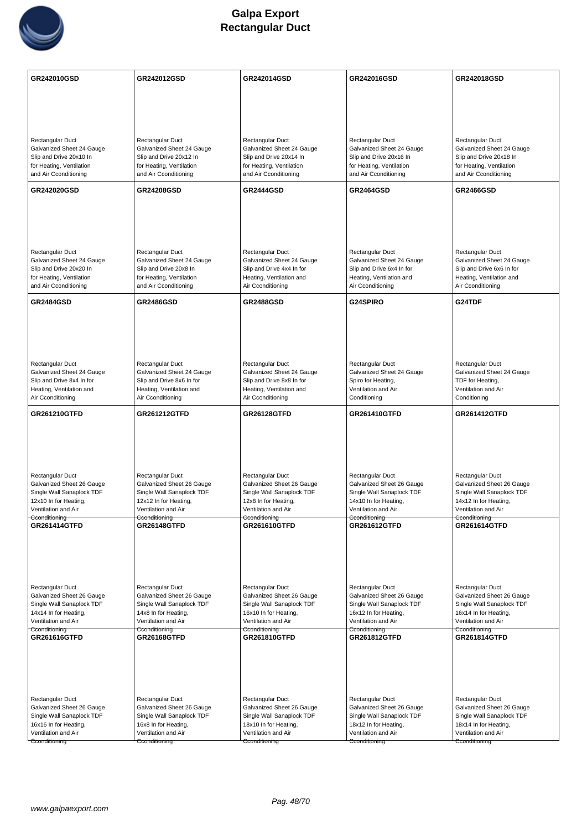

| GR242010GSD                                            | GR242012GSD                                            | GR242014GSD                                            | GR242016GSD                                            | GR242018GSD                                            |
|--------------------------------------------------------|--------------------------------------------------------|--------------------------------------------------------|--------------------------------------------------------|--------------------------------------------------------|
|                                                        |                                                        |                                                        |                                                        |                                                        |
|                                                        |                                                        |                                                        |                                                        |                                                        |
|                                                        |                                                        |                                                        |                                                        |                                                        |
| Rectangular Duct<br>Galvanized Sheet 24 Gauge          | Rectangular Duct<br>Galvanized Sheet 24 Gauge          | Rectangular Duct<br>Galvanized Sheet 24 Gauge          | Rectangular Duct<br>Galvanized Sheet 24 Gauge          | Rectangular Duct<br>Galvanized Sheet 24 Gauge          |
| Slip and Drive 20x10 In                                | Slip and Drive 20x12 In                                | Slip and Drive 20x14 In                                | Slip and Drive 20x16 In                                | Slip and Drive 20x18 In                                |
| for Heating, Ventilation<br>and Air Cconditioning      | for Heating, Ventilation<br>and Air Cconditioning      | for Heating, Ventilation<br>and Air Cconditioning      | for Heating, Ventilation<br>and Air Cconditioning      | for Heating, Ventilation<br>and Air Cconditioning      |
| <b>GR242020GSD</b>                                     | <b>GR24208GSD</b>                                      | <b>GR2444GSD</b>                                       | <b>GR2464GSD</b>                                       | <b>GR2466GSD</b>                                       |
|                                                        |                                                        |                                                        |                                                        |                                                        |
|                                                        |                                                        |                                                        |                                                        |                                                        |
|                                                        |                                                        |                                                        |                                                        |                                                        |
| Rectangular Duct                                       | Rectangular Duct                                       | Rectangular Duct                                       | Rectangular Duct                                       | Rectangular Duct                                       |
| Galvanized Sheet 24 Gauge<br>Slip and Drive 20x20 In   | Galvanized Sheet 24 Gauge<br>Slip and Drive 20x8 In    | Galvanized Sheet 24 Gauge<br>Slip and Drive 4x4 In for | Galvanized Sheet 24 Gauge<br>Slip and Drive 6x4 In for | Galvanized Sheet 24 Gauge<br>Slip and Drive 6x6 In for |
| for Heating, Ventilation<br>and Air Cconditioning      | for Heating, Ventilation<br>and Air Cconditioning      | Heating, Ventilation and<br>Air Cconditioning          | Heating, Ventilation and<br>Air Cconditioning          | Heating, Ventilation and<br>Air Cconditioning          |
| <b>GR2484GSD</b>                                       | <b>GR2486GSD</b>                                       | <b>GR2488GSD</b>                                       | G24SPIRO                                               | G24TDF                                                 |
|                                                        |                                                        |                                                        |                                                        |                                                        |
|                                                        |                                                        |                                                        |                                                        |                                                        |
|                                                        |                                                        |                                                        |                                                        |                                                        |
| Rectangular Duct                                       | Rectangular Duct                                       | Rectangular Duct                                       | Rectangular Duct                                       | Rectangular Duct                                       |
| Galvanized Sheet 24 Gauge<br>Slip and Drive 8x4 In for | Galvanized Sheet 24 Gauge<br>Slip and Drive 8x6 In for | Galvanized Sheet 24 Gauge<br>Slip and Drive 8x8 In for | Galvanized Sheet 24 Gauge<br>Spiro for Heating,        | Galvanized Sheet 24 Gauge<br>TDF for Heating,          |
| Heating, Ventilation and<br>Air Cconditioning          | Heating, Ventilation and<br>Air Cconditioning          | Heating, Ventilation and<br>Air Cconditioning          | Ventilation and Air<br>Conditioning                    | Ventilation and Air<br>Conditioning                    |
| <b>GR261210GTFD</b>                                    | <b>GR261212GTFD</b>                                    | <b>GR26128GTFD</b>                                     | <b>GR261410GTFD</b>                                    | <b>GR261412GTFD</b>                                    |
|                                                        |                                                        |                                                        |                                                        |                                                        |
|                                                        |                                                        |                                                        |                                                        |                                                        |
|                                                        |                                                        |                                                        |                                                        |                                                        |
| Rectangular Duct                                       | Rectangular Duct                                       | Rectangular Duct                                       | Rectangular Duct                                       | Rectangular Duct                                       |
| Galvanized Sheet 26 Gauge<br>Single Wall Sanaplock TDF | Galvanized Sheet 26 Gauge<br>Single Wall Sanaplock TDF | Galvanized Sheet 26 Gauge<br>Single Wall Sanaplock TDF | Galvanized Sheet 26 Gauge<br>Single Wall Sanaplock TDF | Galvanized Sheet 26 Gauge<br>Single Wall Sanaplock TDF |
| 12x10 In for Heating,                                  | 12x12 In for Heating,                                  | 12x8 In for Heating,                                   | 14x10 In for Heating,                                  | 14x12 In for Heating,                                  |
| Ventilation and Air<br>Cconditioning                   | Ventilation and Air<br>Cconditioning                   | Ventilation and Air<br>Cconditioning                   | Ventilation and Air<br>Cconditioning                   | Ventilation and Air<br>Cconditioning                   |
| GR261414GTFD                                           | <b>GR26148GTFD</b>                                     | GR261610GTFD                                           | GR261612GTFD                                           | GR261614GTFD                                           |
|                                                        |                                                        |                                                        |                                                        |                                                        |
|                                                        |                                                        |                                                        |                                                        |                                                        |
| Rectangular Duct                                       | Rectangular Duct                                       | Rectangular Duct                                       | Rectangular Duct                                       | Rectangular Duct                                       |
| Galvanized Sheet 26 Gauge                              | Galvanized Sheet 26 Gauge                              | Galvanized Sheet 26 Gauge                              | Galvanized Sheet 26 Gauge                              | Galvanized Sheet 26 Gauge                              |
| Single Wall Sanaplock TDF<br>14x14 In for Heating,     | Single Wall Sanaplock TDF<br>14x8 In for Heating,      | Single Wall Sanaplock TDF<br>16x10 In for Heating,     | Single Wall Sanaplock TDF<br>16x12 In for Heating,     | Single Wall Sanaplock TDF<br>16x14 In for Heating,     |
| Ventilation and Air<br>Cconditioning                   | Ventilation and Air<br>Cconditioning                   | Ventilation and Air<br>Cconditioning                   | Ventilation and Air<br>Cconditioning                   | Ventilation and Air<br>Cconditioning                   |
| GR261616GTFD                                           | <b>GR26168GTFD</b>                                     | GR261810GTFD                                           | GR261812GTFD                                           | GR261814GTFD                                           |
|                                                        |                                                        |                                                        |                                                        |                                                        |
|                                                        |                                                        |                                                        |                                                        |                                                        |
|                                                        |                                                        |                                                        |                                                        |                                                        |
| Rectangular Duct<br>Galvanized Sheet 26 Gauge          | Rectangular Duct<br>Galvanized Sheet 26 Gauge          | Rectangular Duct<br>Galvanized Sheet 26 Gauge          | Rectangular Duct<br>Galvanized Sheet 26 Gauge          | Rectangular Duct<br>Galvanized Sheet 26 Gauge          |
| Single Wall Sanaplock TDF                              | Single Wall Sanaplock TDF                              | Single Wall Sanaplock TDF                              | Single Wall Sanaplock TDF                              | Single Wall Sanaplock TDF                              |
| 16x16 In for Heating,<br>Ventilation and Air           | 16x8 In for Heating,<br>Ventilation and Air            | 18x10 In for Heating,<br>Ventilation and Air           | 18x12 In for Heating,<br>Ventilation and Air           | 18x14 In for Heating,<br>Ventilation and Air           |
| Cconditioning                                          | Cconditioning                                          | Cconditioning                                          | Cconditioning                                          | Cconditioning                                          |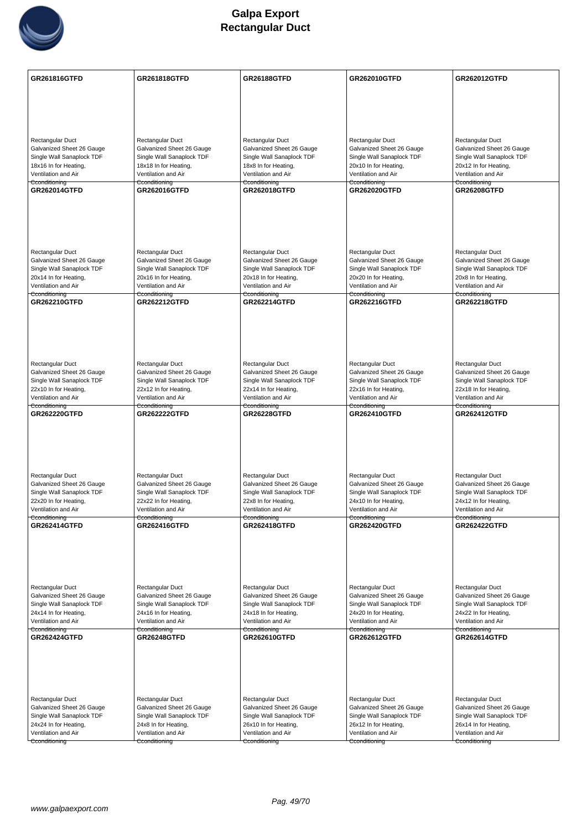

| Rectangular Duct<br>Rectangular Duct<br>Rectangular Duct<br>Rectangular Duct<br>Rectangular Duct<br>Galvanized Sheet 26 Gauge<br>Galvanized Sheet 26 Gauge<br>Galvanized Sheet 26 Gauge<br>Galvanized Sheet 26 Gauge<br>Galvanized Sheet 26 Gauge<br>Single Wall Sanaplock TDF<br>Single Wall Sanaplock TDF<br>Single Wall Sanaplock TDF<br>Single Wall Sanaplock TDF<br>Single Wall Sanaplock TDF<br>18x16 In for Heating,<br>18x18 In for Heating,<br>18x8 In for Heating,<br>20x10 In for Heating,<br>20x12 In for Heating,<br>Ventilation and Air<br>Ventilation and Air<br>Ventilation and Air<br>Ventilation and Air<br>Ventilation and Air<br>Cconditioning<br>Cconditioning<br>Cconditioning<br>Cconditioning<br>Cconditioning<br><b>GR262014GTFD</b><br><b>GR262016GTFD</b><br>GR262018GTFD<br><b>GR262020GTFD</b><br><b>GR26208GTFD</b><br><b>Rectangular Duct</b><br>Rectangular Duct<br>Rectangular Duct<br>Rectangular Duct<br>Rectangular Duct<br>Galvanized Sheet 26 Gauge<br>Galvanized Sheet 26 Gauge<br>Galvanized Sheet 26 Gauge<br>Galvanized Sheet 26 Gauge<br>Galvanized Sheet 26 Gauge<br>Single Wall Sanaplock TDF<br>Single Wall Sanaplock TDF<br>Single Wall Sanaplock TDF<br>Single Wall Sanaplock TDF<br>Single Wall Sanaplock TDF<br>20x14 In for Heating,<br>20x16 In for Heating,<br>20x18 In for Heating,<br>20x20 In for Heating,<br>20x8 In for Heating,<br>Ventilation and Air<br>Ventilation and Air<br>Ventilation and Air<br>Ventilation and Air<br>Ventilation and Air<br>Cconditioning<br>Cconditioning<br>Cconditioning<br>Cconditioning<br>Cconditioning<br><b>GR262210GTFD</b><br><b>GR262212GTFD</b><br><b>GR262214GTFD</b><br><b>GR262216GTFD</b><br><b>GR262218GTFD</b><br>Rectangular Duct<br>Rectangular Duct<br>Rectangular Duct<br>Rectangular Duct<br>Rectangular Duct<br>Galvanized Sheet 26 Gauge<br>Galvanized Sheet 26 Gauge<br>Galvanized Sheet 26 Gauge<br>Galvanized Sheet 26 Gauge<br>Galvanized Sheet 26 Gauge<br>Single Wall Sanaplock TDF<br>Single Wall Sanaplock TDF<br>Single Wall Sanaplock TDF<br>Single Wall Sanaplock TDF<br>Single Wall Sanaplock TDF<br>22x10 In for Heating,<br>22x12 In for Heating,<br>22x14 In for Heating,<br>22x16 In for Heating,<br>22x18 In for Heating,<br>Ventilation and Air<br>Ventilation and Air<br>Ventilation and Air<br>Ventilation and Air<br>Ventilation and Air<br>Cconditioning<br>Cconditioning<br>Cconditioning<br>Cconditioning<br>Cconditioning<br><b>GR262220GTFD</b><br><b>GR262222GTFD</b><br><b>GR26228GTFD</b><br><b>GR262410GTFD</b><br><b>GR262412GTFD</b><br><b>Rectangular Duct</b><br>Rectangular Duct<br>Rectangular Duct<br>Rectangular Duct<br>Rectangular Duct<br>Galvanized Sheet 26 Gauge<br>Galvanized Sheet 26 Gauge<br>Galvanized Sheet 26 Gauge<br>Galvanized Sheet 26 Gauge<br>Galvanized Sheet 26 Gauge<br>Single Wall Sanaplock TDF<br>Single Wall Sanaplock TDF<br>Single Wall Sanaplock TDF<br>Single Wall Sanaplock TDF<br>Single Wall Sanaplock TDF<br>22x20 In for Heating,<br>22x22 In for Heating,<br>22x8 In for Heating,<br>24x10 In for Heating,<br>24x12 In for Heating,<br>Ventilation and Air<br>Ventilation and Air<br>Ventilation and Air<br>Ventilation and Air<br>Ventilation and Air<br>Cconditioning<br>Cconditioning<br>Cconditioning<br>Cconditioning<br>Cconditioning<br><b>GR262414GTFD</b><br><b>GR262416GTFD</b><br><b>GR262418GTFD</b><br><b>GR262420GTFD</b><br><b>GR262422GTFD</b><br>Rectangular Duct<br>Rectangular Duct<br>Rectangular Duct<br>Rectangular Duct<br>Rectangular Duct<br>Galvanized Sheet 26 Gauge<br>Galvanized Sheet 26 Gauge<br>Galvanized Sheet 26 Gauge<br>Galvanized Sheet 26 Gauge<br>Galvanized Sheet 26 Gauge<br>Single Wall Sanaplock TDF<br>Single Wall Sanaplock TDF<br>Single Wall Sanaplock TDF<br>Single Wall Sanaplock TDF<br>Single Wall Sanaplock TDF<br>24x14 In for Heating,<br>24x16 In for Heating,<br>24x18 In for Heating,<br>24x20 In for Heating,<br>24x22 In for Heating,<br>Ventilation and Air<br>Ventilation and Air<br>Ventilation and Air<br>Ventilation and Air<br>Ventilation and Air<br>Cconditioning<br>Cconditioning<br>Cconditioning<br>Cconditioning<br>Cconditioning<br><b>GR262424GTFD</b><br><b>GR26248GTFD</b><br>GR262610GTFD<br>GR262612GTFD<br>GR262614GTFD<br>Rectangular Duct<br>Rectangular Duct<br>Rectangular Duct<br>Rectangular Duct<br>Rectangular Duct<br>Galvanized Sheet 26 Gauge<br>Galvanized Sheet 26 Gauge<br>Galvanized Sheet 26 Gauge<br>Galvanized Sheet 26 Gauge<br>Galvanized Sheet 26 Gauge<br>Single Wall Sanaplock TDF<br>Single Wall Sanaplock TDF<br>Single Wall Sanaplock TDF<br>Single Wall Sanaplock TDF<br>Single Wall Sanaplock TDF<br>24x24 In for Heating,<br>24x8 In for Heating,<br>26x10 In for Heating,<br>26x12 In for Heating,<br>26x14 In for Heating,<br>Ventilation and Air<br>Ventilation and Air<br>Ventilation and Air<br>Ventilation and Air<br>Ventilation and Air<br>Cconditioning<br>Cconditioning<br>Cconditioning<br>Cconditioning<br>Cconditioning | GR261816GTFD | GR261818GTFD | <b>GR26188GTFD</b> | GR262010GTFD | GR262012GTFD |
|------------------------------------------------------------------------------------------------------------------------------------------------------------------------------------------------------------------------------------------------------------------------------------------------------------------------------------------------------------------------------------------------------------------------------------------------------------------------------------------------------------------------------------------------------------------------------------------------------------------------------------------------------------------------------------------------------------------------------------------------------------------------------------------------------------------------------------------------------------------------------------------------------------------------------------------------------------------------------------------------------------------------------------------------------------------------------------------------------------------------------------------------------------------------------------------------------------------------------------------------------------------------------------------------------------------------------------------------------------------------------------------------------------------------------------------------------------------------------------------------------------------------------------------------------------------------------------------------------------------------------------------------------------------------------------------------------------------------------------------------------------------------------------------------------------------------------------------------------------------------------------------------------------------------------------------------------------------------------------------------------------------------------------------------------------------------------------------------------------------------------------------------------------------------------------------------------------------------------------------------------------------------------------------------------------------------------------------------------------------------------------------------------------------------------------------------------------------------------------------------------------------------------------------------------------------------------------------------------------------------------------------------------------------------------------------------------------------------------------------------------------------------------------------------------------------------------------------------------------------------------------------------------------------------------------------------------------------------------------------------------------------------------------------------------------------------------------------------------------------------------------------------------------------------------------------------------------------------------------------------------------------------------------------------------------------------------------------------------------------------------------------------------------------------------------------------------------------------------------------------------------------------------------------------------------------------------------------------------------------------------------------------------------------------------------------------------------------------------------------------------------------------------------------------------------------------------------------------------------------------------------------------------------------------------------------------------------------------------------------------------------------------------------------------------------------------------------------------------------------------------------------------------------------------------------------------------------------------------------------------------------------------------------------------------------------------------------------------------------------------------------------------------------------------------------------------------------------------------------------------------------------------------------------------------------------------------------------------------------------------------------------------------------------------------------------------------------------------------------------------------------------------------------------------------------------------------------------------------------------------------------------------------------------------------------------------------------------------------------------------------------------------------------------|--------------|--------------|--------------------|--------------|--------------|
|                                                                                                                                                                                                                                                                                                                                                                                                                                                                                                                                                                                                                                                                                                                                                                                                                                                                                                                                                                                                                                                                                                                                                                                                                                                                                                                                                                                                                                                                                                                                                                                                                                                                                                                                                                                                                                                                                                                                                                                                                                                                                                                                                                                                                                                                                                                                                                                                                                                                                                                                                                                                                                                                                                                                                                                                                                                                                                                                                                                                                                                                                                                                                                                                                                                                                                                                                                                                                                                                                                                                                                                                                                                                                                                                                                                                                                                                                                                                                                                                                                                                                                                                                                                                                                                                                                                                                                                                                                                                                                                                                                                                                                                                                                                                                                                                                                                                                                                                                                                                                                          |              |              |                    |              |              |
|                                                                                                                                                                                                                                                                                                                                                                                                                                                                                                                                                                                                                                                                                                                                                                                                                                                                                                                                                                                                                                                                                                                                                                                                                                                                                                                                                                                                                                                                                                                                                                                                                                                                                                                                                                                                                                                                                                                                                                                                                                                                                                                                                                                                                                                                                                                                                                                                                                                                                                                                                                                                                                                                                                                                                                                                                                                                                                                                                                                                                                                                                                                                                                                                                                                                                                                                                                                                                                                                                                                                                                                                                                                                                                                                                                                                                                                                                                                                                                                                                                                                                                                                                                                                                                                                                                                                                                                                                                                                                                                                                                                                                                                                                                                                                                                                                                                                                                                                                                                                                                          |              |              |                    |              |              |
|                                                                                                                                                                                                                                                                                                                                                                                                                                                                                                                                                                                                                                                                                                                                                                                                                                                                                                                                                                                                                                                                                                                                                                                                                                                                                                                                                                                                                                                                                                                                                                                                                                                                                                                                                                                                                                                                                                                                                                                                                                                                                                                                                                                                                                                                                                                                                                                                                                                                                                                                                                                                                                                                                                                                                                                                                                                                                                                                                                                                                                                                                                                                                                                                                                                                                                                                                                                                                                                                                                                                                                                                                                                                                                                                                                                                                                                                                                                                                                                                                                                                                                                                                                                                                                                                                                                                                                                                                                                                                                                                                                                                                                                                                                                                                                                                                                                                                                                                                                                                                                          |              |              |                    |              |              |
|                                                                                                                                                                                                                                                                                                                                                                                                                                                                                                                                                                                                                                                                                                                                                                                                                                                                                                                                                                                                                                                                                                                                                                                                                                                                                                                                                                                                                                                                                                                                                                                                                                                                                                                                                                                                                                                                                                                                                                                                                                                                                                                                                                                                                                                                                                                                                                                                                                                                                                                                                                                                                                                                                                                                                                                                                                                                                                                                                                                                                                                                                                                                                                                                                                                                                                                                                                                                                                                                                                                                                                                                                                                                                                                                                                                                                                                                                                                                                                                                                                                                                                                                                                                                                                                                                                                                                                                                                                                                                                                                                                                                                                                                                                                                                                                                                                                                                                                                                                                                                                          |              |              |                    |              |              |
|                                                                                                                                                                                                                                                                                                                                                                                                                                                                                                                                                                                                                                                                                                                                                                                                                                                                                                                                                                                                                                                                                                                                                                                                                                                                                                                                                                                                                                                                                                                                                                                                                                                                                                                                                                                                                                                                                                                                                                                                                                                                                                                                                                                                                                                                                                                                                                                                                                                                                                                                                                                                                                                                                                                                                                                                                                                                                                                                                                                                                                                                                                                                                                                                                                                                                                                                                                                                                                                                                                                                                                                                                                                                                                                                                                                                                                                                                                                                                                                                                                                                                                                                                                                                                                                                                                                                                                                                                                                                                                                                                                                                                                                                                                                                                                                                                                                                                                                                                                                                                                          |              |              |                    |              |              |
|                                                                                                                                                                                                                                                                                                                                                                                                                                                                                                                                                                                                                                                                                                                                                                                                                                                                                                                                                                                                                                                                                                                                                                                                                                                                                                                                                                                                                                                                                                                                                                                                                                                                                                                                                                                                                                                                                                                                                                                                                                                                                                                                                                                                                                                                                                                                                                                                                                                                                                                                                                                                                                                                                                                                                                                                                                                                                                                                                                                                                                                                                                                                                                                                                                                                                                                                                                                                                                                                                                                                                                                                                                                                                                                                                                                                                                                                                                                                                                                                                                                                                                                                                                                                                                                                                                                                                                                                                                                                                                                                                                                                                                                                                                                                                                                                                                                                                                                                                                                                                                          |              |              |                    |              |              |
|                                                                                                                                                                                                                                                                                                                                                                                                                                                                                                                                                                                                                                                                                                                                                                                                                                                                                                                                                                                                                                                                                                                                                                                                                                                                                                                                                                                                                                                                                                                                                                                                                                                                                                                                                                                                                                                                                                                                                                                                                                                                                                                                                                                                                                                                                                                                                                                                                                                                                                                                                                                                                                                                                                                                                                                                                                                                                                                                                                                                                                                                                                                                                                                                                                                                                                                                                                                                                                                                                                                                                                                                                                                                                                                                                                                                                                                                                                                                                                                                                                                                                                                                                                                                                                                                                                                                                                                                                                                                                                                                                                                                                                                                                                                                                                                                                                                                                                                                                                                                                                          |              |              |                    |              |              |
|                                                                                                                                                                                                                                                                                                                                                                                                                                                                                                                                                                                                                                                                                                                                                                                                                                                                                                                                                                                                                                                                                                                                                                                                                                                                                                                                                                                                                                                                                                                                                                                                                                                                                                                                                                                                                                                                                                                                                                                                                                                                                                                                                                                                                                                                                                                                                                                                                                                                                                                                                                                                                                                                                                                                                                                                                                                                                                                                                                                                                                                                                                                                                                                                                                                                                                                                                                                                                                                                                                                                                                                                                                                                                                                                                                                                                                                                                                                                                                                                                                                                                                                                                                                                                                                                                                                                                                                                                                                                                                                                                                                                                                                                                                                                                                                                                                                                                                                                                                                                                                          |              |              |                    |              |              |
|                                                                                                                                                                                                                                                                                                                                                                                                                                                                                                                                                                                                                                                                                                                                                                                                                                                                                                                                                                                                                                                                                                                                                                                                                                                                                                                                                                                                                                                                                                                                                                                                                                                                                                                                                                                                                                                                                                                                                                                                                                                                                                                                                                                                                                                                                                                                                                                                                                                                                                                                                                                                                                                                                                                                                                                                                                                                                                                                                                                                                                                                                                                                                                                                                                                                                                                                                                                                                                                                                                                                                                                                                                                                                                                                                                                                                                                                                                                                                                                                                                                                                                                                                                                                                                                                                                                                                                                                                                                                                                                                                                                                                                                                                                                                                                                                                                                                                                                                                                                                                                          |              |              |                    |              |              |
|                                                                                                                                                                                                                                                                                                                                                                                                                                                                                                                                                                                                                                                                                                                                                                                                                                                                                                                                                                                                                                                                                                                                                                                                                                                                                                                                                                                                                                                                                                                                                                                                                                                                                                                                                                                                                                                                                                                                                                                                                                                                                                                                                                                                                                                                                                                                                                                                                                                                                                                                                                                                                                                                                                                                                                                                                                                                                                                                                                                                                                                                                                                                                                                                                                                                                                                                                                                                                                                                                                                                                                                                                                                                                                                                                                                                                                                                                                                                                                                                                                                                                                                                                                                                                                                                                                                                                                                                                                                                                                                                                                                                                                                                                                                                                                                                                                                                                                                                                                                                                                          |              |              |                    |              |              |
|                                                                                                                                                                                                                                                                                                                                                                                                                                                                                                                                                                                                                                                                                                                                                                                                                                                                                                                                                                                                                                                                                                                                                                                                                                                                                                                                                                                                                                                                                                                                                                                                                                                                                                                                                                                                                                                                                                                                                                                                                                                                                                                                                                                                                                                                                                                                                                                                                                                                                                                                                                                                                                                                                                                                                                                                                                                                                                                                                                                                                                                                                                                                                                                                                                                                                                                                                                                                                                                                                                                                                                                                                                                                                                                                                                                                                                                                                                                                                                                                                                                                                                                                                                                                                                                                                                                                                                                                                                                                                                                                                                                                                                                                                                                                                                                                                                                                                                                                                                                                                                          |              |              |                    |              |              |
|                                                                                                                                                                                                                                                                                                                                                                                                                                                                                                                                                                                                                                                                                                                                                                                                                                                                                                                                                                                                                                                                                                                                                                                                                                                                                                                                                                                                                                                                                                                                                                                                                                                                                                                                                                                                                                                                                                                                                                                                                                                                                                                                                                                                                                                                                                                                                                                                                                                                                                                                                                                                                                                                                                                                                                                                                                                                                                                                                                                                                                                                                                                                                                                                                                                                                                                                                                                                                                                                                                                                                                                                                                                                                                                                                                                                                                                                                                                                                                                                                                                                                                                                                                                                                                                                                                                                                                                                                                                                                                                                                                                                                                                                                                                                                                                                                                                                                                                                                                                                                                          |              |              |                    |              |              |
|                                                                                                                                                                                                                                                                                                                                                                                                                                                                                                                                                                                                                                                                                                                                                                                                                                                                                                                                                                                                                                                                                                                                                                                                                                                                                                                                                                                                                                                                                                                                                                                                                                                                                                                                                                                                                                                                                                                                                                                                                                                                                                                                                                                                                                                                                                                                                                                                                                                                                                                                                                                                                                                                                                                                                                                                                                                                                                                                                                                                                                                                                                                                                                                                                                                                                                                                                                                                                                                                                                                                                                                                                                                                                                                                                                                                                                                                                                                                                                                                                                                                                                                                                                                                                                                                                                                                                                                                                                                                                                                                                                                                                                                                                                                                                                                                                                                                                                                                                                                                                                          |              |              |                    |              |              |
|                                                                                                                                                                                                                                                                                                                                                                                                                                                                                                                                                                                                                                                                                                                                                                                                                                                                                                                                                                                                                                                                                                                                                                                                                                                                                                                                                                                                                                                                                                                                                                                                                                                                                                                                                                                                                                                                                                                                                                                                                                                                                                                                                                                                                                                                                                                                                                                                                                                                                                                                                                                                                                                                                                                                                                                                                                                                                                                                                                                                                                                                                                                                                                                                                                                                                                                                                                                                                                                                                                                                                                                                                                                                                                                                                                                                                                                                                                                                                                                                                                                                                                                                                                                                                                                                                                                                                                                                                                                                                                                                                                                                                                                                                                                                                                                                                                                                                                                                                                                                                                          |              |              |                    |              |              |
|                                                                                                                                                                                                                                                                                                                                                                                                                                                                                                                                                                                                                                                                                                                                                                                                                                                                                                                                                                                                                                                                                                                                                                                                                                                                                                                                                                                                                                                                                                                                                                                                                                                                                                                                                                                                                                                                                                                                                                                                                                                                                                                                                                                                                                                                                                                                                                                                                                                                                                                                                                                                                                                                                                                                                                                                                                                                                                                                                                                                                                                                                                                                                                                                                                                                                                                                                                                                                                                                                                                                                                                                                                                                                                                                                                                                                                                                                                                                                                                                                                                                                                                                                                                                                                                                                                                                                                                                                                                                                                                                                                                                                                                                                                                                                                                                                                                                                                                                                                                                                                          |              |              |                    |              |              |
|                                                                                                                                                                                                                                                                                                                                                                                                                                                                                                                                                                                                                                                                                                                                                                                                                                                                                                                                                                                                                                                                                                                                                                                                                                                                                                                                                                                                                                                                                                                                                                                                                                                                                                                                                                                                                                                                                                                                                                                                                                                                                                                                                                                                                                                                                                                                                                                                                                                                                                                                                                                                                                                                                                                                                                                                                                                                                                                                                                                                                                                                                                                                                                                                                                                                                                                                                                                                                                                                                                                                                                                                                                                                                                                                                                                                                                                                                                                                                                                                                                                                                                                                                                                                                                                                                                                                                                                                                                                                                                                                                                                                                                                                                                                                                                                                                                                                                                                                                                                                                                          |              |              |                    |              |              |
|                                                                                                                                                                                                                                                                                                                                                                                                                                                                                                                                                                                                                                                                                                                                                                                                                                                                                                                                                                                                                                                                                                                                                                                                                                                                                                                                                                                                                                                                                                                                                                                                                                                                                                                                                                                                                                                                                                                                                                                                                                                                                                                                                                                                                                                                                                                                                                                                                                                                                                                                                                                                                                                                                                                                                                                                                                                                                                                                                                                                                                                                                                                                                                                                                                                                                                                                                                                                                                                                                                                                                                                                                                                                                                                                                                                                                                                                                                                                                                                                                                                                                                                                                                                                                                                                                                                                                                                                                                                                                                                                                                                                                                                                                                                                                                                                                                                                                                                                                                                                                                          |              |              |                    |              |              |
|                                                                                                                                                                                                                                                                                                                                                                                                                                                                                                                                                                                                                                                                                                                                                                                                                                                                                                                                                                                                                                                                                                                                                                                                                                                                                                                                                                                                                                                                                                                                                                                                                                                                                                                                                                                                                                                                                                                                                                                                                                                                                                                                                                                                                                                                                                                                                                                                                                                                                                                                                                                                                                                                                                                                                                                                                                                                                                                                                                                                                                                                                                                                                                                                                                                                                                                                                                                                                                                                                                                                                                                                                                                                                                                                                                                                                                                                                                                                                                                                                                                                                                                                                                                                                                                                                                                                                                                                                                                                                                                                                                                                                                                                                                                                                                                                                                                                                                                                                                                                                                          |              |              |                    |              |              |
|                                                                                                                                                                                                                                                                                                                                                                                                                                                                                                                                                                                                                                                                                                                                                                                                                                                                                                                                                                                                                                                                                                                                                                                                                                                                                                                                                                                                                                                                                                                                                                                                                                                                                                                                                                                                                                                                                                                                                                                                                                                                                                                                                                                                                                                                                                                                                                                                                                                                                                                                                                                                                                                                                                                                                                                                                                                                                                                                                                                                                                                                                                                                                                                                                                                                                                                                                                                                                                                                                                                                                                                                                                                                                                                                                                                                                                                                                                                                                                                                                                                                                                                                                                                                                                                                                                                                                                                                                                                                                                                                                                                                                                                                                                                                                                                                                                                                                                                                                                                                                                          |              |              |                    |              |              |
|                                                                                                                                                                                                                                                                                                                                                                                                                                                                                                                                                                                                                                                                                                                                                                                                                                                                                                                                                                                                                                                                                                                                                                                                                                                                                                                                                                                                                                                                                                                                                                                                                                                                                                                                                                                                                                                                                                                                                                                                                                                                                                                                                                                                                                                                                                                                                                                                                                                                                                                                                                                                                                                                                                                                                                                                                                                                                                                                                                                                                                                                                                                                                                                                                                                                                                                                                                                                                                                                                                                                                                                                                                                                                                                                                                                                                                                                                                                                                                                                                                                                                                                                                                                                                                                                                                                                                                                                                                                                                                                                                                                                                                                                                                                                                                                                                                                                                                                                                                                                                                          |              |              |                    |              |              |
|                                                                                                                                                                                                                                                                                                                                                                                                                                                                                                                                                                                                                                                                                                                                                                                                                                                                                                                                                                                                                                                                                                                                                                                                                                                                                                                                                                                                                                                                                                                                                                                                                                                                                                                                                                                                                                                                                                                                                                                                                                                                                                                                                                                                                                                                                                                                                                                                                                                                                                                                                                                                                                                                                                                                                                                                                                                                                                                                                                                                                                                                                                                                                                                                                                                                                                                                                                                                                                                                                                                                                                                                                                                                                                                                                                                                                                                                                                                                                                                                                                                                                                                                                                                                                                                                                                                                                                                                                                                                                                                                                                                                                                                                                                                                                                                                                                                                                                                                                                                                                                          |              |              |                    |              |              |
|                                                                                                                                                                                                                                                                                                                                                                                                                                                                                                                                                                                                                                                                                                                                                                                                                                                                                                                                                                                                                                                                                                                                                                                                                                                                                                                                                                                                                                                                                                                                                                                                                                                                                                                                                                                                                                                                                                                                                                                                                                                                                                                                                                                                                                                                                                                                                                                                                                                                                                                                                                                                                                                                                                                                                                                                                                                                                                                                                                                                                                                                                                                                                                                                                                                                                                                                                                                                                                                                                                                                                                                                                                                                                                                                                                                                                                                                                                                                                                                                                                                                                                                                                                                                                                                                                                                                                                                                                                                                                                                                                                                                                                                                                                                                                                                                                                                                                                                                                                                                                                          |              |              |                    |              |              |
|                                                                                                                                                                                                                                                                                                                                                                                                                                                                                                                                                                                                                                                                                                                                                                                                                                                                                                                                                                                                                                                                                                                                                                                                                                                                                                                                                                                                                                                                                                                                                                                                                                                                                                                                                                                                                                                                                                                                                                                                                                                                                                                                                                                                                                                                                                                                                                                                                                                                                                                                                                                                                                                                                                                                                                                                                                                                                                                                                                                                                                                                                                                                                                                                                                                                                                                                                                                                                                                                                                                                                                                                                                                                                                                                                                                                                                                                                                                                                                                                                                                                                                                                                                                                                                                                                                                                                                                                                                                                                                                                                                                                                                                                                                                                                                                                                                                                                                                                                                                                                                          |              |              |                    |              |              |
|                                                                                                                                                                                                                                                                                                                                                                                                                                                                                                                                                                                                                                                                                                                                                                                                                                                                                                                                                                                                                                                                                                                                                                                                                                                                                                                                                                                                                                                                                                                                                                                                                                                                                                                                                                                                                                                                                                                                                                                                                                                                                                                                                                                                                                                                                                                                                                                                                                                                                                                                                                                                                                                                                                                                                                                                                                                                                                                                                                                                                                                                                                                                                                                                                                                                                                                                                                                                                                                                                                                                                                                                                                                                                                                                                                                                                                                                                                                                                                                                                                                                                                                                                                                                                                                                                                                                                                                                                                                                                                                                                                                                                                                                                                                                                                                                                                                                                                                                                                                                                                          |              |              |                    |              |              |
|                                                                                                                                                                                                                                                                                                                                                                                                                                                                                                                                                                                                                                                                                                                                                                                                                                                                                                                                                                                                                                                                                                                                                                                                                                                                                                                                                                                                                                                                                                                                                                                                                                                                                                                                                                                                                                                                                                                                                                                                                                                                                                                                                                                                                                                                                                                                                                                                                                                                                                                                                                                                                                                                                                                                                                                                                                                                                                                                                                                                                                                                                                                                                                                                                                                                                                                                                                                                                                                                                                                                                                                                                                                                                                                                                                                                                                                                                                                                                                                                                                                                                                                                                                                                                                                                                                                                                                                                                                                                                                                                                                                                                                                                                                                                                                                                                                                                                                                                                                                                                                          |              |              |                    |              |              |
|                                                                                                                                                                                                                                                                                                                                                                                                                                                                                                                                                                                                                                                                                                                                                                                                                                                                                                                                                                                                                                                                                                                                                                                                                                                                                                                                                                                                                                                                                                                                                                                                                                                                                                                                                                                                                                                                                                                                                                                                                                                                                                                                                                                                                                                                                                                                                                                                                                                                                                                                                                                                                                                                                                                                                                                                                                                                                                                                                                                                                                                                                                                                                                                                                                                                                                                                                                                                                                                                                                                                                                                                                                                                                                                                                                                                                                                                                                                                                                                                                                                                                                                                                                                                                                                                                                                                                                                                                                                                                                                                                                                                                                                                                                                                                                                                                                                                                                                                                                                                                                          |              |              |                    |              |              |
|                                                                                                                                                                                                                                                                                                                                                                                                                                                                                                                                                                                                                                                                                                                                                                                                                                                                                                                                                                                                                                                                                                                                                                                                                                                                                                                                                                                                                                                                                                                                                                                                                                                                                                                                                                                                                                                                                                                                                                                                                                                                                                                                                                                                                                                                                                                                                                                                                                                                                                                                                                                                                                                                                                                                                                                                                                                                                                                                                                                                                                                                                                                                                                                                                                                                                                                                                                                                                                                                                                                                                                                                                                                                                                                                                                                                                                                                                                                                                                                                                                                                                                                                                                                                                                                                                                                                                                                                                                                                                                                                                                                                                                                                                                                                                                                                                                                                                                                                                                                                                                          |              |              |                    |              |              |
|                                                                                                                                                                                                                                                                                                                                                                                                                                                                                                                                                                                                                                                                                                                                                                                                                                                                                                                                                                                                                                                                                                                                                                                                                                                                                                                                                                                                                                                                                                                                                                                                                                                                                                                                                                                                                                                                                                                                                                                                                                                                                                                                                                                                                                                                                                                                                                                                                                                                                                                                                                                                                                                                                                                                                                                                                                                                                                                                                                                                                                                                                                                                                                                                                                                                                                                                                                                                                                                                                                                                                                                                                                                                                                                                                                                                                                                                                                                                                                                                                                                                                                                                                                                                                                                                                                                                                                                                                                                                                                                                                                                                                                                                                                                                                                                                                                                                                                                                                                                                                                          |              |              |                    |              |              |
|                                                                                                                                                                                                                                                                                                                                                                                                                                                                                                                                                                                                                                                                                                                                                                                                                                                                                                                                                                                                                                                                                                                                                                                                                                                                                                                                                                                                                                                                                                                                                                                                                                                                                                                                                                                                                                                                                                                                                                                                                                                                                                                                                                                                                                                                                                                                                                                                                                                                                                                                                                                                                                                                                                                                                                                                                                                                                                                                                                                                                                                                                                                                                                                                                                                                                                                                                                                                                                                                                                                                                                                                                                                                                                                                                                                                                                                                                                                                                                                                                                                                                                                                                                                                                                                                                                                                                                                                                                                                                                                                                                                                                                                                                                                                                                                                                                                                                                                                                                                                                                          |              |              |                    |              |              |
|                                                                                                                                                                                                                                                                                                                                                                                                                                                                                                                                                                                                                                                                                                                                                                                                                                                                                                                                                                                                                                                                                                                                                                                                                                                                                                                                                                                                                                                                                                                                                                                                                                                                                                                                                                                                                                                                                                                                                                                                                                                                                                                                                                                                                                                                                                                                                                                                                                                                                                                                                                                                                                                                                                                                                                                                                                                                                                                                                                                                                                                                                                                                                                                                                                                                                                                                                                                                                                                                                                                                                                                                                                                                                                                                                                                                                                                                                                                                                                                                                                                                                                                                                                                                                                                                                                                                                                                                                                                                                                                                                                                                                                                                                                                                                                                                                                                                                                                                                                                                                                          |              |              |                    |              |              |
|                                                                                                                                                                                                                                                                                                                                                                                                                                                                                                                                                                                                                                                                                                                                                                                                                                                                                                                                                                                                                                                                                                                                                                                                                                                                                                                                                                                                                                                                                                                                                                                                                                                                                                                                                                                                                                                                                                                                                                                                                                                                                                                                                                                                                                                                                                                                                                                                                                                                                                                                                                                                                                                                                                                                                                                                                                                                                                                                                                                                                                                                                                                                                                                                                                                                                                                                                                                                                                                                                                                                                                                                                                                                                                                                                                                                                                                                                                                                                                                                                                                                                                                                                                                                                                                                                                                                                                                                                                                                                                                                                                                                                                                                                                                                                                                                                                                                                                                                                                                                                                          |              |              |                    |              |              |
|                                                                                                                                                                                                                                                                                                                                                                                                                                                                                                                                                                                                                                                                                                                                                                                                                                                                                                                                                                                                                                                                                                                                                                                                                                                                                                                                                                                                                                                                                                                                                                                                                                                                                                                                                                                                                                                                                                                                                                                                                                                                                                                                                                                                                                                                                                                                                                                                                                                                                                                                                                                                                                                                                                                                                                                                                                                                                                                                                                                                                                                                                                                                                                                                                                                                                                                                                                                                                                                                                                                                                                                                                                                                                                                                                                                                                                                                                                                                                                                                                                                                                                                                                                                                                                                                                                                                                                                                                                                                                                                                                                                                                                                                                                                                                                                                                                                                                                                                                                                                                                          |              |              |                    |              |              |
|                                                                                                                                                                                                                                                                                                                                                                                                                                                                                                                                                                                                                                                                                                                                                                                                                                                                                                                                                                                                                                                                                                                                                                                                                                                                                                                                                                                                                                                                                                                                                                                                                                                                                                                                                                                                                                                                                                                                                                                                                                                                                                                                                                                                                                                                                                                                                                                                                                                                                                                                                                                                                                                                                                                                                                                                                                                                                                                                                                                                                                                                                                                                                                                                                                                                                                                                                                                                                                                                                                                                                                                                                                                                                                                                                                                                                                                                                                                                                                                                                                                                                                                                                                                                                                                                                                                                                                                                                                                                                                                                                                                                                                                                                                                                                                                                                                                                                                                                                                                                                                          |              |              |                    |              |              |
|                                                                                                                                                                                                                                                                                                                                                                                                                                                                                                                                                                                                                                                                                                                                                                                                                                                                                                                                                                                                                                                                                                                                                                                                                                                                                                                                                                                                                                                                                                                                                                                                                                                                                                                                                                                                                                                                                                                                                                                                                                                                                                                                                                                                                                                                                                                                                                                                                                                                                                                                                                                                                                                                                                                                                                                                                                                                                                                                                                                                                                                                                                                                                                                                                                                                                                                                                                                                                                                                                                                                                                                                                                                                                                                                                                                                                                                                                                                                                                                                                                                                                                                                                                                                                                                                                                                                                                                                                                                                                                                                                                                                                                                                                                                                                                                                                                                                                                                                                                                                                                          |              |              |                    |              |              |
|                                                                                                                                                                                                                                                                                                                                                                                                                                                                                                                                                                                                                                                                                                                                                                                                                                                                                                                                                                                                                                                                                                                                                                                                                                                                                                                                                                                                                                                                                                                                                                                                                                                                                                                                                                                                                                                                                                                                                                                                                                                                                                                                                                                                                                                                                                                                                                                                                                                                                                                                                                                                                                                                                                                                                                                                                                                                                                                                                                                                                                                                                                                                                                                                                                                                                                                                                                                                                                                                                                                                                                                                                                                                                                                                                                                                                                                                                                                                                                                                                                                                                                                                                                                                                                                                                                                                                                                                                                                                                                                                                                                                                                                                                                                                                                                                                                                                                                                                                                                                                                          |              |              |                    |              |              |
|                                                                                                                                                                                                                                                                                                                                                                                                                                                                                                                                                                                                                                                                                                                                                                                                                                                                                                                                                                                                                                                                                                                                                                                                                                                                                                                                                                                                                                                                                                                                                                                                                                                                                                                                                                                                                                                                                                                                                                                                                                                                                                                                                                                                                                                                                                                                                                                                                                                                                                                                                                                                                                                                                                                                                                                                                                                                                                                                                                                                                                                                                                                                                                                                                                                                                                                                                                                                                                                                                                                                                                                                                                                                                                                                                                                                                                                                                                                                                                                                                                                                                                                                                                                                                                                                                                                                                                                                                                                                                                                                                                                                                                                                                                                                                                                                                                                                                                                                                                                                                                          |              |              |                    |              |              |
|                                                                                                                                                                                                                                                                                                                                                                                                                                                                                                                                                                                                                                                                                                                                                                                                                                                                                                                                                                                                                                                                                                                                                                                                                                                                                                                                                                                                                                                                                                                                                                                                                                                                                                                                                                                                                                                                                                                                                                                                                                                                                                                                                                                                                                                                                                                                                                                                                                                                                                                                                                                                                                                                                                                                                                                                                                                                                                                                                                                                                                                                                                                                                                                                                                                                                                                                                                                                                                                                                                                                                                                                                                                                                                                                                                                                                                                                                                                                                                                                                                                                                                                                                                                                                                                                                                                                                                                                                                                                                                                                                                                                                                                                                                                                                                                                                                                                                                                                                                                                                                          |              |              |                    |              |              |
|                                                                                                                                                                                                                                                                                                                                                                                                                                                                                                                                                                                                                                                                                                                                                                                                                                                                                                                                                                                                                                                                                                                                                                                                                                                                                                                                                                                                                                                                                                                                                                                                                                                                                                                                                                                                                                                                                                                                                                                                                                                                                                                                                                                                                                                                                                                                                                                                                                                                                                                                                                                                                                                                                                                                                                                                                                                                                                                                                                                                                                                                                                                                                                                                                                                                                                                                                                                                                                                                                                                                                                                                                                                                                                                                                                                                                                                                                                                                                                                                                                                                                                                                                                                                                                                                                                                                                                                                                                                                                                                                                                                                                                                                                                                                                                                                                                                                                                                                                                                                                                          |              |              |                    |              |              |
|                                                                                                                                                                                                                                                                                                                                                                                                                                                                                                                                                                                                                                                                                                                                                                                                                                                                                                                                                                                                                                                                                                                                                                                                                                                                                                                                                                                                                                                                                                                                                                                                                                                                                                                                                                                                                                                                                                                                                                                                                                                                                                                                                                                                                                                                                                                                                                                                                                                                                                                                                                                                                                                                                                                                                                                                                                                                                                                                                                                                                                                                                                                                                                                                                                                                                                                                                                                                                                                                                                                                                                                                                                                                                                                                                                                                                                                                                                                                                                                                                                                                                                                                                                                                                                                                                                                                                                                                                                                                                                                                                                                                                                                                                                                                                                                                                                                                                                                                                                                                                                          |              |              |                    |              |              |
|                                                                                                                                                                                                                                                                                                                                                                                                                                                                                                                                                                                                                                                                                                                                                                                                                                                                                                                                                                                                                                                                                                                                                                                                                                                                                                                                                                                                                                                                                                                                                                                                                                                                                                                                                                                                                                                                                                                                                                                                                                                                                                                                                                                                                                                                                                                                                                                                                                                                                                                                                                                                                                                                                                                                                                                                                                                                                                                                                                                                                                                                                                                                                                                                                                                                                                                                                                                                                                                                                                                                                                                                                                                                                                                                                                                                                                                                                                                                                                                                                                                                                                                                                                                                                                                                                                                                                                                                                                                                                                                                                                                                                                                                                                                                                                                                                                                                                                                                                                                                                                          |              |              |                    |              |              |
|                                                                                                                                                                                                                                                                                                                                                                                                                                                                                                                                                                                                                                                                                                                                                                                                                                                                                                                                                                                                                                                                                                                                                                                                                                                                                                                                                                                                                                                                                                                                                                                                                                                                                                                                                                                                                                                                                                                                                                                                                                                                                                                                                                                                                                                                                                                                                                                                                                                                                                                                                                                                                                                                                                                                                                                                                                                                                                                                                                                                                                                                                                                                                                                                                                                                                                                                                                                                                                                                                                                                                                                                                                                                                                                                                                                                                                                                                                                                                                                                                                                                                                                                                                                                                                                                                                                                                                                                                                                                                                                                                                                                                                                                                                                                                                                                                                                                                                                                                                                                                                          |              |              |                    |              |              |
|                                                                                                                                                                                                                                                                                                                                                                                                                                                                                                                                                                                                                                                                                                                                                                                                                                                                                                                                                                                                                                                                                                                                                                                                                                                                                                                                                                                                                                                                                                                                                                                                                                                                                                                                                                                                                                                                                                                                                                                                                                                                                                                                                                                                                                                                                                                                                                                                                                                                                                                                                                                                                                                                                                                                                                                                                                                                                                                                                                                                                                                                                                                                                                                                                                                                                                                                                                                                                                                                                                                                                                                                                                                                                                                                                                                                                                                                                                                                                                                                                                                                                                                                                                                                                                                                                                                                                                                                                                                                                                                                                                                                                                                                                                                                                                                                                                                                                                                                                                                                                                          |              |              |                    |              |              |
|                                                                                                                                                                                                                                                                                                                                                                                                                                                                                                                                                                                                                                                                                                                                                                                                                                                                                                                                                                                                                                                                                                                                                                                                                                                                                                                                                                                                                                                                                                                                                                                                                                                                                                                                                                                                                                                                                                                                                                                                                                                                                                                                                                                                                                                                                                                                                                                                                                                                                                                                                                                                                                                                                                                                                                                                                                                                                                                                                                                                                                                                                                                                                                                                                                                                                                                                                                                                                                                                                                                                                                                                                                                                                                                                                                                                                                                                                                                                                                                                                                                                                                                                                                                                                                                                                                                                                                                                                                                                                                                                                                                                                                                                                                                                                                                                                                                                                                                                                                                                                                          |              |              |                    |              |              |
|                                                                                                                                                                                                                                                                                                                                                                                                                                                                                                                                                                                                                                                                                                                                                                                                                                                                                                                                                                                                                                                                                                                                                                                                                                                                                                                                                                                                                                                                                                                                                                                                                                                                                                                                                                                                                                                                                                                                                                                                                                                                                                                                                                                                                                                                                                                                                                                                                                                                                                                                                                                                                                                                                                                                                                                                                                                                                                                                                                                                                                                                                                                                                                                                                                                                                                                                                                                                                                                                                                                                                                                                                                                                                                                                                                                                                                                                                                                                                                                                                                                                                                                                                                                                                                                                                                                                                                                                                                                                                                                                                                                                                                                                                                                                                                                                                                                                                                                                                                                                                                          |              |              |                    |              |              |
|                                                                                                                                                                                                                                                                                                                                                                                                                                                                                                                                                                                                                                                                                                                                                                                                                                                                                                                                                                                                                                                                                                                                                                                                                                                                                                                                                                                                                                                                                                                                                                                                                                                                                                                                                                                                                                                                                                                                                                                                                                                                                                                                                                                                                                                                                                                                                                                                                                                                                                                                                                                                                                                                                                                                                                                                                                                                                                                                                                                                                                                                                                                                                                                                                                                                                                                                                                                                                                                                                                                                                                                                                                                                                                                                                                                                                                                                                                                                                                                                                                                                                                                                                                                                                                                                                                                                                                                                                                                                                                                                                                                                                                                                                                                                                                                                                                                                                                                                                                                                                                          |              |              |                    |              |              |
|                                                                                                                                                                                                                                                                                                                                                                                                                                                                                                                                                                                                                                                                                                                                                                                                                                                                                                                                                                                                                                                                                                                                                                                                                                                                                                                                                                                                                                                                                                                                                                                                                                                                                                                                                                                                                                                                                                                                                                                                                                                                                                                                                                                                                                                                                                                                                                                                                                                                                                                                                                                                                                                                                                                                                                                                                                                                                                                                                                                                                                                                                                                                                                                                                                                                                                                                                                                                                                                                                                                                                                                                                                                                                                                                                                                                                                                                                                                                                                                                                                                                                                                                                                                                                                                                                                                                                                                                                                                                                                                                                                                                                                                                                                                                                                                                                                                                                                                                                                                                                                          |              |              |                    |              |              |
|                                                                                                                                                                                                                                                                                                                                                                                                                                                                                                                                                                                                                                                                                                                                                                                                                                                                                                                                                                                                                                                                                                                                                                                                                                                                                                                                                                                                                                                                                                                                                                                                                                                                                                                                                                                                                                                                                                                                                                                                                                                                                                                                                                                                                                                                                                                                                                                                                                                                                                                                                                                                                                                                                                                                                                                                                                                                                                                                                                                                                                                                                                                                                                                                                                                                                                                                                                                                                                                                                                                                                                                                                                                                                                                                                                                                                                                                                                                                                                                                                                                                                                                                                                                                                                                                                                                                                                                                                                                                                                                                                                                                                                                                                                                                                                                                                                                                                                                                                                                                                                          |              |              |                    |              |              |
|                                                                                                                                                                                                                                                                                                                                                                                                                                                                                                                                                                                                                                                                                                                                                                                                                                                                                                                                                                                                                                                                                                                                                                                                                                                                                                                                                                                                                                                                                                                                                                                                                                                                                                                                                                                                                                                                                                                                                                                                                                                                                                                                                                                                                                                                                                                                                                                                                                                                                                                                                                                                                                                                                                                                                                                                                                                                                                                                                                                                                                                                                                                                                                                                                                                                                                                                                                                                                                                                                                                                                                                                                                                                                                                                                                                                                                                                                                                                                                                                                                                                                                                                                                                                                                                                                                                                                                                                                                                                                                                                                                                                                                                                                                                                                                                                                                                                                                                                                                                                                                          |              |              |                    |              |              |
|                                                                                                                                                                                                                                                                                                                                                                                                                                                                                                                                                                                                                                                                                                                                                                                                                                                                                                                                                                                                                                                                                                                                                                                                                                                                                                                                                                                                                                                                                                                                                                                                                                                                                                                                                                                                                                                                                                                                                                                                                                                                                                                                                                                                                                                                                                                                                                                                                                                                                                                                                                                                                                                                                                                                                                                                                                                                                                                                                                                                                                                                                                                                                                                                                                                                                                                                                                                                                                                                                                                                                                                                                                                                                                                                                                                                                                                                                                                                                                                                                                                                                                                                                                                                                                                                                                                                                                                                                                                                                                                                                                                                                                                                                                                                                                                                                                                                                                                                                                                                                                          |              |              |                    |              |              |
|                                                                                                                                                                                                                                                                                                                                                                                                                                                                                                                                                                                                                                                                                                                                                                                                                                                                                                                                                                                                                                                                                                                                                                                                                                                                                                                                                                                                                                                                                                                                                                                                                                                                                                                                                                                                                                                                                                                                                                                                                                                                                                                                                                                                                                                                                                                                                                                                                                                                                                                                                                                                                                                                                                                                                                                                                                                                                                                                                                                                                                                                                                                                                                                                                                                                                                                                                                                                                                                                                                                                                                                                                                                                                                                                                                                                                                                                                                                                                                                                                                                                                                                                                                                                                                                                                                                                                                                                                                                                                                                                                                                                                                                                                                                                                                                                                                                                                                                                                                                                                                          |              |              |                    |              |              |
|                                                                                                                                                                                                                                                                                                                                                                                                                                                                                                                                                                                                                                                                                                                                                                                                                                                                                                                                                                                                                                                                                                                                                                                                                                                                                                                                                                                                                                                                                                                                                                                                                                                                                                                                                                                                                                                                                                                                                                                                                                                                                                                                                                                                                                                                                                                                                                                                                                                                                                                                                                                                                                                                                                                                                                                                                                                                                                                                                                                                                                                                                                                                                                                                                                                                                                                                                                                                                                                                                                                                                                                                                                                                                                                                                                                                                                                                                                                                                                                                                                                                                                                                                                                                                                                                                                                                                                                                                                                                                                                                                                                                                                                                                                                                                                                                                                                                                                                                                                                                                                          |              |              |                    |              |              |
|                                                                                                                                                                                                                                                                                                                                                                                                                                                                                                                                                                                                                                                                                                                                                                                                                                                                                                                                                                                                                                                                                                                                                                                                                                                                                                                                                                                                                                                                                                                                                                                                                                                                                                                                                                                                                                                                                                                                                                                                                                                                                                                                                                                                                                                                                                                                                                                                                                                                                                                                                                                                                                                                                                                                                                                                                                                                                                                                                                                                                                                                                                                                                                                                                                                                                                                                                                                                                                                                                                                                                                                                                                                                                                                                                                                                                                                                                                                                                                                                                                                                                                                                                                                                                                                                                                                                                                                                                                                                                                                                                                                                                                                                                                                                                                                                                                                                                                                                                                                                                                          |              |              |                    |              |              |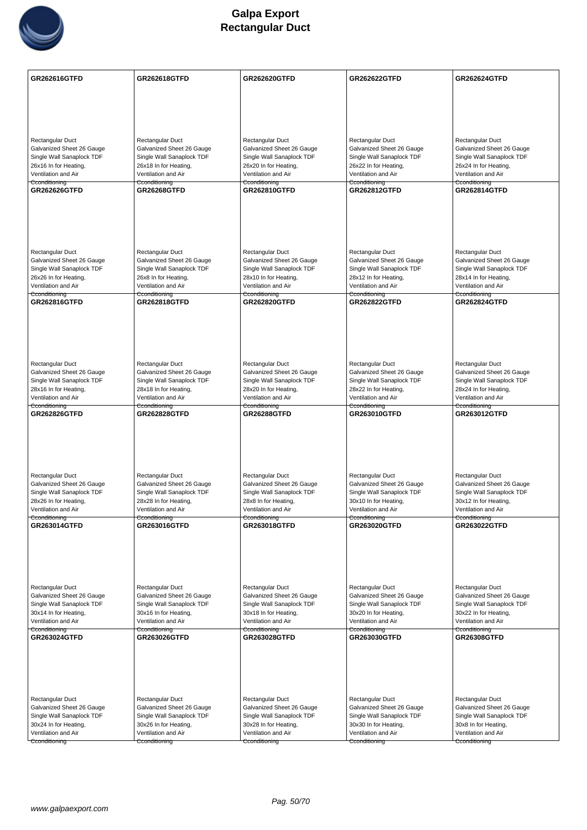

| <b>Rectangular Duct</b><br>Rectangular Duct<br>Rectangular Duct<br>Rectangular Duct<br>Rectangular Duct<br>Galvanized Sheet 26 Gauge<br>Galvanized Sheet 26 Gauge<br>Galvanized Sheet 26 Gauge<br>Galvanized Sheet 26 Gauge<br>Galvanized Sheet 26 Gauge<br>Single Wall Sanaplock TDF<br>Single Wall Sanaplock TDF<br>Single Wall Sanaplock TDF<br>Single Wall Sanaplock TDF<br>Single Wall Sanaplock TDF<br>26x16 In for Heating,<br>26x18 In for Heating,<br>26x20 In for Heating,<br>26x22 In for Heating,<br>26x24 In for Heating,<br>Ventilation and Air<br>Ventilation and Air<br>Ventilation and Air<br>Ventilation and Air<br>Ventilation and Air<br>Cconditioning<br>Cconditioning<br>Cconditioning<br>Cconditioning<br>Cconditioning<br><b>GR262626GTFD</b><br><b>GR26268GTFD</b><br>GR262810GTFD<br><b>GR262812GTFD</b><br><b>GR262814GTFD</b><br><b>Rectangular Duct</b><br>Rectangular Duct<br>Rectangular Duct<br>Rectangular Duct<br>Rectangular Duct<br>Galvanized Sheet 26 Gauge<br>Galvanized Sheet 26 Gauge<br>Galvanized Sheet 26 Gauge<br>Galvanized Sheet 26 Gauge<br>Galvanized Sheet 26 Gauge<br>Single Wall Sanaplock TDF<br>Single Wall Sanaplock TDF<br>Single Wall Sanaplock TDF<br>Single Wall Sanaplock TDF<br>Single Wall Sanaplock TDF<br>26x26 In for Heating,<br>26x8 In for Heating,<br>28x10 In for Heating,<br>28x12 In for Heating,<br>28x14 In for Heating,<br>Ventilation and Air<br>Ventilation and Air<br>Ventilation and Air<br>Ventilation and Air<br>Ventilation and Air<br>Cconditioning<br>Cconditioning<br>Cconditioning<br><del>Cconditioning</del><br>Cconditioning<br>GR262816GTFD<br><b>GR262818GTFD</b><br><b>GR262820GTFD</b><br><b>GR262822GTFD</b><br><b>GR262824GTFD</b><br>Rectangular Duct<br>Rectangular Duct<br>Rectangular Duct<br>Rectangular Duct<br>Rectangular Duct<br>Galvanized Sheet 26 Gauge<br>Galvanized Sheet 26 Gauge<br>Galvanized Sheet 26 Gauge<br>Galvanized Sheet 26 Gauge<br>Galvanized Sheet 26 Gauge<br>Single Wall Sanaplock TDF<br>Single Wall Sanaplock TDF<br>Single Wall Sanaplock TDF<br>Single Wall Sanaplock TDF<br>Single Wall Sanaplock TDF<br>28x16 In for Heating,<br>28x18 In for Heating,<br>28x20 In for Heating,<br>28x22 In for Heating,<br>28x24 In for Heating,<br>Ventilation and Air<br>Ventilation and Air<br>Ventilation and Air<br>Ventilation and Air<br>Ventilation and Air<br>Cconditioning<br>Cconditioning<br>Cconditioning<br>Cconditioning<br>Cconditioning<br>GR262826GTFD<br><b>GR262828GTFD</b><br><b>GR26288GTFD</b><br>GR263010GTFD<br>GR263012GTFD<br>Rectangular Duct<br>Rectangular Duct<br>Rectangular Duct<br>Rectangular Duct<br>Rectangular Duct<br>Galvanized Sheet 26 Gauge<br>Galvanized Sheet 26 Gauge<br>Galvanized Sheet 26 Gauge<br>Galvanized Sheet 26 Gauge<br>Galvanized Sheet 26 Gauge<br>Single Wall Sanaplock TDF<br>Single Wall Sanaplock TDF<br>Single Wall Sanaplock TDF<br>Single Wall Sanaplock TDF<br>Single Wall Sanaplock TDF<br>28x26 In for Heating,<br>28x8 In for Heating,<br>30x10 In for Heating,<br>30x12 In for Heating,<br>28x28 In for Heating,<br>Ventilation and Air<br>Ventilation and Air<br>Ventilation and Air<br>Ventilation and Air<br>Ventilation and Air<br>Cconditioning<br>Cconditioning<br>Cconditioning<br>Cconditioning<br>Cconditioning<br>GR263014GTFD<br>GR263016GTFD<br>GR263018GTFD<br>GR263020GTFD<br>GR263022GTFD<br>Rectangular Duct<br>Rectangular Duct<br>Rectangular Duct<br>Rectangular Duct<br>Rectangular Duct<br>Galvanized Sheet 26 Gauge<br>Galvanized Sheet 26 Gauge<br>Galvanized Sheet 26 Gauge<br>Galvanized Sheet 26 Gauge<br>Galvanized Sheet 26 Gauge<br>Single Wall Sanaplock TDF<br>Single Wall Sanaplock TDF<br>Single Wall Sanaplock TDF<br>Single Wall Sanaplock TDF<br>Single Wall Sanaplock TDF<br>30x14 In for Heating,<br>30x16 In for Heating,<br>30x18 In for Heating,<br>30x20 In for Heating,<br>30x22 In for Heating,<br>Ventilation and Air<br>Ventilation and Air<br>Ventilation and Air<br>Ventilation and Air<br>Ventilation and Air<br>Cconditioning<br>Cconditioning<br>Cconditioning<br>Cconditioning<br>Cconditioning<br>GR263024GTFD<br><b>GR263026GTFD</b><br><b>GR263028GTFD</b><br>GR263030GTFD<br><b>GR26308GTFD</b><br>Rectangular Duct<br>Rectangular Duct<br>Rectangular Duct<br>Rectangular Duct<br>Rectangular Duct<br>Galvanized Sheet 26 Gauge<br>Galvanized Sheet 26 Gauge<br>Galvanized Sheet 26 Gauge<br>Galvanized Sheet 26 Gauge<br>Galvanized Sheet 26 Gauge<br>Single Wall Sanaplock TDF<br>Single Wall Sanaplock TDF<br>Single Wall Sanaplock TDF<br>Single Wall Sanaplock TDF<br>Single Wall Sanaplock TDF<br>30x24 In for Heating,<br>30x8 In for Heating,<br>30x26 In for Heating,<br>30x28 In for Heating,<br>30x30 In for Heating,<br>Ventilation and Air<br>Ventilation and Air<br>Ventilation and Air<br>Ventilation and Air<br>Ventilation and Air<br>Cconditioning<br>Cconditioning<br>Cconditioning<br>Cconditioning<br>Cconditioning | GR262616GTFD | <b>GR262618GTFD</b> | <b>GR262620GTFD</b> | <b>GR262622GTFD</b> | <b>GR262624GTFD</b> |
|----------------------------------------------------------------------------------------------------------------------------------------------------------------------------------------------------------------------------------------------------------------------------------------------------------------------------------------------------------------------------------------------------------------------------------------------------------------------------------------------------------------------------------------------------------------------------------------------------------------------------------------------------------------------------------------------------------------------------------------------------------------------------------------------------------------------------------------------------------------------------------------------------------------------------------------------------------------------------------------------------------------------------------------------------------------------------------------------------------------------------------------------------------------------------------------------------------------------------------------------------------------------------------------------------------------------------------------------------------------------------------------------------------------------------------------------------------------------------------------------------------------------------------------------------------------------------------------------------------------------------------------------------------------------------------------------------------------------------------------------------------------------------------------------------------------------------------------------------------------------------------------------------------------------------------------------------------------------------------------------------------------------------------------------------------------------------------------------------------------------------------------------------------------------------------------------------------------------------------------------------------------------------------------------------------------------------------------------------------------------------------------------------------------------------------------------------------------------------------------------------------------------------------------------------------------------------------------------------------------------------------------------------------------------------------------------------------------------------------------------------------------------------------------------------------------------------------------------------------------------------------------------------------------------------------------------------------------------------------------------------------------------------------------------------------------------------------------------------------------------------------------------------------------------------------------------------------------------------------------------------------------------------------------------------------------------------------------------------------------------------------------------------------------------------------------------------------------------------------------------------------------------------------------------------------------------------------------------------------------------------------------------------------------------------------------------------------------------------------------------------------------------------------------------------------------------------------------------------------------------------------------------------------------------------------------------------------------------------------------------------------------------------------------------------------------------------------------------------------------------------------------------------------------------------------------------------------------------------------------------------------------------------------------------------------------------------------------------------------------------------------------------------------------------------------------------------------------------------------------------------------------------------------------------------------------------------------------------------------------------------------------------------------------------------------------------------------------------------------------------------------------------------------------------------------------------------------------------------------------------------------------------------------------------------------------------------------------------------------------------|--------------|---------------------|---------------------|---------------------|---------------------|
|                                                                                                                                                                                                                                                                                                                                                                                                                                                                                                                                                                                                                                                                                                                                                                                                                                                                                                                                                                                                                                                                                                                                                                                                                                                                                                                                                                                                                                                                                                                                                                                                                                                                                                                                                                                                                                                                                                                                                                                                                                                                                                                                                                                                                                                                                                                                                                                                                                                                                                                                                                                                                                                                                                                                                                                                                                                                                                                                                                                                                                                                                                                                                                                                                                                                                                                                                                                                                                                                                                                                                                                                                                                                                                                                                                                                                                                                                                                                                                                                                                                                                                                                                                                                                                                                                                                                                                                                                                                                                                                                                                                                                                                                                                                                                                                                                                                                                                                                                                                              |              |                     |                     |                     |                     |
|                                                                                                                                                                                                                                                                                                                                                                                                                                                                                                                                                                                                                                                                                                                                                                                                                                                                                                                                                                                                                                                                                                                                                                                                                                                                                                                                                                                                                                                                                                                                                                                                                                                                                                                                                                                                                                                                                                                                                                                                                                                                                                                                                                                                                                                                                                                                                                                                                                                                                                                                                                                                                                                                                                                                                                                                                                                                                                                                                                                                                                                                                                                                                                                                                                                                                                                                                                                                                                                                                                                                                                                                                                                                                                                                                                                                                                                                                                                                                                                                                                                                                                                                                                                                                                                                                                                                                                                                                                                                                                                                                                                                                                                                                                                                                                                                                                                                                                                                                                                              |              |                     |                     |                     |                     |
|                                                                                                                                                                                                                                                                                                                                                                                                                                                                                                                                                                                                                                                                                                                                                                                                                                                                                                                                                                                                                                                                                                                                                                                                                                                                                                                                                                                                                                                                                                                                                                                                                                                                                                                                                                                                                                                                                                                                                                                                                                                                                                                                                                                                                                                                                                                                                                                                                                                                                                                                                                                                                                                                                                                                                                                                                                                                                                                                                                                                                                                                                                                                                                                                                                                                                                                                                                                                                                                                                                                                                                                                                                                                                                                                                                                                                                                                                                                                                                                                                                                                                                                                                                                                                                                                                                                                                                                                                                                                                                                                                                                                                                                                                                                                                                                                                                                                                                                                                                                              |              |                     |                     |                     |                     |
|                                                                                                                                                                                                                                                                                                                                                                                                                                                                                                                                                                                                                                                                                                                                                                                                                                                                                                                                                                                                                                                                                                                                                                                                                                                                                                                                                                                                                                                                                                                                                                                                                                                                                                                                                                                                                                                                                                                                                                                                                                                                                                                                                                                                                                                                                                                                                                                                                                                                                                                                                                                                                                                                                                                                                                                                                                                                                                                                                                                                                                                                                                                                                                                                                                                                                                                                                                                                                                                                                                                                                                                                                                                                                                                                                                                                                                                                                                                                                                                                                                                                                                                                                                                                                                                                                                                                                                                                                                                                                                                                                                                                                                                                                                                                                                                                                                                                                                                                                                                              |              |                     |                     |                     |                     |
|                                                                                                                                                                                                                                                                                                                                                                                                                                                                                                                                                                                                                                                                                                                                                                                                                                                                                                                                                                                                                                                                                                                                                                                                                                                                                                                                                                                                                                                                                                                                                                                                                                                                                                                                                                                                                                                                                                                                                                                                                                                                                                                                                                                                                                                                                                                                                                                                                                                                                                                                                                                                                                                                                                                                                                                                                                                                                                                                                                                                                                                                                                                                                                                                                                                                                                                                                                                                                                                                                                                                                                                                                                                                                                                                                                                                                                                                                                                                                                                                                                                                                                                                                                                                                                                                                                                                                                                                                                                                                                                                                                                                                                                                                                                                                                                                                                                                                                                                                                                              |              |                     |                     |                     |                     |
|                                                                                                                                                                                                                                                                                                                                                                                                                                                                                                                                                                                                                                                                                                                                                                                                                                                                                                                                                                                                                                                                                                                                                                                                                                                                                                                                                                                                                                                                                                                                                                                                                                                                                                                                                                                                                                                                                                                                                                                                                                                                                                                                                                                                                                                                                                                                                                                                                                                                                                                                                                                                                                                                                                                                                                                                                                                                                                                                                                                                                                                                                                                                                                                                                                                                                                                                                                                                                                                                                                                                                                                                                                                                                                                                                                                                                                                                                                                                                                                                                                                                                                                                                                                                                                                                                                                                                                                                                                                                                                                                                                                                                                                                                                                                                                                                                                                                                                                                                                                              |              |                     |                     |                     |                     |
|                                                                                                                                                                                                                                                                                                                                                                                                                                                                                                                                                                                                                                                                                                                                                                                                                                                                                                                                                                                                                                                                                                                                                                                                                                                                                                                                                                                                                                                                                                                                                                                                                                                                                                                                                                                                                                                                                                                                                                                                                                                                                                                                                                                                                                                                                                                                                                                                                                                                                                                                                                                                                                                                                                                                                                                                                                                                                                                                                                                                                                                                                                                                                                                                                                                                                                                                                                                                                                                                                                                                                                                                                                                                                                                                                                                                                                                                                                                                                                                                                                                                                                                                                                                                                                                                                                                                                                                                                                                                                                                                                                                                                                                                                                                                                                                                                                                                                                                                                                                              |              |                     |                     |                     |                     |
|                                                                                                                                                                                                                                                                                                                                                                                                                                                                                                                                                                                                                                                                                                                                                                                                                                                                                                                                                                                                                                                                                                                                                                                                                                                                                                                                                                                                                                                                                                                                                                                                                                                                                                                                                                                                                                                                                                                                                                                                                                                                                                                                                                                                                                                                                                                                                                                                                                                                                                                                                                                                                                                                                                                                                                                                                                                                                                                                                                                                                                                                                                                                                                                                                                                                                                                                                                                                                                                                                                                                                                                                                                                                                                                                                                                                                                                                                                                                                                                                                                                                                                                                                                                                                                                                                                                                                                                                                                                                                                                                                                                                                                                                                                                                                                                                                                                                                                                                                                                              |              |                     |                     |                     |                     |
|                                                                                                                                                                                                                                                                                                                                                                                                                                                                                                                                                                                                                                                                                                                                                                                                                                                                                                                                                                                                                                                                                                                                                                                                                                                                                                                                                                                                                                                                                                                                                                                                                                                                                                                                                                                                                                                                                                                                                                                                                                                                                                                                                                                                                                                                                                                                                                                                                                                                                                                                                                                                                                                                                                                                                                                                                                                                                                                                                                                                                                                                                                                                                                                                                                                                                                                                                                                                                                                                                                                                                                                                                                                                                                                                                                                                                                                                                                                                                                                                                                                                                                                                                                                                                                                                                                                                                                                                                                                                                                                                                                                                                                                                                                                                                                                                                                                                                                                                                                                              |              |                     |                     |                     |                     |
|                                                                                                                                                                                                                                                                                                                                                                                                                                                                                                                                                                                                                                                                                                                                                                                                                                                                                                                                                                                                                                                                                                                                                                                                                                                                                                                                                                                                                                                                                                                                                                                                                                                                                                                                                                                                                                                                                                                                                                                                                                                                                                                                                                                                                                                                                                                                                                                                                                                                                                                                                                                                                                                                                                                                                                                                                                                                                                                                                                                                                                                                                                                                                                                                                                                                                                                                                                                                                                                                                                                                                                                                                                                                                                                                                                                                                                                                                                                                                                                                                                                                                                                                                                                                                                                                                                                                                                                                                                                                                                                                                                                                                                                                                                                                                                                                                                                                                                                                                                                              |              |                     |                     |                     |                     |
|                                                                                                                                                                                                                                                                                                                                                                                                                                                                                                                                                                                                                                                                                                                                                                                                                                                                                                                                                                                                                                                                                                                                                                                                                                                                                                                                                                                                                                                                                                                                                                                                                                                                                                                                                                                                                                                                                                                                                                                                                                                                                                                                                                                                                                                                                                                                                                                                                                                                                                                                                                                                                                                                                                                                                                                                                                                                                                                                                                                                                                                                                                                                                                                                                                                                                                                                                                                                                                                                                                                                                                                                                                                                                                                                                                                                                                                                                                                                                                                                                                                                                                                                                                                                                                                                                                                                                                                                                                                                                                                                                                                                                                                                                                                                                                                                                                                                                                                                                                                              |              |                     |                     |                     |                     |
|                                                                                                                                                                                                                                                                                                                                                                                                                                                                                                                                                                                                                                                                                                                                                                                                                                                                                                                                                                                                                                                                                                                                                                                                                                                                                                                                                                                                                                                                                                                                                                                                                                                                                                                                                                                                                                                                                                                                                                                                                                                                                                                                                                                                                                                                                                                                                                                                                                                                                                                                                                                                                                                                                                                                                                                                                                                                                                                                                                                                                                                                                                                                                                                                                                                                                                                                                                                                                                                                                                                                                                                                                                                                                                                                                                                                                                                                                                                                                                                                                                                                                                                                                                                                                                                                                                                                                                                                                                                                                                                                                                                                                                                                                                                                                                                                                                                                                                                                                                                              |              |                     |                     |                     |                     |
|                                                                                                                                                                                                                                                                                                                                                                                                                                                                                                                                                                                                                                                                                                                                                                                                                                                                                                                                                                                                                                                                                                                                                                                                                                                                                                                                                                                                                                                                                                                                                                                                                                                                                                                                                                                                                                                                                                                                                                                                                                                                                                                                                                                                                                                                                                                                                                                                                                                                                                                                                                                                                                                                                                                                                                                                                                                                                                                                                                                                                                                                                                                                                                                                                                                                                                                                                                                                                                                                                                                                                                                                                                                                                                                                                                                                                                                                                                                                                                                                                                                                                                                                                                                                                                                                                                                                                                                                                                                                                                                                                                                                                                                                                                                                                                                                                                                                                                                                                                                              |              |                     |                     |                     |                     |
|                                                                                                                                                                                                                                                                                                                                                                                                                                                                                                                                                                                                                                                                                                                                                                                                                                                                                                                                                                                                                                                                                                                                                                                                                                                                                                                                                                                                                                                                                                                                                                                                                                                                                                                                                                                                                                                                                                                                                                                                                                                                                                                                                                                                                                                                                                                                                                                                                                                                                                                                                                                                                                                                                                                                                                                                                                                                                                                                                                                                                                                                                                                                                                                                                                                                                                                                                                                                                                                                                                                                                                                                                                                                                                                                                                                                                                                                                                                                                                                                                                                                                                                                                                                                                                                                                                                                                                                                                                                                                                                                                                                                                                                                                                                                                                                                                                                                                                                                                                                              |              |                     |                     |                     |                     |
|                                                                                                                                                                                                                                                                                                                                                                                                                                                                                                                                                                                                                                                                                                                                                                                                                                                                                                                                                                                                                                                                                                                                                                                                                                                                                                                                                                                                                                                                                                                                                                                                                                                                                                                                                                                                                                                                                                                                                                                                                                                                                                                                                                                                                                                                                                                                                                                                                                                                                                                                                                                                                                                                                                                                                                                                                                                                                                                                                                                                                                                                                                                                                                                                                                                                                                                                                                                                                                                                                                                                                                                                                                                                                                                                                                                                                                                                                                                                                                                                                                                                                                                                                                                                                                                                                                                                                                                                                                                                                                                                                                                                                                                                                                                                                                                                                                                                                                                                                                                              |              |                     |                     |                     |                     |
|                                                                                                                                                                                                                                                                                                                                                                                                                                                                                                                                                                                                                                                                                                                                                                                                                                                                                                                                                                                                                                                                                                                                                                                                                                                                                                                                                                                                                                                                                                                                                                                                                                                                                                                                                                                                                                                                                                                                                                                                                                                                                                                                                                                                                                                                                                                                                                                                                                                                                                                                                                                                                                                                                                                                                                                                                                                                                                                                                                                                                                                                                                                                                                                                                                                                                                                                                                                                                                                                                                                                                                                                                                                                                                                                                                                                                                                                                                                                                                                                                                                                                                                                                                                                                                                                                                                                                                                                                                                                                                                                                                                                                                                                                                                                                                                                                                                                                                                                                                                              |              |                     |                     |                     |                     |
|                                                                                                                                                                                                                                                                                                                                                                                                                                                                                                                                                                                                                                                                                                                                                                                                                                                                                                                                                                                                                                                                                                                                                                                                                                                                                                                                                                                                                                                                                                                                                                                                                                                                                                                                                                                                                                                                                                                                                                                                                                                                                                                                                                                                                                                                                                                                                                                                                                                                                                                                                                                                                                                                                                                                                                                                                                                                                                                                                                                                                                                                                                                                                                                                                                                                                                                                                                                                                                                                                                                                                                                                                                                                                                                                                                                                                                                                                                                                                                                                                                                                                                                                                                                                                                                                                                                                                                                                                                                                                                                                                                                                                                                                                                                                                                                                                                                                                                                                                                                              |              |                     |                     |                     |                     |
|                                                                                                                                                                                                                                                                                                                                                                                                                                                                                                                                                                                                                                                                                                                                                                                                                                                                                                                                                                                                                                                                                                                                                                                                                                                                                                                                                                                                                                                                                                                                                                                                                                                                                                                                                                                                                                                                                                                                                                                                                                                                                                                                                                                                                                                                                                                                                                                                                                                                                                                                                                                                                                                                                                                                                                                                                                                                                                                                                                                                                                                                                                                                                                                                                                                                                                                                                                                                                                                                                                                                                                                                                                                                                                                                                                                                                                                                                                                                                                                                                                                                                                                                                                                                                                                                                                                                                                                                                                                                                                                                                                                                                                                                                                                                                                                                                                                                                                                                                                                              |              |                     |                     |                     |                     |
|                                                                                                                                                                                                                                                                                                                                                                                                                                                                                                                                                                                                                                                                                                                                                                                                                                                                                                                                                                                                                                                                                                                                                                                                                                                                                                                                                                                                                                                                                                                                                                                                                                                                                                                                                                                                                                                                                                                                                                                                                                                                                                                                                                                                                                                                                                                                                                                                                                                                                                                                                                                                                                                                                                                                                                                                                                                                                                                                                                                                                                                                                                                                                                                                                                                                                                                                                                                                                                                                                                                                                                                                                                                                                                                                                                                                                                                                                                                                                                                                                                                                                                                                                                                                                                                                                                                                                                                                                                                                                                                                                                                                                                                                                                                                                                                                                                                                                                                                                                                              |              |                     |                     |                     |                     |
|                                                                                                                                                                                                                                                                                                                                                                                                                                                                                                                                                                                                                                                                                                                                                                                                                                                                                                                                                                                                                                                                                                                                                                                                                                                                                                                                                                                                                                                                                                                                                                                                                                                                                                                                                                                                                                                                                                                                                                                                                                                                                                                                                                                                                                                                                                                                                                                                                                                                                                                                                                                                                                                                                                                                                                                                                                                                                                                                                                                                                                                                                                                                                                                                                                                                                                                                                                                                                                                                                                                                                                                                                                                                                                                                                                                                                                                                                                                                                                                                                                                                                                                                                                                                                                                                                                                                                                                                                                                                                                                                                                                                                                                                                                                                                                                                                                                                                                                                                                                              |              |                     |                     |                     |                     |
|                                                                                                                                                                                                                                                                                                                                                                                                                                                                                                                                                                                                                                                                                                                                                                                                                                                                                                                                                                                                                                                                                                                                                                                                                                                                                                                                                                                                                                                                                                                                                                                                                                                                                                                                                                                                                                                                                                                                                                                                                                                                                                                                                                                                                                                                                                                                                                                                                                                                                                                                                                                                                                                                                                                                                                                                                                                                                                                                                                                                                                                                                                                                                                                                                                                                                                                                                                                                                                                                                                                                                                                                                                                                                                                                                                                                                                                                                                                                                                                                                                                                                                                                                                                                                                                                                                                                                                                                                                                                                                                                                                                                                                                                                                                                                                                                                                                                                                                                                                                              |              |                     |                     |                     |                     |
|                                                                                                                                                                                                                                                                                                                                                                                                                                                                                                                                                                                                                                                                                                                                                                                                                                                                                                                                                                                                                                                                                                                                                                                                                                                                                                                                                                                                                                                                                                                                                                                                                                                                                                                                                                                                                                                                                                                                                                                                                                                                                                                                                                                                                                                                                                                                                                                                                                                                                                                                                                                                                                                                                                                                                                                                                                                                                                                                                                                                                                                                                                                                                                                                                                                                                                                                                                                                                                                                                                                                                                                                                                                                                                                                                                                                                                                                                                                                                                                                                                                                                                                                                                                                                                                                                                                                                                                                                                                                                                                                                                                                                                                                                                                                                                                                                                                                                                                                                                                              |              |                     |                     |                     |                     |
|                                                                                                                                                                                                                                                                                                                                                                                                                                                                                                                                                                                                                                                                                                                                                                                                                                                                                                                                                                                                                                                                                                                                                                                                                                                                                                                                                                                                                                                                                                                                                                                                                                                                                                                                                                                                                                                                                                                                                                                                                                                                                                                                                                                                                                                                                                                                                                                                                                                                                                                                                                                                                                                                                                                                                                                                                                                                                                                                                                                                                                                                                                                                                                                                                                                                                                                                                                                                                                                                                                                                                                                                                                                                                                                                                                                                                                                                                                                                                                                                                                                                                                                                                                                                                                                                                                                                                                                                                                                                                                                                                                                                                                                                                                                                                                                                                                                                                                                                                                                              |              |                     |                     |                     |                     |
|                                                                                                                                                                                                                                                                                                                                                                                                                                                                                                                                                                                                                                                                                                                                                                                                                                                                                                                                                                                                                                                                                                                                                                                                                                                                                                                                                                                                                                                                                                                                                                                                                                                                                                                                                                                                                                                                                                                                                                                                                                                                                                                                                                                                                                                                                                                                                                                                                                                                                                                                                                                                                                                                                                                                                                                                                                                                                                                                                                                                                                                                                                                                                                                                                                                                                                                                                                                                                                                                                                                                                                                                                                                                                                                                                                                                                                                                                                                                                                                                                                                                                                                                                                                                                                                                                                                                                                                                                                                                                                                                                                                                                                                                                                                                                                                                                                                                                                                                                                                              |              |                     |                     |                     |                     |
|                                                                                                                                                                                                                                                                                                                                                                                                                                                                                                                                                                                                                                                                                                                                                                                                                                                                                                                                                                                                                                                                                                                                                                                                                                                                                                                                                                                                                                                                                                                                                                                                                                                                                                                                                                                                                                                                                                                                                                                                                                                                                                                                                                                                                                                                                                                                                                                                                                                                                                                                                                                                                                                                                                                                                                                                                                                                                                                                                                                                                                                                                                                                                                                                                                                                                                                                                                                                                                                                                                                                                                                                                                                                                                                                                                                                                                                                                                                                                                                                                                                                                                                                                                                                                                                                                                                                                                                                                                                                                                                                                                                                                                                                                                                                                                                                                                                                                                                                                                                              |              |                     |                     |                     |                     |
|                                                                                                                                                                                                                                                                                                                                                                                                                                                                                                                                                                                                                                                                                                                                                                                                                                                                                                                                                                                                                                                                                                                                                                                                                                                                                                                                                                                                                                                                                                                                                                                                                                                                                                                                                                                                                                                                                                                                                                                                                                                                                                                                                                                                                                                                                                                                                                                                                                                                                                                                                                                                                                                                                                                                                                                                                                                                                                                                                                                                                                                                                                                                                                                                                                                                                                                                                                                                                                                                                                                                                                                                                                                                                                                                                                                                                                                                                                                                                                                                                                                                                                                                                                                                                                                                                                                                                                                                                                                                                                                                                                                                                                                                                                                                                                                                                                                                                                                                                                                              |              |                     |                     |                     |                     |
|                                                                                                                                                                                                                                                                                                                                                                                                                                                                                                                                                                                                                                                                                                                                                                                                                                                                                                                                                                                                                                                                                                                                                                                                                                                                                                                                                                                                                                                                                                                                                                                                                                                                                                                                                                                                                                                                                                                                                                                                                                                                                                                                                                                                                                                                                                                                                                                                                                                                                                                                                                                                                                                                                                                                                                                                                                                                                                                                                                                                                                                                                                                                                                                                                                                                                                                                                                                                                                                                                                                                                                                                                                                                                                                                                                                                                                                                                                                                                                                                                                                                                                                                                                                                                                                                                                                                                                                                                                                                                                                                                                                                                                                                                                                                                                                                                                                                                                                                                                                              |              |                     |                     |                     |                     |
|                                                                                                                                                                                                                                                                                                                                                                                                                                                                                                                                                                                                                                                                                                                                                                                                                                                                                                                                                                                                                                                                                                                                                                                                                                                                                                                                                                                                                                                                                                                                                                                                                                                                                                                                                                                                                                                                                                                                                                                                                                                                                                                                                                                                                                                                                                                                                                                                                                                                                                                                                                                                                                                                                                                                                                                                                                                                                                                                                                                                                                                                                                                                                                                                                                                                                                                                                                                                                                                                                                                                                                                                                                                                                                                                                                                                                                                                                                                                                                                                                                                                                                                                                                                                                                                                                                                                                                                                                                                                                                                                                                                                                                                                                                                                                                                                                                                                                                                                                                                              |              |                     |                     |                     |                     |
|                                                                                                                                                                                                                                                                                                                                                                                                                                                                                                                                                                                                                                                                                                                                                                                                                                                                                                                                                                                                                                                                                                                                                                                                                                                                                                                                                                                                                                                                                                                                                                                                                                                                                                                                                                                                                                                                                                                                                                                                                                                                                                                                                                                                                                                                                                                                                                                                                                                                                                                                                                                                                                                                                                                                                                                                                                                                                                                                                                                                                                                                                                                                                                                                                                                                                                                                                                                                                                                                                                                                                                                                                                                                                                                                                                                                                                                                                                                                                                                                                                                                                                                                                                                                                                                                                                                                                                                                                                                                                                                                                                                                                                                                                                                                                                                                                                                                                                                                                                                              |              |                     |                     |                     |                     |
|                                                                                                                                                                                                                                                                                                                                                                                                                                                                                                                                                                                                                                                                                                                                                                                                                                                                                                                                                                                                                                                                                                                                                                                                                                                                                                                                                                                                                                                                                                                                                                                                                                                                                                                                                                                                                                                                                                                                                                                                                                                                                                                                                                                                                                                                                                                                                                                                                                                                                                                                                                                                                                                                                                                                                                                                                                                                                                                                                                                                                                                                                                                                                                                                                                                                                                                                                                                                                                                                                                                                                                                                                                                                                                                                                                                                                                                                                                                                                                                                                                                                                                                                                                                                                                                                                                                                                                                                                                                                                                                                                                                                                                                                                                                                                                                                                                                                                                                                                                                              |              |                     |                     |                     |                     |
|                                                                                                                                                                                                                                                                                                                                                                                                                                                                                                                                                                                                                                                                                                                                                                                                                                                                                                                                                                                                                                                                                                                                                                                                                                                                                                                                                                                                                                                                                                                                                                                                                                                                                                                                                                                                                                                                                                                                                                                                                                                                                                                                                                                                                                                                                                                                                                                                                                                                                                                                                                                                                                                                                                                                                                                                                                                                                                                                                                                                                                                                                                                                                                                                                                                                                                                                                                                                                                                                                                                                                                                                                                                                                                                                                                                                                                                                                                                                                                                                                                                                                                                                                                                                                                                                                                                                                                                                                                                                                                                                                                                                                                                                                                                                                                                                                                                                                                                                                                                              |              |                     |                     |                     |                     |
|                                                                                                                                                                                                                                                                                                                                                                                                                                                                                                                                                                                                                                                                                                                                                                                                                                                                                                                                                                                                                                                                                                                                                                                                                                                                                                                                                                                                                                                                                                                                                                                                                                                                                                                                                                                                                                                                                                                                                                                                                                                                                                                                                                                                                                                                                                                                                                                                                                                                                                                                                                                                                                                                                                                                                                                                                                                                                                                                                                                                                                                                                                                                                                                                                                                                                                                                                                                                                                                                                                                                                                                                                                                                                                                                                                                                                                                                                                                                                                                                                                                                                                                                                                                                                                                                                                                                                                                                                                                                                                                                                                                                                                                                                                                                                                                                                                                                                                                                                                                              |              |                     |                     |                     |                     |
|                                                                                                                                                                                                                                                                                                                                                                                                                                                                                                                                                                                                                                                                                                                                                                                                                                                                                                                                                                                                                                                                                                                                                                                                                                                                                                                                                                                                                                                                                                                                                                                                                                                                                                                                                                                                                                                                                                                                                                                                                                                                                                                                                                                                                                                                                                                                                                                                                                                                                                                                                                                                                                                                                                                                                                                                                                                                                                                                                                                                                                                                                                                                                                                                                                                                                                                                                                                                                                                                                                                                                                                                                                                                                                                                                                                                                                                                                                                                                                                                                                                                                                                                                                                                                                                                                                                                                                                                                                                                                                                                                                                                                                                                                                                                                                                                                                                                                                                                                                                              |              |                     |                     |                     |                     |
|                                                                                                                                                                                                                                                                                                                                                                                                                                                                                                                                                                                                                                                                                                                                                                                                                                                                                                                                                                                                                                                                                                                                                                                                                                                                                                                                                                                                                                                                                                                                                                                                                                                                                                                                                                                                                                                                                                                                                                                                                                                                                                                                                                                                                                                                                                                                                                                                                                                                                                                                                                                                                                                                                                                                                                                                                                                                                                                                                                                                                                                                                                                                                                                                                                                                                                                                                                                                                                                                                                                                                                                                                                                                                                                                                                                                                                                                                                                                                                                                                                                                                                                                                                                                                                                                                                                                                                                                                                                                                                                                                                                                                                                                                                                                                                                                                                                                                                                                                                                              |              |                     |                     |                     |                     |
|                                                                                                                                                                                                                                                                                                                                                                                                                                                                                                                                                                                                                                                                                                                                                                                                                                                                                                                                                                                                                                                                                                                                                                                                                                                                                                                                                                                                                                                                                                                                                                                                                                                                                                                                                                                                                                                                                                                                                                                                                                                                                                                                                                                                                                                                                                                                                                                                                                                                                                                                                                                                                                                                                                                                                                                                                                                                                                                                                                                                                                                                                                                                                                                                                                                                                                                                                                                                                                                                                                                                                                                                                                                                                                                                                                                                                                                                                                                                                                                                                                                                                                                                                                                                                                                                                                                                                                                                                                                                                                                                                                                                                                                                                                                                                                                                                                                                                                                                                                                              |              |                     |                     |                     |                     |
|                                                                                                                                                                                                                                                                                                                                                                                                                                                                                                                                                                                                                                                                                                                                                                                                                                                                                                                                                                                                                                                                                                                                                                                                                                                                                                                                                                                                                                                                                                                                                                                                                                                                                                                                                                                                                                                                                                                                                                                                                                                                                                                                                                                                                                                                                                                                                                                                                                                                                                                                                                                                                                                                                                                                                                                                                                                                                                                                                                                                                                                                                                                                                                                                                                                                                                                                                                                                                                                                                                                                                                                                                                                                                                                                                                                                                                                                                                                                                                                                                                                                                                                                                                                                                                                                                                                                                                                                                                                                                                                                                                                                                                                                                                                                                                                                                                                                                                                                                                                              |              |                     |                     |                     |                     |
|                                                                                                                                                                                                                                                                                                                                                                                                                                                                                                                                                                                                                                                                                                                                                                                                                                                                                                                                                                                                                                                                                                                                                                                                                                                                                                                                                                                                                                                                                                                                                                                                                                                                                                                                                                                                                                                                                                                                                                                                                                                                                                                                                                                                                                                                                                                                                                                                                                                                                                                                                                                                                                                                                                                                                                                                                                                                                                                                                                                                                                                                                                                                                                                                                                                                                                                                                                                                                                                                                                                                                                                                                                                                                                                                                                                                                                                                                                                                                                                                                                                                                                                                                                                                                                                                                                                                                                                                                                                                                                                                                                                                                                                                                                                                                                                                                                                                                                                                                                                              |              |                     |                     |                     |                     |
|                                                                                                                                                                                                                                                                                                                                                                                                                                                                                                                                                                                                                                                                                                                                                                                                                                                                                                                                                                                                                                                                                                                                                                                                                                                                                                                                                                                                                                                                                                                                                                                                                                                                                                                                                                                                                                                                                                                                                                                                                                                                                                                                                                                                                                                                                                                                                                                                                                                                                                                                                                                                                                                                                                                                                                                                                                                                                                                                                                                                                                                                                                                                                                                                                                                                                                                                                                                                                                                                                                                                                                                                                                                                                                                                                                                                                                                                                                                                                                                                                                                                                                                                                                                                                                                                                                                                                                                                                                                                                                                                                                                                                                                                                                                                                                                                                                                                                                                                                                                              |              |                     |                     |                     |                     |
|                                                                                                                                                                                                                                                                                                                                                                                                                                                                                                                                                                                                                                                                                                                                                                                                                                                                                                                                                                                                                                                                                                                                                                                                                                                                                                                                                                                                                                                                                                                                                                                                                                                                                                                                                                                                                                                                                                                                                                                                                                                                                                                                                                                                                                                                                                                                                                                                                                                                                                                                                                                                                                                                                                                                                                                                                                                                                                                                                                                                                                                                                                                                                                                                                                                                                                                                                                                                                                                                                                                                                                                                                                                                                                                                                                                                                                                                                                                                                                                                                                                                                                                                                                                                                                                                                                                                                                                                                                                                                                                                                                                                                                                                                                                                                                                                                                                                                                                                                                                              |              |                     |                     |                     |                     |
|                                                                                                                                                                                                                                                                                                                                                                                                                                                                                                                                                                                                                                                                                                                                                                                                                                                                                                                                                                                                                                                                                                                                                                                                                                                                                                                                                                                                                                                                                                                                                                                                                                                                                                                                                                                                                                                                                                                                                                                                                                                                                                                                                                                                                                                                                                                                                                                                                                                                                                                                                                                                                                                                                                                                                                                                                                                                                                                                                                                                                                                                                                                                                                                                                                                                                                                                                                                                                                                                                                                                                                                                                                                                                                                                                                                                                                                                                                                                                                                                                                                                                                                                                                                                                                                                                                                                                                                                                                                                                                                                                                                                                                                                                                                                                                                                                                                                                                                                                                                              |              |                     |                     |                     |                     |
|                                                                                                                                                                                                                                                                                                                                                                                                                                                                                                                                                                                                                                                                                                                                                                                                                                                                                                                                                                                                                                                                                                                                                                                                                                                                                                                                                                                                                                                                                                                                                                                                                                                                                                                                                                                                                                                                                                                                                                                                                                                                                                                                                                                                                                                                                                                                                                                                                                                                                                                                                                                                                                                                                                                                                                                                                                                                                                                                                                                                                                                                                                                                                                                                                                                                                                                                                                                                                                                                                                                                                                                                                                                                                                                                                                                                                                                                                                                                                                                                                                                                                                                                                                                                                                                                                                                                                                                                                                                                                                                                                                                                                                                                                                                                                                                                                                                                                                                                                                                              |              |                     |                     |                     |                     |
|                                                                                                                                                                                                                                                                                                                                                                                                                                                                                                                                                                                                                                                                                                                                                                                                                                                                                                                                                                                                                                                                                                                                                                                                                                                                                                                                                                                                                                                                                                                                                                                                                                                                                                                                                                                                                                                                                                                                                                                                                                                                                                                                                                                                                                                                                                                                                                                                                                                                                                                                                                                                                                                                                                                                                                                                                                                                                                                                                                                                                                                                                                                                                                                                                                                                                                                                                                                                                                                                                                                                                                                                                                                                                                                                                                                                                                                                                                                                                                                                                                                                                                                                                                                                                                                                                                                                                                                                                                                                                                                                                                                                                                                                                                                                                                                                                                                                                                                                                                                              |              |                     |                     |                     |                     |
|                                                                                                                                                                                                                                                                                                                                                                                                                                                                                                                                                                                                                                                                                                                                                                                                                                                                                                                                                                                                                                                                                                                                                                                                                                                                                                                                                                                                                                                                                                                                                                                                                                                                                                                                                                                                                                                                                                                                                                                                                                                                                                                                                                                                                                                                                                                                                                                                                                                                                                                                                                                                                                                                                                                                                                                                                                                                                                                                                                                                                                                                                                                                                                                                                                                                                                                                                                                                                                                                                                                                                                                                                                                                                                                                                                                                                                                                                                                                                                                                                                                                                                                                                                                                                                                                                                                                                                                                                                                                                                                                                                                                                                                                                                                                                                                                                                                                                                                                                                                              |              |                     |                     |                     |                     |
|                                                                                                                                                                                                                                                                                                                                                                                                                                                                                                                                                                                                                                                                                                                                                                                                                                                                                                                                                                                                                                                                                                                                                                                                                                                                                                                                                                                                                                                                                                                                                                                                                                                                                                                                                                                                                                                                                                                                                                                                                                                                                                                                                                                                                                                                                                                                                                                                                                                                                                                                                                                                                                                                                                                                                                                                                                                                                                                                                                                                                                                                                                                                                                                                                                                                                                                                                                                                                                                                                                                                                                                                                                                                                                                                                                                                                                                                                                                                                                                                                                                                                                                                                                                                                                                                                                                                                                                                                                                                                                                                                                                                                                                                                                                                                                                                                                                                                                                                                                                              |              |                     |                     |                     |                     |
|                                                                                                                                                                                                                                                                                                                                                                                                                                                                                                                                                                                                                                                                                                                                                                                                                                                                                                                                                                                                                                                                                                                                                                                                                                                                                                                                                                                                                                                                                                                                                                                                                                                                                                                                                                                                                                                                                                                                                                                                                                                                                                                                                                                                                                                                                                                                                                                                                                                                                                                                                                                                                                                                                                                                                                                                                                                                                                                                                                                                                                                                                                                                                                                                                                                                                                                                                                                                                                                                                                                                                                                                                                                                                                                                                                                                                                                                                                                                                                                                                                                                                                                                                                                                                                                                                                                                                                                                                                                                                                                                                                                                                                                                                                                                                                                                                                                                                                                                                                                              |              |                     |                     |                     |                     |
|                                                                                                                                                                                                                                                                                                                                                                                                                                                                                                                                                                                                                                                                                                                                                                                                                                                                                                                                                                                                                                                                                                                                                                                                                                                                                                                                                                                                                                                                                                                                                                                                                                                                                                                                                                                                                                                                                                                                                                                                                                                                                                                                                                                                                                                                                                                                                                                                                                                                                                                                                                                                                                                                                                                                                                                                                                                                                                                                                                                                                                                                                                                                                                                                                                                                                                                                                                                                                                                                                                                                                                                                                                                                                                                                                                                                                                                                                                                                                                                                                                                                                                                                                                                                                                                                                                                                                                                                                                                                                                                                                                                                                                                                                                                                                                                                                                                                                                                                                                                              |              |                     |                     |                     |                     |
|                                                                                                                                                                                                                                                                                                                                                                                                                                                                                                                                                                                                                                                                                                                                                                                                                                                                                                                                                                                                                                                                                                                                                                                                                                                                                                                                                                                                                                                                                                                                                                                                                                                                                                                                                                                                                                                                                                                                                                                                                                                                                                                                                                                                                                                                                                                                                                                                                                                                                                                                                                                                                                                                                                                                                                                                                                                                                                                                                                                                                                                                                                                                                                                                                                                                                                                                                                                                                                                                                                                                                                                                                                                                                                                                                                                                                                                                                                                                                                                                                                                                                                                                                                                                                                                                                                                                                                                                                                                                                                                                                                                                                                                                                                                                                                                                                                                                                                                                                                                              |              |                     |                     |                     |                     |
|                                                                                                                                                                                                                                                                                                                                                                                                                                                                                                                                                                                                                                                                                                                                                                                                                                                                                                                                                                                                                                                                                                                                                                                                                                                                                                                                                                                                                                                                                                                                                                                                                                                                                                                                                                                                                                                                                                                                                                                                                                                                                                                                                                                                                                                                                                                                                                                                                                                                                                                                                                                                                                                                                                                                                                                                                                                                                                                                                                                                                                                                                                                                                                                                                                                                                                                                                                                                                                                                                                                                                                                                                                                                                                                                                                                                                                                                                                                                                                                                                                                                                                                                                                                                                                                                                                                                                                                                                                                                                                                                                                                                                                                                                                                                                                                                                                                                                                                                                                                              |              |                     |                     |                     |                     |
|                                                                                                                                                                                                                                                                                                                                                                                                                                                                                                                                                                                                                                                                                                                                                                                                                                                                                                                                                                                                                                                                                                                                                                                                                                                                                                                                                                                                                                                                                                                                                                                                                                                                                                                                                                                                                                                                                                                                                                                                                                                                                                                                                                                                                                                                                                                                                                                                                                                                                                                                                                                                                                                                                                                                                                                                                                                                                                                                                                                                                                                                                                                                                                                                                                                                                                                                                                                                                                                                                                                                                                                                                                                                                                                                                                                                                                                                                                                                                                                                                                                                                                                                                                                                                                                                                                                                                                                                                                                                                                                                                                                                                                                                                                                                                                                                                                                                                                                                                                                              |              |                     |                     |                     |                     |
|                                                                                                                                                                                                                                                                                                                                                                                                                                                                                                                                                                                                                                                                                                                                                                                                                                                                                                                                                                                                                                                                                                                                                                                                                                                                                                                                                                                                                                                                                                                                                                                                                                                                                                                                                                                                                                                                                                                                                                                                                                                                                                                                                                                                                                                                                                                                                                                                                                                                                                                                                                                                                                                                                                                                                                                                                                                                                                                                                                                                                                                                                                                                                                                                                                                                                                                                                                                                                                                                                                                                                                                                                                                                                                                                                                                                                                                                                                                                                                                                                                                                                                                                                                                                                                                                                                                                                                                                                                                                                                                                                                                                                                                                                                                                                                                                                                                                                                                                                                                              |              |                     |                     |                     |                     |
|                                                                                                                                                                                                                                                                                                                                                                                                                                                                                                                                                                                                                                                                                                                                                                                                                                                                                                                                                                                                                                                                                                                                                                                                                                                                                                                                                                                                                                                                                                                                                                                                                                                                                                                                                                                                                                                                                                                                                                                                                                                                                                                                                                                                                                                                                                                                                                                                                                                                                                                                                                                                                                                                                                                                                                                                                                                                                                                                                                                                                                                                                                                                                                                                                                                                                                                                                                                                                                                                                                                                                                                                                                                                                                                                                                                                                                                                                                                                                                                                                                                                                                                                                                                                                                                                                                                                                                                                                                                                                                                                                                                                                                                                                                                                                                                                                                                                                                                                                                                              |              |                     |                     |                     |                     |
|                                                                                                                                                                                                                                                                                                                                                                                                                                                                                                                                                                                                                                                                                                                                                                                                                                                                                                                                                                                                                                                                                                                                                                                                                                                                                                                                                                                                                                                                                                                                                                                                                                                                                                                                                                                                                                                                                                                                                                                                                                                                                                                                                                                                                                                                                                                                                                                                                                                                                                                                                                                                                                                                                                                                                                                                                                                                                                                                                                                                                                                                                                                                                                                                                                                                                                                                                                                                                                                                                                                                                                                                                                                                                                                                                                                                                                                                                                                                                                                                                                                                                                                                                                                                                                                                                                                                                                                                                                                                                                                                                                                                                                                                                                                                                                                                                                                                                                                                                                                              |              |                     |                     |                     |                     |
|                                                                                                                                                                                                                                                                                                                                                                                                                                                                                                                                                                                                                                                                                                                                                                                                                                                                                                                                                                                                                                                                                                                                                                                                                                                                                                                                                                                                                                                                                                                                                                                                                                                                                                                                                                                                                                                                                                                                                                                                                                                                                                                                                                                                                                                                                                                                                                                                                                                                                                                                                                                                                                                                                                                                                                                                                                                                                                                                                                                                                                                                                                                                                                                                                                                                                                                                                                                                                                                                                                                                                                                                                                                                                                                                                                                                                                                                                                                                                                                                                                                                                                                                                                                                                                                                                                                                                                                                                                                                                                                                                                                                                                                                                                                                                                                                                                                                                                                                                                                              |              |                     |                     |                     |                     |
|                                                                                                                                                                                                                                                                                                                                                                                                                                                                                                                                                                                                                                                                                                                                                                                                                                                                                                                                                                                                                                                                                                                                                                                                                                                                                                                                                                                                                                                                                                                                                                                                                                                                                                                                                                                                                                                                                                                                                                                                                                                                                                                                                                                                                                                                                                                                                                                                                                                                                                                                                                                                                                                                                                                                                                                                                                                                                                                                                                                                                                                                                                                                                                                                                                                                                                                                                                                                                                                                                                                                                                                                                                                                                                                                                                                                                                                                                                                                                                                                                                                                                                                                                                                                                                                                                                                                                                                                                                                                                                                                                                                                                                                                                                                                                                                                                                                                                                                                                                                              |              |                     |                     |                     |                     |
|                                                                                                                                                                                                                                                                                                                                                                                                                                                                                                                                                                                                                                                                                                                                                                                                                                                                                                                                                                                                                                                                                                                                                                                                                                                                                                                                                                                                                                                                                                                                                                                                                                                                                                                                                                                                                                                                                                                                                                                                                                                                                                                                                                                                                                                                                                                                                                                                                                                                                                                                                                                                                                                                                                                                                                                                                                                                                                                                                                                                                                                                                                                                                                                                                                                                                                                                                                                                                                                                                                                                                                                                                                                                                                                                                                                                                                                                                                                                                                                                                                                                                                                                                                                                                                                                                                                                                                                                                                                                                                                                                                                                                                                                                                                                                                                                                                                                                                                                                                                              |              |                     |                     |                     |                     |
|                                                                                                                                                                                                                                                                                                                                                                                                                                                                                                                                                                                                                                                                                                                                                                                                                                                                                                                                                                                                                                                                                                                                                                                                                                                                                                                                                                                                                                                                                                                                                                                                                                                                                                                                                                                                                                                                                                                                                                                                                                                                                                                                                                                                                                                                                                                                                                                                                                                                                                                                                                                                                                                                                                                                                                                                                                                                                                                                                                                                                                                                                                                                                                                                                                                                                                                                                                                                                                                                                                                                                                                                                                                                                                                                                                                                                                                                                                                                                                                                                                                                                                                                                                                                                                                                                                                                                                                                                                                                                                                                                                                                                                                                                                                                                                                                                                                                                                                                                                                              |              |                     |                     |                     |                     |
|                                                                                                                                                                                                                                                                                                                                                                                                                                                                                                                                                                                                                                                                                                                                                                                                                                                                                                                                                                                                                                                                                                                                                                                                                                                                                                                                                                                                                                                                                                                                                                                                                                                                                                                                                                                                                                                                                                                                                                                                                                                                                                                                                                                                                                                                                                                                                                                                                                                                                                                                                                                                                                                                                                                                                                                                                                                                                                                                                                                                                                                                                                                                                                                                                                                                                                                                                                                                                                                                                                                                                                                                                                                                                                                                                                                                                                                                                                                                                                                                                                                                                                                                                                                                                                                                                                                                                                                                                                                                                                                                                                                                                                                                                                                                                                                                                                                                                                                                                                                              |              |                     |                     |                     |                     |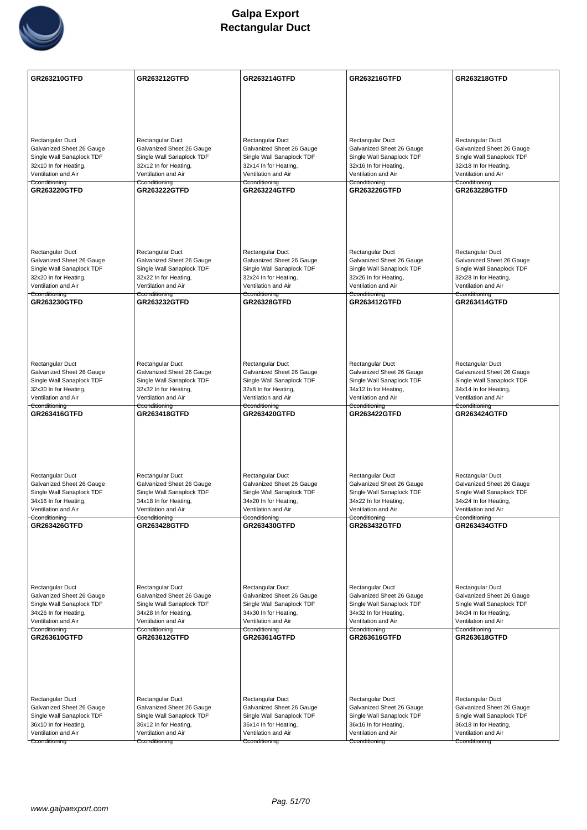

| Rectangular Duct<br>Rectangular Duct<br>Rectangular Duct<br>Rectangular Duct<br>Rectangular Duct<br>Galvanized Sheet 26 Gauge<br>Galvanized Sheet 26 Gauge<br>Galvanized Sheet 26 Gauge<br>Galvanized Sheet 26 Gauge<br>Galvanized Sheet 26 Gauge<br>Single Wall Sanaplock TDF<br>Single Wall Sanaplock TDF<br>Single Wall Sanaplock TDF<br>Single Wall Sanaplock TDF<br>Single Wall Sanaplock TDF<br>32x10 In for Heating,<br>32x18 In for Heating,<br>32x12 In for Heating,<br>32x14 In for Heating,<br>32x16 In for Heating,<br>Ventilation and Air<br>Ventilation and Air<br>Ventilation and Air<br>Ventilation and Air<br>Ventilation and Air<br>Cconditioning<br>Cconditioning<br>Cconditioning<br>Cconditioning<br>Cconditioning<br>GR263220GTFD<br><b>GR263222GTFD</b><br><b>GR263224GTFD</b><br><b>GR263226GTFD</b><br><b>GR263228GTFD</b><br>Rectangular Duct<br>Rectangular Duct<br>Rectangular Duct<br>Rectangular Duct<br>Rectangular Duct<br>Galvanized Sheet 26 Gauge<br>Galvanized Sheet 26 Gauge<br>Galvanized Sheet 26 Gauge<br>Galvanized Sheet 26 Gauge<br>Galvanized Sheet 26 Gauge<br>Single Wall Sanaplock TDF<br>Single Wall Sanaplock TDF<br>Single Wall Sanaplock TDF<br>Single Wall Sanaplock TDF<br>Single Wall Sanaplock TDF<br>32x20 In for Heating,<br>32x22 In for Heating,<br>32x24 In for Heating,<br>32x26 In for Heating,<br>32x28 In for Heating,<br>Ventilation and Air<br>Ventilation and Air<br>Ventilation and Air<br>Ventilation and Air<br>Ventilation and Air<br>Cconditioning<br>Cconditioning<br>Cconditioning<br>Cconditioning<br>Cconditioning<br>GR263230GTFD<br><b>GR263232GTFD</b><br><b>GR26328GTFD</b><br><b>GR263412GTFD</b><br><b>GR263414GTFD</b><br>Rectangular Duct<br>Rectangular Duct<br>Rectangular Duct<br>Rectangular Duct<br>Rectangular Duct<br>Galvanized Sheet 26 Gauge<br>Galvanized Sheet 26 Gauge<br>Galvanized Sheet 26 Gauge<br>Galvanized Sheet 26 Gauge<br>Galvanized Sheet 26 Gauge<br>Single Wall Sanaplock TDF<br>Single Wall Sanaplock TDF<br>Single Wall Sanaplock TDF<br>Single Wall Sanaplock TDF<br>Single Wall Sanaplock TDF<br>32x30 In for Heating,<br>32x32 In for Heating,<br>32x8 In for Heating,<br>34x12 In for Heating,<br>34x14 In for Heating,<br>Ventilation and Air<br>Ventilation and Air<br>Ventilation and Air<br>Ventilation and Air<br>Ventilation and Air<br>Cconditioning<br>Cconditioning<br>Cconditioning<br>Cconditioning<br>Cconditioning<br>GR263416GTFD<br><b>GR263418GTFD</b><br><b>GR263420GTFD</b><br>GR263422GTFD<br><b>GR263424GTFD</b><br>Rectangular Duct<br>Rectangular Duct<br>Rectangular Duct<br>Rectangular Duct<br>Rectangular Duct<br>Galvanized Sheet 26 Gauge<br>Galvanized Sheet 26 Gauge<br>Galvanized Sheet 26 Gauge<br>Galvanized Sheet 26 Gauge<br>Galvanized Sheet 26 Gauge<br>Single Wall Sanaplock TDF<br>Single Wall Sanaplock TDF<br>Single Wall Sanaplock TDF<br>Single Wall Sanaplock TDF<br>Single Wall Sanaplock TDF<br>34x16 In for Heating,<br>34x18 In for Heating,<br>34x20 In for Heating,<br>34x22 In for Heating,<br>34x24 In for Heating,<br>Ventilation and Air<br>Ventilation and Air<br>Ventilation and Air<br>Ventilation and Air<br>Ventilation and Air<br>Cconditioning<br>Cconditioning<br>Cconditioning<br>Cconditioning<br>GR263426GTFD<br><b>GR263428GTFD</b><br><b>GR263430GTFD</b><br>GR263432GTFD<br>GR263434GTFD<br>Rectangular Duct<br>Rectangular Duct<br>Rectangular Duct<br>Rectangular Duct<br>Rectangular Duct<br>Galvanized Sheet 26 Gauge<br>Galvanized Sheet 26 Gauge<br>Galvanized Sheet 26 Gauge<br>Galvanized Sheet 26 Gauge<br>Galvanized Sheet 26 Gauge<br>Single Wall Sanaplock TDF<br>Single Wall Sanaplock TDF<br>Single Wall Sanaplock TDF<br>Single Wall Sanaplock TDF<br>Single Wall Sanaplock TDF<br>34x26 In for Heating,<br>34x28 In for Heating,<br>34x30 In for Heating,<br>34x32 In for Heating,<br>34x34 In for Heating,<br>Ventilation and Air<br>Ventilation and Air<br>Ventilation and Air<br>Ventilation and Air<br>Ventilation and Air<br>Cconditioning<br>Cconditioning<br>Cconditioning<br>Cconditioning<br>Cconditioning<br>GR263610GTFD<br><b>GR263616GTFD</b><br><b>GR263618GTFD</b><br>GR263612GTFD<br>GR263614GTFD<br>Rectangular Duct<br>Rectangular Duct<br>Rectangular Duct<br>Rectangular Duct<br>Rectangular Duct<br>Galvanized Sheet 26 Gauge<br>Galvanized Sheet 26 Gauge<br>Galvanized Sheet 26 Gauge<br>Galvanized Sheet 26 Gauge<br>Galvanized Sheet 26 Gauge<br>Single Wall Sanaplock TDF<br>Single Wall Sanaplock TDF<br>Single Wall Sanaplock TDF<br>Single Wall Sanaplock TDF<br>Single Wall Sanaplock TDF<br>36x10 In for Heating,<br>36x12 In for Heating,<br>36x14 In for Heating,<br>36x16 In for Heating,<br>36x18 In for Heating,<br>Ventilation and Air<br>Ventilation and Air<br>Ventilation and Air<br>Ventilation and Air<br>Ventilation and Air<br>Cconditioning<br>Cconditioning<br>Cconditioning<br>Cconditioning<br>Cconditioning | <b>GR263210GTFD</b> | <b>GR263212GTFD</b> | <b>GR263214GTFD</b> | <b>GR263216GTFD</b> | <b>GR263218GTFD</b> |
|----------------------------------------------------------------------------------------------------------------------------------------------------------------------------------------------------------------------------------------------------------------------------------------------------------------------------------------------------------------------------------------------------------------------------------------------------------------------------------------------------------------------------------------------------------------------------------------------------------------------------------------------------------------------------------------------------------------------------------------------------------------------------------------------------------------------------------------------------------------------------------------------------------------------------------------------------------------------------------------------------------------------------------------------------------------------------------------------------------------------------------------------------------------------------------------------------------------------------------------------------------------------------------------------------------------------------------------------------------------------------------------------------------------------------------------------------------------------------------------------------------------------------------------------------------------------------------------------------------------------------------------------------------------------------------------------------------------------------------------------------------------------------------------------------------------------------------------------------------------------------------------------------------------------------------------------------------------------------------------------------------------------------------------------------------------------------------------------------------------------------------------------------------------------------------------------------------------------------------------------------------------------------------------------------------------------------------------------------------------------------------------------------------------------------------------------------------------------------------------------------------------------------------------------------------------------------------------------------------------------------------------------------------------------------------------------------------------------------------------------------------------------------------------------------------------------------------------------------------------------------------------------------------------------------------------------------------------------------------------------------------------------------------------------------------------------------------------------------------------------------------------------------------------------------------------------------------------------------------------------------------------------------------------------------------------------------------------------------------------------------------------------------------------------------------------------------------------------------------------------------------------------------------------------------------------------------------------------------------------------------------------------------------------------------------------------------------------------------------------------------------------------------------------------------------------------------------------------------------------------------------------------------------------------------------------------------------------------------------------------------------------------------------------------------------------------------------------------------------------------------------------------------------------------------------------------------------------------------------------------------------------------------------------------------------------------------------------------------------------------------------------------------------------------------------------------------------------------------------------------------------------------------------------------------------------------------------------------------------------------------------------------------------------------------------------------------------------------------------------------------------------------------------------------------------------------------------------------------------------------------------------------------------------------------------------------------------------------|---------------------|---------------------|---------------------|---------------------|---------------------|
|                                                                                                                                                                                                                                                                                                                                                                                                                                                                                                                                                                                                                                                                                                                                                                                                                                                                                                                                                                                                                                                                                                                                                                                                                                                                                                                                                                                                                                                                                                                                                                                                                                                                                                                                                                                                                                                                                                                                                                                                                                                                                                                                                                                                                                                                                                                                                                                                                                                                                                                                                                                                                                                                                                                                                                                                                                                                                                                                                                                                                                                                                                                                                                                                                                                                                                                                                                                                                                                                                                                                                                                                                                                                                                                                                                                                                                                                                                                                                                                                                                                                                                                                                                                                                                                                                                                                                                                                                                                                                                                                                                                                                                                                                                                                                                                                                                                                                                                                                                      |                     |                     |                     |                     |                     |
|                                                                                                                                                                                                                                                                                                                                                                                                                                                                                                                                                                                                                                                                                                                                                                                                                                                                                                                                                                                                                                                                                                                                                                                                                                                                                                                                                                                                                                                                                                                                                                                                                                                                                                                                                                                                                                                                                                                                                                                                                                                                                                                                                                                                                                                                                                                                                                                                                                                                                                                                                                                                                                                                                                                                                                                                                                                                                                                                                                                                                                                                                                                                                                                                                                                                                                                                                                                                                                                                                                                                                                                                                                                                                                                                                                                                                                                                                                                                                                                                                                                                                                                                                                                                                                                                                                                                                                                                                                                                                                                                                                                                                                                                                                                                                                                                                                                                                                                                                                      |                     |                     |                     |                     |                     |
|                                                                                                                                                                                                                                                                                                                                                                                                                                                                                                                                                                                                                                                                                                                                                                                                                                                                                                                                                                                                                                                                                                                                                                                                                                                                                                                                                                                                                                                                                                                                                                                                                                                                                                                                                                                                                                                                                                                                                                                                                                                                                                                                                                                                                                                                                                                                                                                                                                                                                                                                                                                                                                                                                                                                                                                                                                                                                                                                                                                                                                                                                                                                                                                                                                                                                                                                                                                                                                                                                                                                                                                                                                                                                                                                                                                                                                                                                                                                                                                                                                                                                                                                                                                                                                                                                                                                                                                                                                                                                                                                                                                                                                                                                                                                                                                                                                                                                                                                                                      |                     |                     |                     |                     |                     |
|                                                                                                                                                                                                                                                                                                                                                                                                                                                                                                                                                                                                                                                                                                                                                                                                                                                                                                                                                                                                                                                                                                                                                                                                                                                                                                                                                                                                                                                                                                                                                                                                                                                                                                                                                                                                                                                                                                                                                                                                                                                                                                                                                                                                                                                                                                                                                                                                                                                                                                                                                                                                                                                                                                                                                                                                                                                                                                                                                                                                                                                                                                                                                                                                                                                                                                                                                                                                                                                                                                                                                                                                                                                                                                                                                                                                                                                                                                                                                                                                                                                                                                                                                                                                                                                                                                                                                                                                                                                                                                                                                                                                                                                                                                                                                                                                                                                                                                                                                                      |                     |                     |                     |                     |                     |
|                                                                                                                                                                                                                                                                                                                                                                                                                                                                                                                                                                                                                                                                                                                                                                                                                                                                                                                                                                                                                                                                                                                                                                                                                                                                                                                                                                                                                                                                                                                                                                                                                                                                                                                                                                                                                                                                                                                                                                                                                                                                                                                                                                                                                                                                                                                                                                                                                                                                                                                                                                                                                                                                                                                                                                                                                                                                                                                                                                                                                                                                                                                                                                                                                                                                                                                                                                                                                                                                                                                                                                                                                                                                                                                                                                                                                                                                                                                                                                                                                                                                                                                                                                                                                                                                                                                                                                                                                                                                                                                                                                                                                                                                                                                                                                                                                                                                                                                                                                      |                     |                     |                     |                     |                     |
|                                                                                                                                                                                                                                                                                                                                                                                                                                                                                                                                                                                                                                                                                                                                                                                                                                                                                                                                                                                                                                                                                                                                                                                                                                                                                                                                                                                                                                                                                                                                                                                                                                                                                                                                                                                                                                                                                                                                                                                                                                                                                                                                                                                                                                                                                                                                                                                                                                                                                                                                                                                                                                                                                                                                                                                                                                                                                                                                                                                                                                                                                                                                                                                                                                                                                                                                                                                                                                                                                                                                                                                                                                                                                                                                                                                                                                                                                                                                                                                                                                                                                                                                                                                                                                                                                                                                                                                                                                                                                                                                                                                                                                                                                                                                                                                                                                                                                                                                                                      |                     |                     |                     |                     |                     |
|                                                                                                                                                                                                                                                                                                                                                                                                                                                                                                                                                                                                                                                                                                                                                                                                                                                                                                                                                                                                                                                                                                                                                                                                                                                                                                                                                                                                                                                                                                                                                                                                                                                                                                                                                                                                                                                                                                                                                                                                                                                                                                                                                                                                                                                                                                                                                                                                                                                                                                                                                                                                                                                                                                                                                                                                                                                                                                                                                                                                                                                                                                                                                                                                                                                                                                                                                                                                                                                                                                                                                                                                                                                                                                                                                                                                                                                                                                                                                                                                                                                                                                                                                                                                                                                                                                                                                                                                                                                                                                                                                                                                                                                                                                                                                                                                                                                                                                                                                                      |                     |                     |                     |                     |                     |
|                                                                                                                                                                                                                                                                                                                                                                                                                                                                                                                                                                                                                                                                                                                                                                                                                                                                                                                                                                                                                                                                                                                                                                                                                                                                                                                                                                                                                                                                                                                                                                                                                                                                                                                                                                                                                                                                                                                                                                                                                                                                                                                                                                                                                                                                                                                                                                                                                                                                                                                                                                                                                                                                                                                                                                                                                                                                                                                                                                                                                                                                                                                                                                                                                                                                                                                                                                                                                                                                                                                                                                                                                                                                                                                                                                                                                                                                                                                                                                                                                                                                                                                                                                                                                                                                                                                                                                                                                                                                                                                                                                                                                                                                                                                                                                                                                                                                                                                                                                      |                     |                     |                     |                     |                     |
|                                                                                                                                                                                                                                                                                                                                                                                                                                                                                                                                                                                                                                                                                                                                                                                                                                                                                                                                                                                                                                                                                                                                                                                                                                                                                                                                                                                                                                                                                                                                                                                                                                                                                                                                                                                                                                                                                                                                                                                                                                                                                                                                                                                                                                                                                                                                                                                                                                                                                                                                                                                                                                                                                                                                                                                                                                                                                                                                                                                                                                                                                                                                                                                                                                                                                                                                                                                                                                                                                                                                                                                                                                                                                                                                                                                                                                                                                                                                                                                                                                                                                                                                                                                                                                                                                                                                                                                                                                                                                                                                                                                                                                                                                                                                                                                                                                                                                                                                                                      |                     |                     |                     |                     |                     |
|                                                                                                                                                                                                                                                                                                                                                                                                                                                                                                                                                                                                                                                                                                                                                                                                                                                                                                                                                                                                                                                                                                                                                                                                                                                                                                                                                                                                                                                                                                                                                                                                                                                                                                                                                                                                                                                                                                                                                                                                                                                                                                                                                                                                                                                                                                                                                                                                                                                                                                                                                                                                                                                                                                                                                                                                                                                                                                                                                                                                                                                                                                                                                                                                                                                                                                                                                                                                                                                                                                                                                                                                                                                                                                                                                                                                                                                                                                                                                                                                                                                                                                                                                                                                                                                                                                                                                                                                                                                                                                                                                                                                                                                                                                                                                                                                                                                                                                                                                                      |                     |                     |                     |                     |                     |
|                                                                                                                                                                                                                                                                                                                                                                                                                                                                                                                                                                                                                                                                                                                                                                                                                                                                                                                                                                                                                                                                                                                                                                                                                                                                                                                                                                                                                                                                                                                                                                                                                                                                                                                                                                                                                                                                                                                                                                                                                                                                                                                                                                                                                                                                                                                                                                                                                                                                                                                                                                                                                                                                                                                                                                                                                                                                                                                                                                                                                                                                                                                                                                                                                                                                                                                                                                                                                                                                                                                                                                                                                                                                                                                                                                                                                                                                                                                                                                                                                                                                                                                                                                                                                                                                                                                                                                                                                                                                                                                                                                                                                                                                                                                                                                                                                                                                                                                                                                      |                     |                     |                     |                     |                     |
|                                                                                                                                                                                                                                                                                                                                                                                                                                                                                                                                                                                                                                                                                                                                                                                                                                                                                                                                                                                                                                                                                                                                                                                                                                                                                                                                                                                                                                                                                                                                                                                                                                                                                                                                                                                                                                                                                                                                                                                                                                                                                                                                                                                                                                                                                                                                                                                                                                                                                                                                                                                                                                                                                                                                                                                                                                                                                                                                                                                                                                                                                                                                                                                                                                                                                                                                                                                                                                                                                                                                                                                                                                                                                                                                                                                                                                                                                                                                                                                                                                                                                                                                                                                                                                                                                                                                                                                                                                                                                                                                                                                                                                                                                                                                                                                                                                                                                                                                                                      |                     |                     |                     |                     |                     |
|                                                                                                                                                                                                                                                                                                                                                                                                                                                                                                                                                                                                                                                                                                                                                                                                                                                                                                                                                                                                                                                                                                                                                                                                                                                                                                                                                                                                                                                                                                                                                                                                                                                                                                                                                                                                                                                                                                                                                                                                                                                                                                                                                                                                                                                                                                                                                                                                                                                                                                                                                                                                                                                                                                                                                                                                                                                                                                                                                                                                                                                                                                                                                                                                                                                                                                                                                                                                                                                                                                                                                                                                                                                                                                                                                                                                                                                                                                                                                                                                                                                                                                                                                                                                                                                                                                                                                                                                                                                                                                                                                                                                                                                                                                                                                                                                                                                                                                                                                                      |                     |                     |                     |                     |                     |
|                                                                                                                                                                                                                                                                                                                                                                                                                                                                                                                                                                                                                                                                                                                                                                                                                                                                                                                                                                                                                                                                                                                                                                                                                                                                                                                                                                                                                                                                                                                                                                                                                                                                                                                                                                                                                                                                                                                                                                                                                                                                                                                                                                                                                                                                                                                                                                                                                                                                                                                                                                                                                                                                                                                                                                                                                                                                                                                                                                                                                                                                                                                                                                                                                                                                                                                                                                                                                                                                                                                                                                                                                                                                                                                                                                                                                                                                                                                                                                                                                                                                                                                                                                                                                                                                                                                                                                                                                                                                                                                                                                                                                                                                                                                                                                                                                                                                                                                                                                      |                     |                     |                     |                     |                     |
|                                                                                                                                                                                                                                                                                                                                                                                                                                                                                                                                                                                                                                                                                                                                                                                                                                                                                                                                                                                                                                                                                                                                                                                                                                                                                                                                                                                                                                                                                                                                                                                                                                                                                                                                                                                                                                                                                                                                                                                                                                                                                                                                                                                                                                                                                                                                                                                                                                                                                                                                                                                                                                                                                                                                                                                                                                                                                                                                                                                                                                                                                                                                                                                                                                                                                                                                                                                                                                                                                                                                                                                                                                                                                                                                                                                                                                                                                                                                                                                                                                                                                                                                                                                                                                                                                                                                                                                                                                                                                                                                                                                                                                                                                                                                                                                                                                                                                                                                                                      |                     |                     |                     |                     |                     |
|                                                                                                                                                                                                                                                                                                                                                                                                                                                                                                                                                                                                                                                                                                                                                                                                                                                                                                                                                                                                                                                                                                                                                                                                                                                                                                                                                                                                                                                                                                                                                                                                                                                                                                                                                                                                                                                                                                                                                                                                                                                                                                                                                                                                                                                                                                                                                                                                                                                                                                                                                                                                                                                                                                                                                                                                                                                                                                                                                                                                                                                                                                                                                                                                                                                                                                                                                                                                                                                                                                                                                                                                                                                                                                                                                                                                                                                                                                                                                                                                                                                                                                                                                                                                                                                                                                                                                                                                                                                                                                                                                                                                                                                                                                                                                                                                                                                                                                                                                                      |                     |                     |                     |                     |                     |
|                                                                                                                                                                                                                                                                                                                                                                                                                                                                                                                                                                                                                                                                                                                                                                                                                                                                                                                                                                                                                                                                                                                                                                                                                                                                                                                                                                                                                                                                                                                                                                                                                                                                                                                                                                                                                                                                                                                                                                                                                                                                                                                                                                                                                                                                                                                                                                                                                                                                                                                                                                                                                                                                                                                                                                                                                                                                                                                                                                                                                                                                                                                                                                                                                                                                                                                                                                                                                                                                                                                                                                                                                                                                                                                                                                                                                                                                                                                                                                                                                                                                                                                                                                                                                                                                                                                                                                                                                                                                                                                                                                                                                                                                                                                                                                                                                                                                                                                                                                      |                     |                     |                     |                     |                     |
|                                                                                                                                                                                                                                                                                                                                                                                                                                                                                                                                                                                                                                                                                                                                                                                                                                                                                                                                                                                                                                                                                                                                                                                                                                                                                                                                                                                                                                                                                                                                                                                                                                                                                                                                                                                                                                                                                                                                                                                                                                                                                                                                                                                                                                                                                                                                                                                                                                                                                                                                                                                                                                                                                                                                                                                                                                                                                                                                                                                                                                                                                                                                                                                                                                                                                                                                                                                                                                                                                                                                                                                                                                                                                                                                                                                                                                                                                                                                                                                                                                                                                                                                                                                                                                                                                                                                                                                                                                                                                                                                                                                                                                                                                                                                                                                                                                                                                                                                                                      |                     |                     |                     |                     |                     |
|                                                                                                                                                                                                                                                                                                                                                                                                                                                                                                                                                                                                                                                                                                                                                                                                                                                                                                                                                                                                                                                                                                                                                                                                                                                                                                                                                                                                                                                                                                                                                                                                                                                                                                                                                                                                                                                                                                                                                                                                                                                                                                                                                                                                                                                                                                                                                                                                                                                                                                                                                                                                                                                                                                                                                                                                                                                                                                                                                                                                                                                                                                                                                                                                                                                                                                                                                                                                                                                                                                                                                                                                                                                                                                                                                                                                                                                                                                                                                                                                                                                                                                                                                                                                                                                                                                                                                                                                                                                                                                                                                                                                                                                                                                                                                                                                                                                                                                                                                                      |                     |                     |                     |                     |                     |
|                                                                                                                                                                                                                                                                                                                                                                                                                                                                                                                                                                                                                                                                                                                                                                                                                                                                                                                                                                                                                                                                                                                                                                                                                                                                                                                                                                                                                                                                                                                                                                                                                                                                                                                                                                                                                                                                                                                                                                                                                                                                                                                                                                                                                                                                                                                                                                                                                                                                                                                                                                                                                                                                                                                                                                                                                                                                                                                                                                                                                                                                                                                                                                                                                                                                                                                                                                                                                                                                                                                                                                                                                                                                                                                                                                                                                                                                                                                                                                                                                                                                                                                                                                                                                                                                                                                                                                                                                                                                                                                                                                                                                                                                                                                                                                                                                                                                                                                                                                      |                     |                     |                     |                     |                     |
|                                                                                                                                                                                                                                                                                                                                                                                                                                                                                                                                                                                                                                                                                                                                                                                                                                                                                                                                                                                                                                                                                                                                                                                                                                                                                                                                                                                                                                                                                                                                                                                                                                                                                                                                                                                                                                                                                                                                                                                                                                                                                                                                                                                                                                                                                                                                                                                                                                                                                                                                                                                                                                                                                                                                                                                                                                                                                                                                                                                                                                                                                                                                                                                                                                                                                                                                                                                                                                                                                                                                                                                                                                                                                                                                                                                                                                                                                                                                                                                                                                                                                                                                                                                                                                                                                                                                                                                                                                                                                                                                                                                                                                                                                                                                                                                                                                                                                                                                                                      |                     |                     |                     |                     |                     |
|                                                                                                                                                                                                                                                                                                                                                                                                                                                                                                                                                                                                                                                                                                                                                                                                                                                                                                                                                                                                                                                                                                                                                                                                                                                                                                                                                                                                                                                                                                                                                                                                                                                                                                                                                                                                                                                                                                                                                                                                                                                                                                                                                                                                                                                                                                                                                                                                                                                                                                                                                                                                                                                                                                                                                                                                                                                                                                                                                                                                                                                                                                                                                                                                                                                                                                                                                                                                                                                                                                                                                                                                                                                                                                                                                                                                                                                                                                                                                                                                                                                                                                                                                                                                                                                                                                                                                                                                                                                                                                                                                                                                                                                                                                                                                                                                                                                                                                                                                                      |                     |                     |                     |                     |                     |
|                                                                                                                                                                                                                                                                                                                                                                                                                                                                                                                                                                                                                                                                                                                                                                                                                                                                                                                                                                                                                                                                                                                                                                                                                                                                                                                                                                                                                                                                                                                                                                                                                                                                                                                                                                                                                                                                                                                                                                                                                                                                                                                                                                                                                                                                                                                                                                                                                                                                                                                                                                                                                                                                                                                                                                                                                                                                                                                                                                                                                                                                                                                                                                                                                                                                                                                                                                                                                                                                                                                                                                                                                                                                                                                                                                                                                                                                                                                                                                                                                                                                                                                                                                                                                                                                                                                                                                                                                                                                                                                                                                                                                                                                                                                                                                                                                                                                                                                                                                      |                     |                     |                     |                     |                     |
|                                                                                                                                                                                                                                                                                                                                                                                                                                                                                                                                                                                                                                                                                                                                                                                                                                                                                                                                                                                                                                                                                                                                                                                                                                                                                                                                                                                                                                                                                                                                                                                                                                                                                                                                                                                                                                                                                                                                                                                                                                                                                                                                                                                                                                                                                                                                                                                                                                                                                                                                                                                                                                                                                                                                                                                                                                                                                                                                                                                                                                                                                                                                                                                                                                                                                                                                                                                                                                                                                                                                                                                                                                                                                                                                                                                                                                                                                                                                                                                                                                                                                                                                                                                                                                                                                                                                                                                                                                                                                                                                                                                                                                                                                                                                                                                                                                                                                                                                                                      |                     |                     |                     |                     |                     |
|                                                                                                                                                                                                                                                                                                                                                                                                                                                                                                                                                                                                                                                                                                                                                                                                                                                                                                                                                                                                                                                                                                                                                                                                                                                                                                                                                                                                                                                                                                                                                                                                                                                                                                                                                                                                                                                                                                                                                                                                                                                                                                                                                                                                                                                                                                                                                                                                                                                                                                                                                                                                                                                                                                                                                                                                                                                                                                                                                                                                                                                                                                                                                                                                                                                                                                                                                                                                                                                                                                                                                                                                                                                                                                                                                                                                                                                                                                                                                                                                                                                                                                                                                                                                                                                                                                                                                                                                                                                                                                                                                                                                                                                                                                                                                                                                                                                                                                                                                                      |                     |                     |                     |                     |                     |
|                                                                                                                                                                                                                                                                                                                                                                                                                                                                                                                                                                                                                                                                                                                                                                                                                                                                                                                                                                                                                                                                                                                                                                                                                                                                                                                                                                                                                                                                                                                                                                                                                                                                                                                                                                                                                                                                                                                                                                                                                                                                                                                                                                                                                                                                                                                                                                                                                                                                                                                                                                                                                                                                                                                                                                                                                                                                                                                                                                                                                                                                                                                                                                                                                                                                                                                                                                                                                                                                                                                                                                                                                                                                                                                                                                                                                                                                                                                                                                                                                                                                                                                                                                                                                                                                                                                                                                                                                                                                                                                                                                                                                                                                                                                                                                                                                                                                                                                                                                      |                     |                     |                     |                     |                     |
|                                                                                                                                                                                                                                                                                                                                                                                                                                                                                                                                                                                                                                                                                                                                                                                                                                                                                                                                                                                                                                                                                                                                                                                                                                                                                                                                                                                                                                                                                                                                                                                                                                                                                                                                                                                                                                                                                                                                                                                                                                                                                                                                                                                                                                                                                                                                                                                                                                                                                                                                                                                                                                                                                                                                                                                                                                                                                                                                                                                                                                                                                                                                                                                                                                                                                                                                                                                                                                                                                                                                                                                                                                                                                                                                                                                                                                                                                                                                                                                                                                                                                                                                                                                                                                                                                                                                                                                                                                                                                                                                                                                                                                                                                                                                                                                                                                                                                                                                                                      |                     |                     |                     |                     |                     |
|                                                                                                                                                                                                                                                                                                                                                                                                                                                                                                                                                                                                                                                                                                                                                                                                                                                                                                                                                                                                                                                                                                                                                                                                                                                                                                                                                                                                                                                                                                                                                                                                                                                                                                                                                                                                                                                                                                                                                                                                                                                                                                                                                                                                                                                                                                                                                                                                                                                                                                                                                                                                                                                                                                                                                                                                                                                                                                                                                                                                                                                                                                                                                                                                                                                                                                                                                                                                                                                                                                                                                                                                                                                                                                                                                                                                                                                                                                                                                                                                                                                                                                                                                                                                                                                                                                                                                                                                                                                                                                                                                                                                                                                                                                                                                                                                                                                                                                                                                                      |                     |                     |                     |                     |                     |
|                                                                                                                                                                                                                                                                                                                                                                                                                                                                                                                                                                                                                                                                                                                                                                                                                                                                                                                                                                                                                                                                                                                                                                                                                                                                                                                                                                                                                                                                                                                                                                                                                                                                                                                                                                                                                                                                                                                                                                                                                                                                                                                                                                                                                                                                                                                                                                                                                                                                                                                                                                                                                                                                                                                                                                                                                                                                                                                                                                                                                                                                                                                                                                                                                                                                                                                                                                                                                                                                                                                                                                                                                                                                                                                                                                                                                                                                                                                                                                                                                                                                                                                                                                                                                                                                                                                                                                                                                                                                                                                                                                                                                                                                                                                                                                                                                                                                                                                                                                      |                     |                     |                     |                     |                     |
|                                                                                                                                                                                                                                                                                                                                                                                                                                                                                                                                                                                                                                                                                                                                                                                                                                                                                                                                                                                                                                                                                                                                                                                                                                                                                                                                                                                                                                                                                                                                                                                                                                                                                                                                                                                                                                                                                                                                                                                                                                                                                                                                                                                                                                                                                                                                                                                                                                                                                                                                                                                                                                                                                                                                                                                                                                                                                                                                                                                                                                                                                                                                                                                                                                                                                                                                                                                                                                                                                                                                                                                                                                                                                                                                                                                                                                                                                                                                                                                                                                                                                                                                                                                                                                                                                                                                                                                                                                                                                                                                                                                                                                                                                                                                                                                                                                                                                                                                                                      |                     |                     |                     |                     |                     |
|                                                                                                                                                                                                                                                                                                                                                                                                                                                                                                                                                                                                                                                                                                                                                                                                                                                                                                                                                                                                                                                                                                                                                                                                                                                                                                                                                                                                                                                                                                                                                                                                                                                                                                                                                                                                                                                                                                                                                                                                                                                                                                                                                                                                                                                                                                                                                                                                                                                                                                                                                                                                                                                                                                                                                                                                                                                                                                                                                                                                                                                                                                                                                                                                                                                                                                                                                                                                                                                                                                                                                                                                                                                                                                                                                                                                                                                                                                                                                                                                                                                                                                                                                                                                                                                                                                                                                                                                                                                                                                                                                                                                                                                                                                                                                                                                                                                                                                                                                                      |                     |                     |                     |                     |                     |
|                                                                                                                                                                                                                                                                                                                                                                                                                                                                                                                                                                                                                                                                                                                                                                                                                                                                                                                                                                                                                                                                                                                                                                                                                                                                                                                                                                                                                                                                                                                                                                                                                                                                                                                                                                                                                                                                                                                                                                                                                                                                                                                                                                                                                                                                                                                                                                                                                                                                                                                                                                                                                                                                                                                                                                                                                                                                                                                                                                                                                                                                                                                                                                                                                                                                                                                                                                                                                                                                                                                                                                                                                                                                                                                                                                                                                                                                                                                                                                                                                                                                                                                                                                                                                                                                                                                                                                                                                                                                                                                                                                                                                                                                                                                                                                                                                                                                                                                                                                      |                     |                     |                     |                     |                     |
|                                                                                                                                                                                                                                                                                                                                                                                                                                                                                                                                                                                                                                                                                                                                                                                                                                                                                                                                                                                                                                                                                                                                                                                                                                                                                                                                                                                                                                                                                                                                                                                                                                                                                                                                                                                                                                                                                                                                                                                                                                                                                                                                                                                                                                                                                                                                                                                                                                                                                                                                                                                                                                                                                                                                                                                                                                                                                                                                                                                                                                                                                                                                                                                                                                                                                                                                                                                                                                                                                                                                                                                                                                                                                                                                                                                                                                                                                                                                                                                                                                                                                                                                                                                                                                                                                                                                                                                                                                                                                                                                                                                                                                                                                                                                                                                                                                                                                                                                                                      |                     |                     |                     |                     |                     |
|                                                                                                                                                                                                                                                                                                                                                                                                                                                                                                                                                                                                                                                                                                                                                                                                                                                                                                                                                                                                                                                                                                                                                                                                                                                                                                                                                                                                                                                                                                                                                                                                                                                                                                                                                                                                                                                                                                                                                                                                                                                                                                                                                                                                                                                                                                                                                                                                                                                                                                                                                                                                                                                                                                                                                                                                                                                                                                                                                                                                                                                                                                                                                                                                                                                                                                                                                                                                                                                                                                                                                                                                                                                                                                                                                                                                                                                                                                                                                                                                                                                                                                                                                                                                                                                                                                                                                                                                                                                                                                                                                                                                                                                                                                                                                                                                                                                                                                                                                                      |                     |                     |                     |                     |                     |
|                                                                                                                                                                                                                                                                                                                                                                                                                                                                                                                                                                                                                                                                                                                                                                                                                                                                                                                                                                                                                                                                                                                                                                                                                                                                                                                                                                                                                                                                                                                                                                                                                                                                                                                                                                                                                                                                                                                                                                                                                                                                                                                                                                                                                                                                                                                                                                                                                                                                                                                                                                                                                                                                                                                                                                                                                                                                                                                                                                                                                                                                                                                                                                                                                                                                                                                                                                                                                                                                                                                                                                                                                                                                                                                                                                                                                                                                                                                                                                                                                                                                                                                                                                                                                                                                                                                                                                                                                                                                                                                                                                                                                                                                                                                                                                                                                                                                                                                                                                      |                     |                     |                     |                     |                     |
|                                                                                                                                                                                                                                                                                                                                                                                                                                                                                                                                                                                                                                                                                                                                                                                                                                                                                                                                                                                                                                                                                                                                                                                                                                                                                                                                                                                                                                                                                                                                                                                                                                                                                                                                                                                                                                                                                                                                                                                                                                                                                                                                                                                                                                                                                                                                                                                                                                                                                                                                                                                                                                                                                                                                                                                                                                                                                                                                                                                                                                                                                                                                                                                                                                                                                                                                                                                                                                                                                                                                                                                                                                                                                                                                                                                                                                                                                                                                                                                                                                                                                                                                                                                                                                                                                                                                                                                                                                                                                                                                                                                                                                                                                                                                                                                                                                                                                                                                                                      |                     |                     |                     |                     |                     |
|                                                                                                                                                                                                                                                                                                                                                                                                                                                                                                                                                                                                                                                                                                                                                                                                                                                                                                                                                                                                                                                                                                                                                                                                                                                                                                                                                                                                                                                                                                                                                                                                                                                                                                                                                                                                                                                                                                                                                                                                                                                                                                                                                                                                                                                                                                                                                                                                                                                                                                                                                                                                                                                                                                                                                                                                                                                                                                                                                                                                                                                                                                                                                                                                                                                                                                                                                                                                                                                                                                                                                                                                                                                                                                                                                                                                                                                                                                                                                                                                                                                                                                                                                                                                                                                                                                                                                                                                                                                                                                                                                                                                                                                                                                                                                                                                                                                                                                                                                                      |                     |                     |                     |                     |                     |
|                                                                                                                                                                                                                                                                                                                                                                                                                                                                                                                                                                                                                                                                                                                                                                                                                                                                                                                                                                                                                                                                                                                                                                                                                                                                                                                                                                                                                                                                                                                                                                                                                                                                                                                                                                                                                                                                                                                                                                                                                                                                                                                                                                                                                                                                                                                                                                                                                                                                                                                                                                                                                                                                                                                                                                                                                                                                                                                                                                                                                                                                                                                                                                                                                                                                                                                                                                                                                                                                                                                                                                                                                                                                                                                                                                                                                                                                                                                                                                                                                                                                                                                                                                                                                                                                                                                                                                                                                                                                                                                                                                                                                                                                                                                                                                                                                                                                                                                                                                      | Cconditioning       |                     |                     |                     |                     |
|                                                                                                                                                                                                                                                                                                                                                                                                                                                                                                                                                                                                                                                                                                                                                                                                                                                                                                                                                                                                                                                                                                                                                                                                                                                                                                                                                                                                                                                                                                                                                                                                                                                                                                                                                                                                                                                                                                                                                                                                                                                                                                                                                                                                                                                                                                                                                                                                                                                                                                                                                                                                                                                                                                                                                                                                                                                                                                                                                                                                                                                                                                                                                                                                                                                                                                                                                                                                                                                                                                                                                                                                                                                                                                                                                                                                                                                                                                                                                                                                                                                                                                                                                                                                                                                                                                                                                                                                                                                                                                                                                                                                                                                                                                                                                                                                                                                                                                                                                                      |                     |                     |                     |                     |                     |
|                                                                                                                                                                                                                                                                                                                                                                                                                                                                                                                                                                                                                                                                                                                                                                                                                                                                                                                                                                                                                                                                                                                                                                                                                                                                                                                                                                                                                                                                                                                                                                                                                                                                                                                                                                                                                                                                                                                                                                                                                                                                                                                                                                                                                                                                                                                                                                                                                                                                                                                                                                                                                                                                                                                                                                                                                                                                                                                                                                                                                                                                                                                                                                                                                                                                                                                                                                                                                                                                                                                                                                                                                                                                                                                                                                                                                                                                                                                                                                                                                                                                                                                                                                                                                                                                                                                                                                                                                                                                                                                                                                                                                                                                                                                                                                                                                                                                                                                                                                      |                     |                     |                     |                     |                     |
|                                                                                                                                                                                                                                                                                                                                                                                                                                                                                                                                                                                                                                                                                                                                                                                                                                                                                                                                                                                                                                                                                                                                                                                                                                                                                                                                                                                                                                                                                                                                                                                                                                                                                                                                                                                                                                                                                                                                                                                                                                                                                                                                                                                                                                                                                                                                                                                                                                                                                                                                                                                                                                                                                                                                                                                                                                                                                                                                                                                                                                                                                                                                                                                                                                                                                                                                                                                                                                                                                                                                                                                                                                                                                                                                                                                                                                                                                                                                                                                                                                                                                                                                                                                                                                                                                                                                                                                                                                                                                                                                                                                                                                                                                                                                                                                                                                                                                                                                                                      |                     |                     |                     |                     |                     |
|                                                                                                                                                                                                                                                                                                                                                                                                                                                                                                                                                                                                                                                                                                                                                                                                                                                                                                                                                                                                                                                                                                                                                                                                                                                                                                                                                                                                                                                                                                                                                                                                                                                                                                                                                                                                                                                                                                                                                                                                                                                                                                                                                                                                                                                                                                                                                                                                                                                                                                                                                                                                                                                                                                                                                                                                                                                                                                                                                                                                                                                                                                                                                                                                                                                                                                                                                                                                                                                                                                                                                                                                                                                                                                                                                                                                                                                                                                                                                                                                                                                                                                                                                                                                                                                                                                                                                                                                                                                                                                                                                                                                                                                                                                                                                                                                                                                                                                                                                                      |                     |                     |                     |                     |                     |
|                                                                                                                                                                                                                                                                                                                                                                                                                                                                                                                                                                                                                                                                                                                                                                                                                                                                                                                                                                                                                                                                                                                                                                                                                                                                                                                                                                                                                                                                                                                                                                                                                                                                                                                                                                                                                                                                                                                                                                                                                                                                                                                                                                                                                                                                                                                                                                                                                                                                                                                                                                                                                                                                                                                                                                                                                                                                                                                                                                                                                                                                                                                                                                                                                                                                                                                                                                                                                                                                                                                                                                                                                                                                                                                                                                                                                                                                                                                                                                                                                                                                                                                                                                                                                                                                                                                                                                                                                                                                                                                                                                                                                                                                                                                                                                                                                                                                                                                                                                      |                     |                     |                     |                     |                     |
|                                                                                                                                                                                                                                                                                                                                                                                                                                                                                                                                                                                                                                                                                                                                                                                                                                                                                                                                                                                                                                                                                                                                                                                                                                                                                                                                                                                                                                                                                                                                                                                                                                                                                                                                                                                                                                                                                                                                                                                                                                                                                                                                                                                                                                                                                                                                                                                                                                                                                                                                                                                                                                                                                                                                                                                                                                                                                                                                                                                                                                                                                                                                                                                                                                                                                                                                                                                                                                                                                                                                                                                                                                                                                                                                                                                                                                                                                                                                                                                                                                                                                                                                                                                                                                                                                                                                                                                                                                                                                                                                                                                                                                                                                                                                                                                                                                                                                                                                                                      |                     |                     |                     |                     |                     |
|                                                                                                                                                                                                                                                                                                                                                                                                                                                                                                                                                                                                                                                                                                                                                                                                                                                                                                                                                                                                                                                                                                                                                                                                                                                                                                                                                                                                                                                                                                                                                                                                                                                                                                                                                                                                                                                                                                                                                                                                                                                                                                                                                                                                                                                                                                                                                                                                                                                                                                                                                                                                                                                                                                                                                                                                                                                                                                                                                                                                                                                                                                                                                                                                                                                                                                                                                                                                                                                                                                                                                                                                                                                                                                                                                                                                                                                                                                                                                                                                                                                                                                                                                                                                                                                                                                                                                                                                                                                                                                                                                                                                                                                                                                                                                                                                                                                                                                                                                                      |                     |                     |                     |                     |                     |
|                                                                                                                                                                                                                                                                                                                                                                                                                                                                                                                                                                                                                                                                                                                                                                                                                                                                                                                                                                                                                                                                                                                                                                                                                                                                                                                                                                                                                                                                                                                                                                                                                                                                                                                                                                                                                                                                                                                                                                                                                                                                                                                                                                                                                                                                                                                                                                                                                                                                                                                                                                                                                                                                                                                                                                                                                                                                                                                                                                                                                                                                                                                                                                                                                                                                                                                                                                                                                                                                                                                                                                                                                                                                                                                                                                                                                                                                                                                                                                                                                                                                                                                                                                                                                                                                                                                                                                                                                                                                                                                                                                                                                                                                                                                                                                                                                                                                                                                                                                      |                     |                     |                     |                     |                     |
|                                                                                                                                                                                                                                                                                                                                                                                                                                                                                                                                                                                                                                                                                                                                                                                                                                                                                                                                                                                                                                                                                                                                                                                                                                                                                                                                                                                                                                                                                                                                                                                                                                                                                                                                                                                                                                                                                                                                                                                                                                                                                                                                                                                                                                                                                                                                                                                                                                                                                                                                                                                                                                                                                                                                                                                                                                                                                                                                                                                                                                                                                                                                                                                                                                                                                                                                                                                                                                                                                                                                                                                                                                                                                                                                                                                                                                                                                                                                                                                                                                                                                                                                                                                                                                                                                                                                                                                                                                                                                                                                                                                                                                                                                                                                                                                                                                                                                                                                                                      |                     |                     |                     |                     |                     |
|                                                                                                                                                                                                                                                                                                                                                                                                                                                                                                                                                                                                                                                                                                                                                                                                                                                                                                                                                                                                                                                                                                                                                                                                                                                                                                                                                                                                                                                                                                                                                                                                                                                                                                                                                                                                                                                                                                                                                                                                                                                                                                                                                                                                                                                                                                                                                                                                                                                                                                                                                                                                                                                                                                                                                                                                                                                                                                                                                                                                                                                                                                                                                                                                                                                                                                                                                                                                                                                                                                                                                                                                                                                                                                                                                                                                                                                                                                                                                                                                                                                                                                                                                                                                                                                                                                                                                                                                                                                                                                                                                                                                                                                                                                                                                                                                                                                                                                                                                                      |                     |                     |                     |                     |                     |
|                                                                                                                                                                                                                                                                                                                                                                                                                                                                                                                                                                                                                                                                                                                                                                                                                                                                                                                                                                                                                                                                                                                                                                                                                                                                                                                                                                                                                                                                                                                                                                                                                                                                                                                                                                                                                                                                                                                                                                                                                                                                                                                                                                                                                                                                                                                                                                                                                                                                                                                                                                                                                                                                                                                                                                                                                                                                                                                                                                                                                                                                                                                                                                                                                                                                                                                                                                                                                                                                                                                                                                                                                                                                                                                                                                                                                                                                                                                                                                                                                                                                                                                                                                                                                                                                                                                                                                                                                                                                                                                                                                                                                                                                                                                                                                                                                                                                                                                                                                      |                     |                     |                     |                     |                     |
|                                                                                                                                                                                                                                                                                                                                                                                                                                                                                                                                                                                                                                                                                                                                                                                                                                                                                                                                                                                                                                                                                                                                                                                                                                                                                                                                                                                                                                                                                                                                                                                                                                                                                                                                                                                                                                                                                                                                                                                                                                                                                                                                                                                                                                                                                                                                                                                                                                                                                                                                                                                                                                                                                                                                                                                                                                                                                                                                                                                                                                                                                                                                                                                                                                                                                                                                                                                                                                                                                                                                                                                                                                                                                                                                                                                                                                                                                                                                                                                                                                                                                                                                                                                                                                                                                                                                                                                                                                                                                                                                                                                                                                                                                                                                                                                                                                                                                                                                                                      |                     |                     |                     |                     |                     |
|                                                                                                                                                                                                                                                                                                                                                                                                                                                                                                                                                                                                                                                                                                                                                                                                                                                                                                                                                                                                                                                                                                                                                                                                                                                                                                                                                                                                                                                                                                                                                                                                                                                                                                                                                                                                                                                                                                                                                                                                                                                                                                                                                                                                                                                                                                                                                                                                                                                                                                                                                                                                                                                                                                                                                                                                                                                                                                                                                                                                                                                                                                                                                                                                                                                                                                                                                                                                                                                                                                                                                                                                                                                                                                                                                                                                                                                                                                                                                                                                                                                                                                                                                                                                                                                                                                                                                                                                                                                                                                                                                                                                                                                                                                                                                                                                                                                                                                                                                                      |                     |                     |                     |                     |                     |
|                                                                                                                                                                                                                                                                                                                                                                                                                                                                                                                                                                                                                                                                                                                                                                                                                                                                                                                                                                                                                                                                                                                                                                                                                                                                                                                                                                                                                                                                                                                                                                                                                                                                                                                                                                                                                                                                                                                                                                                                                                                                                                                                                                                                                                                                                                                                                                                                                                                                                                                                                                                                                                                                                                                                                                                                                                                                                                                                                                                                                                                                                                                                                                                                                                                                                                                                                                                                                                                                                                                                                                                                                                                                                                                                                                                                                                                                                                                                                                                                                                                                                                                                                                                                                                                                                                                                                                                                                                                                                                                                                                                                                                                                                                                                                                                                                                                                                                                                                                      |                     |                     |                     |                     |                     |
|                                                                                                                                                                                                                                                                                                                                                                                                                                                                                                                                                                                                                                                                                                                                                                                                                                                                                                                                                                                                                                                                                                                                                                                                                                                                                                                                                                                                                                                                                                                                                                                                                                                                                                                                                                                                                                                                                                                                                                                                                                                                                                                                                                                                                                                                                                                                                                                                                                                                                                                                                                                                                                                                                                                                                                                                                                                                                                                                                                                                                                                                                                                                                                                                                                                                                                                                                                                                                                                                                                                                                                                                                                                                                                                                                                                                                                                                                                                                                                                                                                                                                                                                                                                                                                                                                                                                                                                                                                                                                                                                                                                                                                                                                                                                                                                                                                                                                                                                                                      |                     |                     |                     |                     |                     |
|                                                                                                                                                                                                                                                                                                                                                                                                                                                                                                                                                                                                                                                                                                                                                                                                                                                                                                                                                                                                                                                                                                                                                                                                                                                                                                                                                                                                                                                                                                                                                                                                                                                                                                                                                                                                                                                                                                                                                                                                                                                                                                                                                                                                                                                                                                                                                                                                                                                                                                                                                                                                                                                                                                                                                                                                                                                                                                                                                                                                                                                                                                                                                                                                                                                                                                                                                                                                                                                                                                                                                                                                                                                                                                                                                                                                                                                                                                                                                                                                                                                                                                                                                                                                                                                                                                                                                                                                                                                                                                                                                                                                                                                                                                                                                                                                                                                                                                                                                                      |                     |                     |                     |                     |                     |
|                                                                                                                                                                                                                                                                                                                                                                                                                                                                                                                                                                                                                                                                                                                                                                                                                                                                                                                                                                                                                                                                                                                                                                                                                                                                                                                                                                                                                                                                                                                                                                                                                                                                                                                                                                                                                                                                                                                                                                                                                                                                                                                                                                                                                                                                                                                                                                                                                                                                                                                                                                                                                                                                                                                                                                                                                                                                                                                                                                                                                                                                                                                                                                                                                                                                                                                                                                                                                                                                                                                                                                                                                                                                                                                                                                                                                                                                                                                                                                                                                                                                                                                                                                                                                                                                                                                                                                                                                                                                                                                                                                                                                                                                                                                                                                                                                                                                                                                                                                      |                     |                     |                     |                     |                     |
|                                                                                                                                                                                                                                                                                                                                                                                                                                                                                                                                                                                                                                                                                                                                                                                                                                                                                                                                                                                                                                                                                                                                                                                                                                                                                                                                                                                                                                                                                                                                                                                                                                                                                                                                                                                                                                                                                                                                                                                                                                                                                                                                                                                                                                                                                                                                                                                                                                                                                                                                                                                                                                                                                                                                                                                                                                                                                                                                                                                                                                                                                                                                                                                                                                                                                                                                                                                                                                                                                                                                                                                                                                                                                                                                                                                                                                                                                                                                                                                                                                                                                                                                                                                                                                                                                                                                                                                                                                                                                                                                                                                                                                                                                                                                                                                                                                                                                                                                                                      |                     |                     |                     |                     |                     |
|                                                                                                                                                                                                                                                                                                                                                                                                                                                                                                                                                                                                                                                                                                                                                                                                                                                                                                                                                                                                                                                                                                                                                                                                                                                                                                                                                                                                                                                                                                                                                                                                                                                                                                                                                                                                                                                                                                                                                                                                                                                                                                                                                                                                                                                                                                                                                                                                                                                                                                                                                                                                                                                                                                                                                                                                                                                                                                                                                                                                                                                                                                                                                                                                                                                                                                                                                                                                                                                                                                                                                                                                                                                                                                                                                                                                                                                                                                                                                                                                                                                                                                                                                                                                                                                                                                                                                                                                                                                                                                                                                                                                                                                                                                                                                                                                                                                                                                                                                                      |                     |                     |                     |                     |                     |
|                                                                                                                                                                                                                                                                                                                                                                                                                                                                                                                                                                                                                                                                                                                                                                                                                                                                                                                                                                                                                                                                                                                                                                                                                                                                                                                                                                                                                                                                                                                                                                                                                                                                                                                                                                                                                                                                                                                                                                                                                                                                                                                                                                                                                                                                                                                                                                                                                                                                                                                                                                                                                                                                                                                                                                                                                                                                                                                                                                                                                                                                                                                                                                                                                                                                                                                                                                                                                                                                                                                                                                                                                                                                                                                                                                                                                                                                                                                                                                                                                                                                                                                                                                                                                                                                                                                                                                                                                                                                                                                                                                                                                                                                                                                                                                                                                                                                                                                                                                      |                     |                     |                     |                     |                     |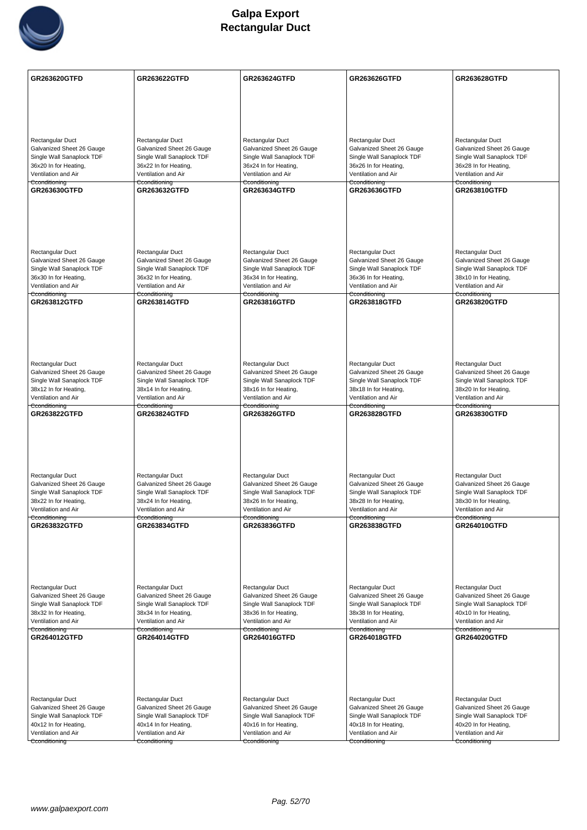

| Rectangular Duct<br>Rectangular Duct<br>Rectangular Duct<br>Rectangular Duct<br>Rectangular Duct<br>Galvanized Sheet 26 Gauge<br>Galvanized Sheet 26 Gauge<br>Galvanized Sheet 26 Gauge<br>Galvanized Sheet 26 Gauge<br>Galvanized Sheet 26 Gauge<br>Single Wall Sanaplock TDF<br>Single Wall Sanaplock TDF<br>Single Wall Sanaplock TDF<br>Single Wall Sanaplock TDF<br>Single Wall Sanaplock TDF<br>36x20 In for Heating,<br>36x22 In for Heating,<br>36x24 In for Heating,<br>36x26 In for Heating,<br>36x28 In for Heating,<br>Ventilation and Air<br>Ventilation and Air<br>Ventilation and Air<br>Ventilation and Air<br>Ventilation and Air<br>Cconditioning<br>Cconditioning<br>Cconditioning<br>Cconditioning<br>Cconditioning<br>GR263630GTFD<br><b>GR263632GTFD</b><br><b>GR263634GTFD</b><br><b>GR263636GTFD</b><br><b>GR263810GTFD</b><br><b>Rectangular Duct</b><br>Rectangular Duct<br>Rectangular Duct<br>Rectangular Duct<br>Rectangular Duct<br>Galvanized Sheet 26 Gauge<br>Galvanized Sheet 26 Gauge<br>Galvanized Sheet 26 Gauge<br>Galvanized Sheet 26 Gauge<br>Galvanized Sheet 26 Gauge<br>Single Wall Sanaplock TDF<br>Single Wall Sanaplock TDF<br>Single Wall Sanaplock TDF<br>Single Wall Sanaplock TDF<br>Single Wall Sanaplock TDF<br>36x30 In for Heating,<br>36x32 In for Heating,<br>36x34 In for Heating,<br>36x36 In for Heating,<br>38x10 In for Heating,<br>Ventilation and Air<br>Ventilation and Air<br>Ventilation and Air<br>Ventilation and Air<br>Ventilation and Air<br>Cconditioning<br>Cconditioning<br>Cconditioning<br><del>Cconditioning</del><br>Cconditioning<br><b>GR263812GTFD</b><br><b>GR263814GTFD</b><br>GR263816GTFD<br><b>GR263818GTFD</b><br><b>GR263820GTFD</b><br>Rectangular Duct<br>Rectangular Duct<br>Rectangular Duct<br>Rectangular Duct<br>Rectangular Duct<br>Galvanized Sheet 26 Gauge<br>Galvanized Sheet 26 Gauge<br>Galvanized Sheet 26 Gauge<br>Galvanized Sheet 26 Gauge<br>Galvanized Sheet 26 Gauge<br>Single Wall Sanaplock TDF<br>Single Wall Sanaplock TDF<br>Single Wall Sanaplock TDF<br>Single Wall Sanaplock TDF<br>Single Wall Sanaplock TDF<br>38x12 In for Heating,<br>38x14 In for Heating,<br>38x16 In for Heating,<br>38x18 In for Heating,<br>38x20 In for Heating,<br>Ventilation and Air<br>Ventilation and Air<br>Ventilation and Air<br>Ventilation and Air<br>Ventilation and Air<br>Cconditioning<br>Cconditioning<br>Cconditioning<br>Cconditioning<br>Cconditioning<br>GR263822GTFD<br><b>GR263824GTFD</b><br>GR263826GTFD<br>GR263828GTFD<br>GR263830GTFD<br>Rectangular Duct<br>Rectangular Duct<br>Rectangular Duct<br>Rectangular Duct<br>Rectangular Duct<br>Galvanized Sheet 26 Gauge<br>Galvanized Sheet 26 Gauge<br>Galvanized Sheet 26 Gauge<br>Galvanized Sheet 26 Gauge<br>Galvanized Sheet 26 Gauge<br>Single Wall Sanaplock TDF<br>Single Wall Sanaplock TDF<br>Single Wall Sanaplock TDF<br>Single Wall Sanaplock TDF<br>Single Wall Sanaplock TDF<br>38x22 In for Heating,<br>38x24 In for Heating,<br>38x26 In for Heating,<br>38x28 In for Heating,<br>38x30 In for Heating,<br>Ventilation and Air<br>Ventilation and Air<br>Ventilation and Air<br>Ventilation and Air<br>Ventilation and Air<br>Cconditioning<br>Cconditioning<br>Cconditioning<br>Cconditioning<br>Cconditioning<br>GR263832GTFD<br>GR263834GTFD<br><b>GR263836GTFD</b><br>GR263838GTFD<br>GR264010GTFD<br>Rectangular Duct<br>Rectangular Duct<br><b>Rectangular Duct</b><br>Rectangular Duct<br>Rectangular Duct<br>Galvanized Sheet 26 Gauge<br>Galvanized Sheet 26 Gauge<br>Galvanized Sheet 26 Gauge<br>Galvanized Sheet 26 Gauge<br>Galvanized Sheet 26 Gauge<br>Single Wall Sanaplock TDF<br>Single Wall Sanaplock TDF<br>Single Wall Sanaplock TDF<br>Single Wall Sanaplock TDF<br>Single Wall Sanaplock TDF<br>38x32 In for Heating,<br>38x34 In for Heating,<br>38x36 In for Heating,<br>38x38 In for Heating,<br>40x10 In for Heating,<br>Ventilation and Air<br>Ventilation and Air<br>Ventilation and Air<br>Ventilation and Air<br>Ventilation and Air<br>Cconditioning<br>Cconditioning<br>Cconditioning<br>Cconditioning<br>Cconditioning<br>GR264012GTFD<br><b>GR264014GTFD</b><br>GR264020GTFD<br>GR264016GTFD<br>GR264018GTFD<br>Rectangular Duct<br>Rectangular Duct<br>Rectangular Duct<br>Rectangular Duct<br>Rectangular Duct<br>Galvanized Sheet 26 Gauge<br>Galvanized Sheet 26 Gauge<br>Galvanized Sheet 26 Gauge<br>Galvanized Sheet 26 Gauge<br>Galvanized Sheet 26 Gauge<br>Single Wall Sanaplock TDF<br>Single Wall Sanaplock TDF<br>Single Wall Sanaplock TDF<br>Single Wall Sanaplock TDF<br>Single Wall Sanaplock TDF<br>40x12 In for Heating,<br>40x20 In for Heating,<br>40x14 In for Heating,<br>40x16 In for Heating,<br>40x18 In for Heating,<br>Ventilation and Air<br>Ventilation and Air<br>Ventilation and Air<br>Ventilation and Air<br>Ventilation and Air<br>Cconditioning<br>Cconditioning<br>Cconditioning<br>Cconditioning<br>Cconditioning | GR263620GTFD | <b>GR263622GTFD</b> | <b>GR263624GTFD</b> | <b>GR263626GTFD</b> | <b>GR263628GTFD</b> |
|--------------------------------------------------------------------------------------------------------------------------------------------------------------------------------------------------------------------------------------------------------------------------------------------------------------------------------------------------------------------------------------------------------------------------------------------------------------------------------------------------------------------------------------------------------------------------------------------------------------------------------------------------------------------------------------------------------------------------------------------------------------------------------------------------------------------------------------------------------------------------------------------------------------------------------------------------------------------------------------------------------------------------------------------------------------------------------------------------------------------------------------------------------------------------------------------------------------------------------------------------------------------------------------------------------------------------------------------------------------------------------------------------------------------------------------------------------------------------------------------------------------------------------------------------------------------------------------------------------------------------------------------------------------------------------------------------------------------------------------------------------------------------------------------------------------------------------------------------------------------------------------------------------------------------------------------------------------------------------------------------------------------------------------------------------------------------------------------------------------------------------------------------------------------------------------------------------------------------------------------------------------------------------------------------------------------------------------------------------------------------------------------------------------------------------------------------------------------------------------------------------------------------------------------------------------------------------------------------------------------------------------------------------------------------------------------------------------------------------------------------------------------------------------------------------------------------------------------------------------------------------------------------------------------------------------------------------------------------------------------------------------------------------------------------------------------------------------------------------------------------------------------------------------------------------------------------------------------------------------------------------------------------------------------------------------------------------------------------------------------------------------------------------------------------------------------------------------------------------------------------------------------------------------------------------------------------------------------------------------------------------------------------------------------------------------------------------------------------------------------------------------------------------------------------------------------------------------------------------------------------------------------------------------------------------------------------------------------------------------------------------------------------------------------------------------------------------------------------------------------------------------------------------------------------------------------------------------------------------------------------------------------------------------------------------------------------------------------------------------------------------------------------------------------------------------------------------------------------------------------------------------------------------------------------------------------------------------------------------------------------------------------------------------------------------------------------------------------------------------------------------------------------------------------------------------------------------------------------------------------------------------------------------------------------------------------------------------------------------------|--------------|---------------------|---------------------|---------------------|---------------------|
|                                                                                                                                                                                                                                                                                                                                                                                                                                                                                                                                                                                                                                                                                                                                                                                                                                                                                                                                                                                                                                                                                                                                                                                                                                                                                                                                                                                                                                                                                                                                                                                                                                                                                                                                                                                                                                                                                                                                                                                                                                                                                                                                                                                                                                                                                                                                                                                                                                                                                                                                                                                                                                                                                                                                                                                                                                                                                                                                                                                                                                                                                                                                                                                                                                                                                                                                                                                                                                                                                                                                                                                                                                                                                                                                                                                                                                                                                                                                                                                                                                                                                                                                                                                                                                                                                                                                                                                                                                                                                                                                                                                                                                                                                                                                                                                                                                                                                                                                                                                      |              |                     |                     |                     |                     |
|                                                                                                                                                                                                                                                                                                                                                                                                                                                                                                                                                                                                                                                                                                                                                                                                                                                                                                                                                                                                                                                                                                                                                                                                                                                                                                                                                                                                                                                                                                                                                                                                                                                                                                                                                                                                                                                                                                                                                                                                                                                                                                                                                                                                                                                                                                                                                                                                                                                                                                                                                                                                                                                                                                                                                                                                                                                                                                                                                                                                                                                                                                                                                                                                                                                                                                                                                                                                                                                                                                                                                                                                                                                                                                                                                                                                                                                                                                                                                                                                                                                                                                                                                                                                                                                                                                                                                                                                                                                                                                                                                                                                                                                                                                                                                                                                                                                                                                                                                                                      |              |                     |                     |                     |                     |
|                                                                                                                                                                                                                                                                                                                                                                                                                                                                                                                                                                                                                                                                                                                                                                                                                                                                                                                                                                                                                                                                                                                                                                                                                                                                                                                                                                                                                                                                                                                                                                                                                                                                                                                                                                                                                                                                                                                                                                                                                                                                                                                                                                                                                                                                                                                                                                                                                                                                                                                                                                                                                                                                                                                                                                                                                                                                                                                                                                                                                                                                                                                                                                                                                                                                                                                                                                                                                                                                                                                                                                                                                                                                                                                                                                                                                                                                                                                                                                                                                                                                                                                                                                                                                                                                                                                                                                                                                                                                                                                                                                                                                                                                                                                                                                                                                                                                                                                                                                                      |              |                     |                     |                     |                     |
|                                                                                                                                                                                                                                                                                                                                                                                                                                                                                                                                                                                                                                                                                                                                                                                                                                                                                                                                                                                                                                                                                                                                                                                                                                                                                                                                                                                                                                                                                                                                                                                                                                                                                                                                                                                                                                                                                                                                                                                                                                                                                                                                                                                                                                                                                                                                                                                                                                                                                                                                                                                                                                                                                                                                                                                                                                                                                                                                                                                                                                                                                                                                                                                                                                                                                                                                                                                                                                                                                                                                                                                                                                                                                                                                                                                                                                                                                                                                                                                                                                                                                                                                                                                                                                                                                                                                                                                                                                                                                                                                                                                                                                                                                                                                                                                                                                                                                                                                                                                      |              |                     |                     |                     |                     |
|                                                                                                                                                                                                                                                                                                                                                                                                                                                                                                                                                                                                                                                                                                                                                                                                                                                                                                                                                                                                                                                                                                                                                                                                                                                                                                                                                                                                                                                                                                                                                                                                                                                                                                                                                                                                                                                                                                                                                                                                                                                                                                                                                                                                                                                                                                                                                                                                                                                                                                                                                                                                                                                                                                                                                                                                                                                                                                                                                                                                                                                                                                                                                                                                                                                                                                                                                                                                                                                                                                                                                                                                                                                                                                                                                                                                                                                                                                                                                                                                                                                                                                                                                                                                                                                                                                                                                                                                                                                                                                                                                                                                                                                                                                                                                                                                                                                                                                                                                                                      |              |                     |                     |                     |                     |
|                                                                                                                                                                                                                                                                                                                                                                                                                                                                                                                                                                                                                                                                                                                                                                                                                                                                                                                                                                                                                                                                                                                                                                                                                                                                                                                                                                                                                                                                                                                                                                                                                                                                                                                                                                                                                                                                                                                                                                                                                                                                                                                                                                                                                                                                                                                                                                                                                                                                                                                                                                                                                                                                                                                                                                                                                                                                                                                                                                                                                                                                                                                                                                                                                                                                                                                                                                                                                                                                                                                                                                                                                                                                                                                                                                                                                                                                                                                                                                                                                                                                                                                                                                                                                                                                                                                                                                                                                                                                                                                                                                                                                                                                                                                                                                                                                                                                                                                                                                                      |              |                     |                     |                     |                     |
|                                                                                                                                                                                                                                                                                                                                                                                                                                                                                                                                                                                                                                                                                                                                                                                                                                                                                                                                                                                                                                                                                                                                                                                                                                                                                                                                                                                                                                                                                                                                                                                                                                                                                                                                                                                                                                                                                                                                                                                                                                                                                                                                                                                                                                                                                                                                                                                                                                                                                                                                                                                                                                                                                                                                                                                                                                                                                                                                                                                                                                                                                                                                                                                                                                                                                                                                                                                                                                                                                                                                                                                                                                                                                                                                                                                                                                                                                                                                                                                                                                                                                                                                                                                                                                                                                                                                                                                                                                                                                                                                                                                                                                                                                                                                                                                                                                                                                                                                                                                      |              |                     |                     |                     |                     |
|                                                                                                                                                                                                                                                                                                                                                                                                                                                                                                                                                                                                                                                                                                                                                                                                                                                                                                                                                                                                                                                                                                                                                                                                                                                                                                                                                                                                                                                                                                                                                                                                                                                                                                                                                                                                                                                                                                                                                                                                                                                                                                                                                                                                                                                                                                                                                                                                                                                                                                                                                                                                                                                                                                                                                                                                                                                                                                                                                                                                                                                                                                                                                                                                                                                                                                                                                                                                                                                                                                                                                                                                                                                                                                                                                                                                                                                                                                                                                                                                                                                                                                                                                                                                                                                                                                                                                                                                                                                                                                                                                                                                                                                                                                                                                                                                                                                                                                                                                                                      |              |                     |                     |                     |                     |
|                                                                                                                                                                                                                                                                                                                                                                                                                                                                                                                                                                                                                                                                                                                                                                                                                                                                                                                                                                                                                                                                                                                                                                                                                                                                                                                                                                                                                                                                                                                                                                                                                                                                                                                                                                                                                                                                                                                                                                                                                                                                                                                                                                                                                                                                                                                                                                                                                                                                                                                                                                                                                                                                                                                                                                                                                                                                                                                                                                                                                                                                                                                                                                                                                                                                                                                                                                                                                                                                                                                                                                                                                                                                                                                                                                                                                                                                                                                                                                                                                                                                                                                                                                                                                                                                                                                                                                                                                                                                                                                                                                                                                                                                                                                                                                                                                                                                                                                                                                                      |              |                     |                     |                     |                     |
|                                                                                                                                                                                                                                                                                                                                                                                                                                                                                                                                                                                                                                                                                                                                                                                                                                                                                                                                                                                                                                                                                                                                                                                                                                                                                                                                                                                                                                                                                                                                                                                                                                                                                                                                                                                                                                                                                                                                                                                                                                                                                                                                                                                                                                                                                                                                                                                                                                                                                                                                                                                                                                                                                                                                                                                                                                                                                                                                                                                                                                                                                                                                                                                                                                                                                                                                                                                                                                                                                                                                                                                                                                                                                                                                                                                                                                                                                                                                                                                                                                                                                                                                                                                                                                                                                                                                                                                                                                                                                                                                                                                                                                                                                                                                                                                                                                                                                                                                                                                      |              |                     |                     |                     |                     |
|                                                                                                                                                                                                                                                                                                                                                                                                                                                                                                                                                                                                                                                                                                                                                                                                                                                                                                                                                                                                                                                                                                                                                                                                                                                                                                                                                                                                                                                                                                                                                                                                                                                                                                                                                                                                                                                                                                                                                                                                                                                                                                                                                                                                                                                                                                                                                                                                                                                                                                                                                                                                                                                                                                                                                                                                                                                                                                                                                                                                                                                                                                                                                                                                                                                                                                                                                                                                                                                                                                                                                                                                                                                                                                                                                                                                                                                                                                                                                                                                                                                                                                                                                                                                                                                                                                                                                                                                                                                                                                                                                                                                                                                                                                                                                                                                                                                                                                                                                                                      |              |                     |                     |                     |                     |
|                                                                                                                                                                                                                                                                                                                                                                                                                                                                                                                                                                                                                                                                                                                                                                                                                                                                                                                                                                                                                                                                                                                                                                                                                                                                                                                                                                                                                                                                                                                                                                                                                                                                                                                                                                                                                                                                                                                                                                                                                                                                                                                                                                                                                                                                                                                                                                                                                                                                                                                                                                                                                                                                                                                                                                                                                                                                                                                                                                                                                                                                                                                                                                                                                                                                                                                                                                                                                                                                                                                                                                                                                                                                                                                                                                                                                                                                                                                                                                                                                                                                                                                                                                                                                                                                                                                                                                                                                                                                                                                                                                                                                                                                                                                                                                                                                                                                                                                                                                                      |              |                     |                     |                     |                     |
|                                                                                                                                                                                                                                                                                                                                                                                                                                                                                                                                                                                                                                                                                                                                                                                                                                                                                                                                                                                                                                                                                                                                                                                                                                                                                                                                                                                                                                                                                                                                                                                                                                                                                                                                                                                                                                                                                                                                                                                                                                                                                                                                                                                                                                                                                                                                                                                                                                                                                                                                                                                                                                                                                                                                                                                                                                                                                                                                                                                                                                                                                                                                                                                                                                                                                                                                                                                                                                                                                                                                                                                                                                                                                                                                                                                                                                                                                                                                                                                                                                                                                                                                                                                                                                                                                                                                                                                                                                                                                                                                                                                                                                                                                                                                                                                                                                                                                                                                                                                      |              |                     |                     |                     |                     |
|                                                                                                                                                                                                                                                                                                                                                                                                                                                                                                                                                                                                                                                                                                                                                                                                                                                                                                                                                                                                                                                                                                                                                                                                                                                                                                                                                                                                                                                                                                                                                                                                                                                                                                                                                                                                                                                                                                                                                                                                                                                                                                                                                                                                                                                                                                                                                                                                                                                                                                                                                                                                                                                                                                                                                                                                                                                                                                                                                                                                                                                                                                                                                                                                                                                                                                                                                                                                                                                                                                                                                                                                                                                                                                                                                                                                                                                                                                                                                                                                                                                                                                                                                                                                                                                                                                                                                                                                                                                                                                                                                                                                                                                                                                                                                                                                                                                                                                                                                                                      |              |                     |                     |                     |                     |
|                                                                                                                                                                                                                                                                                                                                                                                                                                                                                                                                                                                                                                                                                                                                                                                                                                                                                                                                                                                                                                                                                                                                                                                                                                                                                                                                                                                                                                                                                                                                                                                                                                                                                                                                                                                                                                                                                                                                                                                                                                                                                                                                                                                                                                                                                                                                                                                                                                                                                                                                                                                                                                                                                                                                                                                                                                                                                                                                                                                                                                                                                                                                                                                                                                                                                                                                                                                                                                                                                                                                                                                                                                                                                                                                                                                                                                                                                                                                                                                                                                                                                                                                                                                                                                                                                                                                                                                                                                                                                                                                                                                                                                                                                                                                                                                                                                                                                                                                                                                      |              |                     |                     |                     |                     |
|                                                                                                                                                                                                                                                                                                                                                                                                                                                                                                                                                                                                                                                                                                                                                                                                                                                                                                                                                                                                                                                                                                                                                                                                                                                                                                                                                                                                                                                                                                                                                                                                                                                                                                                                                                                                                                                                                                                                                                                                                                                                                                                                                                                                                                                                                                                                                                                                                                                                                                                                                                                                                                                                                                                                                                                                                                                                                                                                                                                                                                                                                                                                                                                                                                                                                                                                                                                                                                                                                                                                                                                                                                                                                                                                                                                                                                                                                                                                                                                                                                                                                                                                                                                                                                                                                                                                                                                                                                                                                                                                                                                                                                                                                                                                                                                                                                                                                                                                                                                      |              |                     |                     |                     |                     |
|                                                                                                                                                                                                                                                                                                                                                                                                                                                                                                                                                                                                                                                                                                                                                                                                                                                                                                                                                                                                                                                                                                                                                                                                                                                                                                                                                                                                                                                                                                                                                                                                                                                                                                                                                                                                                                                                                                                                                                                                                                                                                                                                                                                                                                                                                                                                                                                                                                                                                                                                                                                                                                                                                                                                                                                                                                                                                                                                                                                                                                                                                                                                                                                                                                                                                                                                                                                                                                                                                                                                                                                                                                                                                                                                                                                                                                                                                                                                                                                                                                                                                                                                                                                                                                                                                                                                                                                                                                                                                                                                                                                                                                                                                                                                                                                                                                                                                                                                                                                      |              |                     |                     |                     |                     |
|                                                                                                                                                                                                                                                                                                                                                                                                                                                                                                                                                                                                                                                                                                                                                                                                                                                                                                                                                                                                                                                                                                                                                                                                                                                                                                                                                                                                                                                                                                                                                                                                                                                                                                                                                                                                                                                                                                                                                                                                                                                                                                                                                                                                                                                                                                                                                                                                                                                                                                                                                                                                                                                                                                                                                                                                                                                                                                                                                                                                                                                                                                                                                                                                                                                                                                                                                                                                                                                                                                                                                                                                                                                                                                                                                                                                                                                                                                                                                                                                                                                                                                                                                                                                                                                                                                                                                                                                                                                                                                                                                                                                                                                                                                                                                                                                                                                                                                                                                                                      |              |                     |                     |                     |                     |
|                                                                                                                                                                                                                                                                                                                                                                                                                                                                                                                                                                                                                                                                                                                                                                                                                                                                                                                                                                                                                                                                                                                                                                                                                                                                                                                                                                                                                                                                                                                                                                                                                                                                                                                                                                                                                                                                                                                                                                                                                                                                                                                                                                                                                                                                                                                                                                                                                                                                                                                                                                                                                                                                                                                                                                                                                                                                                                                                                                                                                                                                                                                                                                                                                                                                                                                                                                                                                                                                                                                                                                                                                                                                                                                                                                                                                                                                                                                                                                                                                                                                                                                                                                                                                                                                                                                                                                                                                                                                                                                                                                                                                                                                                                                                                                                                                                                                                                                                                                                      |              |                     |                     |                     |                     |
|                                                                                                                                                                                                                                                                                                                                                                                                                                                                                                                                                                                                                                                                                                                                                                                                                                                                                                                                                                                                                                                                                                                                                                                                                                                                                                                                                                                                                                                                                                                                                                                                                                                                                                                                                                                                                                                                                                                                                                                                                                                                                                                                                                                                                                                                                                                                                                                                                                                                                                                                                                                                                                                                                                                                                                                                                                                                                                                                                                                                                                                                                                                                                                                                                                                                                                                                                                                                                                                                                                                                                                                                                                                                                                                                                                                                                                                                                                                                                                                                                                                                                                                                                                                                                                                                                                                                                                                                                                                                                                                                                                                                                                                                                                                                                                                                                                                                                                                                                                                      |              |                     |                     |                     |                     |
|                                                                                                                                                                                                                                                                                                                                                                                                                                                                                                                                                                                                                                                                                                                                                                                                                                                                                                                                                                                                                                                                                                                                                                                                                                                                                                                                                                                                                                                                                                                                                                                                                                                                                                                                                                                                                                                                                                                                                                                                                                                                                                                                                                                                                                                                                                                                                                                                                                                                                                                                                                                                                                                                                                                                                                                                                                                                                                                                                                                                                                                                                                                                                                                                                                                                                                                                                                                                                                                                                                                                                                                                                                                                                                                                                                                                                                                                                                                                                                                                                                                                                                                                                                                                                                                                                                                                                                                                                                                                                                                                                                                                                                                                                                                                                                                                                                                                                                                                                                                      |              |                     |                     |                     |                     |
|                                                                                                                                                                                                                                                                                                                                                                                                                                                                                                                                                                                                                                                                                                                                                                                                                                                                                                                                                                                                                                                                                                                                                                                                                                                                                                                                                                                                                                                                                                                                                                                                                                                                                                                                                                                                                                                                                                                                                                                                                                                                                                                                                                                                                                                                                                                                                                                                                                                                                                                                                                                                                                                                                                                                                                                                                                                                                                                                                                                                                                                                                                                                                                                                                                                                                                                                                                                                                                                                                                                                                                                                                                                                                                                                                                                                                                                                                                                                                                                                                                                                                                                                                                                                                                                                                                                                                                                                                                                                                                                                                                                                                                                                                                                                                                                                                                                                                                                                                                                      |              |                     |                     |                     |                     |
|                                                                                                                                                                                                                                                                                                                                                                                                                                                                                                                                                                                                                                                                                                                                                                                                                                                                                                                                                                                                                                                                                                                                                                                                                                                                                                                                                                                                                                                                                                                                                                                                                                                                                                                                                                                                                                                                                                                                                                                                                                                                                                                                                                                                                                                                                                                                                                                                                                                                                                                                                                                                                                                                                                                                                                                                                                                                                                                                                                                                                                                                                                                                                                                                                                                                                                                                                                                                                                                                                                                                                                                                                                                                                                                                                                                                                                                                                                                                                                                                                                                                                                                                                                                                                                                                                                                                                                                                                                                                                                                                                                                                                                                                                                                                                                                                                                                                                                                                                                                      |              |                     |                     |                     |                     |
|                                                                                                                                                                                                                                                                                                                                                                                                                                                                                                                                                                                                                                                                                                                                                                                                                                                                                                                                                                                                                                                                                                                                                                                                                                                                                                                                                                                                                                                                                                                                                                                                                                                                                                                                                                                                                                                                                                                                                                                                                                                                                                                                                                                                                                                                                                                                                                                                                                                                                                                                                                                                                                                                                                                                                                                                                                                                                                                                                                                                                                                                                                                                                                                                                                                                                                                                                                                                                                                                                                                                                                                                                                                                                                                                                                                                                                                                                                                                                                                                                                                                                                                                                                                                                                                                                                                                                                                                                                                                                                                                                                                                                                                                                                                                                                                                                                                                                                                                                                                      |              |                     |                     |                     |                     |
|                                                                                                                                                                                                                                                                                                                                                                                                                                                                                                                                                                                                                                                                                                                                                                                                                                                                                                                                                                                                                                                                                                                                                                                                                                                                                                                                                                                                                                                                                                                                                                                                                                                                                                                                                                                                                                                                                                                                                                                                                                                                                                                                                                                                                                                                                                                                                                                                                                                                                                                                                                                                                                                                                                                                                                                                                                                                                                                                                                                                                                                                                                                                                                                                                                                                                                                                                                                                                                                                                                                                                                                                                                                                                                                                                                                                                                                                                                                                                                                                                                                                                                                                                                                                                                                                                                                                                                                                                                                                                                                                                                                                                                                                                                                                                                                                                                                                                                                                                                                      |              |                     |                     |                     |                     |
|                                                                                                                                                                                                                                                                                                                                                                                                                                                                                                                                                                                                                                                                                                                                                                                                                                                                                                                                                                                                                                                                                                                                                                                                                                                                                                                                                                                                                                                                                                                                                                                                                                                                                                                                                                                                                                                                                                                                                                                                                                                                                                                                                                                                                                                                                                                                                                                                                                                                                                                                                                                                                                                                                                                                                                                                                                                                                                                                                                                                                                                                                                                                                                                                                                                                                                                                                                                                                                                                                                                                                                                                                                                                                                                                                                                                                                                                                                                                                                                                                                                                                                                                                                                                                                                                                                                                                                                                                                                                                                                                                                                                                                                                                                                                                                                                                                                                                                                                                                                      |              |                     |                     |                     |                     |
|                                                                                                                                                                                                                                                                                                                                                                                                                                                                                                                                                                                                                                                                                                                                                                                                                                                                                                                                                                                                                                                                                                                                                                                                                                                                                                                                                                                                                                                                                                                                                                                                                                                                                                                                                                                                                                                                                                                                                                                                                                                                                                                                                                                                                                                                                                                                                                                                                                                                                                                                                                                                                                                                                                                                                                                                                                                                                                                                                                                                                                                                                                                                                                                                                                                                                                                                                                                                                                                                                                                                                                                                                                                                                                                                                                                                                                                                                                                                                                                                                                                                                                                                                                                                                                                                                                                                                                                                                                                                                                                                                                                                                                                                                                                                                                                                                                                                                                                                                                                      |              |                     |                     |                     |                     |
|                                                                                                                                                                                                                                                                                                                                                                                                                                                                                                                                                                                                                                                                                                                                                                                                                                                                                                                                                                                                                                                                                                                                                                                                                                                                                                                                                                                                                                                                                                                                                                                                                                                                                                                                                                                                                                                                                                                                                                                                                                                                                                                                                                                                                                                                                                                                                                                                                                                                                                                                                                                                                                                                                                                                                                                                                                                                                                                                                                                                                                                                                                                                                                                                                                                                                                                                                                                                                                                                                                                                                                                                                                                                                                                                                                                                                                                                                                                                                                                                                                                                                                                                                                                                                                                                                                                                                                                                                                                                                                                                                                                                                                                                                                                                                                                                                                                                                                                                                                                      |              |                     |                     |                     |                     |
|                                                                                                                                                                                                                                                                                                                                                                                                                                                                                                                                                                                                                                                                                                                                                                                                                                                                                                                                                                                                                                                                                                                                                                                                                                                                                                                                                                                                                                                                                                                                                                                                                                                                                                                                                                                                                                                                                                                                                                                                                                                                                                                                                                                                                                                                                                                                                                                                                                                                                                                                                                                                                                                                                                                                                                                                                                                                                                                                                                                                                                                                                                                                                                                                                                                                                                                                                                                                                                                                                                                                                                                                                                                                                                                                                                                                                                                                                                                                                                                                                                                                                                                                                                                                                                                                                                                                                                                                                                                                                                                                                                                                                                                                                                                                                                                                                                                                                                                                                                                      |              |                     |                     |                     |                     |
|                                                                                                                                                                                                                                                                                                                                                                                                                                                                                                                                                                                                                                                                                                                                                                                                                                                                                                                                                                                                                                                                                                                                                                                                                                                                                                                                                                                                                                                                                                                                                                                                                                                                                                                                                                                                                                                                                                                                                                                                                                                                                                                                                                                                                                                                                                                                                                                                                                                                                                                                                                                                                                                                                                                                                                                                                                                                                                                                                                                                                                                                                                                                                                                                                                                                                                                                                                                                                                                                                                                                                                                                                                                                                                                                                                                                                                                                                                                                                                                                                                                                                                                                                                                                                                                                                                                                                                                                                                                                                                                                                                                                                                                                                                                                                                                                                                                                                                                                                                                      |              |                     |                     |                     |                     |
|                                                                                                                                                                                                                                                                                                                                                                                                                                                                                                                                                                                                                                                                                                                                                                                                                                                                                                                                                                                                                                                                                                                                                                                                                                                                                                                                                                                                                                                                                                                                                                                                                                                                                                                                                                                                                                                                                                                                                                                                                                                                                                                                                                                                                                                                                                                                                                                                                                                                                                                                                                                                                                                                                                                                                                                                                                                                                                                                                                                                                                                                                                                                                                                                                                                                                                                                                                                                                                                                                                                                                                                                                                                                                                                                                                                                                                                                                                                                                                                                                                                                                                                                                                                                                                                                                                                                                                                                                                                                                                                                                                                                                                                                                                                                                                                                                                                                                                                                                                                      |              |                     |                     |                     |                     |
|                                                                                                                                                                                                                                                                                                                                                                                                                                                                                                                                                                                                                                                                                                                                                                                                                                                                                                                                                                                                                                                                                                                                                                                                                                                                                                                                                                                                                                                                                                                                                                                                                                                                                                                                                                                                                                                                                                                                                                                                                                                                                                                                                                                                                                                                                                                                                                                                                                                                                                                                                                                                                                                                                                                                                                                                                                                                                                                                                                                                                                                                                                                                                                                                                                                                                                                                                                                                                                                                                                                                                                                                                                                                                                                                                                                                                                                                                                                                                                                                                                                                                                                                                                                                                                                                                                                                                                                                                                                                                                                                                                                                                                                                                                                                                                                                                                                                                                                                                                                      |              |                     |                     |                     |                     |
|                                                                                                                                                                                                                                                                                                                                                                                                                                                                                                                                                                                                                                                                                                                                                                                                                                                                                                                                                                                                                                                                                                                                                                                                                                                                                                                                                                                                                                                                                                                                                                                                                                                                                                                                                                                                                                                                                                                                                                                                                                                                                                                                                                                                                                                                                                                                                                                                                                                                                                                                                                                                                                                                                                                                                                                                                                                                                                                                                                                                                                                                                                                                                                                                                                                                                                                                                                                                                                                                                                                                                                                                                                                                                                                                                                                                                                                                                                                                                                                                                                                                                                                                                                                                                                                                                                                                                                                                                                                                                                                                                                                                                                                                                                                                                                                                                                                                                                                                                                                      |              |                     |                     |                     |                     |
|                                                                                                                                                                                                                                                                                                                                                                                                                                                                                                                                                                                                                                                                                                                                                                                                                                                                                                                                                                                                                                                                                                                                                                                                                                                                                                                                                                                                                                                                                                                                                                                                                                                                                                                                                                                                                                                                                                                                                                                                                                                                                                                                                                                                                                                                                                                                                                                                                                                                                                                                                                                                                                                                                                                                                                                                                                                                                                                                                                                                                                                                                                                                                                                                                                                                                                                                                                                                                                                                                                                                                                                                                                                                                                                                                                                                                                                                                                                                                                                                                                                                                                                                                                                                                                                                                                                                                                                                                                                                                                                                                                                                                                                                                                                                                                                                                                                                                                                                                                                      |              |                     |                     |                     |                     |
|                                                                                                                                                                                                                                                                                                                                                                                                                                                                                                                                                                                                                                                                                                                                                                                                                                                                                                                                                                                                                                                                                                                                                                                                                                                                                                                                                                                                                                                                                                                                                                                                                                                                                                                                                                                                                                                                                                                                                                                                                                                                                                                                                                                                                                                                                                                                                                                                                                                                                                                                                                                                                                                                                                                                                                                                                                                                                                                                                                                                                                                                                                                                                                                                                                                                                                                                                                                                                                                                                                                                                                                                                                                                                                                                                                                                                                                                                                                                                                                                                                                                                                                                                                                                                                                                                                                                                                                                                                                                                                                                                                                                                                                                                                                                                                                                                                                                                                                                                                                      |              |                     |                     |                     |                     |
|                                                                                                                                                                                                                                                                                                                                                                                                                                                                                                                                                                                                                                                                                                                                                                                                                                                                                                                                                                                                                                                                                                                                                                                                                                                                                                                                                                                                                                                                                                                                                                                                                                                                                                                                                                                                                                                                                                                                                                                                                                                                                                                                                                                                                                                                                                                                                                                                                                                                                                                                                                                                                                                                                                                                                                                                                                                                                                                                                                                                                                                                                                                                                                                                                                                                                                                                                                                                                                                                                                                                                                                                                                                                                                                                                                                                                                                                                                                                                                                                                                                                                                                                                                                                                                                                                                                                                                                                                                                                                                                                                                                                                                                                                                                                                                                                                                                                                                                                                                                      |              |                     |                     |                     |                     |
|                                                                                                                                                                                                                                                                                                                                                                                                                                                                                                                                                                                                                                                                                                                                                                                                                                                                                                                                                                                                                                                                                                                                                                                                                                                                                                                                                                                                                                                                                                                                                                                                                                                                                                                                                                                                                                                                                                                                                                                                                                                                                                                                                                                                                                                                                                                                                                                                                                                                                                                                                                                                                                                                                                                                                                                                                                                                                                                                                                                                                                                                                                                                                                                                                                                                                                                                                                                                                                                                                                                                                                                                                                                                                                                                                                                                                                                                                                                                                                                                                                                                                                                                                                                                                                                                                                                                                                                                                                                                                                                                                                                                                                                                                                                                                                                                                                                                                                                                                                                      |              |                     |                     |                     |                     |
|                                                                                                                                                                                                                                                                                                                                                                                                                                                                                                                                                                                                                                                                                                                                                                                                                                                                                                                                                                                                                                                                                                                                                                                                                                                                                                                                                                                                                                                                                                                                                                                                                                                                                                                                                                                                                                                                                                                                                                                                                                                                                                                                                                                                                                                                                                                                                                                                                                                                                                                                                                                                                                                                                                                                                                                                                                                                                                                                                                                                                                                                                                                                                                                                                                                                                                                                                                                                                                                                                                                                                                                                                                                                                                                                                                                                                                                                                                                                                                                                                                                                                                                                                                                                                                                                                                                                                                                                                                                                                                                                                                                                                                                                                                                                                                                                                                                                                                                                                                                      |              |                     |                     |                     |                     |
|                                                                                                                                                                                                                                                                                                                                                                                                                                                                                                                                                                                                                                                                                                                                                                                                                                                                                                                                                                                                                                                                                                                                                                                                                                                                                                                                                                                                                                                                                                                                                                                                                                                                                                                                                                                                                                                                                                                                                                                                                                                                                                                                                                                                                                                                                                                                                                                                                                                                                                                                                                                                                                                                                                                                                                                                                                                                                                                                                                                                                                                                                                                                                                                                                                                                                                                                                                                                                                                                                                                                                                                                                                                                                                                                                                                                                                                                                                                                                                                                                                                                                                                                                                                                                                                                                                                                                                                                                                                                                                                                                                                                                                                                                                                                                                                                                                                                                                                                                                                      |              |                     |                     |                     |                     |
|                                                                                                                                                                                                                                                                                                                                                                                                                                                                                                                                                                                                                                                                                                                                                                                                                                                                                                                                                                                                                                                                                                                                                                                                                                                                                                                                                                                                                                                                                                                                                                                                                                                                                                                                                                                                                                                                                                                                                                                                                                                                                                                                                                                                                                                                                                                                                                                                                                                                                                                                                                                                                                                                                                                                                                                                                                                                                                                                                                                                                                                                                                                                                                                                                                                                                                                                                                                                                                                                                                                                                                                                                                                                                                                                                                                                                                                                                                                                                                                                                                                                                                                                                                                                                                                                                                                                                                                                                                                                                                                                                                                                                                                                                                                                                                                                                                                                                                                                                                                      |              |                     |                     |                     |                     |
|                                                                                                                                                                                                                                                                                                                                                                                                                                                                                                                                                                                                                                                                                                                                                                                                                                                                                                                                                                                                                                                                                                                                                                                                                                                                                                                                                                                                                                                                                                                                                                                                                                                                                                                                                                                                                                                                                                                                                                                                                                                                                                                                                                                                                                                                                                                                                                                                                                                                                                                                                                                                                                                                                                                                                                                                                                                                                                                                                                                                                                                                                                                                                                                                                                                                                                                                                                                                                                                                                                                                                                                                                                                                                                                                                                                                                                                                                                                                                                                                                                                                                                                                                                                                                                                                                                                                                                                                                                                                                                                                                                                                                                                                                                                                                                                                                                                                                                                                                                                      |              |                     |                     |                     |                     |
|                                                                                                                                                                                                                                                                                                                                                                                                                                                                                                                                                                                                                                                                                                                                                                                                                                                                                                                                                                                                                                                                                                                                                                                                                                                                                                                                                                                                                                                                                                                                                                                                                                                                                                                                                                                                                                                                                                                                                                                                                                                                                                                                                                                                                                                                                                                                                                                                                                                                                                                                                                                                                                                                                                                                                                                                                                                                                                                                                                                                                                                                                                                                                                                                                                                                                                                                                                                                                                                                                                                                                                                                                                                                                                                                                                                                                                                                                                                                                                                                                                                                                                                                                                                                                                                                                                                                                                                                                                                                                                                                                                                                                                                                                                                                                                                                                                                                                                                                                                                      |              |                     |                     |                     |                     |
|                                                                                                                                                                                                                                                                                                                                                                                                                                                                                                                                                                                                                                                                                                                                                                                                                                                                                                                                                                                                                                                                                                                                                                                                                                                                                                                                                                                                                                                                                                                                                                                                                                                                                                                                                                                                                                                                                                                                                                                                                                                                                                                                                                                                                                                                                                                                                                                                                                                                                                                                                                                                                                                                                                                                                                                                                                                                                                                                                                                                                                                                                                                                                                                                                                                                                                                                                                                                                                                                                                                                                                                                                                                                                                                                                                                                                                                                                                                                                                                                                                                                                                                                                                                                                                                                                                                                                                                                                                                                                                                                                                                                                                                                                                                                                                                                                                                                                                                                                                                      |              |                     |                     |                     |                     |
|                                                                                                                                                                                                                                                                                                                                                                                                                                                                                                                                                                                                                                                                                                                                                                                                                                                                                                                                                                                                                                                                                                                                                                                                                                                                                                                                                                                                                                                                                                                                                                                                                                                                                                                                                                                                                                                                                                                                                                                                                                                                                                                                                                                                                                                                                                                                                                                                                                                                                                                                                                                                                                                                                                                                                                                                                                                                                                                                                                                                                                                                                                                                                                                                                                                                                                                                                                                                                                                                                                                                                                                                                                                                                                                                                                                                                                                                                                                                                                                                                                                                                                                                                                                                                                                                                                                                                                                                                                                                                                                                                                                                                                                                                                                                                                                                                                                                                                                                                                                      |              |                     |                     |                     |                     |
|                                                                                                                                                                                                                                                                                                                                                                                                                                                                                                                                                                                                                                                                                                                                                                                                                                                                                                                                                                                                                                                                                                                                                                                                                                                                                                                                                                                                                                                                                                                                                                                                                                                                                                                                                                                                                                                                                                                                                                                                                                                                                                                                                                                                                                                                                                                                                                                                                                                                                                                                                                                                                                                                                                                                                                                                                                                                                                                                                                                                                                                                                                                                                                                                                                                                                                                                                                                                                                                                                                                                                                                                                                                                                                                                                                                                                                                                                                                                                                                                                                                                                                                                                                                                                                                                                                                                                                                                                                                                                                                                                                                                                                                                                                                                                                                                                                                                                                                                                                                      |              |                     |                     |                     |                     |
|                                                                                                                                                                                                                                                                                                                                                                                                                                                                                                                                                                                                                                                                                                                                                                                                                                                                                                                                                                                                                                                                                                                                                                                                                                                                                                                                                                                                                                                                                                                                                                                                                                                                                                                                                                                                                                                                                                                                                                                                                                                                                                                                                                                                                                                                                                                                                                                                                                                                                                                                                                                                                                                                                                                                                                                                                                                                                                                                                                                                                                                                                                                                                                                                                                                                                                                                                                                                                                                                                                                                                                                                                                                                                                                                                                                                                                                                                                                                                                                                                                                                                                                                                                                                                                                                                                                                                                                                                                                                                                                                                                                                                                                                                                                                                                                                                                                                                                                                                                                      |              |                     |                     |                     |                     |
|                                                                                                                                                                                                                                                                                                                                                                                                                                                                                                                                                                                                                                                                                                                                                                                                                                                                                                                                                                                                                                                                                                                                                                                                                                                                                                                                                                                                                                                                                                                                                                                                                                                                                                                                                                                                                                                                                                                                                                                                                                                                                                                                                                                                                                                                                                                                                                                                                                                                                                                                                                                                                                                                                                                                                                                                                                                                                                                                                                                                                                                                                                                                                                                                                                                                                                                                                                                                                                                                                                                                                                                                                                                                                                                                                                                                                                                                                                                                                                                                                                                                                                                                                                                                                                                                                                                                                                                                                                                                                                                                                                                                                                                                                                                                                                                                                                                                                                                                                                                      |              |                     |                     |                     |                     |
|                                                                                                                                                                                                                                                                                                                                                                                                                                                                                                                                                                                                                                                                                                                                                                                                                                                                                                                                                                                                                                                                                                                                                                                                                                                                                                                                                                                                                                                                                                                                                                                                                                                                                                                                                                                                                                                                                                                                                                                                                                                                                                                                                                                                                                                                                                                                                                                                                                                                                                                                                                                                                                                                                                                                                                                                                                                                                                                                                                                                                                                                                                                                                                                                                                                                                                                                                                                                                                                                                                                                                                                                                                                                                                                                                                                                                                                                                                                                                                                                                                                                                                                                                                                                                                                                                                                                                                                                                                                                                                                                                                                                                                                                                                                                                                                                                                                                                                                                                                                      |              |                     |                     |                     |                     |
|                                                                                                                                                                                                                                                                                                                                                                                                                                                                                                                                                                                                                                                                                                                                                                                                                                                                                                                                                                                                                                                                                                                                                                                                                                                                                                                                                                                                                                                                                                                                                                                                                                                                                                                                                                                                                                                                                                                                                                                                                                                                                                                                                                                                                                                                                                                                                                                                                                                                                                                                                                                                                                                                                                                                                                                                                                                                                                                                                                                                                                                                                                                                                                                                                                                                                                                                                                                                                                                                                                                                                                                                                                                                                                                                                                                                                                                                                                                                                                                                                                                                                                                                                                                                                                                                                                                                                                                                                                                                                                                                                                                                                                                                                                                                                                                                                                                                                                                                                                                      |              |                     |                     |                     |                     |
|                                                                                                                                                                                                                                                                                                                                                                                                                                                                                                                                                                                                                                                                                                                                                                                                                                                                                                                                                                                                                                                                                                                                                                                                                                                                                                                                                                                                                                                                                                                                                                                                                                                                                                                                                                                                                                                                                                                                                                                                                                                                                                                                                                                                                                                                                                                                                                                                                                                                                                                                                                                                                                                                                                                                                                                                                                                                                                                                                                                                                                                                                                                                                                                                                                                                                                                                                                                                                                                                                                                                                                                                                                                                                                                                                                                                                                                                                                                                                                                                                                                                                                                                                                                                                                                                                                                                                                                                                                                                                                                                                                                                                                                                                                                                                                                                                                                                                                                                                                                      |              |                     |                     |                     |                     |
|                                                                                                                                                                                                                                                                                                                                                                                                                                                                                                                                                                                                                                                                                                                                                                                                                                                                                                                                                                                                                                                                                                                                                                                                                                                                                                                                                                                                                                                                                                                                                                                                                                                                                                                                                                                                                                                                                                                                                                                                                                                                                                                                                                                                                                                                                                                                                                                                                                                                                                                                                                                                                                                                                                                                                                                                                                                                                                                                                                                                                                                                                                                                                                                                                                                                                                                                                                                                                                                                                                                                                                                                                                                                                                                                                                                                                                                                                                                                                                                                                                                                                                                                                                                                                                                                                                                                                                                                                                                                                                                                                                                                                                                                                                                                                                                                                                                                                                                                                                                      |              |                     |                     |                     |                     |
|                                                                                                                                                                                                                                                                                                                                                                                                                                                                                                                                                                                                                                                                                                                                                                                                                                                                                                                                                                                                                                                                                                                                                                                                                                                                                                                                                                                                                                                                                                                                                                                                                                                                                                                                                                                                                                                                                                                                                                                                                                                                                                                                                                                                                                                                                                                                                                                                                                                                                                                                                                                                                                                                                                                                                                                                                                                                                                                                                                                                                                                                                                                                                                                                                                                                                                                                                                                                                                                                                                                                                                                                                                                                                                                                                                                                                                                                                                                                                                                                                                                                                                                                                                                                                                                                                                                                                                                                                                                                                                                                                                                                                                                                                                                                                                                                                                                                                                                                                                                      |              |                     |                     |                     |                     |
|                                                                                                                                                                                                                                                                                                                                                                                                                                                                                                                                                                                                                                                                                                                                                                                                                                                                                                                                                                                                                                                                                                                                                                                                                                                                                                                                                                                                                                                                                                                                                                                                                                                                                                                                                                                                                                                                                                                                                                                                                                                                                                                                                                                                                                                                                                                                                                                                                                                                                                                                                                                                                                                                                                                                                                                                                                                                                                                                                                                                                                                                                                                                                                                                                                                                                                                                                                                                                                                                                                                                                                                                                                                                                                                                                                                                                                                                                                                                                                                                                                                                                                                                                                                                                                                                                                                                                                                                                                                                                                                                                                                                                                                                                                                                                                                                                                                                                                                                                                                      |              |                     |                     |                     |                     |
|                                                                                                                                                                                                                                                                                                                                                                                                                                                                                                                                                                                                                                                                                                                                                                                                                                                                                                                                                                                                                                                                                                                                                                                                                                                                                                                                                                                                                                                                                                                                                                                                                                                                                                                                                                                                                                                                                                                                                                                                                                                                                                                                                                                                                                                                                                                                                                                                                                                                                                                                                                                                                                                                                                                                                                                                                                                                                                                                                                                                                                                                                                                                                                                                                                                                                                                                                                                                                                                                                                                                                                                                                                                                                                                                                                                                                                                                                                                                                                                                                                                                                                                                                                                                                                                                                                                                                                                                                                                                                                                                                                                                                                                                                                                                                                                                                                                                                                                                                                                      |              |                     |                     |                     |                     |
|                                                                                                                                                                                                                                                                                                                                                                                                                                                                                                                                                                                                                                                                                                                                                                                                                                                                                                                                                                                                                                                                                                                                                                                                                                                                                                                                                                                                                                                                                                                                                                                                                                                                                                                                                                                                                                                                                                                                                                                                                                                                                                                                                                                                                                                                                                                                                                                                                                                                                                                                                                                                                                                                                                                                                                                                                                                                                                                                                                                                                                                                                                                                                                                                                                                                                                                                                                                                                                                                                                                                                                                                                                                                                                                                                                                                                                                                                                                                                                                                                                                                                                                                                                                                                                                                                                                                                                                                                                                                                                                                                                                                                                                                                                                                                                                                                                                                                                                                                                                      |              |                     |                     |                     |                     |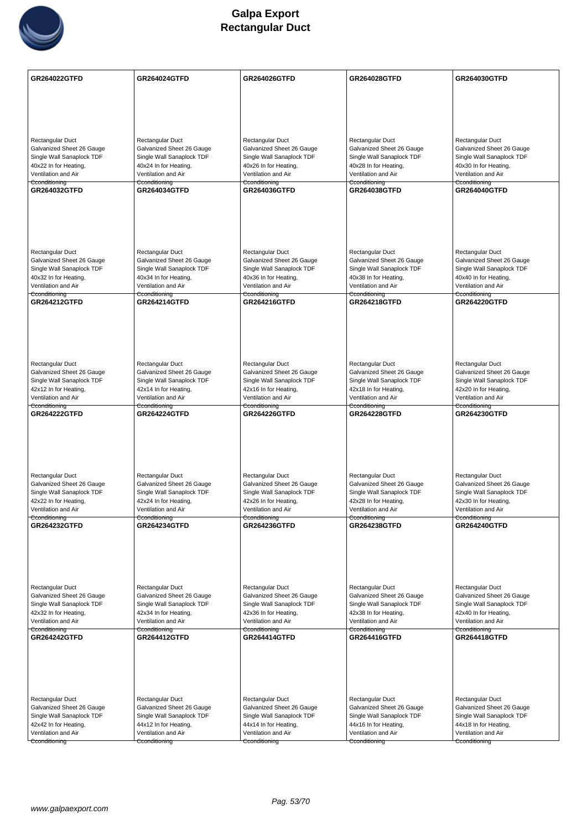

| Rectangular Duct<br>Rectangular Duct<br>Rectangular Duct<br>Rectangular Duct<br>Rectangular Duct<br>Galvanized Sheet 26 Gauge<br>Galvanized Sheet 26 Gauge<br>Galvanized Sheet 26 Gauge<br>Galvanized Sheet 26 Gauge<br>Galvanized Sheet 26 Gauge<br>Single Wall Sanaplock TDF<br>Single Wall Sanaplock TDF<br>Single Wall Sanaplock TDF<br>Single Wall Sanaplock TDF<br>Single Wall Sanaplock TDF<br>40x22 In for Heating,<br>40x24 In for Heating,<br>40x26 In for Heating,<br>40x28 In for Heating,<br>40x30 In for Heating,<br>Ventilation and Air<br>Ventilation and Air<br>Ventilation and Air<br>Ventilation and Air<br>Ventilation and Air<br>Cconditioning<br>Cconditioning<br>Cconditioning<br>Cconditioning<br>Cconditioning<br>GR264032GTFD<br><b>GR264034GTFD</b><br><b>GR264036GTFD</b><br>GR264038GTFD<br><b>GR264040GTFD</b><br>Rectangular Duct<br>Rectangular Duct<br>Rectangular Duct<br>Rectangular Duct<br>Rectangular Duct<br>Galvanized Sheet 26 Gauge<br>Galvanized Sheet 26 Gauge<br>Galvanized Sheet 26 Gauge<br>Galvanized Sheet 26 Gauge<br>Galvanized Sheet 26 Gauge<br>Single Wall Sanaplock TDF<br>Single Wall Sanaplock TDF<br>Single Wall Sanaplock TDF<br>Single Wall Sanaplock TDF<br>Single Wall Sanaplock TDF<br>40x32 In for Heating,<br>40x34 In for Heating,<br>40x36 In for Heating,<br>40x38 In for Heating,<br>40x40 In for Heating,<br>Ventilation and Air<br>Ventilation and Air<br>Ventilation and Air<br>Ventilation and Air<br>Ventilation and Air<br>Cconditioning<br>Cconditioning<br>Cconditioning<br>Cconditioning<br>Cconditioning<br><b>GR264212GTFD</b><br><b>GR264214GTFD</b><br><b>GR264216GTFD</b><br><b>GR264218GTFD</b><br><b>GR264220GTFD</b> |
|------------------------------------------------------------------------------------------------------------------------------------------------------------------------------------------------------------------------------------------------------------------------------------------------------------------------------------------------------------------------------------------------------------------------------------------------------------------------------------------------------------------------------------------------------------------------------------------------------------------------------------------------------------------------------------------------------------------------------------------------------------------------------------------------------------------------------------------------------------------------------------------------------------------------------------------------------------------------------------------------------------------------------------------------------------------------------------------------------------------------------------------------------------------------------------------------------------------------------------------------------------------------------------------------------------------------------------------------------------------------------------------------------------------------------------------------------------------------------------------------------------------------------------------------------------------------------------------------------------------------------------------------------------------------------------------------------------|
|                                                                                                                                                                                                                                                                                                                                                                                                                                                                                                                                                                                                                                                                                                                                                                                                                                                                                                                                                                                                                                                                                                                                                                                                                                                                                                                                                                                                                                                                                                                                                                                                                                                                                                            |
|                                                                                                                                                                                                                                                                                                                                                                                                                                                                                                                                                                                                                                                                                                                                                                                                                                                                                                                                                                                                                                                                                                                                                                                                                                                                                                                                                                                                                                                                                                                                                                                                                                                                                                            |
|                                                                                                                                                                                                                                                                                                                                                                                                                                                                                                                                                                                                                                                                                                                                                                                                                                                                                                                                                                                                                                                                                                                                                                                                                                                                                                                                                                                                                                                                                                                                                                                                                                                                                                            |
|                                                                                                                                                                                                                                                                                                                                                                                                                                                                                                                                                                                                                                                                                                                                                                                                                                                                                                                                                                                                                                                                                                                                                                                                                                                                                                                                                                                                                                                                                                                                                                                                                                                                                                            |
|                                                                                                                                                                                                                                                                                                                                                                                                                                                                                                                                                                                                                                                                                                                                                                                                                                                                                                                                                                                                                                                                                                                                                                                                                                                                                                                                                                                                                                                                                                                                                                                                                                                                                                            |
|                                                                                                                                                                                                                                                                                                                                                                                                                                                                                                                                                                                                                                                                                                                                                                                                                                                                                                                                                                                                                                                                                                                                                                                                                                                                                                                                                                                                                                                                                                                                                                                                                                                                                                            |
|                                                                                                                                                                                                                                                                                                                                                                                                                                                                                                                                                                                                                                                                                                                                                                                                                                                                                                                                                                                                                                                                                                                                                                                                                                                                                                                                                                                                                                                                                                                                                                                                                                                                                                            |
|                                                                                                                                                                                                                                                                                                                                                                                                                                                                                                                                                                                                                                                                                                                                                                                                                                                                                                                                                                                                                                                                                                                                                                                                                                                                                                                                                                                                                                                                                                                                                                                                                                                                                                            |
|                                                                                                                                                                                                                                                                                                                                                                                                                                                                                                                                                                                                                                                                                                                                                                                                                                                                                                                                                                                                                                                                                                                                                                                                                                                                                                                                                                                                                                                                                                                                                                                                                                                                                                            |
|                                                                                                                                                                                                                                                                                                                                                                                                                                                                                                                                                                                                                                                                                                                                                                                                                                                                                                                                                                                                                                                                                                                                                                                                                                                                                                                                                                                                                                                                                                                                                                                                                                                                                                            |
|                                                                                                                                                                                                                                                                                                                                                                                                                                                                                                                                                                                                                                                                                                                                                                                                                                                                                                                                                                                                                                                                                                                                                                                                                                                                                                                                                                                                                                                                                                                                                                                                                                                                                                            |
|                                                                                                                                                                                                                                                                                                                                                                                                                                                                                                                                                                                                                                                                                                                                                                                                                                                                                                                                                                                                                                                                                                                                                                                                                                                                                                                                                                                                                                                                                                                                                                                                                                                                                                            |
|                                                                                                                                                                                                                                                                                                                                                                                                                                                                                                                                                                                                                                                                                                                                                                                                                                                                                                                                                                                                                                                                                                                                                                                                                                                                                                                                                                                                                                                                                                                                                                                                                                                                                                            |
|                                                                                                                                                                                                                                                                                                                                                                                                                                                                                                                                                                                                                                                                                                                                                                                                                                                                                                                                                                                                                                                                                                                                                                                                                                                                                                                                                                                                                                                                                                                                                                                                                                                                                                            |
|                                                                                                                                                                                                                                                                                                                                                                                                                                                                                                                                                                                                                                                                                                                                                                                                                                                                                                                                                                                                                                                                                                                                                                                                                                                                                                                                                                                                                                                                                                                                                                                                                                                                                                            |
|                                                                                                                                                                                                                                                                                                                                                                                                                                                                                                                                                                                                                                                                                                                                                                                                                                                                                                                                                                                                                                                                                                                                                                                                                                                                                                                                                                                                                                                                                                                                                                                                                                                                                                            |
|                                                                                                                                                                                                                                                                                                                                                                                                                                                                                                                                                                                                                                                                                                                                                                                                                                                                                                                                                                                                                                                                                                                                                                                                                                                                                                                                                                                                                                                                                                                                                                                                                                                                                                            |
|                                                                                                                                                                                                                                                                                                                                                                                                                                                                                                                                                                                                                                                                                                                                                                                                                                                                                                                                                                                                                                                                                                                                                                                                                                                                                                                                                                                                                                                                                                                                                                                                                                                                                                            |
|                                                                                                                                                                                                                                                                                                                                                                                                                                                                                                                                                                                                                                                                                                                                                                                                                                                                                                                                                                                                                                                                                                                                                                                                                                                                                                                                                                                                                                                                                                                                                                                                                                                                                                            |
|                                                                                                                                                                                                                                                                                                                                                                                                                                                                                                                                                                                                                                                                                                                                                                                                                                                                                                                                                                                                                                                                                                                                                                                                                                                                                                                                                                                                                                                                                                                                                                                                                                                                                                            |
|                                                                                                                                                                                                                                                                                                                                                                                                                                                                                                                                                                                                                                                                                                                                                                                                                                                                                                                                                                                                                                                                                                                                                                                                                                                                                                                                                                                                                                                                                                                                                                                                                                                                                                            |
|                                                                                                                                                                                                                                                                                                                                                                                                                                                                                                                                                                                                                                                                                                                                                                                                                                                                                                                                                                                                                                                                                                                                                                                                                                                                                                                                                                                                                                                                                                                                                                                                                                                                                                            |
| Rectangular Duct<br>Rectangular Duct<br>Rectangular Duct<br>Rectangular Duct<br>Rectangular Duct                                                                                                                                                                                                                                                                                                                                                                                                                                                                                                                                                                                                                                                                                                                                                                                                                                                                                                                                                                                                                                                                                                                                                                                                                                                                                                                                                                                                                                                                                                                                                                                                           |
| Galvanized Sheet 26 Gauge<br>Galvanized Sheet 26 Gauge<br>Galvanized Sheet 26 Gauge<br>Galvanized Sheet 26 Gauge<br>Galvanized Sheet 26 Gauge                                                                                                                                                                                                                                                                                                                                                                                                                                                                                                                                                                                                                                                                                                                                                                                                                                                                                                                                                                                                                                                                                                                                                                                                                                                                                                                                                                                                                                                                                                                                                              |
| Single Wall Sanaplock TDF<br>Single Wall Sanaplock TDF<br>Single Wall Sanaplock TDF<br>Single Wall Sanaplock TDF<br>Single Wall Sanaplock TDF<br>42x12 In for Heating,<br>42x14 In for Heating,<br>42x16 In for Heating,<br>42x18 In for Heating,<br>42x20 In for Heating,                                                                                                                                                                                                                                                                                                                                                                                                                                                                                                                                                                                                                                                                                                                                                                                                                                                                                                                                                                                                                                                                                                                                                                                                                                                                                                                                                                                                                                 |
| Ventilation and Air<br>Ventilation and Air<br>Ventilation and Air<br>Ventilation and Air<br>Ventilation and Air                                                                                                                                                                                                                                                                                                                                                                                                                                                                                                                                                                                                                                                                                                                                                                                                                                                                                                                                                                                                                                                                                                                                                                                                                                                                                                                                                                                                                                                                                                                                                                                            |
| Cconditioning<br>Cconditioning<br>Cconditioning<br>Cconditioning<br>Cconditioning<br><b>GR264222GTFD</b><br><b>GR264224GTFD</b><br><b>GR264226GTFD</b><br><b>GR264228GTFD</b><br><b>GR264230GTFD</b>                                                                                                                                                                                                                                                                                                                                                                                                                                                                                                                                                                                                                                                                                                                                                                                                                                                                                                                                                                                                                                                                                                                                                                                                                                                                                                                                                                                                                                                                                                       |
|                                                                                                                                                                                                                                                                                                                                                                                                                                                                                                                                                                                                                                                                                                                                                                                                                                                                                                                                                                                                                                                                                                                                                                                                                                                                                                                                                                                                                                                                                                                                                                                                                                                                                                            |
|                                                                                                                                                                                                                                                                                                                                                                                                                                                                                                                                                                                                                                                                                                                                                                                                                                                                                                                                                                                                                                                                                                                                                                                                                                                                                                                                                                                                                                                                                                                                                                                                                                                                                                            |
|                                                                                                                                                                                                                                                                                                                                                                                                                                                                                                                                                                                                                                                                                                                                                                                                                                                                                                                                                                                                                                                                                                                                                                                                                                                                                                                                                                                                                                                                                                                                                                                                                                                                                                            |
|                                                                                                                                                                                                                                                                                                                                                                                                                                                                                                                                                                                                                                                                                                                                                                                                                                                                                                                                                                                                                                                                                                                                                                                                                                                                                                                                                                                                                                                                                                                                                                                                                                                                                                            |
| Rectangular Duct<br>Rectangular Duct<br>Rectangular Duct<br>Rectangular Duct<br>Rectangular Duct                                                                                                                                                                                                                                                                                                                                                                                                                                                                                                                                                                                                                                                                                                                                                                                                                                                                                                                                                                                                                                                                                                                                                                                                                                                                                                                                                                                                                                                                                                                                                                                                           |
| Galvanized Sheet 26 Gauge<br>Galvanized Sheet 26 Gauge<br>Galvanized Sheet 26 Gauge<br>Galvanized Sheet 26 Gauge<br>Galvanized Sheet 26 Gauge                                                                                                                                                                                                                                                                                                                                                                                                                                                                                                                                                                                                                                                                                                                                                                                                                                                                                                                                                                                                                                                                                                                                                                                                                                                                                                                                                                                                                                                                                                                                                              |
| Single Wall Sanaplock TDF<br>Single Wall Sanaplock TDF<br>Single Wall Sanaplock TDF<br>Single Wall Sanaplock TDF<br>Single Wall Sanaplock TDF                                                                                                                                                                                                                                                                                                                                                                                                                                                                                                                                                                                                                                                                                                                                                                                                                                                                                                                                                                                                                                                                                                                                                                                                                                                                                                                                                                                                                                                                                                                                                              |
| 42x22 In for Heating,<br>42x24 In for Heating,<br>42x26 In for Heating,<br>42x28 In for Heating,<br>42x30 In for Heating,<br>Ventilation and Air<br>Ventilation and Air<br>Ventilation and Air<br>Ventilation and Air<br>Ventilation and Air                                                                                                                                                                                                                                                                                                                                                                                                                                                                                                                                                                                                                                                                                                                                                                                                                                                                                                                                                                                                                                                                                                                                                                                                                                                                                                                                                                                                                                                               |
| Cconditioning<br>Cconditioning<br>Cconditioning<br>Cconditioning<br>Cconditioning                                                                                                                                                                                                                                                                                                                                                                                                                                                                                                                                                                                                                                                                                                                                                                                                                                                                                                                                                                                                                                                                                                                                                                                                                                                                                                                                                                                                                                                                                                                                                                                                                          |
| GR264232GTFD<br><b>GR264234GTFD</b><br>GR264236GTFD<br><b>GR264238GTFD</b><br><b>GR264240GTFD</b>                                                                                                                                                                                                                                                                                                                                                                                                                                                                                                                                                                                                                                                                                                                                                                                                                                                                                                                                                                                                                                                                                                                                                                                                                                                                                                                                                                                                                                                                                                                                                                                                          |
|                                                                                                                                                                                                                                                                                                                                                                                                                                                                                                                                                                                                                                                                                                                                                                                                                                                                                                                                                                                                                                                                                                                                                                                                                                                                                                                                                                                                                                                                                                                                                                                                                                                                                                            |
|                                                                                                                                                                                                                                                                                                                                                                                                                                                                                                                                                                                                                                                                                                                                                                                                                                                                                                                                                                                                                                                                                                                                                                                                                                                                                                                                                                                                                                                                                                                                                                                                                                                                                                            |
|                                                                                                                                                                                                                                                                                                                                                                                                                                                                                                                                                                                                                                                                                                                                                                                                                                                                                                                                                                                                                                                                                                                                                                                                                                                                                                                                                                                                                                                                                                                                                                                                                                                                                                            |
|                                                                                                                                                                                                                                                                                                                                                                                                                                                                                                                                                                                                                                                                                                                                                                                                                                                                                                                                                                                                                                                                                                                                                                                                                                                                                                                                                                                                                                                                                                                                                                                                                                                                                                            |
| Rectangular Duct<br>Rectangular Duct<br>Rectangular Duct<br>Rectangular Duct<br>Rectangular Duct<br>Galvanized Sheet 26 Gauge                                                                                                                                                                                                                                                                                                                                                                                                                                                                                                                                                                                                                                                                                                                                                                                                                                                                                                                                                                                                                                                                                                                                                                                                                                                                                                                                                                                                                                                                                                                                                                              |
| Galvanized Sheet 26 Gauge<br>Galvanized Sheet 26 Gauge<br>Galvanized Sheet 26 Gauge<br>Galvanized Sheet 26 Gauge<br>Single Wall Sanaplock TDF<br>Single Wall Sanaplock TDF<br>Single Wall Sanaplock TDF<br>Single Wall Sanaplock TDF<br>Single Wall Sanaplock TDF                                                                                                                                                                                                                                                                                                                                                                                                                                                                                                                                                                                                                                                                                                                                                                                                                                                                                                                                                                                                                                                                                                                                                                                                                                                                                                                                                                                                                                          |
| 42x32 In for Heating,<br>42x34 In for Heating,<br>42x36 In for Heating,<br>42x38 In for Heating,<br>42x40 In for Heating,                                                                                                                                                                                                                                                                                                                                                                                                                                                                                                                                                                                                                                                                                                                                                                                                                                                                                                                                                                                                                                                                                                                                                                                                                                                                                                                                                                                                                                                                                                                                                                                  |
| Ventilation and Air<br>Ventilation and Air<br>Ventilation and Air<br>Ventilation and Air<br>Ventilation and Air<br>Cconditioning<br>Cconditioning<br>Cconditioning<br>Cconditioning<br>Cconditioning                                                                                                                                                                                                                                                                                                                                                                                                                                                                                                                                                                                                                                                                                                                                                                                                                                                                                                                                                                                                                                                                                                                                                                                                                                                                                                                                                                                                                                                                                                       |
| GR264242GTFD<br><b>GR264418GTFD</b><br><b>GR264412GTFD</b><br><b>GR264414GTFD</b><br><b>GR264416GTFD</b>                                                                                                                                                                                                                                                                                                                                                                                                                                                                                                                                                                                                                                                                                                                                                                                                                                                                                                                                                                                                                                                                                                                                                                                                                                                                                                                                                                                                                                                                                                                                                                                                   |
|                                                                                                                                                                                                                                                                                                                                                                                                                                                                                                                                                                                                                                                                                                                                                                                                                                                                                                                                                                                                                                                                                                                                                                                                                                                                                                                                                                                                                                                                                                                                                                                                                                                                                                            |
|                                                                                                                                                                                                                                                                                                                                                                                                                                                                                                                                                                                                                                                                                                                                                                                                                                                                                                                                                                                                                                                                                                                                                                                                                                                                                                                                                                                                                                                                                                                                                                                                                                                                                                            |
|                                                                                                                                                                                                                                                                                                                                                                                                                                                                                                                                                                                                                                                                                                                                                                                                                                                                                                                                                                                                                                                                                                                                                                                                                                                                                                                                                                                                                                                                                                                                                                                                                                                                                                            |
|                                                                                                                                                                                                                                                                                                                                                                                                                                                                                                                                                                                                                                                                                                                                                                                                                                                                                                                                                                                                                                                                                                                                                                                                                                                                                                                                                                                                                                                                                                                                                                                                                                                                                                            |
| Rectangular Duct<br>Rectangular Duct<br>Rectangular Duct<br>Rectangular Duct<br>Rectangular Duct                                                                                                                                                                                                                                                                                                                                                                                                                                                                                                                                                                                                                                                                                                                                                                                                                                                                                                                                                                                                                                                                                                                                                                                                                                                                                                                                                                                                                                                                                                                                                                                                           |
| Galvanized Sheet 26 Gauge<br>Galvanized Sheet 26 Gauge<br>Galvanized Sheet 26 Gauge<br>Galvanized Sheet 26 Gauge<br>Galvanized Sheet 26 Gauge                                                                                                                                                                                                                                                                                                                                                                                                                                                                                                                                                                                                                                                                                                                                                                                                                                                                                                                                                                                                                                                                                                                                                                                                                                                                                                                                                                                                                                                                                                                                                              |
| Single Wall Sanaplock TDF<br>Single Wall Sanaplock TDF<br>Single Wall Sanaplock TDF<br>Single Wall Sanaplock TDF<br>Single Wall Sanaplock TDF<br>42x42 In for Heating,<br>44x14 In for Heating,<br>44x16 In for Heating,<br>44x18 In for Heating,                                                                                                                                                                                                                                                                                                                                                                                                                                                                                                                                                                                                                                                                                                                                                                                                                                                                                                                                                                                                                                                                                                                                                                                                                                                                                                                                                                                                                                                          |
| 44x12 In for Heating,<br>Ventilation and Air<br>Ventilation and Air<br>Ventilation and Air<br>Ventilation and Air<br>Ventilation and Air                                                                                                                                                                                                                                                                                                                                                                                                                                                                                                                                                                                                                                                                                                                                                                                                                                                                                                                                                                                                                                                                                                                                                                                                                                                                                                                                                                                                                                                                                                                                                                   |
| Cconditioning<br>Cconditioning<br>Cconditioning<br>Cconditioning<br>Cconditioning                                                                                                                                                                                                                                                                                                                                                                                                                                                                                                                                                                                                                                                                                                                                                                                                                                                                                                                                                                                                                                                                                                                                                                                                                                                                                                                                                                                                                                                                                                                                                                                                                          |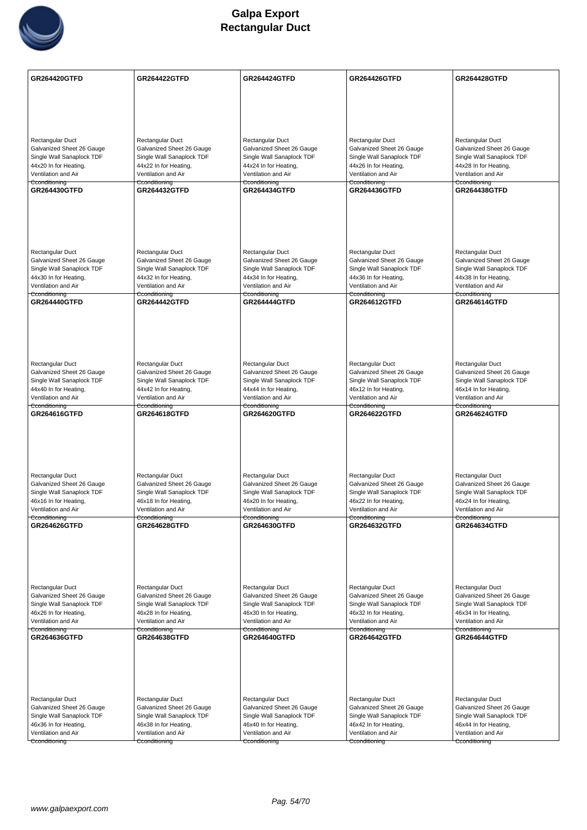

| Rectangular Duct<br>Rectangular Duct<br>Rectangular Duct<br>Rectangular Duct<br>Rectangular Duct<br>Galvanized Sheet 26 Gauge<br>Galvanized Sheet 26 Gauge<br>Galvanized Sheet 26 Gauge<br>Galvanized Sheet 26 Gauge<br>Galvanized Sheet 26 Gauge<br>Single Wall Sanaplock TDF<br>Single Wall Sanaplock TDF<br>Single Wall Sanaplock TDF<br>Single Wall Sanaplock TDF<br>Single Wall Sanaplock TDF<br>44x20 In for Heating,<br>44x22 In for Heating,<br>44x24 In for Heating,<br>44x26 In for Heating,<br>44x28 In for Heating,<br>Ventilation and Air<br>Ventilation and Air<br>Ventilation and Air<br>Ventilation and Air<br>Ventilation and Air<br>Cconditioning<br>Cconditioning<br>Cconditioning<br>Cconditioning<br>Cconditioning<br><b>GR264430GTFD</b><br><b>GR264432GTFD</b><br><b>GR264434GTFD</b><br><b>GR264436GTFD</b><br><b>GR264438GTFD</b><br>Rectangular Duct<br>Rectangular Duct<br>Rectangular Duct<br>Rectangular Duct<br>Rectangular Duct<br>Galvanized Sheet 26 Gauge<br>Galvanized Sheet 26 Gauge<br>Galvanized Sheet 26 Gauge<br>Galvanized Sheet 26 Gauge<br>Galvanized Sheet 26 Gauge<br>Single Wall Sanaplock TDF<br>Single Wall Sanaplock TDF<br>Single Wall Sanaplock TDF<br>Single Wall Sanaplock TDF<br>Single Wall Sanaplock TDF<br>44x30 In for Heating,<br>44x32 In for Heating,<br>44x34 In for Heating,<br>44x36 In for Heating,<br>44x38 In for Heating,<br>Ventilation and Air<br>Ventilation and Air<br>Ventilation and Air<br>Ventilation and Air<br>Ventilation and Air<br>Cconditioning<br>Cconditioning<br>Cconditioning<br>Cconditioning<br>Cconditioning<br><b>GR264440GTFD</b><br><b>GR264442GTFD</b><br><b>GR264444GTFD</b><br><b>GR264612GTFD</b><br><b>GR264614GTFD</b><br>Rectangular Duct<br>Rectangular Duct<br>Rectangular Duct<br>Rectangular Duct<br>Rectangular Duct<br>Galvanized Sheet 26 Gauge<br>Galvanized Sheet 26 Gauge<br>Galvanized Sheet 26 Gauge<br>Galvanized Sheet 26 Gauge<br>Galvanized Sheet 26 Gauge<br>Single Wall Sanaplock TDF<br>Single Wall Sanaplock TDF<br>Single Wall Sanaplock TDF<br>Single Wall Sanaplock TDF<br>Single Wall Sanaplock TDF<br>44x40 In for Heating,<br>44x42 In for Heating,<br>44x44 In for Heating,<br>46x12 In for Heating,<br>46x14 In for Heating,<br>Ventilation and Air<br>Ventilation and Air<br>Ventilation and Air<br>Ventilation and Air<br>Ventilation and Air<br>Cconditioning<br>Cconditioning<br>Cconditioning<br>Cconditioning<br>Cconditioning<br>GR264616GTFD<br>GR264618GTFD<br><b>GR264620GTFD</b><br>GR264622GTFD<br><b>GR264624GTFD</b><br>Rectangular Duct<br>Rectangular Duct<br>Rectangular Duct<br>Rectangular Duct<br>Rectangular Duct<br>Galvanized Sheet 26 Gauge<br>Galvanized Sheet 26 Gauge<br>Galvanized Sheet 26 Gauge<br>Galvanized Sheet 26 Gauge<br>Galvanized Sheet 26 Gauge<br>Single Wall Sanaplock TDF<br>Single Wall Sanaplock TDF<br>Single Wall Sanaplock TDF<br>Single Wall Sanaplock TDF<br>Single Wall Sanaplock TDF<br>46x16 In for Heating,<br>46x18 In for Heating,<br>46x20 In for Heating,<br>46x22 In for Heating,<br>46x24 In for Heating,<br>Ventilation and Air<br>Ventilation and Air<br>Ventilation and Air<br>Ventilation and Air<br>Ventilation and Air<br>Cconditioning<br>Cconditioning<br>Cconditioning<br>Cconditioning<br>Cconditioning<br>GR264626GTFD<br><b>GR264628GTFD</b><br>GR264630GTFD<br>GR264632GTFD<br>GR264634GTFD<br>Rectangular Duct<br>Rectangular Duct<br>Rectangular Duct<br>Rectangular Duct<br>Rectangular Duct<br>Galvanized Sheet 26 Gauge<br>Galvanized Sheet 26 Gauge<br>Galvanized Sheet 26 Gauge<br>Galvanized Sheet 26 Gauge<br>Galvanized Sheet 26 Gauge<br>Single Wall Sanaplock TDF<br>Single Wall Sanaplock TDF<br>Single Wall Sanaplock TDF<br>Single Wall Sanaplock TDF<br>Single Wall Sanaplock TDF<br>46x26 In for Heating,<br>46x28 In for Heating,<br>46x30 In for Heating,<br>46x32 In for Heating,<br>46x34 In for Heating,<br>Ventilation and Air<br>Ventilation and Air<br>Ventilation and Air<br>Ventilation and Air<br>Ventilation and Air<br>Cconditioning<br>Cconditioning<br>Cconditioning<br>Cconditioning<br>Cconditioning<br>GR264636GTFD<br><b>GR264644GTFD</b><br><b>GR264638GTFD</b><br><b>GR264640GTFD</b><br><b>GR264642GTFD</b><br>Rectangular Duct<br>Rectangular Duct<br>Rectangular Duct<br>Rectangular Duct<br>Rectangular Duct<br>Galvanized Sheet 26 Gauge<br>Galvanized Sheet 26 Gauge<br>Galvanized Sheet 26 Gauge<br>Galvanized Sheet 26 Gauge<br>Galvanized Sheet 26 Gauge<br>Single Wall Sanaplock TDF<br>Single Wall Sanaplock TDF<br>Single Wall Sanaplock TDF<br>Single Wall Sanaplock TDF<br>Single Wall Sanaplock TDF<br>46x36 In for Heating,<br>46x44 In for Heating,<br>46x38 In for Heating,<br>46x40 In for Heating,<br>46x42 In for Heating,<br>Ventilation and Air<br>Ventilation and Air<br>Ventilation and Air<br>Ventilation and Air<br>Ventilation and Air<br>Cconditioning<br>Cconditioning<br>Cconditioning<br>Cconditioning<br>Cconditioning | <b>GR264420GTFD</b> | <b>GR264422GTFD</b> | <b>GR264424GTFD</b> | <b>GR264426GTFD</b> | <b>GR264428GTFD</b> |
|-------------------------------------------------------------------------------------------------------------------------------------------------------------------------------------------------------------------------------------------------------------------------------------------------------------------------------------------------------------------------------------------------------------------------------------------------------------------------------------------------------------------------------------------------------------------------------------------------------------------------------------------------------------------------------------------------------------------------------------------------------------------------------------------------------------------------------------------------------------------------------------------------------------------------------------------------------------------------------------------------------------------------------------------------------------------------------------------------------------------------------------------------------------------------------------------------------------------------------------------------------------------------------------------------------------------------------------------------------------------------------------------------------------------------------------------------------------------------------------------------------------------------------------------------------------------------------------------------------------------------------------------------------------------------------------------------------------------------------------------------------------------------------------------------------------------------------------------------------------------------------------------------------------------------------------------------------------------------------------------------------------------------------------------------------------------------------------------------------------------------------------------------------------------------------------------------------------------------------------------------------------------------------------------------------------------------------------------------------------------------------------------------------------------------------------------------------------------------------------------------------------------------------------------------------------------------------------------------------------------------------------------------------------------------------------------------------------------------------------------------------------------------------------------------------------------------------------------------------------------------------------------------------------------------------------------------------------------------------------------------------------------------------------------------------------------------------------------------------------------------------------------------------------------------------------------------------------------------------------------------------------------------------------------------------------------------------------------------------------------------------------------------------------------------------------------------------------------------------------------------------------------------------------------------------------------------------------------------------------------------------------------------------------------------------------------------------------------------------------------------------------------------------------------------------------------------------------------------------------------------------------------------------------------------------------------------------------------------------------------------------------------------------------------------------------------------------------------------------------------------------------------------------------------------------------------------------------------------------------------------------------------------------------------------------------------------------------------------------------------------------------------------------------------------------------------------------------------------------------------------------------------------------------------------------------------------------------------------------------------------------------------------------------------------------------------------------------------------------------------------------------------------------------------------------------------------------------------------------------------------------------------------------------------------------------------------------------------------------------------------------|---------------------|---------------------|---------------------|---------------------|---------------------|
|                                                                                                                                                                                                                                                                                                                                                                                                                                                                                                                                                                                                                                                                                                                                                                                                                                                                                                                                                                                                                                                                                                                                                                                                                                                                                                                                                                                                                                                                                                                                                                                                                                                                                                                                                                                                                                                                                                                                                                                                                                                                                                                                                                                                                                                                                                                                                                                                                                                                                                                                                                                                                                                                                                                                                                                                                                                                                                                                                                                                                                                                                                                                                                                                                                                                                                                                                                                                                                                                                                                                                                                                                                                                                                                                                                                                                                                                                                                                                                                                                                                                                                                                                                                                                                                                                                                                                                                                                                                                                                                                                                                                                                                                                                                                                                                                                                                                                                                                                                                                       |                     |                     |                     |                     |                     |
|                                                                                                                                                                                                                                                                                                                                                                                                                                                                                                                                                                                                                                                                                                                                                                                                                                                                                                                                                                                                                                                                                                                                                                                                                                                                                                                                                                                                                                                                                                                                                                                                                                                                                                                                                                                                                                                                                                                                                                                                                                                                                                                                                                                                                                                                                                                                                                                                                                                                                                                                                                                                                                                                                                                                                                                                                                                                                                                                                                                                                                                                                                                                                                                                                                                                                                                                                                                                                                                                                                                                                                                                                                                                                                                                                                                                                                                                                                                                                                                                                                                                                                                                                                                                                                                                                                                                                                                                                                                                                                                                                                                                                                                                                                                                                                                                                                                                                                                                                                                                       |                     |                     |                     |                     |                     |
|                                                                                                                                                                                                                                                                                                                                                                                                                                                                                                                                                                                                                                                                                                                                                                                                                                                                                                                                                                                                                                                                                                                                                                                                                                                                                                                                                                                                                                                                                                                                                                                                                                                                                                                                                                                                                                                                                                                                                                                                                                                                                                                                                                                                                                                                                                                                                                                                                                                                                                                                                                                                                                                                                                                                                                                                                                                                                                                                                                                                                                                                                                                                                                                                                                                                                                                                                                                                                                                                                                                                                                                                                                                                                                                                                                                                                                                                                                                                                                                                                                                                                                                                                                                                                                                                                                                                                                                                                                                                                                                                                                                                                                                                                                                                                                                                                                                                                                                                                                                                       |                     |                     |                     |                     |                     |
|                                                                                                                                                                                                                                                                                                                                                                                                                                                                                                                                                                                                                                                                                                                                                                                                                                                                                                                                                                                                                                                                                                                                                                                                                                                                                                                                                                                                                                                                                                                                                                                                                                                                                                                                                                                                                                                                                                                                                                                                                                                                                                                                                                                                                                                                                                                                                                                                                                                                                                                                                                                                                                                                                                                                                                                                                                                                                                                                                                                                                                                                                                                                                                                                                                                                                                                                                                                                                                                                                                                                                                                                                                                                                                                                                                                                                                                                                                                                                                                                                                                                                                                                                                                                                                                                                                                                                                                                                                                                                                                                                                                                                                                                                                                                                                                                                                                                                                                                                                                                       |                     |                     |                     |                     |                     |
|                                                                                                                                                                                                                                                                                                                                                                                                                                                                                                                                                                                                                                                                                                                                                                                                                                                                                                                                                                                                                                                                                                                                                                                                                                                                                                                                                                                                                                                                                                                                                                                                                                                                                                                                                                                                                                                                                                                                                                                                                                                                                                                                                                                                                                                                                                                                                                                                                                                                                                                                                                                                                                                                                                                                                                                                                                                                                                                                                                                                                                                                                                                                                                                                                                                                                                                                                                                                                                                                                                                                                                                                                                                                                                                                                                                                                                                                                                                                                                                                                                                                                                                                                                                                                                                                                                                                                                                                                                                                                                                                                                                                                                                                                                                                                                                                                                                                                                                                                                                                       |                     |                     |                     |                     |                     |
|                                                                                                                                                                                                                                                                                                                                                                                                                                                                                                                                                                                                                                                                                                                                                                                                                                                                                                                                                                                                                                                                                                                                                                                                                                                                                                                                                                                                                                                                                                                                                                                                                                                                                                                                                                                                                                                                                                                                                                                                                                                                                                                                                                                                                                                                                                                                                                                                                                                                                                                                                                                                                                                                                                                                                                                                                                                                                                                                                                                                                                                                                                                                                                                                                                                                                                                                                                                                                                                                                                                                                                                                                                                                                                                                                                                                                                                                                                                                                                                                                                                                                                                                                                                                                                                                                                                                                                                                                                                                                                                                                                                                                                                                                                                                                                                                                                                                                                                                                                                                       |                     |                     |                     |                     |                     |
|                                                                                                                                                                                                                                                                                                                                                                                                                                                                                                                                                                                                                                                                                                                                                                                                                                                                                                                                                                                                                                                                                                                                                                                                                                                                                                                                                                                                                                                                                                                                                                                                                                                                                                                                                                                                                                                                                                                                                                                                                                                                                                                                                                                                                                                                                                                                                                                                                                                                                                                                                                                                                                                                                                                                                                                                                                                                                                                                                                                                                                                                                                                                                                                                                                                                                                                                                                                                                                                                                                                                                                                                                                                                                                                                                                                                                                                                                                                                                                                                                                                                                                                                                                                                                                                                                                                                                                                                                                                                                                                                                                                                                                                                                                                                                                                                                                                                                                                                                                                                       |                     |                     |                     |                     |                     |
|                                                                                                                                                                                                                                                                                                                                                                                                                                                                                                                                                                                                                                                                                                                                                                                                                                                                                                                                                                                                                                                                                                                                                                                                                                                                                                                                                                                                                                                                                                                                                                                                                                                                                                                                                                                                                                                                                                                                                                                                                                                                                                                                                                                                                                                                                                                                                                                                                                                                                                                                                                                                                                                                                                                                                                                                                                                                                                                                                                                                                                                                                                                                                                                                                                                                                                                                                                                                                                                                                                                                                                                                                                                                                                                                                                                                                                                                                                                                                                                                                                                                                                                                                                                                                                                                                                                                                                                                                                                                                                                                                                                                                                                                                                                                                                                                                                                                                                                                                                                                       |                     |                     |                     |                     |                     |
|                                                                                                                                                                                                                                                                                                                                                                                                                                                                                                                                                                                                                                                                                                                                                                                                                                                                                                                                                                                                                                                                                                                                                                                                                                                                                                                                                                                                                                                                                                                                                                                                                                                                                                                                                                                                                                                                                                                                                                                                                                                                                                                                                                                                                                                                                                                                                                                                                                                                                                                                                                                                                                                                                                                                                                                                                                                                                                                                                                                                                                                                                                                                                                                                                                                                                                                                                                                                                                                                                                                                                                                                                                                                                                                                                                                                                                                                                                                                                                                                                                                                                                                                                                                                                                                                                                                                                                                                                                                                                                                                                                                                                                                                                                                                                                                                                                                                                                                                                                                                       |                     |                     |                     |                     |                     |
|                                                                                                                                                                                                                                                                                                                                                                                                                                                                                                                                                                                                                                                                                                                                                                                                                                                                                                                                                                                                                                                                                                                                                                                                                                                                                                                                                                                                                                                                                                                                                                                                                                                                                                                                                                                                                                                                                                                                                                                                                                                                                                                                                                                                                                                                                                                                                                                                                                                                                                                                                                                                                                                                                                                                                                                                                                                                                                                                                                                                                                                                                                                                                                                                                                                                                                                                                                                                                                                                                                                                                                                                                                                                                                                                                                                                                                                                                                                                                                                                                                                                                                                                                                                                                                                                                                                                                                                                                                                                                                                                                                                                                                                                                                                                                                                                                                                                                                                                                                                                       |                     |                     |                     |                     |                     |
|                                                                                                                                                                                                                                                                                                                                                                                                                                                                                                                                                                                                                                                                                                                                                                                                                                                                                                                                                                                                                                                                                                                                                                                                                                                                                                                                                                                                                                                                                                                                                                                                                                                                                                                                                                                                                                                                                                                                                                                                                                                                                                                                                                                                                                                                                                                                                                                                                                                                                                                                                                                                                                                                                                                                                                                                                                                                                                                                                                                                                                                                                                                                                                                                                                                                                                                                                                                                                                                                                                                                                                                                                                                                                                                                                                                                                                                                                                                                                                                                                                                                                                                                                                                                                                                                                                                                                                                                                                                                                                                                                                                                                                                                                                                                                                                                                                                                                                                                                                                                       |                     |                     |                     |                     |                     |
|                                                                                                                                                                                                                                                                                                                                                                                                                                                                                                                                                                                                                                                                                                                                                                                                                                                                                                                                                                                                                                                                                                                                                                                                                                                                                                                                                                                                                                                                                                                                                                                                                                                                                                                                                                                                                                                                                                                                                                                                                                                                                                                                                                                                                                                                                                                                                                                                                                                                                                                                                                                                                                                                                                                                                                                                                                                                                                                                                                                                                                                                                                                                                                                                                                                                                                                                                                                                                                                                                                                                                                                                                                                                                                                                                                                                                                                                                                                                                                                                                                                                                                                                                                                                                                                                                                                                                                                                                                                                                                                                                                                                                                                                                                                                                                                                                                                                                                                                                                                                       |                     |                     |                     |                     |                     |
|                                                                                                                                                                                                                                                                                                                                                                                                                                                                                                                                                                                                                                                                                                                                                                                                                                                                                                                                                                                                                                                                                                                                                                                                                                                                                                                                                                                                                                                                                                                                                                                                                                                                                                                                                                                                                                                                                                                                                                                                                                                                                                                                                                                                                                                                                                                                                                                                                                                                                                                                                                                                                                                                                                                                                                                                                                                                                                                                                                                                                                                                                                                                                                                                                                                                                                                                                                                                                                                                                                                                                                                                                                                                                                                                                                                                                                                                                                                                                                                                                                                                                                                                                                                                                                                                                                                                                                                                                                                                                                                                                                                                                                                                                                                                                                                                                                                                                                                                                                                                       |                     |                     |                     |                     |                     |
|                                                                                                                                                                                                                                                                                                                                                                                                                                                                                                                                                                                                                                                                                                                                                                                                                                                                                                                                                                                                                                                                                                                                                                                                                                                                                                                                                                                                                                                                                                                                                                                                                                                                                                                                                                                                                                                                                                                                                                                                                                                                                                                                                                                                                                                                                                                                                                                                                                                                                                                                                                                                                                                                                                                                                                                                                                                                                                                                                                                                                                                                                                                                                                                                                                                                                                                                                                                                                                                                                                                                                                                                                                                                                                                                                                                                                                                                                                                                                                                                                                                                                                                                                                                                                                                                                                                                                                                                                                                                                                                                                                                                                                                                                                                                                                                                                                                                                                                                                                                                       |                     |                     |                     |                     |                     |
|                                                                                                                                                                                                                                                                                                                                                                                                                                                                                                                                                                                                                                                                                                                                                                                                                                                                                                                                                                                                                                                                                                                                                                                                                                                                                                                                                                                                                                                                                                                                                                                                                                                                                                                                                                                                                                                                                                                                                                                                                                                                                                                                                                                                                                                                                                                                                                                                                                                                                                                                                                                                                                                                                                                                                                                                                                                                                                                                                                                                                                                                                                                                                                                                                                                                                                                                                                                                                                                                                                                                                                                                                                                                                                                                                                                                                                                                                                                                                                                                                                                                                                                                                                                                                                                                                                                                                                                                                                                                                                                                                                                                                                                                                                                                                                                                                                                                                                                                                                                                       |                     |                     |                     |                     |                     |
|                                                                                                                                                                                                                                                                                                                                                                                                                                                                                                                                                                                                                                                                                                                                                                                                                                                                                                                                                                                                                                                                                                                                                                                                                                                                                                                                                                                                                                                                                                                                                                                                                                                                                                                                                                                                                                                                                                                                                                                                                                                                                                                                                                                                                                                                                                                                                                                                                                                                                                                                                                                                                                                                                                                                                                                                                                                                                                                                                                                                                                                                                                                                                                                                                                                                                                                                                                                                                                                                                                                                                                                                                                                                                                                                                                                                                                                                                                                                                                                                                                                                                                                                                                                                                                                                                                                                                                                                                                                                                                                                                                                                                                                                                                                                                                                                                                                                                                                                                                                                       |                     |                     |                     |                     |                     |
|                                                                                                                                                                                                                                                                                                                                                                                                                                                                                                                                                                                                                                                                                                                                                                                                                                                                                                                                                                                                                                                                                                                                                                                                                                                                                                                                                                                                                                                                                                                                                                                                                                                                                                                                                                                                                                                                                                                                                                                                                                                                                                                                                                                                                                                                                                                                                                                                                                                                                                                                                                                                                                                                                                                                                                                                                                                                                                                                                                                                                                                                                                                                                                                                                                                                                                                                                                                                                                                                                                                                                                                                                                                                                                                                                                                                                                                                                                                                                                                                                                                                                                                                                                                                                                                                                                                                                                                                                                                                                                                                                                                                                                                                                                                                                                                                                                                                                                                                                                                                       |                     |                     |                     |                     |                     |
|                                                                                                                                                                                                                                                                                                                                                                                                                                                                                                                                                                                                                                                                                                                                                                                                                                                                                                                                                                                                                                                                                                                                                                                                                                                                                                                                                                                                                                                                                                                                                                                                                                                                                                                                                                                                                                                                                                                                                                                                                                                                                                                                                                                                                                                                                                                                                                                                                                                                                                                                                                                                                                                                                                                                                                                                                                                                                                                                                                                                                                                                                                                                                                                                                                                                                                                                                                                                                                                                                                                                                                                                                                                                                                                                                                                                                                                                                                                                                                                                                                                                                                                                                                                                                                                                                                                                                                                                                                                                                                                                                                                                                                                                                                                                                                                                                                                                                                                                                                                                       |                     |                     |                     |                     |                     |
|                                                                                                                                                                                                                                                                                                                                                                                                                                                                                                                                                                                                                                                                                                                                                                                                                                                                                                                                                                                                                                                                                                                                                                                                                                                                                                                                                                                                                                                                                                                                                                                                                                                                                                                                                                                                                                                                                                                                                                                                                                                                                                                                                                                                                                                                                                                                                                                                                                                                                                                                                                                                                                                                                                                                                                                                                                                                                                                                                                                                                                                                                                                                                                                                                                                                                                                                                                                                                                                                                                                                                                                                                                                                                                                                                                                                                                                                                                                                                                                                                                                                                                                                                                                                                                                                                                                                                                                                                                                                                                                                                                                                                                                                                                                                                                                                                                                                                                                                                                                                       |                     |                     |                     |                     |                     |
|                                                                                                                                                                                                                                                                                                                                                                                                                                                                                                                                                                                                                                                                                                                                                                                                                                                                                                                                                                                                                                                                                                                                                                                                                                                                                                                                                                                                                                                                                                                                                                                                                                                                                                                                                                                                                                                                                                                                                                                                                                                                                                                                                                                                                                                                                                                                                                                                                                                                                                                                                                                                                                                                                                                                                                                                                                                                                                                                                                                                                                                                                                                                                                                                                                                                                                                                                                                                                                                                                                                                                                                                                                                                                                                                                                                                                                                                                                                                                                                                                                                                                                                                                                                                                                                                                                                                                                                                                                                                                                                                                                                                                                                                                                                                                                                                                                                                                                                                                                                                       |                     |                     |                     |                     |                     |
|                                                                                                                                                                                                                                                                                                                                                                                                                                                                                                                                                                                                                                                                                                                                                                                                                                                                                                                                                                                                                                                                                                                                                                                                                                                                                                                                                                                                                                                                                                                                                                                                                                                                                                                                                                                                                                                                                                                                                                                                                                                                                                                                                                                                                                                                                                                                                                                                                                                                                                                                                                                                                                                                                                                                                                                                                                                                                                                                                                                                                                                                                                                                                                                                                                                                                                                                                                                                                                                                                                                                                                                                                                                                                                                                                                                                                                                                                                                                                                                                                                                                                                                                                                                                                                                                                                                                                                                                                                                                                                                                                                                                                                                                                                                                                                                                                                                                                                                                                                                                       |                     |                     |                     |                     |                     |
|                                                                                                                                                                                                                                                                                                                                                                                                                                                                                                                                                                                                                                                                                                                                                                                                                                                                                                                                                                                                                                                                                                                                                                                                                                                                                                                                                                                                                                                                                                                                                                                                                                                                                                                                                                                                                                                                                                                                                                                                                                                                                                                                                                                                                                                                                                                                                                                                                                                                                                                                                                                                                                                                                                                                                                                                                                                                                                                                                                                                                                                                                                                                                                                                                                                                                                                                                                                                                                                                                                                                                                                                                                                                                                                                                                                                                                                                                                                                                                                                                                                                                                                                                                                                                                                                                                                                                                                                                                                                                                                                                                                                                                                                                                                                                                                                                                                                                                                                                                                                       |                     |                     |                     |                     |                     |
|                                                                                                                                                                                                                                                                                                                                                                                                                                                                                                                                                                                                                                                                                                                                                                                                                                                                                                                                                                                                                                                                                                                                                                                                                                                                                                                                                                                                                                                                                                                                                                                                                                                                                                                                                                                                                                                                                                                                                                                                                                                                                                                                                                                                                                                                                                                                                                                                                                                                                                                                                                                                                                                                                                                                                                                                                                                                                                                                                                                                                                                                                                                                                                                                                                                                                                                                                                                                                                                                                                                                                                                                                                                                                                                                                                                                                                                                                                                                                                                                                                                                                                                                                                                                                                                                                                                                                                                                                                                                                                                                                                                                                                                                                                                                                                                                                                                                                                                                                                                                       |                     |                     |                     |                     |                     |
|                                                                                                                                                                                                                                                                                                                                                                                                                                                                                                                                                                                                                                                                                                                                                                                                                                                                                                                                                                                                                                                                                                                                                                                                                                                                                                                                                                                                                                                                                                                                                                                                                                                                                                                                                                                                                                                                                                                                                                                                                                                                                                                                                                                                                                                                                                                                                                                                                                                                                                                                                                                                                                                                                                                                                                                                                                                                                                                                                                                                                                                                                                                                                                                                                                                                                                                                                                                                                                                                                                                                                                                                                                                                                                                                                                                                                                                                                                                                                                                                                                                                                                                                                                                                                                                                                                                                                                                                                                                                                                                                                                                                                                                                                                                                                                                                                                                                                                                                                                                                       |                     |                     |                     |                     |                     |
|                                                                                                                                                                                                                                                                                                                                                                                                                                                                                                                                                                                                                                                                                                                                                                                                                                                                                                                                                                                                                                                                                                                                                                                                                                                                                                                                                                                                                                                                                                                                                                                                                                                                                                                                                                                                                                                                                                                                                                                                                                                                                                                                                                                                                                                                                                                                                                                                                                                                                                                                                                                                                                                                                                                                                                                                                                                                                                                                                                                                                                                                                                                                                                                                                                                                                                                                                                                                                                                                                                                                                                                                                                                                                                                                                                                                                                                                                                                                                                                                                                                                                                                                                                                                                                                                                                                                                                                                                                                                                                                                                                                                                                                                                                                                                                                                                                                                                                                                                                                                       |                     |                     |                     |                     |                     |
|                                                                                                                                                                                                                                                                                                                                                                                                                                                                                                                                                                                                                                                                                                                                                                                                                                                                                                                                                                                                                                                                                                                                                                                                                                                                                                                                                                                                                                                                                                                                                                                                                                                                                                                                                                                                                                                                                                                                                                                                                                                                                                                                                                                                                                                                                                                                                                                                                                                                                                                                                                                                                                                                                                                                                                                                                                                                                                                                                                                                                                                                                                                                                                                                                                                                                                                                                                                                                                                                                                                                                                                                                                                                                                                                                                                                                                                                                                                                                                                                                                                                                                                                                                                                                                                                                                                                                                                                                                                                                                                                                                                                                                                                                                                                                                                                                                                                                                                                                                                                       |                     |                     |                     |                     |                     |
|                                                                                                                                                                                                                                                                                                                                                                                                                                                                                                                                                                                                                                                                                                                                                                                                                                                                                                                                                                                                                                                                                                                                                                                                                                                                                                                                                                                                                                                                                                                                                                                                                                                                                                                                                                                                                                                                                                                                                                                                                                                                                                                                                                                                                                                                                                                                                                                                                                                                                                                                                                                                                                                                                                                                                                                                                                                                                                                                                                                                                                                                                                                                                                                                                                                                                                                                                                                                                                                                                                                                                                                                                                                                                                                                                                                                                                                                                                                                                                                                                                                                                                                                                                                                                                                                                                                                                                                                                                                                                                                                                                                                                                                                                                                                                                                                                                                                                                                                                                                                       |                     |                     |                     |                     |                     |
|                                                                                                                                                                                                                                                                                                                                                                                                                                                                                                                                                                                                                                                                                                                                                                                                                                                                                                                                                                                                                                                                                                                                                                                                                                                                                                                                                                                                                                                                                                                                                                                                                                                                                                                                                                                                                                                                                                                                                                                                                                                                                                                                                                                                                                                                                                                                                                                                                                                                                                                                                                                                                                                                                                                                                                                                                                                                                                                                                                                                                                                                                                                                                                                                                                                                                                                                                                                                                                                                                                                                                                                                                                                                                                                                                                                                                                                                                                                                                                                                                                                                                                                                                                                                                                                                                                                                                                                                                                                                                                                                                                                                                                                                                                                                                                                                                                                                                                                                                                                                       |                     |                     |                     |                     |                     |
|                                                                                                                                                                                                                                                                                                                                                                                                                                                                                                                                                                                                                                                                                                                                                                                                                                                                                                                                                                                                                                                                                                                                                                                                                                                                                                                                                                                                                                                                                                                                                                                                                                                                                                                                                                                                                                                                                                                                                                                                                                                                                                                                                                                                                                                                                                                                                                                                                                                                                                                                                                                                                                                                                                                                                                                                                                                                                                                                                                                                                                                                                                                                                                                                                                                                                                                                                                                                                                                                                                                                                                                                                                                                                                                                                                                                                                                                                                                                                                                                                                                                                                                                                                                                                                                                                                                                                                                                                                                                                                                                                                                                                                                                                                                                                                                                                                                                                                                                                                                                       |                     |                     |                     |                     |                     |
|                                                                                                                                                                                                                                                                                                                                                                                                                                                                                                                                                                                                                                                                                                                                                                                                                                                                                                                                                                                                                                                                                                                                                                                                                                                                                                                                                                                                                                                                                                                                                                                                                                                                                                                                                                                                                                                                                                                                                                                                                                                                                                                                                                                                                                                                                                                                                                                                                                                                                                                                                                                                                                                                                                                                                                                                                                                                                                                                                                                                                                                                                                                                                                                                                                                                                                                                                                                                                                                                                                                                                                                                                                                                                                                                                                                                                                                                                                                                                                                                                                                                                                                                                                                                                                                                                                                                                                                                                                                                                                                                                                                                                                                                                                                                                                                                                                                                                                                                                                                                       |                     |                     |                     |                     |                     |
|                                                                                                                                                                                                                                                                                                                                                                                                                                                                                                                                                                                                                                                                                                                                                                                                                                                                                                                                                                                                                                                                                                                                                                                                                                                                                                                                                                                                                                                                                                                                                                                                                                                                                                                                                                                                                                                                                                                                                                                                                                                                                                                                                                                                                                                                                                                                                                                                                                                                                                                                                                                                                                                                                                                                                                                                                                                                                                                                                                                                                                                                                                                                                                                                                                                                                                                                                                                                                                                                                                                                                                                                                                                                                                                                                                                                                                                                                                                                                                                                                                                                                                                                                                                                                                                                                                                                                                                                                                                                                                                                                                                                                                                                                                                                                                                                                                                                                                                                                                                                       |                     |                     |                     |                     |                     |
|                                                                                                                                                                                                                                                                                                                                                                                                                                                                                                                                                                                                                                                                                                                                                                                                                                                                                                                                                                                                                                                                                                                                                                                                                                                                                                                                                                                                                                                                                                                                                                                                                                                                                                                                                                                                                                                                                                                                                                                                                                                                                                                                                                                                                                                                                                                                                                                                                                                                                                                                                                                                                                                                                                                                                                                                                                                                                                                                                                                                                                                                                                                                                                                                                                                                                                                                                                                                                                                                                                                                                                                                                                                                                                                                                                                                                                                                                                                                                                                                                                                                                                                                                                                                                                                                                                                                                                                                                                                                                                                                                                                                                                                                                                                                                                                                                                                                                                                                                                                                       |                     |                     |                     |                     |                     |
|                                                                                                                                                                                                                                                                                                                                                                                                                                                                                                                                                                                                                                                                                                                                                                                                                                                                                                                                                                                                                                                                                                                                                                                                                                                                                                                                                                                                                                                                                                                                                                                                                                                                                                                                                                                                                                                                                                                                                                                                                                                                                                                                                                                                                                                                                                                                                                                                                                                                                                                                                                                                                                                                                                                                                                                                                                                                                                                                                                                                                                                                                                                                                                                                                                                                                                                                                                                                                                                                                                                                                                                                                                                                                                                                                                                                                                                                                                                                                                                                                                                                                                                                                                                                                                                                                                                                                                                                                                                                                                                                                                                                                                                                                                                                                                                                                                                                                                                                                                                                       |                     |                     |                     |                     |                     |
|                                                                                                                                                                                                                                                                                                                                                                                                                                                                                                                                                                                                                                                                                                                                                                                                                                                                                                                                                                                                                                                                                                                                                                                                                                                                                                                                                                                                                                                                                                                                                                                                                                                                                                                                                                                                                                                                                                                                                                                                                                                                                                                                                                                                                                                                                                                                                                                                                                                                                                                                                                                                                                                                                                                                                                                                                                                                                                                                                                                                                                                                                                                                                                                                                                                                                                                                                                                                                                                                                                                                                                                                                                                                                                                                                                                                                                                                                                                                                                                                                                                                                                                                                                                                                                                                                                                                                                                                                                                                                                                                                                                                                                                                                                                                                                                                                                                                                                                                                                                                       |                     |                     |                     |                     |                     |
|                                                                                                                                                                                                                                                                                                                                                                                                                                                                                                                                                                                                                                                                                                                                                                                                                                                                                                                                                                                                                                                                                                                                                                                                                                                                                                                                                                                                                                                                                                                                                                                                                                                                                                                                                                                                                                                                                                                                                                                                                                                                                                                                                                                                                                                                                                                                                                                                                                                                                                                                                                                                                                                                                                                                                                                                                                                                                                                                                                                                                                                                                                                                                                                                                                                                                                                                                                                                                                                                                                                                                                                                                                                                                                                                                                                                                                                                                                                                                                                                                                                                                                                                                                                                                                                                                                                                                                                                                                                                                                                                                                                                                                                                                                                                                                                                                                                                                                                                                                                                       |                     |                     |                     |                     |                     |
|                                                                                                                                                                                                                                                                                                                                                                                                                                                                                                                                                                                                                                                                                                                                                                                                                                                                                                                                                                                                                                                                                                                                                                                                                                                                                                                                                                                                                                                                                                                                                                                                                                                                                                                                                                                                                                                                                                                                                                                                                                                                                                                                                                                                                                                                                                                                                                                                                                                                                                                                                                                                                                                                                                                                                                                                                                                                                                                                                                                                                                                                                                                                                                                                                                                                                                                                                                                                                                                                                                                                                                                                                                                                                                                                                                                                                                                                                                                                                                                                                                                                                                                                                                                                                                                                                                                                                                                                                                                                                                                                                                                                                                                                                                                                                                                                                                                                                                                                                                                                       |                     |                     |                     |                     |                     |
|                                                                                                                                                                                                                                                                                                                                                                                                                                                                                                                                                                                                                                                                                                                                                                                                                                                                                                                                                                                                                                                                                                                                                                                                                                                                                                                                                                                                                                                                                                                                                                                                                                                                                                                                                                                                                                                                                                                                                                                                                                                                                                                                                                                                                                                                                                                                                                                                                                                                                                                                                                                                                                                                                                                                                                                                                                                                                                                                                                                                                                                                                                                                                                                                                                                                                                                                                                                                                                                                                                                                                                                                                                                                                                                                                                                                                                                                                                                                                                                                                                                                                                                                                                                                                                                                                                                                                                                                                                                                                                                                                                                                                                                                                                                                                                                                                                                                                                                                                                                                       |                     |                     |                     |                     |                     |
|                                                                                                                                                                                                                                                                                                                                                                                                                                                                                                                                                                                                                                                                                                                                                                                                                                                                                                                                                                                                                                                                                                                                                                                                                                                                                                                                                                                                                                                                                                                                                                                                                                                                                                                                                                                                                                                                                                                                                                                                                                                                                                                                                                                                                                                                                                                                                                                                                                                                                                                                                                                                                                                                                                                                                                                                                                                                                                                                                                                                                                                                                                                                                                                                                                                                                                                                                                                                                                                                                                                                                                                                                                                                                                                                                                                                                                                                                                                                                                                                                                                                                                                                                                                                                                                                                                                                                                                                                                                                                                                                                                                                                                                                                                                                                                                                                                                                                                                                                                                                       |                     |                     |                     |                     |                     |
|                                                                                                                                                                                                                                                                                                                                                                                                                                                                                                                                                                                                                                                                                                                                                                                                                                                                                                                                                                                                                                                                                                                                                                                                                                                                                                                                                                                                                                                                                                                                                                                                                                                                                                                                                                                                                                                                                                                                                                                                                                                                                                                                                                                                                                                                                                                                                                                                                                                                                                                                                                                                                                                                                                                                                                                                                                                                                                                                                                                                                                                                                                                                                                                                                                                                                                                                                                                                                                                                                                                                                                                                                                                                                                                                                                                                                                                                                                                                                                                                                                                                                                                                                                                                                                                                                                                                                                                                                                                                                                                                                                                                                                                                                                                                                                                                                                                                                                                                                                                                       |                     |                     |                     |                     |                     |
|                                                                                                                                                                                                                                                                                                                                                                                                                                                                                                                                                                                                                                                                                                                                                                                                                                                                                                                                                                                                                                                                                                                                                                                                                                                                                                                                                                                                                                                                                                                                                                                                                                                                                                                                                                                                                                                                                                                                                                                                                                                                                                                                                                                                                                                                                                                                                                                                                                                                                                                                                                                                                                                                                                                                                                                                                                                                                                                                                                                                                                                                                                                                                                                                                                                                                                                                                                                                                                                                                                                                                                                                                                                                                                                                                                                                                                                                                                                                                                                                                                                                                                                                                                                                                                                                                                                                                                                                                                                                                                                                                                                                                                                                                                                                                                                                                                                                                                                                                                                                       |                     |                     |                     |                     |                     |
|                                                                                                                                                                                                                                                                                                                                                                                                                                                                                                                                                                                                                                                                                                                                                                                                                                                                                                                                                                                                                                                                                                                                                                                                                                                                                                                                                                                                                                                                                                                                                                                                                                                                                                                                                                                                                                                                                                                                                                                                                                                                                                                                                                                                                                                                                                                                                                                                                                                                                                                                                                                                                                                                                                                                                                                                                                                                                                                                                                                                                                                                                                                                                                                                                                                                                                                                                                                                                                                                                                                                                                                                                                                                                                                                                                                                                                                                                                                                                                                                                                                                                                                                                                                                                                                                                                                                                                                                                                                                                                                                                                                                                                                                                                                                                                                                                                                                                                                                                                                                       |                     |                     |                     |                     |                     |
|                                                                                                                                                                                                                                                                                                                                                                                                                                                                                                                                                                                                                                                                                                                                                                                                                                                                                                                                                                                                                                                                                                                                                                                                                                                                                                                                                                                                                                                                                                                                                                                                                                                                                                                                                                                                                                                                                                                                                                                                                                                                                                                                                                                                                                                                                                                                                                                                                                                                                                                                                                                                                                                                                                                                                                                                                                                                                                                                                                                                                                                                                                                                                                                                                                                                                                                                                                                                                                                                                                                                                                                                                                                                                                                                                                                                                                                                                                                                                                                                                                                                                                                                                                                                                                                                                                                                                                                                                                                                                                                                                                                                                                                                                                                                                                                                                                                                                                                                                                                                       |                     |                     |                     |                     |                     |
|                                                                                                                                                                                                                                                                                                                                                                                                                                                                                                                                                                                                                                                                                                                                                                                                                                                                                                                                                                                                                                                                                                                                                                                                                                                                                                                                                                                                                                                                                                                                                                                                                                                                                                                                                                                                                                                                                                                                                                                                                                                                                                                                                                                                                                                                                                                                                                                                                                                                                                                                                                                                                                                                                                                                                                                                                                                                                                                                                                                                                                                                                                                                                                                                                                                                                                                                                                                                                                                                                                                                                                                                                                                                                                                                                                                                                                                                                                                                                                                                                                                                                                                                                                                                                                                                                                                                                                                                                                                                                                                                                                                                                                                                                                                                                                                                                                                                                                                                                                                                       |                     |                     |                     |                     |                     |
|                                                                                                                                                                                                                                                                                                                                                                                                                                                                                                                                                                                                                                                                                                                                                                                                                                                                                                                                                                                                                                                                                                                                                                                                                                                                                                                                                                                                                                                                                                                                                                                                                                                                                                                                                                                                                                                                                                                                                                                                                                                                                                                                                                                                                                                                                                                                                                                                                                                                                                                                                                                                                                                                                                                                                                                                                                                                                                                                                                                                                                                                                                                                                                                                                                                                                                                                                                                                                                                                                                                                                                                                                                                                                                                                                                                                                                                                                                                                                                                                                                                                                                                                                                                                                                                                                                                                                                                                                                                                                                                                                                                                                                                                                                                                                                                                                                                                                                                                                                                                       |                     |                     |                     |                     |                     |
|                                                                                                                                                                                                                                                                                                                                                                                                                                                                                                                                                                                                                                                                                                                                                                                                                                                                                                                                                                                                                                                                                                                                                                                                                                                                                                                                                                                                                                                                                                                                                                                                                                                                                                                                                                                                                                                                                                                                                                                                                                                                                                                                                                                                                                                                                                                                                                                                                                                                                                                                                                                                                                                                                                                                                                                                                                                                                                                                                                                                                                                                                                                                                                                                                                                                                                                                                                                                                                                                                                                                                                                                                                                                                                                                                                                                                                                                                                                                                                                                                                                                                                                                                                                                                                                                                                                                                                                                                                                                                                                                                                                                                                                                                                                                                                                                                                                                                                                                                                                                       |                     |                     |                     |                     |                     |
|                                                                                                                                                                                                                                                                                                                                                                                                                                                                                                                                                                                                                                                                                                                                                                                                                                                                                                                                                                                                                                                                                                                                                                                                                                                                                                                                                                                                                                                                                                                                                                                                                                                                                                                                                                                                                                                                                                                                                                                                                                                                                                                                                                                                                                                                                                                                                                                                                                                                                                                                                                                                                                                                                                                                                                                                                                                                                                                                                                                                                                                                                                                                                                                                                                                                                                                                                                                                                                                                                                                                                                                                                                                                                                                                                                                                                                                                                                                                                                                                                                                                                                                                                                                                                                                                                                                                                                                                                                                                                                                                                                                                                                                                                                                                                                                                                                                                                                                                                                                                       |                     |                     |                     |                     |                     |
|                                                                                                                                                                                                                                                                                                                                                                                                                                                                                                                                                                                                                                                                                                                                                                                                                                                                                                                                                                                                                                                                                                                                                                                                                                                                                                                                                                                                                                                                                                                                                                                                                                                                                                                                                                                                                                                                                                                                                                                                                                                                                                                                                                                                                                                                                                                                                                                                                                                                                                                                                                                                                                                                                                                                                                                                                                                                                                                                                                                                                                                                                                                                                                                                                                                                                                                                                                                                                                                                                                                                                                                                                                                                                                                                                                                                                                                                                                                                                                                                                                                                                                                                                                                                                                                                                                                                                                                                                                                                                                                                                                                                                                                                                                                                                                                                                                                                                                                                                                                                       |                     |                     |                     |                     |                     |
|                                                                                                                                                                                                                                                                                                                                                                                                                                                                                                                                                                                                                                                                                                                                                                                                                                                                                                                                                                                                                                                                                                                                                                                                                                                                                                                                                                                                                                                                                                                                                                                                                                                                                                                                                                                                                                                                                                                                                                                                                                                                                                                                                                                                                                                                                                                                                                                                                                                                                                                                                                                                                                                                                                                                                                                                                                                                                                                                                                                                                                                                                                                                                                                                                                                                                                                                                                                                                                                                                                                                                                                                                                                                                                                                                                                                                                                                                                                                                                                                                                                                                                                                                                                                                                                                                                                                                                                                                                                                                                                                                                                                                                                                                                                                                                                                                                                                                                                                                                                                       |                     |                     |                     |                     |                     |
|                                                                                                                                                                                                                                                                                                                                                                                                                                                                                                                                                                                                                                                                                                                                                                                                                                                                                                                                                                                                                                                                                                                                                                                                                                                                                                                                                                                                                                                                                                                                                                                                                                                                                                                                                                                                                                                                                                                                                                                                                                                                                                                                                                                                                                                                                                                                                                                                                                                                                                                                                                                                                                                                                                                                                                                                                                                                                                                                                                                                                                                                                                                                                                                                                                                                                                                                                                                                                                                                                                                                                                                                                                                                                                                                                                                                                                                                                                                                                                                                                                                                                                                                                                                                                                                                                                                                                                                                                                                                                                                                                                                                                                                                                                                                                                                                                                                                                                                                                                                                       |                     |                     |                     |                     |                     |
|                                                                                                                                                                                                                                                                                                                                                                                                                                                                                                                                                                                                                                                                                                                                                                                                                                                                                                                                                                                                                                                                                                                                                                                                                                                                                                                                                                                                                                                                                                                                                                                                                                                                                                                                                                                                                                                                                                                                                                                                                                                                                                                                                                                                                                                                                                                                                                                                                                                                                                                                                                                                                                                                                                                                                                                                                                                                                                                                                                                                                                                                                                                                                                                                                                                                                                                                                                                                                                                                                                                                                                                                                                                                                                                                                                                                                                                                                                                                                                                                                                                                                                                                                                                                                                                                                                                                                                                                                                                                                                                                                                                                                                                                                                                                                                                                                                                                                                                                                                                                       |                     |                     |                     |                     |                     |
|                                                                                                                                                                                                                                                                                                                                                                                                                                                                                                                                                                                                                                                                                                                                                                                                                                                                                                                                                                                                                                                                                                                                                                                                                                                                                                                                                                                                                                                                                                                                                                                                                                                                                                                                                                                                                                                                                                                                                                                                                                                                                                                                                                                                                                                                                                                                                                                                                                                                                                                                                                                                                                                                                                                                                                                                                                                                                                                                                                                                                                                                                                                                                                                                                                                                                                                                                                                                                                                                                                                                                                                                                                                                                                                                                                                                                                                                                                                                                                                                                                                                                                                                                                                                                                                                                                                                                                                                                                                                                                                                                                                                                                                                                                                                                                                                                                                                                                                                                                                                       |                     |                     |                     |                     |                     |
|                                                                                                                                                                                                                                                                                                                                                                                                                                                                                                                                                                                                                                                                                                                                                                                                                                                                                                                                                                                                                                                                                                                                                                                                                                                                                                                                                                                                                                                                                                                                                                                                                                                                                                                                                                                                                                                                                                                                                                                                                                                                                                                                                                                                                                                                                                                                                                                                                                                                                                                                                                                                                                                                                                                                                                                                                                                                                                                                                                                                                                                                                                                                                                                                                                                                                                                                                                                                                                                                                                                                                                                                                                                                                                                                                                                                                                                                                                                                                                                                                                                                                                                                                                                                                                                                                                                                                                                                                                                                                                                                                                                                                                                                                                                                                                                                                                                                                                                                                                                                       |                     |                     |                     |                     |                     |
|                                                                                                                                                                                                                                                                                                                                                                                                                                                                                                                                                                                                                                                                                                                                                                                                                                                                                                                                                                                                                                                                                                                                                                                                                                                                                                                                                                                                                                                                                                                                                                                                                                                                                                                                                                                                                                                                                                                                                                                                                                                                                                                                                                                                                                                                                                                                                                                                                                                                                                                                                                                                                                                                                                                                                                                                                                                                                                                                                                                                                                                                                                                                                                                                                                                                                                                                                                                                                                                                                                                                                                                                                                                                                                                                                                                                                                                                                                                                                                                                                                                                                                                                                                                                                                                                                                                                                                                                                                                                                                                                                                                                                                                                                                                                                                                                                                                                                                                                                                                                       |                     |                     |                     |                     |                     |
|                                                                                                                                                                                                                                                                                                                                                                                                                                                                                                                                                                                                                                                                                                                                                                                                                                                                                                                                                                                                                                                                                                                                                                                                                                                                                                                                                                                                                                                                                                                                                                                                                                                                                                                                                                                                                                                                                                                                                                                                                                                                                                                                                                                                                                                                                                                                                                                                                                                                                                                                                                                                                                                                                                                                                                                                                                                                                                                                                                                                                                                                                                                                                                                                                                                                                                                                                                                                                                                                                                                                                                                                                                                                                                                                                                                                                                                                                                                                                                                                                                                                                                                                                                                                                                                                                                                                                                                                                                                                                                                                                                                                                                                                                                                                                                                                                                                                                                                                                                                                       |                     |                     |                     |                     |                     |
|                                                                                                                                                                                                                                                                                                                                                                                                                                                                                                                                                                                                                                                                                                                                                                                                                                                                                                                                                                                                                                                                                                                                                                                                                                                                                                                                                                                                                                                                                                                                                                                                                                                                                                                                                                                                                                                                                                                                                                                                                                                                                                                                                                                                                                                                                                                                                                                                                                                                                                                                                                                                                                                                                                                                                                                                                                                                                                                                                                                                                                                                                                                                                                                                                                                                                                                                                                                                                                                                                                                                                                                                                                                                                                                                                                                                                                                                                                                                                                                                                                                                                                                                                                                                                                                                                                                                                                                                                                                                                                                                                                                                                                                                                                                                                                                                                                                                                                                                                                                                       |                     |                     |                     |                     |                     |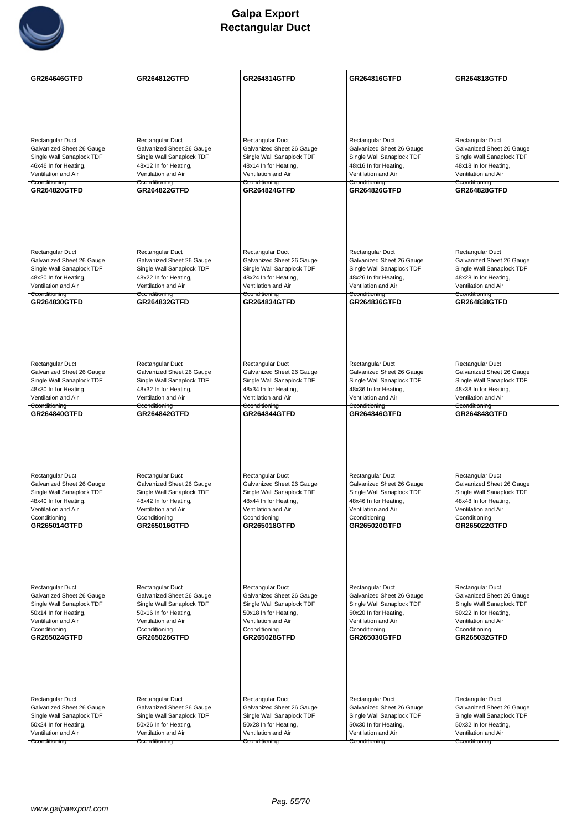

| GR264646GTFD                                           | GR264812GTFD                                           | GR264814GTFD                                           | GR264816GTFD                                           | GR264818GTFD                                           |
|--------------------------------------------------------|--------------------------------------------------------|--------------------------------------------------------|--------------------------------------------------------|--------------------------------------------------------|
|                                                        |                                                        |                                                        |                                                        |                                                        |
|                                                        |                                                        |                                                        |                                                        |                                                        |
|                                                        |                                                        |                                                        |                                                        |                                                        |
| Rectangular Duct                                       | Rectangular Duct                                       | Rectangular Duct                                       | Rectangular Duct                                       | Rectangular Duct                                       |
| Galvanized Sheet 26 Gauge                              | Galvanized Sheet 26 Gauge                              | Galvanized Sheet 26 Gauge                              | Galvanized Sheet 26 Gauge                              | Galvanized Sheet 26 Gauge                              |
| Single Wall Sanaplock TDF<br>46x46 In for Heating,     | Single Wall Sanaplock TDF<br>48x12 In for Heating,     | Single Wall Sanaplock TDF<br>48x14 In for Heating,     | Single Wall Sanaplock TDF<br>48x16 In for Heating,     | Single Wall Sanaplock TDF<br>48x18 In for Heating,     |
| Ventilation and Air                                    | Ventilation and Air                                    | Ventilation and Air                                    | Ventilation and Air                                    | Ventilation and Air                                    |
| Cconditioning<br><b>GR264820GTFD</b>                   | Cconditioning<br><b>GR264822GTFD</b>                   | Cconditioning<br><b>GR264824GTFD</b>                   | Cconditioning<br><b>GR264826GTFD</b>                   | Cconditioning<br><b>GR264828GTFD</b>                   |
|                                                        |                                                        |                                                        |                                                        |                                                        |
|                                                        |                                                        |                                                        |                                                        |                                                        |
|                                                        |                                                        |                                                        |                                                        |                                                        |
|                                                        |                                                        |                                                        |                                                        |                                                        |
| Rectangular Duct                                       | Rectangular Duct                                       | Rectangular Duct                                       | Rectangular Duct                                       | Rectangular Duct                                       |
| Galvanized Sheet 26 Gauge                              | Galvanized Sheet 26 Gauge                              | Galvanized Sheet 26 Gauge                              | Galvanized Sheet 26 Gauge                              | Galvanized Sheet 26 Gauge                              |
| Single Wall Sanaplock TDF                              | Single Wall Sanaplock TDF                              | Single Wall Sanaplock TDF                              | Single Wall Sanaplock TDF                              | Single Wall Sanaplock TDF                              |
| 48x20 In for Heating,<br>Ventilation and Air           | 48x22 In for Heating,<br>Ventilation and Air           | 48x24 In for Heating,<br>Ventilation and Air           | 48x26 In for Heating,<br>Ventilation and Air           | 48x28 In for Heating,<br>Ventilation and Air           |
| Cconditioning                                          | Cconditioning                                          | Cconditioning                                          | <del>Cconditioning</del>                               | Cconditioning                                          |
| <b>GR264830GTFD</b>                                    | <b>GR264832GTFD</b>                                    | <b>GR264834GTFD</b>                                    | <b>GR264836GTFD</b>                                    | GR264838GTFD                                           |
|                                                        |                                                        |                                                        |                                                        |                                                        |
|                                                        |                                                        |                                                        |                                                        |                                                        |
|                                                        |                                                        |                                                        |                                                        |                                                        |
| Rectangular Duct                                       | Rectangular Duct                                       | Rectangular Duct                                       | Rectangular Duct                                       | Rectangular Duct                                       |
| Galvanized Sheet 26 Gauge                              | Galvanized Sheet 26 Gauge                              | Galvanized Sheet 26 Gauge                              | Galvanized Sheet 26 Gauge                              | Galvanized Sheet 26 Gauge                              |
| Single Wall Sanaplock TDF<br>48x30 In for Heating,     | Single Wall Sanaplock TDF                              | Single Wall Sanaplock TDF                              | Single Wall Sanaplock TDF<br>48x36 In for Heating,     | Single Wall Sanaplock TDF                              |
| Ventilation and Air                                    | 48x32 In for Heating,<br>Ventilation and Air           | 48x34 In for Heating,<br>Ventilation and Air           | Ventilation and Air                                    | 48x38 In for Heating,<br>Ventilation and Air           |
| Cconditioning<br><b>GR264840GTFD</b>                   | Cconditioning<br><b>GR264842GTFD</b>                   | Cconditioning<br><b>GR264844GTFD</b>                   | Cconditioning<br><b>GR264846GTFD</b>                   | Cconditioning<br><b>GR264848GTFD</b>                   |
|                                                        |                                                        |                                                        |                                                        |                                                        |
|                                                        |                                                        |                                                        |                                                        |                                                        |
|                                                        |                                                        |                                                        |                                                        |                                                        |
|                                                        |                                                        |                                                        |                                                        |                                                        |
| <b>Rectangular Duct</b>                                | Rectangular Duct                                       | Rectangular Duct                                       | Rectangular Duct                                       | Rectangular Duct                                       |
| Galvanized Sheet 26 Gauge                              | Galvanized Sheet 26 Gauge                              | Galvanized Sheet 26 Gauge                              | Galvanized Sheet 26 Gauge                              | Galvanized Sheet 26 Gauge                              |
| Single Wall Sanaplock TDF<br>48x40 In for Heating,     | Single Wall Sanaplock TDF<br>48x42 In for Heating,     | Single Wall Sanaplock TDF<br>48x44 In for Heating,     | Single Wall Sanaplock TDF<br>48x46 In for Heating,     | Single Wall Sanaplock TDF<br>48x48 In for Heating,     |
| Ventilation and Air                                    | Ventilation and Air                                    | Ventilation and Air                                    | Ventilation and Air                                    | Ventilation and Air                                    |
| Cconditioning<br><b>GR265014GTFD</b>                   | Cconditioning<br><b>GR265016GTFD</b>                   | Cconditioning<br>GR265018GTFD                          | Cconditioning<br><b>GR265020GTFD</b>                   | Cconditioning<br><b>GR265022GTFD</b>                   |
|                                                        |                                                        |                                                        |                                                        |                                                        |
|                                                        |                                                        |                                                        |                                                        |                                                        |
|                                                        |                                                        |                                                        |                                                        |                                                        |
|                                                        |                                                        |                                                        |                                                        |                                                        |
| Rectangular Duct                                       | Rectangular Duct                                       | Rectangular Duct                                       | Rectangular Duct                                       | Rectangular Duct                                       |
| Galvanized Sheet 26 Gauge<br>Single Wall Sanaplock TDF | Galvanized Sheet 26 Gauge<br>Single Wall Sanaplock TDF | Galvanized Sheet 26 Gauge<br>Single Wall Sanaplock TDF | Galvanized Sheet 26 Gauge<br>Single Wall Sanaplock TDF | Galvanized Sheet 26 Gauge<br>Single Wall Sanaplock TDF |
| 50x14 In for Heating,                                  | 50x16 In for Heating,                                  | 50x18 In for Heating,                                  | 50x20 In for Heating,                                  | 50x22 In for Heating,                                  |
| Ventilation and Air                                    | Ventilation and Air                                    | Ventilation and Air                                    | Ventilation and Air                                    | Ventilation and Air                                    |
| Cconditioning<br>GR265024GTFD                          | Cconditioning<br><b>GR265026GTFD</b>                   | Cconditioning<br>GR265028GTFD                          | Cconditioning<br>GR265030GTFD                          | Cconditioning<br>GR265032GTFD                          |
|                                                        |                                                        |                                                        |                                                        |                                                        |
|                                                        |                                                        |                                                        |                                                        |                                                        |
|                                                        |                                                        |                                                        |                                                        |                                                        |
|                                                        |                                                        |                                                        |                                                        |                                                        |
| <b>Rectangular Duct</b>                                | Rectangular Duct                                       | Rectangular Duct                                       | Rectangular Duct                                       | Rectangular Duct                                       |
| Galvanized Sheet 26 Gauge<br>Single Wall Sanaplock TDF | Galvanized Sheet 26 Gauge<br>Single Wall Sanaplock TDF | Galvanized Sheet 26 Gauge<br>Single Wall Sanaplock TDF | Galvanized Sheet 26 Gauge<br>Single Wall Sanaplock TDF | Galvanized Sheet 26 Gauge<br>Single Wall Sanaplock TDF |
| 50x24 In for Heating,                                  | 50x26 In for Heating,                                  | 50x28 In for Heating,                                  | 50x30 In for Heating,                                  | 50x32 In for Heating,                                  |
| Ventilation and Air                                    | Ventilation and Air                                    | Ventilation and Air                                    | Ventilation and Air                                    | Ventilation and Air                                    |
| Cconditioning                                          | Cconditioning                                          | Cconditioning                                          | Cconditioning                                          | Cconditioning                                          |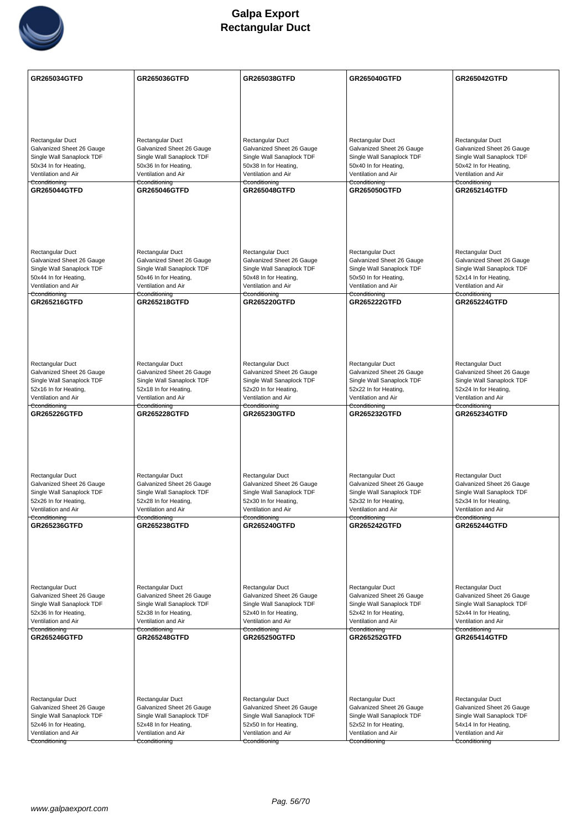

| GR265034GTFD                                           | <b>GR265036GTFD</b>                                    | GR265038GTFD                                           | GR265040GTFD                                           | <b>GR265042GTFD</b>                                    |
|--------------------------------------------------------|--------------------------------------------------------|--------------------------------------------------------|--------------------------------------------------------|--------------------------------------------------------|
|                                                        |                                                        |                                                        |                                                        |                                                        |
|                                                        |                                                        |                                                        |                                                        |                                                        |
|                                                        |                                                        |                                                        |                                                        |                                                        |
| Rectangular Duct                                       | Rectangular Duct                                       | Rectangular Duct                                       | Rectangular Duct                                       | Rectangular Duct                                       |
| Galvanized Sheet 26 Gauge                              | Galvanized Sheet 26 Gauge                              | Galvanized Sheet 26 Gauge                              | Galvanized Sheet 26 Gauge                              | Galvanized Sheet 26 Gauge                              |
| Single Wall Sanaplock TDF<br>50x34 In for Heating,     | Single Wall Sanaplock TDF<br>50x36 In for Heating,     | Single Wall Sanaplock TDF<br>50x38 In for Heating,     | Single Wall Sanaplock TDF<br>50x40 In for Heating,     | Single Wall Sanaplock TDF<br>50x42 In for Heating,     |
| Ventilation and Air                                    | Ventilation and Air                                    | Ventilation and Air                                    | Ventilation and Air                                    | Ventilation and Air                                    |
| Cconditioning<br><b>GR265044GTFD</b>                   | Cconditioning<br><b>GR265046GTFD</b>                   | Cconditioning<br><b>GR265048GTFD</b>                   | Cconditioning<br><b>GR265050GTFD</b>                   | Cconditioning<br><b>GR265214GTFD</b>                   |
|                                                        |                                                        |                                                        |                                                        |                                                        |
|                                                        |                                                        |                                                        |                                                        |                                                        |
|                                                        |                                                        |                                                        |                                                        |                                                        |
|                                                        |                                                        |                                                        |                                                        |                                                        |
| <b>Rectangular Duct</b>                                | Rectangular Duct                                       | Rectangular Duct                                       | Rectangular Duct                                       | Rectangular Duct                                       |
| Galvanized Sheet 26 Gauge<br>Single Wall Sanaplock TDF | Galvanized Sheet 26 Gauge<br>Single Wall Sanaplock TDF | Galvanized Sheet 26 Gauge<br>Single Wall Sanaplock TDF | Galvanized Sheet 26 Gauge<br>Single Wall Sanaplock TDF | Galvanized Sheet 26 Gauge<br>Single Wall Sanaplock TDF |
| 50x44 In for Heating,                                  | 50x46 In for Heating,                                  | 50x48 In for Heating,                                  | 50x50 In for Heating,                                  | 52x14 In for Heating,                                  |
| Ventilation and Air<br>Cconditioning                   | Ventilation and Air<br>Cconditioning                   | Ventilation and Air<br>Cconditioning                   | Ventilation and Air<br>Cconditioning                   | Ventilation and Air<br>Cconditioning                   |
| GR265216GTFD                                           | <b>GR265218GTFD</b>                                    | <b>GR265220GTFD</b>                                    | <b>GR265222GTFD</b>                                    | <b>GR265224GTFD</b>                                    |
|                                                        |                                                        |                                                        |                                                        |                                                        |
|                                                        |                                                        |                                                        |                                                        |                                                        |
|                                                        |                                                        |                                                        |                                                        |                                                        |
| Rectangular Duct                                       | Rectangular Duct                                       | Rectangular Duct                                       | Rectangular Duct                                       | Rectangular Duct                                       |
| Galvanized Sheet 26 Gauge                              | Galvanized Sheet 26 Gauge                              | Galvanized Sheet 26 Gauge                              | Galvanized Sheet 26 Gauge                              | Galvanized Sheet 26 Gauge                              |
| Single Wall Sanaplock TDF<br>52x16 In for Heating,     | Single Wall Sanaplock TDF<br>52x18 In for Heating,     | Single Wall Sanaplock TDF<br>52x20 In for Heating,     | Single Wall Sanaplock TDF<br>52x22 In for Heating,     | Single Wall Sanaplock TDF<br>52x24 In for Heating,     |
| Ventilation and Air                                    | Ventilation and Air                                    | Ventilation and Air                                    | Ventilation and Air                                    | Ventilation and Air                                    |
| Cconditioning<br><b>GR265226GTFD</b>                   | Cconditioning<br><b>GR265228GTFD</b>                   | Cconditioning<br><b>GR265230GTFD</b>                   | Cconditioning<br><b>GR265232GTFD</b>                   | Cconditioning<br><b>GR265234GTFD</b>                   |
|                                                        |                                                        |                                                        |                                                        |                                                        |
|                                                        |                                                        |                                                        |                                                        |                                                        |
|                                                        |                                                        |                                                        |                                                        |                                                        |
|                                                        |                                                        |                                                        |                                                        |                                                        |
| Rectangular Duct<br>Galvanized Sheet 26 Gauge          | Rectangular Duct<br>Galvanized Sheet 26 Gauge          | Rectangular Duct<br>Galvanized Sheet 26 Gauge          | Rectangular Duct<br>Galvanized Sheet 26 Gauge          | Rectangular Duct<br>Galvanized Sheet 26 Gauge          |
| Single Wall Sanaplock TDF                              | Single Wall Sanaplock TDF                              | Single Wall Sanaplock TDF                              | Single Wall Sanaplock TDF                              | Single Wall Sanaplock TDF                              |
| 52x26 In for Heating,<br>Ventilation and Air           | 52x28 In for Heating,<br>Ventilation and Air           | 52x30 In for Heating,<br>Ventilation and Air           | 52x32 In for Heating,<br>Ventilation and Air           | 52x34 In for Heating,<br>Ventilation and Air           |
| Cconditioning                                          | Cconditioning                                          | Cconditioning                                          | Cconditioning                                          | Cconditioning                                          |
| GR265236GTFD                                           | GR265238GTFD                                           | <b>GR265240GTFD</b>                                    | <b>GR265242GTFD</b>                                    | <b>GR265244GTFD</b>                                    |
|                                                        |                                                        |                                                        |                                                        |                                                        |
|                                                        |                                                        |                                                        |                                                        |                                                        |
|                                                        |                                                        |                                                        |                                                        |                                                        |
| Rectangular Duct                                       | Rectangular Duct                                       | Rectangular Duct                                       | Rectangular Duct                                       | Rectangular Duct                                       |
| Galvanized Sheet 26 Gauge                              | Galvanized Sheet 26 Gauge                              | Galvanized Sheet 26 Gauge                              | Galvanized Sheet 26 Gauge                              | Galvanized Sheet 26 Gauge                              |
| Single Wall Sanaplock TDF<br>52x36 In for Heating,     | Single Wall Sanaplock TDF<br>52x38 In for Heating,     | Single Wall Sanaplock TDF<br>52x40 In for Heating,     | Single Wall Sanaplock TDF<br>52x42 In for Heating,     | Single Wall Sanaplock TDF<br>52x44 In for Heating,     |
| Ventilation and Air                                    | Ventilation and Air                                    | Ventilation and Air                                    | Ventilation and Air                                    | Ventilation and Air                                    |
| Cconditioning<br><b>GR265246GTFD</b>                   | Cconditioning<br><b>GR265248GTFD</b>                   | Cconditioning<br><b>GR265250GTFD</b>                   | Cconditioning<br><b>GR265252GTFD</b>                   | Cconditioning<br><b>GR265414GTFD</b>                   |
|                                                        |                                                        |                                                        |                                                        |                                                        |
|                                                        |                                                        |                                                        |                                                        |                                                        |
|                                                        |                                                        |                                                        |                                                        |                                                        |
|                                                        |                                                        |                                                        |                                                        |                                                        |
| Rectangular Duct<br>Galvanized Sheet 26 Gauge          | Rectangular Duct<br>Galvanized Sheet 26 Gauge          | <b>Rectangular Duct</b><br>Galvanized Sheet 26 Gauge   | Rectangular Duct<br>Galvanized Sheet 26 Gauge          | Rectangular Duct<br>Galvanized Sheet 26 Gauge          |
| Single Wall Sanaplock TDF                              | Single Wall Sanaplock TDF                              | Single Wall Sanaplock TDF                              | Single Wall Sanaplock TDF                              | Single Wall Sanaplock TDF                              |
| 52x46 In for Heating,                                  | 52x48 In for Heating,                                  | 52x50 In for Heating,                                  | 52x52 In for Heating,                                  | 54x14 In for Heating,                                  |
| Ventilation and Air<br>Cconditioning                   | Ventilation and Air<br>Cconditioning                   | Ventilation and Air<br>Cconditioning                   | Ventilation and Air<br>Cconditioning                   | Ventilation and Air<br>Cconditioning                   |
|                                                        |                                                        |                                                        |                                                        |                                                        |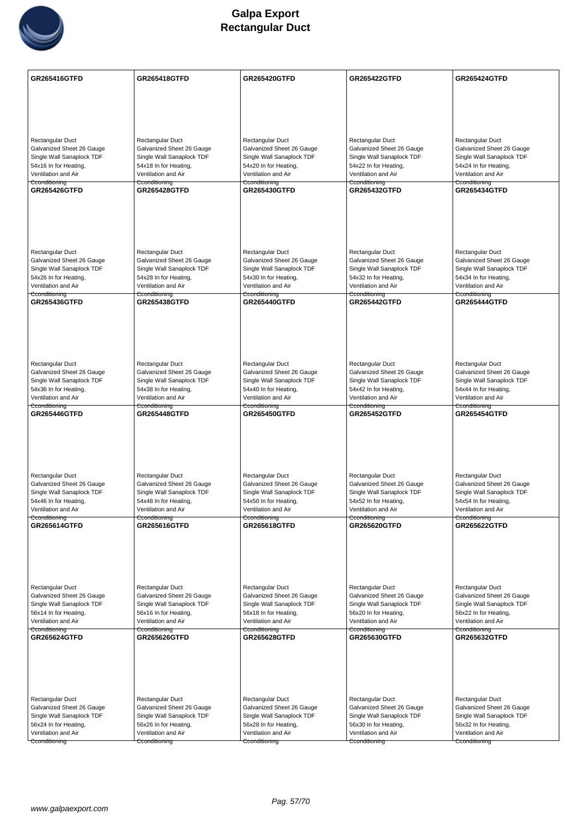

| GR265416GTFD                                           | <b>GR265418GTFD</b>                                    | <b>GR265420GTFD</b>                                    | <b>GR265422GTFD</b>                                    | <b>GR265424GTFD</b>                                    |
|--------------------------------------------------------|--------------------------------------------------------|--------------------------------------------------------|--------------------------------------------------------|--------------------------------------------------------|
|                                                        |                                                        |                                                        |                                                        |                                                        |
|                                                        |                                                        |                                                        |                                                        |                                                        |
|                                                        |                                                        |                                                        |                                                        |                                                        |
| Rectangular Duct<br>Galvanized Sheet 26 Gauge          | Rectangular Duct<br>Galvanized Sheet 26 Gauge          | Rectangular Duct<br>Galvanized Sheet 26 Gauge          | Rectangular Duct<br>Galvanized Sheet 26 Gauge          | Rectangular Duct<br>Galvanized Sheet 26 Gauge          |
| Single Wall Sanaplock TDF                              | Single Wall Sanaplock TDF                              | Single Wall Sanaplock TDF                              | Single Wall Sanaplock TDF                              | Single Wall Sanaplock TDF                              |
| 54x16 In for Heating,                                  | 54x18 In for Heating,                                  | 54x20 In for Heating,                                  | 54x22 In for Heating,                                  | 54x24 In for Heating,                                  |
| Ventilation and Air<br>Cconditioning                   | Ventilation and Air<br>Cconditioning                   | Ventilation and Air<br>Cconditioning                   | Ventilation and Air<br>Cconditioning                   | Ventilation and Air<br>Cconditioning                   |
| <b>GR265426GTFD</b>                                    | <b>GR265428GTFD</b>                                    | <b>GR265430GTFD</b>                                    | <b>GR265432GTFD</b>                                    | <b>GR265434GTFD</b>                                    |
|                                                        |                                                        |                                                        |                                                        |                                                        |
|                                                        |                                                        |                                                        |                                                        |                                                        |
|                                                        |                                                        |                                                        |                                                        |                                                        |
|                                                        |                                                        |                                                        |                                                        |                                                        |
| <b>Rectangular Duct</b>                                | Rectangular Duct                                       | Rectangular Duct                                       | Rectangular Duct                                       | Rectangular Duct                                       |
| Galvanized Sheet 26 Gauge                              | Galvanized Sheet 26 Gauge                              | Galvanized Sheet 26 Gauge                              | Galvanized Sheet 26 Gauge                              | Galvanized Sheet 26 Gauge                              |
| Single Wall Sanaplock TDF                              | Single Wall Sanaplock TDF                              | Single Wall Sanaplock TDF                              | Single Wall Sanaplock TDF                              | Single Wall Sanaplock TDF                              |
| 54x26 In for Heating,<br>Ventilation and Air           | 54x28 In for Heating,<br>Ventilation and Air           | 54x30 In for Heating,<br>Ventilation and Air           | 54x32 In for Heating,<br>Ventilation and Air           | 54x34 In for Heating,<br>Ventilation and Air           |
| Cconditioning                                          | Cconditioning                                          | Cconditioning                                          | <del>Cconditioning</del>                               | Cconditioning                                          |
| <b>GR265436GTFD</b>                                    | <b>GR265438GTFD</b>                                    | <b>GR265440GTFD</b>                                    | <b>GR265442GTFD</b>                                    | <b>GR265444GTFD</b>                                    |
|                                                        |                                                        |                                                        |                                                        |                                                        |
|                                                        |                                                        |                                                        |                                                        |                                                        |
|                                                        |                                                        |                                                        |                                                        |                                                        |
|                                                        |                                                        |                                                        |                                                        |                                                        |
| Rectangular Duct                                       | Rectangular Duct                                       | Rectangular Duct                                       | Rectangular Duct                                       | Rectangular Duct                                       |
| Galvanized Sheet 26 Gauge<br>Single Wall Sanaplock TDF | Galvanized Sheet 26 Gauge<br>Single Wall Sanaplock TDF | Galvanized Sheet 26 Gauge<br>Single Wall Sanaplock TDF | Galvanized Sheet 26 Gauge<br>Single Wall Sanaplock TDF | Galvanized Sheet 26 Gauge<br>Single Wall Sanaplock TDF |
| 54x36 In for Heating,                                  | 54x38 In for Heating,                                  | 54x40 In for Heating,                                  | 54x42 In for Heating,                                  | 54x44 In for Heating,                                  |
| Ventilation and Air<br>Cconditioning                   | Ventilation and Air                                    | Ventilation and Air                                    | Ventilation and Air                                    | Ventilation and Air                                    |
| <b>GR265446GTFD</b>                                    | Cconditioning<br><b>GR265448GTFD</b>                   | Cconditioning<br><b>GR265450GTFD</b>                   | Cconditioning<br><b>GR265452GTFD</b>                   | Cconditioning<br><b>GR265454GTFD</b>                   |
|                                                        |                                                        |                                                        |                                                        |                                                        |
|                                                        |                                                        |                                                        |                                                        |                                                        |
|                                                        |                                                        |                                                        |                                                        |                                                        |
|                                                        |                                                        |                                                        |                                                        |                                                        |
| <b>Rectangular Duct</b>                                | Rectangular Duct                                       | Rectangular Duct                                       | Rectangular Duct                                       | Rectangular Duct                                       |
| Galvanized Sheet 26 Gauge                              | Galvanized Sheet 26 Gauge                              | Galvanized Sheet 26 Gauge                              | Galvanized Sheet 26 Gauge                              | Galvanized Sheet 26 Gauge                              |
| Single Wall Sanaplock TDF<br>54x46 In for Heating,     | Single Wall Sanaplock TDF<br>54x48 In for Heating,     | Single Wall Sanaplock TDF<br>54x50 In for Heating,     | Single Wall Sanaplock TDF<br>54x52 In for Heating,     | Single Wall Sanaplock TDF<br>54x54 In for Heating,     |
| Ventilation and Air                                    | Ventilation and Air                                    | Ventilation and Air                                    | Ventilation and Air                                    | Ventilation and Air                                    |
| Cconditioning<br>GR265614GTFD                          | Cconditioning                                          | Cconditioning                                          | Cconditioning                                          | Cconditioning<br><b>GR265622GTFD</b>                   |
|                                                        | <b>GR265616GTFD</b>                                    | <b>GR265618GTFD</b>                                    | <b>GR265620GTFD</b>                                    |                                                        |
|                                                        |                                                        |                                                        |                                                        |                                                        |
|                                                        |                                                        |                                                        |                                                        |                                                        |
|                                                        |                                                        |                                                        |                                                        |                                                        |
|                                                        |                                                        |                                                        |                                                        |                                                        |
| Rectangular Duct<br>Galvanized Sheet 26 Gauge          | Rectangular Duct<br>Galvanized Sheet 26 Gauge          | Rectangular Duct<br>Galvanized Sheet 26 Gauge          | Rectangular Duct<br>Galvanized Sheet 26 Gauge          | Rectangular Duct<br>Galvanized Sheet 26 Gauge          |
| Single Wall Sanaplock TDF                              | Single Wall Sanaplock TDF                              | Single Wall Sanaplock TDF                              | Single Wall Sanaplock TDF                              | Single Wall Sanaplock TDF                              |
| 56x14 In for Heating,                                  | 56x16 In for Heating,                                  | 56x18 In for Heating,                                  | 56x20 In for Heating,                                  | 56x22 In for Heating,                                  |
| Ventilation and Air<br>Cconditioning                   | Ventilation and Air<br>Cconditioning                   | Ventilation and Air<br>Cconditioning                   | Ventilation and Air<br>Cconditioning                   | Ventilation and Air<br>Cconditioning                   |
| GR265624GTFD                                           | <b>GR265626GTFD</b>                                    | <b>GR265628GTFD</b>                                    | GR265630GTFD                                           | GR265632GTFD                                           |
|                                                        |                                                        |                                                        |                                                        |                                                        |
|                                                        |                                                        |                                                        |                                                        |                                                        |
|                                                        |                                                        |                                                        |                                                        |                                                        |
|                                                        |                                                        |                                                        |                                                        |                                                        |
| <b>Rectangular Duct</b>                                | Rectangular Duct                                       | Rectangular Duct                                       | Rectangular Duct                                       | Rectangular Duct                                       |
| Galvanized Sheet 26 Gauge<br>Single Wall Sanaplock TDF | Galvanized Sheet 26 Gauge<br>Single Wall Sanaplock TDF | Galvanized Sheet 26 Gauge<br>Single Wall Sanaplock TDF | Galvanized Sheet 26 Gauge<br>Single Wall Sanaplock TDF | Galvanized Sheet 26 Gauge<br>Single Wall Sanaplock TDF |
| 56x24 In for Heating,                                  | 56x26 In for Heating,                                  | 56x28 In for Heating,                                  | 56x30 In for Heating,                                  | 56x32 In for Heating,                                  |
| Ventilation and Air                                    | Ventilation and Air                                    | Ventilation and Air                                    | Ventilation and Air                                    | Ventilation and Air                                    |
| Cconditioning                                          | Cconditioning                                          | Cconditioning                                          | Cconditioning                                          | Cconditioning                                          |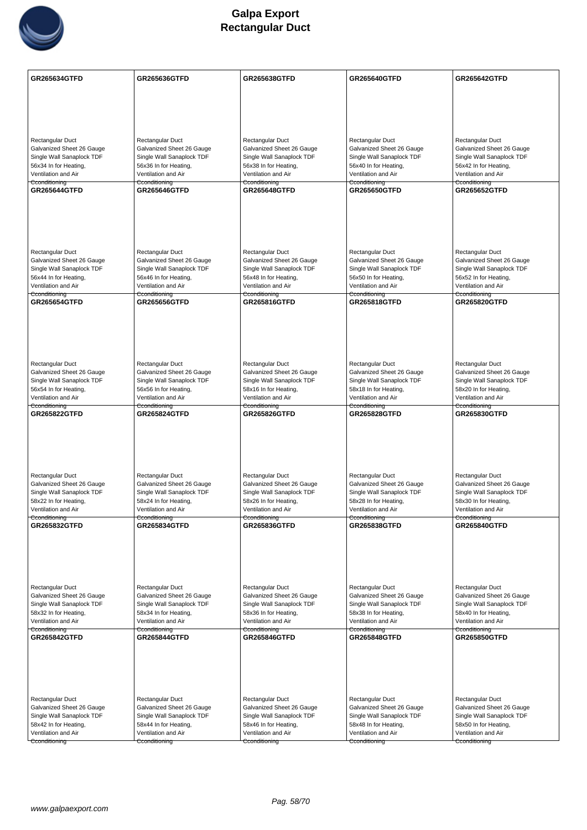

| GR265634GTFD                                           | <b>GR265636GTFD</b>                                    | GR265638GTFD                                           | <b>GR265640GTFD</b>                                    | GR265642GTFD                                           |
|--------------------------------------------------------|--------------------------------------------------------|--------------------------------------------------------|--------------------------------------------------------|--------------------------------------------------------|
|                                                        |                                                        |                                                        |                                                        |                                                        |
|                                                        |                                                        |                                                        |                                                        |                                                        |
|                                                        |                                                        |                                                        |                                                        |                                                        |
| Rectangular Duct                                       | Rectangular Duct                                       | Rectangular Duct                                       | Rectangular Duct                                       | Rectangular Duct                                       |
| Galvanized Sheet 26 Gauge                              | Galvanized Sheet 26 Gauge                              | Galvanized Sheet 26 Gauge                              | Galvanized Sheet 26 Gauge                              | Galvanized Sheet 26 Gauge                              |
| Single Wall Sanaplock TDF<br>56x34 In for Heating,     | Single Wall Sanaplock TDF<br>56x36 In for Heating,     | Single Wall Sanaplock TDF<br>56x38 In for Heating,     | Single Wall Sanaplock TDF<br>56x40 In for Heating,     | Single Wall Sanaplock TDF<br>56x42 In for Heating,     |
| Ventilation and Air                                    | Ventilation and Air                                    | Ventilation and Air                                    | Ventilation and Air                                    | Ventilation and Air                                    |
| Cconditioning<br><b>GR265644GTFD</b>                   | Cconditioning<br><b>GR265646GTFD</b>                   | Cconditioning<br><b>GR265648GTFD</b>                   | Cconditioning<br><b>GR265650GTFD</b>                   | Cconditioning<br><b>GR265652GTFD</b>                   |
|                                                        |                                                        |                                                        |                                                        |                                                        |
|                                                        |                                                        |                                                        |                                                        |                                                        |
|                                                        |                                                        |                                                        |                                                        |                                                        |
|                                                        |                                                        |                                                        |                                                        |                                                        |
| <b>Rectangular Duct</b><br>Galvanized Sheet 26 Gauge   | Rectangular Duct<br>Galvanized Sheet 26 Gauge          | Rectangular Duct<br>Galvanized Sheet 26 Gauge          | Rectangular Duct<br>Galvanized Sheet 26 Gauge          | Rectangular Duct<br>Galvanized Sheet 26 Gauge          |
| Single Wall Sanaplock TDF                              | Single Wall Sanaplock TDF                              | Single Wall Sanaplock TDF                              | Single Wall Sanaplock TDF                              | Single Wall Sanaplock TDF                              |
| 56x44 In for Heating,<br>Ventilation and Air           | 56x46 In for Heating,<br>Ventilation and Air           | 56x48 In for Heating,<br>Ventilation and Air           | 56x50 In for Heating,<br>Ventilation and Air           | 56x52 In for Heating,<br>Ventilation and Air           |
| Cconditioning<br><b>GR265654GTFD</b>                   | Cconditioning<br>GR265656GTFD                          | Cconditioning<br>GR265816GTFD                          | Cconditioning<br>GR265818GTFD                          | Cconditioning<br><b>GR265820GTFD</b>                   |
|                                                        |                                                        |                                                        |                                                        |                                                        |
|                                                        |                                                        |                                                        |                                                        |                                                        |
|                                                        |                                                        |                                                        |                                                        |                                                        |
|                                                        |                                                        |                                                        |                                                        |                                                        |
| Rectangular Duct<br>Galvanized Sheet 26 Gauge          | Rectangular Duct<br>Galvanized Sheet 26 Gauge          | Rectangular Duct<br>Galvanized Sheet 26 Gauge          | Rectangular Duct<br>Galvanized Sheet 26 Gauge          | Rectangular Duct<br>Galvanized Sheet 26 Gauge          |
| Single Wall Sanaplock TDF                              | Single Wall Sanaplock TDF                              | Single Wall Sanaplock TDF                              | Single Wall Sanaplock TDF                              | Single Wall Sanaplock TDF                              |
| 56x54 In for Heating,<br>Ventilation and Air           | 56x56 In for Heating,<br>Ventilation and Air           | 58x16 In for Heating,<br>Ventilation and Air           | 58x18 In for Heating,<br>Ventilation and Air           | 58x20 In for Heating,<br>Ventilation and Air           |
| Cconditioning                                          | Cconditioning                                          | Cconditioning                                          | Cconditioning                                          | Cconditioning                                          |
| <b>GR265822GTFD</b>                                    | <b>GR265824GTFD</b>                                    | <b>GR265826GTFD</b>                                    | <b>GR265828GTFD</b>                                    | <b>GR265830GTFD</b>                                    |
|                                                        |                                                        |                                                        |                                                        |                                                        |
|                                                        |                                                        |                                                        |                                                        |                                                        |
|                                                        |                                                        |                                                        |                                                        |                                                        |
| Rectangular Duct                                       | Rectangular Duct                                       | Rectangular Duct                                       | Rectangular Duct                                       | Rectangular Duct                                       |
| Galvanized Sheet 26 Gauge<br>Single Wall Sanaplock TDF | Galvanized Sheet 26 Gauge<br>Single Wall Sanaplock TDF | Galvanized Sheet 26 Gauge<br>Single Wall Sanaplock TDF | Galvanized Sheet 26 Gauge<br>Single Wall Sanaplock TDF | Galvanized Sheet 26 Gauge<br>Single Wall Sanaplock TDF |
| 58x22 In for Heating,                                  | 58x24 In for Heating,                                  | 58x26 In for Heating,                                  | 58x28 In for Heating,                                  | 58x30 In for Heating,                                  |
| Ventilation and Air<br>Cconditioning                   | Ventilation and Air<br>Cconditioning                   | Ventilation and Air<br>Cconditioning                   | Ventilation and Air<br>Cconditioning                   | Ventilation and Air<br>Cconditioning                   |
| GR265832GTFD                                           | GR265834GTFD                                           | <b>GR265836GTFD</b>                                    | <b>GR265838GTFD</b>                                    | <b>GR265840GTFD</b>                                    |
|                                                        |                                                        |                                                        |                                                        |                                                        |
|                                                        |                                                        |                                                        |                                                        |                                                        |
|                                                        |                                                        |                                                        |                                                        |                                                        |
| Rectangular Duct                                       | Rectangular Duct                                       | Rectangular Duct                                       | Rectangular Duct                                       | Rectangular Duct                                       |
| Galvanized Sheet 26 Gauge                              | Galvanized Sheet 26 Gauge                              | Galvanized Sheet 26 Gauge                              | Galvanized Sheet 26 Gauge                              | Galvanized Sheet 26 Gauge                              |
| Single Wall Sanaplock TDF                              | Single Wall Sanaplock TDF                              | Single Wall Sanaplock TDF                              | Single Wall Sanaplock TDF                              | Single Wall Sanaplock TDF                              |
| 58x32 In for Heating,<br>Ventilation and Air           | 58x34 In for Heating,<br>Ventilation and Air           | 58x36 In for Heating,<br>Ventilation and Air           | 58x38 In for Heating,<br>Ventilation and Air           | 58x40 In for Heating,<br>Ventilation and Air           |
| Cconditioning<br><b>GR265842GTFD</b>                   | Cconditioning<br><b>GR265844GTFD</b>                   | Cconditioning<br>GR265846GTFD                          | Cconditioning<br><b>GR265848GTFD</b>                   | Cconditioning<br><b>GR265850GTFD</b>                   |
|                                                        |                                                        |                                                        |                                                        |                                                        |
|                                                        |                                                        |                                                        |                                                        |                                                        |
|                                                        |                                                        |                                                        |                                                        |                                                        |
|                                                        |                                                        |                                                        |                                                        |                                                        |
| Rectangular Duct                                       | Rectangular Duct                                       | <b>Rectangular Duct</b>                                | Rectangular Duct                                       | Rectangular Duct                                       |
| Galvanized Sheet 26 Gauge<br>Single Wall Sanaplock TDF | Galvanized Sheet 26 Gauge<br>Single Wall Sanaplock TDF | Galvanized Sheet 26 Gauge<br>Single Wall Sanaplock TDF | Galvanized Sheet 26 Gauge<br>Single Wall Sanaplock TDF | Galvanized Sheet 26 Gauge<br>Single Wall Sanaplock TDF |
| 58x42 In for Heating,                                  | 58x44 In for Heating,                                  | 58x46 In for Heating,                                  | 58x48 In for Heating,                                  | 58x50 In for Heating,                                  |
| Ventilation and Air                                    | Ventilation and Air                                    | Ventilation and Air                                    | Ventilation and Air                                    | Ventilation and Air                                    |
| Cconditioning                                          | Cconditioning                                          | Cconditioning                                          | Cconditioning                                          | Cconditioning                                          |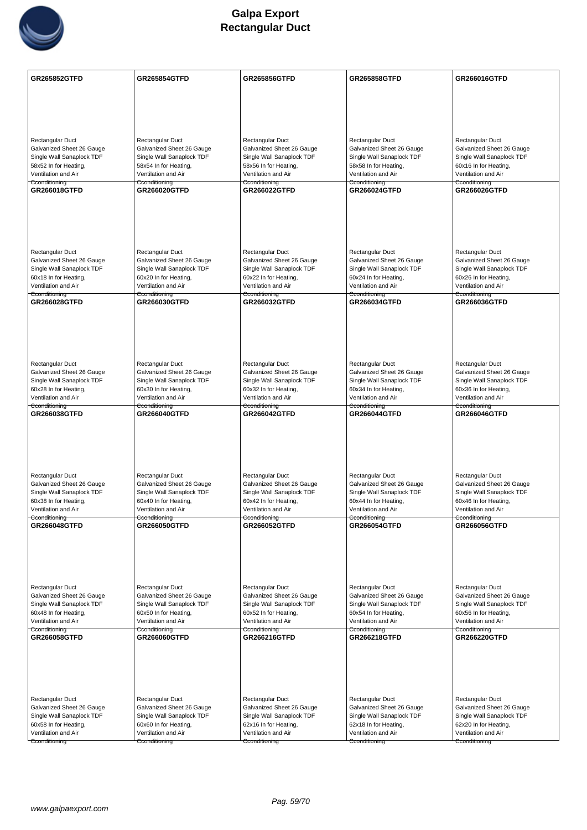

| <b>GR265852GTFD</b>                                    | <b>GR265854GTFD</b>                                    | <b>GR265856GTFD</b>                                    | <b>GR265858GTFD</b>                                    | GR266016GTFD                                           |
|--------------------------------------------------------|--------------------------------------------------------|--------------------------------------------------------|--------------------------------------------------------|--------------------------------------------------------|
|                                                        |                                                        |                                                        |                                                        |                                                        |
|                                                        |                                                        |                                                        |                                                        |                                                        |
|                                                        |                                                        |                                                        |                                                        |                                                        |
|                                                        |                                                        |                                                        |                                                        |                                                        |
| Rectangular Duct<br>Galvanized Sheet 26 Gauge          | Rectangular Duct<br>Galvanized Sheet 26 Gauge          | Rectangular Duct<br>Galvanized Sheet 26 Gauge          | Rectangular Duct<br>Galvanized Sheet 26 Gauge          | Rectangular Duct<br>Galvanized Sheet 26 Gauge          |
| Single Wall Sanaplock TDF                              | Single Wall Sanaplock TDF                              | Single Wall Sanaplock TDF                              | Single Wall Sanaplock TDF                              | Single Wall Sanaplock TDF                              |
| 58x52 In for Heating,                                  | 58x54 In for Heating,                                  | 58x56 In for Heating,                                  | 58x58 In for Heating,                                  | 60x16 In for Heating,                                  |
| Ventilation and Air<br>Cconditioning                   | Ventilation and Air<br>Cconditioning                   | Ventilation and Air<br>Cconditioning                   | Ventilation and Air<br>Cconditioning                   | Ventilation and Air<br>Cconditioning                   |
| GR266018GTFD                                           | <b>GR266020GTFD</b>                                    | GR266022GTFD                                           | <b>GR266024GTFD</b>                                    | <b>GR266026GTFD</b>                                    |
|                                                        |                                                        |                                                        |                                                        |                                                        |
|                                                        |                                                        |                                                        |                                                        |                                                        |
|                                                        |                                                        |                                                        |                                                        |                                                        |
|                                                        |                                                        |                                                        |                                                        |                                                        |
| <b>Rectangular Duct</b>                                | Rectangular Duct                                       | Rectangular Duct                                       | Rectangular Duct                                       | Rectangular Duct                                       |
| Galvanized Sheet 26 Gauge<br>Single Wall Sanaplock TDF | Galvanized Sheet 26 Gauge<br>Single Wall Sanaplock TDF | Galvanized Sheet 26 Gauge<br>Single Wall Sanaplock TDF | Galvanized Sheet 26 Gauge<br>Single Wall Sanaplock TDF | Galvanized Sheet 26 Gauge<br>Single Wall Sanaplock TDF |
| 60x18 In for Heating,                                  | 60x20 In for Heating,                                  | 60x22 In for Heating,                                  | 60x24 In for Heating,                                  | 60x26 In for Heating,                                  |
| Ventilation and Air<br>Cconditioning                   | Ventilation and Air<br><del>Cconditioning</del>        | Ventilation and Air<br>Cconditioning                   | Ventilation and Air<br><del>Cconditioning</del>        | Ventilation and Air<br>Cconditioning                   |
| GR266028GTFD                                           | GR266030GTFD                                           | GR266032GTFD                                           | GR266034GTFD                                           | <b>GR266036GTFD</b>                                    |
|                                                        |                                                        |                                                        |                                                        |                                                        |
|                                                        |                                                        |                                                        |                                                        |                                                        |
|                                                        |                                                        |                                                        |                                                        |                                                        |
|                                                        |                                                        |                                                        |                                                        |                                                        |
| Rectangular Duct                                       | Rectangular Duct                                       | Rectangular Duct                                       | Rectangular Duct                                       | Rectangular Duct                                       |
| Galvanized Sheet 26 Gauge<br>Single Wall Sanaplock TDF | Galvanized Sheet 26 Gauge<br>Single Wall Sanaplock TDF | Galvanized Sheet 26 Gauge<br>Single Wall Sanaplock TDF | Galvanized Sheet 26 Gauge<br>Single Wall Sanaplock TDF | Galvanized Sheet 26 Gauge<br>Single Wall Sanaplock TDF |
| 60x28 In for Heating,                                  | 60x30 In for Heating,                                  | 60x32 In for Heating,                                  | 60x34 In for Heating,                                  | 60x36 In for Heating,                                  |
| Ventilation and Air<br>Cconditioning                   | Ventilation and Air<br>Cconditioning                   | Ventilation and Air<br>Cconditioning                   | Ventilation and Air<br>Cconditioning                   | Ventilation and Air<br>Cconditioning                   |
| GR266038GTFD                                           | <b>GR266040GTFD</b>                                    | GR266042GTFD                                           | GR266044GTFD                                           | GR266046GTFD                                           |
|                                                        |                                                        |                                                        |                                                        |                                                        |
|                                                        |                                                        |                                                        |                                                        |                                                        |
|                                                        |                                                        |                                                        |                                                        |                                                        |
|                                                        |                                                        |                                                        |                                                        |                                                        |
| Rectangular Duct<br>Galvanized Sheet 26 Gauge          | Rectangular Duct<br>Galvanized Sheet 26 Gauge          | Rectangular Duct<br>Galvanized Sheet 26 Gauge          | Rectangular Duct<br>Galvanized Sheet 26 Gauge          | Rectangular Duct<br>Galvanized Sheet 26 Gauge          |
| Single Wall Sanaplock TDF                              | Single Wall Sanaplock TDF                              | Single Wall Sanaplock TDF                              | Single Wall Sanaplock TDF                              | Single Wall Sanaplock TDF                              |
| 60x38 In for Heating,                                  | 60x40 In for Heating,<br>Ventilation and Air           | 60x42 In for Heating,<br>Ventilation and Air           | 60x44 In for Heating,                                  | 60x46 In for Heating,                                  |
| Ventilation and Air<br>Cconditioning                   | Cconditioning                                          | Cconditioning                                          | Ventilation and Air<br>Cconditioning                   | Ventilation and Air<br>Cconditioning                   |
| GR266048GTFD                                           | GR266050GTFD                                           | <b>GR266052GTFD</b>                                    | GR266054GTFD                                           | GR266056GTFD                                           |
|                                                        |                                                        |                                                        |                                                        |                                                        |
|                                                        |                                                        |                                                        |                                                        |                                                        |
|                                                        |                                                        |                                                        |                                                        |                                                        |
| Rectangular Duct                                       | Rectangular Duct                                       | <b>Rectangular Duct</b>                                | Rectangular Duct                                       | Rectangular Duct                                       |
| Galvanized Sheet 26 Gauge                              | Galvanized Sheet 26 Gauge                              | Galvanized Sheet 26 Gauge                              | Galvanized Sheet 26 Gauge                              | Galvanized Sheet 26 Gauge                              |
| Single Wall Sanaplock TDF                              | Single Wall Sanaplock TDF                              | Single Wall Sanaplock TDF                              | Single Wall Sanaplock TDF                              | Single Wall Sanaplock TDF                              |
| 60x48 In for Heating,<br>Ventilation and Air           | 60x50 In for Heating,<br>Ventilation and Air           | 60x52 In for Heating,<br>Ventilation and Air           | 60x54 In for Heating,<br>Ventilation and Air           | 60x56 In for Heating,<br>Ventilation and Air           |
| Cconditioning<br>GR266058GTFD                          | Cconditioning<br><b>GR266060GTFD</b>                   | Cconditioning<br>GR266216GTFD                          | Cconditioning<br>GR266218GTFD                          | Cconditioning<br><b>GR266220GTFD</b>                   |
|                                                        |                                                        |                                                        |                                                        |                                                        |
|                                                        |                                                        |                                                        |                                                        |                                                        |
|                                                        |                                                        |                                                        |                                                        |                                                        |
|                                                        |                                                        |                                                        |                                                        |                                                        |
| Rectangular Duct                                       | Rectangular Duct                                       | Rectangular Duct                                       | Rectangular Duct                                       | Rectangular Duct                                       |
| Galvanized Sheet 26 Gauge                              | Galvanized Sheet 26 Gauge                              | Galvanized Sheet 26 Gauge                              | Galvanized Sheet 26 Gauge                              | Galvanized Sheet 26 Gauge                              |
| Single Wall Sanaplock TDF<br>60x58 In for Heating,     | Single Wall Sanaplock TDF<br>60x60 In for Heating,     | Single Wall Sanaplock TDF<br>62x16 In for Heating,     | Single Wall Sanaplock TDF<br>62x18 In for Heating,     | Single Wall Sanaplock TDF<br>62x20 In for Heating,     |
| Ventilation and Air                                    | Ventilation and Air                                    | Ventilation and Air                                    | Ventilation and Air                                    | Ventilation and Air                                    |
| Cconditioning                                          | Cconditioning                                          | Cconditioning                                          | Cconditioning                                          | Cconditioning                                          |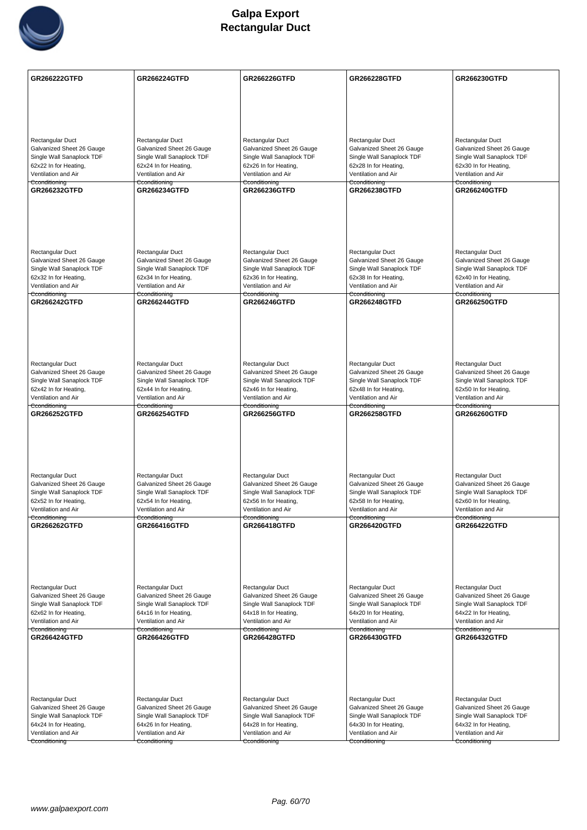

| Rectangular Duct<br>Rectangular Duct<br>Rectangular Duct<br>Rectangular Duct<br>Rectangular Duct                                                                                                                                                                           |  |
|----------------------------------------------------------------------------------------------------------------------------------------------------------------------------------------------------------------------------------------------------------------------------|--|
|                                                                                                                                                                                                                                                                            |  |
|                                                                                                                                                                                                                                                                            |  |
|                                                                                                                                                                                                                                                                            |  |
|                                                                                                                                                                                                                                                                            |  |
| Galvanized Sheet 26 Gauge<br>Galvanized Sheet 26 Gauge<br>Galvanized Sheet 26 Gauge<br>Galvanized Sheet 26 Gauge<br>Galvanized Sheet 26 Gauge                                                                                                                              |  |
| Single Wall Sanaplock TDF<br>Single Wall Sanaplock TDF<br>Single Wall Sanaplock TDF<br>Single Wall Sanaplock TDF<br>Single Wall Sanaplock TDF                                                                                                                              |  |
| 62x22 In for Heating,<br>62x24 In for Heating,<br>62x26 In for Heating,<br>62x28 In for Heating,<br>62x30 In for Heating,<br>Ventilation and Air<br>Ventilation and Air<br>Ventilation and Air<br>Ventilation and Air<br>Ventilation and Air                               |  |
| Cconditioning<br>Cconditioning<br>Cconditioning<br>Cconditioning<br>Cconditioning                                                                                                                                                                                          |  |
| <b>GR266232GTFD</b><br><b>GR266234GTFD</b><br><b>GR266236GTFD</b><br>GR266238GTFD<br><b>GR266240GTFD</b>                                                                                                                                                                   |  |
|                                                                                                                                                                                                                                                                            |  |
|                                                                                                                                                                                                                                                                            |  |
|                                                                                                                                                                                                                                                                            |  |
|                                                                                                                                                                                                                                                                            |  |
| Rectangular Duct<br>Rectangular Duct<br>Rectangular Duct<br>Rectangular Duct<br>Rectangular Duct<br>Galvanized Sheet 26 Gauge<br>Galvanized Sheet 26 Gauge<br>Galvanized Sheet 26 Gauge<br>Galvanized Sheet 26 Gauge<br>Galvanized Sheet 26 Gauge                          |  |
| Single Wall Sanaplock TDF<br>Single Wall Sanaplock TDF<br>Single Wall Sanaplock TDF<br>Single Wall Sanaplock TDF<br>Single Wall Sanaplock TDF                                                                                                                              |  |
| 62x32 In for Heating,<br>62x34 In for Heating,<br>62x36 In for Heating,<br>62x38 In for Heating,<br>62x40 In for Heating,<br>Ventilation and Air<br>Ventilation and Air<br>Ventilation and Air<br>Ventilation and Air<br>Ventilation and Air                               |  |
| Cconditioning<br>Cconditioning<br>Cconditioning<br>Cconditioning<br>Cconditioning                                                                                                                                                                                          |  |
| <b>GR266242GTFD</b><br><b>GR266244GTFD</b><br><b>GR266246GTFD</b><br><b>GR266248GTFD</b><br><b>GR266250GTFD</b>                                                                                                                                                            |  |
|                                                                                                                                                                                                                                                                            |  |
|                                                                                                                                                                                                                                                                            |  |
|                                                                                                                                                                                                                                                                            |  |
| Rectangular Duct<br>Rectangular Duct<br>Rectangular Duct<br>Rectangular Duct<br>Rectangular Duct                                                                                                                                                                           |  |
| Galvanized Sheet 26 Gauge<br>Galvanized Sheet 26 Gauge<br>Galvanized Sheet 26 Gauge<br>Galvanized Sheet 26 Gauge<br>Galvanized Sheet 26 Gauge                                                                                                                              |  |
| Single Wall Sanaplock TDF<br>Single Wall Sanaplock TDF<br>Single Wall Sanaplock TDF<br>Single Wall Sanaplock TDF<br>Single Wall Sanaplock TDF                                                                                                                              |  |
| 62x42 In for Heating,<br>62x44 In for Heating,<br>62x46 In for Heating,<br>62x48 In for Heating,<br>62x50 In for Heating,<br>Ventilation and Air<br>Ventilation and Air<br>Ventilation and Air<br>Ventilation and Air<br>Ventilation and Air                               |  |
| Cconditioning<br>Cconditioning<br>Cconditioning<br>Cconditioning<br>Cconditioning                                                                                                                                                                                          |  |
| <b>GR266252GTFD</b><br><b>GR266254GTFD</b><br><b>GR266256GTFD</b><br><b>GR266258GTFD</b><br><b>GR266260GTFD</b>                                                                                                                                                            |  |
|                                                                                                                                                                                                                                                                            |  |
|                                                                                                                                                                                                                                                                            |  |
|                                                                                                                                                                                                                                                                            |  |
| Rectangular Duct<br>Rectangular Duct<br>Rectangular Duct<br>Rectangular Duct<br>Rectangular Duct                                                                                                                                                                           |  |
| Galvanized Sheet 26 Gauge<br>Galvanized Sheet 26 Gauge<br>Galvanized Sheet 26 Gauge<br>Galvanized Sheet 26 Gauge<br>Galvanized Sheet 26 Gauge                                                                                                                              |  |
| Single Wall Sanaplock TDF<br>Single Wall Sanaplock TDF<br>Single Wall Sanaplock TDF<br>Single Wall Sanaplock TDF<br>Single Wall Sanaplock TDF<br>62x52 In for Heating,<br>62x54 In for Heating,<br>62x56 In for Heating,<br>62x58 In for Heating,<br>62x60 In for Heating, |  |
| Ventilation and Air<br>Ventilation and Air<br>Ventilation and Air<br>Ventilation and Air<br>Ventilation and Air                                                                                                                                                            |  |
| Cconditioning<br>Cconditioning<br>Cconditioning<br>Cconditioning<br>Cconditioning<br>GR266262GTFD<br><b>GR266416GTFD</b><br><b>GR266418GTFD</b><br>GR266420GTFD<br><b>GR266422GTFD</b>                                                                                     |  |
|                                                                                                                                                                                                                                                                            |  |
|                                                                                                                                                                                                                                                                            |  |
|                                                                                                                                                                                                                                                                            |  |
|                                                                                                                                                                                                                                                                            |  |
| Rectangular Duct<br>Rectangular Duct<br>Rectangular Duct<br>Rectangular Duct<br>Rectangular Duct                                                                                                                                                                           |  |
| Galvanized Sheet 26 Gauge<br>Galvanized Sheet 26 Gauge<br>Galvanized Sheet 26 Gauge<br>Galvanized Sheet 26 Gauge<br>Galvanized Sheet 26 Gauge                                                                                                                              |  |
| Single Wall Sanaplock TDF<br>Single Wall Sanaplock TDF<br>Single Wall Sanaplock TDF<br>Single Wall Sanaplock TDF<br>Single Wall Sanaplock TDF<br>62x62 In for Heating,<br>64x16 In for Heating,<br>64x18 In for Heating,<br>64x20 In for Heating,<br>64x22 In for Heating, |  |
| Ventilation and Air<br>Ventilation and Air<br>Ventilation and Air<br>Ventilation and Air<br>Ventilation and Air                                                                                                                                                            |  |
| Cconditioning<br>Cconditioning<br>Cconditioning<br>Cconditioning<br>Cconditioning<br><b>GR266424GTFD</b><br><b>GR266426GTFD</b><br><b>GR266428GTFD</b><br><b>GR266430GTFD</b><br><b>GR266432GTFD</b>                                                                       |  |
|                                                                                                                                                                                                                                                                            |  |
|                                                                                                                                                                                                                                                                            |  |
|                                                                                                                                                                                                                                                                            |  |
|                                                                                                                                                                                                                                                                            |  |
| Rectangular Duct<br>Rectangular Duct<br>Rectangular Duct<br>Rectangular Duct<br>Rectangular Duct                                                                                                                                                                           |  |
| Galvanized Sheet 26 Gauge<br>Galvanized Sheet 26 Gauge<br>Galvanized Sheet 26 Gauge<br>Galvanized Sheet 26 Gauge<br>Galvanized Sheet 26 Gauge                                                                                                                              |  |
| Single Wall Sanaplock TDF<br>Single Wall Sanaplock TDF<br>Single Wall Sanaplock TDF<br>Single Wall Sanaplock TDF<br>Single Wall Sanaplock TDF<br>64x24 In for Heating,<br>64x26 In for Heating,<br>64x28 In for Heating,<br>64x30 In for Heating,<br>64x32 In for Heating, |  |
| Ventilation and Air<br>Ventilation and Air<br>Ventilation and Air<br>Ventilation and Air<br>Ventilation and Air                                                                                                                                                            |  |
| Cconditioning<br>Cconditioning<br>Cconditioning<br>Cconditioning<br>Cconditioning                                                                                                                                                                                          |  |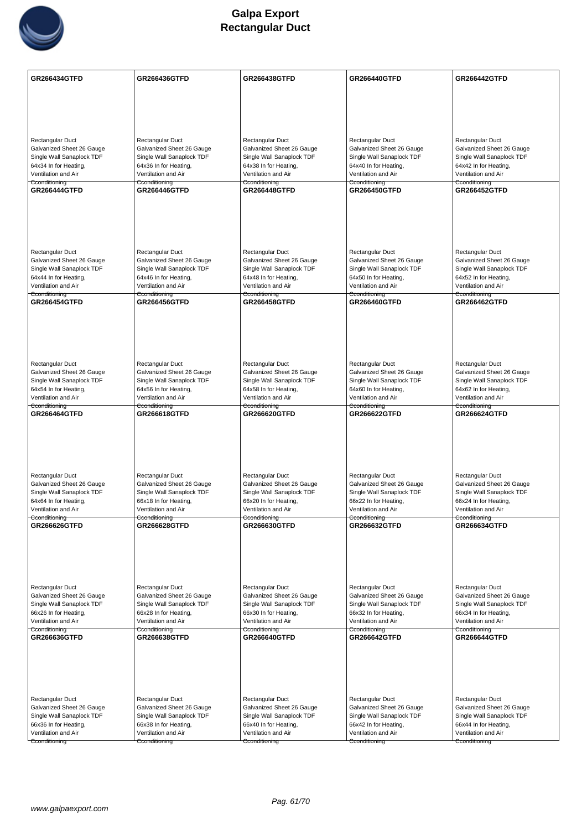

| GR266434GTFD                                           | <b>GR266436GTFD</b>                                    | <b>GR266438GTFD</b>                                    | <b>GR266440GTFD</b>                                    | <b>GR266442GTFD</b>                                    |
|--------------------------------------------------------|--------------------------------------------------------|--------------------------------------------------------|--------------------------------------------------------|--------------------------------------------------------|
|                                                        |                                                        |                                                        |                                                        |                                                        |
|                                                        |                                                        |                                                        |                                                        |                                                        |
|                                                        |                                                        |                                                        |                                                        |                                                        |
|                                                        |                                                        |                                                        |                                                        |                                                        |
| Rectangular Duct<br>Galvanized Sheet 26 Gauge          | Rectangular Duct<br>Galvanized Sheet 26 Gauge          | Rectangular Duct<br>Galvanized Sheet 26 Gauge          | Rectangular Duct<br>Galvanized Sheet 26 Gauge          | Rectangular Duct<br>Galvanized Sheet 26 Gauge          |
| Single Wall Sanaplock TDF                              | Single Wall Sanaplock TDF                              | Single Wall Sanaplock TDF                              | Single Wall Sanaplock TDF                              | Single Wall Sanaplock TDF                              |
| 64x34 In for Heating,                                  | 64x36 In for Heating,                                  | 64x38 In for Heating,                                  | 64x40 In for Heating,                                  | 64x42 In for Heating,                                  |
| Ventilation and Air<br>Cconditioning                   | Ventilation and Air<br>Cconditioning                   | Ventilation and Air<br>Cconditioning                   | Ventilation and Air<br>Cconditioning                   | Ventilation and Air<br>Cconditioning                   |
| <b>GR266444GTFD</b>                                    | <b>GR266446GTFD</b>                                    | <b>GR266448GTFD</b>                                    | <b>GR266450GTFD</b>                                    | <b>GR266452GTFD</b>                                    |
|                                                        |                                                        |                                                        |                                                        |                                                        |
|                                                        |                                                        |                                                        |                                                        |                                                        |
|                                                        |                                                        |                                                        |                                                        |                                                        |
|                                                        |                                                        |                                                        |                                                        |                                                        |
| Rectangular Duct                                       | Rectangular Duct                                       | Rectangular Duct                                       | Rectangular Duct                                       | Rectangular Duct                                       |
| Galvanized Sheet 26 Gauge<br>Single Wall Sanaplock TDF | Galvanized Sheet 26 Gauge<br>Single Wall Sanaplock TDF | Galvanized Sheet 26 Gauge<br>Single Wall Sanaplock TDF | Galvanized Sheet 26 Gauge<br>Single Wall Sanaplock TDF | Galvanized Sheet 26 Gauge<br>Single Wall Sanaplock TDF |
| 64x44 In for Heating,                                  | 64x46 In for Heating,                                  | 64x48 In for Heating,                                  | 64x50 In for Heating,                                  | 64x52 In for Heating,                                  |
| Ventilation and Air                                    | Ventilation and Air                                    | Ventilation and Air                                    | Ventilation and Air                                    | Ventilation and Air                                    |
| Cconditioning<br><b>GR266454GTFD</b>                   | Cconditioning<br><b>GR266456GTFD</b>                   | Cconditioning<br><b>GR266458GTFD</b>                   | Cconditioning<br>GR266460GTFD                          | Cconditioning<br><b>GR266462GTFD</b>                   |
|                                                        |                                                        |                                                        |                                                        |                                                        |
|                                                        |                                                        |                                                        |                                                        |                                                        |
|                                                        |                                                        |                                                        |                                                        |                                                        |
|                                                        |                                                        |                                                        |                                                        |                                                        |
| Rectangular Duct                                       | Rectangular Duct                                       | Rectangular Duct                                       | Rectangular Duct                                       | Rectangular Duct                                       |
| Galvanized Sheet 26 Gauge<br>Single Wall Sanaplock TDF | Galvanized Sheet 26 Gauge<br>Single Wall Sanaplock TDF | Galvanized Sheet 26 Gauge<br>Single Wall Sanaplock TDF | Galvanized Sheet 26 Gauge<br>Single Wall Sanaplock TDF | Galvanized Sheet 26 Gauge<br>Single Wall Sanaplock TDF |
| 64x54 In for Heating,                                  | 64x56 In for Heating,                                  | 64x58 In for Heating,                                  | 64x60 In for Heating,                                  | 64x62 In for Heating,                                  |
| Ventilation and Air<br>Cconditioning                   | Ventilation and Air<br>Cconditioning                   | Ventilation and Air<br>Cconditioning                   | Ventilation and Air<br>Cconditioning                   | Ventilation and Air<br>Cconditioning                   |
| <b>GR266464GTFD</b>                                    | <b>GR266618GTFD</b>                                    | <b>GR266620GTFD</b>                                    | <b>GR266622GTFD</b>                                    | <b>GR266624GTFD</b>                                    |
|                                                        |                                                        |                                                        |                                                        |                                                        |
|                                                        |                                                        |                                                        |                                                        |                                                        |
|                                                        |                                                        |                                                        |                                                        |                                                        |
|                                                        |                                                        |                                                        |                                                        |                                                        |
| Rectangular Duct                                       | Rectangular Duct                                       | Rectangular Duct                                       | Rectangular Duct                                       | Rectangular Duct                                       |
| Galvanized Sheet 26 Gauge<br>Single Wall Sanaplock TDF | Galvanized Sheet 26 Gauge<br>Single Wall Sanaplock TDF | Galvanized Sheet 26 Gauge<br>Single Wall Sanaplock TDF | Galvanized Sheet 26 Gauge<br>Single Wall Sanaplock TDF | Galvanized Sheet 26 Gauge<br>Single Wall Sanaplock TDF |
| 64x64 In for Heating,                                  | 66x18 In for Heating,                                  | 66x20 In for Heating,                                  | 66x22 In for Heating,                                  | 66x24 In for Heating,                                  |
| Ventilation and Air<br>Cconditioning                   | Ventilation and Air<br>Cconditioning                   | Ventilation and Air<br>Cconditioning                   | Ventilation and Air<br>Cconditioning                   | Ventilation and Air<br>Cconditioning                   |
| GR266626GTFD                                           | <b>GR266628GTFD</b>                                    | GR266630GTFD                                           | GR266632GTFD                                           | GR266634GTFD                                           |
|                                                        |                                                        |                                                        |                                                        |                                                        |
|                                                        |                                                        |                                                        |                                                        |                                                        |
|                                                        |                                                        |                                                        |                                                        |                                                        |
|                                                        |                                                        |                                                        |                                                        |                                                        |
| Rectangular Duct                                       | Rectangular Duct<br>Galvanized Sheet 26 Gauge          | Rectangular Duct                                       | Rectangular Duct<br>Galvanized Sheet 26 Gauge          | Rectangular Duct                                       |
| Galvanized Sheet 26 Gauge<br>Single Wall Sanaplock TDF | Single Wall Sanaplock TDF                              | Galvanized Sheet 26 Gauge<br>Single Wall Sanaplock TDF | Single Wall Sanaplock TDF                              | Galvanized Sheet 26 Gauge<br>Single Wall Sanaplock TDF |
| 66x26 In for Heating,                                  | 66x28 In for Heating,                                  | 66x30 In for Heating,                                  | 66x32 In for Heating,                                  | 66x34 In for Heating,                                  |
| Ventilation and Air<br>Cconditioning                   | Ventilation and Air<br>Cconditioning                   | Ventilation and Air<br>Cconditioning                   | Ventilation and Air<br>Cconditioning                   | Ventilation and Air<br>Cconditioning                   |
| GR266636GTFD                                           | <b>GR266638GTFD</b>                                    | <b>GR266640GTFD</b>                                    | <b>GR266642GTFD</b>                                    | <b>GR266644GTFD</b>                                    |
|                                                        |                                                        |                                                        |                                                        |                                                        |
|                                                        |                                                        |                                                        |                                                        |                                                        |
|                                                        |                                                        |                                                        |                                                        |                                                        |
|                                                        |                                                        |                                                        |                                                        |                                                        |
| Rectangular Duct                                       | Rectangular Duct                                       | Rectangular Duct                                       | Rectangular Duct                                       | Rectangular Duct                                       |
| Galvanized Sheet 26 Gauge<br>Single Wall Sanaplock TDF | Galvanized Sheet 26 Gauge<br>Single Wall Sanaplock TDF | Galvanized Sheet 26 Gauge<br>Single Wall Sanaplock TDF | Galvanized Sheet 26 Gauge<br>Single Wall Sanaplock TDF | Galvanized Sheet 26 Gauge<br>Single Wall Sanaplock TDF |
| 66x36 In for Heating,                                  | 66x38 In for Heating,                                  | 66x40 In for Heating,                                  | 66x42 In for Heating,                                  | 66x44 In for Heating,                                  |
| Ventilation and Air                                    | Ventilation and Air                                    | Ventilation and Air                                    | Ventilation and Air                                    | Ventilation and Air                                    |
| Cconditioning                                          | Cconditioning                                          | Cconditioning                                          | Cconditioning                                          | Cconditioning                                          |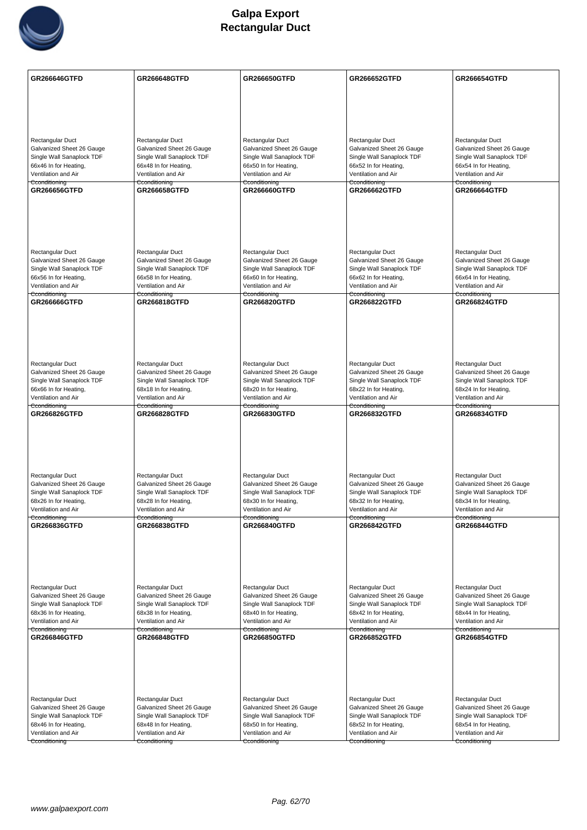

| GR266646GTFD                                           | <b>GR266648GTFD</b>                                    | <b>GR266650GTFD</b>                                    | <b>GR266652GTFD</b>                                    | GR266654GTFD                                           |
|--------------------------------------------------------|--------------------------------------------------------|--------------------------------------------------------|--------------------------------------------------------|--------------------------------------------------------|
|                                                        |                                                        |                                                        |                                                        |                                                        |
|                                                        |                                                        |                                                        |                                                        |                                                        |
|                                                        |                                                        |                                                        |                                                        |                                                        |
|                                                        |                                                        |                                                        |                                                        |                                                        |
| Rectangular Duct                                       | Rectangular Duct                                       | Rectangular Duct                                       | Rectangular Duct                                       | Rectangular Duct                                       |
| Galvanized Sheet 26 Gauge                              | Galvanized Sheet 26 Gauge                              | Galvanized Sheet 26 Gauge                              | Galvanized Sheet 26 Gauge                              | Galvanized Sheet 26 Gauge                              |
| Single Wall Sanaplock TDF<br>66x46 In for Heating,     | Single Wall Sanaplock TDF<br>66x48 In for Heating,     | Single Wall Sanaplock TDF<br>66x50 In for Heating,     | Single Wall Sanaplock TDF<br>66x52 In for Heating,     | Single Wall Sanaplock TDF<br>66x54 In for Heating,     |
| Ventilation and Air                                    | Ventilation and Air                                    | Ventilation and Air                                    | Ventilation and Air                                    | Ventilation and Air                                    |
| Cconditioning<br>GR266656GTFD                          | Cconditioning<br><b>GR266658GTFD</b>                   | Cconditioning<br>GR266660GTFD                          | Cconditioning<br><b>GR266662GTFD</b>                   | Cconditioning<br><b>GR266664GTFD</b>                   |
|                                                        |                                                        |                                                        |                                                        |                                                        |
|                                                        |                                                        |                                                        |                                                        |                                                        |
|                                                        |                                                        |                                                        |                                                        |                                                        |
|                                                        |                                                        |                                                        |                                                        |                                                        |
|                                                        |                                                        |                                                        |                                                        |                                                        |
| <b>Rectangular Duct</b>                                | Rectangular Duct                                       | Rectangular Duct                                       | Rectangular Duct                                       | Rectangular Duct                                       |
| Galvanized Sheet 26 Gauge<br>Single Wall Sanaplock TDF | Galvanized Sheet 26 Gauge<br>Single Wall Sanaplock TDF | Galvanized Sheet 26 Gauge<br>Single Wall Sanaplock TDF | Galvanized Sheet 26 Gauge<br>Single Wall Sanaplock TDF | Galvanized Sheet 26 Gauge<br>Single Wall Sanaplock TDF |
| 66x56 In for Heating,                                  | 66x58 In for Heating,                                  | 66x60 In for Heating,                                  | 66x62 In for Heating,                                  | 66x64 In for Heating,                                  |
| Ventilation and Air                                    | Ventilation and Air                                    | Ventilation and Air                                    | Ventilation and Air                                    | Ventilation and Air                                    |
| Cconditioning<br>GR266666GTFD                          | <del>Cconditioning</del><br>GR266818GTFD               | Cconditioning<br><b>GR266820GTFD</b>                   | <del>Cconditioning</del><br>GR266822GTFD               | Cconditioning<br><b>GR266824GTFD</b>                   |
|                                                        |                                                        |                                                        |                                                        |                                                        |
|                                                        |                                                        |                                                        |                                                        |                                                        |
|                                                        |                                                        |                                                        |                                                        |                                                        |
|                                                        |                                                        |                                                        |                                                        |                                                        |
|                                                        |                                                        |                                                        |                                                        |                                                        |
| Rectangular Duct<br>Galvanized Sheet 26 Gauge          | Rectangular Duct<br>Galvanized Sheet 26 Gauge          | Rectangular Duct<br>Galvanized Sheet 26 Gauge          | Rectangular Duct<br>Galvanized Sheet 26 Gauge          | Rectangular Duct<br>Galvanized Sheet 26 Gauge          |
| Single Wall Sanaplock TDF                              | Single Wall Sanaplock TDF                              | Single Wall Sanaplock TDF                              | Single Wall Sanaplock TDF                              | Single Wall Sanaplock TDF                              |
| 66x66 In for Heating,                                  | 68x18 In for Heating,                                  | 68x20 In for Heating,                                  | 68x22 In for Heating,                                  | 68x24 In for Heating,                                  |
| Ventilation and Air<br>Cconditioning                   | Ventilation and Air<br>Cconditioning                   | Ventilation and Air<br>Cconditioning                   | Ventilation and Air<br>Cconditioning                   | Ventilation and Air<br>Cconditioning                   |
| GR266826GTFD                                           | <b>GR266828GTFD</b>                                    | GR266830GTFD                                           | GR266832GTFD                                           | GR266834GTFD                                           |
|                                                        |                                                        |                                                        |                                                        |                                                        |
|                                                        |                                                        |                                                        |                                                        |                                                        |
|                                                        |                                                        |                                                        |                                                        |                                                        |
|                                                        |                                                        |                                                        |                                                        |                                                        |
| Rectangular Duct                                       | Rectangular Duct                                       | Rectangular Duct                                       | Rectangular Duct                                       | Rectangular Duct                                       |
| Galvanized Sheet 26 Gauge                              | Galvanized Sheet 26 Gauge                              | Galvanized Sheet 26 Gauge                              | Galvanized Sheet 26 Gauge                              | Galvanized Sheet 26 Gauge                              |
| Single Wall Sanaplock TDF                              | Single Wall Sanaplock TDF                              | Single Wall Sanaplock TDF                              | Single Wall Sanaplock TDF                              | Single Wall Sanaplock TDF                              |
| 68x26 In for Heating,<br>Ventilation and Air           | 68x28 In for Heating,<br>Ventilation and Air           | 68x30 In for Heating,<br>Ventilation and Air           | 68x32 In for Heating,<br>Ventilation and Air           | 68x34 In for Heating,<br>Ventilation and Air           |
| Cconditioning                                          | Cconditioning                                          | Cconditioning                                          | Cconditioning                                          | Cconditioning                                          |
| GR266836GTFD                                           | GR266838GTFD                                           | <b>GR266840GTFD</b>                                    | GR266842GTFD                                           | <b>GR266844GTFD</b>                                    |
|                                                        |                                                        |                                                        |                                                        |                                                        |
|                                                        |                                                        |                                                        |                                                        |                                                        |
|                                                        |                                                        |                                                        |                                                        |                                                        |
|                                                        |                                                        |                                                        |                                                        |                                                        |
| Rectangular Duct                                       | Rectangular Duct                                       | <b>Rectangular Duct</b>                                | Rectangular Duct                                       | Rectangular Duct                                       |
| Galvanized Sheet 26 Gauge                              | Galvanized Sheet 26 Gauge                              | Galvanized Sheet 26 Gauge                              | Galvanized Sheet 26 Gauge                              | Galvanized Sheet 26 Gauge                              |
| Single Wall Sanaplock TDF<br>68x36 In for Heating,     | Single Wall Sanaplock TDF<br>68x38 In for Heating,     | Single Wall Sanaplock TDF<br>68x40 In for Heating,     | Single Wall Sanaplock TDF<br>68x42 In for Heating,     | Single Wall Sanaplock TDF<br>68x44 In for Heating,     |
| Ventilation and Air                                    | Ventilation and Air                                    | Ventilation and Air                                    | Ventilation and Air                                    | Ventilation and Air                                    |
| Cconditioning<br>GR266846GTFD                          | Cconditioning<br><b>GR266848GTFD</b>                   | Cconditioning<br><b>GR266850GTFD</b>                   | Cconditioning<br>GR266852GTFD                          | Cconditioning<br><b>GR266854GTFD</b>                   |
|                                                        |                                                        |                                                        |                                                        |                                                        |
|                                                        |                                                        |                                                        |                                                        |                                                        |
|                                                        |                                                        |                                                        |                                                        |                                                        |
|                                                        |                                                        |                                                        |                                                        |                                                        |
|                                                        |                                                        |                                                        |                                                        |                                                        |
| Rectangular Duct                                       | Rectangular Duct                                       | Rectangular Duct                                       | Rectangular Duct                                       | Rectangular Duct                                       |
| Galvanized Sheet 26 Gauge<br>Single Wall Sanaplock TDF | Galvanized Sheet 26 Gauge<br>Single Wall Sanaplock TDF | Galvanized Sheet 26 Gauge<br>Single Wall Sanaplock TDF | Galvanized Sheet 26 Gauge<br>Single Wall Sanaplock TDF | Galvanized Sheet 26 Gauge<br>Single Wall Sanaplock TDF |
| 68x46 In for Heating,                                  | 68x48 In for Heating,                                  | 68x50 In for Heating,                                  | 68x52 In for Heating,                                  | 68x54 In for Heating,                                  |
| Ventilation and Air                                    | Ventilation and Air                                    | Ventilation and Air                                    | Ventilation and Air                                    | Ventilation and Air                                    |
| Cconditioning                                          | Cconditioning                                          | Cconditioning                                          | Cconditioning                                          | Cconditioning                                          |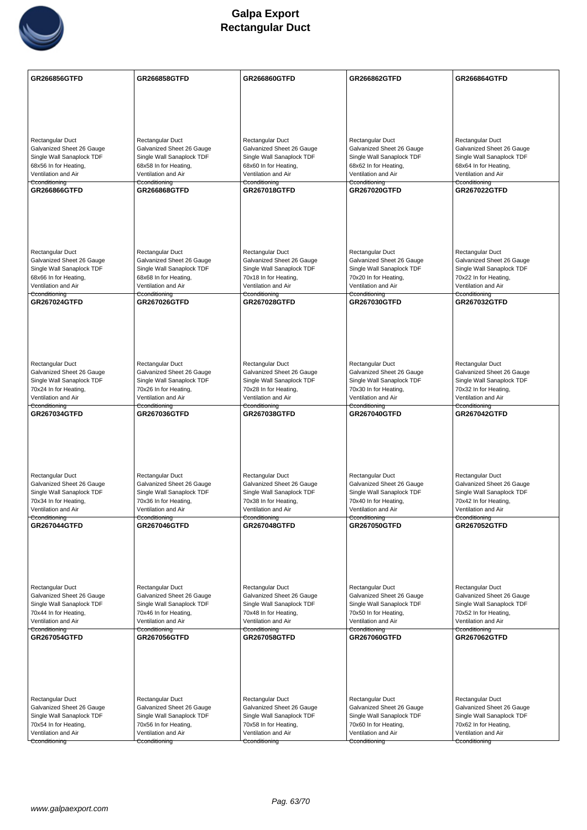

| Rectangular Duct<br>Rectangular Duct<br>Rectangular Duct<br>Rectangular Duct<br>Rectangular Duct<br>Galvanized Sheet 26 Gauge<br>Galvanized Sheet 26 Gauge<br>Galvanized Sheet 26 Gauge<br>Galvanized Sheet 26 Gauge<br>Galvanized Sheet 26 Gauge<br>Single Wall Sanaplock TDF<br>Single Wall Sanaplock TDF<br>Single Wall Sanaplock TDF<br>Single Wall Sanaplock TDF<br>Single Wall Sanaplock TDF<br>68x56 In for Heating,<br>68x58 In for Heating,<br>68x60 In for Heating,<br>68x62 In for Heating,<br>68x64 In for Heating, |  |
|---------------------------------------------------------------------------------------------------------------------------------------------------------------------------------------------------------------------------------------------------------------------------------------------------------------------------------------------------------------------------------------------------------------------------------------------------------------------------------------------------------------------------------|--|
|                                                                                                                                                                                                                                                                                                                                                                                                                                                                                                                                 |  |
|                                                                                                                                                                                                                                                                                                                                                                                                                                                                                                                                 |  |
|                                                                                                                                                                                                                                                                                                                                                                                                                                                                                                                                 |  |
|                                                                                                                                                                                                                                                                                                                                                                                                                                                                                                                                 |  |
|                                                                                                                                                                                                                                                                                                                                                                                                                                                                                                                                 |  |
|                                                                                                                                                                                                                                                                                                                                                                                                                                                                                                                                 |  |
|                                                                                                                                                                                                                                                                                                                                                                                                                                                                                                                                 |  |
| Ventilation and Air<br>Ventilation and Air<br>Ventilation and Air<br>Ventilation and Air<br>Ventilation and Air                                                                                                                                                                                                                                                                                                                                                                                                                 |  |
| Cconditioning<br>Cconditioning<br>Cconditioning<br>Cconditioning<br>Cconditioning<br>GR267018GTFD<br>GR267022GTFD                                                                                                                                                                                                                                                                                                                                                                                                               |  |
| GR266866GTFD<br><b>GR266868GTFD</b><br><b>GR267020GTFD</b>                                                                                                                                                                                                                                                                                                                                                                                                                                                                      |  |
|                                                                                                                                                                                                                                                                                                                                                                                                                                                                                                                                 |  |
|                                                                                                                                                                                                                                                                                                                                                                                                                                                                                                                                 |  |
|                                                                                                                                                                                                                                                                                                                                                                                                                                                                                                                                 |  |
|                                                                                                                                                                                                                                                                                                                                                                                                                                                                                                                                 |  |
| Rectangular Duct<br>Rectangular Duct<br>Rectangular Duct<br>Rectangular Duct<br>Rectangular Duct                                                                                                                                                                                                                                                                                                                                                                                                                                |  |
| Galvanized Sheet 26 Gauge<br>Galvanized Sheet 26 Gauge<br>Galvanized Sheet 26 Gauge<br>Galvanized Sheet 26 Gauge<br>Galvanized Sheet 26 Gauge                                                                                                                                                                                                                                                                                                                                                                                   |  |
| Single Wall Sanaplock TDF<br>Single Wall Sanaplock TDF<br>Single Wall Sanaplock TDF<br>Single Wall Sanaplock TDF<br>Single Wall Sanaplock TDF<br>68x66 In for Heating,<br>68x68 In for Heating,<br>70x18 In for Heating,<br>70x20 In for Heating,<br>70x22 In for Heating,                                                                                                                                                                                                                                                      |  |
| Ventilation and Air<br>Ventilation and Air<br>Ventilation and Air<br>Ventilation and Air<br>Ventilation and Air                                                                                                                                                                                                                                                                                                                                                                                                                 |  |
| Cconditioning<br>Cconditioning<br>Cconditioning<br>Cconditioning<br>Cconditioning                                                                                                                                                                                                                                                                                                                                                                                                                                               |  |
| <b>GR267024GTFD</b><br><b>GR267026GTFD</b><br>GR267028GTFD<br>GR267030GTFD<br><b>GR267032GTFD</b>                                                                                                                                                                                                                                                                                                                                                                                                                               |  |
|                                                                                                                                                                                                                                                                                                                                                                                                                                                                                                                                 |  |
|                                                                                                                                                                                                                                                                                                                                                                                                                                                                                                                                 |  |
|                                                                                                                                                                                                                                                                                                                                                                                                                                                                                                                                 |  |
|                                                                                                                                                                                                                                                                                                                                                                                                                                                                                                                                 |  |
| Rectangular Duct<br>Rectangular Duct<br>Rectangular Duct<br>Rectangular Duct<br>Rectangular Duct                                                                                                                                                                                                                                                                                                                                                                                                                                |  |
| Galvanized Sheet 26 Gauge<br>Galvanized Sheet 26 Gauge<br>Galvanized Sheet 26 Gauge<br>Galvanized Sheet 26 Gauge<br>Galvanized Sheet 26 Gauge                                                                                                                                                                                                                                                                                                                                                                                   |  |
| Single Wall Sanaplock TDF<br>Single Wall Sanaplock TDF<br>Single Wall Sanaplock TDF<br>Single Wall Sanaplock TDF<br>Single Wall Sanaplock TDF<br>70x24 In for Heating,<br>70x26 In for Heating,<br>70x28 In for Heating,<br>70x30 In for Heating,<br>70x32 In for Heating,                                                                                                                                                                                                                                                      |  |
| Ventilation and Air<br>Ventilation and Air<br>Ventilation and Air<br>Ventilation and Air<br>Ventilation and Air                                                                                                                                                                                                                                                                                                                                                                                                                 |  |
| Cconditioning<br>Cconditioning<br>Cconditioning<br>Cconditioning<br>Cconditioning                                                                                                                                                                                                                                                                                                                                                                                                                                               |  |
| GR267034GTFD<br>GR267036GTFD<br><b>GR267038GTFD</b><br>GR267040GTFD<br><b>GR267042GTFD</b>                                                                                                                                                                                                                                                                                                                                                                                                                                      |  |
|                                                                                                                                                                                                                                                                                                                                                                                                                                                                                                                                 |  |
|                                                                                                                                                                                                                                                                                                                                                                                                                                                                                                                                 |  |
|                                                                                                                                                                                                                                                                                                                                                                                                                                                                                                                                 |  |
|                                                                                                                                                                                                                                                                                                                                                                                                                                                                                                                                 |  |
| Rectangular Duct<br>Rectangular Duct<br>Rectangular Duct<br>Rectangular Duct<br>Rectangular Duct                                                                                                                                                                                                                                                                                                                                                                                                                                |  |
| Galvanized Sheet 26 Gauge<br>Galvanized Sheet 26 Gauge<br>Galvanized Sheet 26 Gauge<br>Galvanized Sheet 26 Gauge<br>Galvanized Sheet 26 Gauge                                                                                                                                                                                                                                                                                                                                                                                   |  |
| Single Wall Sanaplock TDF<br>Single Wall Sanaplock TDF<br>Single Wall Sanaplock TDF<br>Single Wall Sanaplock TDF<br>Single Wall Sanaplock TDF<br>70x34 In for Heating,<br>70x36 In for Heating,<br>70x38 In for Heating,<br>70x40 In for Heating,<br>70x42 In for Heating,                                                                                                                                                                                                                                                      |  |
| Ventilation and Air<br>Ventilation and Air<br>Ventilation and Air<br>Ventilation and Air<br>Ventilation and Air                                                                                                                                                                                                                                                                                                                                                                                                                 |  |
| Cconditioning<br>Cconditioning<br>Cconditioning<br>Cconditioning<br>Cconditioning                                                                                                                                                                                                                                                                                                                                                                                                                                               |  |
| <b>GR267044GTFD</b><br><b>GR267046GTFD</b><br><b>GR267048GTFD</b><br><b>GR267050GTFD</b><br><b>GR267052GTFD</b>                                                                                                                                                                                                                                                                                                                                                                                                                 |  |
|                                                                                                                                                                                                                                                                                                                                                                                                                                                                                                                                 |  |
|                                                                                                                                                                                                                                                                                                                                                                                                                                                                                                                                 |  |
|                                                                                                                                                                                                                                                                                                                                                                                                                                                                                                                                 |  |
|                                                                                                                                                                                                                                                                                                                                                                                                                                                                                                                                 |  |
| Rectangular Duct<br>Rectangular Duct<br>Rectangular Duct<br>Rectangular Duct<br>Rectangular Duct                                                                                                                                                                                                                                                                                                                                                                                                                                |  |
| Galvanized Sheet 26 Gauge<br>Galvanized Sheet 26 Gauge<br>Galvanized Sheet 26 Gauge<br>Galvanized Sheet 26 Gauge<br>Galvanized Sheet 26 Gauge                                                                                                                                                                                                                                                                                                                                                                                   |  |
| Single Wall Sanaplock TDF<br>Single Wall Sanaplock TDF<br>Single Wall Sanaplock TDF<br>Single Wall Sanaplock TDF<br>Single Wall Sanaplock TDF<br>70x44 In for Heating,<br>70x46 In for Heating,<br>70x48 In for Heating,<br>70x50 In for Heating,<br>70x52 In for Heating,                                                                                                                                                                                                                                                      |  |
| Ventilation and Air<br>Ventilation and Air<br>Ventilation and Air<br>Ventilation and Air<br>Ventilation and Air                                                                                                                                                                                                                                                                                                                                                                                                                 |  |
| Cconditioning<br>Cconditioning<br>Cconditioning<br>Cconditioning<br>Cconditioning<br><b>GR267054GTFD</b><br>GR267060GTFD                                                                                                                                                                                                                                                                                                                                                                                                        |  |
| <b>GR267056GTFD</b><br><b>GR267058GTFD</b><br>GR267062GTFD                                                                                                                                                                                                                                                                                                                                                                                                                                                                      |  |
|                                                                                                                                                                                                                                                                                                                                                                                                                                                                                                                                 |  |
|                                                                                                                                                                                                                                                                                                                                                                                                                                                                                                                                 |  |
|                                                                                                                                                                                                                                                                                                                                                                                                                                                                                                                                 |  |
|                                                                                                                                                                                                                                                                                                                                                                                                                                                                                                                                 |  |
| Rectangular Duct<br>Rectangular Duct<br>Rectangular Duct<br>Rectangular Duct<br>Rectangular Duct                                                                                                                                                                                                                                                                                                                                                                                                                                |  |
| Galvanized Sheet 26 Gauge<br>Galvanized Sheet 26 Gauge<br>Galvanized Sheet 26 Gauge<br>Galvanized Sheet 26 Gauge<br>Galvanized Sheet 26 Gauge                                                                                                                                                                                                                                                                                                                                                                                   |  |
| Single Wall Sanaplock TDF<br>Single Wall Sanaplock TDF<br>Single Wall Sanaplock TDF<br>Single Wall Sanaplock TDF<br>Single Wall Sanaplock TDF<br>70x54 In for Heating,<br>70x56 In for Heating,<br>70x58 In for Heating,<br>70x60 In for Heating,<br>70x62 In for Heating,                                                                                                                                                                                                                                                      |  |
| Ventilation and Air<br>Ventilation and Air<br>Ventilation and Air<br>Ventilation and Air<br>Ventilation and Air                                                                                                                                                                                                                                                                                                                                                                                                                 |  |
| Cconditioning<br>Cconditioning<br>Cconditioning<br>Cconditioning<br>Cconditioning                                                                                                                                                                                                                                                                                                                                                                                                                                               |  |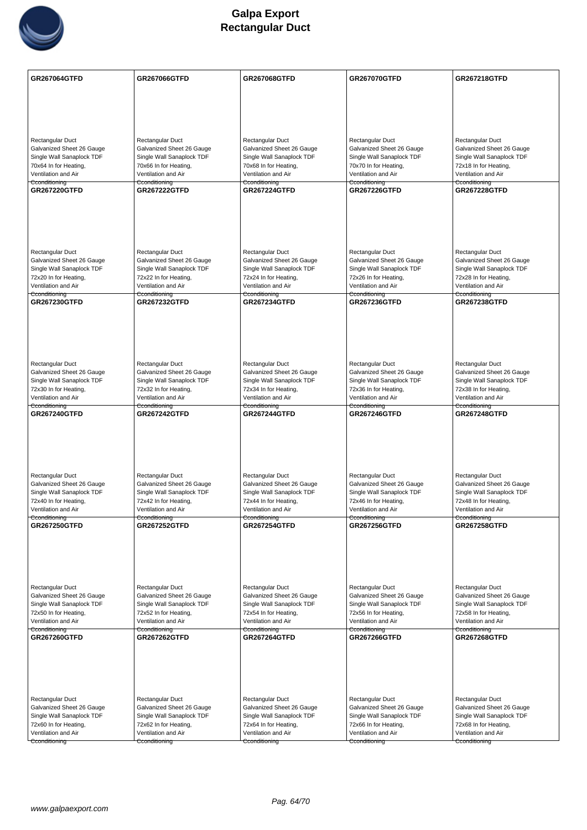

| GR267064GTFD                                           | <b>GR267066GTFD</b>                                    | <b>GR267068GTFD</b>                                    | GR267070GTFD                                           | GR267218GTFD                                           |
|--------------------------------------------------------|--------------------------------------------------------|--------------------------------------------------------|--------------------------------------------------------|--------------------------------------------------------|
|                                                        |                                                        |                                                        |                                                        |                                                        |
|                                                        |                                                        |                                                        |                                                        |                                                        |
|                                                        |                                                        |                                                        |                                                        |                                                        |
| <b>Rectangular Duct</b>                                | Rectangular Duct                                       | Rectangular Duct                                       | Rectangular Duct                                       | Rectangular Duct                                       |
| Galvanized Sheet 26 Gauge                              | Galvanized Sheet 26 Gauge                              | Galvanized Sheet 26 Gauge                              | Galvanized Sheet 26 Gauge                              | Galvanized Sheet 26 Gauge                              |
| Single Wall Sanaplock TDF<br>70x64 In for Heating,     | Single Wall Sanaplock TDF<br>70x66 In for Heating,     | Single Wall Sanaplock TDF<br>70x68 In for Heating,     | Single Wall Sanaplock TDF<br>70x70 In for Heating,     | Single Wall Sanaplock TDF<br>72x18 In for Heating,     |
| Ventilation and Air                                    | Ventilation and Air                                    | Ventilation and Air                                    | Ventilation and Air                                    | Ventilation and Air                                    |
| Cconditioning<br><b>GR267220GTFD</b>                   | Cconditioning<br><b>GR267222GTFD</b>                   | Cconditioning<br><b>GR267224GTFD</b>                   | Cconditioning<br><b>GR267226GTFD</b>                   | Cconditioning<br><b>GR267228GTFD</b>                   |
|                                                        |                                                        |                                                        |                                                        |                                                        |
|                                                        |                                                        |                                                        |                                                        |                                                        |
|                                                        |                                                        |                                                        |                                                        |                                                        |
|                                                        |                                                        |                                                        |                                                        |                                                        |
|                                                        |                                                        |                                                        |                                                        |                                                        |
| <b>Rectangular Duct</b><br>Galvanized Sheet 26 Gauge   | Rectangular Duct<br>Galvanized Sheet 26 Gauge          | Rectangular Duct<br>Galvanized Sheet 26 Gauge          | Rectangular Duct<br>Galvanized Sheet 26 Gauge          | Rectangular Duct<br>Galvanized Sheet 26 Gauge          |
| Single Wall Sanaplock TDF                              | Single Wall Sanaplock TDF                              | Single Wall Sanaplock TDF                              | Single Wall Sanaplock TDF                              | Single Wall Sanaplock TDF                              |
| 72x20 In for Heating,                                  | 72x22 In for Heating,                                  | 72x24 In for Heating,                                  | 72x26 In for Heating,                                  | 72x28 In for Heating,                                  |
| Ventilation and Air<br>Cconditioning                   | Ventilation and Air<br>Cconditioning                   | Ventilation and Air<br>Cconditioning                   | Ventilation and Air<br>Cconditioning                   | Ventilation and Air<br>Cconditioning                   |
| <b>GR267230GTFD</b>                                    | <b>GR267232GTFD</b>                                    | <b>GR267234GTFD</b>                                    | <b>GR267236GTFD</b>                                    | <b>GR267238GTFD</b>                                    |
|                                                        |                                                        |                                                        |                                                        |                                                        |
|                                                        |                                                        |                                                        |                                                        |                                                        |
|                                                        |                                                        |                                                        |                                                        |                                                        |
|                                                        |                                                        |                                                        |                                                        |                                                        |
| Rectangular Duct                                       | Rectangular Duct                                       | Rectangular Duct                                       | Rectangular Duct                                       | Rectangular Duct                                       |
| Galvanized Sheet 26 Gauge<br>Single Wall Sanaplock TDF | Galvanized Sheet 26 Gauge<br>Single Wall Sanaplock TDF | Galvanized Sheet 26 Gauge<br>Single Wall Sanaplock TDF | Galvanized Sheet 26 Gauge<br>Single Wall Sanaplock TDF | Galvanized Sheet 26 Gauge<br>Single Wall Sanaplock TDF |
| 72x30 In for Heating,                                  | 72x32 In for Heating,                                  | 72x34 In for Heating,                                  | 72x36 In for Heating,                                  | 72x38 In for Heating,                                  |
| Ventilation and Air                                    | Ventilation and Air                                    | Ventilation and Air                                    | Ventilation and Air                                    | Ventilation and Air                                    |
| Cconditioning<br><b>GR267240GTFD</b>                   | Cconditioning<br><b>GR267242GTFD</b>                   | Cconditioning<br><b>GR267244GTFD</b>                   | Cconditioning<br><b>GR267246GTFD</b>                   | Cconditioning<br><b>GR267248GTFD</b>                   |
|                                                        |                                                        |                                                        |                                                        |                                                        |
|                                                        |                                                        |                                                        |                                                        |                                                        |
|                                                        |                                                        |                                                        |                                                        |                                                        |
|                                                        |                                                        |                                                        |                                                        |                                                        |
| <b>Rectangular Duct</b>                                | Rectangular Duct                                       | Rectangular Duct                                       | Rectangular Duct                                       | Rectangular Duct                                       |
| Galvanized Sheet 26 Gauge                              | Galvanized Sheet 26 Gauge                              | Galvanized Sheet 26 Gauge                              | Galvanized Sheet 26 Gauge                              | Galvanized Sheet 26 Gauge                              |
| Single Wall Sanaplock TDF<br>72x40 In for Heating,     | Single Wall Sanaplock TDF<br>72x42 In for Heating,     | Single Wall Sanaplock TDF<br>72x44 In for Heating,     | Single Wall Sanaplock TDF<br>72x46 In for Heating,     | Single Wall Sanaplock TDF<br>72x48 In for Heating,     |
| Ventilation and Air                                    | Ventilation and Air                                    | Ventilation and Air                                    | Ventilation and Air                                    | Ventilation and Air                                    |
| Cconditioning<br><b>GR267250GTFD</b>                   | Cconditioning<br><b>GR267252GTFD</b>                   | Cconditioning<br><b>GR267254GTFD</b>                   | Cconditioning<br><b>GR267256GTFD</b>                   | Cconditioning<br><b>GR267258GTFD</b>                   |
|                                                        |                                                        |                                                        |                                                        |                                                        |
|                                                        |                                                        |                                                        |                                                        |                                                        |
|                                                        |                                                        |                                                        |                                                        |                                                        |
|                                                        |                                                        |                                                        |                                                        |                                                        |
|                                                        |                                                        |                                                        |                                                        |                                                        |
| Rectangular Duct<br>Galvanized Sheet 26 Gauge          | Rectangular Duct<br>Galvanized Sheet 26 Gauge          | Rectangular Duct<br>Galvanized Sheet 26 Gauge          | Rectangular Duct<br>Galvanized Sheet 26 Gauge          | Rectangular Duct<br>Galvanized Sheet 26 Gauge          |
| Single Wall Sanaplock TDF                              | Single Wall Sanaplock TDF                              | Single Wall Sanaplock TDF                              | Single Wall Sanaplock TDF                              | Single Wall Sanaplock TDF                              |
| 72x50 In for Heating,                                  | 72x52 In for Heating,                                  | 72x54 In for Heating,                                  | 72x56 In for Heating,                                  | 72x58 In for Heating,                                  |
| Ventilation and Air<br>Cconditioning                   | Ventilation and Air<br>Cconditioning                   | Ventilation and Air<br>Cconditioning                   | Ventilation and Air<br>Cconditioning                   | Ventilation and Air<br>Cconditioning                   |
| GR267260GTFD                                           | <b>GR267262GTFD</b>                                    | <b>GR267264GTFD</b>                                    | GR267266GTFD                                           | <b>GR267268GTFD</b>                                    |
|                                                        |                                                        |                                                        |                                                        |                                                        |
|                                                        |                                                        |                                                        |                                                        |                                                        |
|                                                        |                                                        |                                                        |                                                        |                                                        |
|                                                        |                                                        |                                                        |                                                        |                                                        |
| <b>Rectangular Duct</b>                                | Rectangular Duct                                       | Rectangular Duct                                       | Rectangular Duct                                       | Rectangular Duct                                       |
| Galvanized Sheet 26 Gauge                              | Galvanized Sheet 26 Gauge                              | Galvanized Sheet 26 Gauge                              | Galvanized Sheet 26 Gauge                              | Galvanized Sheet 26 Gauge                              |
| Single Wall Sanaplock TDF<br>72x60 In for Heating,     | Single Wall Sanaplock TDF<br>72x62 In for Heating,     | Single Wall Sanaplock TDF<br>72x64 In for Heating,     | Single Wall Sanaplock TDF<br>72x66 In for Heating,     | Single Wall Sanaplock TDF<br>72x68 In for Heating,     |
| Ventilation and Air                                    | Ventilation and Air                                    | Ventilation and Air                                    | Ventilation and Air                                    | Ventilation and Air                                    |
| Cconditioning                                          | Cconditioning                                          | Cconditioning                                          | Cconditioning                                          | Cconditioning                                          |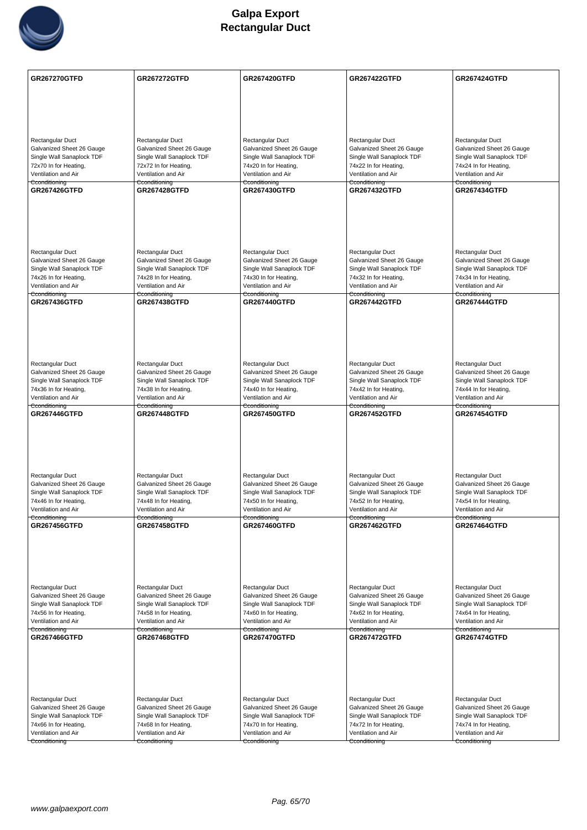

| <b>GR267270GTFD</b>                                    | <b>GR267272GTFD</b>                                    | <b>GR267420GTFD</b>                                    | <b>GR267422GTFD</b>                                    | <b>GR267424GTFD</b>                                    |
|--------------------------------------------------------|--------------------------------------------------------|--------------------------------------------------------|--------------------------------------------------------|--------------------------------------------------------|
|                                                        |                                                        |                                                        |                                                        |                                                        |
|                                                        |                                                        |                                                        |                                                        |                                                        |
|                                                        |                                                        |                                                        |                                                        |                                                        |
| <b>Rectangular Duct</b><br>Galvanized Sheet 26 Gauge   | Rectangular Duct<br>Galvanized Sheet 26 Gauge          | Rectangular Duct<br>Galvanized Sheet 26 Gauge          | Rectangular Duct<br>Galvanized Sheet 26 Gauge          | Rectangular Duct<br>Galvanized Sheet 26 Gauge          |
| Single Wall Sanaplock TDF                              | Single Wall Sanaplock TDF                              | Single Wall Sanaplock TDF                              | Single Wall Sanaplock TDF                              | Single Wall Sanaplock TDF                              |
| 72x70 In for Heating,                                  | 72x72 In for Heating,                                  | 74x20 In for Heating,                                  | 74x22 In for Heating,                                  | 74x24 In for Heating,                                  |
| Ventilation and Air<br>Cconditioning                   | Ventilation and Air<br>Cconditioning                   | Ventilation and Air<br>Cconditioning                   | Ventilation and Air<br>Cconditioning                   | Ventilation and Air<br>Cconditioning                   |
| <b>GR267426GTFD</b>                                    | <b>GR267428GTFD</b>                                    | <b>GR267430GTFD</b>                                    | <b>GR267432GTFD</b>                                    | <b>GR267434GTFD</b>                                    |
|                                                        |                                                        |                                                        |                                                        |                                                        |
|                                                        |                                                        |                                                        |                                                        |                                                        |
|                                                        |                                                        |                                                        |                                                        |                                                        |
|                                                        |                                                        |                                                        |                                                        |                                                        |
| <b>Rectangular Duct</b>                                | Rectangular Duct                                       | Rectangular Duct                                       | Rectangular Duct                                       | Rectangular Duct                                       |
| Galvanized Sheet 26 Gauge                              | Galvanized Sheet 26 Gauge                              | Galvanized Sheet 26 Gauge                              | Galvanized Sheet 26 Gauge                              | Galvanized Sheet 26 Gauge                              |
| Single Wall Sanaplock TDF                              | Single Wall Sanaplock TDF                              | Single Wall Sanaplock TDF                              | Single Wall Sanaplock TDF                              | Single Wall Sanaplock TDF                              |
| 74x26 In for Heating,<br>Ventilation and Air           | 74x28 In for Heating,<br>Ventilation and Air           | 74x30 In for Heating,<br>Ventilation and Air           | 74x32 In for Heating,<br>Ventilation and Air           | 74x34 In for Heating,<br>Ventilation and Air           |
| Cconditioning                                          | Cconditioning                                          | Cconditioning                                          | <del>Cconditioning</del>                               | Cconditioning                                          |
| <b>GR267436GTFD</b>                                    | <b>GR267438GTFD</b>                                    | <b>GR267440GTFD</b>                                    | <b>GR267442GTFD</b>                                    | <b>GR267444GTFD</b>                                    |
|                                                        |                                                        |                                                        |                                                        |                                                        |
|                                                        |                                                        |                                                        |                                                        |                                                        |
|                                                        |                                                        |                                                        |                                                        |                                                        |
|                                                        |                                                        |                                                        |                                                        |                                                        |
| Rectangular Duct                                       | Rectangular Duct                                       | Rectangular Duct                                       | Rectangular Duct                                       | Rectangular Duct                                       |
| Galvanized Sheet 26 Gauge<br>Single Wall Sanaplock TDF | Galvanized Sheet 26 Gauge<br>Single Wall Sanaplock TDF | Galvanized Sheet 26 Gauge<br>Single Wall Sanaplock TDF | Galvanized Sheet 26 Gauge<br>Single Wall Sanaplock TDF | Galvanized Sheet 26 Gauge<br>Single Wall Sanaplock TDF |
| 74x36 In for Heating,                                  | 74x38 In for Heating,                                  | 74x40 In for Heating,                                  | 74x42 In for Heating,                                  | 74x44 In for Heating,                                  |
| Ventilation and Air<br>Cconditioning                   | Ventilation and Air                                    | Ventilation and Air                                    | Ventilation and Air                                    | Ventilation and Air                                    |
| <b>GR267446GTFD</b>                                    | Cconditioning<br><b>GR267448GTFD</b>                   | Cconditioning<br><b>GR267450GTFD</b>                   | Cconditioning<br><b>GR267452GTFD</b>                   | Cconditioning<br><b>GR267454GTFD</b>                   |
|                                                        |                                                        |                                                        |                                                        |                                                        |
|                                                        |                                                        |                                                        |                                                        |                                                        |
|                                                        |                                                        |                                                        |                                                        |                                                        |
|                                                        |                                                        |                                                        |                                                        |                                                        |
| <b>Rectangular Duct</b>                                | Rectangular Duct                                       | Rectangular Duct                                       | Rectangular Duct                                       | Rectangular Duct                                       |
| Galvanized Sheet 26 Gauge                              | Galvanized Sheet 26 Gauge                              | Galvanized Sheet 26 Gauge                              | Galvanized Sheet 26 Gauge                              | Galvanized Sheet 26 Gauge                              |
| Single Wall Sanaplock TDF<br>74x46 In for Heating,     | Single Wall Sanaplock TDF<br>74x48 In for Heating,     | Single Wall Sanaplock TDF<br>74x50 In for Heating,     | Single Wall Sanaplock TDF<br>74x52 In for Heating,     | Single Wall Sanaplock TDF<br>74x54 In for Heating,     |
| Ventilation and Air                                    | Ventilation and Air                                    | Ventilation and Air                                    | Ventilation and Air                                    | Ventilation and Air                                    |
| Cconditioning<br>GR267456GTFD                          | Cconditioning<br><b>GR267458GTFD</b>                   | Cconditioning<br>GR267460GTFD                          | Cconditioning                                          | Cconditioning                                          |
|                                                        |                                                        |                                                        | <b>GR267462GTFD</b>                                    | <b>GR267464GTFD</b>                                    |
|                                                        |                                                        |                                                        |                                                        |                                                        |
|                                                        |                                                        |                                                        |                                                        |                                                        |
|                                                        |                                                        |                                                        |                                                        |                                                        |
|                                                        |                                                        |                                                        |                                                        |                                                        |
| Rectangular Duct<br>Galvanized Sheet 26 Gauge          | Rectangular Duct<br>Galvanized Sheet 26 Gauge          | Rectangular Duct<br>Galvanized Sheet 26 Gauge          | Rectangular Duct<br>Galvanized Sheet 26 Gauge          | Rectangular Duct<br>Galvanized Sheet 26 Gauge          |
| Single Wall Sanaplock TDF                              | Single Wall Sanaplock TDF                              | Single Wall Sanaplock TDF                              | Single Wall Sanaplock TDF                              | Single Wall Sanaplock TDF                              |
| 74x56 In for Heating,                                  | 74x58 In for Heating,                                  | 74x60 In for Heating,                                  | 74x62 In for Heating,                                  | 74x64 In for Heating,                                  |
| Ventilation and Air<br>Cconditioning                   | Ventilation and Air<br>Cconditioning                   | Ventilation and Air<br>Cconditioning                   | Ventilation and Air<br>Cconditioning                   | Ventilation and Air<br>Cconditioning                   |
| <b>GR267466GTFD</b>                                    | <b>GR267468GTFD</b>                                    | <b>GR267470GTFD</b>                                    | <b>GR267472GTFD</b>                                    | <b>GR267474GTFD</b>                                    |
|                                                        |                                                        |                                                        |                                                        |                                                        |
|                                                        |                                                        |                                                        |                                                        |                                                        |
|                                                        |                                                        |                                                        |                                                        |                                                        |
|                                                        |                                                        |                                                        |                                                        |                                                        |
| <b>Rectangular Duct</b>                                | Rectangular Duct                                       | Rectangular Duct                                       | Rectangular Duct                                       | Rectangular Duct                                       |
| Galvanized Sheet 26 Gauge                              | Galvanized Sheet 26 Gauge                              | Galvanized Sheet 26 Gauge                              | Galvanized Sheet 26 Gauge                              | Galvanized Sheet 26 Gauge                              |
| Single Wall Sanaplock TDF<br>74x66 In for Heating,     | Single Wall Sanaplock TDF<br>74x68 In for Heating,     | Single Wall Sanaplock TDF<br>74x70 In for Heating,     | Single Wall Sanaplock TDF<br>74x72 In for Heating,     | Single Wall Sanaplock TDF<br>74x74 In for Heating,     |
| Ventilation and Air                                    | Ventilation and Air                                    | Ventilation and Air                                    | Ventilation and Air                                    | Ventilation and Air                                    |
| Cconditioning                                          | Cconditioning                                          | Cconditioning                                          | Cconditioning                                          | Cconditioning                                          |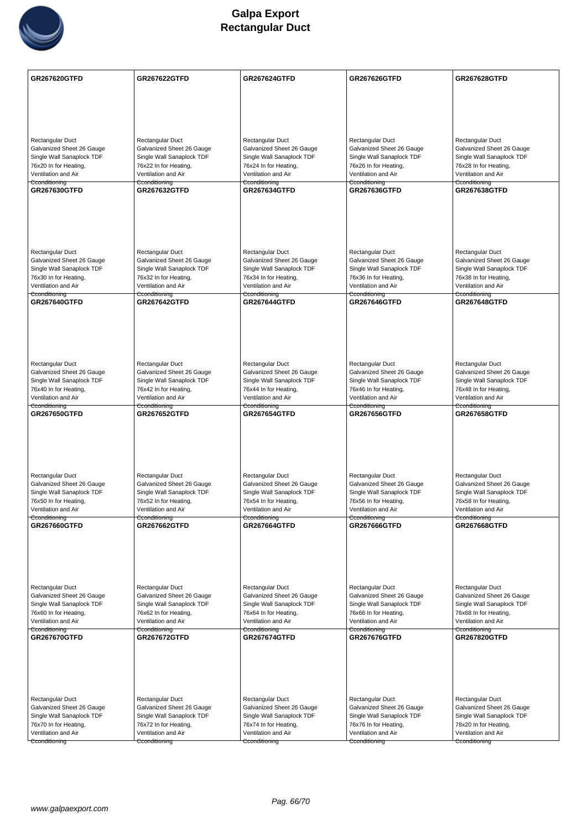

| GR267620GTFD                                           | <b>GR267622GTFD</b>                                    | <b>GR267624GTFD</b>                                    | <b>GR267626GTFD</b>                                    | <b>GR267628GTFD</b>                                    |
|--------------------------------------------------------|--------------------------------------------------------|--------------------------------------------------------|--------------------------------------------------------|--------------------------------------------------------|
|                                                        |                                                        |                                                        |                                                        |                                                        |
|                                                        |                                                        |                                                        |                                                        |                                                        |
|                                                        |                                                        |                                                        |                                                        |                                                        |
|                                                        |                                                        |                                                        |                                                        |                                                        |
| <b>Rectangular Duct</b>                                | Rectangular Duct                                       | Rectangular Duct                                       | Rectangular Duct                                       | Rectangular Duct                                       |
| Galvanized Sheet 26 Gauge                              | Galvanized Sheet 26 Gauge                              | Galvanized Sheet 26 Gauge                              | Galvanized Sheet 26 Gauge                              | Galvanized Sheet 26 Gauge                              |
| Single Wall Sanaplock TDF<br>76x20 In for Heating,     | Single Wall Sanaplock TDF<br>76x22 In for Heating,     | Single Wall Sanaplock TDF<br>76x24 In for Heating,     | Single Wall Sanaplock TDF<br>76x26 In for Heating,     | Single Wall Sanaplock TDF<br>76x28 In for Heating,     |
| Ventilation and Air                                    | Ventilation and Air                                    | Ventilation and Air                                    | Ventilation and Air                                    | Ventilation and Air                                    |
| Cconditioning<br>GR267630GTFD                          | Cconditioning<br><b>GR267632GTFD</b>                   | Cconditioning<br><b>GR267634GTFD</b>                   | Cconditioning<br><b>GR267636GTFD</b>                   | Cconditioning<br><b>GR267638GTFD</b>                   |
|                                                        |                                                        |                                                        |                                                        |                                                        |
|                                                        |                                                        |                                                        |                                                        |                                                        |
|                                                        |                                                        |                                                        |                                                        |                                                        |
|                                                        |                                                        |                                                        |                                                        |                                                        |
|                                                        |                                                        |                                                        |                                                        |                                                        |
| <b>Rectangular Duct</b>                                | Rectangular Duct                                       | Rectangular Duct                                       | Rectangular Duct                                       | Rectangular Duct                                       |
| Galvanized Sheet 26 Gauge<br>Single Wall Sanaplock TDF | Galvanized Sheet 26 Gauge<br>Single Wall Sanaplock TDF | Galvanized Sheet 26 Gauge<br>Single Wall Sanaplock TDF | Galvanized Sheet 26 Gauge<br>Single Wall Sanaplock TDF | Galvanized Sheet 26 Gauge<br>Single Wall Sanaplock TDF |
| 76x30 In for Heating,                                  | 76x32 In for Heating,                                  | 76x34 In for Heating,                                  | 76x36 In for Heating,                                  | 76x38 In for Heating,                                  |
| Ventilation and Air                                    | Ventilation and Air                                    | Ventilation and Air                                    | Ventilation and Air                                    | Ventilation and Air                                    |
| Cconditioning<br><b>GR267640GTFD</b>                   | <del>Cconditioning</del><br><b>GR267642GTFD</b>        | Cconditioning<br><b>GR267644GTFD</b>                   | <del>Cconditioning</del><br><b>GR267646GTFD</b>        | Cconditioning<br><b>GR267648GTFD</b>                   |
|                                                        |                                                        |                                                        |                                                        |                                                        |
|                                                        |                                                        |                                                        |                                                        |                                                        |
|                                                        |                                                        |                                                        |                                                        |                                                        |
|                                                        |                                                        |                                                        |                                                        |                                                        |
|                                                        |                                                        |                                                        |                                                        |                                                        |
| Rectangular Duct<br>Galvanized Sheet 26 Gauge          | Rectangular Duct<br>Galvanized Sheet 26 Gauge          | Rectangular Duct<br>Galvanized Sheet 26 Gauge          | Rectangular Duct<br>Galvanized Sheet 26 Gauge          | Rectangular Duct<br>Galvanized Sheet 26 Gauge          |
| Single Wall Sanaplock TDF                              | Single Wall Sanaplock TDF                              | Single Wall Sanaplock TDF                              | Single Wall Sanaplock TDF                              | Single Wall Sanaplock TDF                              |
| 76x40 In for Heating,                                  | 76x42 In for Heating,                                  | 76x44 In for Heating,                                  | 76x46 In for Heating,                                  | 76x48 In for Heating,                                  |
| Ventilation and Air<br>Cconditioning                   | Ventilation and Air<br>Cconditioning                   | Ventilation and Air<br>Cconditioning                   | Ventilation and Air<br>Cconditioning                   | Ventilation and Air<br>Cconditioning                   |
| GR267650GTFD                                           | <b>GR267652GTFD</b>                                    | <b>GR267654GTFD</b>                                    | GR267656GTFD                                           | <b>GR267658GTFD</b>                                    |
|                                                        |                                                        |                                                        |                                                        |                                                        |
|                                                        |                                                        |                                                        |                                                        |                                                        |
|                                                        |                                                        |                                                        |                                                        |                                                        |
|                                                        |                                                        |                                                        |                                                        |                                                        |
| Rectangular Duct                                       | Rectangular Duct                                       | Rectangular Duct                                       | Rectangular Duct                                       | Rectangular Duct                                       |
| Galvanized Sheet 26 Gauge                              | Galvanized Sheet 26 Gauge                              | Galvanized Sheet 26 Gauge                              | Galvanized Sheet 26 Gauge                              | Galvanized Sheet 26 Gauge                              |
| Single Wall Sanaplock TDF                              | Single Wall Sanaplock TDF                              | Single Wall Sanaplock TDF                              | Single Wall Sanaplock TDF                              | Single Wall Sanaplock TDF                              |
| 76x50 In for Heating,<br>Ventilation and Air           | 76x52 In for Heating,<br>Ventilation and Air           | 76x54 In for Heating,<br>Ventilation and Air           | 76x56 In for Heating,<br>Ventilation and Air           | 76x58 In for Heating,<br>Ventilation and Air           |
| Cconditioning                                          | Cconditioning                                          | Cconditioning                                          | Cconditioning                                          | Cconditioning                                          |
| GR267660GTFD                                           | GR267662GTFD                                           | GR267664GTFD                                           | GR267666GTFD                                           | GR267668GTFD                                           |
|                                                        |                                                        |                                                        |                                                        |                                                        |
|                                                        |                                                        |                                                        |                                                        |                                                        |
|                                                        |                                                        |                                                        |                                                        |                                                        |
|                                                        |                                                        |                                                        |                                                        |                                                        |
| Rectangular Duct                                       | Rectangular Duct                                       | <b>Rectangular Duct</b>                                | Rectangular Duct                                       | Rectangular Duct                                       |
| Galvanized Sheet 26 Gauge                              | Galvanized Sheet 26 Gauge                              | Galvanized Sheet 26 Gauge                              | Galvanized Sheet 26 Gauge                              | Galvanized Sheet 26 Gauge                              |
| Single Wall Sanaplock TDF<br>76x60 In for Heating,     | Single Wall Sanaplock TDF<br>76x62 In for Heating,     | Single Wall Sanaplock TDF<br>76x64 In for Heating,     | Single Wall Sanaplock TDF<br>76x66 In for Heating,     | Single Wall Sanaplock TDF<br>76x68 In for Heating,     |
| Ventilation and Air                                    | Ventilation and Air                                    | Ventilation and Air                                    | Ventilation and Air                                    | Ventilation and Air                                    |
| Cconditioning<br>GR267670GTFD                          | Cconditioning<br><b>GR267672GTFD</b>                   | Cconditioning<br><b>GR267674GTFD</b>                   | Cconditioning<br><b>GR267676GTFD</b>                   | Cconditioning<br><b>GR267820GTFD</b>                   |
|                                                        |                                                        |                                                        |                                                        |                                                        |
|                                                        |                                                        |                                                        |                                                        |                                                        |
|                                                        |                                                        |                                                        |                                                        |                                                        |
|                                                        |                                                        |                                                        |                                                        |                                                        |
|                                                        |                                                        |                                                        |                                                        |                                                        |
| Rectangular Duct                                       | Rectangular Duct                                       | Rectangular Duct                                       | Rectangular Duct                                       | Rectangular Duct                                       |
| Galvanized Sheet 26 Gauge<br>Single Wall Sanaplock TDF | Galvanized Sheet 26 Gauge<br>Single Wall Sanaplock TDF | Galvanized Sheet 26 Gauge<br>Single Wall Sanaplock TDF | Galvanized Sheet 26 Gauge<br>Single Wall Sanaplock TDF | Galvanized Sheet 26 Gauge<br>Single Wall Sanaplock TDF |
| 76x70 In for Heating,                                  | 76x72 In for Heating,                                  | 76x74 In for Heating,                                  | 76x76 In for Heating,                                  | 78x20 In for Heating,                                  |
| Ventilation and Air                                    | Ventilation and Air                                    | Ventilation and Air                                    | Ventilation and Air                                    | Ventilation and Air                                    |
| Cconditioning                                          | Cconditioning                                          | Cconditioning                                          | Cconditioning                                          | Cconditioning                                          |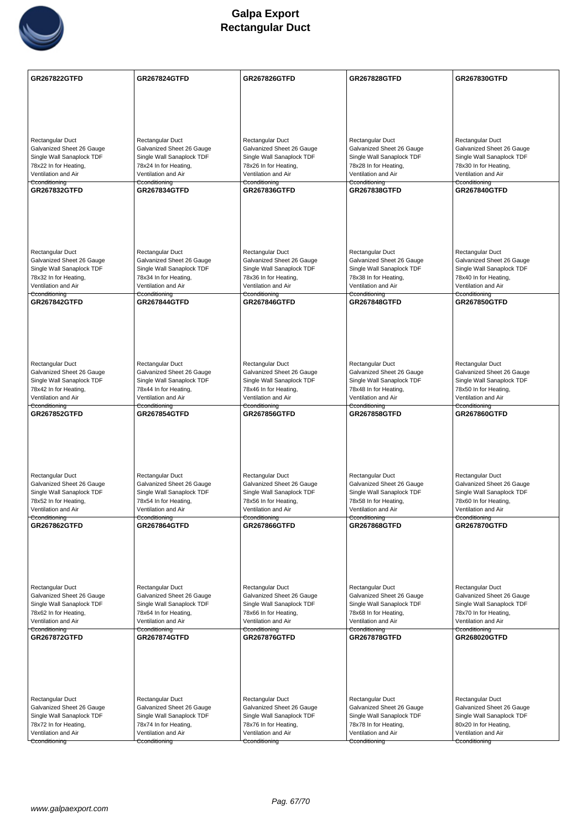

| <b>GR267822GTFD</b>                                    | <b>GR267824GTFD</b>                                    | <b>GR267826GTFD</b>                                    | <b>GR267828GTFD</b>                                    | GR267830GTFD                                           |
|--------------------------------------------------------|--------------------------------------------------------|--------------------------------------------------------|--------------------------------------------------------|--------------------------------------------------------|
|                                                        |                                                        |                                                        |                                                        |                                                        |
|                                                        |                                                        |                                                        |                                                        |                                                        |
|                                                        |                                                        |                                                        |                                                        |                                                        |
| Rectangular Duct                                       | Rectangular Duct                                       | Rectangular Duct                                       | Rectangular Duct                                       | Rectangular Duct                                       |
| Galvanized Sheet 26 Gauge                              | Galvanized Sheet 26 Gauge                              | Galvanized Sheet 26 Gauge                              | Galvanized Sheet 26 Gauge                              | Galvanized Sheet 26 Gauge                              |
| Single Wall Sanaplock TDF<br>78x22 In for Heating,     | Single Wall Sanaplock TDF<br>78x24 In for Heating,     | Single Wall Sanaplock TDF<br>78x26 In for Heating,     | Single Wall Sanaplock TDF<br>78x28 In for Heating,     | Single Wall Sanaplock TDF<br>78x30 In for Heating,     |
| Ventilation and Air                                    | Ventilation and Air                                    | Ventilation and Air                                    | Ventilation and Air                                    | Ventilation and Air                                    |
| Cconditioning<br><b>GR267832GTFD</b>                   | Cconditioning<br><b>GR267834GTFD</b>                   | Cconditioning<br><b>GR267836GTFD</b>                   | Cconditioning<br><b>GR267838GTFD</b>                   | Cconditioning<br><b>GR267840GTFD</b>                   |
|                                                        |                                                        |                                                        |                                                        |                                                        |
|                                                        |                                                        |                                                        |                                                        |                                                        |
|                                                        |                                                        |                                                        |                                                        |                                                        |
|                                                        |                                                        |                                                        |                                                        |                                                        |
| <b>Rectangular Duct</b><br>Galvanized Sheet 26 Gauge   | Rectangular Duct<br>Galvanized Sheet 26 Gauge          | Rectangular Duct<br>Galvanized Sheet 26 Gauge          | Rectangular Duct<br>Galvanized Sheet 26 Gauge          | Rectangular Duct<br>Galvanized Sheet 26 Gauge          |
| Single Wall Sanaplock TDF                              | Single Wall Sanaplock TDF                              | Single Wall Sanaplock TDF                              | Single Wall Sanaplock TDF                              | Single Wall Sanaplock TDF                              |
| 78x32 In for Heating,<br>Ventilation and Air           | 78x34 In for Heating,<br>Ventilation and Air           | 78x36 In for Heating,<br>Ventilation and Air           | 78x38 In for Heating,<br>Ventilation and Air           | 78x40 In for Heating,<br>Ventilation and Air           |
| Cconditioning<br><b>GR267842GTFD</b>                   | Cconditioning<br><b>GR267844GTFD</b>                   | Cconditioning<br><b>GR267846GTFD</b>                   | Cconditioning<br><b>GR267848GTFD</b>                   | Cconditioning<br><b>GR267850GTFD</b>                   |
|                                                        |                                                        |                                                        |                                                        |                                                        |
|                                                        |                                                        |                                                        |                                                        |                                                        |
|                                                        |                                                        |                                                        |                                                        |                                                        |
|                                                        |                                                        |                                                        |                                                        |                                                        |
| Rectangular Duct<br>Galvanized Sheet 26 Gauge          | Rectangular Duct<br>Galvanized Sheet 26 Gauge          | Rectangular Duct<br>Galvanized Sheet 26 Gauge          | Rectangular Duct<br>Galvanized Sheet 26 Gauge          | Rectangular Duct<br>Galvanized Sheet 26 Gauge          |
| Single Wall Sanaplock TDF                              | Single Wall Sanaplock TDF                              | Single Wall Sanaplock TDF                              | Single Wall Sanaplock TDF                              | Single Wall Sanaplock TDF                              |
| 78x42 In for Heating,<br>Ventilation and Air           | 78x44 In for Heating,<br>Ventilation and Air           | 78x46 In for Heating,<br>Ventilation and Air           | 78x48 In for Heating,<br>Ventilation and Air           | 78x50 In for Heating,<br>Ventilation and Air           |
| Cconditioning<br><b>GR267852GTFD</b>                   | Cconditioning<br><b>GR267854GTFD</b>                   | Cconditioning<br><b>GR267856GTFD</b>                   | Cconditioning<br><b>GR267858GTFD</b>                   | Cconditioning<br><b>GR267860GTFD</b>                   |
|                                                        |                                                        |                                                        |                                                        |                                                        |
|                                                        |                                                        |                                                        |                                                        |                                                        |
|                                                        |                                                        |                                                        |                                                        |                                                        |
|                                                        |                                                        |                                                        |                                                        |                                                        |
| Rectangular Duct                                       | Rectangular Duct                                       | Rectangular Duct                                       | Rectangular Duct                                       | Rectangular Duct                                       |
| Galvanized Sheet 26 Gauge<br>Single Wall Sanaplock TDF | Galvanized Sheet 26 Gauge<br>Single Wall Sanaplock TDF | Galvanized Sheet 26 Gauge<br>Single Wall Sanaplock TDF | Galvanized Sheet 26 Gauge<br>Single Wall Sanaplock TDF | Galvanized Sheet 26 Gauge<br>Single Wall Sanaplock TDF |
| 78x52 In for Heating,                                  | 78x54 In for Heating,                                  | 78x56 In for Heating,                                  | 78x58 In for Heating,                                  | 78x60 In for Heating,                                  |
| Ventilation and Air<br>Cconditioning                   | Ventilation and Air<br>Cconditioning                   | Ventilation and Air<br>Cconditioning                   | Ventilation and Air<br>Cconditioning                   | Ventilation and Air<br>Cconditioning                   |
| GR267862GTFD                                           | <b>GR267864GTFD</b>                                    | <b>GR267866GTFD</b>                                    | <b>GR267868GTFD</b>                                    | <b>GR267870GTFD</b>                                    |
|                                                        |                                                        |                                                        |                                                        |                                                        |
|                                                        |                                                        |                                                        |                                                        |                                                        |
|                                                        |                                                        |                                                        |                                                        |                                                        |
| Rectangular Duct                                       | Rectangular Duct                                       | Rectangular Duct                                       | Rectangular Duct                                       | Rectangular Duct                                       |
| Galvanized Sheet 26 Gauge                              | Galvanized Sheet 26 Gauge                              | Galvanized Sheet 26 Gauge                              | Galvanized Sheet 26 Gauge                              | Galvanized Sheet 26 Gauge                              |
| Single Wall Sanaplock TDF                              | Single Wall Sanaplock TDF                              | Single Wall Sanaplock TDF                              | Single Wall Sanaplock TDF<br>78x68 In for Heating,     | Single Wall Sanaplock TDF                              |
| 78x62 In for Heating,<br>Ventilation and Air           | 78x64 In for Heating,<br>Ventilation and Air           | 78x66 In for Heating,<br>Ventilation and Air           | Ventilation and Air                                    | 78x70 In for Heating,<br>Ventilation and Air           |
| Cconditioning<br><b>GR267872GTFD</b>                   | Cconditioning<br><b>GR267874GTFD</b>                   | Cconditioning<br><b>GR267876GTFD</b>                   | Cconditioning<br><b>GR267878GTFD</b>                   | Cconditioning<br><b>GR268020GTFD</b>                   |
|                                                        |                                                        |                                                        |                                                        |                                                        |
|                                                        |                                                        |                                                        |                                                        |                                                        |
|                                                        |                                                        |                                                        |                                                        |                                                        |
|                                                        |                                                        |                                                        |                                                        |                                                        |
| Rectangular Duct<br>Galvanized Sheet 26 Gauge          | Rectangular Duct<br>Galvanized Sheet 26 Gauge          | <b>Rectangular Duct</b><br>Galvanized Sheet 26 Gauge   | Rectangular Duct<br>Galvanized Sheet 26 Gauge          | Rectangular Duct<br>Galvanized Sheet 26 Gauge          |
| Single Wall Sanaplock TDF                              | Single Wall Sanaplock TDF                              | Single Wall Sanaplock TDF                              | Single Wall Sanaplock TDF                              | Single Wall Sanaplock TDF                              |
| 78x72 In for Heating,                                  | 78x74 In for Heating,                                  | 78x76 In for Heating,                                  | 78x78 In for Heating,                                  | 80x20 In for Heating,                                  |
| Ventilation and Air<br>Cconditioning                   | Ventilation and Air                                    | Ventilation and Air                                    | Ventilation and Air                                    | Ventilation and Air                                    |
|                                                        | Cconditioning                                          | Cconditioning                                          | Cconditioning                                          | Cconditioning                                          |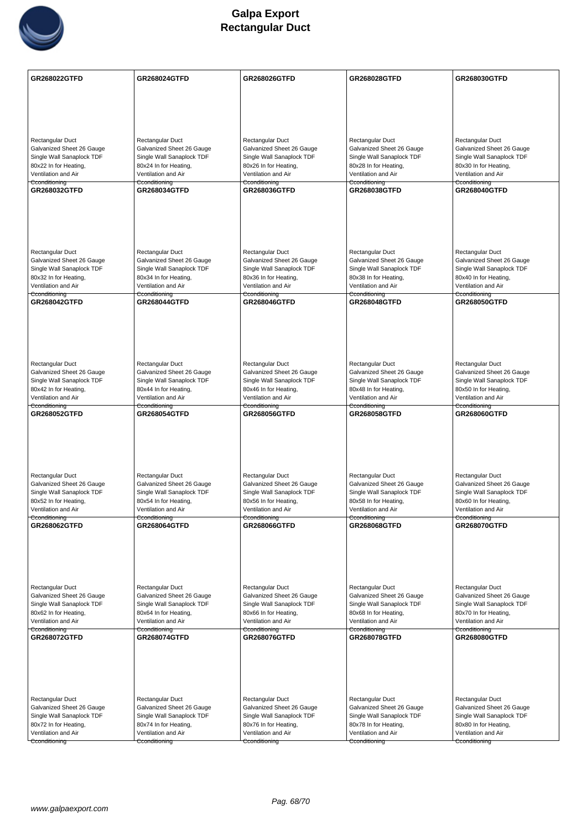

| GR268022GTFD                                           | GR268024GTFD                                           | GR268026GTFD                                           | GR268028GTFD                                           | GR268030GTFD                                           |
|--------------------------------------------------------|--------------------------------------------------------|--------------------------------------------------------|--------------------------------------------------------|--------------------------------------------------------|
|                                                        |                                                        |                                                        |                                                        |                                                        |
|                                                        |                                                        |                                                        |                                                        |                                                        |
|                                                        |                                                        |                                                        |                                                        |                                                        |
|                                                        |                                                        |                                                        |                                                        |                                                        |
| Rectangular Duct<br>Galvanized Sheet 26 Gauge          | Rectangular Duct<br>Galvanized Sheet 26 Gauge          | Rectangular Duct<br>Galvanized Sheet 26 Gauge          | Rectangular Duct<br>Galvanized Sheet 26 Gauge          | Rectangular Duct<br>Galvanized Sheet 26 Gauge          |
| Single Wall Sanaplock TDF                              | Single Wall Sanaplock TDF                              | Single Wall Sanaplock TDF                              | Single Wall Sanaplock TDF                              | Single Wall Sanaplock TDF                              |
| 80x22 In for Heating,                                  | 80x24 In for Heating,                                  | 80x26 In for Heating,                                  | 80x28 In for Heating,                                  | 80x30 In for Heating,                                  |
| Ventilation and Air                                    | Ventilation and Air                                    | Ventilation and Air                                    | Ventilation and Air                                    | Ventilation and Air                                    |
| Cconditioning<br>GR268032GTFD                          | Cconditioning<br><b>GR268034GTFD</b>                   | Cconditioning<br>GR268036GTFD                          | Cconditioning<br>GR268038GTFD                          | Cconditioning<br>GR268040GTFD                          |
|                                                        |                                                        |                                                        |                                                        |                                                        |
|                                                        |                                                        |                                                        |                                                        |                                                        |
|                                                        |                                                        |                                                        |                                                        |                                                        |
|                                                        |                                                        |                                                        |                                                        |                                                        |
|                                                        |                                                        |                                                        |                                                        |                                                        |
| Rectangular Duct                                       | Rectangular Duct                                       | Rectangular Duct                                       | Rectangular Duct                                       | Rectangular Duct                                       |
| Galvanized Sheet 26 Gauge<br>Single Wall Sanaplock TDF | Galvanized Sheet 26 Gauge<br>Single Wall Sanaplock TDF | Galvanized Sheet 26 Gauge<br>Single Wall Sanaplock TDF | Galvanized Sheet 26 Gauge<br>Single Wall Sanaplock TDF | Galvanized Sheet 26 Gauge<br>Single Wall Sanaplock TDF |
| 80x32 In for Heating,                                  | 80x34 In for Heating,                                  | 80x36 In for Heating,                                  | 80x38 In for Heating,                                  | 80x40 In for Heating,                                  |
| Ventilation and Air                                    | Ventilation and Air                                    | Ventilation and Air                                    | Ventilation and Air                                    | Ventilation and Air                                    |
| Cconditioning<br><b>GR268042GTFD</b>                   | Cconditioning<br><b>GR268044GTFD</b>                   | Cconditioning<br>GR268046GTFD                          | Cconditioning<br>GR268048GTFD                          | Cconditioning<br>GR268050GTFD                          |
|                                                        |                                                        |                                                        |                                                        |                                                        |
|                                                        |                                                        |                                                        |                                                        |                                                        |
|                                                        |                                                        |                                                        |                                                        |                                                        |
|                                                        |                                                        |                                                        |                                                        |                                                        |
|                                                        |                                                        |                                                        |                                                        |                                                        |
| Rectangular Duct                                       | Rectangular Duct                                       | Rectangular Duct                                       | Rectangular Duct                                       | Rectangular Duct                                       |
| Galvanized Sheet 26 Gauge                              | Galvanized Sheet 26 Gauge                              | Galvanized Sheet 26 Gauge                              | Galvanized Sheet 26 Gauge                              | Galvanized Sheet 26 Gauge                              |
| Single Wall Sanaplock TDF<br>80x42 In for Heating,     | Single Wall Sanaplock TDF<br>80x44 In for Heating,     | Single Wall Sanaplock TDF<br>80x46 In for Heating,     | Single Wall Sanaplock TDF<br>80x48 In for Heating,     | Single Wall Sanaplock TDF<br>80x50 In for Heating,     |
| Ventilation and Air                                    | Ventilation and Air                                    | Ventilation and Air                                    | Ventilation and Air                                    | Ventilation and Air                                    |
| Cconditioning<br>GR268052GTFD                          | Cconditioning<br><b>GR268054GTFD</b>                   | Cconditioning<br><b>GR268056GTFD</b>                   | Cconditioning<br>GR268058GTFD                          | Cconditioning<br>GR268060GTFD                          |
|                                                        |                                                        |                                                        |                                                        |                                                        |
|                                                        |                                                        |                                                        |                                                        |                                                        |
|                                                        |                                                        |                                                        |                                                        |                                                        |
|                                                        |                                                        |                                                        |                                                        |                                                        |
|                                                        |                                                        |                                                        |                                                        |                                                        |
| Rectangular Duct                                       | Rectangular Duct                                       | Rectangular Duct                                       | Rectangular Duct                                       | Rectangular Duct                                       |
| Galvanized Sheet 26 Gauge                              | Galvanized Sheet 26 Gauge                              | Galvanized Sheet 26 Gauge<br>Single Wall Sanaplock TDF | Galvanized Sheet 26 Gauge                              | Galvanized Sheet 26 Gauge<br>Single Wall Sanaplock TDF |
| Single Wall Sanaplock TDF<br>80x52 In for Heating,     | Single Wall Sanaplock TDF<br>80x54 In for Heating,     | 80x56 In for Heating,                                  | Single Wall Sanaplock TDF<br>80x58 In for Heating,     | 80x60 In for Heating,                                  |
| Ventilation and Air                                    | Ventilation and Air                                    | Ventilation and Air                                    | Ventilation and Air                                    | Ventilation and Air                                    |
| Cconditioning                                          | Cconditioning<br>GR268064GTFD                          | Cconditioning                                          | Cconditioning<br>GR268068GTFD                          | Cconditioning                                          |
| <b>GR268062GTFD</b>                                    |                                                        | <b>GR268066GTFD</b>                                    |                                                        | <b>GR268070GTFD</b>                                    |
|                                                        |                                                        |                                                        |                                                        |                                                        |
|                                                        |                                                        |                                                        |                                                        |                                                        |
|                                                        |                                                        |                                                        |                                                        |                                                        |
|                                                        |                                                        |                                                        |                                                        |                                                        |
| Rectangular Duct                                       | Rectangular Duct                                       | Rectangular Duct                                       | Rectangular Duct                                       | Rectangular Duct                                       |
| Galvanized Sheet 26 Gauge                              | Galvanized Sheet 26 Gauge                              | Galvanized Sheet 26 Gauge                              | Galvanized Sheet 26 Gauge                              | Galvanized Sheet 26 Gauge                              |
| Single Wall Sanaplock TDF<br>80x62 In for Heating,     | Single Wall Sanaplock TDF<br>80x64 In for Heating,     | Single Wall Sanaplock TDF<br>80x66 In for Heating,     | Single Wall Sanaplock TDF<br>80x68 In for Heating,     | Single Wall Sanaplock TDF<br>80x70 In for Heating,     |
| Ventilation and Air                                    | Ventilation and Air                                    | Ventilation and Air                                    | Ventilation and Air                                    | Ventilation and Air                                    |
| Cconditioning                                          | Cconditioning                                          | Cconditioning                                          | Cconditioning                                          | Cconditioning                                          |
| GR268072GTFD                                           | <b>GR268074GTFD</b>                                    | GR268076GTFD                                           | GR268078GTFD                                           | GR268080GTFD                                           |
|                                                        |                                                        |                                                        |                                                        |                                                        |
|                                                        |                                                        |                                                        |                                                        |                                                        |
|                                                        |                                                        |                                                        |                                                        |                                                        |
|                                                        |                                                        |                                                        |                                                        |                                                        |
| Rectangular Duct                                       | Rectangular Duct                                       | Rectangular Duct                                       | Rectangular Duct                                       | Rectangular Duct                                       |
| Galvanized Sheet 26 Gauge                              | Galvanized Sheet 26 Gauge                              | Galvanized Sheet 26 Gauge                              | Galvanized Sheet 26 Gauge                              | Galvanized Sheet 26 Gauge                              |
| Single Wall Sanaplock TDF                              | Single Wall Sanaplock TDF                              | Single Wall Sanaplock TDF                              | Single Wall Sanaplock TDF                              | Single Wall Sanaplock TDF                              |
| 80x72 In for Heating,<br>Ventilation and Air           | 80x74 In for Heating,<br>Ventilation and Air           | 80x76 In for Heating,<br>Ventilation and Air           | 80x78 In for Heating,<br>Ventilation and Air           | 80x80 In for Heating,<br>Ventilation and Air           |
| Cconditioning                                          | Cconditioning                                          | Cconditioning                                          | Cconditioning                                          | Cconditioning                                          |
|                                                        |                                                        |                                                        |                                                        |                                                        |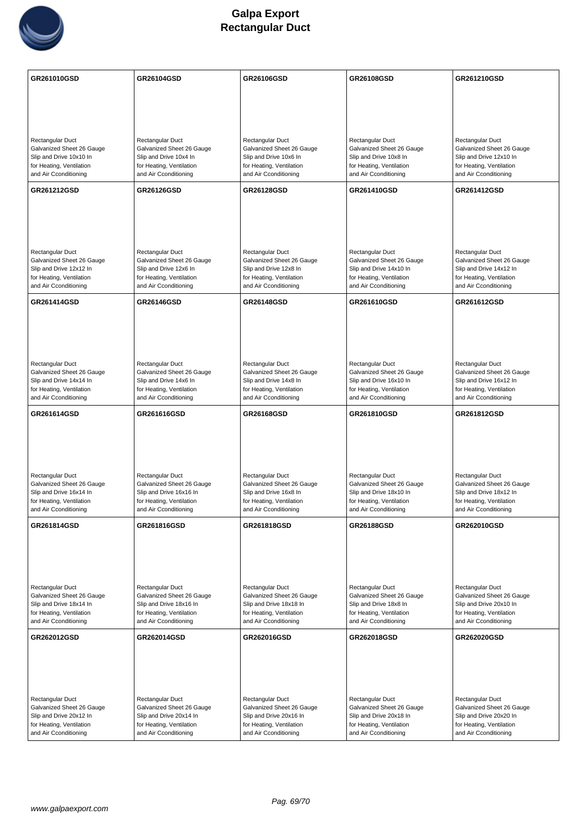

| GR261010GSD                                                                                                                   | GR26104GSD                                                                                                                    | GR26106GSD                                                                                                                    | GR26108GSD                                                                                                                    | GR261210GSD                                                                                                                   |
|-------------------------------------------------------------------------------------------------------------------------------|-------------------------------------------------------------------------------------------------------------------------------|-------------------------------------------------------------------------------------------------------------------------------|-------------------------------------------------------------------------------------------------------------------------------|-------------------------------------------------------------------------------------------------------------------------------|
|                                                                                                                               |                                                                                                                               |                                                                                                                               |                                                                                                                               |                                                                                                                               |
|                                                                                                                               |                                                                                                                               |                                                                                                                               |                                                                                                                               |                                                                                                                               |
| Rectangular Duct<br>Galvanized Sheet 26 Gauge<br>Slip and Drive 10x10 In<br>for Heating, Ventilation<br>and Air Cconditioning | Rectangular Duct<br>Galvanized Sheet 26 Gauge<br>Slip and Drive 10x4 In<br>for Heating, Ventilation<br>and Air Cconditioning  | Rectangular Duct<br>Galvanized Sheet 26 Gauge<br>Slip and Drive 10x6 In<br>for Heating, Ventilation<br>and Air Cconditioning  | Rectangular Duct<br>Galvanized Sheet 26 Gauge<br>Slip and Drive 10x8 In<br>for Heating, Ventilation<br>and Air Cconditioning  | Rectangular Duct<br>Galvanized Sheet 26 Gauge<br>Slip and Drive 12x10 In<br>for Heating, Ventilation<br>and Air Cconditioning |
| GR261212GSD                                                                                                                   | <b>GR26126GSD</b>                                                                                                             | GR26128GSD                                                                                                                    | GR261410GSD                                                                                                                   | GR261412GSD                                                                                                                   |
| Rectangular Duct<br>Galvanized Sheet 26 Gauge<br>Slip and Drive 12x12 In<br>for Heating, Ventilation                          | Rectangular Duct<br>Galvanized Sheet 26 Gauge<br>Slip and Drive 12x6 In<br>for Heating, Ventilation                           | <b>Rectangular Duct</b><br>Galvanized Sheet 26 Gauge<br>Slip and Drive 12x8 In<br>for Heating, Ventilation                    | Rectangular Duct<br>Galvanized Sheet 26 Gauge<br>Slip and Drive 14x10 In<br>for Heating, Ventilation                          | Rectangular Duct<br>Galvanized Sheet 26 Gauge<br>Slip and Drive 14x12 In<br>for Heating, Ventilation                          |
| and Air Cconditioning                                                                                                         | and Air Cconditioning                                                                                                         | and Air Cconditioning                                                                                                         | and Air Cconditioning                                                                                                         | and Air Cconditioning                                                                                                         |
| GR261414GSD                                                                                                                   | <b>GR26146GSD</b>                                                                                                             | <b>GR26148GSD</b>                                                                                                             | GR261610GSD                                                                                                                   | GR261612GSD                                                                                                                   |
| Rectangular Duct<br>Galvanized Sheet 26 Gauge<br>Slip and Drive 14x14 In<br>for Heating, Ventilation<br>and Air Cconditioning | Rectangular Duct<br>Galvanized Sheet 26 Gauge<br>Slip and Drive 14x6 In<br>for Heating, Ventilation<br>and Air Cconditioning  | Rectangular Duct<br>Galvanized Sheet 26 Gauge<br>Slip and Drive 14x8 In<br>for Heating, Ventilation<br>and Air Cconditioning  | Rectangular Duct<br>Galvanized Sheet 26 Gauge<br>Slip and Drive 16x10 In<br>for Heating, Ventilation<br>and Air Cconditioning | Rectangular Duct<br>Galvanized Sheet 26 Gauge<br>Slip and Drive 16x12 In<br>for Heating, Ventilation<br>and Air Cconditioning |
| GR261614GSD                                                                                                                   | GR261616GSD                                                                                                                   | GR26168GSD                                                                                                                    | GR261810GSD                                                                                                                   |                                                                                                                               |
|                                                                                                                               |                                                                                                                               |                                                                                                                               |                                                                                                                               | GR261812GSD                                                                                                                   |
| Rectangular Duct<br>Galvanized Sheet 26 Gauge<br>Slip and Drive 16x14 In<br>for Heating, Ventilation<br>and Air Cconditioning | Rectangular Duct<br>Galvanized Sheet 26 Gauge<br>Slip and Drive 16x16 In<br>for Heating, Ventilation<br>and Air Cconditioning | Rectangular Duct<br>Galvanized Sheet 26 Gauge<br>Slip and Drive 16x8 In<br>for Heating, Ventilation<br>and Air Cconditioning  | Rectangular Duct<br>Galvanized Sheet 26 Gauge<br>Slip and Drive 18x10 In<br>for Heating, Ventilation<br>and Air Cconditioning | Rectangular Duct<br>Galvanized Sheet 26 Gauge<br>Slip and Drive 18x12 In<br>for Heating, Ventilation<br>and Air Cconditioning |
| GR261814GSD                                                                                                                   | GR261816GSD                                                                                                                   | GR261818GSD                                                                                                                   | <b>GR26188GSD</b>                                                                                                             | GR262010GSD                                                                                                                   |
| Rectangular Duct<br>Galvanized Sheet 26 Gauge<br>Slip and Drive 18x14 In<br>for Heating, Ventilation<br>and Air Cconditioning | Rectangular Duct<br>Galvanized Sheet 26 Gauge<br>Slip and Drive 18x16 In<br>for Heating, Ventilation<br>and Air Cconditioning | Rectangular Duct<br>Galvanized Sheet 26 Gauge<br>Slip and Drive 18x18 In<br>for Heating, Ventilation<br>and Air Cconditioning | Rectangular Duct<br>Galvanized Sheet 26 Gauge<br>Slip and Drive 18x8 In<br>for Heating, Ventilation<br>and Air Cconditioning  | Rectangular Duct<br>Galvanized Sheet 26 Gauge<br>Slip and Drive 20x10 In<br>for Heating, Ventilation<br>and Air Cconditioning |
| GR262012GSD                                                                                                                   | GR262014GSD                                                                                                                   | GR262016GSD                                                                                                                   | GR262018GSD                                                                                                                   | <b>GR262020GSD</b>                                                                                                            |
| Rectangular Duct<br>Galvanized Sheet 26 Gauge<br>Slip and Drive 20x12 In                                                      | Rectangular Duct<br>Galvanized Sheet 26 Gauge<br>Slip and Drive 20x14 In                                                      | Rectangular Duct<br>Galvanized Sheet 26 Gauge<br>Slip and Drive 20x16 In                                                      | Rectangular Duct<br>Galvanized Sheet 26 Gauge<br>Slip and Drive 20x18 In                                                      | Rectangular Duct<br>Galvanized Sheet 26 Gauge<br>Slip and Drive 20x20 In                                                      |